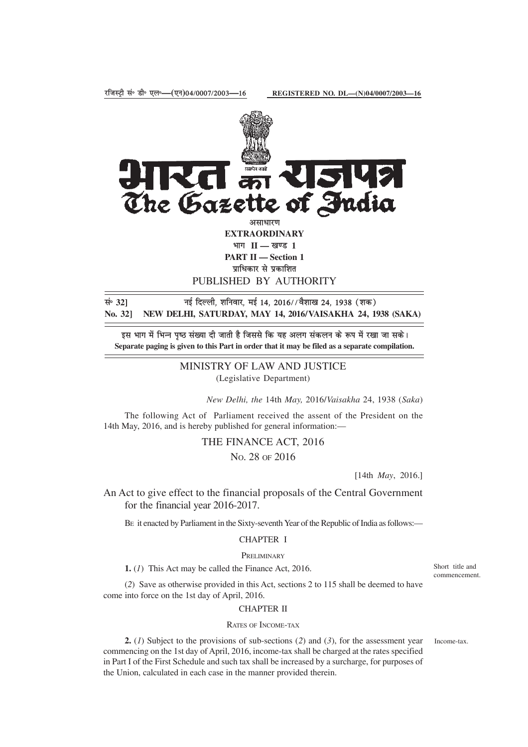

PUBLISHED BY AUTHORITY

**land i c i c i c i c i c i c i f c i c i c i c i c i c i c i c i c i c i c i c i c i c i c i c i c i c i c i c i No. 32] NEW DELHI, SATURDAY, MAY 14, 2016/VAISAKHA 24, 1938 (SAKA)**

इस भाग में भिन्न पृष्ठ संख्या दी जाती है जिससे कि यह अलग संकलन के रूप में रखा जा सके। **Separate paging is given to this Part in order that it may be filed as a separate compilation.**

> MINISTRY OF LAW AND JUSTICE (Legislative Department)

> > *New Delhi, the* 14th *May,* 2016/*Vaisakha* 24, 1938 (*Saka*)

The following Act of Parliament received the assent of the President on the 14th May, 2016, and is hereby published for general information:—

> THE FINANCE ACT, 2016 NO. 28 OF 2016

> > [14th *May*, 2016.]

An Act to give effect to the financial proposals of the Central Government for the financial year 2016-2017.

BE it enacted by Parliament in the Sixty-seventh Year of the Republic of India as follows:—

### CHAPTER I

#### PRELIMINARY

**1.** (*1*) This Act may be called the Finance Act, 2016.

(*2*) Save as otherwise provided in this Act, sections 2 to 115 shall be deemed to have come into force on the 1st day of April, 2016.

# CHAPTER II

#### RATES OF INCOME-TAX

**2.** (*1*) Subject to the provisions of sub-sections (*2*) and (*3*), for the assessment year commencing on the 1st day of April, 2016, income-tax shall be charged at the rates specified in Part I of the First Schedule and such tax shall be increased by a surcharge, for purposes of the Union, calculated in each case in the manner provided therein.

Short title and commencement.

Income-tax.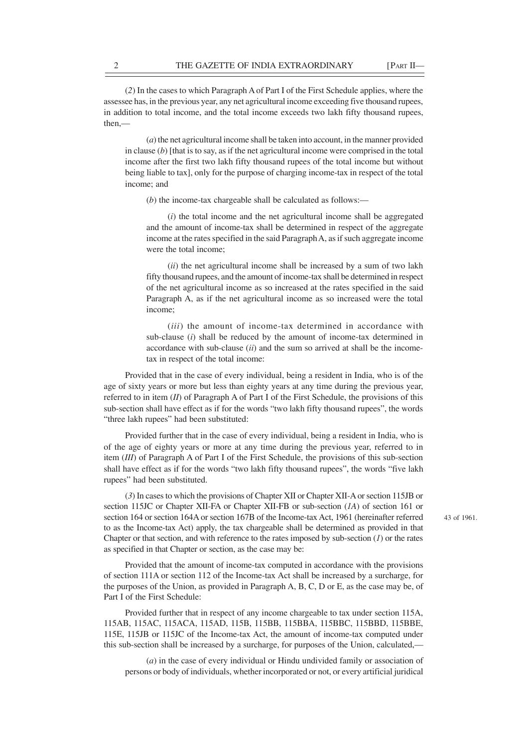(*2*) In the cases to which Paragraph A of Part I of the First Schedule applies, where the assessee has, in the previous year, any net agricultural income exceeding five thousand rupees, in addition to total income, and the total income exceeds two lakh fifty thousand rupees, then,—

(*a*) the net agricultural income shall be taken into account, in the manner provided in clause  $(b)$  [that is to say, as if the net agricultural income were comprised in the total income after the first two lakh fifty thousand rupees of the total income but without being liable to tax], only for the purpose of charging income-tax in respect of the total income; and

(*b*) the income-tax chargeable shall be calculated as follows:—

(*i*) the total income and the net agricultural income shall be aggregated and the amount of income-tax shall be determined in respect of the aggregate income at the rates specified in the said Paragraph A, as if such aggregate income were the total income;

(*ii*) the net agricultural income shall be increased by a sum of two lakh fifty thousand rupees, and the amount of income-tax shall be determined in respect of the net agricultural income as so increased at the rates specified in the said Paragraph A, as if the net agricultural income as so increased were the total income;

(*iii*) the amount of income-tax determined in accordance with sub-clause (*i*) shall be reduced by the amount of income-tax determined in accordance with sub-clause (*ii*) and the sum so arrived at shall be the incometax in respect of the total income:

Provided that in the case of every individual, being a resident in India, who is of the age of sixty years or more but less than eighty years at any time during the previous year, referred to in item (*II*) of Paragraph A of Part I of the First Schedule, the provisions of this sub-section shall have effect as if for the words "two lakh fifty thousand rupees", the words "three lakh rupees" had been substituted:

Provided further that in the case of every individual, being a resident in India, who is of the age of eighty years or more at any time during the previous year, referred to in item (*III*) of Paragraph A of Part I of the First Schedule, the provisions of this sub-section shall have effect as if for the words "two lakh fifty thousand rupees", the words "five lakh rupees" had been substituted.

(*3*) In cases to which the provisions of Chapter XII or Chapter XII-A or section 115JB or section 115JC or Chapter XII-FA or Chapter XII-FB or sub-section (*1A*) of section 161 or section 164 or section 164A or section 167B of the Income-tax Act, 1961 (hereinafter referred to as the Income-tax Act) apply, the tax chargeable shall be determined as provided in that Chapter or that section, and with reference to the rates imposed by  $sub-section (1)$  or the rates as specified in that Chapter or section, as the case may be:

Provided that the amount of income-tax computed in accordance with the provisions of section 111A or section 112 of the Income-tax Act shall be increased by a surcharge, for the purposes of the Union, as provided in Paragraph A, B, C, D or E, as the case may be, of Part I of the First Schedule:

Provided further that in respect of any income chargeable to tax under section 115A, 115AB, 115AC, 115ACA, 115AD, 115B, 115BB, 115BBA, 115BBC, 115BBD, 115BBE, 115E, 115JB or 115JC of the Income-tax Act, the amount of income-tax computed under this sub-section shall be increased by a surcharge, for purposes of the Union, calculated,—

(*a*) in the case of every individual or Hindu undivided family or association of persons or body of individuals, whether incorporated or not, or every artificial juridical 43 of 1961.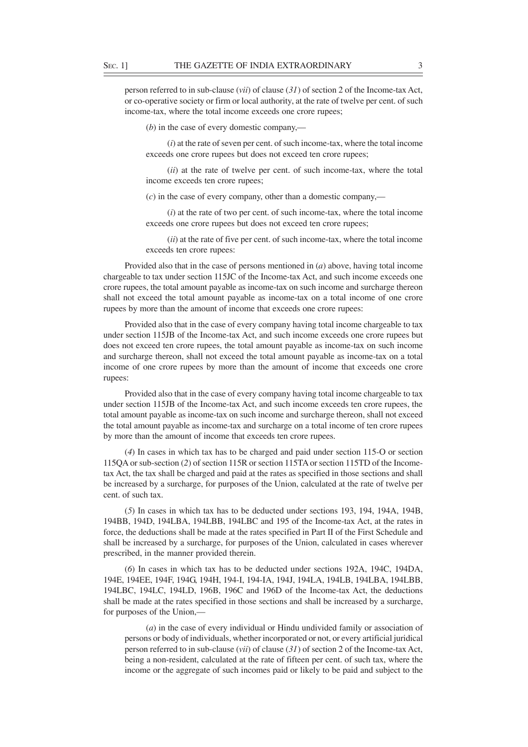person referred to in sub-clause (*vii*) of clause (*31*) of section 2 of the Income-tax Act, or co-operative society or firm or local authority, at the rate of twelve per cent. of such income-tax, where the total income exceeds one crore rupees;

(*b*) in the case of every domestic company,—

(*i*) at the rate of seven per cent. of such income-tax, where the total income exceeds one crore rupees but does not exceed ten crore rupees;

(*ii*) at the rate of twelve per cent. of such income-tax, where the total income exceeds ten crore rupees;

(*c*) in the case of every company, other than a domestic company,—

(*i*) at the rate of two per cent. of such income-tax, where the total income exceeds one crore rupees but does not exceed ten crore rupees;

(*ii*) at the rate of five per cent. of such income-tax, where the total income exceeds ten crore rupees:

Provided also that in the case of persons mentioned in (*a*) above, having total income chargeable to tax under section 115JC of the Income-tax Act, and such income exceeds one crore rupees, the total amount payable as income-tax on such income and surcharge thereon shall not exceed the total amount payable as income-tax on a total income of one crore rupees by more than the amount of income that exceeds one crore rupees:

Provided also that in the case of every company having total income chargeable to tax under section 115JB of the Income-tax Act, and such income exceeds one crore rupees but does not exceed ten crore rupees, the total amount payable as income-tax on such income and surcharge thereon, shall not exceed the total amount payable as income-tax on a total income of one crore rupees by more than the amount of income that exceeds one crore rupees:

Provided also that in the case of every company having total income chargeable to tax under section 115JB of the Income-tax Act, and such income exceeds ten crore rupees, the total amount payable as income-tax on such income and surcharge thereon, shall not exceed the total amount payable as income-tax and surcharge on a total income of ten crore rupees by more than the amount of income that exceeds ten crore rupees.

(*4*) In cases in which tax has to be charged and paid under section 115-O or section 115QA or sub-section (*2*) of section 115R or section 115TA or section 115TD of the Incometax Act, the tax shall be charged and paid at the rates as specified in those sections and shall be increased by a surcharge, for purposes of the Union, calculated at the rate of twelve per cent. of such tax.

(*5*) In cases in which tax has to be deducted under sections 193, 194, 194A, 194B, 194BB, 194D, 194LBA, 194LBB, 194LBC and 195 of the Income-tax Act, at the rates in force, the deductions shall be made at the rates specified in Part II of the First Schedule and shall be increased by a surcharge, for purposes of the Union, calculated in cases wherever prescribed, in the manner provided therein.

(*6*) In cases in which tax has to be deducted under sections 192A, 194C, 194DA, 194E, 194EE, 194F, 194G, 194H, 194-I, 194-IA, 194J, 194LA, 194LB, 194LBA, 194LBB, 194LBC, 194LC, 194LD, 196B, 196C and 196D of the Income-tax Act, the deductions shall be made at the rates specified in those sections and shall be increased by a surcharge, for purposes of the Union,—

(*a*) in the case of every individual or Hindu undivided family or association of persons or body of individuals, whether incorporated or not, or every artificial juridical person referred to in sub-clause (*vii*) of clause (*31*) of section 2 of the Income-tax Act, being a non-resident, calculated at the rate of fifteen per cent. of such tax, where the income or the aggregate of such incomes paid or likely to be paid and subject to the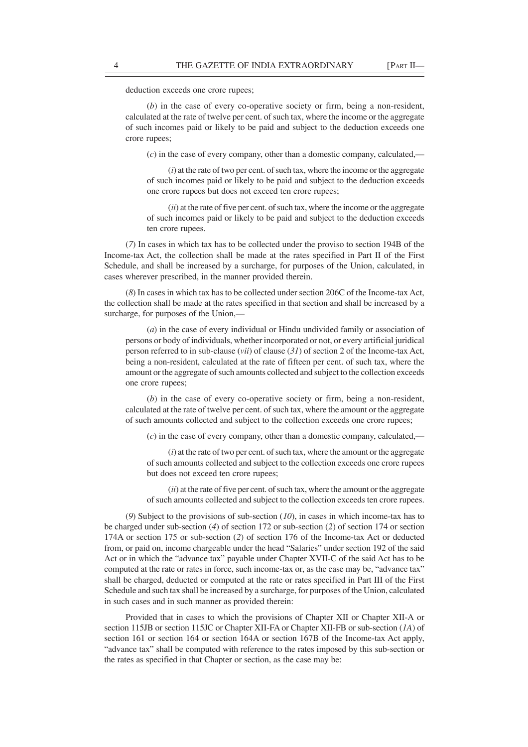deduction exceeds one crore rupees;

(*b*) in the case of every co-operative society or firm, being a non-resident, calculated at the rate of twelve per cent. of such tax, where the income or the aggregate of such incomes paid or likely to be paid and subject to the deduction exceeds one crore rupees;

(*c*) in the case of every company, other than a domestic company, calculated,—

(*i*) at the rate of two per cent. of such tax, where the income or the aggregate of such incomes paid or likely to be paid and subject to the deduction exceeds one crore rupees but does not exceed ten crore rupees;

(*ii*) at the rate of five per cent. of such tax, where the income or the aggregate of such incomes paid or likely to be paid and subject to the deduction exceeds ten crore rupees.

(*7*) In cases in which tax has to be collected under the proviso to section 194B of the Income-tax Act, the collection shall be made at the rates specified in Part II of the First Schedule, and shall be increased by a surcharge, for purposes of the Union, calculated, in cases wherever prescribed, in the manner provided therein.

(*8*) In cases in which tax has to be collected under section 206C of the Income-tax Act, the collection shall be made at the rates specified in that section and shall be increased by a surcharge, for purposes of the Union,—

(*a*) in the case of every individual or Hindu undivided family or association of persons or body of individuals, whether incorporated or not, or every artificial juridical person referred to in sub-clause (*vii*) of clause (*31*) of section 2 of the Income-tax Act, being a non-resident, calculated at the rate of fifteen per cent. of such tax, where the amount or the aggregate of such amounts collected and subject to the collection exceeds one crore rupees;

(*b*) in the case of every co-operative society or firm, being a non-resident, calculated at the rate of twelve per cent. of such tax, where the amount or the aggregate of such amounts collected and subject to the collection exceeds one crore rupees;

(*c*) in the case of every company, other than a domestic company, calculated,—

(*i*) at the rate of two per cent. of such tax, where the amount or the aggregate of such amounts collected and subject to the collection exceeds one crore rupees but does not exceed ten crore rupees;

(*ii*) at the rate of five per cent. of such tax, where the amount or the aggregate of such amounts collected and subject to the collection exceeds ten crore rupees.

(*9*) Subject to the provisions of sub-section (*10*), in cases in which income-tax has to be charged under sub-section (*4*) of section 172 or sub-section (*2*) of section 174 or section 174A or section 175 or sub-section (*2*) of section 176 of the Income-tax Act or deducted from, or paid on, income chargeable under the head "Salaries" under section 192 of the said Act or in which the "advance tax" payable under Chapter XVII-C of the said Act has to be computed at the rate or rates in force, such income-tax or, as the case may be, "advance tax" shall be charged, deducted or computed at the rate or rates specified in Part III of the First Schedule and such tax shall be increased by a surcharge, for purposes of the Union, calculated in such cases and in such manner as provided therein:

Provided that in cases to which the provisions of Chapter XII or Chapter XII-A or section 115JB or section 115JC or Chapter XII-FA or Chapter XII-FB or sub-section (*1A*) of section 161 or section 164 or section 164A or section 167B of the Income-tax Act apply, "advance tax" shall be computed with reference to the rates imposed by this sub-section or the rates as specified in that Chapter or section, as the case may be: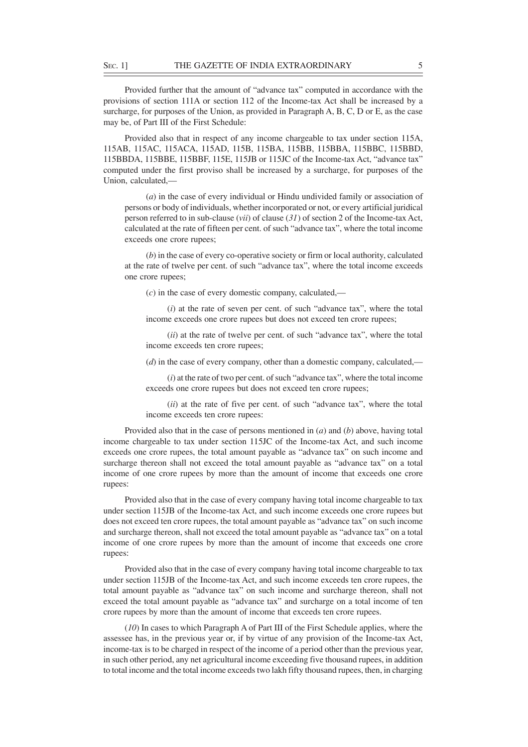Provided further that the amount of "advance tax" computed in accordance with the provisions of section 111A or section 112 of the Income-tax Act shall be increased by a surcharge, for purposes of the Union, as provided in Paragraph A, B, C, D or E, as the case may be, of Part III of the First Schedule:

Provided also that in respect of any income chargeable to tax under section 115A, 115AB, 115AC, 115ACA, 115AD, 115B, 115BA, 115BB, 115BBA, 115BBC, 115BBD, 115BBDA, 115BBE, 115BBF, 115E, 115JB or 115JC of the Income-tax Act, "advance tax" computed under the first proviso shall be increased by a surcharge, for purposes of the Union, calculated,—

(*a*) in the case of every individual or Hindu undivided family or association of persons or body of individuals, whether incorporated or not, or every artificial juridical person referred to in sub-clause (*vii*) of clause (*31*) of section 2 of the Income-tax Act, calculated at the rate of fifteen per cent. of such "advance tax", where the total income exceeds one crore rupees;

(*b*) in the case of every co-operative society or firm or local authority, calculated at the rate of twelve per cent. of such "advance tax", where the total income exceeds one crore rupees;

(*c*) in the case of every domestic company, calculated,—

(*i*) at the rate of seven per cent. of such "advance tax", where the total income exceeds one crore rupees but does not exceed ten crore rupees;

(*ii*) at the rate of twelve per cent. of such "advance tax", where the total income exceeds ten crore rupees;

(*d*) in the case of every company, other than a domestic company, calculated,—

(*i*) at the rate of two per cent. of such "advance tax", where the total income exceeds one crore rupees but does not exceed ten crore rupees;

(*ii*) at the rate of five per cent. of such "advance tax", where the total income exceeds ten crore rupees:

Provided also that in the case of persons mentioned in (*a*) and (*b*) above, having total income chargeable to tax under section 115JC of the Income-tax Act, and such income exceeds one crore rupees, the total amount payable as "advance tax" on such income and surcharge thereon shall not exceed the total amount payable as "advance tax" on a total income of one crore rupees by more than the amount of income that exceeds one crore rupees:

Provided also that in the case of every company having total income chargeable to tax under section 115JB of the Income-tax Act, and such income exceeds one crore rupees but does not exceed ten crore rupees, the total amount payable as "advance tax" on such income and surcharge thereon, shall not exceed the total amount payable as "advance tax" on a total income of one crore rupees by more than the amount of income that exceeds one crore rupees:

Provided also that in the case of every company having total income chargeable to tax under section 115JB of the Income-tax Act, and such income exceeds ten crore rupees, the total amount payable as "advance tax" on such income and surcharge thereon, shall not exceed the total amount payable as "advance tax" and surcharge on a total income of ten crore rupees by more than the amount of income that exceeds ten crore rupees.

(*10*) In cases to which Paragraph A of Part III of the First Schedule applies, where the assessee has, in the previous year or, if by virtue of any provision of the Income-tax Act, income-tax is to be charged in respect of the income of a period other than the previous year, in such other period, any net agricultural income exceeding five thousand rupees, in addition to total income and the total income exceeds two lakh fifty thousand rupees, then, in charging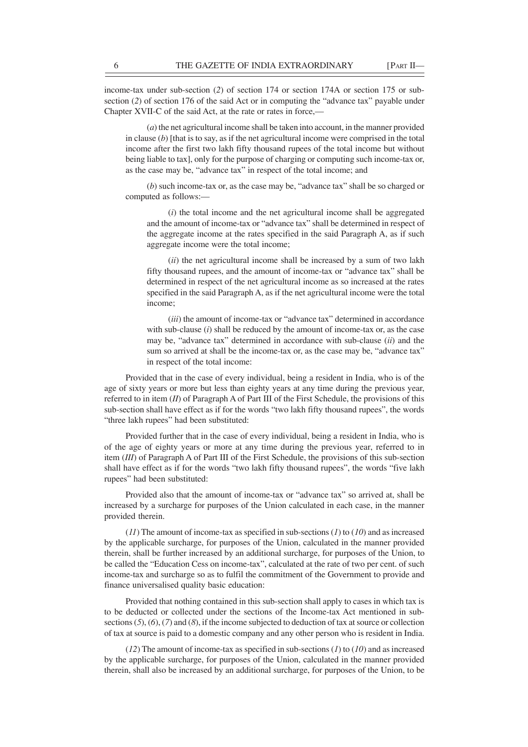income-tax under sub-section (*2*) of section 174 or section 174A or section 175 or subsection (*2*) of section 176 of the said Act or in computing the "advance tax" payable under Chapter XVII-C of the said Act, at the rate or rates in force,—

(*a*) the net agricultural income shall be taken into account, in the manner provided in clause (*b*) [that is to say, as if the net agricultural income were comprised in the total income after the first two lakh fifty thousand rupees of the total income but without being liable to tax], only for the purpose of charging or computing such income-tax or, as the case may be, "advance tax" in respect of the total income; and

(*b*) such income-tax or, as the case may be, "advance tax" shall be so charged or computed as follows:—

(*i*) the total income and the net agricultural income shall be aggregated and the amount of income-tax or "advance tax" shall be determined in respect of the aggregate income at the rates specified in the said Paragraph A, as if such aggregate income were the total income;

(*ii*) the net agricultural income shall be increased by a sum of two lakh fifty thousand rupees, and the amount of income-tax or "advance tax" shall be determined in respect of the net agricultural income as so increased at the rates specified in the said Paragraph A, as if the net agricultural income were the total income;

(*iii*) the amount of income-tax or "advance tax" determined in accordance with sub-clause (*i*) shall be reduced by the amount of income-tax or, as the case may be, "advance tax" determined in accordance with sub-clause (*ii*) and the sum so arrived at shall be the income-tax or, as the case may be, "advance tax" in respect of the total income:

Provided that in the case of every individual, being a resident in India, who is of the age of sixty years or more but less than eighty years at any time during the previous year, referred to in item (*II*) of Paragraph A of Part III of the First Schedule, the provisions of this sub-section shall have effect as if for the words "two lakh fifty thousand rupees", the words "three lakh rupees" had been substituted:

Provided further that in the case of every individual, being a resident in India, who is of the age of eighty years or more at any time during the previous year, referred to in item (*III*) of Paragraph A of Part III of the First Schedule, the provisions of this sub-section shall have effect as if for the words "two lakh fifty thousand rupees", the words "five lakh rupees" had been substituted:

Provided also that the amount of income-tax or "advance tax" so arrived at, shall be increased by a surcharge for purposes of the Union calculated in each case, in the manner provided therein.

(*11*) The amount of income-tax as specified in sub-sections (*1*) to (*10*) and as increased by the applicable surcharge, for purposes of the Union, calculated in the manner provided therein, shall be further increased by an additional surcharge, for purposes of the Union, to be called the "Education Cess on income-tax", calculated at the rate of two per cent. of such income-tax and surcharge so as to fulfil the commitment of the Government to provide and finance universalised quality basic education:

Provided that nothing contained in this sub-section shall apply to cases in which tax is to be deducted or collected under the sections of the Income-tax Act mentioned in subsections (*5*), (*6*), (*7*) and (*8*), if the income subjected to deduction of tax at source or collection of tax at source is paid to a domestic company and any other person who is resident in India.

(*12*) The amount of income-tax as specified in sub-sections (*1*) to (*10*) and as increased by the applicable surcharge, for purposes of the Union, calculated in the manner provided therein, shall also be increased by an additional surcharge, for purposes of the Union, to be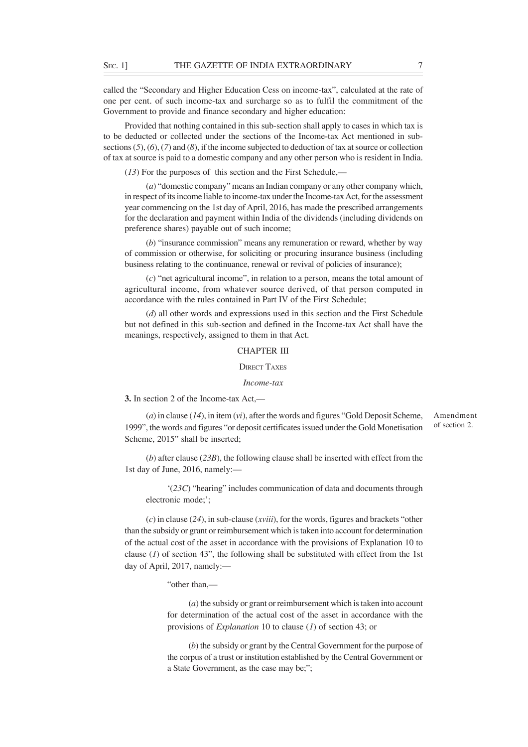called the "Secondary and Higher Education Cess on income-tax", calculated at the rate of one per cent. of such income-tax and surcharge so as to fulfil the commitment of the Government to provide and finance secondary and higher education:

Provided that nothing contained in this sub-section shall apply to cases in which tax is to be deducted or collected under the sections of the Income-tax Act mentioned in subsections (*5*), (*6*), (*7*) and (*8*), if the income subjected to deduction of tax at source or collection of tax at source is paid to a domestic company and any other person who is resident in India.

(*13*) For the purposes of this section and the First Schedule,—

(*a*) "domestic company" means an Indian company or any other company which, in respect of its income liable to income-tax under the Income-tax Act, for the assessment year commencing on the 1st day of April, 2016, has made the prescribed arrangements for the declaration and payment within India of the dividends (including dividends on preference shares) payable out of such income;

(*b*) "insurance commission" means any remuneration or reward, whether by way of commission or otherwise, for soliciting or procuring insurance business (including business relating to the continuance, renewal or revival of policies of insurance);

(*c*) "net agricultural income", in relation to a person, means the total amount of agricultural income, from whatever source derived, of that person computed in accordance with the rules contained in Part IV of the First Schedule;

(*d*) all other words and expressions used in this section and the First Schedule but not defined in this sub-section and defined in the Income-tax Act shall have the meanings, respectively, assigned to them in that Act.

#### CHAPTER III

### DIRECT TAXES

#### *Income-tax*

### **3.** In section 2 of the Income-tax Act,—

(*a*) in clause (*14*), in item (*vi*), after the words and figures "Gold Deposit Scheme, 1999", the words and figures "or deposit certificates issued under the Gold Monetisation Scheme, 2015" shall be inserted; Amendment of section 2.

(*b*) after clause (*23B*), the following clause shall be inserted with effect from the 1st day of June, 2016, namely:—

'(*23C*) "hearing" includes communication of data and documents through electronic mode;';

(*c*) in clause (*24*), in sub-clause (*xviii*), for the words, figures and brackets "other than the subsidy or grant or reimbursement which is taken into account for determination of the actual cost of the asset in accordance with the provisions of Explanation 10 to clause  $(1)$  of section 43", the following shall be substituted with effect from the 1st day of April, 2017, namely:-

"other than,—

(*a*) the subsidy or grant or reimbursement which is taken into account for determination of the actual cost of the asset in accordance with the provisions of *Explanation* 10 to clause (*1*) of section 43; or

(*b*) the subsidy or grant by the Central Government for the purpose of the corpus of a trust or institution established by the Central Government or a State Government, as the case may be;";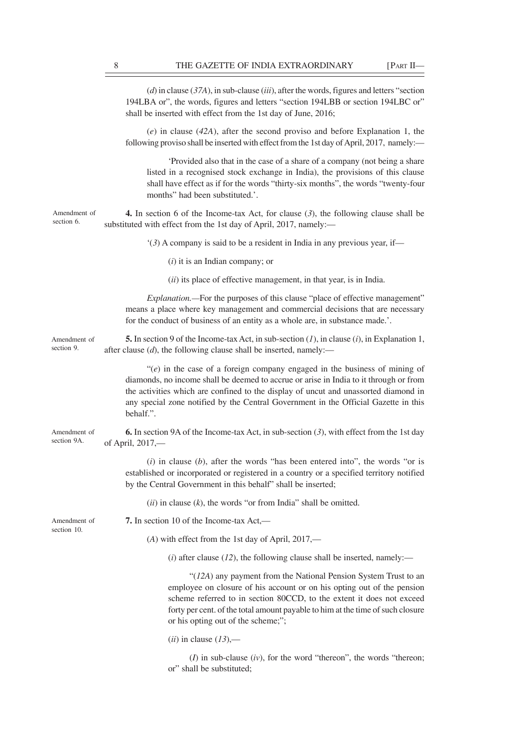|                             | $(d)$ in clause (37A), in sub-clause (iii), after the words, figures and letters "section<br>194LBA or", the words, figures and letters "section 194LBB or section 194LBC or"<br>shall be inserted with effect from the 1st day of June, 2016;                                                                                                                    |
|-----------------------------|-------------------------------------------------------------------------------------------------------------------------------------------------------------------------------------------------------------------------------------------------------------------------------------------------------------------------------------------------------------------|
|                             | $(e)$ in clause (42A), after the second proviso and before Explanation 1, the<br>following proviso shall be inserted with effect from the 1st day of April, 2017, namely:—                                                                                                                                                                                        |
|                             | 'Provided also that in the case of a share of a company (not being a share<br>listed in a recognised stock exchange in India), the provisions of this clause<br>shall have effect as if for the words "thirty-six months", the words "twenty-four<br>months" had been substituted.".                                                                              |
| Amendment of<br>section 6.  | <b>4.</b> In section 6 of the Income-tax Act, for clause $(3)$ , the following clause shall be<br>substituted with effect from the 1st day of April, 2017, namely:-                                                                                                                                                                                               |
|                             | $(3)$ A company is said to be a resident in India in any previous year, if—                                                                                                                                                                                                                                                                                       |
|                             | $(i)$ it is an Indian company; or                                                                                                                                                                                                                                                                                                                                 |
|                             | (ii) its place of effective management, in that year, is in India.                                                                                                                                                                                                                                                                                                |
|                             | <i>Explanation</i> .—For the purposes of this clause "place of effective management"<br>means a place where key management and commercial decisions that are necessary<br>for the conduct of business of an entity as a whole are, in substance made.'.                                                                                                           |
| Amendment of<br>section 9.  | <b>5.</b> In section 9 of the Income-tax Act, in sub-section $(l)$ , in clause $(i)$ , in Explanation 1,<br>after clause $(d)$ , the following clause shall be inserted, namely:—                                                                                                                                                                                 |
|                             | " $(e)$ in the case of a foreign company engaged in the business of mining of<br>diamonds, no income shall be deemed to accrue or arise in India to it through or from<br>the activities which are confined to the display of uncut and unassorted diamond in<br>any special zone notified by the Central Government in the Official Gazette in this<br>behalf.". |
| Amendment of<br>section 9A. | <b>6.</b> In section 9A of the Income-tax Act, in sub-section $(3)$ , with effect from the 1st day<br>of April, 2017,-                                                                                                                                                                                                                                            |
|                             | $(i)$ in clause $(b)$ , after the words "has been entered into", the words "or is<br>established or incorporated or registered in a country or a specified territory notified<br>by the Central Government in this behalf" shall be inserted;                                                                                                                     |
|                             | $(ii)$ in clause $(k)$ , the words "or from India" shall be omitted.                                                                                                                                                                                                                                                                                              |
| Amendment of<br>section 10. | 7. In section 10 of the Income-tax Act,—                                                                                                                                                                                                                                                                                                                          |
|                             | (A) with effect from the 1st day of April, 2017,—                                                                                                                                                                                                                                                                                                                 |
|                             | ( <i>i</i> ) after clause ( $12$ ), the following clause shall be inserted, namely:—                                                                                                                                                                                                                                                                              |
|                             | " $(12A)$ any payment from the National Pension System Trust to an<br>employee on closure of his account or on his opting out of the pension<br>scheme referred to in section 80CCD, to the extent it does not exceed<br>forty per cent. of the total amount payable to him at the time of such closure<br>or his opting out of the scheme;";                     |
|                             | $(ii)$ in clause $(13)$ ,—                                                                                                                                                                                                                                                                                                                                        |
|                             |                                                                                                                                                                                                                                                                                                                                                                   |

 $(I)$  in sub-clause  $(iv)$ , for the word "thereon", the words "thereon; or" shall be substituted;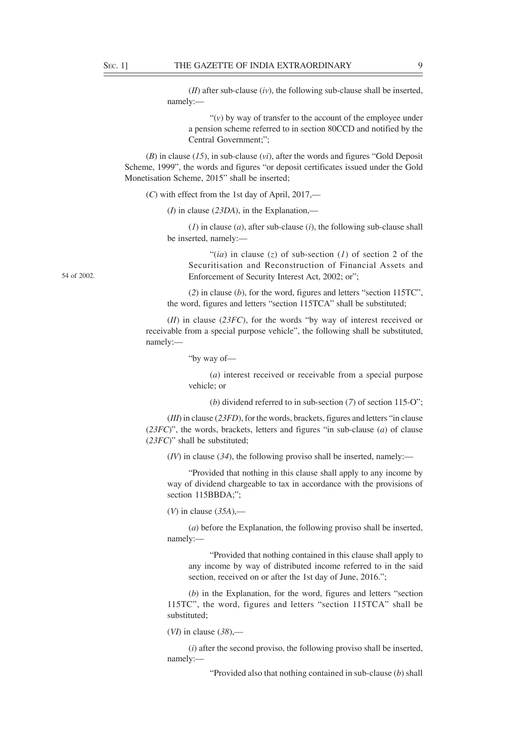(*II*) after sub-clause (*iv*), the following sub-clause shall be inserted, namely:—

"(*v*) by way of transfer to the account of the employee under a pension scheme referred to in section 80CCD and notified by the Central Government;";

(*B*) in clause (*15*), in sub-clause (*vi*), after the words and figures "Gold Deposit Scheme, 1999", the words and figures "or deposit certificates issued under the Gold Monetisation Scheme, 2015" shall be inserted;

(*C*) with effect from the 1st day of April, 2017,—

(*I*) in clause (*23DA*), in the Explanation,—

(*1*) in clause (*a*), after sub-clause (*i*), the following sub-clause shall be inserted, namely:—

"(*ia*) in clause (*z*) of sub-section (*l*) of section 2 of the Securitisation and Reconstruction of Financial Assets and Enforcement of Security Interest Act, 2002; or";

(*2*) in clause (*b*), for the word, figures and letters "section 115TC", the word, figures and letters "section 115TCA" shall be substituted;

(*II*) in clause (*23FC*), for the words "by way of interest received or receivable from a special purpose vehicle", the following shall be substituted, namely:—

"by way of—

(*a*) interest received or receivable from a special purpose vehicle; or

(*b*) dividend referred to in sub-section (*7*) of section 115-O";

(*III*) in clause (*23FD*), for the words, brackets, figures and letters "in clause (*23FC*)", the words, brackets, letters and figures "in sub-clause (*a*) of clause (*23FC*)" shall be substituted;

(*IV*) in clause (*34*), the following proviso shall be inserted, namely:—

"Provided that nothing in this clause shall apply to any income by way of dividend chargeable to tax in accordance with the provisions of section 115BBDA:":

(*V*) in clause (*35A*),—

(*a*) before the Explanation, the following proviso shall be inserted, namely:—

"Provided that nothing contained in this clause shall apply to any income by way of distributed income referred to in the said section, received on or after the 1st day of June, 2016.";

(*b*) in the Explanation, for the word, figures and letters "section 115TC", the word, figures and letters "section 115TCA" shall be substituted;

(*VI*) in clause (*38*),—

(*i*) after the second proviso, the following proviso shall be inserted, namely:—

"Provided also that nothing contained in sub-clause (*b*) shall

54 of 2002.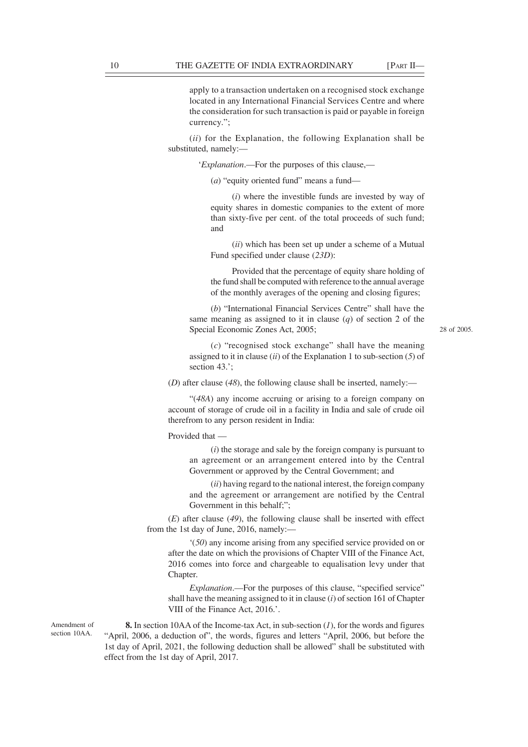apply to a transaction undertaken on a recognised stock exchange located in any International Financial Services Centre and where the consideration for such transaction is paid or payable in foreign currency.";

(*ii*) for the Explanation, the following Explanation shall be substituted, namely:—

'*Explanation*.—For the purposes of this clause,—

(*a*) "equity oriented fund" means a fund—

(*i*) where the investible funds are invested by way of equity shares in domestic companies to the extent of more than sixty-five per cent. of the total proceeds of such fund; and

(*ii*) which has been set up under a scheme of a Mutual Fund specified under clause (*23D*):

Provided that the percentage of equity share holding of the fund shall be computed with reference to the annual average of the monthly averages of the opening and closing figures;

(*b*) "International Financial Services Centre" shall have the same meaning as assigned to it in clause (*q*) of section 2 of the Special Economic Zones Act, 2005;

28 of 2005.

(*c*) "recognised stock exchange" shall have the meaning assigned to it in clause (*ii*) of the Explanation 1 to sub-section (*5*) of section 43.';

(*D*) after clause (*48*), the following clause shall be inserted, namely:—

"(*48A*) any income accruing or arising to a foreign company on account of storage of crude oil in a facility in India and sale of crude oil therefrom to any person resident in India:

Provided that —

(*i*) the storage and sale by the foreign company is pursuant to an agreement or an arrangement entered into by the Central Government or approved by the Central Government; and

(*ii*) having regard to the national interest, the foreign company and the agreement or arrangement are notified by the Central Government in this behalf;";

(*E*) after clause (*49*), the following clause shall be inserted with effect from the 1st day of June, 2016, namely:—

'(*50*) any income arising from any specified service provided on or after the date on which the provisions of Chapter VIII of the Finance Act, 2016 comes into force and chargeable to equalisation levy under that Chapter.

*Explanation*.—For the purposes of this clause, "specified service" shall have the meaning assigned to it in clause (*i*) of section 161 of Chapter VIII of the Finance Act, 2016.'.

Amendment of section 10AA.

**8.** In section 10AA of the Income-tax Act, in sub-section (*1*), for the words and figures "April, 2006, a deduction of", the words, figures and letters "April, 2006, but before the 1st day of April, 2021, the following deduction shall be allowed" shall be substituted with effect from the 1st day of April, 2017.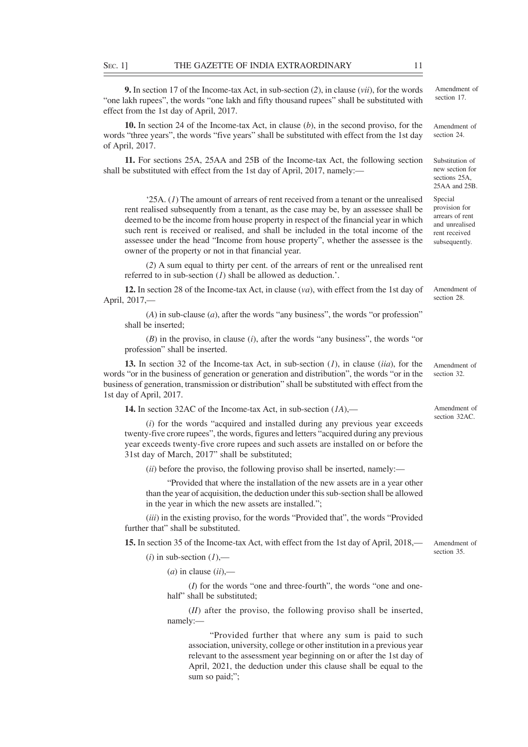**9.** In section 17 of the Income-tax Act, in sub-section (*2*), in clause (*vii*), for the words "one lakh rupees", the words "one lakh and fifty thousand rupees" shall be substituted with effect from the 1st day of April, 2017.

**10.** In section 24 of the Income-tax Act, in clause (*b*), in the second proviso, for the words "three years", the words "five years" shall be substituted with effect from the 1st day of April, 2017.

**11.** For sections 25A, 25AA and 25B of the Income-tax Act, the following section shall be substituted with effect from the 1st day of April, 2017, namely:—

'25A. (*1*) The amount of arrears of rent received from a tenant or the unrealised rent realised subsequently from a tenant, as the case may be, by an assessee shall be deemed to be the income from house property in respect of the financial year in which such rent is received or realised, and shall be included in the total income of the assessee under the head "Income from house property", whether the assessee is the owner of the property or not in that financial year.

(*2*) A sum equal to thirty per cent. of the arrears of rent or the unrealised rent referred to in sub-section (*1*) shall be allowed as deduction.'.

**12.** In section 28 of the Income-tax Act, in clause (*va*), with effect from the 1st day of April, 2017,—

(*A*) in sub-clause (*a*), after the words "any business", the words "or profession" shall be inserted;

(*B*) in the proviso, in clause (*i*), after the words "any business", the words "or profession" shall be inserted.

**13.** In section 32 of the Income-tax Act, in sub-section (*1*), in clause (*iia*), for the words "or in the business of generation or generation and distribution", the words "or in the business of generation, transmission or distribution" shall be substituted with effect from the 1st day of April, 2017.

**14.** In section 32AC of the Income-tax Act, in sub-section (*1A*),—

(*i*) for the words "acquired and installed during any previous year exceeds twenty-five crore rupees", the words, figures and letters "acquired during any previous year exceeds twenty-five crore rupees and such assets are installed on or before the 31st day of March, 2017" shall be substituted;

(*ii*) before the proviso, the following proviso shall be inserted, namely:—

"Provided that where the installation of the new assets are in a year other than the year of acquisition, the deduction under this sub-section shall be allowed in the year in which the new assets are installed.";

(*iii*) in the existing proviso, for the words "Provided that", the words "Provided further that" shall be substituted.

**15.** In section 35 of the Income-tax Act, with effect from the 1st day of April, 2018,—

 $(i)$  in sub-section  $(I)$ ,—

(*a*) in clause (*ii*),—

(*I*) for the words "one and three-fourth", the words "one and onehalf" shall be substituted;

(*II*) after the proviso, the following proviso shall be inserted, namely:—

"Provided further that where any sum is paid to such association, university, college or other institution in a previous year relevant to the assessment year beginning on or after the 1st day of April, 2021, the deduction under this clause shall be equal to the sum so paid;":

Amendment of section 17.

Amendment of section 24.

Substitution of new section for sections 25A 25AA and 25B.

Special provision for arrears of rent and unrealised rent received subsequently.

Amendment of section 28.

Amendment of section 32.

Amendment of section 32AC.

Amendment of section 35.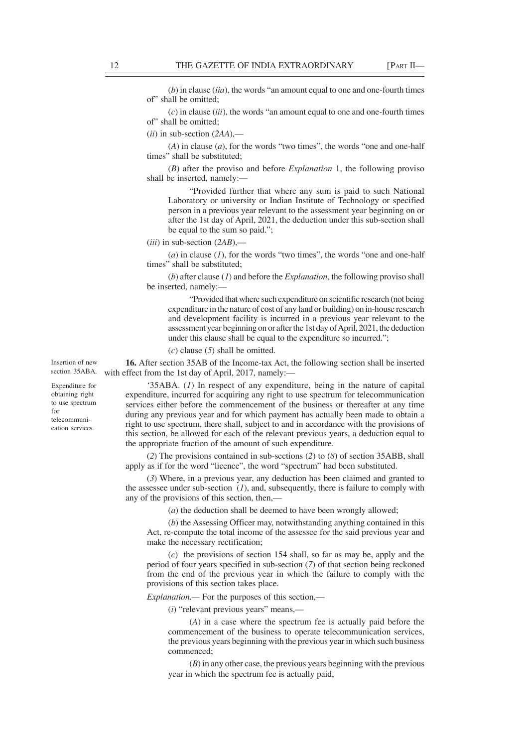(*b*) in clause (*iia*), the words "an amount equal to one and one-fourth times of" shall be omitted;

(*c*) in clause (*iii*), the words "an amount equal to one and one-fourth times of" shall be omitted;

(*ii*) in sub-section (*2AA*),—

(*A*) in clause (*a*), for the words "two times", the words "one and one-half times" shall be substituted;

(*B*) after the proviso and before *Explanation* 1, the following proviso shall be inserted, namely:—

"Provided further that where any sum is paid to such National Laboratory or university or Indian Institute of Technology or specified person in a previous year relevant to the assessment year beginning on or after the 1st day of April, 2021, the deduction under this sub-section shall be equal to the sum so paid.";

(*iii*) in sub-section (*2AB*),—

(*a*) in clause (*1*), for the words "two times", the words "one and one-half times" shall be substituted;

(*b*) after clause (*1*) and before the *Explanation*, the following proviso shall be inserted, namely:—

"Provided that where such expenditure on scientific research (not being expenditure in the nature of cost of any land or building) on in-house research and development facility is incurred in a previous year relevant to the assessment year beginning on or after the 1st day of April, 2021, the deduction under this clause shall be equal to the expenditure so incurred.";

(*c*) clause (*5*) shall be omitted.

**16.** After section 35AB of the Income-tax Act, the following section shall be inserted section 35ABA. with effect from the 1st day of April, 2017, namely:-

> '35ABA. (*1*) In respect of any expenditure, being in the nature of capital expenditure, incurred for acquiring any right to use spectrum for telecommunication services either before the commencement of the business or thereafter at any time during any previous year and for which payment has actually been made to obtain a right to use spectrum, there shall, subject to and in accordance with the provisions of this section, be allowed for each of the relevant previous years, a deduction equal to the appropriate fraction of the amount of such expenditure.

> (*2*) The provisions contained in sub-sections (*2*) to (*8*) of section 35ABB, shall apply as if for the word "licence", the word "spectrum" had been substituted.

> (*3*) Where, in a previous year, any deduction has been claimed and granted to the assessee under sub-section (*1*), and, subsequently, there is failure to comply with any of the provisions of this section, then,—

> > (*a*) the deduction shall be deemed to have been wrongly allowed;

(*b*) the Assessing Officer may, notwithstanding anything contained in this Act, re-compute the total income of the assessee for the said previous year and make the necessary rectification;

(*c*) the provisions of section 154 shall, so far as may be, apply and the period of four years specified in sub-section (*7*) of that section being reckoned from the end of the previous year in which the failure to comply with the provisions of this section takes place.

*Explanation.—* For the purposes of this section,—

(*i*) "relevant previous years" means,—

(*A*) in a case where the spectrum fee is actually paid before the commencement of the business to operate telecommunication services, the previous years beginning with the previous year in which such business commenced;

(*B*) in any other case, the previous years beginning with the previous year in which the spectrum fee is actually paid,

Insertion of new

Expenditure for obtaining right to use spectrum for telecommunication services.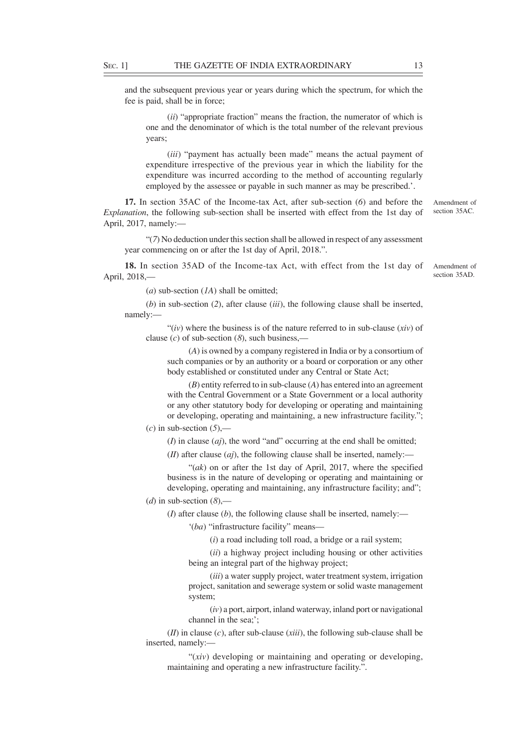and the subsequent previous year or years during which the spectrum, for which the fee is paid, shall be in force;

(*ii*) "appropriate fraction" means the fraction, the numerator of which is one and the denominator of which is the total number of the relevant previous years;

(*iii*) "payment has actually been made" means the actual payment of expenditure irrespective of the previous year in which the liability for the expenditure was incurred according to the method of accounting regularly employed by the assessee or payable in such manner as may be prescribed.'.

**17.** In section 35AC of the Income-tax Act, after sub-section (*6*) and before the *Explanation*, the following sub-section shall be inserted with effect from the 1st day of April, 2017, namely:—

"(*7*) No deduction under this section shall be allowed in respect of any assessment year commencing on or after the 1st day of April, 2018.".

**18.** In section 35AD of the Income-tax Act, with effect from the 1st day of April, 2018,—

(*a*) sub-section (*1A*) shall be omitted;

(*b*) in sub-section (*2*), after clause (*iii*), the following clause shall be inserted, namely:—

"(*iv*) where the business is of the nature referred to in sub-clause (*xiv*) of clause  $(c)$  of sub-section  $(8)$ , such business,—

(*A*) is owned by a company registered in India or by a consortium of such companies or by an authority or a board or corporation or any other body established or constituted under any Central or State Act;

(*B*) entity referred to in sub-clause (*A*) has entered into an agreement with the Central Government or a State Government or a local authority or any other statutory body for developing or operating and maintaining or developing, operating and maintaining, a new infrastructure facility.";

 $(c)$  in sub-section  $(5)$ ,-

(*I*) in clause (*aj*), the word "and" occurring at the end shall be omitted;

 $(H)$  after clause  $(ai)$ , the following clause shall be inserted, namely:—

"(*ak*) on or after the 1st day of April, 2017, where the specified business is in the nature of developing or operating and maintaining or developing, operating and maintaining, any infrastructure facility; and";

 $(d)$  in sub-section  $(8)$ ,—

(*I*) after clause (*b*), the following clause shall be inserted, namely:—

'(*ba*) "infrastructure facility" means—

(*i*) a road including toll road, a bridge or a rail system;

(*ii*) a highway project including housing or other activities being an integral part of the highway project;

(*iii*) a water supply project, water treatment system, irrigation project, sanitation and sewerage system or solid waste management system;

(*iv*) a port, airport, inland waterway, inland port or navigational channel in the sea;';

(*II*) in clause (*c*), after sub-clause (*xiii*), the following sub-clause shall be inserted, namely:—

"(*xiv*) developing or maintaining and operating or developing, maintaining and operating a new infrastructure facility.".

Amendment of section 35AC.

Amendment of section 35AD.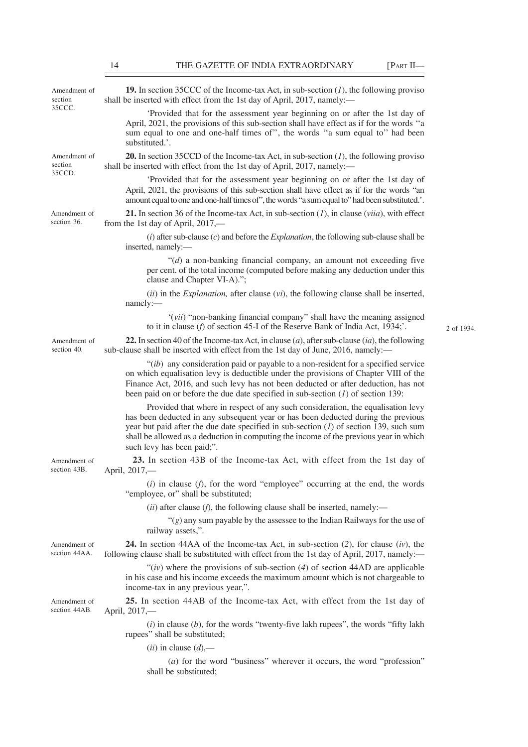| Amendment of<br>section<br>35CCC. | <b>19.</b> In section 35CCC of the Income-tax Act, in sub-section $(I)$ , the following proviso<br>shall be inserted with effect from the 1st day of April, 2017, namely:—                                                                                                                                                                                                              |            |
|-----------------------------------|-----------------------------------------------------------------------------------------------------------------------------------------------------------------------------------------------------------------------------------------------------------------------------------------------------------------------------------------------------------------------------------------|------------|
|                                   | 'Provided that for the assessment year beginning on or after the 1st day of<br>April, 2021, the provisions of this sub-section shall have effect as if for the words "a<br>sum equal to one and one-half times of", the words "a sum equal to" had been<br>substituted.'.                                                                                                               |            |
| Amendment of<br>section<br>35CCD. | <b>20.</b> In section 35CCD of the Income-tax Act, in sub-section $(I)$ , the following proviso<br>shall be inserted with effect from the 1st day of April, 2017, namely:—                                                                                                                                                                                                              |            |
|                                   | 'Provided that for the assessment year beginning on or after the 1st day of<br>April, 2021, the provisions of this sub-section shall have effect as if for the words "an<br>amount equal to one and one-half times of", the words "a sum equal to" had been substituted.'.                                                                                                              |            |
| Amendment of<br>section 36.       | 21. In section 36 of the Income-tax Act, in sub-section $(I)$ , in clause $(viia)$ , with effect<br>from the 1st day of April, $2017$ ,—                                                                                                                                                                                                                                                |            |
|                                   | $(i)$ after sub-clause $(c)$ and before the <i>Explanation</i> , the following sub-clause shall be<br>inserted, namely:-                                                                                                                                                                                                                                                                |            |
|                                   | " $(d)$ a non-banking financial company, an amount not exceeding five<br>per cent. of the total income (computed before making any deduction under this<br>clause and Chapter VI-A).";                                                                                                                                                                                                  |            |
|                                   | $(ii)$ in the <i>Explanation</i> , after clause $(vi)$ , the following clause shall be inserted,<br>namely:-                                                                                                                                                                                                                                                                            |            |
|                                   | "(vii) "non-banking financial company" shall have the meaning assigned<br>to it in clause ( $f$ ) of section 45-I of the Reserve Bank of India Act, 1934;'.                                                                                                                                                                                                                             | 2 of 1934. |
| Amendment of<br>section 40.       | 22. In section 40 of the Income-tax Act, in clause $(a)$ , after sub-clause $(ia)$ , the following<br>sub-clause shall be inserted with effect from the 1st day of June, 2016, namely:-                                                                                                                                                                                                 |            |
|                                   | " $(ib)$ any consideration paid or payable to a non-resident for a specified service<br>on which equalisation levy is deductible under the provisions of Chapter VIII of the<br>Finance Act, 2016, and such levy has not been deducted or after deduction, has not<br>been paid on or before the due date specified in sub-section $(I)$ of section 139:                                |            |
|                                   | Provided that where in respect of any such consideration, the equalisation levy<br>has been deducted in any subsequent year or has been deducted during the previous<br>year but paid after the due date specified in sub-section $(1)$ of section 139, such sum<br>shall be allowed as a deduction in computing the income of the previous year in which<br>such levy has been paid;". |            |
| Amendment of<br>section 43B.      | 23. In section 43B of the Income-tax Act, with effect from the 1st day of<br>April, 2017,-                                                                                                                                                                                                                                                                                              |            |
|                                   | $(i)$ in clause $(f)$ , for the word "employee" occurring at the end, the words<br>"employee, or" shall be substituted;                                                                                                                                                                                                                                                                 |            |
|                                   | $(ii)$ after clause $(f)$ , the following clause shall be inserted, namely:—                                                                                                                                                                                                                                                                                                            |            |
|                                   | " $(g)$ any sum payable by the assessee to the Indian Railways for the use of<br>railway assets,".                                                                                                                                                                                                                                                                                      |            |
| Amendment of<br>section 44AA.     | <b>24.</b> In section 44AA of the Income-tax Act, in sub-section $(2)$ , for clause $(iv)$ , the<br>following clause shall be substituted with effect from the 1st day of April, 2017, namely:—                                                                                                                                                                                         |            |
|                                   | " $(iv)$ where the provisions of sub-section (4) of section 44AD are applicable<br>in his case and his income exceeds the maximum amount which is not chargeable to<br>income-tax in any previous year,".                                                                                                                                                                               |            |
| Amendment of<br>section 44AB.     | 25. In section 44AB of the Income-tax Act, with effect from the 1st day of<br>April, 2017,-                                                                                                                                                                                                                                                                                             |            |
|                                   | $(i)$ in clause $(b)$ , for the words "twenty-five lakh rupees", the words "fifty lakh"<br>rupees" shall be substituted;                                                                                                                                                                                                                                                                |            |
|                                   | $(ii)$ in clause $(d)$ ,—                                                                                                                                                                                                                                                                                                                                                               |            |
|                                   | $(a)$ for the word "business" wherever it occurs, the word "profession"<br>shall be substituted;                                                                                                                                                                                                                                                                                        |            |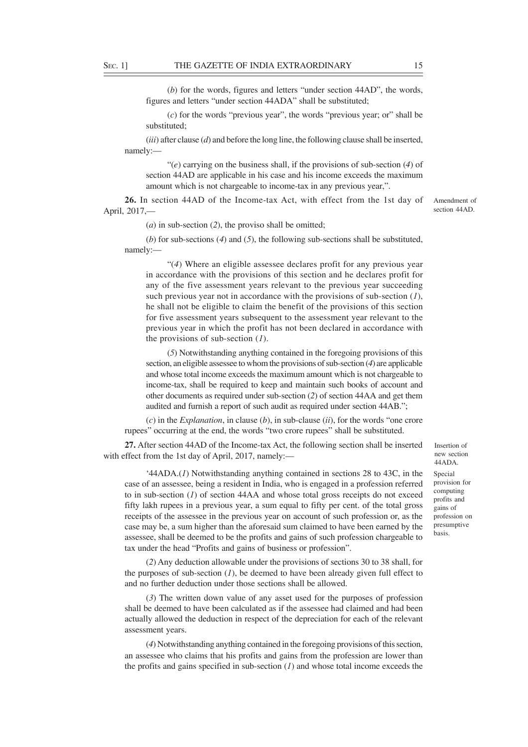(*b*) for the words, figures and letters "under section 44AD", the words, figures and letters "under section 44ADA" shall be substituted;

(*c*) for the words "previous year", the words "previous year; or" shall be substituted;

(*iii*) after clause (*d*) and before the long line, the following clause shall be inserted, namely:—

"(*e*) carrying on the business shall, if the provisions of sub-section (*4*) of section 44AD are applicable in his case and his income exceeds the maximum amount which is not chargeable to income-tax in any previous year,".

**26.** In section 44AD of the Income-tax Act, with effect from the 1st day of April, 2017,—

Amendment of section 44AD.

(*a*) in sub-section (*2*), the proviso shall be omitted;

(*b*) for sub-sections (*4*) and (*5*), the following sub-sections shall be substituted, namely:—

"(*4*) Where an eligible assessee declares profit for any previous year in accordance with the provisions of this section and he declares profit for any of the five assessment years relevant to the previous year succeeding such previous year not in accordance with the provisions of sub-section (*1*), he shall not be eligible to claim the benefit of the provisions of this section for five assessment years subsequent to the assessment year relevant to the previous year in which the profit has not been declared in accordance with the provisions of sub-section (*1*).

(*5*) Notwithstanding anything contained in the foregoing provisions of this section, an eligible assessee to whom the provisions of sub-section (*4*) are applicable and whose total income exceeds the maximum amount which is not chargeable to income-tax, shall be required to keep and maintain such books of account and other documents as required under sub-section (*2*) of section 44AA and get them audited and furnish a report of such audit as required under section 44AB.";

(*c*) in the *Explanation*, in clause (*b*), in sub-clause (*ii*), for the words "one crore rupees" occurring at the end, the words "two crore rupees" shall be substituted.

**27.** After section 44AD of the Income-tax Act, the following section shall be inserted with effect from the 1st day of April, 2017, namely:-

'44ADA.(*1*) Notwithstanding anything contained in sections 28 to 43C, in the case of an assessee, being a resident in India, who is engaged in a profession referred to in sub-section (*1*) of section 44AA and whose total gross receipts do not exceed fifty lakh rupees in a previous year, a sum equal to fifty per cent. of the total gross receipts of the assessee in the previous year on account of such profession or, as the case may be, a sum higher than the aforesaid sum claimed to have been earned by the assessee, shall be deemed to be the profits and gains of such profession chargeable to tax under the head "Profits and gains of business or profession".

(*2*) Any deduction allowable under the provisions of sections 30 to 38 shall, for the purposes of sub-section (*1*), be deemed to have been already given full effect to and no further deduction under those sections shall be allowed.

(*3*) The written down value of any asset used for the purposes of profession shall be deemed to have been calculated as if the assessee had claimed and had been actually allowed the deduction in respect of the depreciation for each of the relevant assessment years.

(*4*) Notwithstanding anything contained in the foregoing provisions of this section, an assessee who claims that his profits and gains from the profession are lower than the profits and gains specified in sub-section (*1*) and whose total income exceeds the Insertion of new section 44ADA.

Special provision for computing profits and gains of profession on presumptive basis.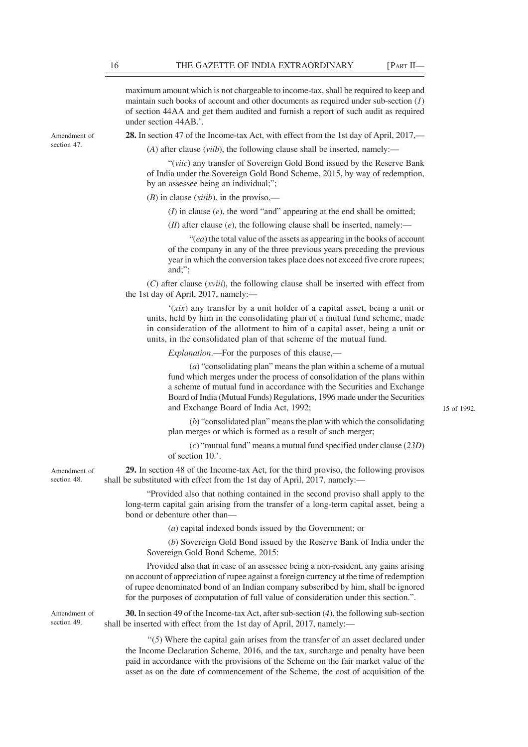maximum amount which is not chargeable to income-tax, shall be required to keep and maintain such books of account and other documents as required under sub-section (*1*) of section 44AA and get them audited and furnish a report of such audit as required under section 44AB.'.

**28.** In section 47 of the Income-tax Act, with effect from the 1st day of April, 2017,—

(*A*) after clause (*viib*), the following clause shall be inserted, namely:—

"(*viic*) any transfer of Sovereign Gold Bond issued by the Reserve Bank of India under the Sovereign Gold Bond Scheme, 2015, by way of redemption, by an assessee being an individual;";

(*B*) in clause (*xiiib*), in the proviso,—

(*I*) in clause (*e*), the word "and" appearing at the end shall be omitted;

 $(H)$  after clause  $(e)$ , the following clause shall be inserted, namely:—

"(*ea*) the total value of the assets as appearing in the books of account of the company in any of the three previous years preceding the previous year in which the conversion takes place does not exceed five crore rupees; and;";

(*C*) after clause (*xviii*), the following clause shall be inserted with effect from the 1st day of April, 2017, namely:—

'(*xix*) any transfer by a unit holder of a capital asset, being a unit or units, held by him in the consolidating plan of a mutual fund scheme, made in consideration of the allotment to him of a capital asset, being a unit or units, in the consolidated plan of that scheme of the mutual fund.

*Explanation*.—For the purposes of this clause,—

(*a*) "consolidating plan" means the plan within a scheme of a mutual fund which merges under the process of consolidation of the plans within a scheme of mutual fund in accordance with the Securities and Exchange Board of India (Mutual Funds) Regulations, 1996 made under the Securities and Exchange Board of India Act, 1992;

15 of 1992.

(*b*) "consolidated plan" means the plan with which the consolidating plan merges or which is formed as a result of such merger;

(*c*) "mutual fund" means a mutual fund specified under clause (*23D*) of section 10.'.

**29.** In section 48 of the Income-tax Act, for the third proviso, the following provisos shall be substituted with effect from the 1st day of April, 2017, namely:—

"Provided also that nothing contained in the second proviso shall apply to the long-term capital gain arising from the transfer of a long-term capital asset, being a bond or debenture other than—

(*a*) capital indexed bonds issued by the Government; or

(*b*) Sovereign Gold Bond issued by the Reserve Bank of India under the Sovereign Gold Bond Scheme, 2015:

Provided also that in case of an assessee being a non-resident, any gains arising on account of appreciation of rupee against a foreign currency at the time of redemption of rupee denominated bond of an Indian company subscribed by him, shall be ignored for the purposes of computation of full value of consideration under this section.".

Amendment of section 49.

**30.** In section 49 of the Income-tax Act, after sub-section (*4*), the following sub-section shall be inserted with effect from the 1st day of April, 2017, namely:—

''(*5*) Where the capital gain arises from the transfer of an asset declared under the Income Declaration Scheme, 2016, and the tax, surcharge and penalty have been paid in accordance with the provisions of the Scheme on the fair market value of the asset as on the date of commencement of the Scheme, the cost of acquisition of the

Amendment of section 47.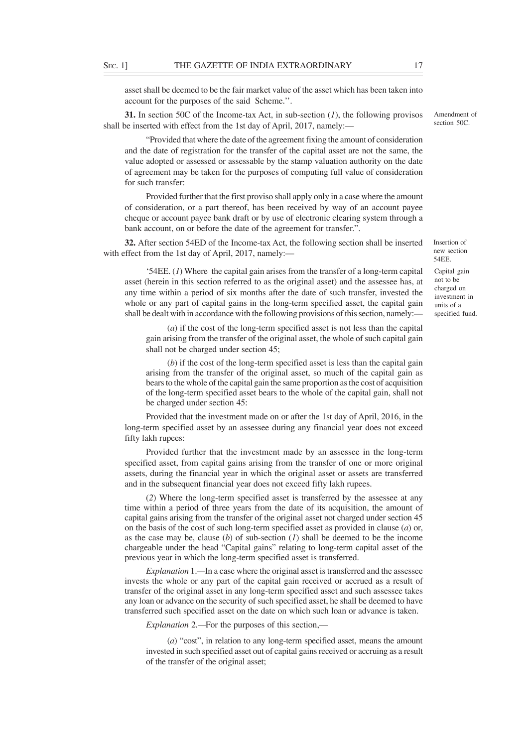asset shall be deemed to be the fair market value of the asset which has been taken into account for the purposes of the said Scheme.''.

**31.** In section 50C of the Income-tax Act, in sub-section (*1*), the following provisos shall be inserted with effect from the 1st day of April, 2017, namely:—

"Provided that where the date of the agreement fixing the amount of consideration and the date of registration for the transfer of the capital asset are not the same, the value adopted or assessed or assessable by the stamp valuation authority on the date of agreement may be taken for the purposes of computing full value of consideration for such transfer:

Provided further that the first proviso shall apply only in a case where the amount of consideration, or a part thereof, has been received by way of an account payee cheque or account payee bank draft or by use of electronic clearing system through a bank account, on or before the date of the agreement for transfer.".

**32.** After section 54ED of the Income-tax Act, the following section shall be inserted with effect from the 1st day of April, 2017, namely:—

'54EE. (*1*) Where the capital gain arises from the transfer of a long-term capital asset (herein in this section referred to as the original asset) and the assessee has, at any time within a period of six months after the date of such transfer, invested the whole or any part of capital gains in the long-term specified asset, the capital gain shall be dealt with in accordance with the following provisions of this section, namely:—

(*a*) if the cost of the long-term specified asset is not less than the capital gain arising from the transfer of the original asset, the whole of such capital gain shall not be charged under section 45;

(*b*) if the cost of the long-term specified asset is less than the capital gain arising from the transfer of the original asset, so much of the capital gain as bears to the whole of the capital gain the same proportion as the cost of acquisition of the long-term specified asset bears to the whole of the capital gain, shall not be charged under section 45:

Provided that the investment made on or after the 1st day of April, 2016, in the long-term specified asset by an assessee during any financial year does not exceed fifty lakh rupees:

Provided further that the investment made by an assessee in the long-term specified asset, from capital gains arising from the transfer of one or more original assets, during the financial year in which the original asset or assets are transferred and in the subsequent financial year does not exceed fifty lakh rupees.

(*2*) Where the long-term specified asset is transferred by the assessee at any time within a period of three years from the date of its acquisition, the amount of capital gains arising from the transfer of the original asset not charged under section 45 on the basis of the cost of such long-term specified asset as provided in clause (*a*) or, as the case may be, clause (*b*) of sub-section (*1*) shall be deemed to be the income chargeable under the head "Capital gains" relating to long-term capital asset of the previous year in which the long-term specified asset is transferred.

*Explanation* 1.*—*In a case where the original asset is transferred and the assessee invests the whole or any part of the capital gain received or accrued as a result of transfer of the original asset in any long-term specified asset and such assessee takes any loan or advance on the security of such specified asset, he shall be deemed to have transferred such specified asset on the date on which such loan or advance is taken.

*Explanation* 2*.—*For the purposes of this section,—

(*a*) "cost", in relation to any long-term specified asset, means the amount invested in such specified asset out of capital gains received or accruing as a result of the transfer of the original asset;

Amendment of section 50C.

Insertion of new section 54EE.

Capital gain not to be charged on investment in units of a specified fund.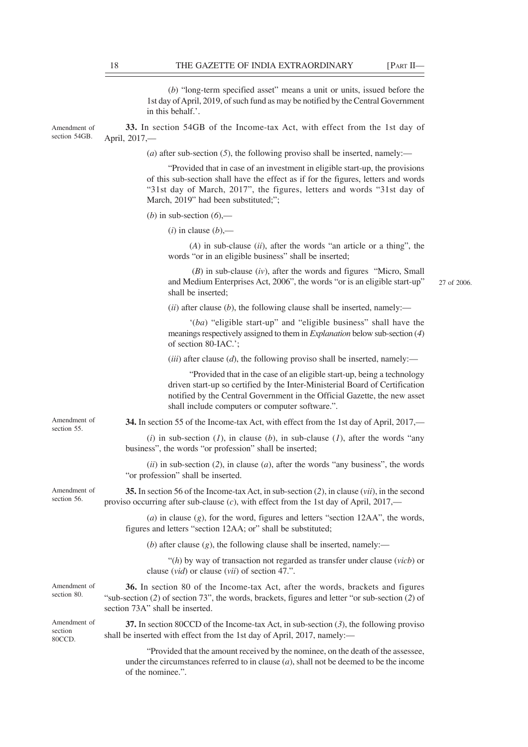(*b*) "long-term specified asset" means a unit or units, issued before the 1st day of April, 2019, of such fund as may be notified by the Central Government in this behalf.'.

**33.** In section 54GB of the Income-tax Act, with effect from the 1st day of April, 2017,— Amendment of section 54GB.

(*a*) after sub-section (*5*), the following proviso shall be inserted, namely:—

"Provided that in case of an investment in eligible start-up, the provisions of this sub-section shall have the effect as if for the figures, letters and words "31st day of March, 2017", the figures, letters and words "31st day of March, 2019" had been substituted;";

(*b*) in sub-section  $(6)$ ,—

 $(i)$  in clause  $(b)$ ,—

(*A*) in sub-clause (*ii*), after the words "an article or a thing", the words "or in an eligible business" shall be inserted;

 (*B*) in sub-clause (*iv*), after the words and figures "Micro, Small and Medium Enterprises Act, 2006", the words "or is an eligible start-up" shall be inserted;

27 of 2006.

 $(iii)$  after clause  $(b)$ , the following clause shall be inserted, namely:—

'(*ba*) "eligible start-up" and "eligible business" shall have the meanings respectively assigned to them in *Explanation* below sub-section (*4*) of section 80-IAC.';

(*iii*) after clause (*d*), the following proviso shall be inserted, namely:—

"Provided that in the case of an eligible start-up, being a technology driven start-up so certified by the Inter-Ministerial Board of Certification notified by the Central Government in the Official Gazette, the new asset shall include computers or computer software.".

**34.** In section 55 of the Income-tax Act, with effect from the 1st day of April, 2017,—

(*i*) in sub-section (*l*), in clause (*b*), in sub-clause (*l*), after the words "any business", the words "or profession" shall be inserted;

(*ii*) in sub-section (*2*), in clause (*a*), after the words "any business", the words "or profession" shall be inserted.

**35.** In section 56 of the Income-tax Act, in sub-section (*2*), in clause (*vii*), in the second proviso occurring after sub-clause (*c*), with effect from the 1st day of April, 2017,—

(*a*) in clause (*g*), for the word, figures and letters "section 12AA", the words, figures and letters "section 12AA; or" shall be substituted;

(*b*) after clause (*g*), the following clause shall be inserted, namely:—

"(*h*) by way of transaction not regarded as transfer under clause (*vicb*) or clause (*vid*) or clause (*vii*) of section 47.".

**36.** In section 80 of the Income-tax Act, after the words, brackets and figures "sub-section (*2*) of section 73", the words, brackets, figures and letter "or sub-section (*2*) of section 73A" shall be inserted. Amendment of

Amendment of section 80CCD.

section 80.

Amendment of section 55.

Amendment of section 56.

> **37.** In section 80CCD of the Income-tax Act, in sub-section (*3*), the following proviso shall be inserted with effect from the 1st day of April, 2017, namely:—

"Provided that the amount received by the nominee, on the death of the assessee, under the circumstances referred to in clause (*a*), shall not be deemed to be the income of the nominee.".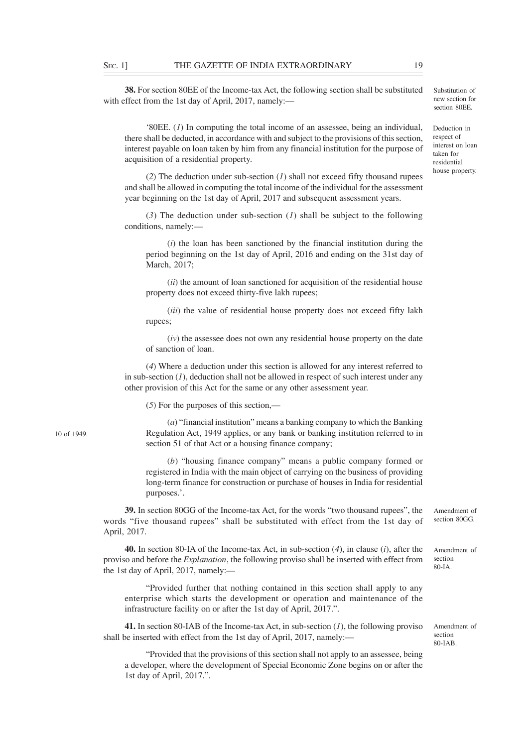**38.** For section 80EE of the Income-tax Act, the following section shall be substituted with effect from the 1st day of April, 2017, namely:—

'80EE. (*1*) In computing the total income of an assessee, being an individual, there shall be deducted, in accordance with and subject to the provisions of this section, interest payable on loan taken by him from any financial institution for the purpose of acquisition of a residential property.

(*2*) The deduction under sub-section (*1*) shall not exceed fifty thousand rupees and shall be allowed in computing the total income of the individual for the assessment year beginning on the 1st day of April, 2017 and subsequent assessment years.

(*3*) The deduction under sub-section (*1*) shall be subject to the following conditions, namely:—

(*i*) the loan has been sanctioned by the financial institution during the period beginning on the 1st day of April, 2016 and ending on the 31st day of March, 2017;

(*ii*) the amount of loan sanctioned for acquisition of the residential house property does not exceed thirty-five lakh rupees;

(*iii*) the value of residential house property does not exceed fifty lakh rupees;

(*iv*) the assessee does not own any residential house property on the date of sanction of loan.

(*4*) Where a deduction under this section is allowed for any interest referred to in sub-section (*1*), deduction shall not be allowed in respect of such interest under any other provision of this Act for the same or any other assessment year.

(*5*) For the purposes of this section,—

(*a*) "financial institution" means a banking company to which the Banking Regulation Act, 1949 applies, or any bank or banking institution referred to in section 51 of that Act or a housing finance company;

(*b*) "housing finance company" means a public company formed or registered in India with the main object of carrying on the business of providing long-term finance for construction or purchase of houses in India for residential purposes.'.

**39.** In section 80GG of the Income-tax Act, for the words "two thousand rupees", the words "five thousand rupees" shall be substituted with effect from the 1st day of April, 2017. Amendment of section 80GG.

**40.** In section 80-IA of the Income-tax Act, in sub-section (*4*), in clause (*i*), after the proviso and before the *Explanation*, the following proviso shall be inserted with effect from the 1st day of April, 2017, namely:—

"Provided further that nothing contained in this section shall apply to any enterprise which starts the development or operation and maintenance of the infrastructure facility on or after the 1st day of April, 2017.".

**41.** In section 80-IAB of the Income-tax Act, in sub-section (*1*), the following proviso shall be inserted with effect from the 1st day of April, 2017, namely:—

"Provided that the provisions of this section shall not apply to an assessee, being a developer, where the development of Special Economic Zone begins on or after the 1st day of April, 2017.".

10 of 1949.

Deduction in respect of interest on loan taken for residential house property.

section 80-IAB.

Amendment of section 80-IA.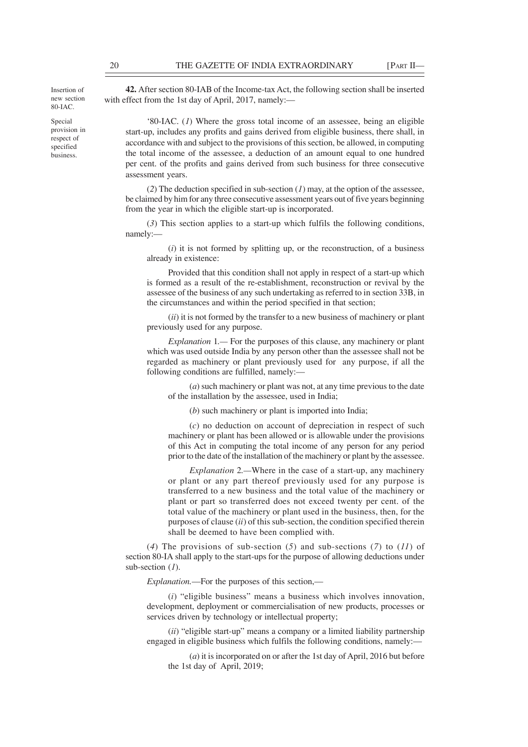Insertion of new section 80-IAC.

Special provision in respect of specified business.

**42.** After section 80-IAB of the Income-tax Act, the following section shall be inserted with effect from the 1st day of April, 2017, namely:—

'80-IAC. (*1*) Where the gross total income of an assessee, being an eligible start-up, includes any profits and gains derived from eligible business, there shall, in accordance with and subject to the provisions of this section, be allowed, in computing the total income of the assessee, a deduction of an amount equal to one hundred per cent. of the profits and gains derived from such business for three consecutive assessment years.

(*2*) The deduction specified in sub-section (*1*) may, at the option of the assessee, be claimed by him for any three consecutive assessment years out of five years beginning from the year in which the eligible start-up is incorporated.

(*3*) This section applies to a start-up which fulfils the following conditions, namely:—

(*i*) it is not formed by splitting up, or the reconstruction, of a business already in existence:

Provided that this condition shall not apply in respect of a start-up which is formed as a result of the re-establishment, reconstruction or revival by the assessee of the business of any such undertaking as referred to in section 33B, in the circumstances and within the period specified in that section;

(*ii*) it is not formed by the transfer to a new business of machinery or plant previously used for any purpose.

*Explanation* 1*.—* For the purposes of this clause, any machinery or plant which was used outside India by any person other than the assessee shall not be regarded as machinery or plant previously used for any purpose, if all the following conditions are fulfilled, namely:—

(*a*) such machinery or plant was not, at any time previous to the date of the installation by the assessee, used in India;

(*b*) such machinery or plant is imported into India;

(*c*) no deduction on account of depreciation in respect of such machinery or plant has been allowed or is allowable under the provisions of this Act in computing the total income of any person for any period prior to the date of the installation of the machinery or plant by the assessee.

*Explanation* 2*.—*Where in the case of a start-up, any machinery or plant or any part thereof previously used for any purpose is transferred to a new business and the total value of the machinery or plant or part so transferred does not exceed twenty per cent. of the total value of the machinery or plant used in the business, then, for the purposes of clause (*ii*) of this sub-section, the condition specified therein shall be deemed to have been complied with.

(*4*) The provisions of sub-section (*5*) and sub-sections (*7*) to (*11*) of section 80-IA shall apply to the start-ups for the purpose of allowing deductions under sub-section (*1*).

*Explanation.*—For the purposes of this section,—

(*i*) "eligible business" means a business which involves innovation, development, deployment or commercialisation of new products, processes or services driven by technology or intellectual property;

(*ii*) "eligible start-up" means a company or a limited liability partnership engaged in eligible business which fulfils the following conditions, namely:—

(*a*) it is incorporated on or after the 1st day of April, 2016 but before the 1st day of April, 2019;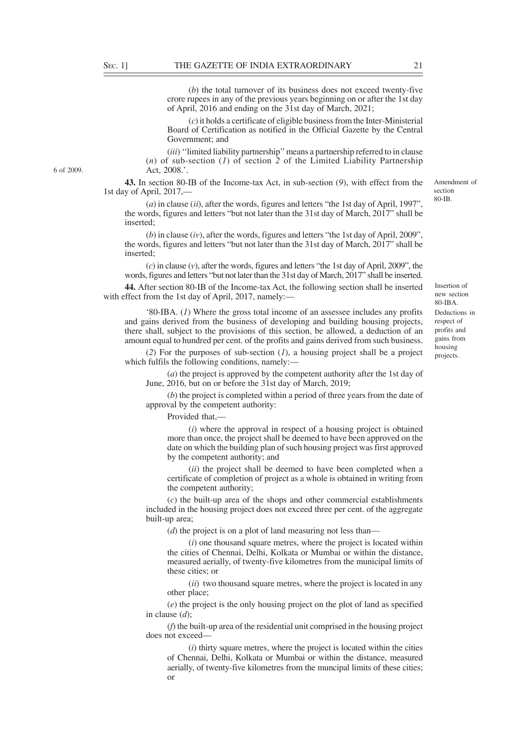(*b*) the total turnover of its business does not exceed twenty-five crore rupees in any of the previous years beginning on or after the 1st day of April, 2016 and ending on the 31st day of March, 2021;

(*c*) it holds a certificate of eligible business from the Inter-Ministerial Board of Certification as notified in the Official Gazette by the Central Government; and

(*iii*) ''limited liability partnership'' means a partnership referred to in clause (*n*) of sub-section (*1*) of section *2* of the Limited Liability Partnership Act, 2008.'.

**43.** In section 80-IB of the Income-tax Act, in sub-section (*9*), with effect from the 1st day of April, 2017,—

(*a*) in clause (*ii*), after the words, figures and letters "the 1st day of April, 1997", the words, figures and letters "but not later than the 31st day of March, 2017" shall be inserted;

(*b*) in clause (*iv*), after the words, figures and letters "the 1st day of April, 2009", the words, figures and letters "but not later than the 31st day of March, 2017" shall be inserted;

(*c*) in clause (*v*), after the words, figures and letters "the 1st day of April, 2009", the words, figures and letters "but not later than the 31st day of March, 2017" shall be inserted.

**44.** After section 80-IB of the Income-tax Act, the following section shall be inserted with effect from the 1st day of April, 2017, namely:-

'80-IBA. (*1*) Where the gross total income of an assessee includes any profits and gains derived from the business of developing and building housing projects, there shall, subject to the provisions of this section, be allowed, a deduction of an amount equal to hundred per cent. of the profits and gains derived from such business.

(*2*) For the purposes of sub-section (*1*), a housing project shall be a project which fulfils the following conditions, namely:-

(*a*) the project is approved by the competent authority after the 1st day of June, 2016, but on or before the 31st day of March, 2019;

(*b*) the project is completed within a period of three years from the date of approval by the competent authority:

Provided that,

(*i*) where the approval in respect of a housing project is obtained more than once, the project shall be deemed to have been approved on the date on which the building plan of such housing project was first approved by the competent authority; and

(*ii*) the project shall be deemed to have been completed when a certificate of completion of project as a whole is obtained in writing from the competent authority;

(*c*) the built-up area of the shops and other commercial establishments included in the housing project does not exceed three per cent. of the aggregate built-up area;

(*d*) the project is on a plot of land measuring not less than—

(*i*) one thousand square metres, where the project is located within the cities of Chennai, Delhi, Kolkata or Mumbai or within the distance, measured aerially, of twenty-five kilometres from the municipal limits of these cities; or

(*ii*) two thousand square metres, where the project is located in any other place;

(*e*) the project is the only housing project on the plot of land as specified in clause (*d*);

(*f*) the built-up area of the residential unit comprised in the housing project does not exceed—

(*i*) thirty square metres, where the project is located within the cities of Chennai, Delhi, Kolkata or Mumbai or within the distance, measured aerially, of twenty-five kilometres from the muncipal limits of these cities; or

Insertion of new section  $80 - IR$  $\Delta$ Deductions in respect of profits and gains from housing projects.

Amendment of section 80-IB.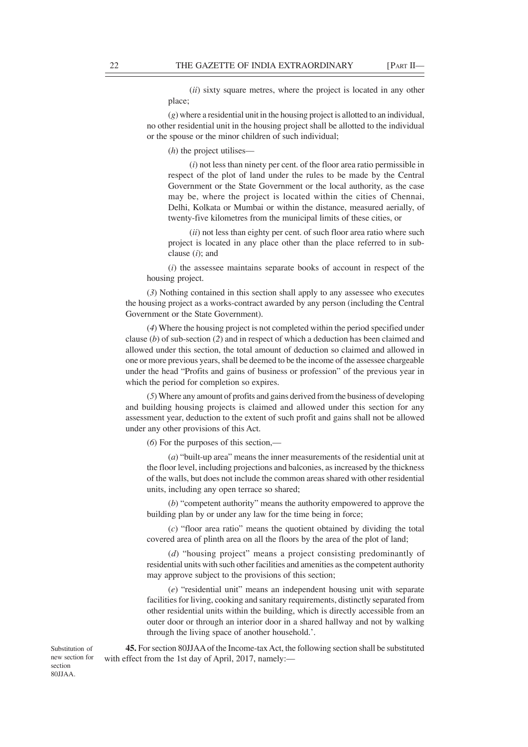(*ii*) sixty square metres, where the project is located in any other place;

(*g*) where a residential unit in the housing project is allotted to an individual, no other residential unit in the housing project shall be allotted to the individual or the spouse or the minor children of such individual;

(*h*) the project utilises—

(*i*) not less than ninety per cent. of the floor area ratio permissible in respect of the plot of land under the rules to be made by the Central Government or the State Government or the local authority, as the case may be, where the project is located within the cities of Chennai, Delhi, Kolkata or Mumbai or within the distance, measured aerially, of twenty-five kilometres from the municipal limits of these cities, or

(*ii*) not less than eighty per cent. of such floor area ratio where such project is located in any place other than the place referred to in subclause (*i*); and

(*i*) the assessee maintains separate books of account in respect of the housing project.

(*3*) Nothing contained in this section shall apply to any assessee who executes the housing project as a works-contract awarded by any person (including the Central Government or the State Government).

(*4*) Where the housing project is not completed within the period specified under clause (*b*) of sub-section (*2*) and in respect of which a deduction has been claimed and allowed under this section, the total amount of deduction so claimed and allowed in one or more previous years, shall be deemed to be the income of the assessee chargeable under the head "Profits and gains of business or profession" of the previous year in which the period for completion so expires.

(*5*) Where any amount of profits and gains derived from the business of developing and building housing projects is claimed and allowed under this section for any assessment year, deduction to the extent of such profit and gains shall not be allowed under any other provisions of this Act.

(*6*) For the purposes of this section,—

(*a*) "built-up area" means the inner measurements of the residential unit at the floor level, including projections and balconies, as increased by the thickness of the walls, but does not include the common areas shared with other residential units, including any open terrace so shared;

(*b*) "competent authority" means the authority empowered to approve the building plan by or under any law for the time being in force;

(*c*) "floor area ratio" means the quotient obtained by dividing the total covered area of plinth area on all the floors by the area of the plot of land;

(*d*) "housing project" means a project consisting predominantly of residential units with such other facilities and amenities as the competent authority may approve subject to the provisions of this section;

(*e*) "residential unit" means an independent housing unit with separate facilities for living, cooking and sanitary requirements, distinctly separated from other residential units within the building, which is directly accessible from an outer door or through an interior door in a shared hallway and not by walking through the living space of another household.'.

**45.** For section 80JJAA of the Income-tax Act, the following section shall be substituted with effect from the 1st day of April, 2017, namely:—

Substitution of new section for section 80JJAA.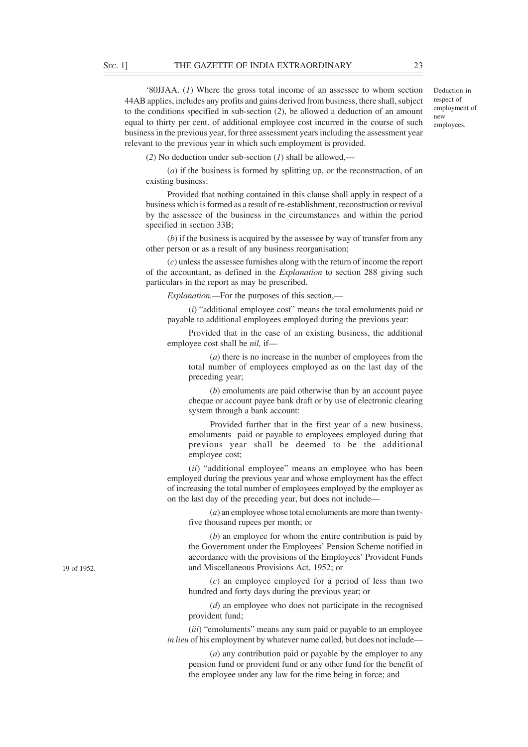'80JJAA. (*1*) Where the gross total income of an assessee to whom section 44AB applies, includes any profits and gains derived from business, there shall, subject to the conditions specified in sub-section (*2*), be allowed a deduction of an amount equal to thirty per cent. of additional employee cost incurred in the course of such business in the previous year, for three assessment years including the assessment year relevant to the previous year in which such employment is provided.

Deduction in respect of employment of new employees.

(*2*) No deduction under sub-section (*1*) shall be allowed,—

(*a*) if the business is formed by splitting up, or the reconstruction, of an existing business:

Provided that nothing contained in this clause shall apply in respect of a business which is formed as a result of re-establishment, reconstruction or revival by the assessee of the business in the circumstances and within the period specified in section 33B;

(*b*) if the business is acquired by the assessee by way of transfer from any other person or as a result of any business reorganisation;

(*c*) unless the assessee furnishes along with the return of income the report of the accountant, as defined in the *Explanation* to section 288 giving such particulars in the report as may be prescribed.

*Explanation.—*For the purposes of this section,—

(*i*) "additional employee cost" means the total emoluments paid or payable to additional employees employed during the previous year:

Provided that in the case of an existing business, the additional employee cost shall be *nil,* if—

(*a*) there is no increase in the number of employees from the total number of employees employed as on the last day of the preceding year;

(*b*) emoluments are paid otherwise than by an account payee cheque or account payee bank draft or by use of electronic clearing system through a bank account:

Provided further that in the first year of a new business, emoluments paid or payable to employees employed during that previous year shall be deemed to be the additional employee cost;

(*ii*) "additional employee" means an employee who has been employed during the previous year and whose employment has the effect of increasing the total number of employees employed by the employer as on the last day of the preceding year, but does not include—

(*a*) an employee whose total emoluments are more than twentyfive thousand rupees per month; or

(*b*) an employee for whom the entire contribution is paid by the Government under the Employees' Pension Scheme notified in accordance with the provisions of the Employees' Provident Funds and Miscellaneous Provisions Act, 1952; or

(*c*) an employee employed for a period of less than two hundred and forty days during the previous year; or

(*d*) an employee who does not participate in the recognised provident fund;

(*iii*) "emoluments" means any sum paid or payable to an employee *in lieu* of his employment by whatever name called, but does not include–

(*a*) any contribution paid or payable by the employer to any pension fund or provident fund or any other fund for the benefit of the employee under any law for the time being in force; and

19 of 1952.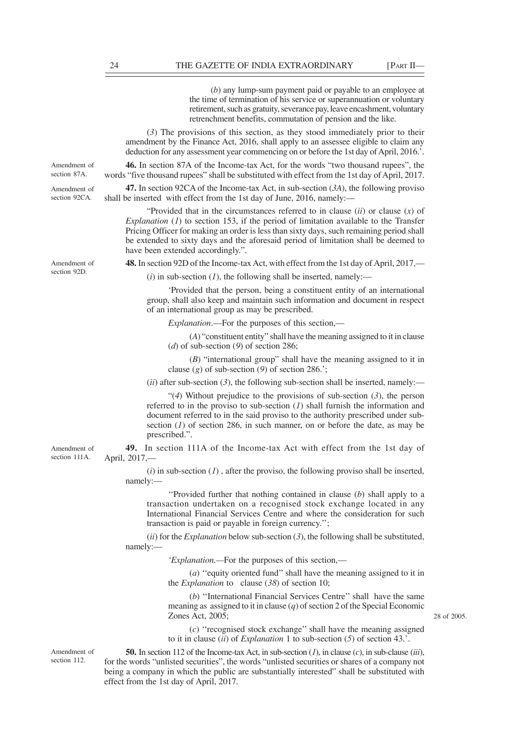(*b*) any lump-sum payment paid or payable to an employee at the time of termination of his service or superannuation or voluntary retirement, such as gratuity, severance pay, leave encashment, voluntary retrenchment benefits, commutation of pension and the like.

(*3*) The provisions of this section, as they stood immediately prior to their amendment by the Finance Act, 2016, shall apply to an assessee eligible to claim any deduction for any assessment year commencing on or before the 1st day of April, 2016.'.

**46.** In section 87A of the Income-tax Act, for the words "two thousand rupees", the words "five thousand rupees" shall be substituted with effect from the 1st day of April, 2017.

**47.** In section 92CA of the Income-tax Act, in sub-section (*3A*), the following proviso shall be inserted with effect from the 1st day of June, 2016, namely:—

"Provided that in the circumstances referred to in clause (*ii*) or clause (*x*) of *Explanation* (*1*) to section 153, if the period of limitation available to the Transfer Pricing Officer for making an order is less than sixty days, such remaining period shall be extended to sixty days and the aforesaid period of limitation shall be deemed to have been extended accordingly.".

**48.** In section 92D of the Income-tax Act, with effect from the 1st day of April, 2017,—

 $(i)$  in sub-section  $(I)$ , the following shall be inserted, namely:—

'Provided that the person, being a constituent entity of an international group, shall also keep and maintain such information and document in respect of an international group as may be prescribed.

*Explanation*.—For the purposes of this section,—

(*A*) "constituent entity" shall have the meaning assigned to it in clause (*d*) of sub-section (*9*) of section 286;

(*B*) "international group" shall have the meaning assigned to it in clause (*g*) of sub-section (*9*) of section 286.';

 $(iii)$  after sub-section  $(3)$ , the following sub-section shall be inserted, namely:—

"(*4*) Without prejudice to the provisions of sub-section (*3*), the person referred to in the proviso to sub-section (*1*) shall furnish the information and document referred to in the said proviso to the authority prescribed under subsection  $(1)$  of section 286, in such manner, on or before the date, as may be prescribed.".

**49.** In section 111A of the Income-tax Act with effect from the 1st day of April, 2017,—

(*i*) in sub-section (*1*) , after the proviso, the following proviso shall be inserted, namely:—

''Provided further that nothing contained in clause (*b*) shall apply to a transaction undertaken on a recognised stock exchange located in any International Financial Services Centre and where the consideration for such transaction is paid or payable in foreign currency.'';

(*ii*) for the *Explanation* below sub-section (*3*), the following shall be substituted, namely:—

*'Explanation.—*For the purposes of this section,—

(*a*) ''equity oriented fund'' shall have the meaning assigned to it in the *Explanation* to clause (*38*) of section 10;

(*b*) ''International Financial Services Centre'' shall have the same meaning as assigned to it in clause (*q*) of section 2 of the Special Economic Zones Act, 2005;

(*c*) ''recognised stock exchange'' shall have the meaning assigned to it in clause (*ii*) of *Explanation* 1 to sub-section (*5*) of section 43.'.

**50.** In section 112 of the Income-tax Act, in sub-section (*1*), in clause (*c*), in sub-clause (*iii*), for the words "unlisted securities", the words "unlisted securities or shares of a company not being a company in which the public are substantially interested" shall be substituted with effect from the 1st day of April, 2017.

Amendment of section 92D.

Amendment of section 87A. Amendment of section 92CA.

Amendment of

section 111A.

Amendment of section 112.

28 of 2005.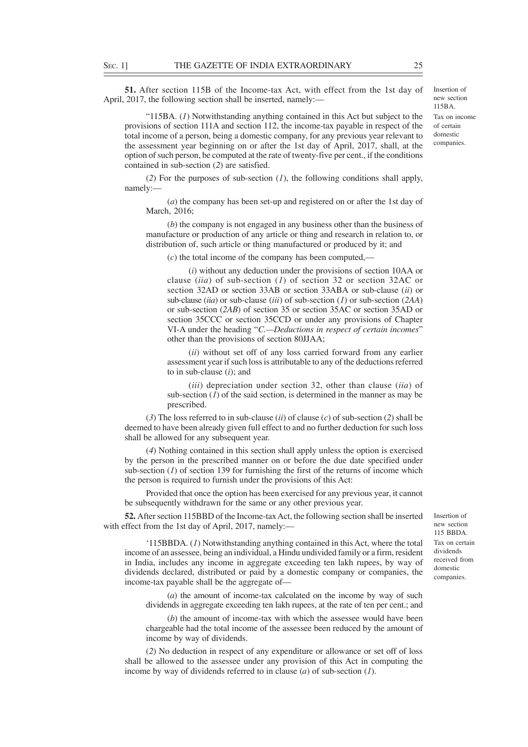**51.** After section 115B of the Income-tax Act, with effect from the 1st day of April, 2017, the following section shall be inserted, namely:—

"115BA. (*1*) Notwithstanding anything contained in this Act but subject to the provisions of section 111A and section 112, the income-tax payable in respect of the total income of a person, being a domestic company, for any previous year relevant to the assessment year beginning on or after the 1st day of April, 2017, shall, at the option of such person, be computed at the rate of twenty-five per cent., if the conditions contained in sub-section (*2*) are satisfied.

(*2*) For the purposes of sub-section (*1*), the following conditions shall apply, namely:—

(*a*) the company has been set-up and registered on or after the 1st day of March, 2016;

(*b*) the company is not engaged in any business other than the business of manufacture or production of any article or thing and research in relation to, or distribution of, such article or thing manufactured or produced by it; and

(*c*) the total income of the company has been computed,—

(*i*) without any deduction under the provisions of section 10AA or clause (*iia*) of sub-section (*1*) of section 32 or section 32AC or section 32AD or section 33AB or section 33ABA or sub-clause (*ii*) or sub-clause (*iia*) or sub-clause (*iii*) of sub-section (*1*) or sub-section (*2AA*) or sub-section (*2AB*) of section 35 or section 35AC or section 35AD or section 35CCC or section 35CCD or under any provisions of Chapter VI-A under the heading "*C.—Deductions in respect of certain incomes*" other than the provisions of section 80JJAA;

(*ii*) without set off of any loss carried forward from any earlier assessment year if such loss is attributable to any of the deductions referred to in sub-clause (*i*); and

(*iii*) depreciation under section 32, other than clause (*iia*) of sub-section  $(1)$  of the said section, is determined in the manner as may be prescribed.

(*3*) The loss referred to in sub-clause (*ii*) of clause (*c*) of sub-section (*2*) shall be deemed to have been already given full effect to and no further deduction for such loss shall be allowed for any subsequent year.

(*4*) Nothing contained in this section shall apply unless the option is exercised by the person in the prescribed manner on or before the due date specified under sub-section  $(1)$  of section 139 for furnishing the first of the returns of income which the person is required to furnish under the provisions of this Act:

Provided that once the option has been exercised for any previous year, it cannot be subsequently withdrawn for the same or any other previous year.

**52.** After section 115BBD of the Income-tax Act, the following section shall be inserted with effect from the 1st day of April, 2017, namely:-

new section 115 BBDA. Tax on certain dividends received from domestic companies.

Insertion of

'115BBDA. (*1*) Notwithstanding anything contained in this Act, where the total income of an assessee, being an individual, a Hindu undivided family or a firm, resident in India, includes any income in aggregate exceeding ten lakh rupees, by way of dividends declared, distributed or paid by a domestic company or companies, the income-tax payable shall be the aggregate of—

(*a*) the amount of income-tax calculated on the income by way of such dividends in aggregate exceeding ten lakh rupees, at the rate of ten per cent.; and

(*b*) the amount of income-tax with which the assessee would have been chargeable had the total income of the assessee been reduced by the amount of income by way of dividends.

(*2*) No deduction in respect of any expenditure or allowance or set off of loss shall be allowed to the assessee under any provision of this Act in computing the income by way of dividends referred to in clause (*a*) of sub-section (*1*).

Insertion of new section 115BA. Tax on income of certain domestic companies.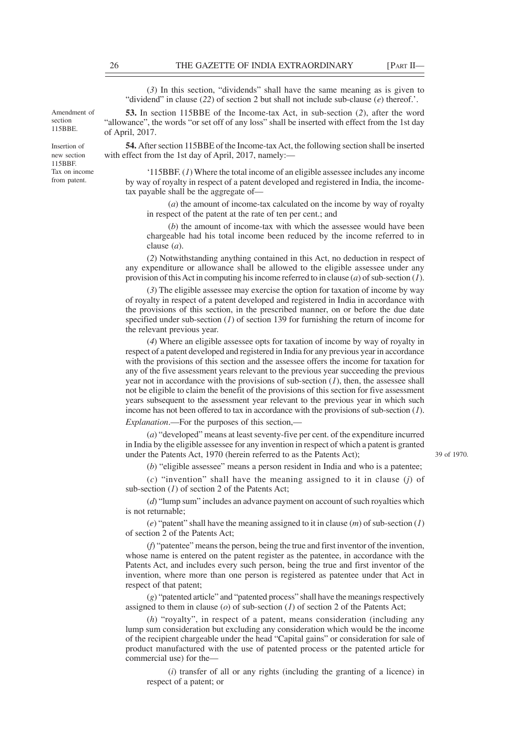(*3*) In this section, "dividends" shall have the same meaning as is given to "dividend" in clause (*22*) of section 2 but shall not include sub-clause (*e*) thereof.'.

**53.** In section 115BBE of the Income-tax Act, in sub-section (*2*), after the word "allowance", the words "or set off of any loss" shall be inserted with effect from the 1st day of April, 2017.

**54.** After section 115BBE of the Income-tax Act, the following section shall be inserted with effect from the 1st day of April, 2017, namely:—

'115BBF. (*1*) Where the total income of an eligible assessee includes any income by way of royalty in respect of a patent developed and registered in India, the incometax payable shall be the aggregate of—

(*a*) the amount of income-tax calculated on the income by way of royalty in respect of the patent at the rate of ten per cent.; and

(*b*) the amount of income-tax with which the assessee would have been chargeable had his total income been reduced by the income referred to in clause (*a*).

(*2*) Notwithstanding anything contained in this Act, no deduction in respect of any expenditure or allowance shall be allowed to the eligible assessee under any provision of this Act in computing his income referred to in clause (*a*) of sub-section (*1*).

(*3*) The eligible assessee may exercise the option for taxation of income by way of royalty in respect of a patent developed and registered in India in accordance with the provisions of this section, in the prescribed manner, on or before the due date specified under sub-section (*1*) of section 139 for furnishing the return of income for the relevant previous year.

(*4*) Where an eligible assessee opts for taxation of income by way of royalty in respect of a patent developed and registered in India for any previous year in accordance with the provisions of this section and the assessee offers the income for taxation for any of the five assessment years relevant to the previous year succeeding the previous year not in accordance with the provisions of sub-section  $(1)$ , then, the assessee shall not be eligible to claim the benefit of the provisions of this section for five assessment years subsequent to the assessment year relevant to the previous year in which such income has not been offered to tax in accordance with the provisions of sub-section (*1*). *Explanation*.—For the purposes of this section,—

(*a*) "developed" means at least seventy-five per cent. of the expenditure incurred in India by the eligible assessee for any invention in respect of which a patent is granted under the Patents Act, 1970 (herein referred to as the Patents Act);

(*b*) "eligible assessee" means a person resident in India and who is a patentee;

(*c*) "invention" shall have the meaning assigned to it in clause (*j*) of sub-section (*1*) of section 2 of the Patents Act;

(*d*) "lump sum" includes an advance payment on account of such royalties which is not returnable;

(*e*) "patent" shall have the meaning assigned to it in clause (*m*) of sub-section (*1*) of section 2 of the Patents Act;

(*f*) "patentee" means the person, being the true and first inventor of the invention, whose name is entered on the patent register as the patentee, in accordance with the Patents Act, and includes every such person, being the true and first inventor of the invention, where more than one person is registered as patentee under that Act in respect of that patent;

(*g*) "patented article" and "patented process" shall have the meanings respectively assigned to them in clause (*o*) of sub-section (*1*) of section 2 of the Patents Act;

(*h*) "royalty", in respect of a patent, means consideration (including any lump sum consideration but excluding any consideration which would be the income of the recipient chargeable under the head "Capital gains" or consideration for sale of product manufactured with the use of patented process or the patented article for commercial use) for the—

(*i*) transfer of all or any rights (including the granting of a licence) in respect of a patent; or

section 115BBE.

> Insertion of new section 115BBF. Tax on income from patent.

> Amendment of

39 of 1970.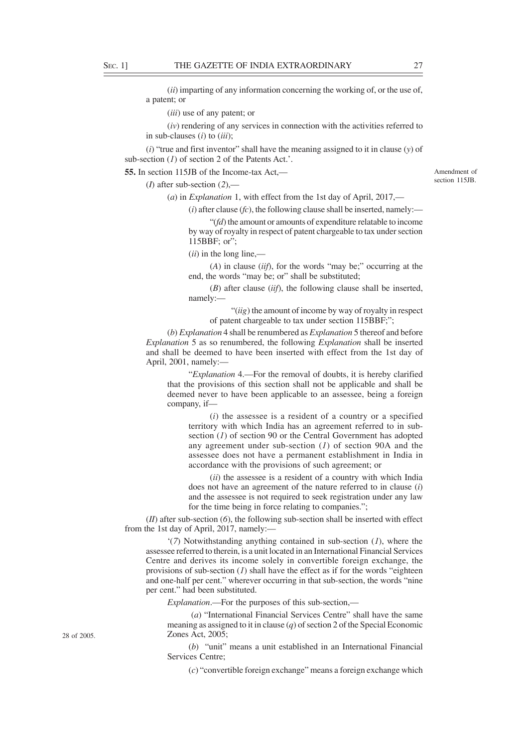(*ii*) imparting of any information concerning the working of, or the use of, a patent; or

(*iii*) use of any patent; or

(*iv*) rendering of any services in connection with the activities referred to in sub-clauses (*i*) to (*iii*);

(*i*) "true and first inventor" shall have the meaning assigned to it in clause (*y*) of sub-section (*1*) of section 2 of the Patents Act.'.

**55.** In section 115JB of the Income-tax Act,—

(*I*) after sub-section (*2*),—

(*a*) in *Explanation* 1, with effect from the 1st day of April, 2017,—

 $(i)$  after clause  $(fc)$ , the following clause shall be inserted, namely:-

"(*fd*) the amount or amounts of expenditure relatable to income by way of royalty in respect of patent chargeable to tax under section 115BBF; or";

(*ii*) in the long line,—

(*A*) in clause (*iif*), for the words "may be;" occurring at the end, the words "may be; or" shall be substituted;

(*B*) after clause (*iif*), the following clause shall be inserted, namely:—

"(*iig*) the amount of income by way of royalty in respect of patent chargeable to tax under section 115BBF;";

(*b*) *Explanation* 4 shall be renumbered as *Explanation* 5 thereof and before *Explanation* 5 as so renumbered, the following *Explanation* shall be inserted and shall be deemed to have been inserted with effect from the 1st day of April, 2001, namely:—

"*Explanation* 4.—For the removal of doubts, it is hereby clarified that the provisions of this section shall not be applicable and shall be deemed never to have been applicable to an assessee, being a foreign company, if—

(*i*) the assessee is a resident of a country or a specified territory with which India has an agreement referred to in subsection (*1*) of section 90 or the Central Government has adopted any agreement under sub-section (*1*) of section 90A and the assessee does not have a permanent establishment in India in accordance with the provisions of such agreement; or

(*ii*) the assessee is a resident of a country with which India does not have an agreement of the nature referred to in clause (*i*) and the assessee is not required to seek registration under any law for the time being in force relating to companies.";

(*II*) after sub-section (*6*), the following sub-section shall be inserted with effect from the 1st day of April, 2017, namely:—

'(*7*) Notwithstanding anything contained in sub-section (*1*), where the assessee referred to therein, is a unit located in an International Financial Services Centre and derives its income solely in convertible foreign exchange, the provisions of sub-section (*1*) shall have the effect as if for the words "eighteen and one-half per cent." wherever occurring in that sub-section, the words "nine per cent." had been substituted.

*Explanation*.—For the purposes of this sub-section,—

 (*a*) "International Financial Services Centre" shall have the same meaning as assigned to it in clause (*q*) of section 2 of the Special Economic Zones Act, 2005;

(*b*) "unit" means a unit established in an International Financial Services Centre;

(*c*) "convertible foreign exchange" means a foreign exchange which

28 of 2005.

Amendment of section 115JB.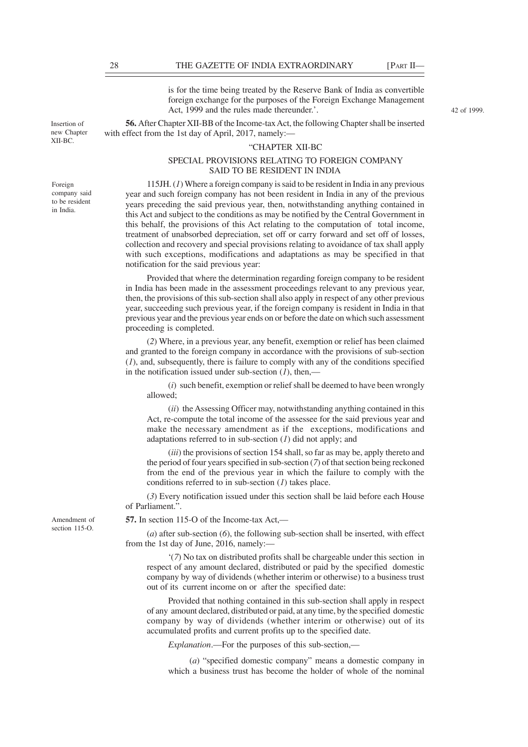Foreign company said to be resident in India.

Insertion of new Chapter XII-BC.

is for the time being treated by the Reserve Bank of India as convertible foreign exchange for the purposes of the Foreign Exchange Management Act, 1999 and the rules made thereunder.'.

**56.** After Chapter XII-BB of the Income-tax Act, the following Chapter shall be inserted with effect from the 1st day of April, 2017, namely:—

#### "CHAPTER XII-BC

### SPECIAL PROVISIONS RELATING TO FOREIGN COMPANY SAID TO BE RESIDENT IN INDIA

115JH. (*1*) Where a foreign company is said to be resident in India in any previous year and such foreign company has not been resident in India in any of the previous years preceding the said previous year, then, notwithstanding anything contained in this Act and subject to the conditions as may be notified by the Central Government in this behalf, the provisions of this Act relating to the computation of total income, treatment of unabsorbed depreciation, set off or carry forward and set off of losses, collection and recovery and special provisions relating to avoidance of tax shall apply with such exceptions, modifications and adaptations as may be specified in that notification for the said previous year:

Provided that where the determination regarding foreign company to be resident in India has been made in the assessment proceedings relevant to any previous year, then, the provisions of this sub-section shall also apply in respect of any other previous year, succeeding such previous year, if the foreign company is resident in India in that previous year and the previous year ends on or before the date on which such assessment proceeding is completed.

(*2*) Where, in a previous year, any benefit, exemption or relief has been claimed and granted to the foreign company in accordance with the provisions of sub-section (*1*), and, subsequently, there is failure to comply with any of the conditions specified in the notification issued under sub-section  $(1)$ , then,—

(*i*)such benefit, exemption or relief shall be deemed to have been wrongly allowed;

(*ii*) the Assessing Officer may, notwithstanding anything contained in this Act, re-compute the total income of the assessee for the said previous year and make the necessary amendment as if the exceptions, modifications and adaptations referred to in sub-section (*1*) did not apply; and

(*iii*) the provisions of section 154 shall, so far as may be, apply thereto and the period of four years specified in sub-section (*7*) of that section being reckoned from the end of the previous year in which the failure to comply with the conditions referred to in sub-section (*1*) takes place.

(*3*) Every notification issued under this section shall be laid before each House of Parliament.".

**57.** In section 115-O of the Income-tax Act,—

(*a*) after sub-section (*6*), the following sub-section shall be inserted, with effect from the 1st day of June, 2016, namely:—

'(*7*) No tax on distributed profits shall be chargeable under this section in respect of any amount declared, distributed or paid by the specified domestic company by way of dividends (whether interim or otherwise) to a business trust out of its current income on or after the specified date:

Provided that nothing contained in this sub-section shall apply in respect of any amount declared, distributed or paid, at any time, by the specified domestic company by way of dividends (whether interim or otherwise) out of its accumulated profits and current profits up to the specified date.

*Explanation*.—For the purposes of this sub-section,—

(*a*) "specified domestic company" means a domestic company in which a business trust has become the holder of whole of the nominal

Amendment of section 115-O.

42 of 1999.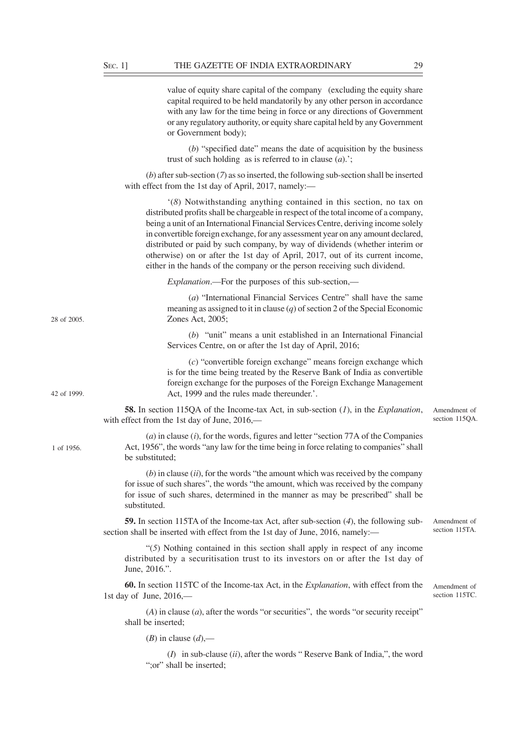| value of equity share capital of the company (excluding the equity share    |
|-----------------------------------------------------------------------------|
| capital required to be held mandatorily by any other person in accordance   |
| with any law for the time being in force or any directions of Government    |
| or any regulatory authority, or equity share capital held by any Government |
| or Government body);                                                        |

(*b*) "specified date" means the date of acquisition by the business trust of such holding as is referred to in clause (*a*).';

(*b*) after sub-section (*7*) as so inserted, the following sub-section shall be inserted with effect from the 1st day of April, 2017, namely:—

'(*8*) Notwithstanding anything contained in this section, no tax on distributed profits shall be chargeable in respect of the total income of a company, being a unit of an International Financial Services Centre, deriving income solely in convertible foreign exchange, for any assessment year on any amount declared, distributed or paid by such company, by way of dividends (whether interim or otherwise) on or after the 1st day of April, 2017, out of its current income, either in the hands of the company or the person receiving such dividend.

*Explanation*.—For the purposes of this sub-section,—

(*a*) "International Financial Services Centre" shall have the same meaning as assigned to it in clause (*q*) of section 2 of the Special Economic Zones Act, 2005;

(*b*) "unit" means a unit established in an International Financial Services Centre, on or after the 1st day of April, 2016;

(*c*) "convertible foreign exchange" means foreign exchange which is for the time being treated by the Reserve Bank of India as convertible foreign exchange for the purposes of the Foreign Exchange Management Act, 1999 and the rules made thereunder.'.

**58.** In section 115QA of the Income-tax Act, in sub-section (*1*), in the *Explanation*, with effect from the 1st day of June, 2016,— Amendment of section 115QA.

# (*a*) in clause (*i*), for the words, figures and letter "section 77A of the Companies Act, 1956", the words "any law for the time being in force relating to companies" shall be substituted;

(*b*) in clause (*ii*), for the words "the amount which was received by the company for issue of such shares", the words "the amount, which was received by the company for issue of such shares, determined in the manner as may be prescribed" shall be substituted.

**59.** In section 115TA of the Income-tax Act, after sub-section (*4*), the following subsection shall be inserted with effect from the 1st day of June, 2016, namely:—

"(*5*) Nothing contained in this section shall apply in respect of any income distributed by a securitisation trust to its investors on or after the 1st day of June, 2016.".

**60.** In section 115TC of the Income-tax Act, in the *Explanation*, with effect from the 1st day of June, 2016,—

(*A*) in clause (*a*), after the words "or securities", the words "or security receipt" shall be inserted;

(*B*) in clause  $(d)$ ,—

(*I*) in sub-clause (*ii*), after the words " Reserve Bank of India,", the word ":or" shall be inserted;

28 of 2005.

42 of 1999.

1 of 1956.

Amendment of section 115TA.

Amendment of section 115TC.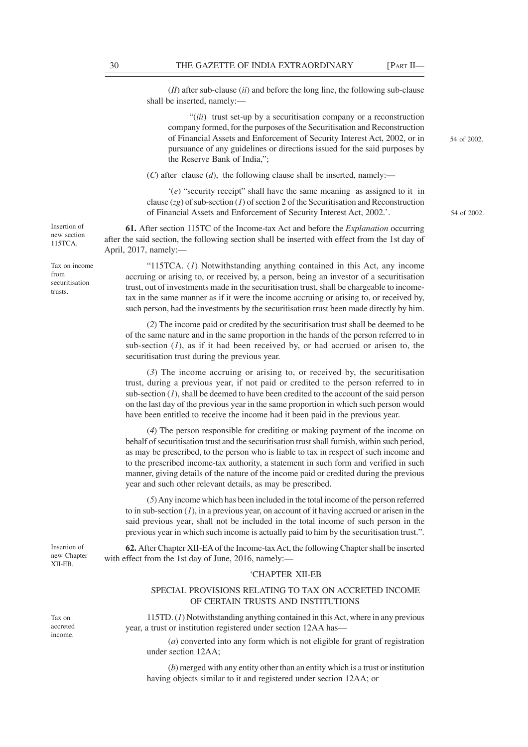54 of 2002.

54 of 2002.

(*II*) after sub-clause (*ii*) and before the long line, the following sub-clause shall be inserted, namely:—

"(*iii*) trust set-up by a securitisation company or a reconstruction company formed, for the purposes of the Securitisation and Reconstruction of Financial Assets and Enforcement of Security Interest Act, 2002, or in pursuance of any guidelines or directions issued for the said purposes by the Reserve Bank of India,";

 $(C)$  after clause  $(d)$ , the following clause shall be inserted, namely:—

'(*e*) "security receipt" shall have the same meaning as assigned to it in clause (*zg*) of sub-section (*1*) of section 2 of the Securitisation and Reconstruction of Financial Assets and Enforcement of Security Interest Act, 2002.'.

**61.** After section 115TC of the Income-tax Act and before the *Explanation* occurring after the said section, the following section shall be inserted with effect from the 1st day of April, 2017, namely:—

"115TCA. (*1*) Notwithstanding anything contained in this Act, any income accruing or arising to, or received by, a person, being an investor of a securitisation trust, out of investments made in the securitisation trust, shall be chargeable to incometax in the same manner as if it were the income accruing or arising to, or received by, such person, had the investments by the securitisation trust been made directly by him.

(*2*) The income paid or credited by the securitisation trust shall be deemed to be of the same nature and in the same proportion in the hands of the person referred to in sub-section  $(I)$ , as if it had been received by, or had accrued or arisen to, the securitisation trust during the previous year.

(*3*) The income accruing or arising to, or received by, the securitisation trust, during a previous year, if not paid or credited to the person referred to in sub-section  $(1)$ , shall be deemed to have been credited to the account of the said person on the last day of the previous year in the same proportion in which such person would have been entitled to receive the income had it been paid in the previous year.

(*4*) The person responsible for crediting or making payment of the income on behalf of securitisation trust and the securitisation trust shall furnish, within such period, as may be prescribed, to the person who is liable to tax in respect of such income and to the prescribed income-tax authority, a statement in such form and verified in such manner, giving details of the nature of the income paid or credited during the previous year and such other relevant details, as may be prescribed.

(*5*) Any income which has been included in the total income of the person referred to in sub-section (*1*), in a previous year, on account of it having accrued or arisen in the said previous year, shall not be included in the total income of such person in the previous year in which such income is actually paid to him by the securitisation trust.".

**62.** After Chapter XII-EA of the Income-tax Act, the following Chapter shall be inserted with effect from the 1st day of June, 2016, namely:—

#### 'CHAPTER XII-EB

# SPECIAL PROVISIONS RELATING TO TAX ON ACCRETED INCOME OF CERTAIN TRUSTS AND INSTITUTIONS

115TD. (*1*) Notwithstanding anything contained in this Act, where in any previous year, a trust or institution registered under section 12AA has—

(*a*) converted into any form which is not eligible for grant of registration under section 12AA;

(*b*) merged with any entity other than an entity which is a trust or institution having objects similar to it and registered under section 12AA; or

Insertion of new section 115TCA.

Tax on income from securitisation trusts.

Insertion of new Chapter XII-EB.

Tax on accreted income.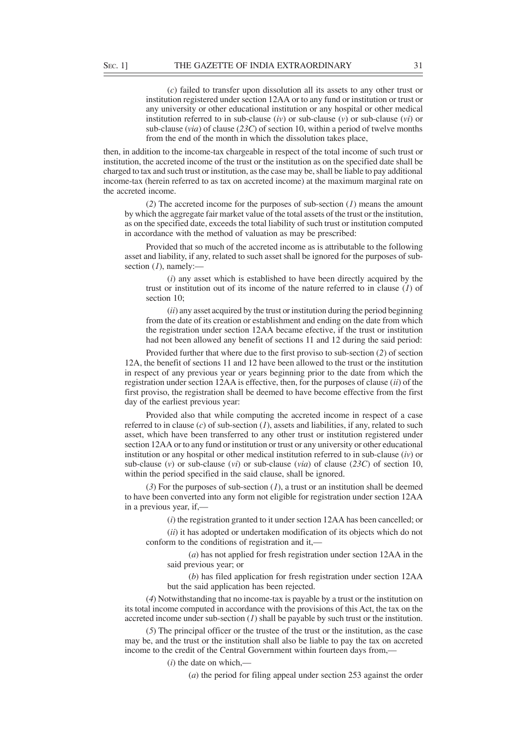(*c*) failed to transfer upon dissolution all its assets to any other trust or institution registered under section 12AA or to any fund or institution or trust or any university or other educational institution or any hospital or other medical institution referred to in sub-clause (*iv*) or sub-clause (*v*) or sub-clause (*vi*) or sub-clause (*via*) of clause (*23C*) of section 10, within a period of twelve months from the end of the month in which the dissolution takes place,

then, in addition to the income-tax chargeable in respect of the total income of such trust or institution, the accreted income of the trust or the institution as on the specified date shall be charged to tax and such trust or institution, as the case may be, shall be liable to pay additional income-tax (herein referred to as tax on accreted income) at the maximum marginal rate on the accreted income.

(*2*) The accreted income for the purposes of sub-section (*1*) means the amount by which the aggregate fair market value of the total assets of the trust or the institution, as on the specified date, exceeds the total liability of such trust or institution computed in accordance with the method of valuation as may be prescribed:

Provided that so much of the accreted income as is attributable to the following asset and liability, if any, related to such asset shall be ignored for the purposes of subsection (1), namely:-

(*i*) any asset which is established to have been directly acquired by the trust or institution out of its income of the nature referred to in clause (*1*) of section 10;

(*ii*) any asset acquired by the trust or institution during the period beginning from the date of its creation or establishment and ending on the date from which the registration under section 12AA became efective, if the trust or institution had not been allowed any benefit of sections 11 and 12 during the said period:

Provided further that where due to the first proviso to sub-section (*2*) of section 12A, the benefit of sections 11 and 12 have been allowed to the trust or the institution in respect of any previous year or years beginning prior to the date from which the registration under section 12AA is effective, then, for the purposes of clause (*ii*) of the first proviso, the registration shall be deemed to have become effective from the first day of the earliest previous year:

Provided also that while computing the accreted income in respect of a case referred to in clause (*c*) of sub-section (*1*), assets and liabilities, if any, related to such asset, which have been transferred to any other trust or institution registered under section 12AA or to any fund or institution or trust or any university or other educational institution or any hospital or other medical institution referred to in sub-clause (*iv*) or sub-clause (*v*) or sub-clause (*vi*) or sub-clause (*via*) of clause (*23C*) of section 10, within the period specified in the said clause, shall be ignored.

(*3*) For the purposes of sub-section (*1*), a trust or an institution shall be deemed to have been converted into any form not eligible for registration under section 12AA in a previous year, if,-

(*i*) the registration granted to it under section 12AA has been cancelled; or

(*ii*) it has adopted or undertaken modification of its objects which do not conform to the conditions of registration and it,—

(*a*) has not applied for fresh registration under section 12AA in the said previous year; or

(*b*) has filed application for fresh registration under section 12AA but the said application has been rejected.

(*4*) Notwithstanding that no income-tax is payable by a trust or the institution on its total income computed in accordance with the provisions of this Act, the tax on the accreted income under sub-section  $(I)$  shall be payable by such trust or the institution.

(*5*) The principal officer or the trustee of the trust or the institution, as the case may be, and the trust or the institution shall also be liable to pay the tax on accreted income to the credit of the Central Government within fourteen days from,—

(*i*) the date on which,—

(*a*) the period for filing appeal under section 253 against the order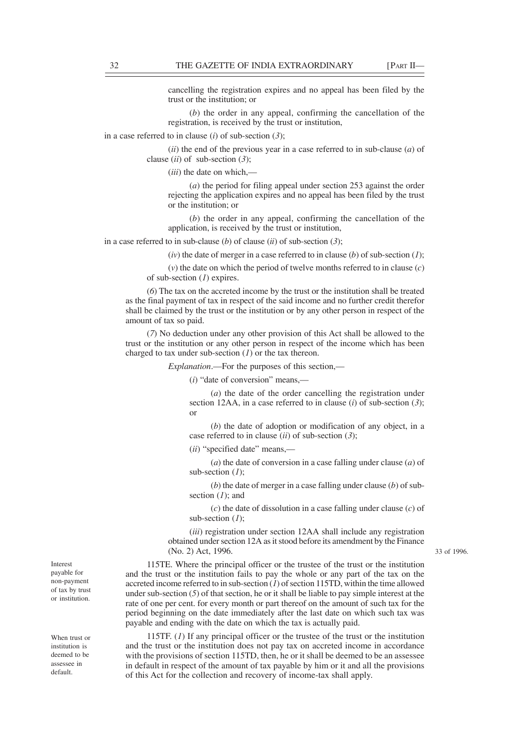cancelling the registration expires and no appeal has been filed by the trust or the institution; or

(*b*) the order in any appeal, confirming the cancellation of the registration, is received by the trust or institution,

in a case referred to in clause (*i*) of sub-section (*3*);

(*ii*) the end of the previous year in a case referred to in sub-clause (*a*) of clause (*ii*) of sub-section (*3*);

(*iii*) the date on which,—

(*a*) the period for filing appeal under section 253 against the order rejecting the application expires and no appeal has been filed by the trust or the institution; or

(*b*) the order in any appeal, confirming the cancellation of the application, is received by the trust or institution,

in a case referred to in sub-clause (*b*) of clause (*ii*) of sub-section (*3*);

(*iv*) the date of merger in a case referred to in clause (*b*) of sub-section (*1*);

(*v*) the date on which the period of twelve months referred to in clause (*c*) of sub-section (*1*) expires.

(*6*) The tax on the accreted income by the trust or the institution shall be treated as the final payment of tax in respect of the said income and no further credit therefor shall be claimed by the trust or the institution or by any other person in respect of the amount of tax so paid.

(*7*) No deduction under any other provision of this Act shall be allowed to the trust or the institution or any other person in respect of the income which has been charged to tax under sub-section (*1*) or the tax thereon.

*Explanation*.—For the purposes of this section,—

(*i*) "date of conversion" means,—

(*a*) the date of the order cancelling the registration under section 12AA, in a case referred to in clause (*i*) of sub-section (*3*); or

(*b*) the date of adoption or modification of any object, in a case referred to in clause (*ii*) of sub-section (*3*);

(*ii*) "specified date" means,—

(*a*) the date of conversion in a case falling under clause (*a*) of sub-section (*1*);

(*b*) the date of merger in a case falling under clause (*b*) of subsection (*1*); and

(*c*) the date of dissolution in a case falling under clause (*c*) of sub-section (*1*);

(*iii*) registration under section 12AA shall include any registration obtained under section 12A as it stood before its amendment by the Finance (No. 2) Act, 1996.

115TE. Where the principal officer or the trustee of the trust or the institution and the trust or the institution fails to pay the whole or any part of the tax on the accreted income referred to in sub-section (*1*) of section 115TD, within the time allowed under sub-section (*5*) of that section, he or it shall be liable to pay simple interest at the rate of one per cent. for every month or part thereof on the amount of such tax for the period beginning on the date immediately after the last date on which such tax was payable and ending with the date on which the tax is actually paid.

115TF.  $(I)$  If any principal officer or the trustee of the trust or the institution and the trust or the institution does not pay tax on accreted income in accordance with the provisions of section 115TD, then, he or it shall be deemed to be an assessee in default in respect of the amount of tax payable by him or it and all the provisions of this Act for the collection and recovery of income-tax shall apply.

Interest payable for non-payment of tax by trust or institution.

When trust or institution is deemed to be assessee in default.

33 of 1996.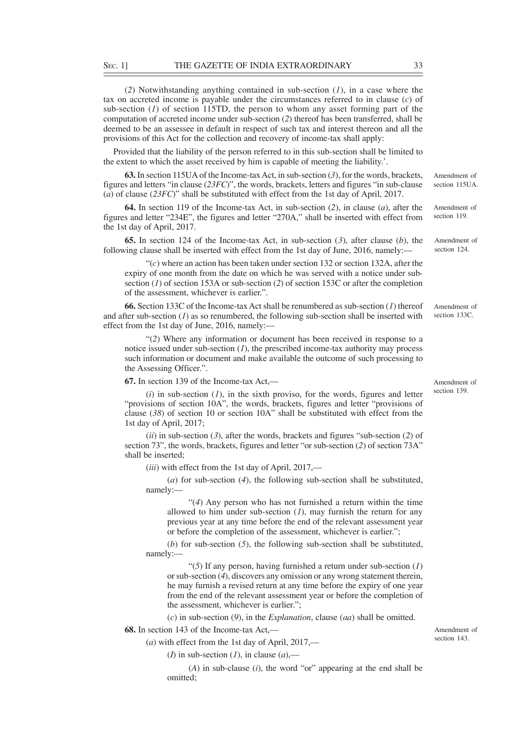(*2*) Notwithstanding anything contained in sub-section (*1*), in a case where the tax on accreted income is payable under the circumstances referred to in clause (*c*) of sub-section (*1*) of section 115TD, the person to whom any asset forming part of the computation of accreted income under sub-section (*2*) thereof has been transferred, shall be deemed to be an assessee in default in respect of such tax and interest thereon and all the provisions of this Act for the collection and recovery of income-tax shall apply:

Provided that the liability of the person referred to in this sub-section shall be limited to the extent to which the asset received by him is capable of meeting the liability.'.

**63.** In section 115UA of the Income-tax Act, in sub-section (*3*), for the words, brackets, figures and letters "in clause (*23FC*)", the words, brackets, letters and figures "in sub-clause (*a*) of clause (*23FC*)" shall be substituted with effect from the 1st day of April, 2017. Amendment of

**64.** In section 119 of the Income-tax Act, in sub-section (*2*), in clause (*a*), after the figures and letter "234E", the figures and letter "270A," shall be inserted with effect from the 1st day of April, 2017.

**65.** In section 124 of the Income-tax Act, in sub-section (*3*), after clause (*b*), the following clause shall be inserted with effect from the 1st day of June, 2016, namely:—

 $C(c)$  where an action has been taken under section 132 or section 132A, after the expiry of one month from the date on which he was served with a notice under subsection (*1*) of section 153A or sub-section (*2*) of section 153C or after the completion of the assessment, whichever is earlier.".

**66.** Section 133C of the Income-tax Act shall be renumbered as sub-section (*1*) thereof and after sub-section (*1*) as so renumbered, the following sub-section shall be inserted with effect from the 1st day of June, 2016, namely:—

"(*2*) Where any information or document has been received in response to a notice issued under sub-section  $(I)$ , the prescribed income-tax authority may process such information or document and make available the outcome of such processing to the Assessing Officer.".

**67.** In section 139 of the Income-tax Act,—

 $(i)$  in sub-section  $(I)$ , in the sixth proviso, for the words, figures and letter "provisions of section 10A", the words, brackets, figures and letter "provisions of clause (*38*) of section 10 or section 10A" shall be substituted with effect from the 1st day of April, 2017;

(*ii*) in sub-section (*3*), after the words, brackets and figures "sub-section (*2*) of section 73", the words, brackets, figures and letter "or sub-section (*2*) of section 73A" shall be inserted;

(*iii*) with effect from the 1st day of April, 2017,—

(*a*) for sub-section (*4*), the following sub-section shall be substituted, namely:—

"(*4*) Any person who has not furnished a return within the time allowed to him under sub-section  $(I)$ , may furnish the return for any previous year at any time before the end of the relevant assessment year or before the completion of the assessment, whichever is earlier.";

(*b*) for sub-section (*5*), the following sub-section shall be substituted, namely:—

"(*5*) If any person, having furnished a return under sub-section (*1*) or sub-section (*4*), discovers any omission or any wrong statement therein, he may furnish a revised return at any time before the expiry of one year from the end of the relevant assessment year or before the completion of the assessment, whichever is earlier.";

(*c*) in sub-section (*9*), in the *Explanation*, clause (*aa*) shall be omitted.

**68.** In section 143 of the Income-tax Act,—

Amendment of section 143

(*a*) with effect from the 1st day of April, 2017,—

(*I*) in sub-section (*I*), in clause (*a*),—

(*A*) in sub-clause (*i*), the word "or" appearing at the end shall be omitted;

section 115UA.

Amendment of section 119.

Amendment of section 124.

section 133C.

Amendment of

Amendment of section 139.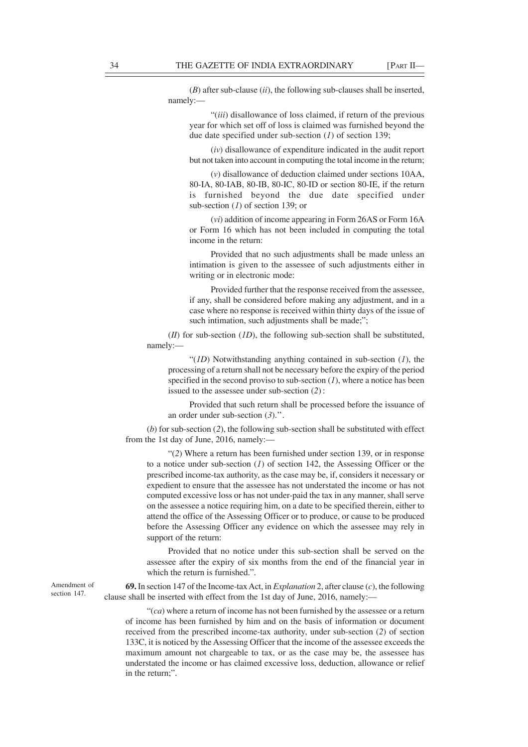(*B*) after sub-clause (*ii*), the following sub-clauses shall be inserted, namely:—

"(*iii*) disallowance of loss claimed, if return of the previous year for which set off of loss is claimed was furnished beyond the due date specified under sub-section (*1*) of section 139;

(*iv*) disallowance of expenditure indicated in the audit report but not taken into account in computing the total income in the return;

(*v*) disallowance of deduction claimed under sections 10AA, 80-IA, 80-IAB, 80-IB, 80-IC, 80-ID or section 80-IE, if the return is furnished beyond the due date specified under sub-section (*1*) of section 139; or

(*vi*) addition of income appearing in Form 26AS or Form 16A or Form 16 which has not been included in computing the total income in the return:

Provided that no such adjustments shall be made unless an intimation is given to the assessee of such adjustments either in writing or in electronic mode:

Provided further that the response received from the assessee, if any, shall be considered before making any adjustment, and in a case where no response is received within thirty days of the issue of such intimation, such adjustments shall be made;";

(*II*) for sub-section (*1D*), the following sub-section shall be substituted, namely:—

"(*1D*) Notwithstanding anything contained in sub-section (*1*), the processing of a return shall not be necessary before the expiry of the period specified in the second proviso to sub-section  $(1)$ , where a notice has been issued to the assessee under sub-section (*2*) :

Provided that such return shall be processed before the issuance of an order under sub-section (*3*).''.

(*b*) for sub-section (*2*), the following sub-section shall be substituted with effect from the 1st day of June, 2016, namely:—

"(*2*) Where a return has been furnished under section 139, or in response to a notice under sub-section (*1*) of section 142, the Assessing Officer or the prescribed income-tax authority, as the case may be, if, considers it necessary or expedient to ensure that the assessee has not understated the income or has not computed excessive loss or has not under-paid the tax in any manner, shall serve on the assessee a notice requiring him, on a date to be specified therein, either to attend the office of the Assessing Officer or to produce, or cause to be produced before the Assessing Officer any evidence on which the assessee may rely in support of the return:

Provided that no notice under this sub-section shall be served on the assessee after the expiry of six months from the end of the financial year in which the return is furnished.".

**69.** In section 147 of the Income-tax Act, in *Explanation* 2, after clause (*c*), the following clause shall be inserted with effect from the 1st day of June, 2016, namely:—

"(*ca*) where a return of income has not been furnished by the assessee or a return of income has been furnished by him and on the basis of information or document received from the prescribed income-tax authority, under sub-section (*2*) of section 133C, it is noticed by the Assessing Officer that the income of the assessee exceeds the maximum amount not chargeable to tax, or as the case may be, the assessee has understated the income or has claimed excessive loss, deduction, allowance or relief in the return;".

Amendment of section 147.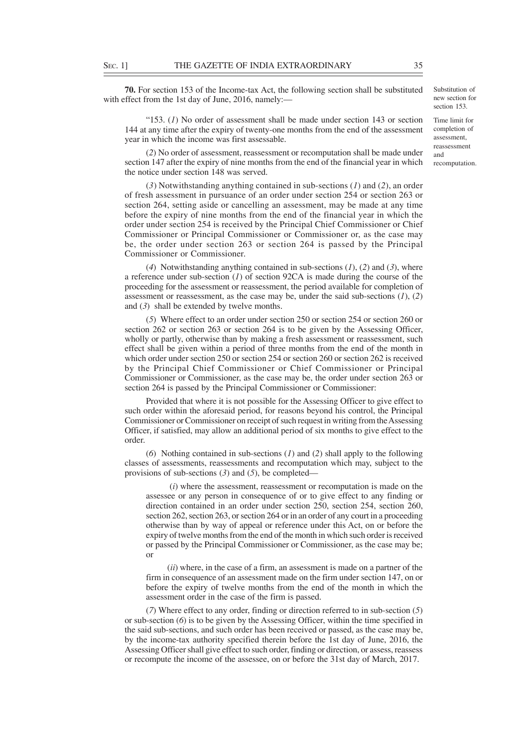**70.** For section 153 of the Income-tax Act, the following section shall be substituted with effect from the 1st day of June, 2016, namely:—

"153. (*1*) No order of assessment shall be made under section 143 or section 144 at any time after the expiry of twenty-one months from the end of the assessment year in which the income was first assessable.

(*2*) No order of assessment, reassessment or recomputation shall be made under section 147 after the expiry of nine months from the end of the financial year in which the notice under section 148 was served.

(*3*) Notwithstanding anything contained in sub-sections (*1*) and (*2*), an order of fresh assessment in pursuance of an order under section 254 or section 263 or section 264, setting aside or cancelling an assessment, may be made at any time before the expiry of nine months from the end of the financial year in which the order under section 254 is received by the Principal Chief Commissioner or Chief Commissioner or Principal Commissioner or Commissioner or, as the case may be, the order under section 263 or section 264 is passed by the Principal Commissioner or Commissioner.

(*4*) Notwithstanding anything contained in sub-sections (*1*), (*2*) and (*3*), where a reference under sub-section (*1*) of section 92CA is made during the course of the proceeding for the assessment or reassessment, the period available for completion of assessment or reassessment, as the case may be, under the said sub-sections (*1*), (*2*) and (*3*) shall be extended by twelve months.

(*5*) Where effect to an order under section 250 or section 254 or section 260 or section 262 or section 263 or section 264 is to be given by the Assessing Officer, wholly or partly, otherwise than by making a fresh assessment or reassessment, such effect shall be given within a period of three months from the end of the month in which order under section 250 or section 254 or section 260 or section 262 is received by the Principal Chief Commissioner or Chief Commissioner or Principal Commissioner or Commissioner, as the case may be, the order under section 263 or section 264 is passed by the Principal Commissioner or Commissioner:

Provided that where it is not possible for the Assessing Officer to give effect to such order within the aforesaid period, for reasons beyond his control, the Principal Commissioner or Commissioner on receipt of such request in writing from the Assessing Officer, if satisfied, may allow an additional period of six months to give effect to the order.

(*6*) Nothing contained in sub-sections (*1*) and (*2*) shall apply to the following classes of assessments, reassessments and recomputation which may, subject to the provisions of sub-sections (*3*) and (*5*), be completed—

 (*i*) where the assessment, reassessment or recomputation is made on the assessee or any person in consequence of or to give effect to any finding or direction contained in an order under section 250, section 254, section 260, section 262, section 263, or section 264 or in an order of any court in a proceeding otherwise than by way of appeal or reference under this Act, on or before the expiry of twelve months from the end of the month in which such order is received or passed by the Principal Commissioner or Commissioner, as the case may be; or

(*ii*) where, in the case of a firm, an assessment is made on a partner of the firm in consequence of an assessment made on the firm under section 147, on or before the expiry of twelve months from the end of the month in which the assessment order in the case of the firm is passed.

(*7*) Where effect to any order, finding or direction referred to in sub-section (*5*) or sub-section (*6*) is to be given by the Assessing Officer, within the time specified in the said sub-sections, and such order has been received or passed, as the case may be, by the income-tax authority specified therein before the 1st day of June, 2016, the Assessing Officer shall give effect to such order, finding or direction, or assess, reassess or recompute the income of the assessee, on or before the 31st day of March, 2017.

section 153. Time limit for completion of assessment,

Substitution of new section for

reassessment and recomputation.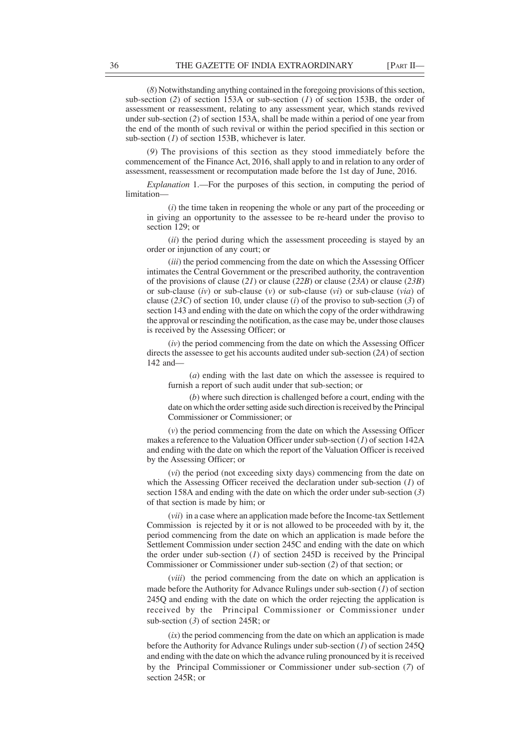(*8*) Notwithstanding anything contained in the foregoing provisions of this section, sub-section (*2*) of section 153A or sub-section (*1*) of section 153B, the order of assessment or reassessment, relating to any assessment year, which stands revived under sub-section (*2*) of section 153A, shall be made within a period of one year from the end of the month of such revival or within the period specified in this section or sub-section (*1*) of section 153B, whichever is later.

(*9*) The provisions of this section as they stood immediately before the commencement of the Finance Act, 2016, shall apply to and in relation to any order of assessment, reassessment or recomputation made before the 1st day of June, 2016.

*Explanation* 1.—For the purposes of this section, in computing the period of limitation—

(*i*) the time taken in reopening the whole or any part of the proceeding or in giving an opportunity to the assessee to be re-heard under the proviso to section 129; or

(*ii*) the period during which the assessment proceeding is stayed by an order or injunction of any court; or

(*iii*) the period commencing from the date on which the Assessing Officer intimates the Central Government or the prescribed authority, the contravention of the provisions of clause (*21*) or clause (*22B*) or clause (*23A*) or clause (*23B*) or sub-clause (*iv*) or sub-clause (*v*) or sub-clause (*vi*) or sub-clause (*via*) of clause (*23C*) of section 10, under clause (*i*) of the proviso to sub-section (*3*) of section 143 and ending with the date on which the copy of the order withdrawing the approval or rescinding the notification, as the case may be, under those clauses is received by the Assessing Officer; or

(*iv*) the period commencing from the date on which the Assessing Officer directs the assessee to get his accounts audited under sub-section (*2A*) of section 142 and—

(*a*) ending with the last date on which the assessee is required to furnish a report of such audit under that sub-section; or

(*b*) where such direction is challenged before a court, ending with the date on which the order setting aside such direction is received by the Principal Commissioner or Commissioner; or

(*v*) the period commencing from the date on which the Assessing Officer makes a reference to the Valuation Officer under sub-section (*1*) of section 142A and ending with the date on which the report of the Valuation Officer is received by the Assessing Officer; or

(*vi*) the period (not exceeding sixty days) commencing from the date on which the Assessing Officer received the declaration under sub-section (*1*) of section 158A and ending with the date on which the order under sub-section (*3*) of that section is made by him; or

(*vii*) in a case where an application made before the Income-tax Settlement Commission is rejected by it or is not allowed to be proceeded with by it, the period commencing from the date on which an application is made before the Settlement Commission under section 245C and ending with the date on which the order under sub-section (*1*) of section 245D is received by the Principal Commissioner or Commissioner under sub-section (*2*) of that section; or

(*viii*) the period commencing from the date on which an application is made before the Authority for Advance Rulings under sub-section (*1*) of section 245Q and ending with the date on which the order rejecting the application is received by the Principal Commissioner or Commissioner under sub-section (*3*) of section 245R; or

 $(ix)$  the period commencing from the date on which an application is made before the Authority for Advance Rulings under sub-section (*1*) of section 245Q and ending with the date on which the advance ruling pronounced by it is received by the Principal Commissioner or Commissioner under sub-section (*7*) of section 245R; or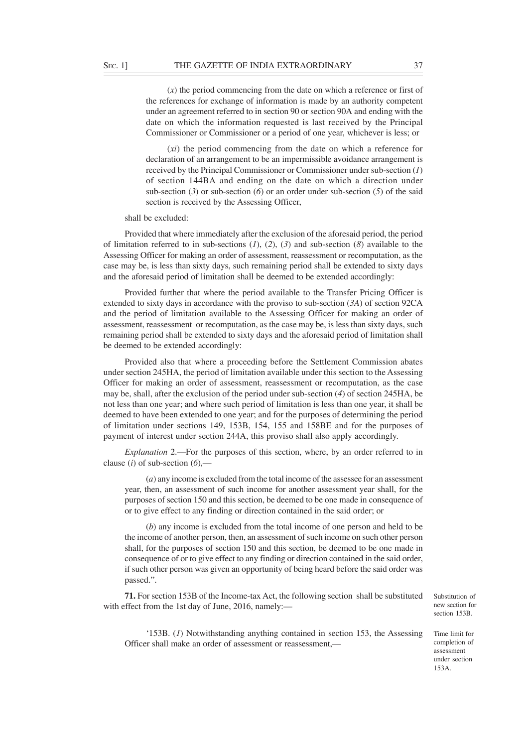(*x*) the period commencing from the date on which a reference or first of the references for exchange of information is made by an authority competent under an agreement referred to in section 90 or section 90A and ending with the date on which the information requested is last received by the Principal Commissioner or Commissioner or a period of one year, whichever is less; or

(*xi*) the period commencing from the date on which a reference for declaration of an arrangement to be an impermissible avoidance arrangement is received by the Principal Commissioner or Commissioner under sub-section (*1*) of section 144BA and ending on the date on which a direction under sub-section (*3*) or sub-section (*6*) or an order under sub-section (*5*) of the said section is received by the Assessing Officer,

### shall be excluded:

Provided that where immediately after the exclusion of the aforesaid period, the period of limitation referred to in sub-sections (*1*), (*2*), (*3*) and sub-section (*8*) available to the Assessing Officer for making an order of assessment, reassessment or recomputation, as the case may be, is less than sixty days, such remaining period shall be extended to sixty days and the aforesaid period of limitation shall be deemed to be extended accordingly:

Provided further that where the period available to the Transfer Pricing Officer is extended to sixty days in accordance with the proviso to sub-section (*3A*) of section 92CA and the period of limitation available to the Assessing Officer for making an order of assessment, reassessment or recomputation, as the case may be, is less than sixty days, such remaining period shall be extended to sixty days and the aforesaid period of limitation shall be deemed to be extended accordingly:

Provided also that where a proceeding before the Settlement Commission abates under section 245HA, the period of limitation available under this section to the Assessing Officer for making an order of assessment, reassessment or recomputation, as the case may be, shall, after the exclusion of the period under sub-section (*4*) of section 245HA, be not less than one year; and where such period of limitation is less than one year, it shall be deemed to have been extended to one year; and for the purposes of determining the period of limitation under sections 149, 153B, 154, 155 and 158BE and for the purposes of payment of interest under section 244A, this proviso shall also apply accordingly.

*Explanation* 2.—For the purposes of this section, where, by an order referred to in clause (*i*) of sub-section  $(6)$ ,—

(*a*) any income is excluded from the total income of the assessee for an assessment year, then, an assessment of such income for another assessment year shall, for the purposes of section 150 and this section, be deemed to be one made in consequence of or to give effect to any finding or direction contained in the said order; or

(*b*) any income is excluded from the total income of one person and held to be the income of another person, then, an assessment of such income on such other person shall, for the purposes of section 150 and this section, be deemed to be one made in consequence of or to give effect to any finding or direction contained in the said order, if such other person was given an opportunity of being heard before the said order was passed.".

**71.** For section 153B of the Income-tax Act, the following section shall be substituted with effect from the 1st day of June, 2016, namely:—

Substitution of new section for section 153B.

'153B. (*1*) Notwithstanding anything contained in section 153, the Assessing Officer shall make an order of assessment or reassessment,—

Time limit for completion of assessment under section 153A.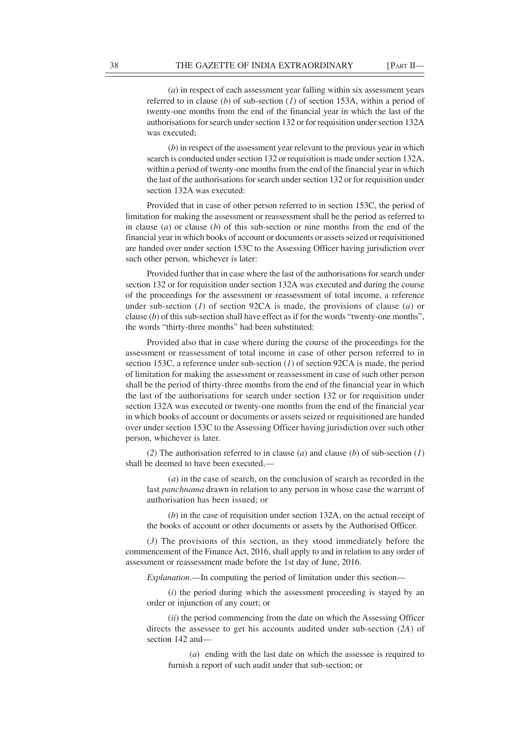(*a*) in respect of each assessment year falling within six assessment years referred to in clause (*b*) of sub-section (*1*) of section 153A, within a period of twenty-one months from the end of the financial year in which the last of the authorisations for search under section 132 or for requisition under section 132A was executed;

(*b*) in respect of the assessment year relevant to the previous year in which search is conducted under section 132 or requisition is made under section 132A, within a period of twenty-one months from the end of the financial year in which the last of the authorisations for search under section 132 or for requisition under section 132A was executed:

Provided that in case of other person referred to in section 153C, the period of limitation for making the assessment or reassessment shall be the period as referred to in clause (*a*) or clause (*b*) of this sub-section or nine months from the end of the financial year in which books of account or documents or assets seized or requisitioned are handed over under section 153C to the Assessing Officer having jurisdiction over such other person, whichever is later:

Provided further that in case where the last of the authorisations for search under section 132 or for requisition under section 132A was executed and during the course of the proceedings for the assessment or reassessment of total income, a reference under sub-section (*1*) of section 92CA is made, the provisions of clause (*a*) or clause (*b*) of this sub-section shall have effect as if for the words "twenty-one months", the words "thirty-three months" had been substituted:

Provided also that in case where during the course of the proceedings for the assessment or reassessment of total income in case of other person referred to in section 153C, a reference under sub-section (*1*) of section 92CA is made, the period of limitation for making the assessment or reassessment in case of such other person shall be the period of thirty-three months from the end of the financial year in which the last of the authorisations for search under section 132 or for requisition under section 132A was executed or twenty-one months from the end of the financial year in which books of account or documents or assets seized or requisitioned are handed over under section 153C to the Assessing Officer having jurisdiction over such other person, whichever is later.

(*2*) The authorisation referred to in clause (*a*) and clause (*b*) of sub-section (*1*) shall be deemed to have been executed,—

(*a*) in the case of search, on the conclusion of search as recorded in the last *panchnama* drawn in relation to any person in whose case the warrant of authorisation has been issued; or

(*b*) in the case of requisition under section 132A, on the actual receipt of the books of account or other documents or assets by the Authorised Officer.

(*3*) The provisions of this section, as they stood immediately before the commencement of the Finance Act, 2016, shall apply to and in relation to any order of assessment or reassessment made before the 1st day of June, 2016.

*Explanation*.—In computing the period of limitation under this section—

(*i*) the period during which the assessment proceeding is stayed by an order or injunction of any court; or

(*ii*) the period commencing from the date on which the Assessing Officer directs the assessee to get his accounts audited under sub-section (*2A*) of section 142 and—

(*a*) ending with the last date on which the assessee is required to furnish a report of such audit under that sub-section; or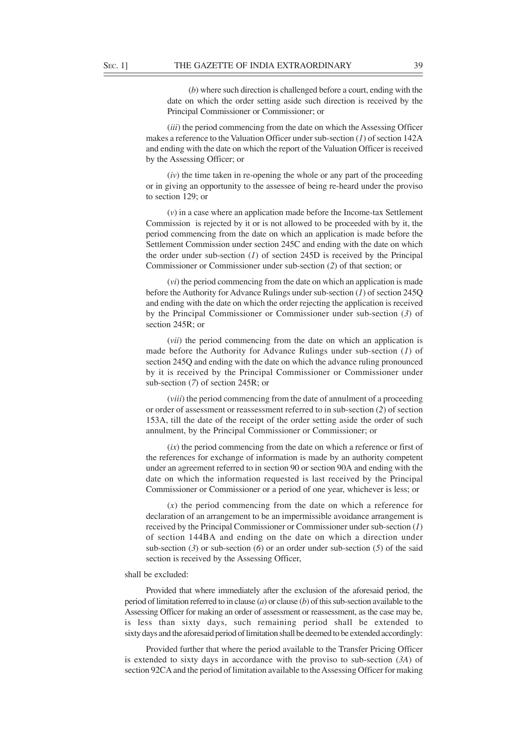(*b*) where such direction is challenged before a court, ending with the date on which the order setting aside such direction is received by the Principal Commissioner or Commissioner; or

(*iii*) the period commencing from the date on which the Assessing Officer makes a reference to the Valuation Officer under sub-section (*1*) of section 142A and ending with the date on which the report of the Valuation Officer is received by the Assessing Officer; or

(*iv*) the time taken in re-opening the whole or any part of the proceeding or in giving an opportunity to the assessee of being re-heard under the proviso to section 129; or

(*v*) in a case where an application made before the Income-tax Settlement Commission is rejected by it or is not allowed to be proceeded with by it, the period commencing from the date on which an application is made before the Settlement Commission under section 245C and ending with the date on which the order under sub-section (*1*) of section 245D is received by the Principal Commissioner or Commissioner under sub-section (*2*) of that section; or

(*vi*) the period commencing from the date on which an application is made before the Authority for Advance Rulings under sub-section (*1*) of section 245Q and ending with the date on which the order rejecting the application is received by the Principal Commissioner or Commissioner under sub-section (*3*) of section 245R; or

(*vii*) the period commencing from the date on which an application is made before the Authority for Advance Rulings under sub-section (*1*) of section 245Q and ending with the date on which the advance ruling pronounced by it is received by the Principal Commissioner or Commissioner under sub-section (*7*) of section 245R; or

(*viii*) the period commencing from the date of annulment of a proceeding or order of assessment or reassessment referred to in sub-section (*2*) of section 153A, till the date of the receipt of the order setting aside the order of such annulment, by the Principal Commissioner or Commissioner; or

(*ix*) the period commencing from the date on which a reference or first of the references for exchange of information is made by an authority competent under an agreement referred to in section 90 or section 90A and ending with the date on which the information requested is last received by the Principal Commissioner or Commissioner or a period of one year, whichever is less; or

(*x*) the period commencing from the date on which a reference for declaration of an arrangement to be an impermissible avoidance arrangement is received by the Principal Commissioner or Commissioner under sub-section (*1*) of section 144BA and ending on the date on which a direction under sub-section (*3*) or sub-section (*6*) or an order under sub-section (*5*) of the said section is received by the Assessing Officer,

### shall be excluded:

Provided that where immediately after the exclusion of the aforesaid period, the period of limitation referred to in clause (*a*) or clause (*b*) of this sub-section available to the Assessing Officer for making an order of assessment or reassessment, as the case may be, is less than sixty days, such remaining period shall be extended to sixty days and the aforesaid period of limitation shall be deemed to be extended accordingly:

Provided further that where the period available to the Transfer Pricing Officer is extended to sixty days in accordance with the proviso to sub-section (*3A*) of section 92CA and the period of limitation available to the Assessing Officer for making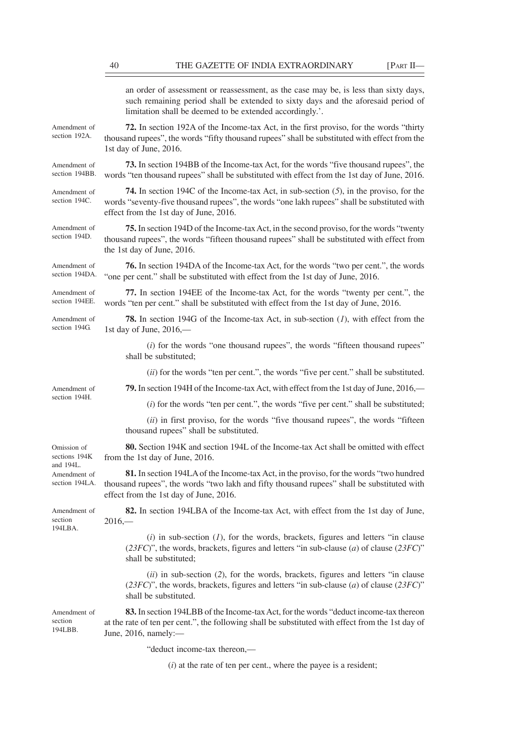|                                                                             | an order of assessment or reassessment, as the case may be, is less than sixty days,<br>such remaining period shall be extended to sixty days and the aforesaid period of<br>limitation shall be deemed to be extended accordingly.'.     |
|-----------------------------------------------------------------------------|-------------------------------------------------------------------------------------------------------------------------------------------------------------------------------------------------------------------------------------------|
| Amendment of<br>section 192A.                                               | <b>72.</b> In section 192A of the Income-tax Act, in the first proviso, for the words "thirty"<br>thousand rupees", the words "fifty thousand rupees" shall be substituted with effect from the<br>1st day of June, 2016.                 |
| Amendment of<br>section 194BB.                                              | <b>73.</b> In section 194BB of the Income-tax Act, for the words "five thousand rupees", the<br>words "ten thousand rupees" shall be substituted with effect from the 1st day of June, 2016.                                              |
| Amendment of<br>section 194C.                                               | <b>74.</b> In section 194C of the Income-tax Act, in sub-section $(5)$ , in the proviso, for the<br>words "seventy-five thousand rupees", the words "one lakh rupees" shall be substituted with<br>effect from the 1st day of June, 2016. |
| Amendment of<br>section 194D.                                               | 75. In section 194D of the Income-tax Act, in the second proviso, for the words "twenty"<br>thousand rupees", the words "fifteen thousand rupees" shall be substituted with effect from<br>the 1st day of June, 2016.                     |
| Amendment of<br>section 194DA.                                              | <b>76.</b> In section 194DA of the Income-tax Act, for the words "two per cent.", the words<br>"one per cent." shall be substituted with effect from the 1st day of June, 2016.                                                           |
| Amendment of<br>section 194EE.                                              | 77. In section 194EE of the Income-tax Act, for the words "twenty per cent.", the<br>words "ten per cent." shall be substituted with effect from the 1st day of June, 2016.                                                               |
| Amendment of<br>section 194G.                                               | <b>78.</b> In section 194G of the Income-tax Act, in sub-section $(I)$ , with effect from the<br>1st day of June, 2016,—                                                                                                                  |
|                                                                             | $(i)$ for the words "one thousand rupees", the words "fifteen thousand rupees"<br>shall be substituted;                                                                                                                                   |
|                                                                             | (ii) for the words "ten per cent.", the words "five per cent." shall be substituted.                                                                                                                                                      |
| Amendment of                                                                | 79. In section 194H of the Income-tax Act, with effect from the 1st day of June, 2016,—                                                                                                                                                   |
| section 194H.                                                               | $(i)$ for the words "ten per cent.", the words "five per cent." shall be substituted;                                                                                                                                                     |
|                                                                             | (ii) in first proviso, for the words "five thousand rupees", the words "fifteen<br>thousand rupees" shall be substituted.                                                                                                                 |
| Omission of<br>sections 194K<br>and 194L.<br>Amendment of<br>section 194LA. | 80. Section 194K and section 194L of the Income-tax Act shall be omitted with effect<br>from the 1st day of June, 2016.                                                                                                                   |
|                                                                             | 81. In section 194LA of the Income-tax Act, in the proviso, for the words "two hundred"<br>thousand rupees", the words "two lakh and fifty thousand rupees" shall be substituted with<br>effect from the 1st day of June, 2016.           |
| Amendment of<br>section<br>194LBA.                                          | 82. In section 194LBA of the Income-tax Act, with effect from the 1st day of June,<br>$2016, -$                                                                                                                                           |
|                                                                             | $(i)$ in sub-section $(I)$ , for the words, brackets, figures and letters "in clause<br>$(23FC)$ ", the words, brackets, figures and letters "in sub-clause (a) of clause (23FC)"<br>shall be substituted;                                |
|                                                                             | $(ii)$ in sub-section (2), for the words, brackets, figures and letters "in clause<br>$(23FC)$ ", the words, brackets, figures and letters "in sub-clause (a) of clause (23FC)"<br>shall be substituted.                                  |
| Amendment of<br>section<br>194LBB.                                          | 83. In section 194LBB of the Income-tax Act, for the words "deduct income-tax thereon<br>at the rate of ten per cent.", the following shall be substituted with effect from the 1st day of<br>June, 2016, namely:-                        |
|                                                                             | "deduct income-tax thereon,-                                                                                                                                                                                                              |

(*i*) at the rate of ten per cent., where the payee is a resident;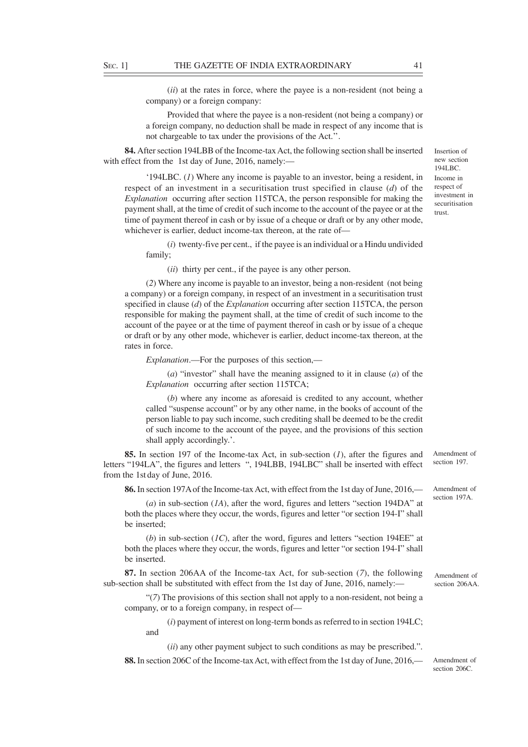(*ii*) at the rates in force, where the payee is a non-resident (not being a company) or a foreign company:

Provided that where the payee is a non-resident (not being a company) or a foreign company, no deduction shall be made in respect of any income that is not chargeable to tax under the provisions of the Act.''.

**84.** After section 194LBB of the Income-tax Act, the following section shall be inserted with effect from the 1st day of June, 2016, namely:—

'194LBC. (*1*) Where any income is payable to an investor, being a resident, in respect of an investment in a securitisation trust specified in clause (*d*) of the *Explanation* occurring after section 115TCA, the person responsible for making the payment shall, at the time of credit of such income to the account of the payee or at the time of payment thereof in cash or by issue of a cheque or draft or by any other mode, whichever is earlier, deduct income-tax thereon, at the rate of-

(*i*) twenty-five per cent., if the payee is an individual or a Hindu undivided family;

(*ii*) thirty per cent., if the payee is any other person.

(*2*) Where any income is payable to an investor, being a non-resident (not being a company) or a foreign company, in respect of an investment in a securitisation trust specified in clause (*d*) of the *Explanation* occurring after section 115TCA, the person responsible for making the payment shall, at the time of credit of such income to the account of the payee or at the time of payment thereof in cash or by issue of a cheque or draft or by any other mode, whichever is earlier, deduct income-tax thereon, at the rates in force.

*Explanation*.—For the purposes of this section,—

(*a*) "investor" shall have the meaning assigned to it in clause (*a*) of the *Explanation* occurring after section 115TCA;

(*b*) where any income as aforesaid is credited to any account, whether called "suspense account" or by any other name, in the books of account of the person liable to pay such income, such crediting shall be deemed to be the credit of such income to the account of the payee, and the provisions of this section shall apply accordingly.'.

**85.** In section 197 of the Income-tax Act, in sub-section (*1*), after the figures and letters "194LA", the figures and letters ", 194LBB, 194LBC" shall be inserted with effect from the 1st day of June, 2016. Amendment of section 197.

**86.** In section 197A of the Income-tax Act, with effect from the 1st day of June, 2016,—

(*a*) in sub-section (*1A*), after the word, figures and letters "section 194DA" at both the places where they occur, the words, figures and letter "or section 194-I" shall be inserted;

(*b*) in sub-section (*1C*), after the word, figures and letters "section 194EE" at both the places where they occur, the words, figures and letter "or section 194-I" shall be inserted.

**87.** In section 206AA of the Income-tax Act, for sub-section (*7*), the following sub-section shall be substituted with effect from the 1st day of June, 2016, namely:—

"(*7*) The provisions of this section shall not apply to a non-resident, not being a company, or to a foreign company, in respect of—

(*i*) payment of interest on long-term bonds as referred to in section 194LC; and

(*ii*) any other payment subject to such conditions as may be prescribed.".

**88.** In section 206C of the Income-tax Act, with effect from the 1st day of June, 2016,—

Amendment of section 206C.

section 197A.

Amendment of

Amendment of section 206AA.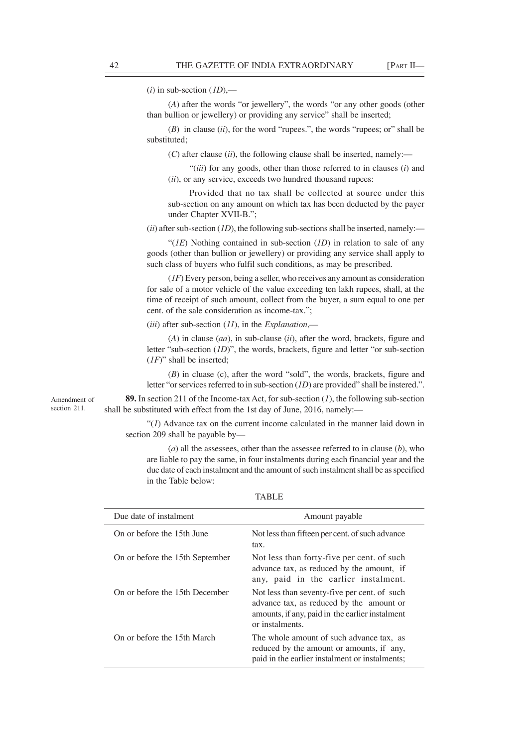$(i)$  in sub-section  $(ID)$ ,—

(*A*) after the words "or jewellery", the words "or any other goods (other than bullion or jewellery) or providing any service" shall be inserted;

(*B*) in clause (*ii*), for the word "rupees.", the words "rupees; or" shall be substituted;

(*C*) after clause (*ii*), the following clause shall be inserted, namely:—

"(*iii*) for any goods, other than those referred to in clauses (*i*) and (*ii*), or any service, exceeds two hundred thousand rupees:

Provided that no tax shall be collected at source under this sub-section on any amount on which tax has been deducted by the payer under Chapter XVII-B.";

 $(iii)$  after sub-section  $(1D)$ , the following sub-sections shall be inserted, namely:—

"(*1E*) Nothing contained in sub-section (*1D*) in relation to sale of any goods (other than bullion or jewellery) or providing any service shall apply to such class of buyers who fulfil such conditions, as may be prescribed.

(*1F*) Every person, being a seller, who receives any amount as consideration for sale of a motor vehicle of the value exceeding ten lakh rupees, shall, at the time of receipt of such amount, collect from the buyer, a sum equal to one per cent. of the sale consideration as income-tax.";

(*iii*) after sub-section (*11*), in the *Explanation*,—

(*A*) in clause (*aa*), in sub-clause (*ii*), after the word, brackets, figure and letter "sub-section (*1D*)", the words, brackets, figure and letter "or sub-section (*1F*)" shall be inserted;

(*B*) in cluase (c), after the word "sold", the words, brackets, figure and letter "or services referred to in sub-section (*1D*) are provided" shall be instered.".

**89.** In section 211 of the Income-tax Act, for sub-section (*1*), the following sub-section shall be substituted with effect from the 1st day of June, 2016, namely:—

 $''(1)$  Advance tax on the current income calculated in the manner laid down in section 209 shall be payable by—

(*a*) all the assessees, other than the assessee referred to in clause (*b*), who are liable to pay the same, in four instalments during each financial year and the due date of each instalment and the amount of such instalment shall be as specified in the Table below:

TABLE

| Due date of instalment          | Amount payable                                                                                                                                                 |
|---------------------------------|----------------------------------------------------------------------------------------------------------------------------------------------------------------|
| On or before the 15th June      | Not less than fifteen per cent. of such advance<br>tax.                                                                                                        |
| On or before the 15th September | Not less than forty-five per cent. of such<br>advance tax, as reduced by the amount, if<br>any, paid in the earlier instalment.                                |
| On or before the 15th December  | Not less than seventy-five per cent. of such<br>advance tax, as reduced by the amount or<br>amounts, if any, paid in the earlier instalment<br>or instalments. |
| On or before the 15th March     | The whole amount of such advance tax, as<br>reduced by the amount or amounts, if any,<br>paid in the earlier instalment or instalments;                        |

Amendment of

section 211.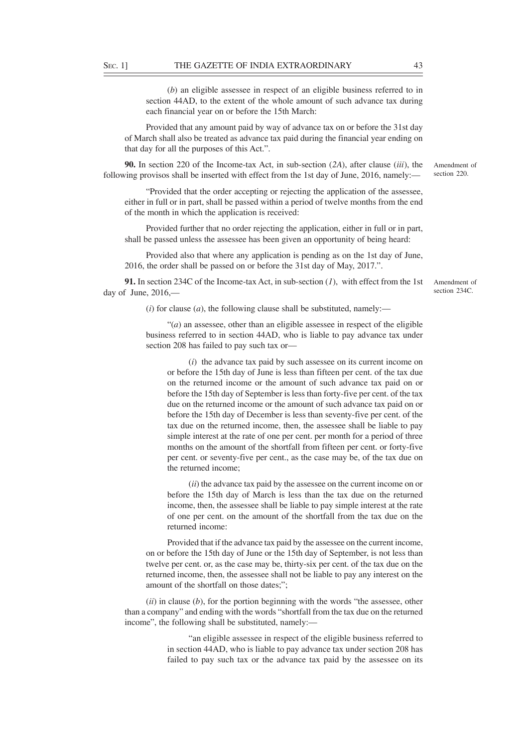(*b*) an eligible assessee in respect of an eligible business referred to in section 44AD, to the extent of the whole amount of such advance tax during each financial year on or before the 15th March:

Provided that any amount paid by way of advance tax on or before the 31st day of March shall also be treated as advance tax paid during the financial year ending on that day for all the purposes of this Act.".

**90.** In section 220 of the Income-tax Act, in sub-section (*2A*), after clause (*iii*), the following provisos shall be inserted with effect from the 1st day of June, 2016, namely:—

"Provided that the order accepting or rejecting the application of the assessee, either in full or in part, shall be passed within a period of twelve months from the end of the month in which the application is received:

Provided further that no order rejecting the application, either in full or in part, shall be passed unless the assessee has been given an opportunity of being heard:

Provided also that where any application is pending as on the 1st day of June, 2016, the order shall be passed on or before the 31st day of May, 2017.".

**91.** In section 234C of the Income-tax Act, in sub-section (*1*), with effect from the 1st day of June, 2016,—

Amendment of section 234C.

Amendment of section 220.

 $(i)$  for clause  $(a)$ , the following clause shall be substituted, namely:—

 $\cdot(a)$  an assessee, other than an eligible assessee in respect of the eligible business referred to in section 44AD, who is liable to pay advance tax under section 208 has failed to pay such tax or—

(*i*) the advance tax paid by such assessee on its current income on or before the 15th day of June is less than fifteen per cent. of the tax due on the returned income or the amount of such advance tax paid on or before the 15th day of September is less than forty-five per cent. of the tax due on the returned income or the amount of such advance tax paid on or before the 15th day of December is less than seventy-five per cent. of the tax due on the returned income, then, the assessee shall be liable to pay simple interest at the rate of one per cent. per month for a period of three months on the amount of the shortfall from fifteen per cent. or forty-five per cent. or seventy-five per cent., as the case may be, of the tax due on the returned income;

(*ii*) the advance tax paid by the assessee on the current income on or before the 15th day of March is less than the tax due on the returned income, then, the assessee shall be liable to pay simple interest at the rate of one per cent. on the amount of the shortfall from the tax due on the returned income:

Provided that if the advance tax paid by the assessee on the current income, on or before the 15th day of June or the 15th day of September, is not less than twelve per cent. or, as the case may be, thirty-six per cent. of the tax due on the returned income, then, the assessee shall not be liable to pay any interest on the amount of the shortfall on those dates;";

(*ii*) in clause (*b*), for the portion beginning with the words "the assessee, other than a company" and ending with the words "shortfall from the tax due on the returned income", the following shall be substituted, namely:—

> "an eligible assessee in respect of the eligible business referred to in section 44AD, who is liable to pay advance tax under section 208 has failed to pay such tax or the advance tax paid by the assessee on its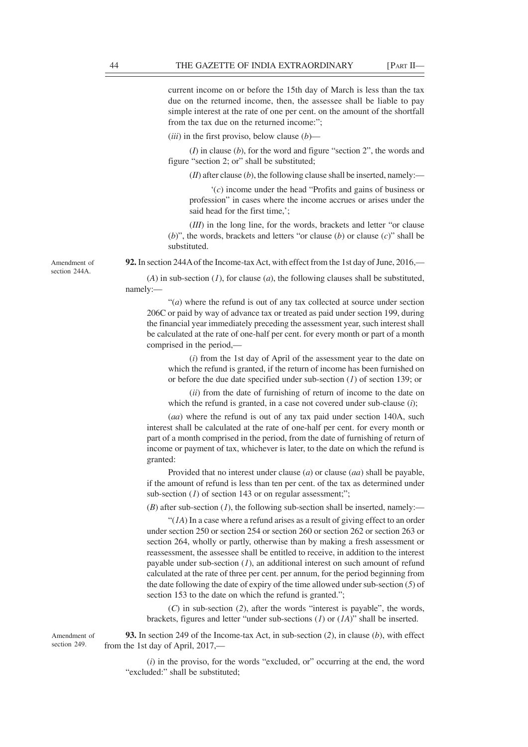current income on or before the 15th day of March is less than the tax due on the returned income, then, the assessee shall be liable to pay simple interest at the rate of one per cent. on the amount of the shortfall from the tax due on the returned income:";

(*iii*) in the first proviso, below clause (*b*)—

(*I*) in clause (*b*), for the word and figure "section 2", the words and figure "section 2; or" shall be substituted;

 $(II)$  after clause  $(b)$ , the following clause shall be inserted, namely:—

'(*c*) income under the head "Profits and gains of business or profession" in cases where the income accrues or arises under the said head for the first time,';

(*III*) in the long line, for the words, brackets and letter "or clause (*b*)", the words, brackets and letters "or clause (*b*) or clause (*c*)" shall be substituted.

**92.** In section 244A of the Income-tax Act, with effect from the 1st day of June, 2016,—

(*A*) in sub-section (*1*), for clause (*a*), the following clauses shall be substituted, namely:—

"(*a*) where the refund is out of any tax collected at source under section 206C or paid by way of advance tax or treated as paid under section 199, during the financial year immediately preceding the assessment year, such interest shall be calculated at the rate of one-half per cent. for every month or part of a month comprised in the period,—

(*i*) from the 1st day of April of the assessment year to the date on which the refund is granted, if the return of income has been furnished on or before the due date specified under sub-section (*1*) of section 139; or

(*ii*) from the date of furnishing of return of income to the date on which the refund is granted, in a case not covered under sub-clause (*i*);

(*aa*) where the refund is out of any tax paid under section 140A, such interest shall be calculated at the rate of one-half per cent. for every month or part of a month comprised in the period, from the date of furnishing of return of income or payment of tax, whichever is later, to the date on which the refund is granted:

Provided that no interest under clause (*a*) or clause (*aa*) shall be payable, if the amount of refund is less than ten per cent. of the tax as determined under sub-section (*1*) of section 143 or on regular assessment;";

(*B*) after sub-section (*1*), the following sub-section shall be inserted, namely:—

"(*1A*) In a case where a refund arises as a result of giving effect to an order under section 250 or section 254 or section 260 or section 262 or section 263 or section 264, wholly or partly, otherwise than by making a fresh assessment or reassessment, the assessee shall be entitled to receive, in addition to the interest payable under sub-section (*1*), an additional interest on such amount of refund calculated at the rate of three per cent. per annum, for the period beginning from the date following the date of expiry of the time allowed under sub-section (*5*) of section 153 to the date on which the refund is granted.";

(*C*) in sub-section (*2*), after the words "interest is payable", the words, brackets, figures and letter "under sub-sections (*1*) or (*1A*)" shall be inserted.

**93.** In section 249 of the Income-tax Act, in sub-section (*2*), in clause (*b*), with effect from the 1st day of April, 2017,—

(*i*) in the proviso, for the words "excluded, or" occurring at the end, the word "excluded:" shall be substituted;

Amendment of section 249.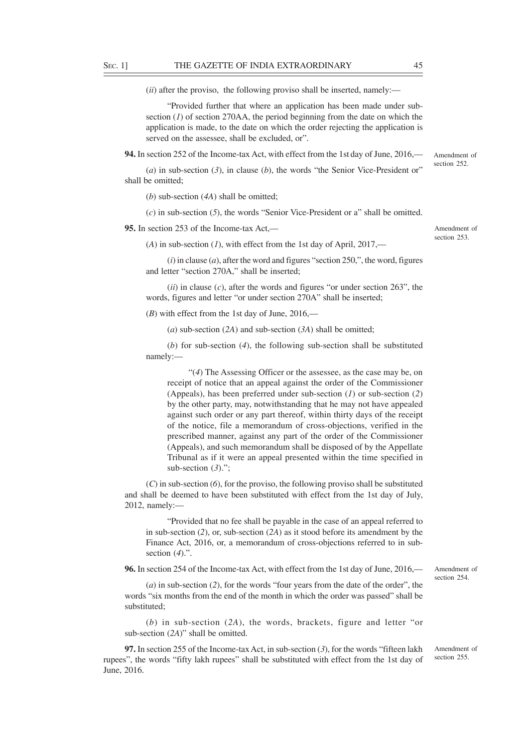(*ii*) after the proviso, the following proviso shall be inserted, namely:—

"Provided further that where an application has been made under subsection  $(I)$  of section 270AA, the period beginning from the date on which the application is made, to the date on which the order rejecting the application is served on the assessee, shall be excluded, or".

**94.** In section 252 of the Income-tax Act, with effect from the 1st day of June, 2016,—

(*a*) in sub-section (*3*), in clause (*b*), the words "the Senior Vice-President or" shall be omitted;

(*b*) sub-section (*4A*) shall be omitted;

(*c*) in sub-section (*5*), the words "Senior Vice-President or a" shall be omitted.

**95.** In section 253 of the Income-tax Act,—

(*A*) in sub-section (*1*), with effect from the 1st day of April, 2017,—

(*i*) in clause (*a*), after the word and figures "section 250,", the word, figures and letter "section 270A," shall be inserted;

(*ii*) in clause (*c*), after the words and figures "or under section 263", the words, figures and letter "or under section 270A" shall be inserted;

(*B*) with effect from the 1st day of June, 2016,—

(*a*) sub-section (*2A*) and sub-section (*3A*) shall be omitted;

(*b*) for sub-section (*4*), the following sub-section shall be substituted namely:—

"(*4*) The Assessing Officer or the assessee, as the case may be, on receipt of notice that an appeal against the order of the Commissioner (Appeals), has been preferred under sub-section (*1*) or sub-section (*2*) by the other party, may, notwithstanding that he may not have appealed against such order or any part thereof, within thirty days of the receipt of the notice, file a memorandum of cross-objections, verified in the prescribed manner, against any part of the order of the Commissioner (Appeals), and such memorandum shall be disposed of by the Appellate Tribunal as if it were an appeal presented within the time specified in sub-section (*3*).";

(*C*) in sub-section (*6*), for the proviso, the following proviso shall be substituted and shall be deemed to have been substituted with effect from the 1st day of July, 2012, namely:—

"Provided that no fee shall be payable in the case of an appeal referred to in sub-section (*2*), or, sub-section (*2A*) as it stood before its amendment by the Finance Act, 2016, or, a memorandum of cross-objections referred to in subsection (*4*).".

**96.** In section 254 of the Income-tax Act, with effect from the 1st day of June, 2016,—

(*a*) in sub-section (*2*), for the words "four years from the date of the order", the words "six months from the end of the month in which the order was passed" shall be substituted;

(*b*) in sub-section (*2A*), the words, brackets, figure and letter "or sub-section (*2A*)" shall be omitted.

**97.** In section 255 of the Income-tax Act, in sub-section (*3*), for the words "fifteen lakh rupees", the words "fifty lakh rupees" shall be substituted with effect from the 1st day of June, 2016.

Amendment of section 254.

Amendment of section 255.

Amendment of section 252.

Amendment of section 253.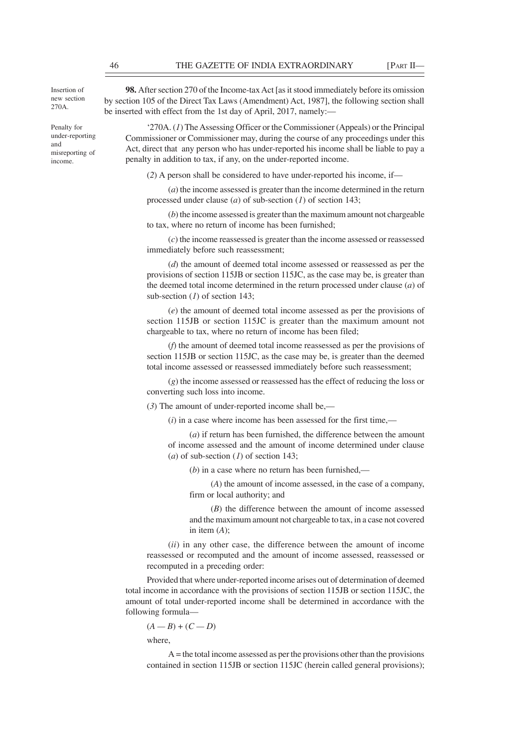Insertion of new section 270A.

Penalty for under-reporting and misreporting of income.

**98.** After section 270 of the Income-tax Act [as it stood immediately before its omission by section 105 of the Direct Tax Laws (Amendment) Act, 1987], the following section shall be inserted with effect from the 1st day of April, 2017, namely:—

'270A. (*1*) The Assessing Officer or the Commissioner (Appeals) or the Principal Commissioner or Commissioner may, during the course of any proceedings under this Act, direct that any person who has under-reported his income shall be liable to pay a penalty in addition to tax, if any, on the under-reported income.

(*2*) A person shall be considered to have under-reported his income, if—

(*a*) the income assessed is greater than the income determined in the return processed under clause (*a*) of sub-section (*1*) of section 143;

(*b*) the income assessed is greater than the maximum amount not chargeable to tax, where no return of income has been furnished;

(*c*) the income reassessed is greater than the income assessed or reassessed immediately before such reassessment;

(*d*) the amount of deemed total income assessed or reassessed as per the provisions of section 115JB or section 115JC, as the case may be, is greater than the deemed total income determined in the return processed under clause (*a*) of sub-section (*1*) of section 143;

(*e*) the amount of deemed total income assessed as per the provisions of section 115JB or section 115JC is greater than the maximum amount not chargeable to tax, where no return of income has been filed;

(*f*) the amount of deemed total income reassessed as per the provisions of section 115JB or section 115JC, as the case may be, is greater than the deemed total income assessed or reassessed immediately before such reassessment;

(*g*) the income assessed or reassessed has the effect of reducing the loss or converting such loss into income.

(*3*) The amount of under-reported income shall be,—

(*i*) in a case where income has been assessed for the first time,—

(*a*) if return has been furnished, the difference between the amount of income assessed and the amount of income determined under clause (*a*) of sub-section (*1*) of section 143;

(*b*) in a case where no return has been furnished,—

(*A*) the amount of income assessed, in the case of a company, firm or local authority; and

(*B*) the difference between the amount of income assessed and the maximum amount not chargeable to tax, in a case not covered in item (*A*);

(*ii*) in any other case, the difference between the amount of income reassessed or recomputed and the amount of income assessed, reassessed or recomputed in a preceding order:

Provided that where under-reported income arises out of determination of deemed total income in accordance with the provisions of section 115JB or section 115JC, the amount of total under-reported income shall be determined in accordance with the following formula—

$$
(A - B) + (C - D)
$$

where,

 $A =$  the total income assessed as per the provisions other than the provisions contained in section 115JB or section 115JC (herein called general provisions);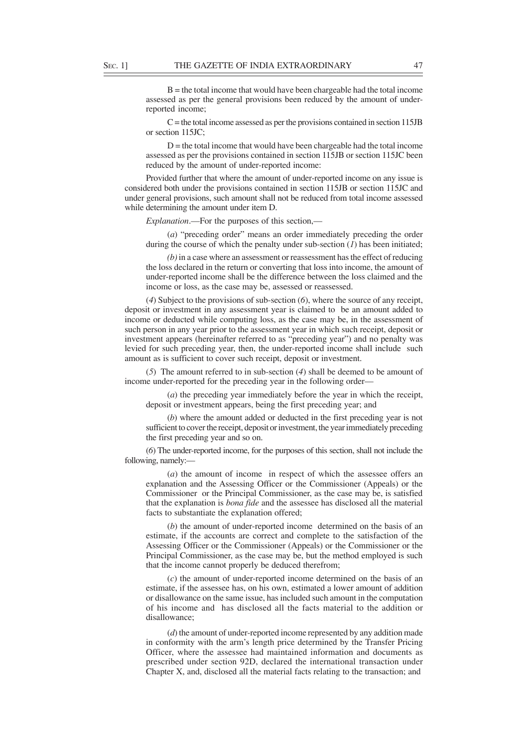$B =$  the total income that would have been chargeable had the total income assessed as per the general provisions been reduced by the amount of underreported income;

 $C$  = the total income assessed as per the provisions contained in section 115JB or section 115JC;

 $D =$  the total income that would have been chargeable had the total income assessed as per the provisions contained in section 115JB or section 115JC been reduced by the amount of under-reported income:

Provided further that where the amount of under-reported income on any issue is considered both under the provisions contained in section 115JB or section 115JC and under general provisions, such amount shall not be reduced from total income assessed while determining the amount under item D.

*Explanation*.—For the purposes of this section,—

(*a*) "preceding order" means an order immediately preceding the order during the course of which the penalty under sub-section (*1*) has been initiated;

*(b)* in a case where an assessment or reassessment has the effect of reducing the loss declared in the return or converting that loss into income, the amount of under-reported income shall be the difference between the loss claimed and the income or loss, as the case may be, assessed or reassessed.

(*4*) Subject to the provisions of sub-section (*6*), where the source of any receipt, deposit or investment in any assessment year is claimed to be an amount added to income or deducted while computing loss, as the case may be, in the assessment of such person in any year prior to the assessment year in which such receipt, deposit or investment appears (hereinafter referred to as "preceding year") and no penalty was levied for such preceding year, then, the under-reported income shall include such amount as is sufficient to cover such receipt, deposit or investment.

(*5*) The amount referred to in sub-section (*4*) shall be deemed to be amount of income under-reported for the preceding year in the following order—

(*a*) the preceding year immediately before the year in which the receipt, deposit or investment appears, being the first preceding year; and

(*b*) where the amount added or deducted in the first preceding year is not sufficient to cover the receipt, deposit or investment, the year immediately preceding the first preceding year and so on.

(*6*) The under-reported income, for the purposes of this section, shall not include the following, namely:—

(*a*) the amount of income in respect of which the assessee offers an explanation and the Assessing Officer or the Commissioner (Appeals) or the Commissioner or the Principal Commissioner, as the case may be, is satisfied that the explanation is *bona fide* and the assessee has disclosed all the material facts to substantiate the explanation offered;

(*b*) the amount of under-reported income determined on the basis of an estimate, if the accounts are correct and complete to the satisfaction of the Assessing Officer or the Commissioner (Appeals) or the Commissioner or the Principal Commissioner, as the case may be, but the method employed is such that the income cannot properly be deduced therefrom;

(*c*) the amount of under-reported income determined on the basis of an estimate, if the assessee has, on his own, estimated a lower amount of addition or disallowance on the same issue, has included such amount in the computation of his income and has disclosed all the facts material to the addition or disallowance;

(*d*) the amount of under-reported income represented by any addition made in conformity with the arm's length price determined by the Transfer Pricing Officer, where the assessee had maintained information and documents as prescribed under section 92D, declared the international transaction under Chapter X, and, disclosed all the material facts relating to the transaction; and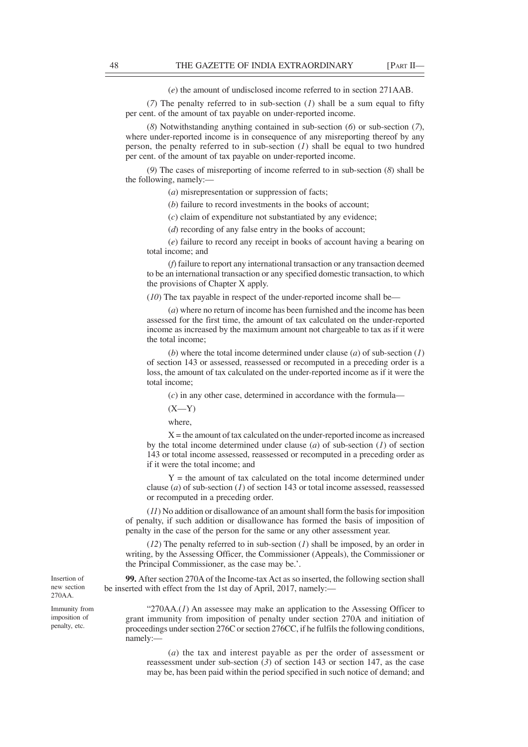(*e*) the amount of undisclosed income referred to in section 271AAB.

(*7*) The penalty referred to in sub-section (*1*) shall be a sum equal to fifty per cent. of the amount of tax payable on under-reported income.

(*8*) Notwithstanding anything contained in sub-section (*6*) or sub-section (*7*), where under-reported income is in consequence of any misreporting thereof by any person, the penalty referred to in sub-section (*1*) shall be equal to two hundred per cent. of the amount of tax payable on under-reported income.

(*9*) The cases of misreporting of income referred to in sub-section (*8*) shall be the following, namely:—

(*a*) misrepresentation or suppression of facts;

(*b*) failure to record investments in the books of account;

(*c*) claim of expenditure not substantiated by any evidence;

(*d*) recording of any false entry in the books of account;

(*e*) failure to record any receipt in books of account having a bearing on total income; and

(*f*) failure to report any international transaction or any transaction deemed to be an international transaction or any specified domestic transaction, to which the provisions of Chapter X apply.

(*10*) The tax payable in respect of the under-reported income shall be—

(*a*) where no return of income has been furnished and the income has been assessed for the first time, the amount of tax calculated on the under-reported income as increased by the maximum amount not chargeable to tax as if it were the total income;

(*b*) where the total income determined under clause (*a*) of sub-section (*1*) of section 143 or assessed, reassessed or recomputed in a preceding order is a loss, the amount of tax calculated on the under-reported income as if it were the total income;

(*c*) in any other case, determined in accordance with the formula—

 $(X-Y)$ 

where,

 $X =$  the amount of tax calculated on the under-reported income as increased by the total income determined under clause (*a*) of sub-section (*1*) of section 143 or total income assessed, reassessed or recomputed in a preceding order as if it were the total income; and

 $Y =$  the amount of tax calculated on the total income determined under clause (*a*) of sub-section (*1*) of section 143 or total income assessed, reassessed or recomputed in a preceding order.

(*11*) No addition or disallowance of an amount shall form the basis for imposition of penalty, if such addition or disallowance has formed the basis of imposition of penalty in the case of the person for the same or any other assessment year.

(*12*) The penalty referred to in sub-section (*1*) shall be imposed, by an order in writing, by the Assessing Officer, the Commissioner (Appeals), the Commissioner or the Principal Commissioner, as the case may be.'.

**99.** After section 270A of the Income-tax Act as so inserted, the following section shall be inserted with effect from the 1st day of April, 2017, namely:—

" $270AA.(I)$  An assessee may make an application to the Assessing Officer to grant immunity from imposition of penalty under section 270A and initiation of proceedings under section 276C or section 276CC, if he fulfils the following conditions, namely:—

(*a*) the tax and interest payable as per the order of assessment or reassessment under sub-section (*3*) of section 143 or section 147, as the case may be, has been paid within the period specified in such notice of demand; and

Insertion of new section 270AA.

Immunity from imposition of penalty, etc.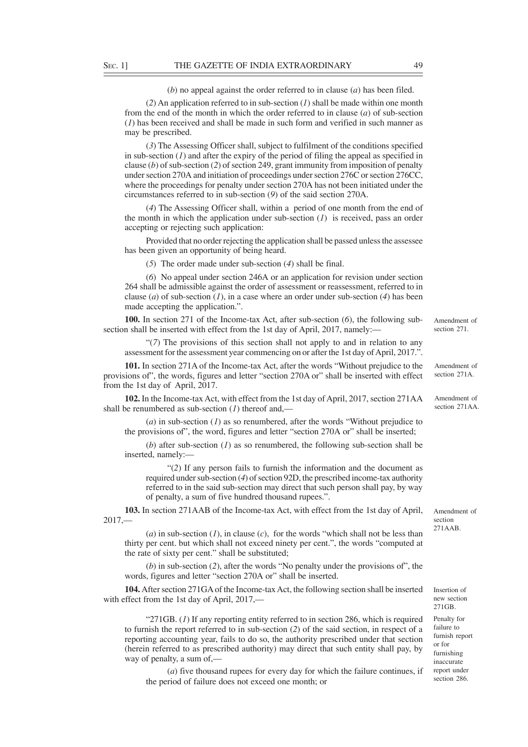(*b*) no appeal against the order referred to in clause (*a*) has been filed.

(*2*) An application referred to in sub-section (*1*) shall be made within one month from the end of the month in which the order referred to in clause (*a*) of sub-section (*1*) has been received and shall be made in such form and verified in such manner as may be prescribed.

(*3*) The Assessing Officer shall, subject to fulfilment of the conditions specified in sub-section (*1*) and after the expiry of the period of filing the appeal as specified in clause (*b*) of sub-section (*2*) of section 249, grant immunity from imposition of penalty under section 270A and initiation of proceedings under section 276C or section 276CC, where the proceedings for penalty under section 270A has not been initiated under the circumstances referred to in sub-section (*9*) of the said section 270A.

(*4*) The Assessing Officer shall, within a period of one month from the end of the month in which the application under sub-section (*1*) is received, pass an order accepting or rejecting such application:

Provided that no order rejecting the application shall be passed unless the assessee has been given an opportunity of being heard.

(*5*) The order made under sub-section (*4*) shall be final.

(*6*) No appeal under section 246A or an application for revision under section 264 shall be admissible against the order of assessment or reassessment, referred to in clause (*a*) of sub-section (*1*), in a case where an order under sub-section (*4*) has been made accepting the application.".

**100.** In section 271 of the Income-tax Act, after sub-section (*6*), the following subsection shall be inserted with effect from the 1st day of April, 2017, namely:-

"(*7*) The provisions of this section shall not apply to and in relation to any assessment for the assessment year commencing on or after the 1st day of April, 2017.".

**101.** In section 271A of the Income-tax Act, after the words "Without prejudice to the provisions of", the words, figures and letter "section 270A or" shall be inserted with effect from the 1st day of April, 2017.

**102.** In the Income-tax Act, with effect from the 1st day of April, 2017, section 271AA shall be renumbered as sub-section (*1*) thereof and,—

(*a*) in sub-section (*1*) as so renumbered, after the words "Without prejudice to the provisions of", the word, figures and letter "section 270A or" shall be inserted;

(*b*) after sub-section (*1*) as so renumbered, the following sub-section shall be inserted, namely:—

"(*2*) If any person fails to furnish the information and the document as required under sub-section (*4*) of section 92D, the prescribed income-tax authority referred to in the said sub-section may direct that such person shall pay, by way of penalty, a sum of five hundred thousand rupees.".

**103.** In section 271AAB of the Income-tax Act, with effect from the 1st day of April, 2017,—

 $(a)$  in sub-section  $(I)$ , in clause  $(c)$ , for the words "which shall not be less than thirty per cent. but which shall not exceed ninety per cent.", the words "computed at the rate of sixty per cent." shall be substituted;

(*b*) in sub-section (*2*), after the words "No penalty under the provisions of", the words, figures and letter "section 270A or" shall be inserted.

**104.** After section 271GA of the Income-tax Act, the following section shall be inserted with effect from the 1st day of April, 2017,—

"271GB. (*1*) If any reporting entity referred to in section 286, which is required to furnish the report referred to in sub-section (*2*) of the said section, in respect of a reporting accounting year, fails to do so, the authority prescribed under that section (herein referred to as prescribed authority) may direct that such entity shall pay, by way of penalty, a sum of,—

(*a*) five thousand rupees for every day for which the failure continues, if the period of failure does not exceed one month; or

Amendment of section 271

Amendment of section 271A.

Amendment of section  $271 \Delta \Delta$ 

Insertion of new section 271GB.

Amendment of section 271AAB.

Penalty for failure to furnish report or for furnishing inaccurate report under section 286.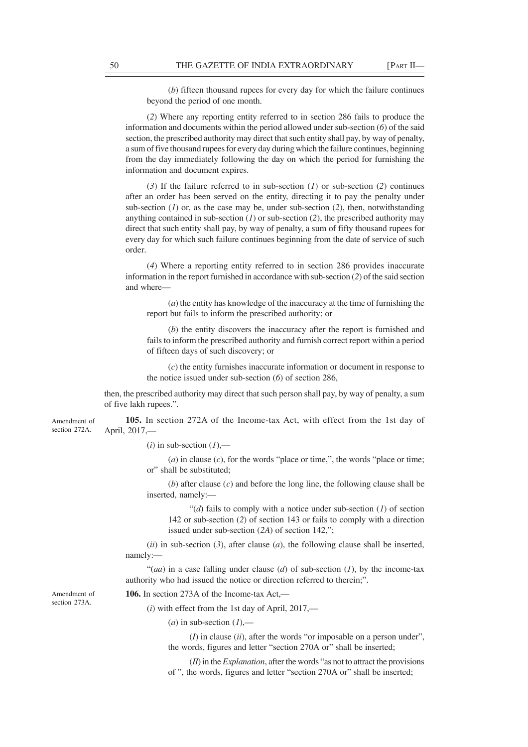(*b*) fifteen thousand rupees for every day for which the failure continues beyond the period of one month.

(*2*) Where any reporting entity referred to in section 286 fails to produce the information and documents within the period allowed under sub-section (*6*) of the said section, the prescribed authority may direct that such entity shall pay, by way of penalty, a sum of five thousand rupees for every day during which the failure continues, beginning from the day immediately following the day on which the period for furnishing the information and document expires.

(*3*) If the failure referred to in sub-section (*1*) or sub-section (*2*) continues after an order has been served on the entity, directing it to pay the penalty under sub-section (*1*) or, as the case may be, under sub-section (*2*), then, notwithstanding anything contained in sub-section (*1*) or sub-section (*2*), the prescribed authority may direct that such entity shall pay, by way of penalty, a sum of fifty thousand rupees for every day for which such failure continues beginning from the date of service of such order.

(*4*) Where a reporting entity referred to in section 286 provides inaccurate information in the report furnished in accordance with sub-section (*2*) of the said section and where

(*a*) the entity has knowledge of the inaccuracy at the time of furnishing the report but fails to inform the prescribed authority; or

(*b*) the entity discovers the inaccuracy after the report is furnished and fails to inform the prescribed authority and furnish correct report within a period of fifteen days of such discovery; or

(*c*) the entity furnishes inaccurate information or document in response to the notice issued under sub-section (*6*) of section 286,

then, the prescribed authority may direct that such person shall pay, by way of penalty, a sum of five lakh rupees.".

**105.** In section 272A of the Income-tax Act, with effect from the 1st day of April, 2017,— Amendment of section 272A.

 $(i)$  in sub-section  $(1)$ ,—

(*a*) in clause (*c*), for the words "place or time,", the words "place or time; or" shall be substituted;

(*b*) after clause (*c*) and before the long line, the following clause shall be inserted, namely:—

"(*d*) fails to comply with a notice under sub-section (*1*) of section 142 or sub-section (*2*) of section 143 or fails to comply with a direction issued under sub-section (*2A*) of section 142,";

 $(iii)$  in sub-section  $(3)$ , after clause  $(a)$ , the following clause shall be inserted, namely:—

"(*aa*) in a case falling under clause (*d*) of sub-section (*I*), by the income-tax authority who had issued the notice or direction referred to therein;".

Amendment of section 273A.

**106.** In section 273A of the Income-tax Act,—

(*i*) with effect from the 1st day of April, 2017,—

 $(a)$  in sub-section  $(I)$ ,—

(*I*) in clause (*ii*), after the words "or imposable on a person under", the words, figures and letter "section 270A or" shall be inserted;

(*II*) in the *Explanation*, after the words "as not to attract the provisions of ", the words, figures and letter "section 270A or" shall be inserted;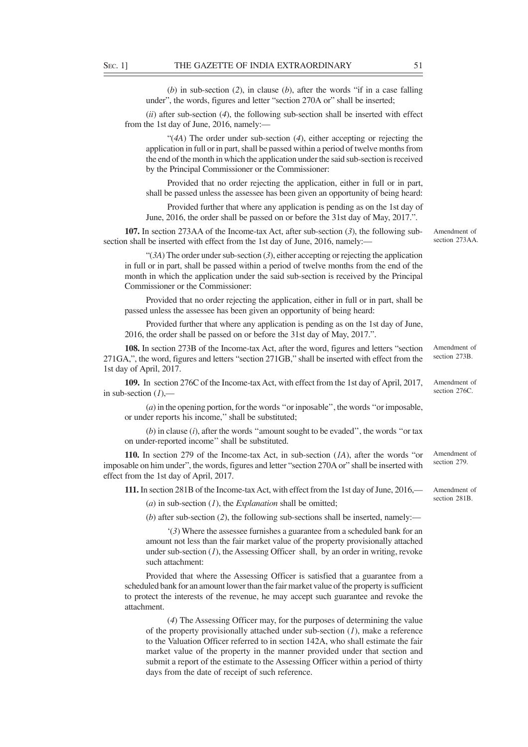(*b*) in sub-section (*2*), in clause (*b*), after the words "if in a case falling under", the words, figures and letter "section 270A or" shall be inserted;

(*ii*) after sub-section (*4*), the following sub-section shall be inserted with effect from the 1st day of June, 2016, namely:—

"(*4A*) The order under sub-section (*4*), either accepting or rejecting the application in full or in part, shall be passed within a period of twelve months from the end of the month in which the application under the said sub-section is received by the Principal Commissioner or the Commissioner:

Provided that no order rejecting the application, either in full or in part, shall be passed unless the assessee has been given an opportunity of being heard:

Provided further that where any application is pending as on the 1st day of June, 2016, the order shall be passed on or before the 31st day of May, 2017.".

**107.** In section 273AA of the Income-tax Act, after sub-section (*3*), the following subsection shall be inserted with effect from the 1st day of June, 2016, namely:—

"(*3A*) The order under sub-section (*3*), either accepting or rejecting the application in full or in part, shall be passed within a period of twelve months from the end of the month in which the application under the said sub-section is received by the Principal Commissioner or the Commissioner:

Provided that no order rejecting the application, either in full or in part, shall be passed unless the assessee has been given an opportunity of being heard:

Provided further that where any application is pending as on the 1st day of June, 2016, the order shall be passed on or before the 31st day of May, 2017.".

**108.** In section 273B of the Income-tax Act, after the word, figures and letters "section 271GA,", the word, figures and letters "section 271GB," shall be inserted with effect from the 1st day of April, 2017. Amendment of

**109.** In section 276C of the Income-tax Act, with effect from the 1st day of April, 2017, in sub-section (*1*),—

(*a*) in the opening portion, for the words ''or inposable'', the words ''or imposable, or under reports his income,'' shall be substituted;

 $(b)$  in clause  $(i)$ , after the words "amount sought to be evaded", the words "or tax on under-reported income'' shall be substituted.

**110.** In section 279 of the Income-tax Act, in sub-section (*1A*), after the words "or imposable on him under", the words, figures and letter "section 270A or" shall be inserted with effect from the 1st day of April, 2017. Amendment of section 279.

**111.** In section 281B of the Income-tax Act, with effect from the 1st day of June, 2016,—

(*a*) in sub-section (*1*), the *Explanation* shall be omitted;

(*b*) after sub-section (*2*), the following sub-sections shall be inserted, namely:—

'(*3*) Where the assessee furnishes a guarantee from a scheduled bank for an amount not less than the fair market value of the property provisionally attached under sub-section  $(1)$ , the Assessing Officer shall, by an order in writing, revoke such attachment:

Provided that where the Assessing Officer is satisfied that a guarantee from a scheduled bank for an amount lower than the fair market value of the property is sufficient to protect the interests of the revenue, he may accept such guarantee and revoke the attachment.

(*4*) The Assessing Officer may, for the purposes of determining the value of the property provisionally attached under sub-section (*1*), make a reference to the Valuation Officer referred to in section 142A, who shall estimate the fair market value of the property in the manner provided under that section and submit a report of the estimate to the Assessing Officer within a period of thirty days from the date of receipt of such reference.

Amendment of section 273AA.

section 273B.

Amendment of section 276C.

Amendment of section 281B.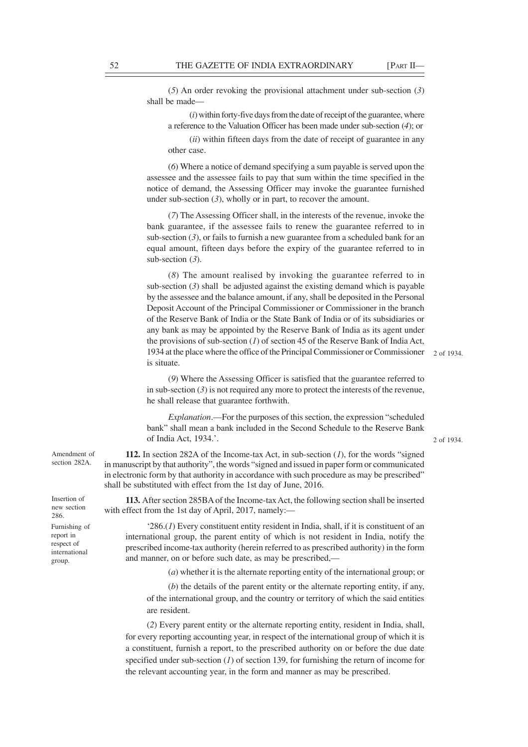(*5*) An order revoking the provisional attachment under sub-section (*3*) shall be made—

(*i*) within forty-five days from the date of receipt of the guarantee, where a reference to the Valuation Officer has been made under sub-section (*4*); or

(*ii*) within fifteen days from the date of receipt of guarantee in any other case.

(*6*) Where a notice of demand specifying a sum payable is served upon the assessee and the assessee fails to pay that sum within the time specified in the notice of demand, the Assessing Officer may invoke the guarantee furnished under sub-section (*3*), wholly or in part, to recover the amount.

(*7*) The Assessing Officer shall, in the interests of the revenue, invoke the bank guarantee, if the assessee fails to renew the guarantee referred to in sub-section  $(3)$ , or fails to furnish a new guarantee from a scheduled bank for an equal amount, fifteen days before the expiry of the guarantee referred to in sub-section (*3*).

(*8*) The amount realised by invoking the guarantee referred to in sub-section  $(3)$  shall be adjusted against the existing demand which is payable by the assessee and the balance amount, if any, shall be deposited in the Personal Deposit Account of the Principal Commissioner or Commissioner in the branch of the Reserve Bank of India or the State Bank of India or of its subsidiaries or any bank as may be appointed by the Reserve Bank of India as its agent under the provisions of sub-section (*1*) of section 45 of the Reserve Bank of India Act, 1934 at the place where the office of the Principal Commissioner or Commissioner 2 of 1934.is situate.

(*9*) Where the Assessing Officer is satisfied that the guarantee referred to in sub-section  $(3)$  is not required any more to protect the interests of the revenue, he shall release that guarantee forthwith.

*Explanation*.—For the purposes of this section, the expression "scheduled bank" shall mean a bank included in the Second Schedule to the Reserve Bank of India Act, 1934.'.

2 of 1934.

**112.** In section 282A of the Income-tax Act, in sub-section (*1*), for the words "signed in manuscript by that authority", the words "signed and issued in paper form or communicated in electronic form by that authority in accordance with such procedure as may be prescribed" shall be substituted with effect from the 1st day of June, 2016.

**113.** After section 285BA of the Income-tax Act, the following section shall be inserted with effect from the 1st day of April, 2017, namely:—

'286.(*1*) Every constituent entity resident in India, shall, if it is constituent of an international group, the parent entity of which is not resident in India, notify the prescribed income-tax authority (herein referred to as prescribed authority) in the form and manner, on or before such date, as may be prescribed,—

(*a*) whether it is the alternate reporting entity of the international group; or

(*b*) the details of the parent entity or the alternate reporting entity, if any, of the international group, and the country or territory of which the said entities are resident.

(*2*) Every parent entity or the alternate reporting entity, resident in India, shall, for every reporting accounting year, in respect of the international group of which it is a constituent, furnish a report, to the prescribed authority on or before the due date specified under sub-section (*1*) of section 139, for furnishing the return of income for the relevant accounting year, in the form and manner as may be prescribed.

Amendment of section 282A.

Insertion of new section 286. Furnishing of report in respect of international group.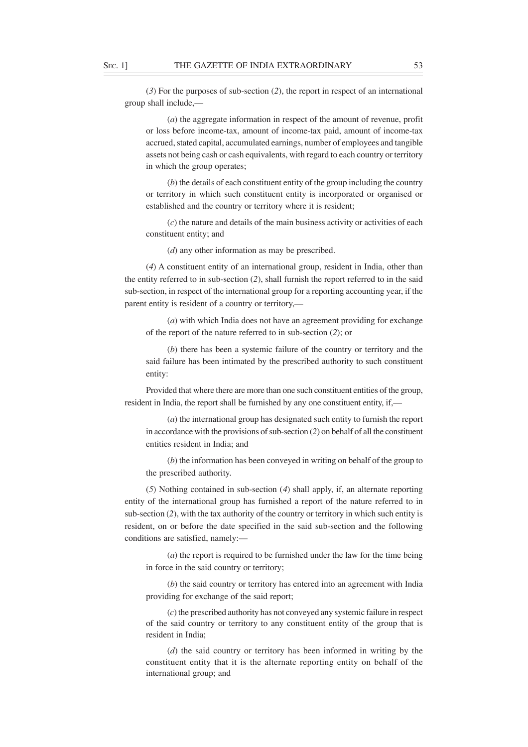(*3*) For the purposes of sub-section (*2*), the report in respect of an international group shall include,—

(*a*) the aggregate information in respect of the amount of revenue, profit or loss before income-tax, amount of income-tax paid, amount of income-tax accrued, stated capital, accumulated earnings, number of employees and tangible assets not being cash or cash equivalents, with regard to each country or territory in which the group operates;

(*b*) the details of each constituent entity of the group including the country or territory in which such constituent entity is incorporated or organised or established and the country or territory where it is resident;

(*c*) the nature and details of the main business activity or activities of each constituent entity; and

(*d*) any other information as may be prescribed.

(*4*) A constituent entity of an international group, resident in India, other than the entity referred to in sub-section (*2*), shall furnish the report referred to in the said sub-section, in respect of the international group for a reporting accounting year, if the parent entity is resident of a country or territory,—

(*a*) with which India does not have an agreement providing for exchange of the report of the nature referred to in sub-section (*2*); or

(*b*) there has been a systemic failure of the country or territory and the said failure has been intimated by the prescribed authority to such constituent entity:

Provided that where there are more than one such constituent entities of the group, resident in India, the report shall be furnished by any one constituent entity, if,—

(*a*) the international group has designated such entity to furnish the report in accordance with the provisions of sub-section (*2*) on behalf of all the constituent entities resident in India; and

(*b*) the information has been conveyed in writing on behalf of the group to the prescribed authority.

(*5*) Nothing contained in sub-section (*4*) shall apply, if, an alternate reporting entity of the international group has furnished a report of the nature referred to in sub-section (*2*), with the tax authority of the country or territory in which such entity is resident, on or before the date specified in the said sub-section and the following conditions are satisfied, namely:—

(*a*) the report is required to be furnished under the law for the time being in force in the said country or territory;

(*b*) the said country or territory has entered into an agreement with India providing for exchange of the said report;

(*c*) the prescribed authority has not conveyed any systemic failure in respect of the said country or territory to any constituent entity of the group that is resident in India;

(*d*) the said country or territory has been informed in writing by the constituent entity that it is the alternate reporting entity on behalf of the international group; and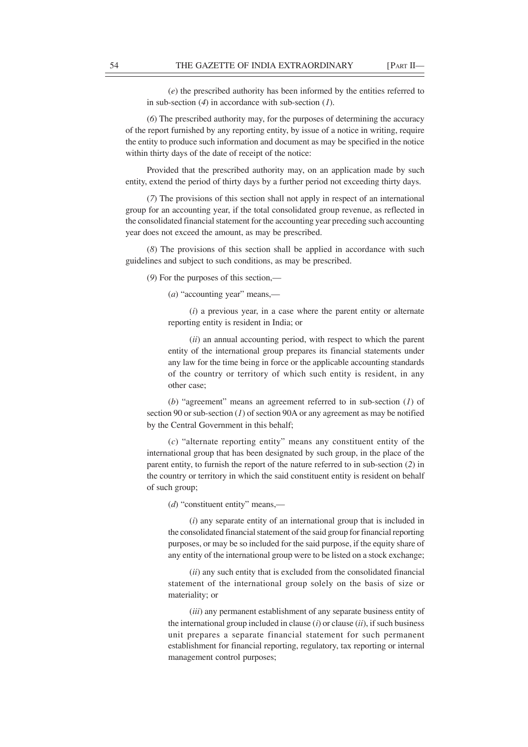(*e*) the prescribed authority has been informed by the entities referred to in sub-section (*4*) in accordance with sub-section (*1*).

(*6*) The prescribed authority may, for the purposes of determining the accuracy of the report furnished by any reporting entity, by issue of a notice in writing, require the entity to produce such information and document as may be specified in the notice within thirty days of the date of receipt of the notice:

Provided that the prescribed authority may, on an application made by such entity, extend the period of thirty days by a further period not exceeding thirty days.

(*7*) The provisions of this section shall not apply in respect of an international group for an accounting year, if the total consolidated group revenue, as reflected in the consolidated financial statement for the accounting year preceding such accounting year does not exceed the amount, as may be prescribed.

(*8*) The provisions of this section shall be applied in accordance with such guidelines and subject to such conditions, as may be prescribed.

(*9*) For the purposes of this section,—

(*a*) "accounting year" means,—

(*i*) a previous year, in a case where the parent entity or alternate reporting entity is resident in India; or

(*ii*) an annual accounting period, with respect to which the parent entity of the international group prepares its financial statements under any law for the time being in force or the applicable accounting standards of the country or territory of which such entity is resident, in any other case;

(*b*) "agreement" means an agreement referred to in sub-section (*1*) of section 90 or sub-section (*1*) of section 90A or any agreement as may be notified by the Central Government in this behalf;

(*c*) "alternate reporting entity" means any constituent entity of the international group that has been designated by such group, in the place of the parent entity, to furnish the report of the nature referred to in sub-section (*2*) in the country or territory in which the said constituent entity is resident on behalf of such group;

(*d*) "constituent entity" means,—

(*i*) any separate entity of an international group that is included in the consolidated financial statement of the said group for financial reporting purposes, or may be so included for the said purpose, if the equity share of any entity of the international group were to be listed on a stock exchange;

(*ii*) any such entity that is excluded from the consolidated financial statement of the international group solely on the basis of size or materiality; or

(*iii*) any permanent establishment of any separate business entity of the international group included in clause (*i*) or clause (*ii*), if such business unit prepares a separate financial statement for such permanent establishment for financial reporting, regulatory, tax reporting or internal management control purposes;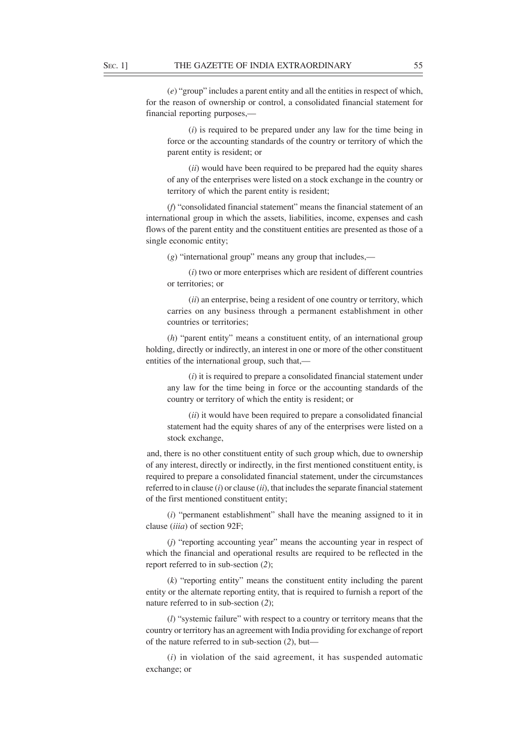(*e*) "group" includes a parent entity and all the entities in respect of which, for the reason of ownership or control, a consolidated financial statement for financial reporting purposes,—

(*i*) is required to be prepared under any law for the time being in force or the accounting standards of the country or territory of which the parent entity is resident; or

(*ii*) would have been required to be prepared had the equity shares of any of the enterprises were listed on a stock exchange in the country or territory of which the parent entity is resident;

(*f*) "consolidated financial statement" means the financial statement of an international group in which the assets, liabilities, income, expenses and cash flows of the parent entity and the constituent entities are presented as those of a single economic entity;

(*g*) "international group" means any group that includes,—

(*i*) two or more enterprises which are resident of different countries or territories; or

(*ii*) an enterprise, being a resident of one country or territory, which carries on any business through a permanent establishment in other countries or territories;

(*h*) "parent entity" means a constituent entity, of an international group holding, directly or indirectly, an interest in one or more of the other constituent entities of the international group, such that,—

(*i*) it is required to prepare a consolidated financial statement under any law for the time being in force or the accounting standards of the country or territory of which the entity is resident; or

(*ii*) it would have been required to prepare a consolidated financial statement had the equity shares of any of the enterprises were listed on a stock exchange,

and, there is no other constituent entity of such group which, due to ownership of any interest, directly or indirectly, in the first mentioned constituent entity, is required to prepare a consolidated financial statement, under the circumstances referred to in clause (*i*) or clause (*ii*), that includes the separate financial statement of the first mentioned constituent entity;

(*i*) "permanent establishment" shall have the meaning assigned to it in clause (*iiia*) of section 92F;

(*j*) "reporting accounting year" means the accounting year in respect of which the financial and operational results are required to be reflected in the report referred to in sub-section (*2*);

(*k*) "reporting entity" means the constituent entity including the parent entity or the alternate reporting entity, that is required to furnish a report of the nature referred to in sub-section (*2*);

(*l*) "systemic failure" with respect to a country or territory means that the country or territory has an agreement with India providing for exchange of report of the nature referred to in sub-section (*2*), but—

(*i*) in violation of the said agreement, it has suspended automatic exchange; or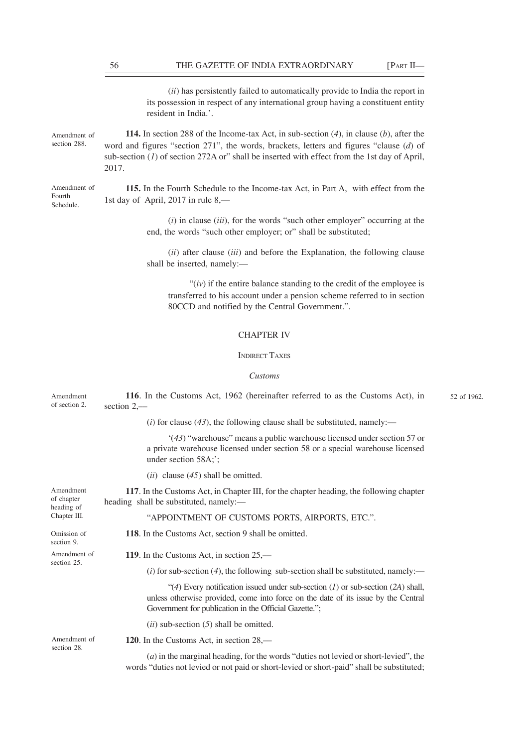(*ii*) has persistently failed to automatically provide to India the report in its possession in respect of any international group having a constituent entity resident in India.'.

Amendment of section 288.

Amendment of Fourth Schedule.

**114.** In section 288 of the Income-tax Act, in sub-section (*4*), in clause (*b*), after the word and figures "section 271", the words, brackets, letters and figures "clause (*d*) of sub-section (*1*) of section 272A or" shall be inserted with effect from the 1st day of April, 2017.

**115.** In the Fourth Schedule to the Income-tax Act, in Part A, with effect from the 1st day of April, 2017 in rule 8,—

> (*i*) in clause (*iii*), for the words "such other employer" occurring at the end, the words "such other employer; or" shall be substituted;

> (*ii*) after clause (*iii*) and before the Explanation, the following clause shall be inserted, namely:—

" $(iv)$  if the entire balance standing to the credit of the employee is transferred to his account under a pension scheme referred to in section 80CCD and notified by the Central Government.".

# CHAPTER IV

### INDIRECT TAXES

### *Customs*

| Amendment<br>of section 2.                            | 116. In the Customs Act, 1962 (hereinafter referred to as the Customs Act), in<br>section $2,$ —                                                                                                                                   | 52 of 1962. |
|-------------------------------------------------------|------------------------------------------------------------------------------------------------------------------------------------------------------------------------------------------------------------------------------------|-------------|
|                                                       | (i) for clause $(43)$ , the following clause shall be substituted, namely:—                                                                                                                                                        |             |
|                                                       | $(43)$ "warehouse" means a public warehouse licensed under section 57 or<br>a private warehouse licensed under section 58 or a special warehouse licensed<br>under section 58A;';                                                  |             |
|                                                       | $(ii)$ clause $(45)$ shall be omitted.                                                                                                                                                                                             |             |
| Amendment<br>of chapter<br>heading of<br>Chapter III. | 117. In the Customs Act, in Chapter III, for the chapter heading, the following chapter<br>heading shall be substituted, namely:-                                                                                                  |             |
|                                                       | "APPOINTMENT OF CUSTOMS PORTS, AIRPORTS, ETC.".                                                                                                                                                                                    |             |
| Omission of<br>section 9.                             | 118. In the Customs Act, section 9 shall be omitted.                                                                                                                                                                               |             |
| Amendment of<br>section 25.                           | 119. In the Customs Act, in section 25,—                                                                                                                                                                                           |             |
|                                                       | (i) for sub-section (4), the following sub-section shall be substituted, namely:—                                                                                                                                                  |             |
|                                                       | "(4) Every notification issued under sub-section $(I)$ or sub-section $(2A)$ shall,<br>unless otherwise provided, come into force on the date of its issue by the Central<br>Government for publication in the Official Gazette."; |             |
|                                                       | $(ii)$ sub-section $(5)$ shall be omitted.                                                                                                                                                                                         |             |
| Amendment of<br>section 28.                           | 120. In the Customs Act, in section 28,—                                                                                                                                                                                           |             |
|                                                       | $(a)$ in the marginal heading, for the words "duties not levied or short-levied", the<br>words "duties not levied or not paid or short-levied or short-paid" shall be substituted;                                                 |             |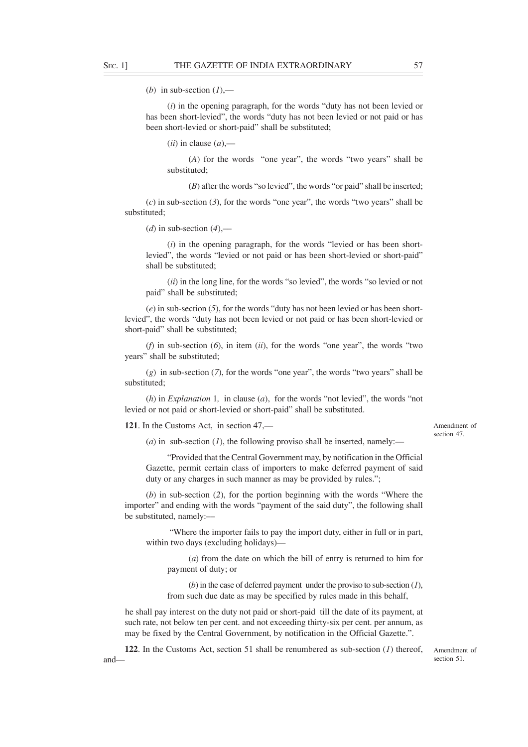(*b*) in sub-section  $(l)$ ,—

(*i*) in the opening paragraph, for the words "duty has not been levied or has been short-levied", the words "duty has not been levied or not paid or has been short-levied or short-paid" shall be substituted;

 $(iii)$  in clause  $(a)$ ,—

(*A*) for the words "one year", the words "two years" shall be substituted;

(*B*) after the words "so levied", the words "or paid" shall be inserted;

(*c*) in sub-section (*3*), for the words "one year", the words "two years" shall be substituted;

(*d*) in sub-section  $(4)$ ,—

(*i*) in the opening paragraph, for the words "levied or has been shortlevied", the words "levied or not paid or has been short-levied or short-paid" shall be substituted;

(*ii*) in the long line, for the words "so levied", the words "so levied or not paid" shall be substituted;

(*e*) in sub-section (*5*), for the words "duty has not been levied or has been shortlevied", the words "duty has not been levied or not paid or has been short-levied or short-paid" shall be substituted;

(*f*) in sub-section (*6*), in item (*ii*), for the words "one year", the words "two years" shall be substituted;

(*g*) in sub-section (*7*), for the words "one year", the words "two years" shall be substituted;

(*h*) in *Explanation* 1*,* in clause (*a*), for the words "not levied", the words "not levied or not paid or short-levied or short-paid" shall be substituted.

**121**. In the Customs Act, in section 47,––

Amendment of section 47.

 $(a)$  in sub-section  $(I)$ , the following proviso shall be inserted, namely:—

"Provided that the Central Government may, by notification in the Official Gazette, permit certain class of importers to make deferred payment of said duty or any charges in such manner as may be provided by rules.";

(*b*) in sub-section (*2*), for the portion beginning with the words "Where the importer" and ending with the words "payment of the said duty", the following shall be substituted, namely:––

 "Where the importer fails to pay the import duty, either in full or in part, within two days (excluding holidays)––

(*a*) from the date on which the bill of entry is returned to him for payment of duty; or

(*b*) in the case of deferred payment under the proviso to sub-section (*1*), from such due date as may be specified by rules made in this behalf,

he shall pay interest on the duty not paid or short-paid till the date of its payment, at such rate, not below ten per cent. and not exceeding thirty-six per cent. per annum, as may be fixed by the Central Government, by notification in the Official Gazette.".

**122**. In the Customs Act, section 51 shall be renumbered as sub-section (*1*) thereof, and—

Amendment of section 51.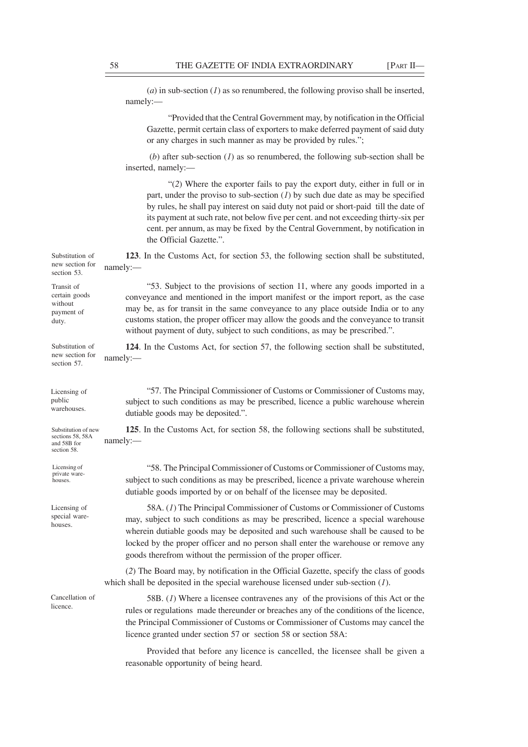(*a*) in sub-section (*1*) as so renumbered, the following proviso shall be inserted, namely:–– "Provided that the Central Government may, by notification in the Official Gazette, permit certain class of exporters to make deferred payment of said duty or any charges in such manner as may be provided by rules."; (*b*) after sub-section (*1*) as so renumbered, the following sub-section shall be inserted, namely:— "(*2*) Where the exporter fails to pay the export duty, either in full or in part, under the proviso to sub-section (*1*) by such due date as may be specified by rules, he shall pay interest on said duty not paid or short-paid till the date of its payment at such rate, not below five per cent. and not exceeding thirty-six per cent. per annum, as may be fixed by the Central Government, by notification in the Official Gazette.". **123**. In the Customs Act, for section 53, the following section shall be substituted, namely:–– "53. Subject to the provisions of section 11, where any goods imported in a conveyance and mentioned in the import manifest or the import report, as the case may be, as for transit in the same conveyance to any place outside India or to any customs station, the proper officer may allow the goods and the conveyance to transit without payment of duty, subject to such conditions, as may be prescribed.". **124**. In the Customs Act, for section 57, the following section shall be substituted, namely:–– "57. The Principal Commissioner of Customs or Commissioner of Customs may, subject to such conditions as may be prescribed, licence a public warehouse wherein dutiable goods may be deposited.". **125**. In the Customs Act, for section 58, the following sections shall be substituted, namely:–– "58. The Principal Commissioner of Customs or Commissioner of Customs may, subject to such conditions as may be prescribed, licence a private warehouse wherein dutiable goods imported by or on behalf of the licensee may be deposited. 58A. (*1*) The Principal Commissioner of Customs or Commissioner of Customs may, subject to such conditions as may be prescribed, licence a special warehouse wherein dutiable goods may be deposited and such warehouse shall be caused to be locked by the proper officer and no person shall enter the warehouse or remove any goods therefrom without the permission of the proper officer. (*2*) The Board may, by notification in the Official Gazette, specify the class of goods which shall be deposited in the special warehouse licensed under sub-section (*1*). 58B. (*1*) Where a licensee contravenes any of the provisions of this Act or the rules or regulations made thereunder or breaches any of the conditions of the licence, the Principal Commissioner of Customs or Commissioner of Customs may cancel the licence granted under section 57 or section 58 or section 58A: Provided that before any licence is cancelled, the licensee shall be given a Licensing of public warehouses. Substitution of new sections 58, 58A and 58B for section 58. Substitution of new section for section 53. Transit of certain goods without payment of duty. Substitution of new section for section 57. Licensing of private warehouses. Licensing of special warehouses. Cancellation of licence.

reasonable opportunity of being heard.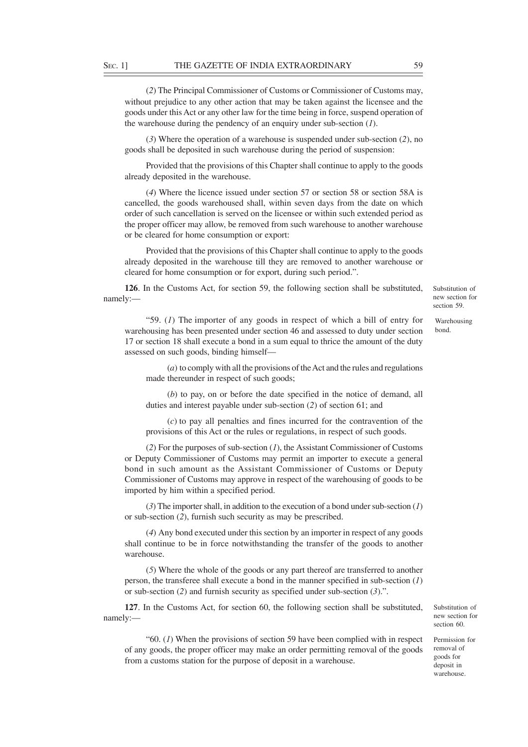(*2*) The Principal Commissioner of Customs or Commissioner of Customs may, without prejudice to any other action that may be taken against the licensee and the goods under this Act or any other law for the time being in force, suspend operation of the warehouse during the pendency of an enquiry under sub-section (*1*).

(*3*) Where the operation of a warehouse is suspended under sub-section (*2*), no goods shall be deposited in such warehouse during the period of suspension:

Provided that the provisions of this Chapter shall continue to apply to the goods already deposited in the warehouse.

(*4*) Where the licence issued under section 57 or section 58 or section 58A is cancelled, the goods warehoused shall, within seven days from the date on which order of such cancellation is served on the licensee or within such extended period as the proper officer may allow, be removed from such warehouse to another warehouse or be cleared for home consumption or export:

Provided that the provisions of this Chapter shall continue to apply to the goods already deposited in the warehouse till they are removed to another warehouse or cleared for home consumption or for export, during such period.".

**126**. In the Customs Act, for section 59, the following section shall be substituted, namely:––

"59. (*1*) The importer of any goods in respect of which a bill of entry for warehousing has been presented under section 46 and assessed to duty under section 17 or section 18 shall execute a bond in a sum equal to thrice the amount of the duty assessed on such goods, binding himself––

(*a*) to comply with all the provisions of the Act and the rules and regulations made thereunder in respect of such goods;

(*b*) to pay, on or before the date specified in the notice of demand, all duties and interest payable under sub-section (*2*) of section 61; and

(*c*) to pay all penalties and fines incurred for the contravention of the provisions of this Act or the rules or regulations, in respect of such goods.

(*2*) For the purposes of sub-section (*1*), the Assistant Commissioner of Customs or Deputy Commissioner of Customs may permit an importer to execute a general bond in such amount as the Assistant Commissioner of Customs or Deputy Commissioner of Customs may approve in respect of the warehousing of goods to be imported by him within a specified period.

(*3*) The importer shall, in addition to the execution of a bond under sub-section (*1*) or sub-section (*2*), furnish such security as may be prescribed.

(*4*) Any bond executed under this section by an importer in respect of any goods shall continue to be in force notwithstanding the transfer of the goods to another warehouse.

(*5*) Where the whole of the goods or any part thereof are transferred to another person, the transferee shall execute a bond in the manner specified in sub-section (*1*) or sub-section (*2*) and furnish security as specified under sub-section (*3*).".

**127**. In the Customs Act, for section 60, the following section shall be substituted, namely:––

"60. (*1*) When the provisions of section 59 have been complied with in respect of any goods, the proper officer may make an order permitting removal of the goods from a customs station for the purpose of deposit in a warehouse.

section 59. Warehousing

bond.

Substitution of new section for

Substitution of new section for section 60.

Permission for removal of goods for deposit in warehouse.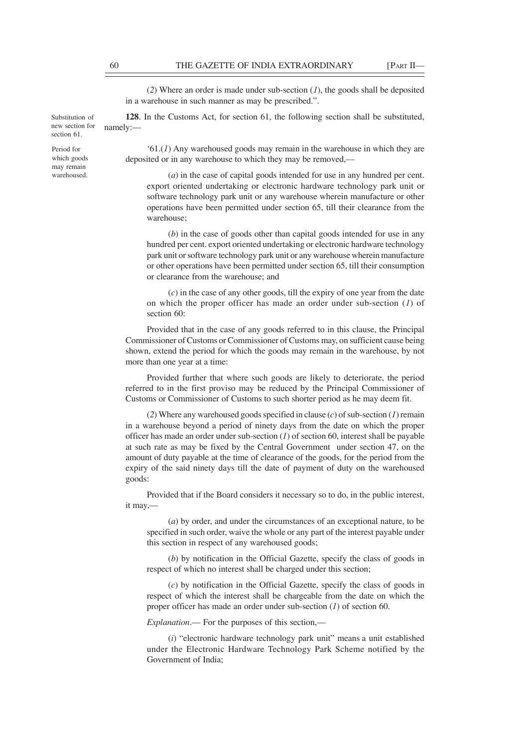(*2*) Where an order is made under sub-section (*1*), the goods shall be deposited in a warehouse in such manner as may be prescribed.".

**128**. In the Customs Act, for section 61, the following section shall be substituted, namely:—

'61.(*1*) Any warehoused goods may remain in the warehouse in which they are deposited or in any warehouse to which they may be removed,––

(*a*) in the case of capital goods intended for use in any hundred per cent. export oriented undertaking or electronic hardware technology park unit or software technology park unit or any warehouse wherein manufacture or other operations have been permitted under section 65, till their clearance from the warehouse;

(*b*) in the case of goods other than capital goods intended for use in any hundred per cent. export oriented undertaking or electronic hardware technology park unit or software technology park unit or any warehouse wherein manufacture or other operations have been permitted under section 65, till their consumption or clearance from the warehouse; and

(*c*) in the case of any other goods, till the expiry of one year from the date on which the proper officer has made an order under sub-section (*1*) of section 60:

Provided that in the case of any goods referred to in this clause, the Principal Commissioner of Customs or Commissioner of Customs may, on sufficient cause being shown, extend the period for which the goods may remain in the warehouse, by not more than one year at a time:

Provided further that where such goods are likely to deteriorate, the period referred to in the first proviso may be reduced by the Principal Commissioner of Customs or Commissioner of Customs to such shorter period as he may deem fit.

(*2*) Where any warehoused goods specified in clause (*c*) of sub-section (*1*) remain in a warehouse beyond a period of ninety days from the date on which the proper officer has made an order under sub-section  $(1)$  of section 60, interest shall be payable at such rate as may be fixed by the Central Government under section 47, on the amount of duty payable at the time of clearance of the goods, for the period from the expiry of the said ninety days till the date of payment of duty on the warehoused goods:

Provided that if the Board considers it necessary so to do, in the public interest, it may,––

(*a*) by order, and under the circumstances of an exceptional nature, to be specified in such order, waive the whole or any part of the interest payable under this section in respect of any warehoused goods;

(*b*) by notification in the Official Gazette, specify the class of goods in respect of which no interest shall be charged under this section;

(*c*) by notification in the Official Gazette, specify the class of goods in respect of which the interest shall be chargeable from the date on which the proper officer has made an order under sub-section (*1*) of section 60.

*Explanation*.— For the purposes of this section,—

(*i*) "electronic hardware technology park unit" means a unit established under the Electronic Hardware Technology Park Scheme notified by the Government of India;

Substitution of new section for section 61.

Period for which goods may remain warehoused.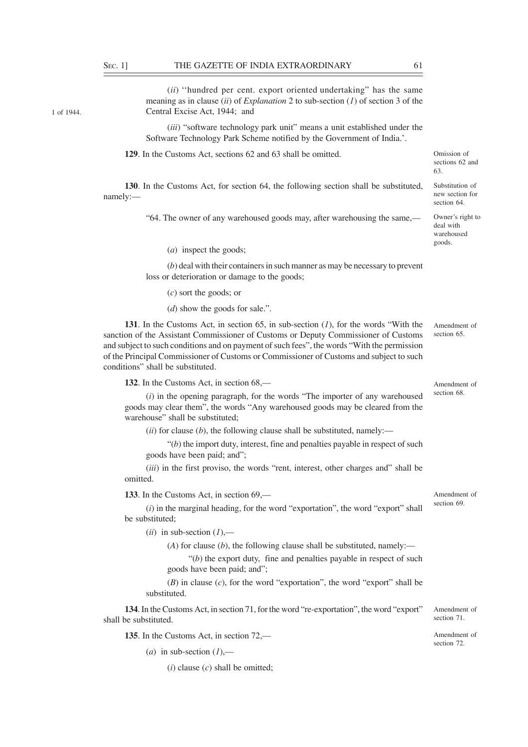1 of 1944.

(*ii*) ''hundred per cent. export oriented undertaking" has the same meaning as in clause (*ii*) of *Explanation* 2 to sub-section (*1*) of section 3 of the Central Excise Act, 1944; and

(*iii*) "software technology park unit" means a unit established under the Software Technology Park Scheme notified by the Government of India.'.

**129**. In the Customs Act, sections 62 and 63 shall be omitted.

Omission of sections 62 and 63.

Substitution of new section for section 64 Owner's right to deal with warehoused goods.

**130**. In the Customs Act, for section 64, the following section shall be substituted, namely:––

"64. The owner of any warehoused goods may, after warehousing the same,––

(*a*) inspect the goods;

(*b*) deal with their containers in such manner as may be necessary to prevent loss or deterioration or damage to the goods;

(*c*) sort the goods; or

(*d*) show the goods for sale.".

**131**. In the Customs Act, in section 65, in sub-section (*1*), for the words "With the sanction of the Assistant Commissioner of Customs or Deputy Commissioner of Customs and subject to such conditions and on payment of such fees", the words "With the permission of the Principal Commissioner of Customs or Commissioner of Customs and subject to such conditions" shall be substituted. Amendment of section 65.

**132**. In the Customs Act, in section 68,––

(*i*) in the opening paragraph, for the words "The importer of any warehoused goods may clear them", the words "Any warehoused goods may be cleared from the warehouse" shall be substituted;

 $(iii)$  for clause  $(b)$ , the following clause shall be substituted, namely:—

 $"(b)$  the import duty, interest, fine and penalties payable in respect of such goods have been paid; and";

(*iii*) in the first proviso, the words "rent, interest, other charges and" shall be omitted.

**133**. In the Customs Act, in section 69,––

(*i*) in the marginal heading, for the word "exportation", the word "export" shall be substituted;

 $(ii)$  in sub-section  $(I)$ ,—

(*A*) for clause (*b*), the following clause shall be substituted, namely:—

 $f'(b)$  the export duty, fine and penalties payable in respect of such goods have been paid; and";

(*B*) in clause (*c*), for the word "exportation", the word "export" shall be substituted.

**134**. In the Customs Act, in section 71, for the word "re-exportation", the word "export" shall be substituted.

**135**. In the Customs Act, in section 72,––

(*a*) in sub-section  $(I)$ ,—

 $(i)$  clause  $(c)$  shall be omitted:

Amendment of section 68.

Amendment of section 71.

Amendment of section 72.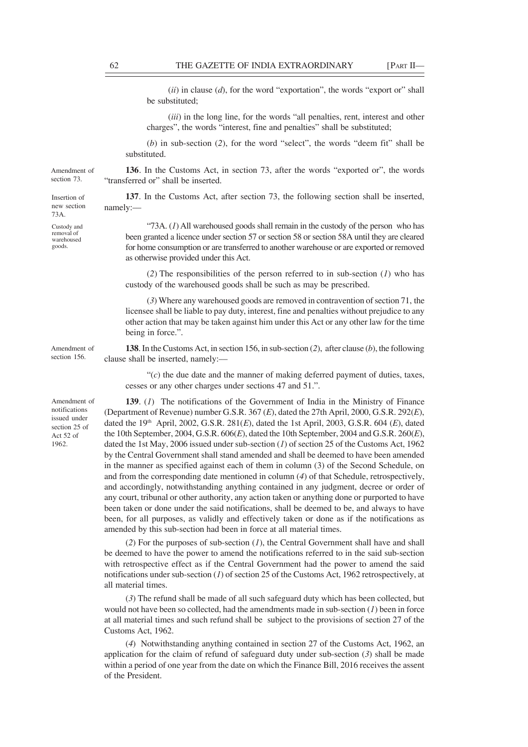(*ii*) in clause (*d*), for the word "exportation", the words "export or" shall be substituted;

(*iii*) in the long line, for the words "all penalties, rent, interest and other charges", the words "interest, fine and penalties" shall be substituted;

(*b*) in sub-section (*2*), for the word "select", the words "deem fit" shall be substituted.

**136**. In the Customs Act, in section 73, after the words "exported or", the words "transferred or" shall be inserted.

**137**. In the Customs Act, after section 73, the following section shall be inserted, namely:––

"73A. (*1*) All warehoused goods shall remain in the custody of the person who has been granted a licence under section 57 or section 58 or section 58A until they are cleared for home consumption or are transferred to another warehouse or are exported or removed as otherwise provided under this Act.

(*2*) The responsibilities of the person referred to in sub-section (*1*) who has custody of the warehoused goods shall be such as may be prescribed.

(*3*) Where any warehoused goods are removed in contravention of section 71, the licensee shall be liable to pay duty, interest, fine and penalties without prejudice to any other action that may be taken against him under this Act or any other law for the time being in force.".

**138**. In the Customs Act, in section 156, in sub-section (*2*), after clause (*b*), the following clause shall be inserted, namely:––

 $C(c)$  the due date and the manner of making deferred payment of duties, taxes, cesses or any other charges under sections 47 and 51.".

**139**. (*1*) The notifications of the Government of India in the Ministry of Finance (Department of Revenue) number G.S.R. 367 (*E*), dated the 27th April, 2000, G.S.R. 292(*E*), dated the 19th April, 2002, G.S.R. 281(*E*), dated the 1st April, 2003, G.S.R. 604 (*E*), dated the 10th September, 2004, G.S.R. 606(*E*), dated the 10th September, 2004 and G.S.R. 260(*E*), dated the 1st May, 2006 issued under sub-section (*1*) of section 25 of the Customs Act, 1962 by the Central Government shall stand amended and shall be deemed to have been amended in the manner as specified against each of them in column (3) of the Second Schedule, on and from the corresponding date mentioned in column (*4*) of that Schedule, retrospectively, and accordingly, notwithstanding anything contained in any judgment, decree or order of any court, tribunal or other authority, any action taken or anything done or purported to have been taken or done under the said notifications, shall be deemed to be, and always to have been, for all purposes, as validly and effectively taken or done as if the notifications as amended by this sub-section had been in force at all material times.

(*2*) For the purposes of sub-section (*1*), the Central Government shall have and shall be deemed to have the power to amend the notifications referred to in the said sub-section with retrospective effect as if the Central Government had the power to amend the said notifications under sub-section (*1*) of section 25 of the Customs Act, 1962 retrospectively, at all material times.

(*3*) The refund shall be made of all such safeguard duty which has been collected, but would not have been so collected, had the amendments made in sub-section (*1*) been in force at all material times and such refund shall be subject to the provisions of section 27 of the Customs Act, 1962.

(*4*) Notwithstanding anything contained in section 27 of the Customs Act, 1962, an application for the claim of refund of safeguard duty under sub-section (*3*) shall be made within a period of one year from the date on which the Finance Bill, 2016 receives the assent of the President.

Insertion of new section 73A.

Custody and removal of warehoused goods.

Amendment of notifications issued under section 25 of Act 52 of 1962.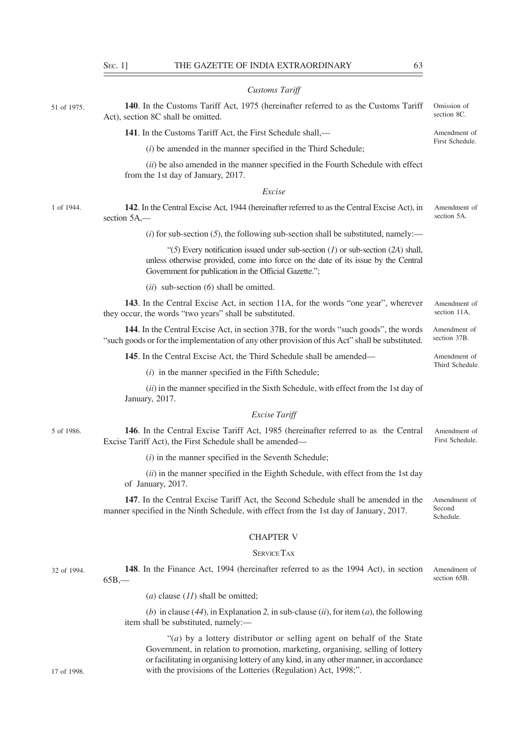| I            | ۰.<br>I |
|--------------|---------|
| v<br>۰,<br>× | ۰.      |
| w<br>v       | ×<br>٠  |

| <b>Customs Tariff</b> |  |
|-----------------------|--|
|-----------------------|--|

| 51 of 1975. | 140. In the Customs Tariff Act, 1975 (hereinafter referred to as the Customs Tariff<br>Act), section 8C shall be omitted.                                                                                                          | Omission of<br>section 8C.          |
|-------------|------------------------------------------------------------------------------------------------------------------------------------------------------------------------------------------------------------------------------------|-------------------------------------|
|             | 141. In the Customs Tariff Act, the First Schedule shall,—                                                                                                                                                                         | Amendment of                        |
|             | $(i)$ be amended in the manner specified in the Third Schedule;                                                                                                                                                                    | First Schedule.                     |
|             | (ii) be also amended in the manner specified in the Fourth Schedule with effect<br>from the 1st day of January, 2017.                                                                                                              |                                     |
|             | Excise                                                                                                                                                                                                                             |                                     |
| 1 of 1944.  | 142. In the Central Excise Act, 1944 (hereinafter referred to as the Central Excise Act), in<br>section 5A,-                                                                                                                       | Amendment of<br>section 5A.         |
|             | $(i)$ for sub-section $(5)$ , the following sub-section shall be substituted, namely:—                                                                                                                                             |                                     |
|             | "(5) Every notification issued under sub-section $(I)$ or sub-section $(2A)$ shall,<br>unless otherwise provided, come into force on the date of its issue by the Central<br>Government for publication in the Official Gazette."; |                                     |
|             | $(ii)$ sub-section $(6)$ shall be omitted.                                                                                                                                                                                         |                                     |
|             | 143. In the Central Excise Act, in section 11A, for the words "one year", wherever<br>they occur, the words "two years" shall be substituted.                                                                                      | Amendment of<br>section 11A.        |
|             | 144. In the Central Excise Act, in section 37B, for the words "such goods", the words<br>"such goods or for the implementation of any other provision of this Act" shall be substituted.                                           | Amendment of<br>section 37B.        |
|             | 145. In the Central Excise Act, the Third Schedule shall be amended—                                                                                                                                                               | Amendment of                        |
|             | $(i)$ in the manner specified in the Fifth Schedule;                                                                                                                                                                               | Third Schedule.                     |
|             | (ii) in the manner specified in the Sixth Schedule, with effect from the 1st day of<br>January, 2017.                                                                                                                              |                                     |
|             | <b>Excise Tariff</b>                                                                                                                                                                                                               |                                     |
| 5 of 1986.  | 146. In the Central Excise Tariff Act, 1985 (hereinafter referred to as the Central<br>Excise Tariff Act), the First Schedule shall be amended—                                                                                    | Amendment of<br>First Schedule.     |
|             | $(i)$ in the manner specified in the Seventh Schedule;                                                                                                                                                                             |                                     |
|             | (ii) in the manner specified in the Eighth Schedule, with effect from the 1st day<br>of January, 2017.                                                                                                                             |                                     |
|             | 147. In the Central Excise Tariff Act, the Second Schedule shall be amended in the<br>manner specified in the Ninth Schedule, with effect from the 1st day of January, 2017.                                                       | Amendment of<br>Second<br>Schedule. |
|             | <b>CHAPTER V</b>                                                                                                                                                                                                                   |                                     |
|             | <b>SERVICE TAX</b>                                                                                                                                                                                                                 |                                     |
| 32 of 1994. | 148. In the Finance Act, 1994 (hereinafter referred to as the 1994 Act), in section<br>$65B, -$                                                                                                                                    | Amendment of<br>section 65B.        |
|             | ( <i>a</i> ) clause $(11)$ shall be omitted;                                                                                                                                                                                       |                                     |
|             | (b) in clause (44), in Explanation 2, in sub-clause (ii), for item (a), the following<br>item shall be substituted, namely:-                                                                                                       |                                     |
|             | "(a) by a lottery distributor or selling agent on behalf of the State                                                                                                                                                              |                                     |

"(*a*) by a lottery distributor or selling agent on behalf of the State Government, in relation to promotion, marketing, organising, selling of lottery or facilitating in organising lottery of any kind, in any other manner, in accordance with the provisions of the Lotteries (Regulation) Act, 1998;".

17 of 1998.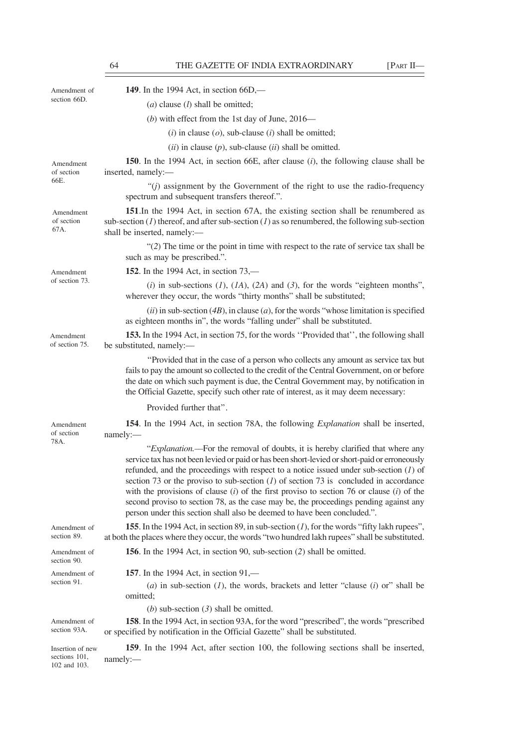102 and 103.

| Amendment of<br>section 66D.      | 149. In the 1994 Act, in section 66D,—                                                                                                                                                                                                                                                                                                                                                                                                                                                                                                                                                                                                       |
|-----------------------------------|----------------------------------------------------------------------------------------------------------------------------------------------------------------------------------------------------------------------------------------------------------------------------------------------------------------------------------------------------------------------------------------------------------------------------------------------------------------------------------------------------------------------------------------------------------------------------------------------------------------------------------------------|
|                                   | $(a)$ clause $(l)$ shall be omitted;                                                                                                                                                                                                                                                                                                                                                                                                                                                                                                                                                                                                         |
|                                   | (b) with effect from the 1st day of June, $2016$ —                                                                                                                                                                                                                                                                                                                                                                                                                                                                                                                                                                                           |
|                                   | ( <i>i</i> ) in clause ( <i>o</i> ), sub-clause ( <i>i</i> ) shall be omitted;                                                                                                                                                                                                                                                                                                                                                                                                                                                                                                                                                               |
|                                   | $(ii)$ in clause $(p)$ , sub-clause $(ii)$ shall be omitted.                                                                                                                                                                                                                                                                                                                                                                                                                                                                                                                                                                                 |
| Amendment<br>of section<br>66E.   | 150. In the 1994 Act, in section 66E, after clause ( <i>i</i> ), the following clause shall be<br>inserted, namely:-                                                                                                                                                                                                                                                                                                                                                                                                                                                                                                                         |
|                                   | " $(j)$ assignment by the Government of the right to use the radio-frequency<br>spectrum and subsequent transfers thereof.".                                                                                                                                                                                                                                                                                                                                                                                                                                                                                                                 |
| Amendment<br>of section<br>67A.   | 151. In the 1994 Act, in section 67A, the existing section shall be renumbered as<br>sub-section (1) thereof, and after sub-section (1) as so renumbered, the following sub-section<br>shall be inserted, namely:-                                                                                                                                                                                                                                                                                                                                                                                                                           |
|                                   | "(2) The time or the point in time with respect to the rate of service tax shall be<br>such as may be prescribed.".                                                                                                                                                                                                                                                                                                                                                                                                                                                                                                                          |
| Amendment                         | <b>152.</b> In the 1994 Act, in section 73,—                                                                                                                                                                                                                                                                                                                                                                                                                                                                                                                                                                                                 |
| of section 73.                    | (i) in sub-sections (1), (1A), (2A) and (3), for the words "eighteen months",<br>wherever they occur, the words "thirty months" shall be substituted;                                                                                                                                                                                                                                                                                                                                                                                                                                                                                        |
|                                   | $(ii)$ in sub-section (4B), in clause (a), for the words "whose limitation is specified<br>as eighteen months in", the words "falling under" shall be substituted.                                                                                                                                                                                                                                                                                                                                                                                                                                                                           |
| Amendment<br>of section 75.       | 153. In the 1994 Act, in section 75, for the words "Provided that", the following shall<br>be substituted, namely:-                                                                                                                                                                                                                                                                                                                                                                                                                                                                                                                          |
|                                   | "Provided that in the case of a person who collects any amount as service tax but<br>fails to pay the amount so collected to the credit of the Central Government, on or before<br>the date on which such payment is due, the Central Government may, by notification in<br>the Official Gazette, specify such other rate of interest, as it may deem necessary:                                                                                                                                                                                                                                                                             |
|                                   | Provided further that".                                                                                                                                                                                                                                                                                                                                                                                                                                                                                                                                                                                                                      |
| Amendment<br>of section           | 154. In the 1994 Act, in section 78A, the following <i>Explanation</i> shall be inserted,<br>namely:-                                                                                                                                                                                                                                                                                                                                                                                                                                                                                                                                        |
| 78A.                              | "Explanation.—For the removal of doubts, it is hereby clarified that where any<br>service tax has not been levied or paid or has been short-levied or short-paid or erroneously<br>refunded, and the proceedings with respect to a notice issued under sub-section $(I)$ of<br>section 73 or the proviso to sub-section $(1)$ of section 73 is concluded in accordance<br>with the provisions of clause $(i)$ of the first proviso to section 76 or clause $(i)$ of the<br>second proviso to section 78, as the case may be, the proceedings pending against any<br>person under this section shall also be deemed to have been concluded.". |
| Amendment of<br>section 89.       | <b>155.</b> In the 1994 Act, in section 89, in sub-section $(1)$ , for the words "fifty lakh rupees",<br>at both the places where they occur, the words "two hundred lakh rupees" shall be substituted.                                                                                                                                                                                                                                                                                                                                                                                                                                      |
| Amendment of<br>section 90.       | 156. In the 1994 Act, in section 90, sub-section (2) shall be omitted.                                                                                                                                                                                                                                                                                                                                                                                                                                                                                                                                                                       |
| Amendment of<br>section 91.       | <b>157.</b> In the 1994 Act, in section 91,—<br>(a) in sub-section $(1)$ , the words, brackets and letter "clause $(i)$ or" shall be<br>omitted:<br>(b) sub-section $(3)$ shall be omitted.                                                                                                                                                                                                                                                                                                                                                                                                                                                  |
| Amendment of<br>section 93A.      | 158. In the 1994 Act, in section 93A, for the word "prescribed", the words "prescribed"<br>or specified by notification in the Official Gazette" shall be substituted.                                                                                                                                                                                                                                                                                                                                                                                                                                                                       |
| Insertion of new<br>sections 101, | 159. In the 1994 Act, after section 100, the following sections shall be inserted,<br>namely:-                                                                                                                                                                                                                                                                                                                                                                                                                                                                                                                                               |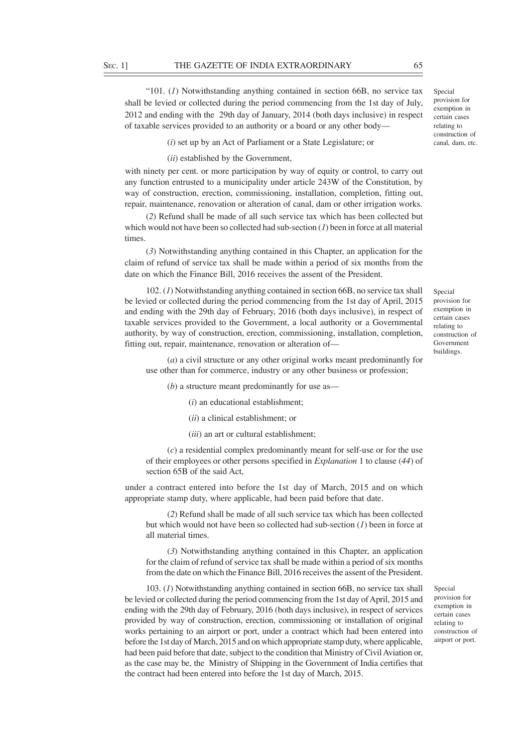"101. (*1*) Notwithstanding anything contained in section 66B, no service tax shall be levied or collected during the period commencing from the 1st day of July, 2012 and ending with the 29th day of January, 2014 (both days inclusive) in respect of taxable services provided to an authority or a board or any other body––

(*i*) set up by an Act of Parliament or a State Legislature; or

(*ii*) established by the Government,

with ninety per cent. or more participation by way of equity or control, to carry out any function entrusted to a municipality under article 243W of the Constitution, by way of construction, erection, commissioning, installation, completion, fitting out, repair, maintenance, renovation or alteration of canal, dam or other irrigation works.

(*2*) Refund shall be made of all such service tax which has been collected but which would not have been so collected had sub-section (*1*) been in force at all material times.

(*3*) Notwithstanding anything contained in this Chapter, an application for the claim of refund of service tax shall be made within a period of six months from the date on which the Finance Bill, 2016 receives the assent of the President.

102. (*1*) Notwithstanding anything contained in section 66B, no service tax shall be levied or collected during the period commencing from the 1st day of April, 2015 and ending with the 29th day of February, 2016 (both days inclusive), in respect of taxable services provided to the Government, a local authority or a Governmental authority, by way of construction, erection, commissioning, installation, completion, fitting out, repair, maintenance, renovation or alteration of––

(*a*) a civil structure or any other original works meant predominantly for use other than for commerce, industry or any other business or profession;

(*b*) a structure meant predominantly for use as—

(*i*) an educational establishment;

(*ii*) a clinical establishment; or

(*iii*) an art or cultural establishment;

(*c*) a residential complex predominantly meant for self-use or for the use of their employees or other persons specified in *Explanation* 1 to clause (*44*) of section 65B of the said Act,

under a contract entered into before the 1st day of March, 2015 and on which appropriate stamp duty, where applicable, had been paid before that date.

(*2*) Refund shall be made of all such service tax which has been collected but which would not have been so collected had sub-section (*1*) been in force at all material times.

(*3*) Notwithstanding anything contained in this Chapter, an application for the claim of refund of service tax shall be made within a period of six months from the date on which the Finance Bill, 2016 receives the assent of the President.

103. (*1*) Notwithstanding anything contained in section 66B, no service tax shall be levied or collected during the period commencing from the 1st day of April, 2015 and ending with the 29th day of February, 2016 (both days inclusive), in respect of services provided by way of construction, erection, commissioning or installation of original works pertaining to an airport or port, under a contract which had been entered into before the 1st day of March, 2015 and on which appropriate stamp duty, where applicable, had been paid before that date, subject to the condition that Ministry of Civil Aviation or, as the case may be, the Ministry of Shipping in the Government of India certifies that the contract had been entered into before the 1st day of March, 2015.

Special provision for exemption in certain cases relating to construction of airport or port.

Special provision for exemption in certain cases relating to construction of Government buildings.

Special provision for exemption in certain cases

relating to construction of canal, dam, etc.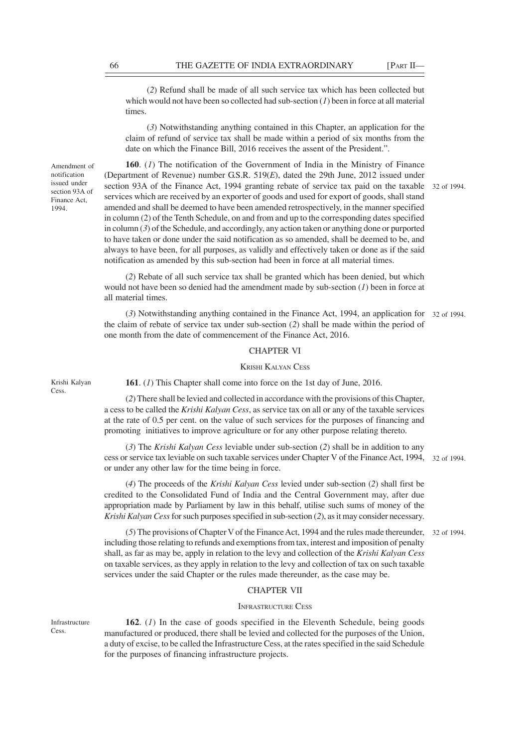(*2*) Refund shall be made of all such service tax which has been collected but which would not have been so collected had sub-section (*1*) been in force at all material times.

(*3*) Notwithstanding anything contained in this Chapter, an application for the claim of refund of service tax shall be made within a period of six months from the date on which the Finance Bill, 2016 receives the assent of the President.".

Amendment of notification issued under section 93A of Finance Act, 1994.

**160**. (*1*) The notification of the Government of India in the Ministry of Finance (Department of Revenue) number G.S.R. 519(*E*), dated the 29th June, 2012 issued under section 93A of the Finance Act, 1994 granting rebate of service tax paid on the taxable 32 of 1994. services which are received by an exporter of goods and used for export of goods, shall stand amended and shall be deemed to have been amended retrospectively, in the manner specified in column (2) of the Tenth Schedule, on and from and up to the corresponding dates specified in column (*3*) of the Schedule, and accordingly, any action taken or anything done or purported to have taken or done under the said notification as so amended, shall be deemed to be, and always to have been, for all purposes, as validly and effectively taken or done as if the said notification as amended by this sub-section had been in force at all material times.

(*2*) Rebate of all such service tax shall be granted which has been denied, but which would not have been so denied had the amendment made by sub-section (*1*) been in force at all material times.

(*3*) Notwithstanding anything contained in the Finance Act, 1994, an application for 32 of 1994. the claim of rebate of service tax under sub-section (*2*) shall be made within the period of one month from the date of commencement of the Finance Act, 2016.

## CHAPTER VI

# KRISHI KALYAN CESS

Krishi Kalyan Cess.

**161**. (*1*) This Chapter shall come into force on the 1st day of June, 2016.

(*2*) There shall be levied and collected in accordance with the provisions of this Chapter, a cess to be called the *Krishi Kalyan Cess*, as service tax on all or any of the taxable services at the rate of 0.5 per cent. on the value of such services for the purposes of financing and promoting initiatives to improve agriculture or for any other purpose relating thereto.

(*3*) The *Krishi Kalyan Cess* leviable under sub-section (*2*) shall be in addition to any cess or service tax leviable on such taxable services under Chapter V of the Finance Act, 1994, 32 of 1994. or under any other law for the time being in force.

(*4*) The proceeds of the *Krishi Kalyan Cess* levied under sub-section (*2*) shall first be credited to the Consolidated Fund of India and the Central Government may, after due appropriation made by Parliament by law in this behalf, utilise such sums of money of the *Krishi Kalyan Cess* for such purposes specified in sub-section (*2*), as it may consider necessary.

(*5*) The provisions of Chapter V of the Finance Act, 1994 and the rules made thereunder, 32 of 1994.including those relating to refunds and exemptions from tax, interest and imposition of penalty shall, as far as may be, apply in relation to the levy and collection of the *Krishi Kalyan Cess* on taxable services, as they apply in relation to the levy and collection of tax on such taxable services under the said Chapter or the rules made thereunder, as the case may be.

# CHAPTER VII

### INFRASTRUCTURE CESS

Infrastructure Cess.

**162**. (*1*) In the case of goods specified in the Eleventh Schedule, being goods manufactured or produced, there shall be levied and collected for the purposes of the Union, a duty of excise, to be called the Infrastructure Cess, at the rates specified in the said Schedule for the purposes of financing infrastructure projects.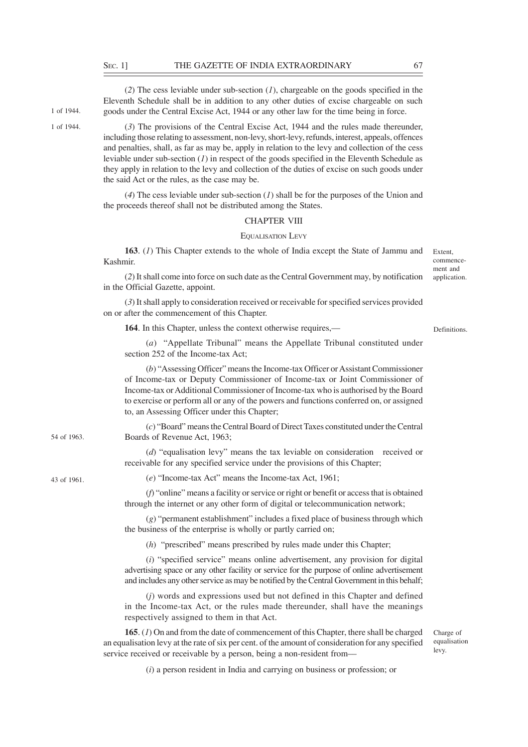(*2*) The cess leviable under sub-section (*1*), chargeable on the goods specified in the Eleventh Schedule shall be in addition to any other duties of excise chargeable on such goods under the Central Excise Act, 1944 or any other law for the time being in force.

1 of 1944. 1 of 1944.

43 of 1961.

54 of 1963.

(*3*) The provisions of the Central Excise Act, 1944 and the rules made thereunder, including those relating to assessment, non-levy, short-levy, refunds, interest, appeals, offences and penalties, shall, as far as may be, apply in relation to the levy and collection of the cess leviable under sub-section (*1*) in respect of the goods specified in the Eleventh Schedule as they apply in relation to the levy and collection of the duties of excise on such goods under the said Act or the rules, as the case may be.

(*4*) The cess leviable under sub-section (*1*) shall be for the purposes of the Union and the proceeds thereof shall not be distributed among the States.

# CHAPTER VIII

#### EQUALISATION LEVY

**163**. (*1*) This Chapter extends to the whole of India except the State of Jammu and Kashmir.

commencement and application.

Extent,

(*2*) It shall come into force on such date as the Central Government may, by notification in the Official Gazette, appoint.

(*3*) It shall apply to consideration received or receivable for specified services provided on or after the commencement of this Chapter.

**164**. In this Chapter, unless the context otherwise requires.—

Definitions.

(*a*) "Appellate Tribunal" means the Appellate Tribunal constituted under section 252 of the Income-tax Act;

(*b*) "Assessing Officer" means the Income-tax Officer or Assistant Commissioner of Income-tax or Deputy Commissioner of Income-tax or Joint Commissioner of Income-tax or Additional Commissioner of Income-tax who is authorised by the Board to exercise or perform all or any of the powers and functions conferred on, or assigned to, an Assessing Officer under this Chapter;

(*c*) "Board" means the Central Board of Direct Taxes constituted under the Central Boards of Revenue Act, 1963;

> (*d*) "equalisation levy" means the tax leviable on consideration received or receivable for any specified service under the provisions of this Chapter;

(*e*) "Income-tax Act" means the Income-tax Act, 1961;

(*f*) "online" means a facility or service or right or benefit or access that is obtained through the internet or any other form of digital or telecommunication network;

(*g*) "permanent establishment" includes a fixed place of business through which the business of the enterprise is wholly or partly carried on;

(*h*) "prescribed" means prescribed by rules made under this Chapter;

(*i*) "specified service" means online advertisement, any provision for digital advertising space or any other facility or service for the purpose of online advertisement and includes any other service as may be notified by the Central Government in this behalf;

(*j*) words and expressions used but not defined in this Chapter and defined in the Income-tax Act, or the rules made thereunder, shall have the meanings respectively assigned to them in that Act.

**165**. (*1*) On and from the date of commencement of this Chapter, there shall be charged an equalisation levy at the rate of six per cent. of the amount of consideration for any specified service received or receivable by a person, being a non-resident from––

Charge of equalisation levy.

(*i*) a person resident in India and carrying on business or profession; or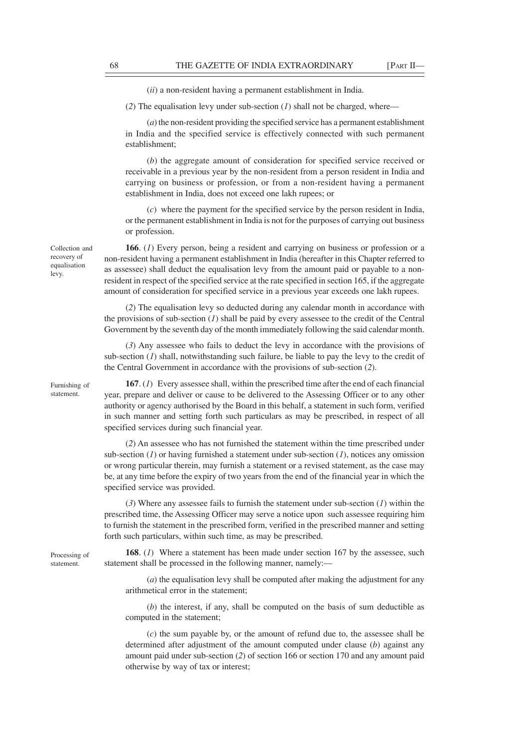(*ii*) a non-resident having a permanent establishment in India.

(*2*) The equalisation levy under sub-section (*1*) shall not be charged, where––

(*a*) the non-resident providing the specified service has a permanent establishment in India and the specified service is effectively connected with such permanent establishment;

(*b*) the aggregate amount of consideration for specified service received or receivable in a previous year by the non-resident from a person resident in India and carrying on business or profession, or from a non-resident having a permanent establishment in India, does not exceed one lakh rupees; or

(*c*) where the payment for the specified service by the person resident in India, or the permanent establishment in India is not for the purposes of carrying out business or profession.

**166**. (*1*) Every person, being a resident and carrying on business or profession or a non-resident having a permanent establishment in India (hereafter in this Chapter referred to as assessee) shall deduct the equalisation levy from the amount paid or payable to a nonresident in respect of the specified service at the rate specified in section 165, if the aggregate amount of consideration for specified service in a previous year exceeds one lakh rupees.

(*2*) The equalisation levy so deducted during any calendar month in accordance with the provisions of sub-section (*1*) shall be paid by every assessee to the credit of the Central Government by the seventh day of the month immediately following the said calendar month.

(*3*) Any assessee who fails to deduct the levy in accordance with the provisions of sub-section  $(I)$  shall, notwithstanding such failure, be liable to pay the levy to the credit of the Central Government in accordance with the provisions of sub-section (*2*).

Furnishing of statement.

Collection and recovery of equalisation levy.

> **167**. (*1*) Every assessee shall, within the prescribed time after the end of each financial year, prepare and deliver or cause to be delivered to the Assessing Officer or to any other authority or agency authorised by the Board in this behalf, a statement in such form, verified in such manner and setting forth such particulars as may be prescribed, in respect of all specified services during such financial year.

> (*2*) An assessee who has not furnished the statement within the time prescribed under sub-section (*1*) or having furnished a statement under sub-section (*1*), notices any omission or wrong particular therein, may furnish a statement or a revised statement, as the case may be, at any time before the expiry of two years from the end of the financial year in which the specified service was provided.

> (*3*) Where any assessee fails to furnish the statement under sub-section (*1*) within the prescribed time, the Assessing Officer may serve a notice upon such assessee requiring him to furnish the statement in the prescribed form, verified in the prescribed manner and setting forth such particulars, within such time, as may be prescribed.

Processing of statement.

**168**. (*1*) Where a statement has been made under section 167 by the assessee, such statement shall be processed in the following manner, namely:—

(*a*) the equalisation levy shall be computed after making the adjustment for any arithmetical error in the statement;

(*b*) the interest, if any, shall be computed on the basis of sum deductible as computed in the statement;

(*c*) the sum payable by, or the amount of refund due to, the assessee shall be determined after adjustment of the amount computed under clause (*b*) against any amount paid under sub-section (*2*) of section 166 or section 170 and any amount paid otherwise by way of tax or interest;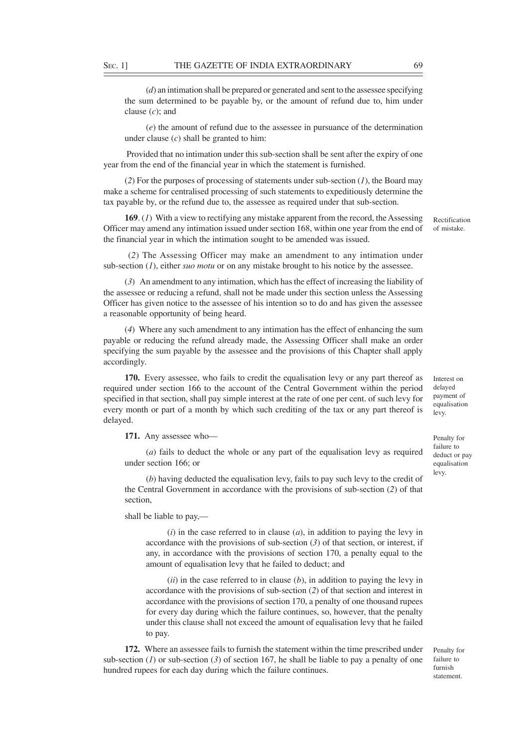(*d*) an intimation shall be prepared or generated and sent to the assessee specifying the sum determined to be payable by, or the amount of refund due to, him under clause (*c*); and

(*e*) the amount of refund due to the assessee in pursuance of the determination under clause (*c*) shall be granted to him:

 Provided that no intimation under this sub-section shall be sent after the expiry of one year from the end of the financial year in which the statement is furnished.

(*2*) For the purposes of processing of statements under sub-section (*1*), the Board may make a scheme for centralised processing of such statements to expeditiously determine the tax payable by, or the refund due to, the assessee as required under that sub-section.

**169**. (*1*) With a view to rectifying any mistake apparent from the record, the Assessing Officer may amend any intimation issued under section 168, within one year from the end of the financial year in which the intimation sought to be amended was issued.

Rectification of mistake.

 (*2*) The Assessing Officer may make an amendment to any intimation under sub-section (*1*), either *suo motu* or on any mistake brought to his notice by the assessee.

(*3*) An amendment to any intimation, which has the effect of increasing the liability of the assessee or reducing a refund, shall not be made under this section unless the Assessing Officer has given notice to the assessee of his intention so to do and has given the assessee a reasonable opportunity of being heard.

(*4*) Where any such amendment to any intimation has the effect of enhancing the sum payable or reducing the refund already made, the Assessing Officer shall make an order specifying the sum payable by the assessee and the provisions of this Chapter shall apply accordingly.

**170.** Every assessee, who fails to credit the equalisation levy or any part thereof as required under section 166 to the account of the Central Government within the period specified in that section, shall pay simple interest at the rate of one per cent. of such levy for every month or part of a month by which such crediting of the tax or any part thereof is delayed.

**171.** Any assessee who––

(*a*) fails to deduct the whole or any part of the equalisation levy as required under section 166; or

(*b*) having deducted the equalisation levy, fails to pay such levy to the credit of the Central Government in accordance with the provisions of sub-section (*2*) of that section,

shall be liable to pay,—

(*i*) in the case referred to in clause (*a*), in addition to paying the levy in accordance with the provisions of sub-section  $(3)$  of that section, or interest, if any, in accordance with the provisions of section 170, a penalty equal to the amount of equalisation levy that he failed to deduct; and

(*ii*) in the case referred to in clause (*b*), in addition to paying the levy in accordance with the provisions of sub-section (*2*) of that section and interest in accordance with the provisions of section 170, a penalty of one thousand rupees for every day during which the failure continues, so, however, that the penalty under this clause shall not exceed the amount of equalisation levy that he failed to pay.

**172.** Where an assessee fails to furnish the statement within the time prescribed under sub-section (*1*) or sub-section (*3*) of section 167, he shall be liable to pay a penalty of one hundred rupees for each day during which the failure continues.

Interest on delayed payment of equalisation levy.

Penalty for failure to deduct or pay equalisation levy.

Penalty for failure to furnish statement.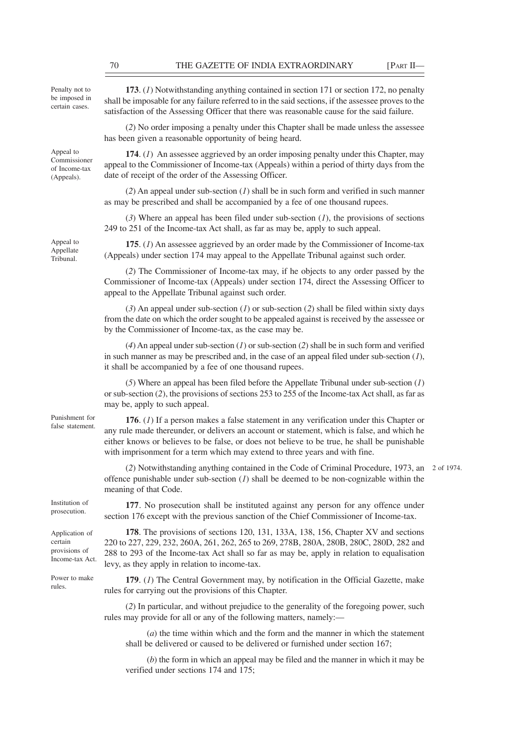Penalty not to be imposed in certain cases.

Appeal to Commissioner of Income-tax (Appeals).

Appeal to Appellate Tribunal.

**173**. (*1*) Notwithstanding anything contained in section 171 or section 172, no penalty shall be imposable for any failure referred to in the said sections, if the assessee proves to the satisfaction of the Assessing Officer that there was reasonable cause for the said failure.

(*2*) No order imposing a penalty under this Chapter shall be made unless the assessee has been given a reasonable opportunity of being heard.

**174**. (*1*) An assessee aggrieved by an order imposing penalty under this Chapter, may appeal to the Commissioner of Income-tax (Appeals) within a period of thirty days from the date of receipt of the order of the Assessing Officer.

(*2*) An appeal under sub-section (*1*) shall be in such form and verified in such manner as may be prescribed and shall be accompanied by a fee of one thousand rupees.

(*3*) Where an appeal has been filed under sub-section (*1*), the provisions of sections 249 to 251 of the Income-tax Act shall, as far as may be, apply to such appeal.

**175**. (*1*) An assessee aggrieved by an order made by the Commissioner of Income-tax (Appeals) under section 174 may appeal to the Appellate Tribunal against such order.

(*2*) The Commissioner of Income-tax may, if he objects to any order passed by the Commissioner of Income-tax (Appeals) under section 174, direct the Assessing Officer to appeal to the Appellate Tribunal against such order.

(*3*) An appeal under sub-section (*1*) or sub-section (*2*) shall be filed within sixty days from the date on which the order sought to be appealed against is received by the assessee or by the Commissioner of Income-tax, as the case may be.

(*4*) An appeal under sub-section (*1*) or sub-section (*2*) shall be in such form and verified in such manner as may be prescribed and, in the case of an appeal filed under sub-section (*1*), it shall be accompanied by a fee of one thousand rupees.

(*5*) Where an appeal has been filed before the Appellate Tribunal under sub-section (*1*) or sub-section (*2*), the provisions of sections 253 to 255 of the Income-tax Act shall, as far as may be, apply to such appeal.

Punishment for false statement.

**176**. (*1*) If a person makes a false statement in any verification under this Chapter or any rule made thereunder, or delivers an account or statement, which is false, and which he either knows or believes to be false, or does not believe to be true, he shall be punishable with imprisonment for a term which may extend to three years and with fine.

(*2*) Notwithstanding anything contained in the Code of Criminal Procedure, 1973, an 2 of 1974.offence punishable under sub-section (*1*) shall be deemed to be non-cognizable within the meaning of that Code.

Institution of prosecution.

Application of certain provisions of Income-tax Act.

Power to make rules.

**177**. No prosecution shall be instituted against any person for any offence under section 176 except with the previous sanction of the Chief Commissioner of Income-tax.

**178**. The provisions of sections 120, 131, 133A, 138, 156, Chapter XV and sections 220 to 227, 229, 232, 260A, 261, 262, 265 to 269, 278B, 280A, 280B, 280C, 280D, 282 and 288 to 293 of the Income-tax Act shall so far as may be, apply in relation to equalisation levy, as they apply in relation to income-tax.

**179**. (*1*) The Central Government may, by notification in the Official Gazette, make rules for carrying out the provisions of this Chapter.

(*2*) In particular, and without prejudice to the generality of the foregoing power, such rules may provide for all or any of the following matters, namely:—

(*a*) the time within which and the form and the manner in which the statement shall be delivered or caused to be delivered or furnished under section 167;

(*b*) the form in which an appeal may be filed and the manner in which it may be verified under sections 174 and 175;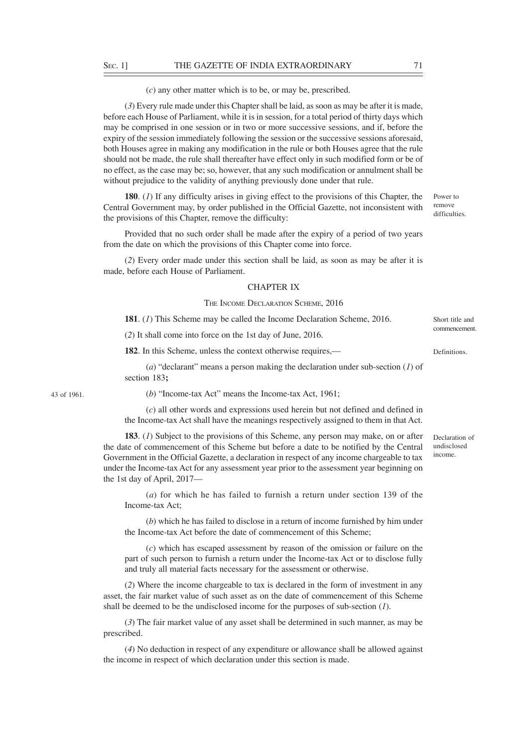### (*c*) any other matter which is to be, or may be, prescribed.

(*3*) Every rule made under this Chapter shall be laid, as soon as may be after it is made, before each House of Parliament, while it is in session, for a total period of thirty days which may be comprised in one session or in two or more successive sessions, and if, before the expiry of the session immediately following the session or the successive sessions aforesaid, both Houses agree in making any modification in the rule or both Houses agree that the rule should not be made, the rule shall thereafter have effect only in such modified form or be of no effect, as the case may be; so, however, that any such modification or annulment shall be without prejudice to the validity of anything previously done under that rule.

**180**. (*1*) If any difficulty arises in giving effect to the provisions of this Chapter, the Central Government may, by order published in the Official Gazette, not inconsistent with the provisions of this Chapter, remove the difficulty:

Provided that no such order shall be made after the expiry of a period of two years from the date on which the provisions of this Chapter come into force.

(*2*) Every order made under this section shall be laid, as soon as may be after it is made, before each House of Parliament.

## CHAPTER IX

### THE INCOME DECLARATION SCHEME, 2016

**181**. (*1*) This Scheme may be called the Income Declaration Scheme, 2016.

(*2*) It shall come into force on the 1st day of June, 2016.

**182**. In this Scheme, unless the context otherwise requires,—

(*a*) "declarant" means a person making the declaration under sub-section (*1*) of section 183**;**

43 of 1961.

(*b*) "Income-tax Act" means the Income-tax Act, 1961;

(*c*) all other words and expressions used herein but not defined and defined in the Income-tax Act shall have the meanings respectively assigned to them in that Act.

**183**. (*1*) Subject to the provisions of this Scheme, any person may make, on or after the date of commencement of this Scheme but before a date to be notified by the Central Government in the Official Gazette, a declaration in respect of any income chargeable to tax under the Income-tax Act for any assessment year prior to the assessment year beginning on the 1st day of April, 2017—

(*a*) for which he has failed to furnish a return under section 139 of the Income-tax Act;

(*b*) which he has failed to disclose in a return of income furnished by him under the Income-tax Act before the date of commencement of this Scheme;

(*c*) which has escaped assessment by reason of the omission or failure on the part of such person to furnish a return under the Income-tax Act or to disclose fully and truly all material facts necessary for the assessment or otherwise.

(*2*) Where the income chargeable to tax is declared in the form of investment in any asset, the fair market value of such asset as on the date of commencement of this Scheme shall be deemed to be the undisclosed income for the purposes of sub-section (*1*).

(*3*) The fair market value of any asset shall be determined in such manner, as may be prescribed.

(*4*) No deduction in respect of any expenditure or allowance shall be allowed against the income in respect of which declaration under this section is made.

Declaration of undisclosed income.

Power to remove difficulties.

Short title and commencement.

Definitions.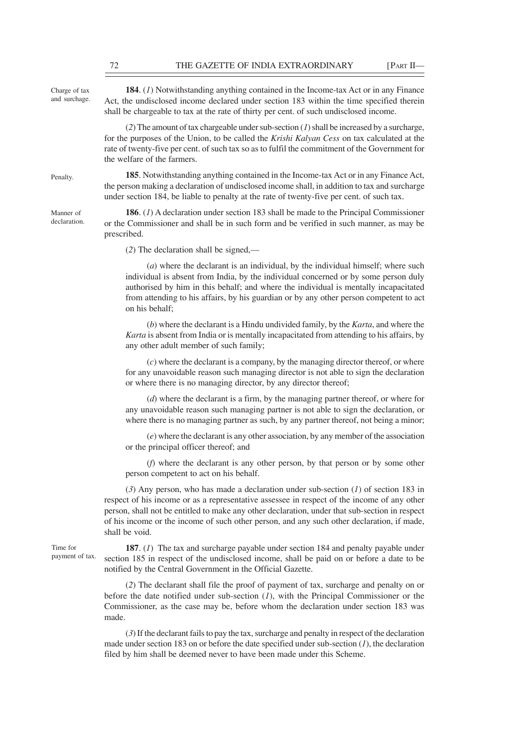Charge of tax and surchage.

Penalty.

Manner of declaration.

**184**. (*1*) Notwithstanding anything contained in the Income-tax Act or in any Finance Act, the undisclosed income declared under section 183 within the time specified therein shall be chargeable to tax at the rate of thirty per cent. of such undisclosed income.

(*2*) The amount of tax chargeable under sub-section (*1*) shall be increased by a surcharge, for the purposes of the Union, to be called the *Krishi Kalyan Cess* on tax calculated at the rate of twenty-five per cent. of such tax so as to fulfil the commitment of the Government for the welfare of the farmers.

**185**. Notwithstanding anything contained in the Income-tax Act or in any Finance Act, the person making a declaration of undisclosed income shall, in addition to tax and surcharge under section 184, be liable to penalty at the rate of twenty-five per cent. of such tax.

**186**. (*1*) A declaration under section 183 shall be made to the Principal Commissioner or the Commissioner and shall be in such form and be verified in such manner, as may be prescribed.

(*2*) The declaration shall be signed,—

(*a*) where the declarant is an individual, by the individual himself; where such individual is absent from India, by the individual concerned or by some person duly authorised by him in this behalf; and where the individual is mentally incapacitated from attending to his affairs, by his guardian or by any other person competent to act on his behalf;

(*b*) where the declarant is a Hindu undivided family, by the *Karta*, and where the *Karta* is absent from India or is mentally incapacitated from attending to his affairs, by any other adult member of such family;

(*c*) where the declarant is a company, by the managing director thereof, or where for any unavoidable reason such managing director is not able to sign the declaration or where there is no managing director, by any director thereof;

(*d*) where the declarant is a firm, by the managing partner thereof, or where for any unavoidable reason such managing partner is not able to sign the declaration, or where there is no managing partner as such, by any partner thereof, not being a minor;

(*e*) where the declarant is any other association, by any member of the association or the principal officer thereof; and

(*f*) where the declarant is any other person, by that person or by some other person competent to act on his behalf.

(*3*) Any person, who has made a declaration under sub-section (*1*) of section 183 in respect of his income or as a representative assessee in respect of the income of any other person, shall not be entitled to make any other declaration, under that sub-section in respect of his income or the income of such other person, and any such other declaration, if made, shall be void.

Time for payment of tax.

**187**. (*1*) The tax and surcharge payable under section 184 and penalty payable under section 185 in respect of the undisclosed income, shall be paid on or before a date to be notified by the Central Government in the Official Gazette.

(*2*) The declarant shall file the proof of payment of tax, surcharge and penalty on or before the date notified under sub-section (*1*), with the Principal Commissioner or the Commissioner, as the case may be, before whom the declaration under section 183 was made.

(*3*) If the declarant fails to pay the tax, surcharge and penalty in respect of the declaration made under section 183 on or before the date specified under sub-section (*1*), the declaration filed by him shall be deemed never to have been made under this Scheme.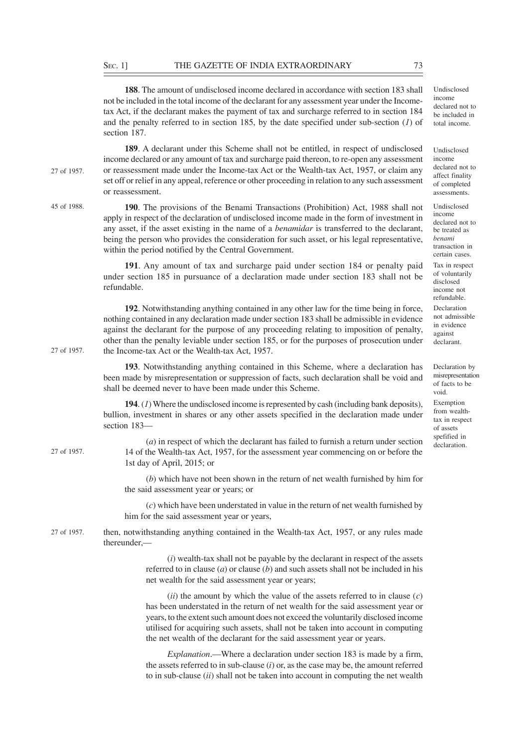**188**. The amount of undisclosed income declared in accordance with section 183 shall not be included in the total income of the declarant for any assessment year under the Incometax Act, if the declarant makes the payment of tax and surcharge referred to in section 184 and the penalty referred to in section 185, by the date specified under sub-section (*1*) of Undisclosed income declared not to be included in total income.

**189**. A declarant under this Scheme shall not be entitled, in respect of undisclosed income declared or any amount of tax and surcharge paid thereon, to re-open any assessment or reassessment made under the Income-tax Act or the Wealth-tax Act, 1957, or claim any set off or relief in any appeal, reference or other proceeding in relation to any such assessment or reassessment.

**190**. The provisions of the Benami Transactions (Prohibition) Act, 1988 shall not apply in respect of the declaration of undisclosed income made in the form of investment in any asset, if the asset existing in the name of a *benamidar* is transferred to the declarant, being the person who provides the consideration for such asset, or his legal representative, within the period notified by the Central Government.

**191**. Any amount of tax and surcharge paid under section 184 or penalty paid under section 185 in pursuance of a declaration made under section 183 shall not be refundable.

**192**. Notwithstanding anything contained in any other law for the time being in force, nothing contained in any declaration made under section 183 shall be admissible in evidence against the declarant for the purpose of any proceeding relating to imposition of penalty, other than the penalty leviable under section 185, or for the purposes of prosecution under the Income-tax Act or the Wealth-tax Act, 1957.

**193**. Notwithstanding anything contained in this Scheme, where a declaration has been made by misrepresentation or suppression of facts, such declaration shall be void and shall be deemed never to have been made under this Scheme.

**194**. (*1*) Where the undisclosed income is represented by cash (including bank deposits), bullion, investment in shares or any other assets specified in the declaration made under section 183—

27 of 1957.

27 of 1957.

27 of 1957.

45 of 1988.

(*a*) in respect of which the declarant has failed to furnish a return under section 14 of the Wealth-tax Act, 1957, for the assessment year commencing on or before the 1st day of April, 2015; or

(*b*) which have not been shown in the return of net wealth furnished by him for the said assessment year or years; or

(*c*) which have been understated in value in the return of net wealth furnished by him for the said assessment year or years,

then, notwithstanding anything contained in the Wealth-tax Act, 1957, or any rules made thereunder,— 27 of 1957.

> (*i*) wealth-tax shall not be payable by the declarant in respect of the assets referred to in clause (*a*) or clause (*b*) and such assets shall not be included in his net wealth for the said assessment year or years;

> (*ii*) the amount by which the value of the assets referred to in clause (*c*) has been understated in the return of net wealth for the said assessment year or years, to the extent such amount does not exceed the voluntarily disclosed income utilised for acquiring such assets, shall not be taken into account in computing the net wealth of the declarant for the said assessment year or years.

> *Explanation*.—Where a declaration under section 183 is made by a firm, the assets referred to in sub-clause (*i*) or, as the case may be, the amount referred to in sub-clause (*ii*) shall not be taken into account in computing the net wealth

section 187.

Undisclosed income declared not to be treated as *benami* transaction in certain cases. Tax in respect of voluntarily disclosed income not refundable.

**Declaration** not admissible in evidence against declarant.

Undisclosed income declared not to affect finality of completed assessments.

Exemption from wealthtax in respect of assets spefified in declaration. Declaration by misrepresentation of facts to be void.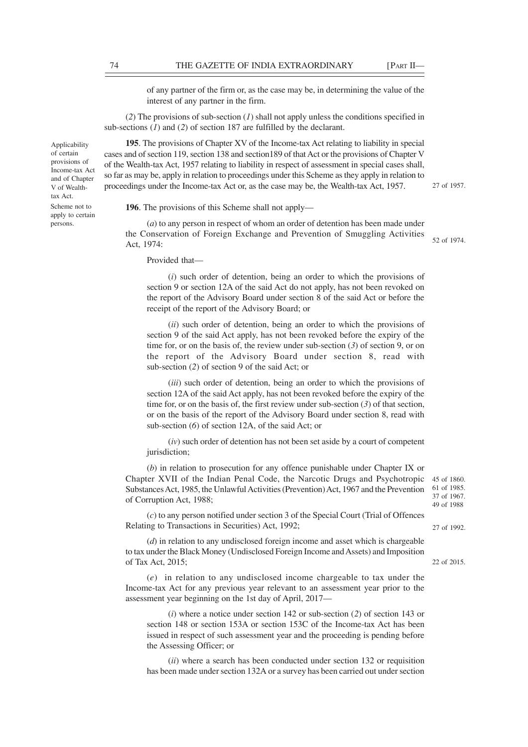of any partner of the firm or, as the case may be, in determining the value of the interest of any partner in the firm.

(*2*) The provisions of sub-section (*1*) shall not apply unless the conditions specified in sub-sections (*1*) and (*2*) of section 187 are fulfilled by the declarant.

**195**. The provisions of Chapter XV of the Income-tax Act relating to liability in special cases and of section 119, section 138 and section189 of that Act or the provisions of Chapter V of the Wealth-tax Act, 1957 relating to liability in respect of assessment in special cases shall, so far as may be, apply in relation to proceedings under this Scheme as they apply in relation to proceedings under the Income-tax Act or, as the case may be, the Wealth-tax Act, 1957.

27 of 1957.

**196**. The provisions of this Scheme shall not apply—

(*a*) to any person in respect of whom an order of detention has been made under the Conservation of Foreign Exchange and Prevention of Smuggling Activities Act, 1974:

52 of 1974.

27 of 1992.

22 of 2015.

Provided that—

(*i*) such order of detention, being an order to which the provisions of section 9 or section 12A of the said Act do not apply, has not been revoked on the report of the Advisory Board under section 8 of the said Act or before the receipt of the report of the Advisory Board; or

(*ii*) such order of detention, being an order to which the provisions of section 9 of the said Act apply, has not been revoked before the expiry of the time for, or on the basis of, the review under sub-section (*3*) of section 9, or on the report of the Advisory Board under section 8, read with sub-section (*2*) of section 9 of the said Act; or

(*iii*) such order of detention, being an order to which the provisions of section 12A of the said Act apply, has not been revoked before the expiry of the time for, or on the basis of, the first review under sub-section (*3*) of that section, or on the basis of the report of the Advisory Board under section 8, read with sub-section (*6*) of section 12A, of the said Act; or

(*iv*) such order of detention has not been set aside by a court of competent jurisdiction;

(*b*) in relation to prosecution for any offence punishable under Chapter IX or Chapter XVII of the Indian Penal Code, the Narcotic Drugs and Psychotropic Substances Act, 1985, the Unlawful Activities (Prevention) Act, 1967 and the Prevention of Corruption Act, 1988; 45 of 1860. 61 of 1985. 37 of 1967. 49 of 1988

(*c*) to any person notified under section 3 of the Special Court (Trial of Offences Relating to Transactions in Securities) Act, 1992;

(*d*) in relation to any undisclosed foreign income and asset which is chargeable to tax under the Black Money (Undisclosed Foreign Income and Assets) and Imposition of Tax Act, 2015;

(*e*) in relation to any undisclosed income chargeable to tax under the Income-tax Act for any previous year relevant to an assessment year prior to the assessment year beginning on the 1st day of April, 2017—

(*i*) where a notice under section 142 or sub-section (*2*) of section 143 or section 148 or section 153A or section 153C of the Income-tax Act has been issued in respect of such assessment year and the proceeding is pending before the Assessing Officer; or

(*ii*) where a search has been conducted under section 132 or requisition has been made under section 132A or a survey has been carried out under section

Applicability of certain provisions of Income-tax Act and of Chapter V of Wealthtax Act. Scheme not to

apply to certain persons.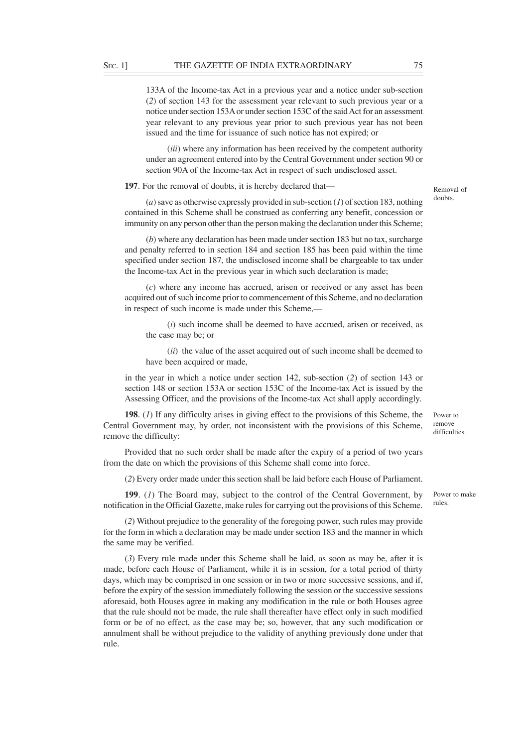133A of the Income-tax Act in a previous year and a notice under sub-section (*2*) of section 143 for the assessment year relevant to such previous year or a notice under section 153A or under section 153C of the said Act for an assessment year relevant to any previous year prior to such previous year has not been issued and the time for issuance of such notice has not expired; or

(*iii*) where any information has been received by the competent authority under an agreement entered into by the Central Government under section 90 or section 90A of the Income-tax Act in respect of such undisclosed asset.

**197**. For the removal of doubts, it is hereby declared that—

(*a*) save as otherwise expressly provided in sub-section (*1*) of section 183, nothing contained in this Scheme shall be construed as conferring any benefit, concession or immunity on any person other than the person making the declaration under this Scheme;

(*b*) where any declaration has been made under section 183 but no tax, surcharge and penalty referred to in section 184 and section 185 has been paid within the time specified under section 187, the undisclosed income shall be chargeable to tax under the Income-tax Act in the previous year in which such declaration is made;

(*c*) where any income has accrued, arisen or received or any asset has been acquired out of such income prior to commencement of this Scheme, and no declaration in respect of such income is made under this Scheme,—

(*i*) such income shall be deemed to have accrued, arisen or received, as the case may be; or

(*ii*) the value of the asset acquired out of such income shall be deemed to have been acquired or made,

in the year in which a notice under section 142, sub-section (*2*) of section 143 or section 148 or section 153A or section 153C of the Income-tax Act is issued by the Assessing Officer, and the provisions of the Income-tax Act shall apply accordingly.

**198**. (*1*) If any difficulty arises in giving effect to the provisions of this Scheme, the Central Government may, by order, not inconsistent with the provisions of this Scheme, remove the difficulty:

Provided that no such order shall be made after the expiry of a period of two years from the date on which the provisions of this Scheme shall come into force.

(*2*) Every order made under this section shall be laid before each House of Parliament.

**199**. (*1*) The Board may, subject to the control of the Central Government, by notification in the Official Gazette, make rules for carrying out the provisions of this Scheme. Power to make rules.

(*2*) Without prejudice to the generality of the foregoing power, such rules may provide for the form in which a declaration may be made under section 183 and the manner in which the same may be verified.

(*3*) Every rule made under this Scheme shall be laid, as soon as may be, after it is made, before each House of Parliament, while it is in session, for a total period of thirty days, which may be comprised in one session or in two or more successive sessions, and if, before the expiry of the session immediately following the session or the successive sessions aforesaid, both Houses agree in making any modification in the rule or both Houses agree that the rule should not be made, the rule shall thereafter have effect only in such modified form or be of no effect, as the case may be; so, however, that any such modification or annulment shall be without prejudice to the validity of anything previously done under that rule.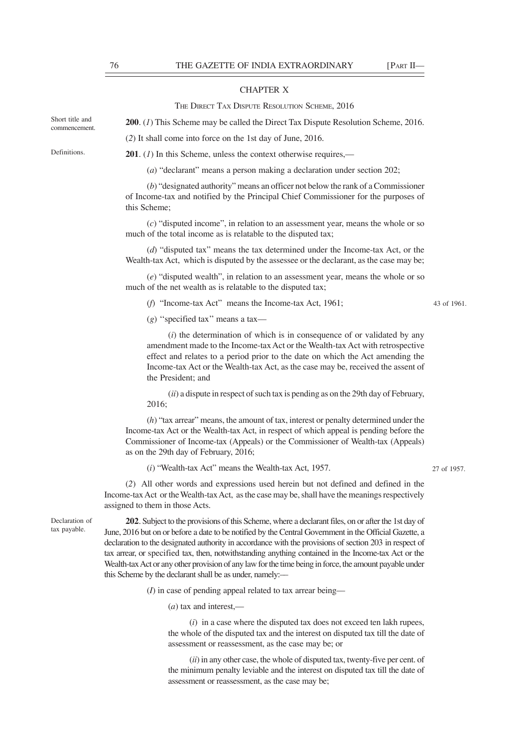## CHAPTER X

THE DIRECT TAX DISPUTE RESOLUTION SCHEME, 2016

**200**. (*1*) This Scheme may be called the Direct Tax Dispute Resolution Scheme, 2016.

(*2*) It shall come into force on the 1st day of June, 2016.

Definitions.

Short title and commencement.

**201**. (*1*) In this Scheme, unless the context otherwise requires,—

(*a*) "declarant" means a person making a declaration under section 202;

(*b*) "designated authority" means an officer not below the rank of a Commissioner of Income-tax and notified by the Principal Chief Commissioner for the purposes of this Scheme;

(*c*) "disputed income", in relation to an assessment year, means the whole or so much of the total income as is relatable to the disputed tax;

(*d*) "disputed tax" means the tax determined under the Income-tax Act, or the Wealth-tax Act, which is disputed by the assessee or the declarant, as the case may be;

(*e*) "disputed wealth", in relation to an assessment year, means the whole or so much of the net wealth as is relatable to the disputed tax;

(*f*) "Income-tax Act" means the Income-tax Act, 1961;

(*g*) ''specified tax'' means a tax—

(*i*) the determination of which is in consequence of or validated by any amendment made to the Income-tax Act or the Wealth-tax Act with retrospective effect and relates to a period prior to the date on which the Act amending the Income-tax Act or the Wealth-tax Act, as the case may be, received the assent of the President; and

(*ii*) a dispute in respect of such tax is pending as on the 29th day of February, 2016;

(*h*) "tax arrear" means, the amount of tax, interest or penalty determined under the Income-tax Act or the Wealth-tax Act, in respect of which appeal is pending before the Commissioner of Income-tax (Appeals) or the Commissioner of Wealth-tax (Appeals) as on the 29th day of February, 2016;

(*i*) "Wealth-tax Act" means the Wealth-tax Act, 1957.

(*2*) All other words and expressions used herein but not defined and defined in the Income-tax Act or the Wealth-tax Act, as the case may be, shall have the meanings respectively assigned to them in those Acts.

Declaration of tax payable.

**202**. Subject to the provisions of this Scheme, where a declarant files, on or after the 1st day of June, 2016 but on or before a date to be notified by the Central Government in the Official Gazette, a declaration to the designated authority in accordance with the provisions of section 203 in respect of tax arrear, or specified tax, then, notwithstanding anything contained in the Income-tax Act or the Wealth-tax Act or any other provision of any law for the time being in force, the amount payable under this Scheme by the declarant shall be as under, namely:––

(*I*) in case of pending appeal related to tax arrear being––

(*a*) tax and interest,—

(*i*) in a case where the disputed tax does not exceed ten lakh rupees, the whole of the disputed tax and the interest on disputed tax till the date of assessment or reassessment, as the case may be; or

(*ii*) in any other case, the whole of disputed tax, twenty-five per cent. of the minimum penalty leviable and the interest on disputed tax till the date of assessment or reassessment, as the case may be;

43 of 1961.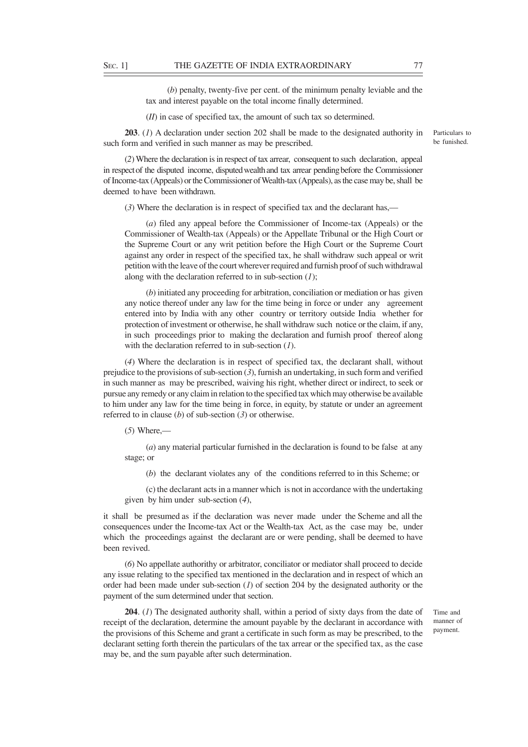(*b*) penalty, twenty-five per cent. of the minimum penalty leviable and the tax and interest payable on the total income finally determined.

(*II*) in case of specified tax, the amount of such tax so determined.

**203**. (*1*) A declaration under section 202 shall be made to the designated authority in such form and verified in such manner as may be prescribed.

Particulars to be funished.

(*2*) Where the declaration is in respect of tax arrear, consequent to such declaration, appeal in respect of the disputed income, disputed wealth and tax arrear pending before the Commissioner of Income-tax (Appeals) or the Commissioner of Wealth-tax (Appeals), as the case may be, shall be deemed to have been withdrawn.

(*3*) Where the declaration is in respect of specified tax and the declarant has,—

(*a*) filed any appeal before the Commissioner of Income-tax (Appeals) or the Commissioner of Wealth-tax (Appeals) or the Appellate Tribunal or the High Court or the Supreme Court or any writ petition before the High Court or the Supreme Court against any order in respect of the specified tax, he shall withdraw such appeal or writ petition with the leave of the court wherever required and furnish proof of such withdrawal along with the declaration referred to in sub-section (*1*);

(*b*) initiated any proceeding for arbitration, conciliation or mediation or has given any notice thereof under any law for the time being in force or under any agreement entered into by India with any other country or territory outside India whether for protection of investment or otherwise, he shall withdraw such notice or the claim, if any, in such proceedings prior to making the declaration and furnish proof thereof along with the declaration referred to in sub-section (*1*).

(*4*) Where the declaration is in respect of specified tax, the declarant shall, without prejudice to the provisions of sub-section (*3*), furnish an undertaking, in such form and verified in such manner as may be prescribed, waiving his right, whether direct or indirect, to seek or pursue any remedy or any claim in relation to the specified tax which may otherwise be available to him under any law for the time being in force, in equity, by statute or under an agreement referred to in clause (*b*) of sub-section (*3*) or otherwise.

(*5*) Where,—

(*a*) any material particular furnished in the declaration is found to be false at any stage; or

(*b*) the declarant violates any of the conditions referred to in this Scheme; or

(c) the declarant acts in a manner which is not in accordance with the undertaking given by him under sub-section (*4*),

it shall be presumed as if the declaration was never made under the Scheme and all the consequences under the Income-tax Act or the Wealth-tax Act, as the case may be, under which the proceedings against the declarant are or were pending, shall be deemed to have been revived.

(*6*) No appellate authorithy or arbitrator, conciliator or mediator shall proceed to decide any issue relating to the specified tax mentioned in the declaration and in respect of which an order had been made under sub-section (*1*) of section 204 by the designated authority or the payment of the sum determined under that section.

**204**. (*1*) The designated authority shall, within a period of sixty days from the date of receipt of the declaration, determine the amount payable by the declarant in accordance with the provisions of this Scheme and grant a certificate in such form as may be prescribed, to the declarant setting forth therein the particulars of the tax arrear or the specified tax, as the case may be, and the sum payable after such determination.

Time and manner of payment.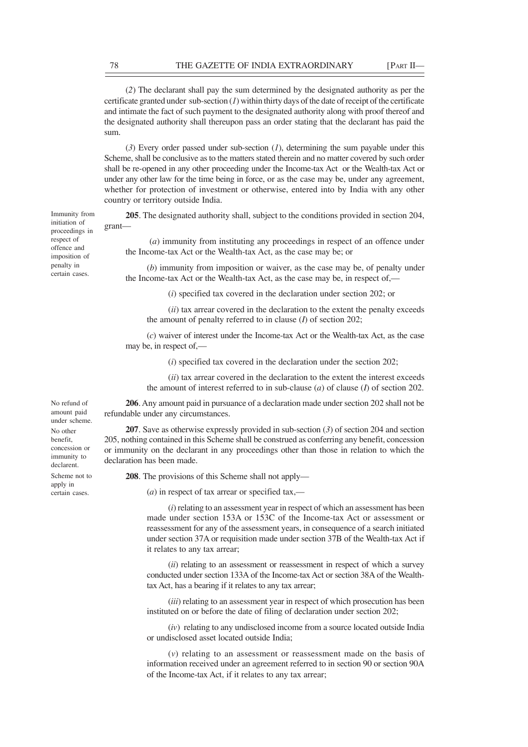(*2*) The declarant shall pay the sum determined by the designated authority as per the certificate granted under sub-section (*1*) within thirty days of the date of receipt of the certificate and intimate the fact of such payment to the designated authority along with proof thereof and the designated authority shall thereupon pass an order stating that the declarant has paid the sum.

(*3*) Every order passed under sub-section (*1*), determining the sum payable under this Scheme, shall be conclusive as to the matters stated therein and no matter covered by such order shall be re-opened in any other proceeding under the Income-tax Act or the Wealth-tax Act or under any other law for the time being in force, or as the case may be, under any agreement, whether for protection of investment or otherwise, entered into by India with any other country or territory outside India.

**205**. The designated authority shall, subject to the conditions provided in section 204, grant—

 (*a*) immunity from instituting any proceedings in respect of an offence under the Income-tax Act or the Wealth-tax Act, as the case may be; or

(*b*) immunity from imposition or waiver, as the case may be, of penalty under the Income-tax Act or the Wealth-tax Act, as the case may be, in respect of,—

(*i*) specified tax covered in the declaration under section 202; or

(*ii*) tax arrear covered in the declaration to the extent the penalty exceeds the amount of penalty referred to in clause (*I*) of section 202;

(*c*) waiver of interest under the Income-tax Act or the Wealth-tax Act, as the case may be, in respect of,—

(*i*) specified tax covered in the declaration under the section 202;

(*ii*) tax arrear covered in the declaration to the extent the interest exceeds the amount of interest referred to in sub-clause (*a*) of clause (*I*) of section 202.

**206**. Any amount paid in pursuance of a declaration made under section 202 shall not be refundable under any circumstances.

**207**. Save as otherwise expressly provided in sub-section (*3*) of section 204 and section 205, nothing contained in this Scheme shall be construed as conferring any benefit, concession or immunity on the declarant in any proceedings other than those in relation to which the declaration has been made.

**208**. The provisions of this Scheme shall not apply—

(*a*) in respect of tax arrear or specified tax,––

(*i*) relating to an assessment year in respect of which an assessment has been made under section 153A or 153C of the Income-tax Act or assessment or reassessment for any of the assessment years, in consequence of a search initiated under section 37A or requisition made under section 37B of the Wealth-tax Act if it relates to any tax arrear;

(*ii*) relating to an assessment or reassessment in respect of which a survey conducted under section 133A of the Income-tax Act or section 38A of the Wealthtax Act, has a bearing if it relates to any tax arrear;

(*iii*) relating to an assessment year in respect of which prosecution has been instituted on or before the date of filing of declaration under section 202;

(*iv*) relating to any undisclosed income from a source located outside India or undisclosed asset located outside India;

(*v*) relating to an assessment or reassessment made on the basis of information received under an agreement referred to in section 90 or section 90A of the Income-tax Act, if it relates to any tax arrear;

proceedings in respect of offence and imposition of penalty in certain cases.

Immunity from initiation of

No refund of amount paid under scheme. No other benefit, concession or immunity to declarent. Scheme not to apply in certain cases.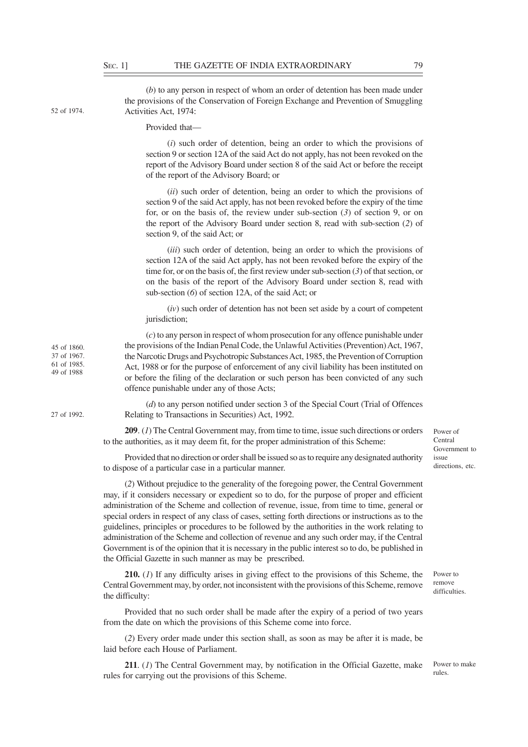52 of 1974.

45 of 1860. 37 of 1967. 61 of 1985. 49 of 1988

27 of 1992.

(*b*) to any person in respect of whom an order of detention has been made under the provisions of the Conservation of Foreign Exchange and Prevention of Smuggling

Activities Act, 1974: Provided that—

> (*i*) such order of detention, being an order to which the provisions of section 9 or section 12A of the said Act do not apply, has not been revoked on the report of the Advisory Board under section 8 of the said Act or before the receipt of the report of the Advisory Board; or

> (*ii*) such order of detention, being an order to which the provisions of section 9 of the said Act apply, has not been revoked before the expiry of the time for, or on the basis of, the review under sub-section (*3*) of section 9, or on the report of the Advisory Board under section 8, read with sub-section (*2*) of section 9, of the said Act; or

> (*iii*) such order of detention, being an order to which the provisions of section 12A of the said Act apply, has not been revoked before the expiry of the time for, or on the basis of, the first review under sub-section (*3*) of that section, or on the basis of the report of the Advisory Board under section 8, read with sub-section (*6*) of section 12A, of the said Act; or

> (*iv*) such order of detention has not been set aside by a court of competent jurisdiction;

(*c*) to any person in respect of whom prosecution for any offence punishable under the provisions of the Indian Penal Code, the Unlawful Activities (Prevention) Act, 1967, the Narcotic Drugs and Psychotropic Substances Act, 1985, the Prevention of Corruption Act, 1988 or for the purpose of enforcement of any civil liability has been instituted on or before the filing of the declaration or such person has been convicted of any such offence punishable under any of those Acts;

(*d*) to any person notified under section 3 of the Special Court (Trial of Offences Relating to Transactions in Securities) Act, 1992.

**209**. (*1*) The Central Government may, from time to time, issue such directions or orders to the authorities, as it may deem fit, for the proper administration of this Scheme:

Provided that no direction or order shall be issued so as to require any designated authority to dispose of a particular case in a particular manner.

Central Government to issue directions, etc.

Power of

(*2*) Without prejudice to the generality of the foregoing power, the Central Government may, if it considers necessary or expedient so to do, for the purpose of proper and efficient administration of the Scheme and collection of revenue, issue, from time to time, general or special orders in respect of any class of cases, setting forth directions or instructions as to the guidelines, principles or procedures to be followed by the authorities in the work relating to administration of the Scheme and collection of revenue and any such order may, if the Central Government is of the opinion that it is necessary in the public interest so to do, be published in the Official Gazette in such manner as may be prescribed.

**210.** (*1*) If any difficulty arises in giving effect to the provisions of this Scheme, the Central Government may, by order, not inconsistent with the provisions of this Scheme, remove the difficulty:

Provided that no such order shall be made after the expiry of a period of two years from the date on which the provisions of this Scheme come into force.

(*2*) Every order made under this section shall, as soon as may be after it is made, be laid before each House of Parliament.

**211**. (*1*) The Central Government may, by notification in the Official Gazette, make rules for carrying out the provisions of this Scheme.

Power to remove difficulties.

rules.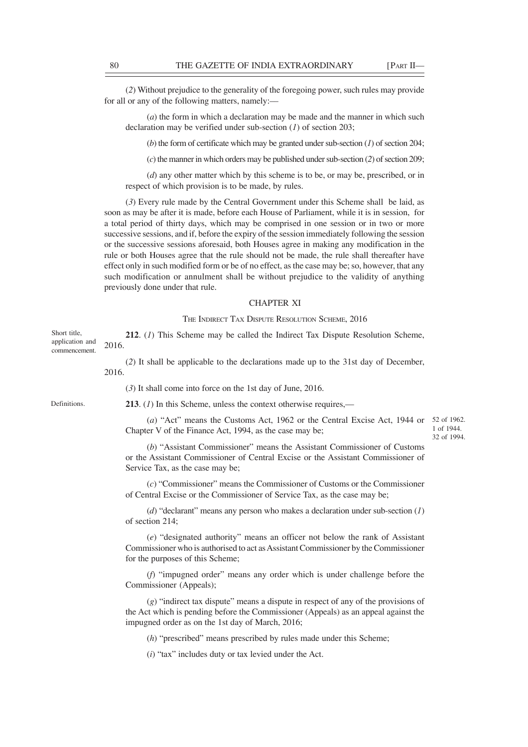(*2*) Without prejudice to the generality of the foregoing power, such rules may provide for all or any of the following matters, namely:—

(*a*) the form in which a declaration may be made and the manner in which such declaration may be verified under sub-section (*1*) of section 203;

(*b*) the form of certificate which may be granted under sub-section (*1*) of section 204;

(*c*) the manner in which orders may be published under sub-section (*2*) of section 209;

(*d*) any other matter which by this scheme is to be, or may be, prescribed, or in respect of which provision is to be made, by rules.

(*3*) Every rule made by the Central Government under this Scheme shall be laid, as soon as may be after it is made, before each House of Parliament, while it is in session, for a total period of thirty days, which may be comprised in one session or in two or more successive sessions, and if, before the expiry of the session immediately following the session or the successive sessions aforesaid, both Houses agree in making any modification in the rule or both Houses agree that the rule should not be made, the rule shall thereafter have effect only in such modified form or be of no effect, as the case may be; so, however, that any such modification or annulment shall be without prejudice to the validity of anything previously done under that rule.

## CHAPTER XI

### THE INDIRECT TAX DISPUTE RESOLUTION SCHEME, 2016

**212**. (*1*) This Scheme may be called the Indirect Tax Dispute Resolution Scheme, 2016.

(*2*) It shall be applicable to the declarations made up to the 31st day of December, 2016.

(*3*) It shall come into force on the 1st day of June, 2016.

**213**. (*1*) In this Scheme, unless the context otherwise requires,—

(*a*) "Act" means the Customs Act, 1962 or the Central Excise Act, 1944 or 52 of 1962. Chapter V of the Finance Act, 1994, as the case may be;

1 of 1944. 32 of 1994.

(*b*) "Assistant Commissioner" means the Assistant Commissioner of Customs or the Assistant Commissioner of Central Excise or the Assistant Commissioner of Service Tax, as the case may be;

(*c*) "Commissioner" means the Commissioner of Customs or the Commissioner of Central Excise or the Commissioner of Service Tax, as the case may be;

(*d*) "declarant" means any person who makes a declaration under sub-section (*1*) of section 214;

(*e*) "designated authority" means an officer not below the rank of Assistant Commissioner who is authorised to act as Assistant Commissioner by the Commissioner for the purposes of this Scheme;

(*f*) "impugned order" means any order which is under challenge before the Commissioner (Appeals);

(*g*) "indirect tax dispute" means a dispute in respect of any of the provisions of the Act which is pending before the Commissioner (Appeals) as an appeal against the impugned order as on the 1st day of March, 2016;

(*h*) "prescribed" means prescribed by rules made under this Scheme;

(*i*) "tax" includes duty or tax levied under the Act.

Definitions.

Short title, application and commencement.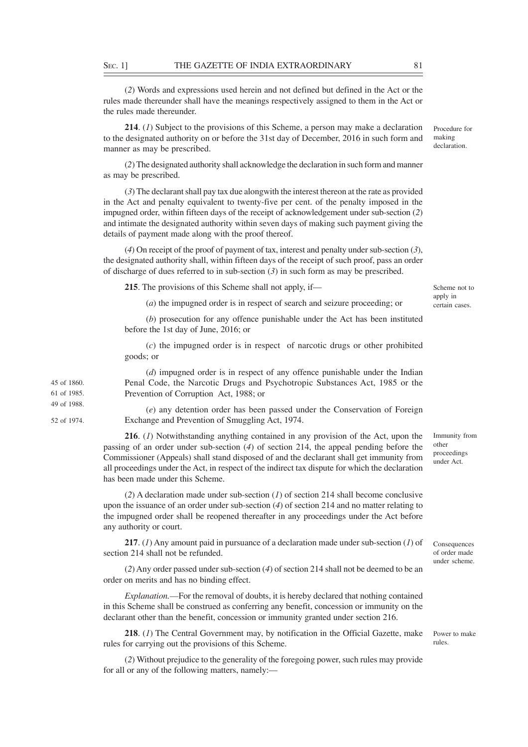(*2*) Words and expressions used herein and not defined but defined in the Act or the rules made thereunder shall have the meanings respectively assigned to them in the Act or the rules made thereunder.

**214**. (*1*) Subject to the provisions of this Scheme, a person may make a declaration to the designated authority on or before the 31st day of December, 2016 in such form and manner as may be prescribed.

(*2*) The designated authority shall acknowledge the declaration in such form and manner as may be prescribed.

(*3*) The declarant shall pay tax due alongwith the interest thereon at the rate as provided in the Act and penalty equivalent to twenty-five per cent. of the penalty imposed in the impugned order, within fifteen days of the receipt of acknowledgement under sub-section (*2*) and intimate the designated authority within seven days of making such payment giving the details of payment made along with the proof thereof.

(*4*) On receipt of the proof of payment of tax, interest and penalty under sub-section (*3*), the designated authority shall, within fifteen days of the receipt of such proof, pass an order of discharge of dues referred to in sub-section  $(3)$  in such form as may be prescribed.

**215**. The provisions of this Scheme shall not apply, if—

45 of 1860. 61 of 1985. 49 of 1988. 52 of 1974. Scheme not to apply in certain cases.

Procedure for making declaration.

(*a*) the impugned order is in respect of search and seizure proceeding; or

(*b*) prosecution for any offence punishable under the Act has been instituted before the 1st day of June, 2016; or

(*c*) the impugned order is in respect of narcotic drugs or other prohibited goods; or

(*d*) impugned order is in respect of any offence punishable under the Indian Penal Code, the Narcotic Drugs and Psychotropic Substances Act, 1985 or the Prevention of Corruption Act, 1988; or

(*e*) any detention order has been passed under the Conservation of Foreign Exchange and Prevention of Smuggling Act, 1974.

**216**. (*1*) Notwithstanding anything contained in any provision of the Act, upon the passing of an order under sub-section (*4*) of section 214, the appeal pending before the Commissioner (Appeals) shall stand disposed of and the declarant shall get immunity from all proceedings under the Act, in respect of the indirect tax dispute for which the declaration has been made under this Scheme.

(*2*) A declaration made under sub-section (*1*) of section 214 shall become conclusive upon the issuance of an order under sub-section (*4*) of section 214 and no matter relating to the impugned order shall be reopened thereafter in any proceedings under the Act before any authority or court.

**217**. (*1*) Any amount paid in pursuance of a declaration made under sub-section (*1*) of section 214 shall not be refunded.

(*2*) Any order passed under sub-section (*4*) of section 214 shall not be deemed to be an order on merits and has no binding effect.

*Explanation.––*For the removal of doubts, it is hereby declared that nothing contained in this Scheme shall be construed as conferring any benefit, concession or immunity on the declarant other than the benefit, concession or immunity granted under section 216.

**218**. (*1*) The Central Government may, by notification in the Official Gazette, make rules for carrying out the provisions of this Scheme.

(*2*) Without prejudice to the generality of the foregoing power, such rules may provide for all or any of the following matters, namely:—

Immunity from other proceedings under Act.

of order made under scheme.

Consequences

Power to make rules.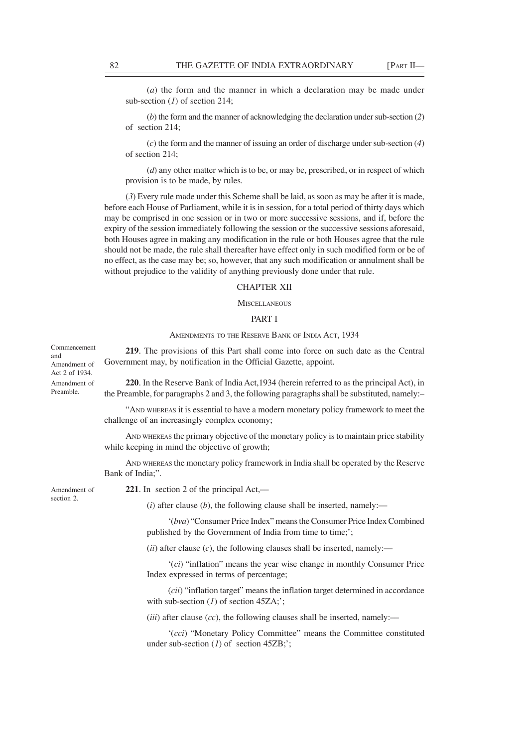(*a*) the form and the manner in which a declaration may be made under sub-section (*1*) of section 214;

(*b*) the form and the manner of acknowledging the declaration under sub-section (*2*) of section 214;

(*c*) the form and the manner of issuing an order of discharge under sub-section (*4*) of section 214;

(*d*) any other matter which is to be, or may be, prescribed, or in respect of which provision is to be made, by rules.

(*3*) Every rule made under this Scheme shall be laid, as soon as may be after it is made, before each House of Parliament, while it is in session, for a total period of thirty days which may be comprised in one session or in two or more successive sessions, and if, before the expiry of the session immediately following the session or the successive sessions aforesaid, both Houses agree in making any modification in the rule or both Houses agree that the rule should not be made, the rule shall thereafter have effect only in such modified form or be of no effect, as the case may be; so, however, that any such modification or annulment shall be without prejudice to the validity of anything previously done under that rule.

# CHAPTER XII

#### **MISCELLANEOUS**

## PART I

## AMENDMENTS TO THE RESERVE BANK OF INDIA ACT, 1934

**219**. The provisions of this Part shall come into force on such date as the Central Government may, by notification in the Official Gazette, appoint.

**220**. In the Reserve Bank of India Act,1934 (herein referred to as the principal Act), in the Preamble, for paragraphs 2 and 3, the following paragraphs shall be substituted, namely:–

"AND WHEREAS it is essential to have a modern monetary policy framework to meet the challenge of an increasingly complex economy;

AND WHEREAS the primary objective of the monetary policy is to maintain price stability while keeping in mind the objective of growth;

AND WHEREAS the monetary policy framework in India shall be operated by the Reserve Bank of India;".

Amendment of section 2.

Commencement

Amendment of Act 2 of 1934. Amendment of Preamble.

and

**221**. In section 2 of the principal Act,––

 $(i)$  after clause  $(b)$ , the following clause shall be inserted, namely:—

'(*bva*) "Consumer Price Index" means the Consumer Price Index Combined published by the Government of India from time to time;';

 $(iii)$  after clause  $(c)$ , the following clauses shall be inserted, namely:—

'(*ci*) "inflation" means the year wise change in monthly Consumer Price Index expressed in terms of percentage;

(*cii*) "inflation target" means the inflation target determined in accordance with sub-section (*1*) of section 45ZA;';

 $(iii)$  after clause  $(cc)$ , the following clauses shall be inserted, namely:—

'(*cci*) "Monetary Policy Committee" means the Committee constituted under sub-section (*l*) of section 45ZB;';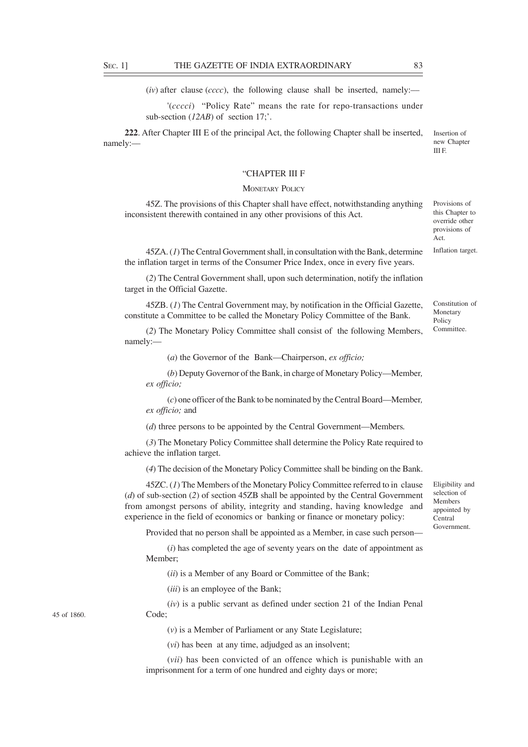$(iv)$  after clause (*cccc*), the following clause shall be inserted, namely:—

'(*cccci*) "Policy Rate" means the rate for repo-transactions under sub-section (*12AB*) of section 17;'.

**222**. After Chapter III E of the principal Act, the following Chapter shall be inserted, namely:––

# "CHAPTER III F

## **MONETARY POLICY**

45Z. The provisions of this Chapter shall have effect, notwithstanding anything inconsistent therewith contained in any other provisions of this Act.

45ZA. (*1*) The Central Government shall, in consultation with the Bank, determine the inflation target in terms of the Consumer Price Index, once in every five years.

(*2*) The Central Government shall, upon such determination, notify the inflation target in the Official Gazette.

45ZB. (*1*) The Central Government may, by notification in the Official Gazette, constitute a Committee to be called the Monetary Policy Committee of the Bank.

(*2*) The Monetary Policy Committee shall consist of the following Members, namely:—

(*a*) the Governor of the Bank—Chairperson, *ex officio;*

(*b*) Deputy Governor of the Bank, in charge of Monetary Policy—Member*, ex officio;*

(*c*) one officer of the Bank to be nominated by the Central Board—Member*, ex officio;* and

(*d*) three persons to be appointed by the Central Government—Members*.*

(*3*) The Monetary Policy Committee shall determine the Policy Rate required to achieve the inflation target.

(*4*) The decision of the Monetary Policy Committee shall be binding on the Bank.

45ZC. (*1*) The Members of the Monetary Policy Committee referred to in clause (*d*) of sub-section (*2*) of section 45ZB shall be appointed by the Central Government from amongst persons of ability, integrity and standing, having knowledge and experience in the field of economics or banking or finance or monetary policy:

Provided that no person shall be appointed as a Member, in case such person––

(*i*) has completed the age of seventy years on the date of appointment as Member;

(*ii*) is a Member of any Board or Committee of the Bank;

(*iii*) is an employee of the Bank;

(*iv*) is a public servant as defined under section 21 of the Indian Penal Code;

(*v*) is a Member of Parliament or any State Legislature;

(*vi*) has been at any time, adjudged as an insolvent;

(*vii*) has been convicted of an offence which is punishable with an imprisonment for a term of one hundred and eighty days or more;

45 of 1860.

Provisions of this Chapter to override other

Insertion of new Chapter III F.

provisions of Act. Inflation target.

Constitution of Monetary Policy Committee.

Eligibility and selection of Members appointed by Central Government.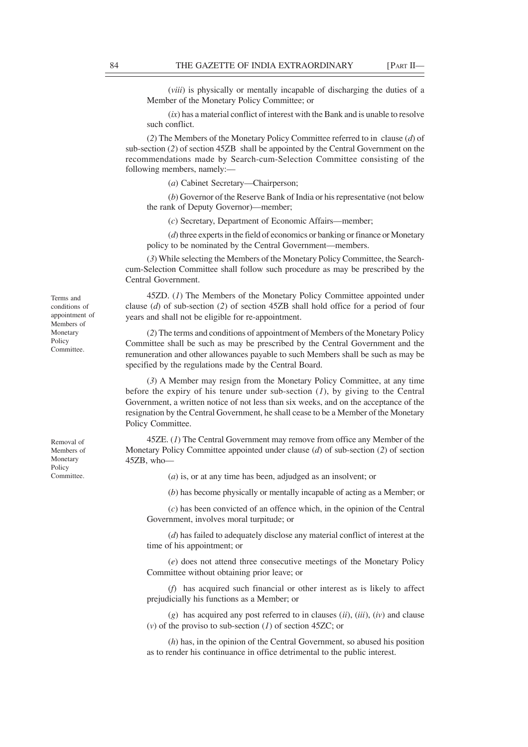(*viii*) is physically or mentally incapable of discharging the duties of a Member of the Monetary Policy Committee; or

(*ix*) has a material conflict of interest with the Bank and is unable to resolve such conflict.

(*2*) The Members of the Monetary Policy Committee referred to in clause (*d*) of sub-section (*2*) of section 45ZB shall be appointed by the Central Government on the recommendations made by Search-cum-Selection Committee consisting of the following members, namely:––

(*a*) Cabinet Secretary—Chairperson;

(*b*) Governor of the Reserve Bank of India or his representative (not below the rank of Deputy Governor)—member;

(*c*) Secretary, Department of Economic Affairs—member;

(*d*) three experts in the field of economics or banking or finance or Monetary policy to be nominated by the Central Government—members.

(*3*) While selecting the Members of the Monetary Policy Committee, the Searchcum-Selection Committee shall follow such procedure as may be prescribed by the Central Government.

45ZD. (*1*) The Members of the Monetary Policy Committee appointed under clause (*d*) of sub-section (*2*) of section 45ZB shall hold office for a period of four years and shall not be eligible for re-appointment.

(*2*) The terms and conditions of appointment of Members of the Monetary Policy Committee shall be such as may be prescribed by the Central Government and the remuneration and other allowances payable to such Members shall be such as may be specified by the regulations made by the Central Board.

(*3*) A Member may resign from the Monetary Policy Committee, at any time before the expiry of his tenure under sub-section (*1*), by giving to the Central Government, a written notice of not less than six weeks, and on the acceptance of the resignation by the Central Government, he shall cease to be a Member of the Monetary Policy Committee.

45ZE. (*1*) The Central Government may remove from office any Member of the Monetary Policy Committee appointed under clause (*d*) of sub-section (*2*) of section 45ZB, who—

(*a*) is, or at any time has been, adjudged as an insolvent; or

(*b*) has become physically or mentally incapable of acting as a Member; or

(*c*) has been convicted of an offence which, in the opinion of the Central Government, involves moral turpitude; or

(*d*) has failed to adequately disclose any material conflict of interest at the time of his appointment; or

(*e*) does not attend three consecutive meetings of the Monetary Policy Committee without obtaining prior leave; or

(*f*) has acquired such financial or other interest as is likely to affect prejudicially his functions as a Member; or

(*g*) has acquired any post referred to in clauses (*ii*), (*iii*), (*iv*) and clause (*v*) of the proviso to sub-section (*1*) of section 45ZC; or

(*h*) has, in the opinion of the Central Government, so abused his position as to render his continuance in office detrimental to the public interest.

Terms and conditions of appointment of Members of Monetary Policy Committee.

Removal of Members of Monetary Policy Committee.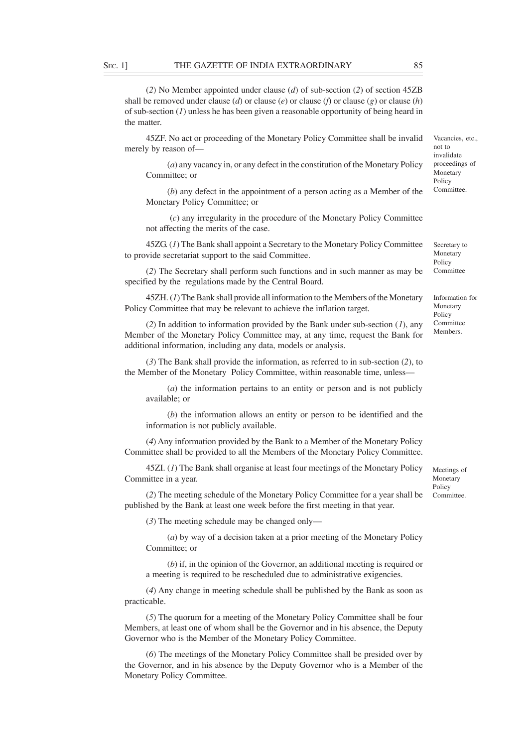(*2*) No Member appointed under clause (*d*) of sub-section (*2*) of section 45ZB shall be removed under clause (*d*) or clause (*e*) or clause (*f*) or clause (*g*) or clause (*h*) of sub-section (*1*) unless he has been given a reasonable opportunity of being heard in the matter.

45ZF. No act or proceeding of the Monetary Policy Committee shall be invalid merely by reason of—

(*a*) any vacancy in, or any defect in the constitution of the Monetary Policy Committee; or

(*b*) any defect in the appointment of a person acting as a Member of the Monetary Policy Committee; or

 (*c*) any irregularity in the procedure of the Monetary Policy Committee not affecting the merits of the case.

45ZG. (*1*) The Bank shall appoint a Secretary to the Monetary Policy Committee to provide secretariat support to the said Committee.

(*2*) The Secretary shall perform such functions and in such manner as may be specified by the regulations made by the Central Board.

45ZH. (*1*) The Bank shall provide all information to the Members of the Monetary Policy Committee that may be relevant to achieve the inflation target.

(*2*) In addition to information provided by the Bank under sub-section (*1*), any Member of the Monetary Policy Committee may, at any time, request the Bank for additional information, including any data, models or analysis.

(*3*) The Bank shall provide the information, as referred to in sub-section (*2*), to the Member of the Monetary Policy Committee, within reasonable time, unless—

(*a*) the information pertains to an entity or person and is not publicly available; or

(*b*) the information allows an entity or person to be identified and the information is not publicly available.

(*4*) Any information provided by the Bank to a Member of the Monetary Policy Committee shall be provided to all the Members of the Monetary Policy Committee.

45ZI. (*1*) The Bank shall organise at least four meetings of the Monetary Policy Committee in a year.

Monetary Policy Committee.

Meetings of

(*2*) The meeting schedule of the Monetary Policy Committee for a year shall be published by the Bank at least one week before the first meeting in that year.

(*3*) The meeting schedule may be changed only––

(*a*) by way of a decision taken at a prior meeting of the Monetary Policy Committee; or

(*b*) if, in the opinion of the Governor, an additional meeting is required or a meeting is required to be rescheduled due to administrative exigencies.

(*4*) Any change in meeting schedule shall be published by the Bank as soon as practicable.

(*5*) The quorum for a meeting of the Monetary Policy Committee shall be four Members, at least one of whom shall be the Governor and in his absence, the Deputy Governor who is the Member of the Monetary Policy Committee.

(*6*) The meetings of the Monetary Policy Committee shall be presided over by the Governor, and in his absence by the Deputy Governor who is a Member of the Monetary Policy Committee.

Secretary to Monetary

Vacancies, etc., not to invalidate proceedings of Monetary Policy Committee.

Policy Committee

Information for Monetary Policy Committee Members.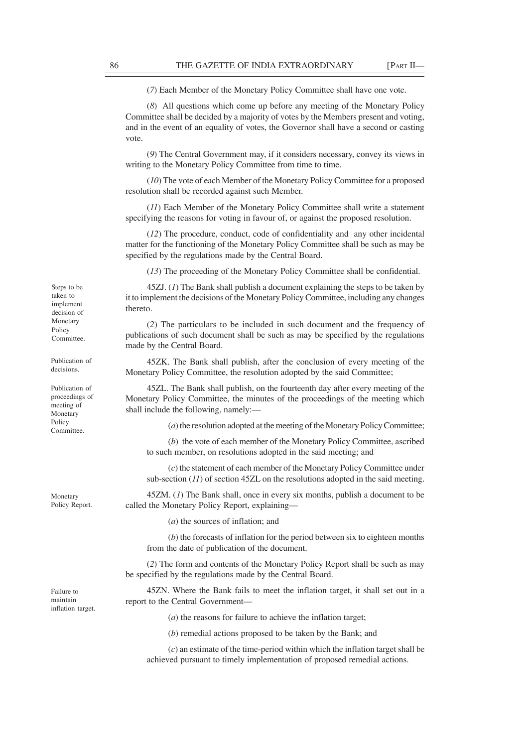(*7*) Each Member of the Monetary Policy Committee shall have one vote.

(*8*) All questions which come up before any meeting of the Monetary Policy Committee shall be decided by a majority of votes by the Members present and voting, and in the event of an equality of votes, the Governor shall have a second or casting vote.

(*9*) The Central Government may, if it considers necessary, convey its views in writing to the Monetary Policy Committee from time to time.

(*10*) The vote of each Member of the Monetary Policy Committee for a proposed resolution shall be recorded against such Member.

(*11*) Each Member of the Monetary Policy Committee shall write a statement specifying the reasons for voting in favour of, or against the proposed resolution.

(*12*) The procedure, conduct, code of confidentiality and any other incidental matter for the functioning of the Monetary Policy Committee shall be such as may be specified by the regulations made by the Central Board.

(*13*) The proceeding of the Monetary Policy Committee shall be confidential.

45ZJ. (*1*) The Bank shall publish a document explaining the steps to be taken by it to implement the decisions of the Monetary Policy Committee, including any changes thereto.

(*2*) The particulars to be included in such document and the frequency of publications of such document shall be such as may be specified by the regulations made by the Central Board.

45ZK. The Bank shall publish, after the conclusion of every meeting of the Monetary Policy Committee, the resolution adopted by the said Committee;

45ZL. The Bank shall publish, on the fourteenth day after every meeting of the Monetary Policy Committee, the minutes of the proceedings of the meeting which shall include the following, namely:—

(*a*) the resolution adopted at the meeting of the Monetary Policy Committee;

(*b*) the vote of each member of the Monetary Policy Committee, ascribed to such member, on resolutions adopted in the said meeting; and

(*c*) the statement of each member of the Monetary Policy Committee under sub-section (*11*) of section 45ZL on the resolutions adopted in the said meeting.

45ZM. (*1*) The Bank shall, once in every six months, publish a document to be called the Monetary Policy Report, explaining—

(*a*) the sources of inflation; and

(*b*) the forecasts of inflation for the period between six to eighteen months from the date of publication of the document.

(*2*) The form and contents of the Monetary Policy Report shall be such as may be specified by the regulations made by the Central Board.

45ZN. Where the Bank fails to meet the inflation target, it shall set out in a report to the Central Government––

(*a*) the reasons for failure to achieve the inflation target;

(*b*) remedial actions proposed to be taken by the Bank; and

(*c*) an estimate of the time-period within which the inflation target shall be achieved pursuant to timely implementation of proposed remedial actions.

Steps to be taken to implement decision of Monetary Policy Committee.

Publication of decisions.

Publication of proceedings of meeting of Monetary Policy Committee.

Monetary Policy Report.

Failure to maintain inflation target.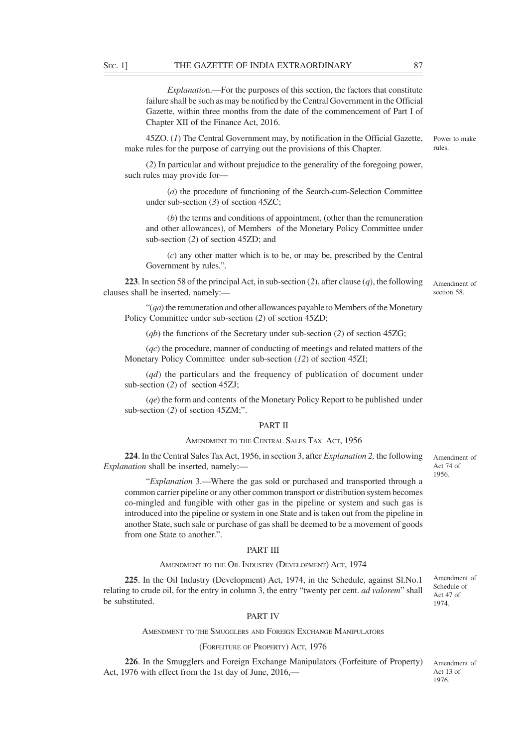*Explanatio*n.—For the purposes of this section, the factors that constitute failure shall be such as may be notified by the Central Government in the Official Gazette, within three months from the date of the commencement of Part I of Chapter XII of the Finance Act, 2016.

45ZO. (*1*) The Central Government may, by notification in the Official Gazette, make rules for the purpose of carrying out the provisions of this Chapter.

(*2*) In particular and without prejudice to the generality of the foregoing power, such rules may provide for-

(*a*) the procedure of functioning of the Search-cum-Selection Committee under sub-section (*3*) of section 45ZC;

(*b*) the terms and conditions of appointment, (other than the remuneration and other allowances), of Members of the Monetary Policy Committee under sub-section (*2*) of section 45ZD; and

(*c*) any other matter which is to be, or may be, prescribed by the Central Government by rules.".

**223**. In section 58 of the principal Act, in sub-section (*2*), after clause (*q*), the following clauses shall be inserted, namely:––

"(*qa*) the remuneration and other allowances payable to Members of the Monetary Policy Committee under sub-section (*2*) of section 45ZD;

(*qb*) the functions of the Secretary under sub-section (*2*) of section 45ZG;

(*qc*) the procedure, manner of conducting of meetings and related matters of the Monetary Policy Committee under sub-section (*12*) of section 45ZI;

(*qd*) the particulars and the frequency of publication of document under sub-section (*2*) of section 45ZJ;

(*qe*) the form and contents of the Monetary Policy Report to be published under sub-section (*2*) of section 45ZM;".

## PART II

## AMENDMENT TO THE CENTRAL SALES TAX ACT, 1956

**224**. In the Central Sales Tax Act, 1956, in section 3, after *Explanation 2,* the following *Explanation* shall be inserted, namely:—

"*Explanation* 3.—Where the gas sold or purchased and transported through a common carrier pipeline or any other common transport or distribution system becomes co-mingled and fungible with other gas in the pipeline or system and such gas is introduced into the pipeline or system in one State and is taken out from the pipeline in another State, such sale or purchase of gas shall be deemed to be a movement of goods from one State to another.".

## PART III

#### AMENDMENT TO THE OIL INDUSTRY (DEVELOPMENT) ACT, 1974

**225**. In the Oil Industry (Development) Act, 1974, in the Schedule, against Sl.No.1 relating to crude oil, for the entry in column 3, the entry "twenty per cent. *ad valorem*" shall be substituted.

Amendment of Schedule of Act 47 of 1974.

## PART IV

AMENDMENT TO THE SMUGGLERS AND FOREIGN EXCHANGE MANIPULATORS

## (FORFEITURE OF PROPERTY) ACT, 1976

**226**. In the Smugglers and Foreign Exchange Manipulators (Forfeiture of Property) Act, 1976 with effect from the 1st day of June, 2016,––

Amendment of Act 13 of 1976.

Power to make rules.

Amendment of section 58.

Amendment of Act 74 of 1956.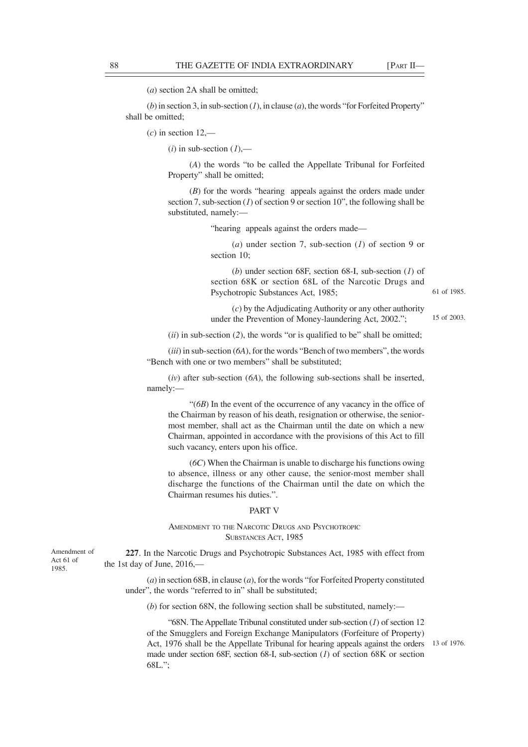(*a*) section 2A shall be omitted;

(*b*) in section 3, in sub-section (*1*), in clause (*a*), the words "for Forfeited Property" shall be omitted;

 $(c)$  in section 12,—

 $(i)$  in sub-section  $(1)$ ,—

(*A*) the words "to be called the Appellate Tribunal for Forfeited Property" shall be omitted;

(*B*) for the words "hearing appeals against the orders made under section 7, sub-section  $(1)$  of section 9 or section 10", the following shall be substituted, namely:––

"hearing appeals against the orders made––

(*a*) under section 7, sub-section (*1*) of section 9 or section 10;

(*b*) under section 68F, section 68-I, sub-section (*1*) of section 68K or section 68L of the Narcotic Drugs and Psychotropic Substances Act, 1985;

(*c*) by the Adjudicating Authority or any other authority under the Prevention of Money-laundering Act, 2002.";

15 of 2003.

61 of 1985.

 $(ii)$  in sub-section  $(2)$ , the words "or is qualified to be" shall be omitted;

(*iii*) in sub-section (*6A*), for the words "Bench of two members", the words "Bench with one or two members" shall be substituted;

(*iv*) after sub-section (*6A*), the following sub-sections shall be inserted, namely:––

"(*6B*) In the event of the occurrence of any vacancy in the office of the Chairman by reason of his death, resignation or otherwise, the seniormost member, shall act as the Chairman until the date on which a new Chairman, appointed in accordance with the provisions of this Act to fill such vacancy, enters upon his office.

(*6C*) When the Chairman is unable to discharge his functions owing to absence, illness or any other cause, the senior-most member shall discharge the functions of the Chairman until the date on which the Chairman resumes his duties.".

# PART V

AMENDMENT TO THE NARCOTIC DRUGS AND PSYCHOTROPIC SUBSTANCES ACT, 1985

Amendment of Act 61 of 1985.

**227**. In the Narcotic Drugs and Psychotropic Substances Act, 1985 with effect from the 1st day of June, 2016,––

(*a*) in section 68B, in clause (*a*), for the words "for Forfeited Property constituted under", the words "referred to in" shall be substituted;

(*b*) for section 68N, the following section shall be substituted, namely:––

"68N. The Appellate Tribunal constituted under sub-section (*1*) of section 12 of the Smugglers and Foreign Exchange Manipulators (Forfeiture of Property) Act, 1976 shall be the Appellate Tribunal for hearing appeals against the orders 13 of 1976.made under section 68F, section 68-I, sub-section (*1*) of section 68K or section 68L.";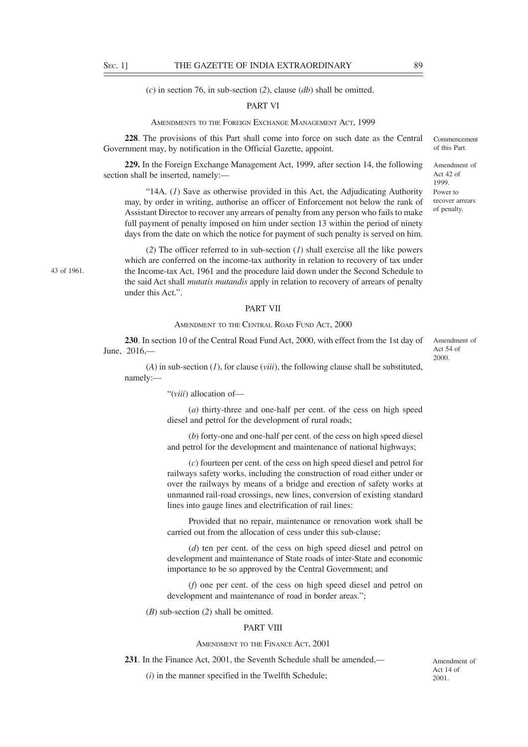43 of 1961.

(*c*) in section 76, in sub-section (*2*), clause (*db*) shall be omitted.

### PART VI

AMENDMENTS TO THE FOREIGN EXCHANGE MANAGEMENT ACT, 1999

**228**. The provisions of this Part shall come into force on such date as the Central Government may, by notification in the Official Gazette, appoint.

**229.** In the Foreign Exchange Management Act, 1999, after section 14, the following section shall be inserted, namely:—

"14A. (*1*) Save as otherwise provided in this Act, the Adjudicating Authority may, by order in writing, authorise an officer of Enforcement not below the rank of Assistant Director to recover any arrears of penalty from any person who fails to make full payment of penalty imposed on him under section 13 within the period of ninety days from the date on which the notice for payment of such penalty is served on him.

(*2*) The officer referred to in sub-section (*1*) shall exercise all the like powers which are conferred on the income-tax authority in relation to recovery of tax under the Income-tax Act, 1961 and the procedure laid down under the Second Schedule to the said Act shall *mutatis mutandis* apply in relation to recovery of arrears of penalty under this Act.".

#### PART VII

# AMENDMENT TO THE CENTRAL ROAD FUND ACT, 2000

**230**. In section 10 of the Central Road Fund Act, 2000, with effect from the 1st day of June, 2016,—

(*A*) in sub-section (*1*), for clause (*viii*), the following clause shall be substituted, namely:––

"(*viii*) allocation of––

(*a*) thirty-three and one-half per cent. of the cess on high speed diesel and petrol for the development of rural roads;

(*b*) forty-one and one-half per cent. of the cess on high speed diesel and petrol for the development and maintenance of national highways;

(*c*) fourteen per cent. of the cess on high speed diesel and petrol for railways safety works, including the construction of road either under or over the railways by means of a bridge and erection of safety works at unmanned rail-road crossings, new lines, conversion of existing standard lines into gauge lines and electrification of rail lines:

Provided that no repair, maintenance or renovation work shall be carried out from the allocation of cess under this sub-clause;

(*d*) ten per cent. of the cess on high speed diesel and petrol on development and maintenance of State roads of inter-State and economic importance to be so approved by the Central Government; and

(*f*) one per cent. of the cess on high speed diesel and petrol on development and maintenance of road in border areas.";

(*B*) sub-section (*2*) shall be omitted.

## PART VIII

## AMENDMENT TO THE FINANCE ACT, 2001

**231**. In the Finance Act, 2001, the Seventh Schedule shall be amended,––

(*i*) in the manner specified in the Twelfth Schedule;

Commencement of this Part.

Amendment of Act 42 of 1999. Power to recover arrears of penalty.

Amendment of Act 54 of 2000.

Amendment of Act 14 of 2001.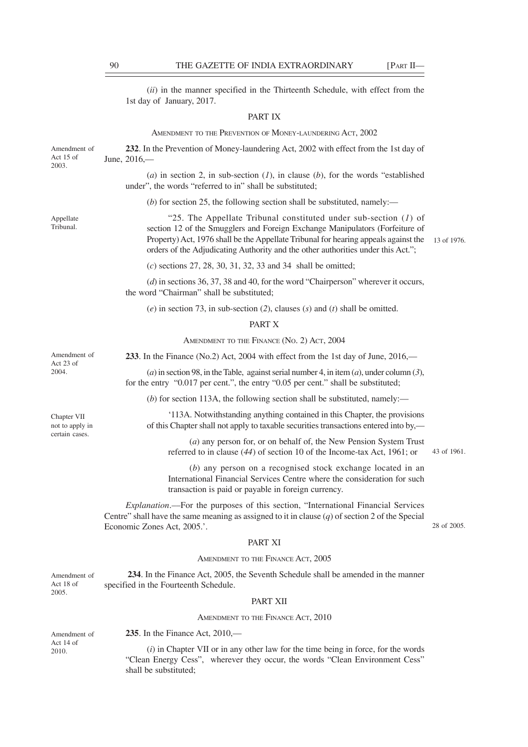(*ii*) in the manner specified in the Thirteenth Schedule, with effect from the 1st day of January, 2017.

# PART IX

AMENDMENT TO THE PREVENTION OF MONEY-LAUNDERING ACT, 2002

| Amendment of<br>Act 15 of<br>2003. | 232. In the Prevention of Money-laundering Act, 2002 with effect from the 1st day of<br>June, 2016,-                                                                                                                                                                                                                          |             |
|------------------------------------|-------------------------------------------------------------------------------------------------------------------------------------------------------------------------------------------------------------------------------------------------------------------------------------------------------------------------------|-------------|
|                                    | (a) in section 2, in sub-section $(l)$ , in clause $(b)$ , for the words "established<br>under", the words "referred to in" shall be substituted;                                                                                                                                                                             |             |
|                                    | (b) for section 25, the following section shall be substituted, namely:—                                                                                                                                                                                                                                                      |             |
| Appellate<br>Tribunal.             | "25. The Appellate Tribunal constituted under sub-section $(1)$ of<br>section 12 of the Smugglers and Foreign Exchange Manipulators (Forfeiture of<br>Property) Act, 1976 shall be the Appellate Tribunal for hearing appeals against the<br>orders of the Adjudicating Authority and the other authorities under this Act."; | 13 of 1976. |
|                                    | $(c)$ sections 27, 28, 30, 31, 32, 33 and 34 shall be omitted;                                                                                                                                                                                                                                                                |             |
|                                    | ( $d$ ) in sections 36, 37, 38 and 40, for the word "Chairperson" wherever it occurs,<br>the word "Chairman" shall be substituted;                                                                                                                                                                                            |             |
|                                    | (e) in section 73, in sub-section (2), clauses (s) and (t) shall be omitted.                                                                                                                                                                                                                                                  |             |
|                                    | PART X                                                                                                                                                                                                                                                                                                                        |             |
|                                    | AMENDMENT TO THE FINANCE (No. 2) ACT, 2004                                                                                                                                                                                                                                                                                    |             |
| Amendment of<br>Act 23 of          | 233. In the Finance (No.2) Act, 2004 with effect from the 1st day of June, 2016,—                                                                                                                                                                                                                                             |             |
| 2004.                              | (a) in section 98, in the Table, against serial number 4, in item (a), under column (3),<br>for the entry "0.017 per cent.", the entry "0.05 per cent." shall be substituted;                                                                                                                                                 |             |
|                                    | (b) for section 113A, the following section shall be substituted, namely: $\overline{\phantom{a}}$                                                                                                                                                                                                                            |             |
| Chapter VII<br>not to apply in     | '113A. Notwithstanding anything contained in this Chapter, the provisions<br>of this Chapter shall not apply to taxable securities transactions entered into by,—                                                                                                                                                             |             |
| certain cases.                     | $(a)$ any person for, or on behalf of, the New Pension System Trust<br>referred to in clause $(44)$ of section 10 of the Income-tax Act, 1961; or                                                                                                                                                                             | 43 of 1961. |
|                                    | (b) any person on a recognised stock exchange located in an<br>International Financial Services Centre where the consideration for such<br>transaction is paid or payable in foreign currency.                                                                                                                                |             |
|                                    | <i>Explanation</i> .—For the purposes of this section, "International Financial Services<br>Centre" shall have the same meaning as assigned to it in clause $(q)$ of section 2 of the Special<br>Economic Zones Act, 2005.'.                                                                                                  | 28 of 2005. |
|                                    | PART XI                                                                                                                                                                                                                                                                                                                       |             |
|                                    | AMENDMENT TO THE FINANCE ACT, 2005                                                                                                                                                                                                                                                                                            |             |
| Amendment of<br>Act 18 of          | 234. In the Finance Act, 2005, the Seventh Schedule shall be amended in the manner<br>specified in the Fourteenth Schedule.                                                                                                                                                                                                   |             |
| 2005.                              | PART XII                                                                                                                                                                                                                                                                                                                      |             |
|                                    |                                                                                                                                                                                                                                                                                                                               |             |

## AMENDMENT TO THE FINANCE ACT, 2010

Amendment of Act 14 of 2010.

**235**. In the Finance Act, 2010,—

(*i*) in Chapter VII or in any other law for the time being in force, for the words "Clean Energy Cess", wherever they occur, the words "Clean Environment Cess" shall be substituted;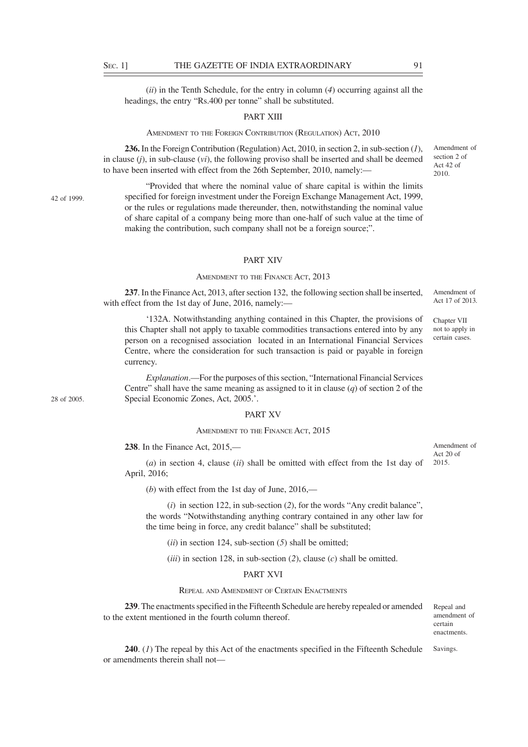(*ii*) in the Tenth Schedule, for the entry in column (*4*) occurring against all the headings, the entry "Rs.400 per tonne" shall be substituted.

## PART XIII

## AMENDMENT TO THE FOREIGN CONTRIBUTION (REGULATION) ACT, 2010

**236.** In the Foreign Contribution (Regulation) Act, 2010, in section 2, in sub-section (*1*), in clause (*j*), in sub-clause (*vi*), the following proviso shall be inserted and shall be deemed to have been inserted with effect from the 26th September, 2010, namely:—

42 of 1999.

28 of 2005.

"Provided that where the nominal value of share capital is within the limits specified for foreign investment under the Foreign Exchange Management Act, 1999, or the rules or regulations made thereunder, then, notwithstanding the nominal value of share capital of a company being more than one-half of such value at the time of making the contribution, such company shall not be a foreign source;".

## PART XIV

## AMENDMENT TO THE FINANCE ACT, 2013

**237**. In the Finance Act, 2013, after section 132, the following section shall be inserted, with effect from the 1st day of June, 2016, namely:— Amendment of Act 17 of 2013.

'132A. Notwithstanding anything contained in this Chapter, the provisions of this Chapter shall not apply to taxable commodities transactions entered into by any person on a recognised association located in an International Financial Services Centre, where the consideration for such transaction is paid or payable in foreign currency.

*Explanation*.––For the purposes of this section, "International Financial Services Centre" shall have the same meaning as assigned to it in clause (*q*) of section 2 of the Special Economic Zones, Act, 2005.'.

## PART XV

# AMENDMENT TO THE FINANCE ACT, 2015

**238**. In the Finance Act, 2015,––

Amendment of Act 20 of 2015.

Chapter VII not to apply in certain cases.

(*a*) in section 4, clause (*ii*) shall be omitted with effect from the 1st day of April, 2016;

(*b*) with effect from the 1st day of June, 2016,––

(*i*) in section 122, in sub-section (*2*), for the words "Any credit balance", the words "Notwithstanding anything contrary contained in any other law for the time being in force, any credit balance" shall be substituted;

(*ii*) in section 124, sub-section (*5*) shall be omitted;

(*iii*) in section 128, in sub-section (*2*), clause (*c*) shall be omitted.

# PART XVI

REPEAL AND AMENDMENT OF CERTAIN ENACTMENTS

**239**. The enactments specified in the Fifteenth Schedule are hereby repealed or amended to the extent mentioned in the fourth column thereof.

Repeal and amendment of certain enactments.

**240**. (*1*) The repeal by this Act of the enactments specified in the Fifteenth Schedule or amendments therein shall not–– Savings.

Act 42 of 2010.

Amendment of section 2 of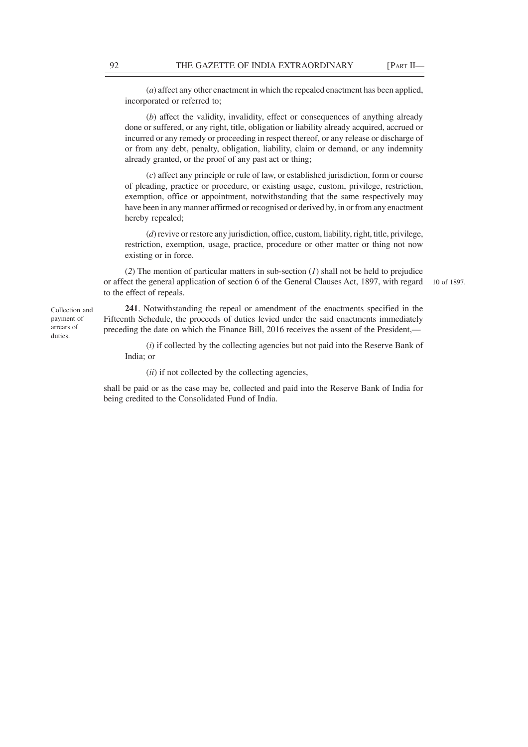(*a*) affect any other enactment in which the repealed enactment has been applied, incorporated or referred to;

(*b*) affect the validity, invalidity, effect or consequences of anything already done or suffered, or any right, title, obligation or liability already acquired, accrued or incurred or any remedy or proceeding in respect thereof, or any release or discharge of or from any debt, penalty, obligation, liability, claim or demand, or any indemnity already granted, or the proof of any past act or thing;

(*c*) affect any principle or rule of law, or established jurisdiction, form or course of pleading, practice or procedure, or existing usage, custom, privilege, restriction, exemption, office or appointment, notwithstanding that the same respectively may have been in any manner affirmed or recognised or derived by, in or from any enactment hereby repealed;

(*d*) revive or restore any jurisdiction, office, custom, liability, right, title, privilege, restriction, exemption, usage, practice, procedure or other matter or thing not now existing or in force.

(*2*) The mention of particular matters in sub-section (*1*) shall not be held to prejudice or affect the general application of section 6 of the General Clauses Act, 1897, with regard to the effect of repeals.

10 of 1897.

**241**. Notwithstanding the repeal or amendment of the enactments specified in the Fifteenth Schedule, the proceeds of duties levied under the said enactments immediately preceding the date on which the Finance Bill, 2016 receives the assent of the President,—

(*i*) if collected by the collecting agencies but not paid into the Reserve Bank of India; or

(*ii*) if not collected by the collecting agencies,

shall be paid or as the case may be, collected and paid into the Reserve Bank of India for being credited to the Consolidated Fund of India.

Collection and payment of arrears of duties.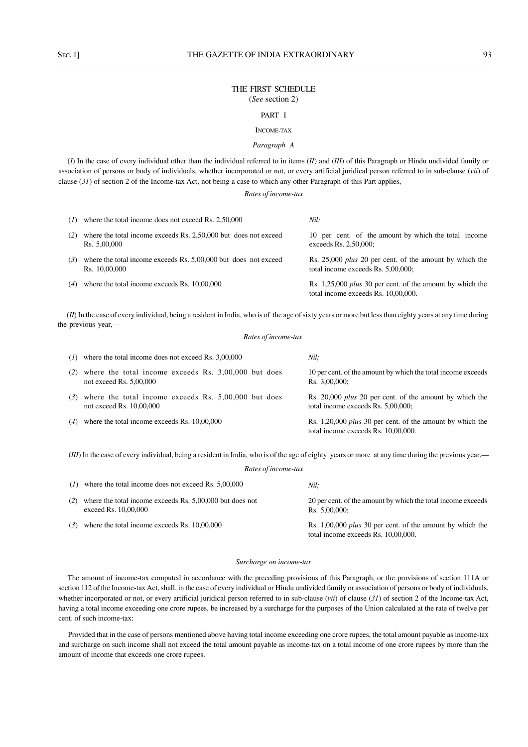# THE FIRST SCHEDULE (*See* section 2)

# PART I

# INCOME-TAX

## *Paragraph A*

(*I*) In the case of every individual other than the individual referred to in items (*II*) and (*III*) of this Paragraph or Hindu undivided family or association of persons or body of individuals, whether incorporated or not, or every artificial juridical person referred to in sub-clause (*vii*) of clause  $(31)$  of section 2 of the Income-tax Act, not being a case to which any other Paragraph of this Part applies,—

## *Rates of income-tax*

| (I) | where the total income does not exceed Rs. 2,50,000                              | Nil:                                                                                                    |
|-----|----------------------------------------------------------------------------------|---------------------------------------------------------------------------------------------------------|
| (2) | where the total income exceeds Rs. 2,50,000 but does not exceed<br>Rs. 5,00,000  | 10 per cent. of the amount by which the total income<br>exceeds Rs. 2,50,000;                           |
| (3) | where the total income exceeds Rs. 5,00,000 but does not exceed<br>Rs. 10,00,000 | Rs. 25,000 <i>plus</i> 20 per cent. of the amount by which the<br>total income exceeds Rs. 5,00,000;    |
| (4) | where the total income exceeds Rs. 10,00,000                                     | Rs. 1,25,000 <i>plus</i> 30 per cent. of the amount by which the<br>total income exceeds Rs. 10,00,000. |

(*II*) In the case of every individual, being a resident in India, who is of the age of sixty years or more but less than eighty years at any time during the previous year,—

#### *Rates of income-tax*

|     | $(1)$ where the total income does not exceed Rs. 3,00,000                         | Nil:                                                                                                    |
|-----|-----------------------------------------------------------------------------------|---------------------------------------------------------------------------------------------------------|
| (2) | where the total income exceeds Rs. 3,00,000 but does<br>not exceed Rs. $5,00,000$ | 10 per cent. of the amount by which the total income exceeds<br>Rs. 3,00,000;                           |
| (3) | where the total income exceeds Rs. 5,00,000 but does<br>not exceed Rs. 10,00,000  | Rs. 20,000 <i>plus</i> 20 per cent. of the amount by which the<br>total income exceeds Rs. 5,00,000;    |
| (4) | where the total income exceeds Rs. 10,00,000                                      | Rs. 1,20,000 <i>plus</i> 30 per cent. of the amount by which the<br>total income exceeds Rs. 10,00,000. |

(*III*) In the case of every individual, being a resident in India, who is of the age of eighty years or more at any time during the previous year,— *Rates of income-tax*

|     | Rates of theome-lax                                                              |                                                                                                    |  |
|-----|----------------------------------------------------------------------------------|----------------------------------------------------------------------------------------------------|--|
| (I) | where the total income does not exceed Rs. 5,00,000                              | Nil:                                                                                               |  |
| (2) | where the total income exceeds Rs. 5,00,000 but does not<br>exceed Rs. 10,00,000 | 20 per cent. of the amount by which the total income exceeds<br>Rs. 5,00,000;                      |  |
| (3) | where the total income exceeds Rs. 10,00,000                                     | Rs. $1,00,000$ plus 30 per cent. of the amount by which the<br>total income exceeds Rs. 10,00,000. |  |

#### *Surcharge on income-tax*

The amount of income-tax computed in accordance with the preceding provisions of this Paragraph, or the provisions of section 111A or section 112 of the Income-tax Act, shall, in the case of every individual or Hindu undivided family or association of persons or body of individuals, whether incorporated or not, or every artificial juridical person referred to in sub-clause (*vii*) of clause (*31*) of section 2 of the Income-tax Act, having a total income exceeding one crore rupees, be increased by a surcharge for the purposes of the Union calculated at the rate of twelve per cent. of such income-tax:

Provided that in the case of persons mentioned above having total income exceeding one crore rupees, the total amount payable as income-tax and surcharge on such income shall not exceed the total amount payable as income-tax on a total income of one crore rupees by more than the amount of income that exceeds one crore rupees.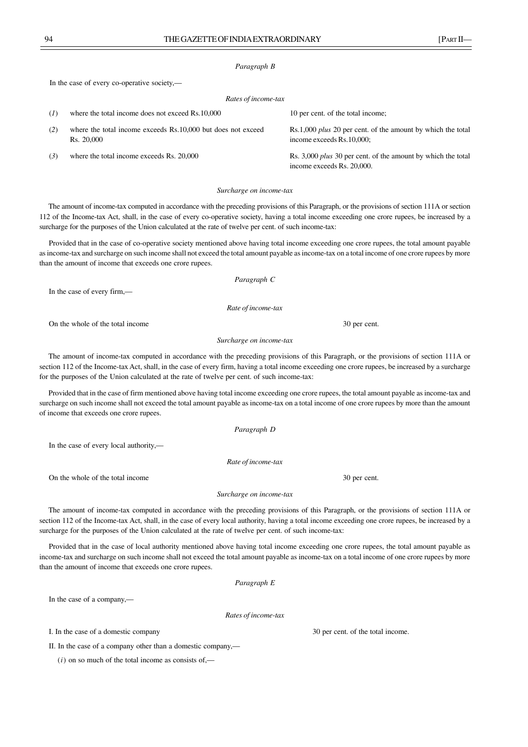## *Paragraph B*

In the case of every co-operative society,—

| Rates of income-tax |                                                                            |                                                                                                   |
|---------------------|----------------------------------------------------------------------------|---------------------------------------------------------------------------------------------------|
| (I)                 | where the total income does not exceed Rs.10,000                           | 10 per cent. of the total income;                                                                 |
| (2)                 | where the total income exceeds Rs.10,000 but does not exceed<br>Rs. 20,000 | Rs.1,000 <i>plus</i> 20 per cent. of the amount by which the total<br>income exceeds Rs.10,000;   |
| (3)                 | where the total income exceeds Rs. 20,000                                  | Rs. 3,000 <i>plus</i> 30 per cent. of the amount by which the total<br>income exceeds Rs. 20,000. |

#### *Surcharge on income-tax*

The amount of income-tax computed in accordance with the preceding provisions of this Paragraph, or the provisions of section 111A or section 112 of the Income-tax Act, shall, in the case of every co-operative society, having a total income exceeding one crore rupees, be increased by a surcharge for the purposes of the Union calculated at the rate of twelve per cent. of such income-tax:

Provided that in the case of co-operative society mentioned above having total income exceeding one crore rupees, the total amount payable as income-tax and surcharge on such income shall not exceed the total amount payable as income-tax on a total income of one crore rupees by more than the amount of income that exceeds one crore rupees.

*Paragraph C*

In the case of every firm,—

*Rate of income-tax*

On the whole of the total income 30 per cent.

#### *Surcharge on income-tax*

The amount of income-tax computed in accordance with the preceding provisions of this Paragraph, or the provisions of section 111A or section 112 of the Income-tax Act, shall, in the case of every firm, having a total income exceeding one crore rupees, be increased by a surcharge for the purposes of the Union calculated at the rate of twelve per cent. of such income-tax:

Provided that in the case of firm mentioned above having total income exceeding one crore rupees, the total amount payable as income-tax and surcharge on such income shall not exceed the total amount payable as income-tax on a total income of one crore rupees by more than the amount of income that exceeds one crore rupees.

*Paragraph D*

In the case of every local authority,—

*Rate of income-tax*

On the whole of the total income 30 per cent.

*Surcharge on income-tax*

The amount of income-tax computed in accordance with the preceding provisions of this Paragraph, or the provisions of section 111A or section 112 of the Income-tax Act, shall, in the case of every local authority, having a total income exceeding one crore rupees, be increased by a surcharge for the purposes of the Union calculated at the rate of twelve per cent. of such income-tax:

Provided that in the case of local authority mentioned above having total income exceeding one crore rupees, the total amount payable as income-tax and surcharge on such income shall not exceed the total amount payable as income-tax on a total income of one crore rupees by more than the amount of income that exceeds one crore rupees.

*Paragraph E*

In the case of a company,—

*Rates of income-tax*

I. In the case of a domestic company 30 per cent. of the total income.

II. In the case of a company other than a domestic company,—

 $(i)$  on so much of the total income as consists of,—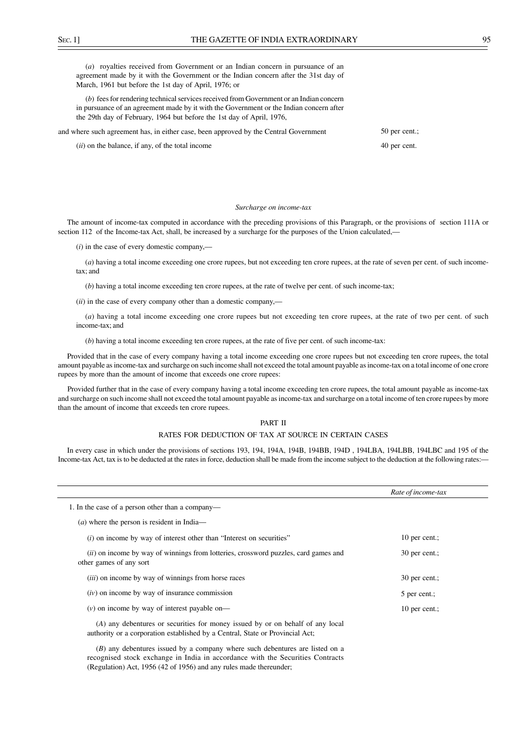(*a*) royalties received from Government or an Indian concern in pursuance of an agreement made by it with the Government or the Indian concern after the 31st day of March, 1961 but before the 1st day of April, 1976; or

(*b*) fees for rendering technical services received from Government or an Indian concern in pursuance of an agreement made by it with the Government or the Indian concern after the 29th day of February, 1964 but before the 1st day of April, 1976,

| and where such agreement has, in either case, been approved by the Central Government | 50 per cent.: |
|---------------------------------------------------------------------------------------|---------------|
| ( <i>ii</i> ) on the balance, if any, of the total income                             | 40 per cent.  |

#### *Surcharge on income-tax*

The amount of income-tax computed in accordance with the preceding provisions of this Paragraph, or the provisions of section 111A or section 112 of the Income-tax Act, shall, be increased by a surcharge for the purposes of the Union calculated,—

(*i*) in the case of every domestic company,––

(*a*) having a total income exceeding one crore rupees, but not exceeding ten crore rupees, at the rate of seven per cent. of such incometax; and

(*b*) having a total income exceeding ten crore rupees, at the rate of twelve per cent. of such income-tax;

(*ii*) in the case of every company other than a domestic company,––

(*a*) having a total income exceeding one crore rupees but not exceeding ten crore rupees, at the rate of two per cent. of such income-tax; and

(*b*) having a total income exceeding ten crore rupees, at the rate of five per cent. of such income-tax:

Provided that in the case of every company having a total income exceeding one crore rupees but not exceeding ten crore rupees, the total amount payable as income-tax and surcharge on such income shall not exceed the total amount payable as income-tax on a total income of one crore rupees by more than the amount of income that exceeds one crore rupees:

Provided further that in the case of every company having a total income exceeding ten crore rupees, the total amount payable as income-tax and surcharge on such income shall not exceed the total amount payable as income-tax and surcharge on a total income of ten crore rupees by more than the amount of income that exceeds ten crore rupees.

## PART II

#### RATES FOR DEDUCTION OF TAX AT SOURCE IN CERTAIN CASES

In every case in which under the provisions of sections 193, 194, 194A, 194B, 194BB, 194D , 194LBA, 194LBB, 194LBC and 195 of the Income-tax Act, tax is to be deducted at the rates in force, deduction shall be made from the income subject to the deduction at the following rates:—

|                                                                                                                                                                 | Rate of income-tax |
|-----------------------------------------------------------------------------------------------------------------------------------------------------------------|--------------------|
| 1. In the case of a person other than a company—                                                                                                                |                    |
| $(a)$ where the person is resident in India—                                                                                                                    |                    |
| (i) on income by way of interest other than "Interest on securities"                                                                                            | 10 per cent.;      |
| (ii) on income by way of winnings from lotteries, crossword puzzles, card games and<br>other games of any sort                                                  | 30 per cent.;      |
| <i>(iii)</i> on income by way of winnings from horse races                                                                                                      | 30 per cent.;      |
| $(iv)$ on income by way of insurance commission                                                                                                                 | 5 per cent.;       |
| $(v)$ on income by way of interest payable on—                                                                                                                  | 10 per cent.;      |
| (A) any debentures or securities for money issued by or on behalf of any local<br>authority or a corporation established by a Central, State or Provincial Act; |                    |
| $(R)$ any debentures issued by a company where such debentures are listed on a                                                                                  |                    |

(*B*) any debentures issued by a company where such debentures are listed on a recognised stock exchange in India in accordance with the Securities Contracts (Regulation) Act, 1956 (42 of 1956) and any rules made thereunder;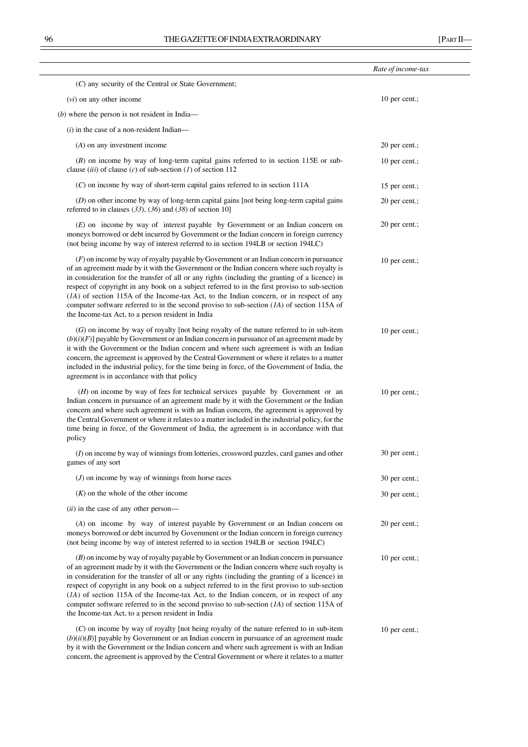|                                                                                                                                                                                                                                                                                                                                                                                                                                                                                                                                                                                                                                               | Rate of income-tax |  |
|-----------------------------------------------------------------------------------------------------------------------------------------------------------------------------------------------------------------------------------------------------------------------------------------------------------------------------------------------------------------------------------------------------------------------------------------------------------------------------------------------------------------------------------------------------------------------------------------------------------------------------------------------|--------------------|--|
| (C) any security of the Central or State Government;                                                                                                                                                                                                                                                                                                                                                                                                                                                                                                                                                                                          |                    |  |
| $(vi)$ on any other income                                                                                                                                                                                                                                                                                                                                                                                                                                                                                                                                                                                                                    | 10 per cent.;      |  |
| $(b)$ where the person is not resident in India—                                                                                                                                                                                                                                                                                                                                                                                                                                                                                                                                                                                              |                    |  |
| $(i)$ in the case of a non-resident Indian—                                                                                                                                                                                                                                                                                                                                                                                                                                                                                                                                                                                                   |                    |  |
| $(A)$ on any investment income                                                                                                                                                                                                                                                                                                                                                                                                                                                                                                                                                                                                                | 20 per cent.;      |  |
| $(B)$ on income by way of long-term capital gains referred to in section 115E or sub-<br>clause <i>(iii)</i> of clause <i>(c)</i> of sub-section <i>(I)</i> of section 112                                                                                                                                                                                                                                                                                                                                                                                                                                                                    | 10 per cent.;      |  |
| $(C)$ on income by way of short-term capital gains referred to in section 111A                                                                                                                                                                                                                                                                                                                                                                                                                                                                                                                                                                | 15 per cent.;      |  |
| (D) on other income by way of long-term capital gains [not being long-term capital gains<br>referred to in clauses $(33)$ , $(36)$ and $(38)$ of section 10]                                                                                                                                                                                                                                                                                                                                                                                                                                                                                  | 20 per cent.;      |  |
| (E) on income by way of interest payable by Government or an Indian concern on<br>moneys borrowed or debt incurred by Government or the Indian concern in foreign currency<br>(not being income by way of interest referred to in section 194LB or section 194LC)                                                                                                                                                                                                                                                                                                                                                                             | 20 per cent.;      |  |
| $(F)$ on income by way of royalty payable by Government or an Indian concern in pursuance<br>of an agreement made by it with the Government or the Indian concern where such royalty is<br>in consideration for the transfer of all or any rights (including the granting of a licence) in<br>respect of copyright in any book on a subject referred to in the first proviso to sub-section<br>$(IA)$ of section 115A of the Income-tax Act, to the Indian concern, or in respect of any<br>computer software referred to in the second proviso to sub-section $(1A)$ of section 115A of<br>the Income-tax Act, to a person resident in India | 10 per cent.;      |  |
| $(G)$ on income by way of royalty [not being royalty of the nature referred to in sub-item<br>$(b)(i)(F)$ ] payable by Government or an Indian concern in pursuance of an agreement made by<br>it with the Government or the Indian concern and where such agreement is with an Indian<br>concern, the agreement is approved by the Central Government or where it relates to a matter<br>included in the industrial policy, for the time being in force, of the Government of India, the<br>agreement is in accordance with that policy                                                                                                      | 10 per cent.;      |  |
| ( <i>H</i> ) on income by way of fees for technical services payable by Government or an<br>Indian concern in pursuance of an agreement made by it with the Government or the Indian<br>concern and where such agreement is with an Indian concern, the agreement is approved by<br>the Central Government or where it relates to a matter included in the industrial policy, for the<br>time being in force, of the Government of India, the agreement is in accordance with that<br>policy                                                                                                                                                  | 10 per cent.;      |  |
| (I) on income by way of winnings from lotteries, crossword puzzles, card games and other<br>games of any sort                                                                                                                                                                                                                                                                                                                                                                                                                                                                                                                                 | 30 per cent.;      |  |
| $(J)$ on income by way of winnings from horse races                                                                                                                                                                                                                                                                                                                                                                                                                                                                                                                                                                                           | 30 per cent.;      |  |
| $(K)$ on the whole of the other income                                                                                                                                                                                                                                                                                                                                                                                                                                                                                                                                                                                                        | 30 per cent.;      |  |
| ( <i>ii</i> ) in the case of any other person—                                                                                                                                                                                                                                                                                                                                                                                                                                                                                                                                                                                                |                    |  |
| (A) on income by way of interest payable by Government or an Indian concern on<br>moneys borrowed or debt incurred by Government or the Indian concern in foreign currency<br>(not being income by way of interest referred to in section 194LB or section 194LC)                                                                                                                                                                                                                                                                                                                                                                             | 20 per cent.;      |  |
| $(B)$ on income by way of royalty payable by Government or an Indian concern in pursuance<br>of an agreement made by it with the Government or the Indian concern where such royalty is<br>in consideration for the transfer of all or any rights (including the granting of a licence) in<br>respect of copyright in any book on a subject referred to in the first proviso to sub-section<br>(IA) of section 115A of the Income-tax Act, to the Indian concern, or in respect of any<br>computer software referred to in the second proviso to sub-section $(1A)$ of section 115A of<br>the Income-tax Act, to a person resident in India   | 10 per cent.;      |  |
| $(C)$ on income by way of royalty [not being royalty of the nature referred to in sub-item<br>$(b)(ii)(B)$ ] payable by Government or an Indian concern in pursuance of an agreement made<br>by it with the Government or the Indian concern and where such agreement is with an Indian<br>concern, the agreement is approved by the Central Government or where it relates to a matter                                                                                                                                                                                                                                                       | 10 per cent.;      |  |

 $\overline{\phantom{a}}$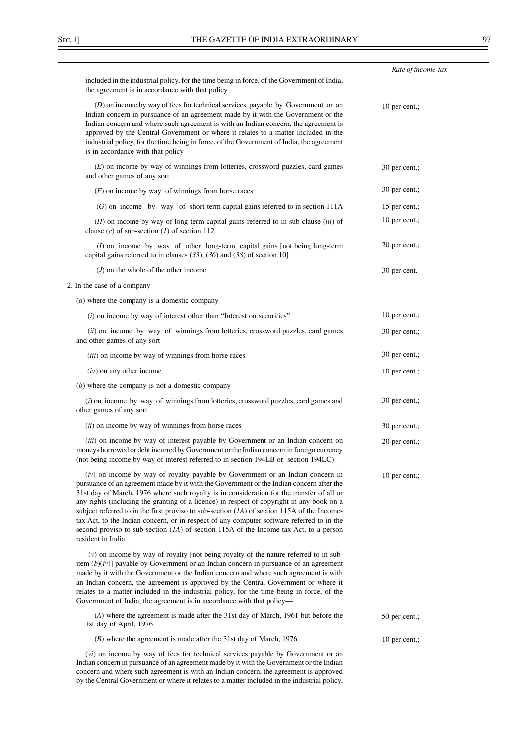|                                                                                                                                                                                                                                                                                                                                                                                                                                                                                                                                                                                                                                                                                    | Rate of income-tax |
|------------------------------------------------------------------------------------------------------------------------------------------------------------------------------------------------------------------------------------------------------------------------------------------------------------------------------------------------------------------------------------------------------------------------------------------------------------------------------------------------------------------------------------------------------------------------------------------------------------------------------------------------------------------------------------|--------------------|
| included in the industrial policy, for the time being in force, of the Government of India,<br>the agreement is in accordance with that policy                                                                                                                                                                                                                                                                                                                                                                                                                                                                                                                                     |                    |
| (D) on income by way of fees for technical services payable by Government or an<br>Indian concern in pursuance of an agreement made by it with the Government or the<br>Indian concern and where such agreement is with an Indian concern, the agreement is<br>approved by the Central Government or where it relates to a matter included in the<br>industrial policy, for the time being in force, of the Government of India, the agreement<br>is in accordance with that policy                                                                                                                                                                                                | 10 per cent.;      |
| $(E)$ on income by way of winnings from lotteries, crossword puzzles, card games<br>and other games of any sort                                                                                                                                                                                                                                                                                                                                                                                                                                                                                                                                                                    | 30 per cent.;      |
| $(F)$ on income by way of winnings from horse races                                                                                                                                                                                                                                                                                                                                                                                                                                                                                                                                                                                                                                | 30 per cent.;      |
| $(G)$ on income by way of short-term capital gains referred to in section 111A                                                                                                                                                                                                                                                                                                                                                                                                                                                                                                                                                                                                     | 15 per cent.;      |
| $(H)$ on income by way of long-term capital gains referred to in sub-clause (iii) of<br>clause (c) of sub-section (1) of section 112                                                                                                                                                                                                                                                                                                                                                                                                                                                                                                                                               | 10 per cent.;      |
| $(I)$ on income by way of other long-term capital gains [not being long-term<br>capital gains referred to in clauses $(33)$ , $(36)$ and $(38)$ of section 10]                                                                                                                                                                                                                                                                                                                                                                                                                                                                                                                     | 20 per cent.;      |
| $(J)$ on the whole of the other income                                                                                                                                                                                                                                                                                                                                                                                                                                                                                                                                                                                                                                             | 30 per cent.       |
| 2. In the case of a company-                                                                                                                                                                                                                                                                                                                                                                                                                                                                                                                                                                                                                                                       |                    |
| $(a)$ where the company is a domestic company—                                                                                                                                                                                                                                                                                                                                                                                                                                                                                                                                                                                                                                     |                    |
| $(i)$ on income by way of interest other than "Interest on securities"                                                                                                                                                                                                                                                                                                                                                                                                                                                                                                                                                                                                             | 10 per cent.;      |
| (ii) on income by way of winnings from lotteries, crossword puzzles, card games<br>and other games of any sort                                                                                                                                                                                                                                                                                                                                                                                                                                                                                                                                                                     | 30 per cent.;      |
| (iii) on income by way of winnings from horse races                                                                                                                                                                                                                                                                                                                                                                                                                                                                                                                                                                                                                                | 30 per cent.;      |
| $(iv)$ on any other income                                                                                                                                                                                                                                                                                                                                                                                                                                                                                                                                                                                                                                                         | 10 per cent.;      |
| $(b)$ where the company is not a domestic company—                                                                                                                                                                                                                                                                                                                                                                                                                                                                                                                                                                                                                                 |                    |
| $(i)$ on income by way of winnings from lotteries, crossword puzzles, card games and<br>other games of any sort                                                                                                                                                                                                                                                                                                                                                                                                                                                                                                                                                                    | 30 per cent.;      |
| (ii) on income by way of winnings from horse races                                                                                                                                                                                                                                                                                                                                                                                                                                                                                                                                                                                                                                 | 30 per cent.;      |
| (iii) on income by way of interest payable by Government or an Indian concern on<br>moneys borrowed or debt incurred by Government or the Indian concern in foreign currency<br>(not being income by way of interest referred to in section 194LB or section 194LC)                                                                                                                                                                                                                                                                                                                                                                                                                | 20 per cent.;      |
| (iv) on income by way of royalty payable by Government or an Indian concern in<br>pursuance of an agreement made by it with the Government or the Indian concern after the<br>31st day of March, 1976 where such royalty is in consideration for the transfer of all or<br>any rights (including the granting of a licence) in respect of copyright in any book on a<br>subject referred to in the first proviso to sub-section $(1A)$ of section 115A of the Income-<br>tax Act, to the Indian concern, or in respect of any computer software referred to in the<br>second proviso to sub-section $(1A)$ of section 115A of the Income-tax Act, to a person<br>resident in India | 10 per cent.;      |
| $(v)$ on income by way of royalty [not being royalty of the nature referred to in sub-<br>item $(b)(iv)$ ] payable by Government or an Indian concern in pursuance of an agreement<br>made by it with the Government or the Indian concern and where such agreement is with<br>an Indian concern, the agreement is approved by the Central Government or where it<br>relates to a matter included in the industrial policy, for the time being in force, of the<br>Government of India, the agreement is in accordance with that policy-                                                                                                                                           |                    |
| (A) where the agreement is made after the 31st day of March, 1961 but before the<br>1st day of April, 1976                                                                                                                                                                                                                                                                                                                                                                                                                                                                                                                                                                         | 50 per cent.;      |
| $(B)$ where the agreement is made after the 31st day of March, 1976                                                                                                                                                                                                                                                                                                                                                                                                                                                                                                                                                                                                                | 10 per cent.;      |
| ( <i>vi</i> ) on income by way of fees for technical services payable by Government or an                                                                                                                                                                                                                                                                                                                                                                                                                                                                                                                                                                                          |                    |

Indian concern in pursuance of an agreement made by it with the Government or the Indian concern and where such agreement is with an Indian concern, the agreement is approved by the Central Government or where it relates to a matter included in the industrial policy,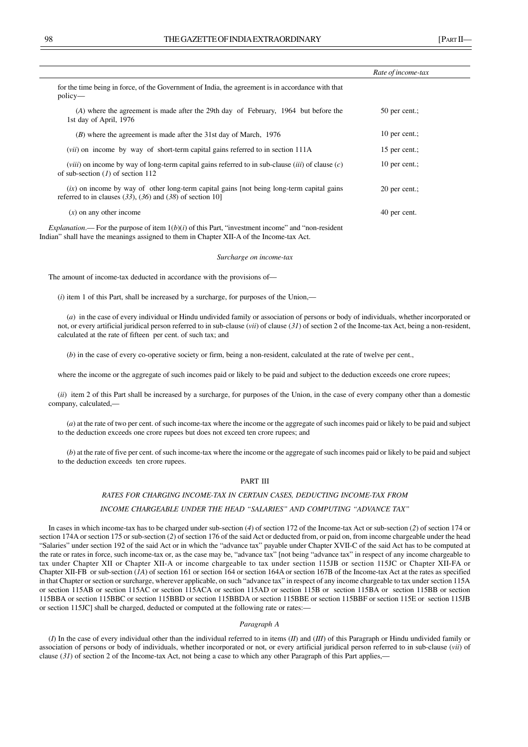|                                                                                                                                                                                                         | Rate of income-tax |  |
|---------------------------------------------------------------------------------------------------------------------------------------------------------------------------------------------------------|--------------------|--|
| for the time being in force, of the Government of India, the agreement is in accordance with that<br>$policy$ —                                                                                         |                    |  |
| (A) where the agreement is made after the 29th day of February, 1964 but before the<br>1st day of April, 1976                                                                                           | 50 per cent.;      |  |
| (B) where the agreement is made after the 31st day of March, 1976                                                                                                                                       | 10 per cent.;      |  |
| <i>(vii)</i> on income by way of short-term capital gains referred to in section 111A                                                                                                                   | 15 per cent.;      |  |
| ( <i>viii</i> ) on income by way of long-term capital gains referred to in sub-clause ( <i>iii</i> ) of clause ( <i>c</i> )<br>of sub-section $(I)$ of section 112                                      | 10 per cent.;      |  |
| $(ix)$ on income by way of other long-term capital gains [not being long-term capital gains<br>referred to in clauses $(33)$ , $(36)$ and $(38)$ of section 10]                                         | 20 per cent.;      |  |
| $(x)$ on any other income                                                                                                                                                                               | 40 per cent.       |  |
| <i>Explanation</i> .— For the purpose of item $1(b)(i)$ of this Part, "investment income" and "non-resident<br>Indian" shall have the meanings assigned to them in Chapter XII-A of the Income-tax Act. |                    |  |

#### *Surcharge on income-tax*

The amount of income-tax deducted in accordance with the provisions of––

(*i*) item 1 of this Part, shall be increased by a surcharge, for purposes of the Union,––

(*a*) in the case of every individual or Hindu undivided family or association of persons or body of individuals, whether incorporated or not, or every artificial juridical person referred to in sub-clause (*vii*) of clause (*31*) of section 2 of the Income-tax Act, being a non-resident, calculated at the rate of fifteen per cent. of such tax; and

(*b*) in the case of every co-operative society or firm, being a non-resident, calculated at the rate of twelve per cent.,

where the income or the aggregate of such incomes paid or likely to be paid and subject to the deduction exceeds one crore rupees;

(*ii*) item 2 of this Part shall be increased by a surcharge, for purposes of the Union, in the case of every company other than a domestic company, calculated,––

(*a*) at the rate of two per cent. of such income-tax where the income or the aggregate of such incomes paid or likely to be paid and subject to the deduction exceeds one crore rupees but does not exceed ten crore rupees; and

(*b*) at the rate of five per cent. of such income-tax where the income or the aggregate of such incomes paid or likely to be paid and subject to the deduction exceeds ten crore rupees.

# PART III

#### *RATES FOR CHARGING INCOME-TAX IN CERTAIN CASES, DEDUCTING INCOME-TAX FROM*

## *INCOME CHARGEABLE UNDER THE HEAD "SALARIES" AND COMPUTING "ADVANCE TAX"*

In cases in which income-tax has to be charged under sub-section (*4*) of section 172 of the Income-tax Act or sub-section (*2*) of section 174 or section 174A or section 175 or sub-section (*2*) of section 176 of the said Act or deducted from, or paid on, from income chargeable under the head "Salaries" under section 192 of the said Act or in which the "advance tax" payable under Chapter XVII-C of the said Act has to be computed at the rate or rates in force, such income-tax or, as the case may be, "advance tax" [not being "advance tax" in respect of any income chargeable to tax under Chapter XII or Chapter XII-A or income chargeable to tax under section 115JB or section 115JC or Chapter XII-FA or Chapter XII-FB or sub-section (*1A*) of section 161 or section 164 or section 164A or section 167B of the Income-tax Act at the rates as specified in that Chapter or section or surcharge, wherever applicable, on such "advance tax" in respect of any income chargeable to tax under section 115A or section 115AB or section 115AC or section 115ACA or section 115AD or section 115B or section 115BA or section 115BB or section 115BBA or section 115BBC or section 115BBD or section 115BBDA or section 115BBE or section 115BBF or section 115E or section 115JB or section 115JC] shall be charged, deducted or computed at the following rate or rates:—

## *Paragraph A*

(*I*) In the case of every individual other than the individual referred to in items (*II*) and (*III*) of this Paragraph or Hindu undivided family or association of persons or body of individuals, whether incorporated or not, or every artificial juridical person referred to in sub-clause (*vii*) of clause  $(31)$  of section 2 of the Income-tax Act, not being a case to which any other Paragraph of this Part applies,—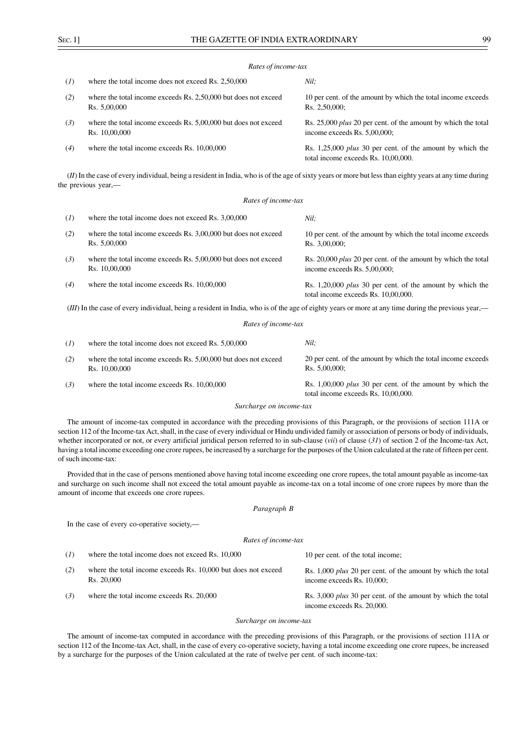#### *Rates of income-tax*

| (I) | where the total income does not exceed Rs. 2,50,000                              | Nil:                                                                                                    |
|-----|----------------------------------------------------------------------------------|---------------------------------------------------------------------------------------------------------|
| (2) | where the total income exceeds Rs. 2,50,000 but does not exceed<br>Rs. 5.00,000  | 10 per cent. of the amount by which the total income exceeds<br>Rs. 2.50,000:                           |
| (3) | where the total income exceeds Rs. 5,00,000 but does not exceed<br>Rs. 10,00,000 | Rs. 25,000 <i>plus</i> 20 per cent. of the amount by which the total<br>income exceeds Rs. 5,00,000;    |
| (4) | where the total income exceeds Rs. 10,00,000                                     | Rs. 1,25,000 <i>plus</i> 30 per cent. of the amount by which the<br>total income exceeds Rs. 10,00,000. |

(*II*) In the case of every individual, being a resident in India, who is of the age of sixty years or more but less than eighty years at any time during the previous year,—

#### *Rates of income-tax*

| (I)                                                                                                                                                | where the total income does not exceed Rs. 3,00,000                              | Nil:                                                                                                    |
|----------------------------------------------------------------------------------------------------------------------------------------------------|----------------------------------------------------------------------------------|---------------------------------------------------------------------------------------------------------|
| (2)                                                                                                                                                | where the total income exceeds Rs. 3,00,000 but does not exceed<br>Rs. 5,00,000  | 10 per cent. of the amount by which the total income exceeds<br>$Rs. 3,00,000$ ;                        |
| (3)                                                                                                                                                | where the total income exceeds Rs. 5,00,000 but does not exceed<br>Rs. 10,00,000 | Rs. 20,000 <i>plus</i> 20 per cent. of the amount by which the total<br>income exceeds Rs. 5,00,000;    |
| (4)                                                                                                                                                | where the total income exceeds Rs. 10,00,000                                     | Rs. 1,20,000 <i>plus</i> 30 per cent. of the amount by which the<br>total income exceeds Rs. 10,00,000. |
| (III) In the case of every individual, being a resident in India, who is of the age of eighty years or more at any time during the previous year,— |                                                                                  |                                                                                                         |

#### *Rates of income-tax*

| (I) | where the total income does not exceed Rs. 5,00,000                              | Nil:                                                                                                    |
|-----|----------------------------------------------------------------------------------|---------------------------------------------------------------------------------------------------------|
| (2) | where the total income exceeds Rs. 5,00,000 but does not exceed<br>Rs. 10,00,000 | 20 per cent. of the amount by which the total income exceeds<br>Rs. 5.00,000:                           |
| (3) | where the total income exceeds Rs. 10,00,000                                     | Rs. 1,00,000 <i>plus</i> 30 per cent. of the amount by which the<br>total income exceeds Rs. 10,00,000. |

#### *Surcharge on income-tax*

The amount of income-tax computed in accordance with the preceding provisions of this Paragraph, or the provisions of section 111A or section 112 of the Income-tax Act, shall, in the case of every individual or Hindu undivided family or association of persons or body of individuals, whether incorporated or not, or every artificial juridical person referred to in sub-clause (*vii*) of clause (*31*) of section 2 of the Income-tax Act, having a total income exceeding one crore rupees, be increased by a surcharge for the purposes of the Union calculated at the rate of fifteen per cent. of such income-tax:

Provided that in the case of persons mentioned above having total income exceeding one crore rupees, the total amount payable as income-tax and surcharge on such income shall not exceed the total amount payable as income-tax on a total income of one crore rupees by more than the amount of income that exceeds one crore rupees.

## *Paragraph B*

In the case of every co-operative society,—

# *Rates of income-tax*

| (1) | where the total income does not exceed Rs. 10,000                           | 10 per cent. of the total income;                                                                 |
|-----|-----------------------------------------------------------------------------|---------------------------------------------------------------------------------------------------|
| (2) | where the total income exceeds Rs. 10,000 but does not exceed<br>Rs. 20,000 | Rs. 1,000 <i>plus</i> 20 per cent. of the amount by which the total<br>income exceeds Rs. 10,000; |
| (3) | where the total income exceeds Rs. 20,000                                   | Rs. 3,000 <i>plus</i> 30 per cent. of the amount by which the total                               |

income exceeds Rs. 20,000.

### *Surcharge on income-tax*

The amount of income-tax computed in accordance with the preceding provisions of this Paragraph, or the provisions of section 111A or section 112 of the Income-tax Act, shall, in the case of every co-operative society, having a total income exceeding one crore rupees, be increased by a surcharge for the purposes of the Union calculated at the rate of twelve per cent. of such income-tax: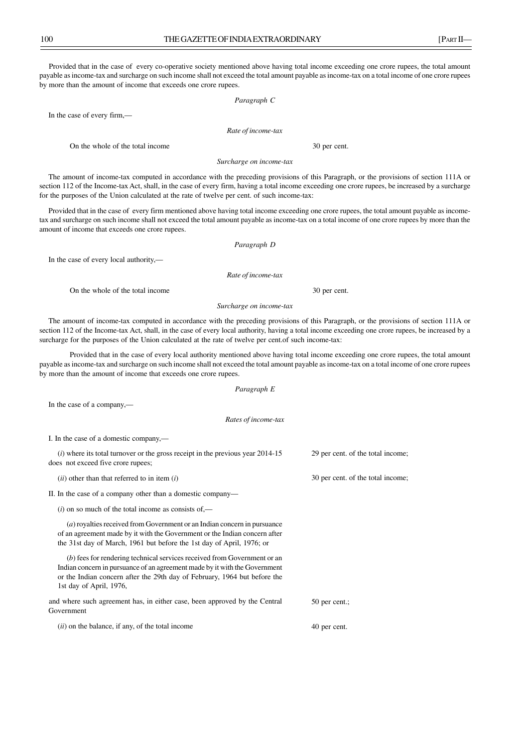Provided that in the case of every co-operative society mentioned above having total income exceeding one crore rupees, the total amount payable as income-tax and surcharge on such income shall not exceed the total amount payable as income-tax on a total income of one crore rupees by more than the amount of income that exceeds one crore rupees.

#### *Paragraph C*

*Rate of income-tax*

On the whole of the total income 30 per cent.

In the case of every firm,—

*Surcharge on income-tax*

The amount of income-tax computed in accordance with the preceding provisions of this Paragraph, or the provisions of section 111A or section 112 of the Income-tax Act, shall, in the case of every firm, having a total income exceeding one crore rupees, be increased by a surcharge for the purposes of the Union calculated at the rate of twelve per cent. of such income-tax:

Provided that in the case of every firm mentioned above having total income exceeding one crore rupees, the total amount payable as incometax and surcharge on such income shall not exceed the total amount payable as income-tax on a total income of one crore rupees by more than the amount of income that exceeds one crore rupees.

*Paragraph D*

In the case of every local authority,—

*Rate of income-tax*

On the whole of the total income 30 per cent.

*Surcharge on income-tax*

The amount of income-tax computed in accordance with the preceding provisions of this Paragraph, or the provisions of section 111A or section 112 of the Income-tax Act, shall, in the case of every local authority, having a total income exceeding one crore rupees, be increased by a surcharge for the purposes of the Union calculated at the rate of twelve per cent.of such income-tax:

Provided that in the case of every local authority mentioned above having total income exceeding one crore rupees, the total amount payable as income-tax and surcharge on such income shall not exceed the total amount payable as income-tax on a total income of one crore rupees by more than the amount of income that exceeds one crore rupees.

*Paragraph E*

In the case of a company,—

*Rates of income-tax*

I. In the case of a domestic company,—

(*i*) where its total turnover or the gross receipt in the previous year 2014-15 does not exceed five crore rupees; 29 per cent. of the total income;

(*ii*) other than that referred to in item (*i*)

II. In the case of a company other than a domestic company—

(*i*) on so much of the total income as consists of,—

(*a*) royalties received from Government or an Indian concern in pursuance of an agreement made by it with the Government or the Indian concern after the 31st day of March, 1961 but before the 1st day of April, 1976; or

(*b*) fees for rendering technical services received from Government or an Indian concern in pursuance of an agreement made by it with the Government or the Indian concern after the 29th day of February, 1964 but before the 1st day of April, 1976,

50 per cent.; and where such agreement has, in either case, been approved by the Central Government

(*ii*) on the balance, if any, of the total income

30 per cent. of the total income;

40 per cent.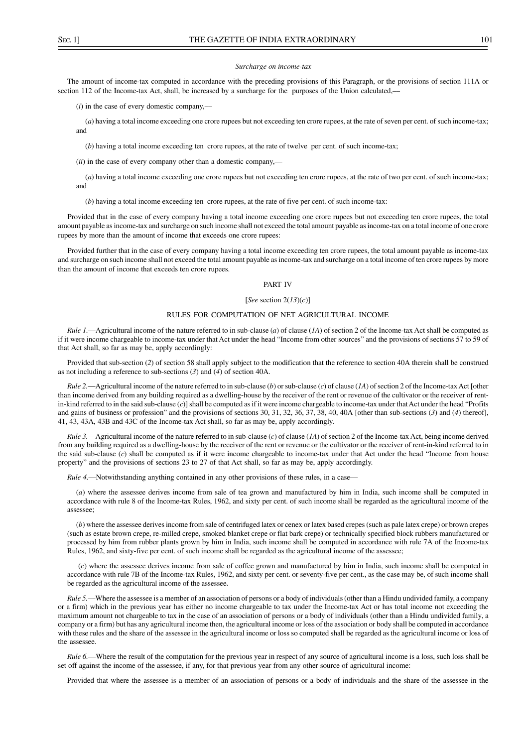#### *Surcharge on income-tax*

The amount of income-tax computed in accordance with the preceding provisions of this Paragraph, or the provisions of section 111A or section 112 of the Income-tax Act, shall, be increased by a surcharge for the purposes of the Union calculated,—

(*i*) in the case of every domestic company,––

(*a*) having a total income exceeding one crore rupees but not exceeding ten crore rupees, at the rate of seven per cent. of such income-tax; and

(*b*) having a total income exceeding ten crore rupees, at the rate of twelve per cent. of such income-tax;

(*ii*) in the case of every company other than a domestic company,––

(*a*) having a total income exceeding one crore rupees but not exceeding ten crore rupees, at the rate of two per cent. of such income-tax; and

(*b*) having a total income exceeding ten crore rupees, at the rate of five per cent. of such income-tax:

Provided that in the case of every company having a total income exceeding one crore rupees but not exceeding ten crore rupees, the total amount payable as income-tax and surcharge on such income shall not exceed the total amount payable as income-tax on a total income of one crore rupees by more than the amount of income that exceeds one crore rupees:

Provided further that in the case of every company having a total income exceeding ten crore rupees, the total amount payable as income-tax and surcharge on such income shall not exceed the total amount payable as income-tax and surcharge on a total income of ten crore rupees by more than the amount of income that exceeds ten crore rupees.

## PART IV

#### [*See* section 2(*13*)(*c*)]

## RULES FOR COMPUTATION OF NET AGRICULTURAL INCOME

*Rule 1.*—Agricultural income of the nature referred to in sub-clause (*a*) of clause (*1A*) of section 2 of the Income-tax Act shall be computed as if it were income chargeable to income-tax under that Act under the head "Income from other sources" and the provisions of sections 57 to 59 of that Act shall, so far as may be, apply accordingly:

Provided that sub-section (*2*) of section 58 shall apply subject to the modification that the reference to section 40A therein shall be construed as not including a reference to sub-sections (*3*) and (*4*) of section 40A.

*Rule 2.*—Agricultural income of the nature referred to in sub-clause (*b*) or sub-clause (*c*) of clause (*1A*) of section 2 of the Income-tax Act [other than income derived from any building required as a dwelling-house by the receiver of the rent or revenue of the cultivator or the receiver of rentin-kind referred to in the said sub-clause (*c*)] shall be computed as if it were income chargeable to income-tax under that Act under the head "Profits and gains of business or profession" and the provisions of sections 30, 31, 32, 36, 37, 38, 40, 40A [other than sub-sections (*3*) and (*4*) thereof], 41, 43, 43A, 43B and 43C of the Income-tax Act shall, so far as may be, apply accordingly.

*Rule 3.*—Agricultural income of the nature referred to in sub-clause (*c*) of clause (*1A*) of section 2 of the Income-tax Act, being income derived from any building required as a dwelling-house by the receiver of the rent or revenue or the cultivator or the receiver of rent-in-kind referred to in the said sub-clause (*c*) shall be computed as if it were income chargeable to income-tax under that Act under the head "Income from house property" and the provisions of sections 23 to 27 of that Act shall, so far as may be, apply accordingly.

*Rule 4.*—Notwithstanding anything contained in any other provisions of these rules, in a case—

(*a*) where the assessee derives income from sale of tea grown and manufactured by him in India, such income shall be computed in accordance with rule 8 of the Income-tax Rules, 1962, and sixty per cent. of such income shall be regarded as the agricultural income of the assessee;

(*b*) where the assessee derives income from sale of centrifuged latex or cenex or latex based crepes (such as pale latex crepe) or brown crepes (such as estate brown crepe, re-milled crepe, smoked blanket crepe or flat bark crepe) or technically specified block rubbers manufactured or processed by him from rubber plants grown by him in India, such income shall be computed in accordance with rule 7A of the Income-tax Rules, 1962, and sixty-five per cent. of such income shall be regarded as the agricultural income of the assessee;

 (*c*) where the assessee derives income from sale of coffee grown and manufactured by him in India, such income shall be computed in accordance with rule 7B of the Income-tax Rules, 1962, and sixty per cent. or seventy-five per cent., as the case may be, of such income shall be regarded as the agricultural income of the assessee.

*Rule 5.*—Where the assessee is a member of an association of persons or a body of individuals (other than a Hindu undivided family, a company or a firm) which in the previous year has either no income chargeable to tax under the Income-tax Act or has total income not exceeding the maximum amount not chargeable to tax in the case of an association of persons or a body of individuals (other than a Hindu undivided family, a company or a firm) but has any agricultural income then, the agricultural income or loss of the association or body shall be computed in accordance with these rules and the share of the assessee in the agricultural income or loss so computed shall be regarded as the agricultural income or loss of the assessee.

*Rule 6.*—Where the result of the computation for the previous year in respect of any source of agricultural income is a loss, such loss shall be set off against the income of the assessee, if any, for that previous year from any other source of agricultural income:

Provided that where the assessee is a member of an association of persons or a body of individuals and the share of the assessee in the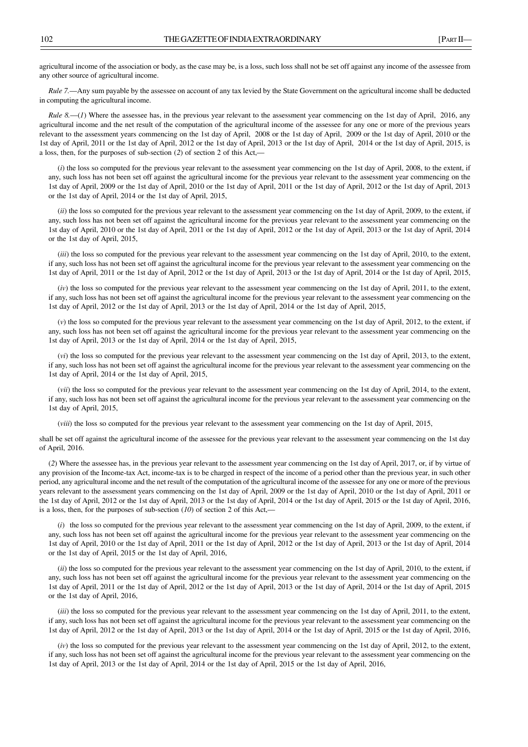agricultural income of the association or body, as the case may be, is a loss, such loss shall not be set off against any income of the assessee from any other source of agricultural income.

*Rule 7.*—Any sum payable by the assessee on account of any tax levied by the State Government on the agricultural income shall be deducted in computing the agricultural income.

*Rule 8.—(1)* Where the assessee has, in the previous year relevant to the assessment year commencing on the 1st day of April, 2016, any agricultural income and the net result of the computation of the agricultural income of the assessee for any one or more of the previous years relevant to the assessment years commencing on the 1st day of April, 2008 or the 1st day of April, 2009 or the 1st day of April, 2010 or the 1st day of April, 2011 or the 1st day of April, 2012 or the 1st day of April, 2013 or the 1st day of April, 2014 or the 1st day of April, 2015, is a loss, then, for the purposes of sub-section (*2*) of section 2 of this Act,—

(*i*) the loss so computed for the previous year relevant to the assessment year commencing on the 1st day of April, 2008, to the extent, if any, such loss has not been set off against the agricultural income for the previous year relevant to the assessment year commencing on the 1st day of April, 2009 or the 1st day of April, 2010 or the 1st day of April, 2011 or the 1st day of April, 2012 or the 1st day of April, 2013 or the 1st day of April, 2014 or the 1st day of April, 2015,

(*ii*) the loss so computed for the previous year relevant to the assessment year commencing on the 1st day of April, 2009, to the extent, if any, such loss has not been set off against the agricultural income for the previous year relevant to the assessment year commencing on the 1st day of April, 2010 or the 1st day of April, 2011 or the 1st day of April, 2012 or the 1st day of April, 2013 or the 1st day of April, 2014 or the 1st day of April, 2015,

(*iii*) the loss so computed for the previous year relevant to the assessment year commencing on the 1st day of April, 2010, to the extent, if any, such loss has not been set off against the agricultural income for the previous year relevant to the assessment year commencing on the 1st day of April, 2011 or the 1st day of April, 2012 or the 1st day of April, 2013 or the 1st day of April, 2014 or the 1st day of April, 2015,

(*iv*) the loss so computed for the previous year relevant to the assessment year commencing on the 1st day of April, 2011, to the extent, if any, such loss has not been set off against the agricultural income for the previous year relevant to the assessment year commencing on the 1st day of April, 2012 or the 1st day of April, 2013 or the 1st day of April, 2014 or the 1st day of April, 2015,

(*v*) the loss so computed for the previous year relevant to the assessment year commencing on the 1st day of April, 2012, to the extent, if any, such loss has not been set off against the agricultural income for the previous year relevant to the assessment year commencing on the 1st day of April, 2013 or the 1st day of April, 2014 or the 1st day of April, 2015,

(*vi*) the loss so computed for the previous year relevant to the assessment year commencing on the 1st day of April, 2013, to the extent, if any, such loss has not been set off against the agricultural income for the previous year relevant to the assessment year commencing on the 1st day of April, 2014 or the 1st day of April, 2015,

(*vii*) the loss so computed for the previous year relevant to the assessment year commencing on the 1st day of April, 2014, to the extent, if any, such loss has not been set off against the agricultural income for the previous year relevant to the assessment year commencing on the 1st day of April, 2015,

(*viii*) the loss so computed for the previous year relevant to the assessment year commencing on the 1st day of April, 2015,

shall be set off against the agricultural income of the assessee for the previous year relevant to the assessment year commencing on the 1st day of April, 2016.

(*2*) Where the assessee has, in the previous year relevant to the assessment year commencing on the 1st day of April, 2017, or, if by virtue of any provision of the Income-tax Act, income-tax is to be charged in respect of the income of a period other than the previous year, in such other period, any agricultural income and the net result of the computation of the agricultural income of the assessee for any one or more of the previous years relevant to the assessment years commencing on the 1st day of April, 2009 or the 1st day of April, 2010 or the 1st day of April, 2011 or the 1st day of April, 2012 or the 1st day of April, 2013 or the 1st day of April, 2014 or the 1st day of April, 2015 or the 1st day of April, 2016, is a loss, then, for the purposes of sub-section (*10*) of section 2 of this Act,—

(*i*) the loss so computed for the previous year relevant to the assessment year commencing on the 1st day of April, 2009, to the extent, if any, such loss has not been set off against the agricultural income for the previous year relevant to the assessment year commencing on the 1st day of April, 2010 or the 1st day of April, 2011 or the 1st day of April, 2012 or the 1st day of April, 2013 or the 1st day of April, 2014 or the 1st day of April, 2015 or the 1st day of April, 2016,

(*ii*) the loss so computed for the previous year relevant to the assessment year commencing on the 1st day of April, 2010, to the extent, if any, such loss has not been set off against the agricultural income for the previous year relevant to the assessment year commencing on the 1st day of April, 2011 or the 1st day of April, 2012 or the 1st day of April, 2013 or the 1st day of April, 2014 or the 1st day of April, 2015 or the 1st day of April, 2016,

(*iii*) the loss so computed for the previous year relevant to the assessment year commencing on the 1st day of April, 2011, to the extent, if any, such loss has not been set off against the agricultural income for the previous year relevant to the assessment year commencing on the 1st day of April, 2012 or the 1st day of April, 2013 or the 1st day of April, 2014 or the 1st day of April, 2015 or the 1st day of April, 2016,

(*iv*) the loss so computed for the previous year relevant to the assessment year commencing on the 1st day of April, 2012, to the extent, if any, such loss has not been set off against the agricultural income for the previous year relevant to the assessment year commencing on the 1st day of April, 2013 or the 1st day of April, 2014 or the 1st day of April, 2015 or the 1st day of April, 2016,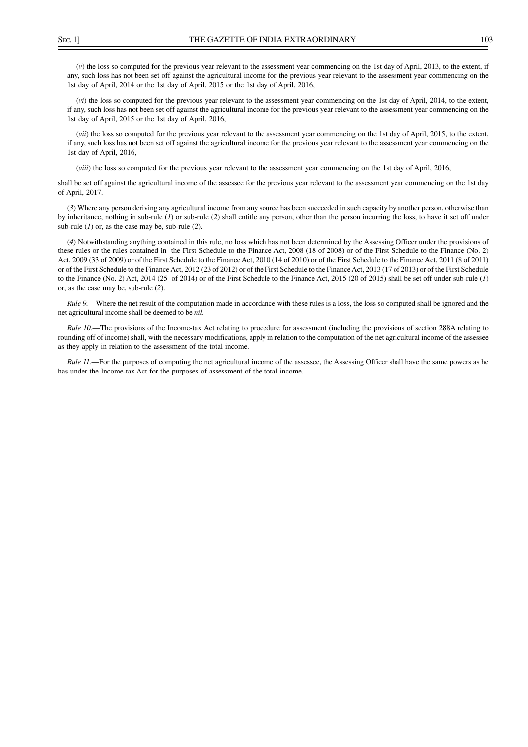(*v*) the loss so computed for the previous year relevant to the assessment year commencing on the 1st day of April, 2013, to the extent, if

1st day of April, 2014 or the 1st day of April, 2015 or the 1st day of April, 2016,

(*vi*) the loss so computed for the previous year relevant to the assessment year commencing on the 1st day of April, 2014, to the extent, if any, such loss has not been set off against the agricultural income for the previous year relevant to the assessment year commencing on the 1st day of April, 2015 or the 1st day of April, 2016,

any, such loss has not been set off against the agricultural income for the previous year relevant to the assessment year commencing on the

*(vii)* the loss so computed for the previous year relevant to the assessment year commencing on the 1st day of April, 2015, to the extent, if any, such loss has not been set off against the agricultural income for the previous year relevant to the assessment year commencing on the 1st day of April, 2016,

(*viii*) the loss so computed for the previous year relevant to the assessment year commencing on the 1st day of April, 2016,

shall be set off against the agricultural income of the assessee for the previous year relevant to the assessment year commencing on the 1st day of April, 2017.

(*3*) Where any person deriving any agricultural income from any source has been succeeded in such capacity by another person, otherwise than by inheritance, nothing in sub-rule (*1*) or sub-rule (*2*) shall entitle any person, other than the person incurring the loss, to have it set off under sub-rule (*1*) or, as the case may be, sub-rule (*2*).

(*4*) Notwithstanding anything contained in this rule, no loss which has not been determined by the Assessing Officer under the provisions of these rules or the rules contained in the First Schedule to the Finance Act, 2008 (18 of 2008) or of the First Schedule to the Finance (No. 2) Act, 2009 (33 of 2009) or of the First Schedule to the Finance Act, 2010 (14 of 2010) or of the First Schedule to the Finance Act, 2011 (8 of 2011) or of the First Schedule to the Finance Act, 2012 (23 of 2012) or of the First Schedule to the Finance Act, 2013 (17 of 2013) or of the First Schedule to the Finance (No. 2) Act, 2014 (25 of 2014) or of the First Schedule to the Finance Act, 2015 (20 of 2015) shall be set off under sub-rule (*1*) or, as the case may be, sub-rule (*2*).

*Rule 9.*—Where the net result of the computation made in accordance with these rules is a loss, the loss so computed shall be ignored and the net agricultural income shall be deemed to be *nil.*

*Rule 10.*—The provisions of the Income-tax Act relating to procedure for assessment (including the provisions of section 288A relating to rounding off of income) shall, with the necessary modifications, apply in relation to the computation of the net agricultural income of the assessee as they apply in relation to the assessment of the total income.

*Rule 11.*—For the purposes of computing the net agricultural income of the assessee, the Assessing Officer shall have the same powers as he has under the Income-tax Act for the purposes of assessment of the total income.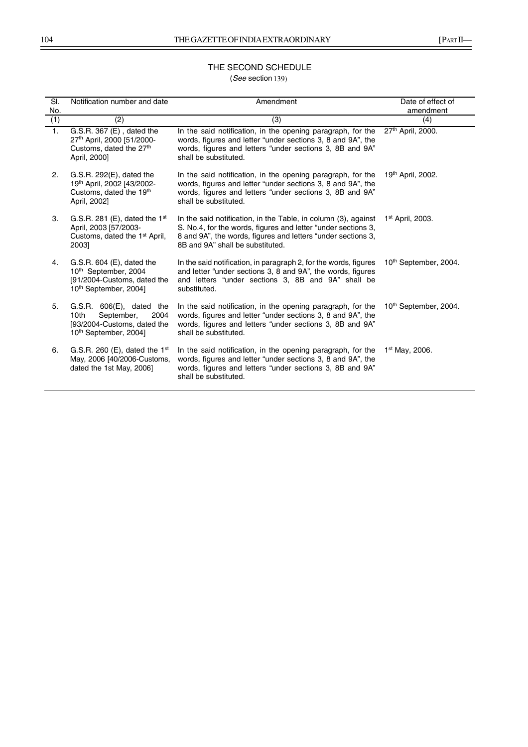# THE SECOND SCHEDULE (*See* section 136) 139)

| SI.<br>No.     | Notification number and date                                                                                                         | Amendment                                                                                                                                                                                                                           | Date of effect of<br>amendment    |
|----------------|--------------------------------------------------------------------------------------------------------------------------------------|-------------------------------------------------------------------------------------------------------------------------------------------------------------------------------------------------------------------------------------|-----------------------------------|
| (1)            | (2)                                                                                                                                  | (3)                                                                                                                                                                                                                                 | (4)                               |
| $\mathbf{1}$ . | G.S.R. 367 (E), dated the<br>27th April, 2000 [51/2000-<br>Customs, dated the 27 <sup>th</sup><br>April, 2000]                       | In the said notification, in the opening paragraph, for the<br>words, figures and letter "under sections 3, 8 and 9A", the<br>words, figures and letters "under sections 3, 8B and 9A"<br>shall be substituted.                     | 27 <sup>th</sup> April, 2000.     |
| 2.             | $G.S.R. 292(E)$ , dated the<br>19th April, 2002 [43/2002-<br>Customs, dated the 19th<br>April, 2002]                                 | In the said notification, in the opening paragraph, for the<br>words, figures and letter "under sections 3, 8 and 9A", the<br>words, figures and letters "under sections 3, 8B and 9A"<br>shall be substituted.                     | 19th April, 2002.                 |
| 3.             | G.S.R. 281 (E), dated the $1st$<br>April, 2003 [57/2003-<br>Customs, dated the 1 <sup>st</sup> April,<br>20031                       | In the said notification, in the Table, in column (3), against<br>S. No.4, for the words, figures and letter "under sections 3,<br>8 and 9A", the words, figures and letters "under sections 3,<br>8B and 9A" shall be substituted. | 1 <sup>st</sup> April, 2003.      |
| 4.             | $G.S.R. 604 (E)$ , dated the<br>10 <sup>th</sup> September, 2004<br>[91/2004-Customs, dated the<br>10 <sup>th</sup> September, 2004] | In the said notification, in paragraph 2, for the words, figures<br>and letter "under sections 3, 8 and 9A", the words, figures<br>and letters "under sections 3, 8B and 9A" shall be<br>substituted.                               | 10 <sup>th</sup> September, 2004. |
| 5.             | $G.S.R. 606(E), data$ dated the<br>September,<br>10th<br>2004<br>[93/2004-Customs, dated the<br>10 <sup>th</sup> September, 2004]    | In the said notification, in the opening paragraph, for the<br>words, figures and letter "under sections 3, 8 and 9A", the<br>words, figures and letters "under sections 3, 8B and 9A"<br>shall be substituted.                     | 10 <sup>th</sup> September, 2004. |
| 6.             | G.S.R. 260 (E), dated the $1st$<br>May, 2006 [40/2006-Customs,<br>dated the 1st May, 2006]                                           | In the said notification, in the opening paragraph, for the<br>words, figures and letter "under sections 3, 8 and 9A", the<br>words, figures and letters "under sections 3, 8B and 9A"<br>shall be substituted.                     | $1st$ May, 2006.                  |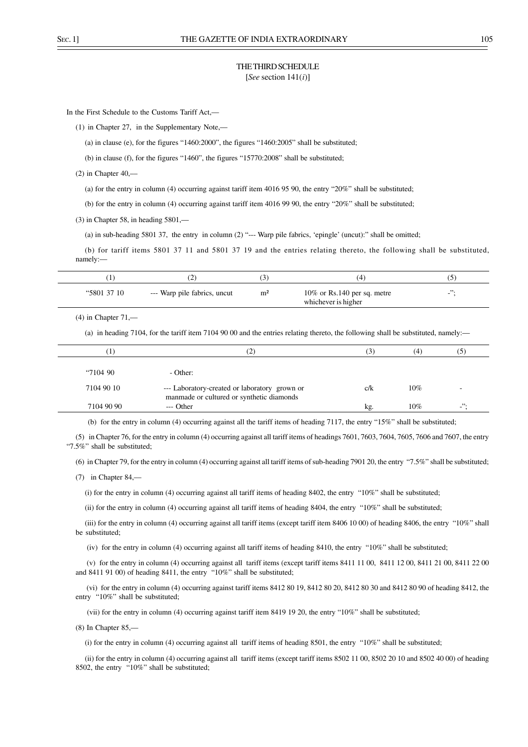## THE THIRD SCHEDULE [*See* section 141(*i*)]

In the First Schedule to the Customs Tariff Act,––

(1) in Chapter 27, in the Supplementary Note,––

(a) in clause (e), for the figures "1460:2000", the figures "1460:2005" shall be substituted;

(b) in clause (f), for the figures "1460", the figures "15770:2008" shall be substituted;

 $(2)$  in Chapter  $40,$ —

(a) for the entry in column (4) occurring against tariff item 4016 95 90, the entry "20%" shall be substituted;

(b) for the entry in column (4) occurring against tariff item 4016 99 90, the entry "20%" shall be substituted;

 $(3)$  in Chapter 58, in heading 5801,—

(a) in sub-heading 5801 37, the entry in column (2) "--- Warp pile fabrics, 'epingle' (uncut):" shall be omitted;

(b) for tariff items 5801 37 11 and 5801 37 19 and the entries relating thereto, the following shall be substituted, namely:—

| "5801 37 10 | --- Warp pile fabrics, uncut | m <sup>2</sup> | $10\%$ or Rs.140 per sq. metre<br>whichever is higher | ,,,<br>- |
|-------------|------------------------------|----------------|-------------------------------------------------------|----------|

#### $(4)$  in Chapter  $71$ , $-$

(a) in heading 7104, for the tariff item 7104 90 00 and the entries relating thereto, the following shall be substituted, namely:—

| Π          | 2                                                                                          | 3)  | (4)    | (5)                      |  |
|------------|--------------------------------------------------------------------------------------------|-----|--------|--------------------------|--|
|            |                                                                                            |     |        |                          |  |
| 4710490    | - Other:                                                                                   |     |        |                          |  |
| 7104 90 10 | --- Laboratory-created or laboratory grown or<br>manmade or cultured or synthetic diamonds | c/k | $10\%$ | $\overline{\phantom{m}}$ |  |
| 7104 90 90 | $---$ Other                                                                                | kg. | $10\%$ | ".                       |  |
|            |                                                                                            |     |        |                          |  |

(b) for the entry in column (4) occurring against all the tariff items of heading 7117, the entry "15%" shall be substituted;

(5) in Chapter 76, for the entry in column (4) occurring against all tariff items of headings 7601, 7603, 7604, 7605, 7606 and 7607, the entry "7.5%" shall be substituted;

(6) in Chapter 79, for the entry in column (4) occurring against all tariff items of sub-heading 7901 20, the entry "7.5%" shall be substituted;

(7) in Chapter 84,––

(i) for the entry in column (4) occurring against all tariff items of heading 8402, the entry " $10\%$ " shall be substituted;

(ii) for the entry in column (4) occurring against all tariff items of heading 8404, the entry "10%" shall be substituted;

(iii) for the entry in column (4) occurring against all tariff items (except tariff item 8406 10 00) of heading 8406, the entry "10%" shall be substituted;

(iv) for the entry in column (4) occurring against all tariff items of heading 8410, the entry "10%" shall be substituted;

 (v) for the entry in column (4) occurring against all tariff items (except tariff items 8411 11 00, 8411 12 00, 8411 21 00, 8411 22 00 and 8411 91 00) of heading 8411, the entry "10%" shall be substituted;

 (vi) for the entry in column (4) occurring against tariff items 8412 80 19, 8412 80 20, 8412 80 30 and 8412 80 90 of heading 8412, the entry "10%" shall be substituted;

(vii) for the entry in column (4) occurring against tariff item 8419 19 20, the entry "10%" shall be substituted;

(8) In Chapter 85,––

(i) for the entry in column (4) occurring against all tariff items of heading 8501, the entry "10%" shall be substituted;

(ii) for the entry in column (4) occurring against all tariff items (except tariff items 8502 11 00, 8502 20 10 and 8502 40 00) of heading 8502, the entry "10%" shall be substituted: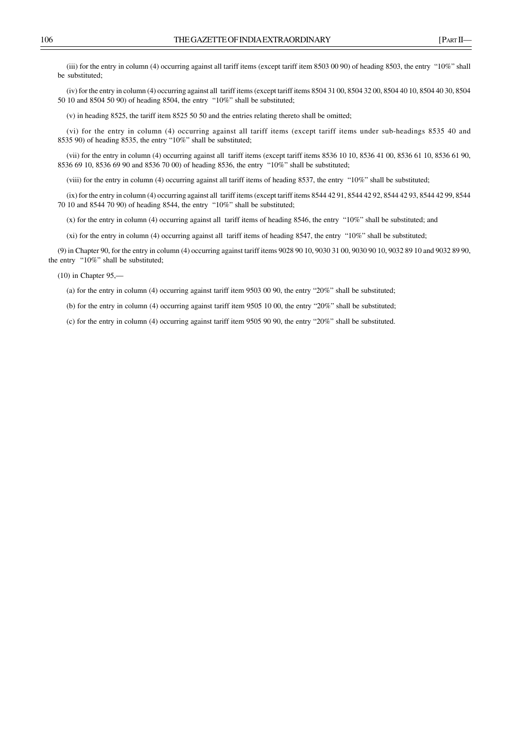(iii) for the entry in column (4) occurring against all tariff items (except tariff item 8503 00 90) of heading 8503, the entry "10%" shall be substituted;

(iv) for the entry in column (4) occurring against all tariff items (except tariff items 8504 31 00, 8504 32 00, 8504 40 10, 8504 40 30, 8504 50 10 and 8504 50 90) of heading 8504, the entry "10%" shall be substituted;

(v) in heading 8525, the tariff item 8525 50 50 and the entries relating thereto shall be omitted;

(vi) for the entry in column (4) occurring against all tariff items (except tariff items under sub-headings 8535 40 and 8535 90) of heading 8535, the entry "10%" shall be substituted;

(vii) for the entry in column (4) occurring against all tariff items (except tariff items 8536 10 10, 8536 41 00, 8536 61 10, 8536 61 90, 8536 69 10, 8536 69 90 and 8536 70 00) of heading 8536, the entry "10%" shall be substituted;

(viii) for the entry in column (4) occurring against all tariff items of heading 8537, the entry "10%" shall be substituted;

(ix) for the entry in column (4) occurring against all tariff items (except tariff items 8544 42 91, 8544 42 92, 8544 42 93, 8544 42 99, 8544 70 10 and 8544 70 90) of heading 8544, the entry "10%" shall be substituted;

(x) for the entry in column (4) occurring against all tariff items of heading 8546, the entry "10%" shall be substituted; and

(xi) for the entry in column (4) occurring against all tariff items of heading 8547, the entry "10%" shall be substituted;

(9) in Chapter 90, for the entry in column (4) occurring against tariff items 9028 90 10, 9030 31 00, 9030 90 10, 9032 89 10 and 9032 89 90, the entry "10%" shall be substituted;

(10) in Chapter 95,—

(a) for the entry in column (4) occurring against tariff item 9503 00 90, the entry "20%" shall be substituted;

(b) for the entry in column (4) occurring against tariff item 9505 10 00, the entry "20%" shall be substituted;

(c) for the entry in column (4) occurring against tariff item 9505 90 90, the entry "20%" shall be substituted.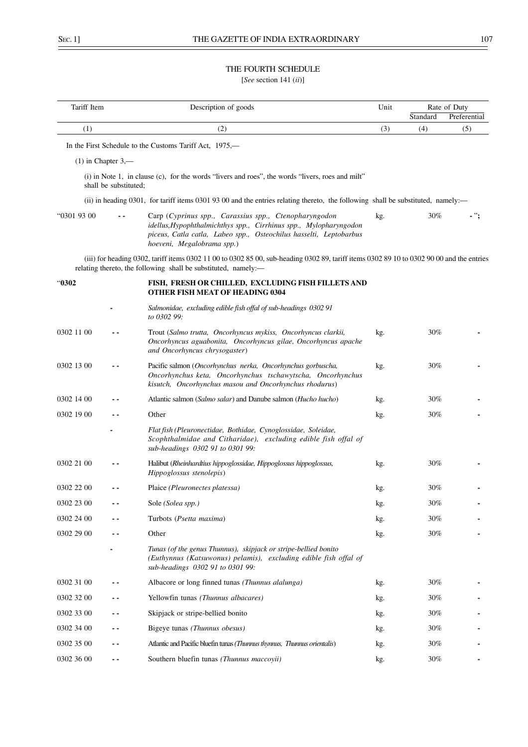# THE FOURTH SCHEDULE

[*See* section 141 (*ii*)]

| Tariff Item |                       | Description of goods                                                                                                                                                                                                           | Unit |                 | Rate of Duty        |
|-------------|-----------------------|--------------------------------------------------------------------------------------------------------------------------------------------------------------------------------------------------------------------------------|------|-----------------|---------------------|
| (1)         |                       | (2)                                                                                                                                                                                                                            | (3)  | Standard<br>(4) | Preferential<br>(5) |
|             |                       |                                                                                                                                                                                                                                |      |                 |                     |
|             |                       | In the First Schedule to the Customs Tariff Act, 1975,—                                                                                                                                                                        |      |                 |                     |
|             | $(1)$ in Chapter 3,—  |                                                                                                                                                                                                                                |      |                 |                     |
|             | shall be substituted; | (i) in Note 1, in clause (c), for the words "livers and roes", the words "livers, roes and milt"                                                                                                                               |      |                 |                     |
|             |                       | (ii) in heading 0301, for tariff items 0301 93 00 and the entries relating thereto, the following shall be substituted, namely:—                                                                                               |      |                 |                     |
| "0301 93 00 |                       | Carp (Cyprinus spp., Carassius spp., Ctenopharyngodon<br>idellus, Hypophthalmichthys spp., Cirrhinus spp., Mylopharyngodon<br>piceus, Catla catla, Labeo spp., Osteochilus hasselti, Leptobarbus<br>hoeveni, Megalobrama spp.) | kg.  | 30%             |                     |
|             |                       | (iii) for heading 0302, tariff items 0302 11 00 to 0302 85 00, sub-heading 0302 89, tariff items 0302 89 10 to 0302 90 00 and the entries<br>relating thereto, the following shall be substituted, namely:-                    |      |                 |                     |
| "0302       |                       | FISH, FRESH OR CHILLED, EXCLUDING FISH FILLETS AND<br><b>OTHER FISH MEAT OF HEADING 0304</b>                                                                                                                                   |      |                 |                     |
|             |                       | Salmonidae, excluding edible fish offal of sub-headings 0302 91<br>to 0302 99:                                                                                                                                                 |      |                 |                     |
| 0302 11 00  |                       | Trout (Salmo trutta, Oncorhyncus mykiss, Oncorhyncus clarkii,<br>Oncorhyncus aguabonita, Oncorhyncus gilae, Oncorhyncus apache<br>and Oncorhyncus chrysogaster)                                                                | kg.  | 30%             |                     |
| 0302 13 00  |                       | Pacific salmon (Oncorhynchus nerka, Oncorhynchus gorbuscha,<br>Oncorhynchus keta, Oncorhynchus tschawytscha, Oncorhynchus<br>kisutch, Oncorhynchus masou and Oncorhynchus rhodurus)                                            | kg.  | 30%             |                     |
| 0302 14 00  |                       | Atlantic salmon (Salmo salar) and Danube salmon (Hucho hucho)                                                                                                                                                                  | kg.  | 30%             |                     |
| 0302 19 00  |                       | Other                                                                                                                                                                                                                          | kg.  | 30%             |                     |
|             |                       | Flat fish (Pleuronectidae, Bothidae, Cynoglossidae, Soleidae,<br>Scophthalmidae and Citharidae), excluding edible fish offal of<br>sub-headings 0302 91 to 0301 99:                                                            |      |                 |                     |
| 0302 21 00  |                       | Halibut (Rheinhardtius hippoglossidae, Hippoglossus hippoglossus,<br>Hippoglossus stenolepis)                                                                                                                                  | kg.  | 30%             |                     |
| 0302 22 00  |                       | Plaice (Pleuronectes platessa)                                                                                                                                                                                                 | kg.  | 30%             |                     |
| 0302 23 00  |                       | Sole (Solea spp.)                                                                                                                                                                                                              | kg.  | 30%             |                     |
| 0302 24 00  |                       | Turbots (Psetta maxima)                                                                                                                                                                                                        | kg.  | 30%             |                     |
| 0302 29 00  |                       | Other                                                                                                                                                                                                                          | kg.  | 30%             |                     |
|             |                       | Tunas (of the genus Thunnus), skipjack or stripe-bellied bonito<br>(Euthynnus (Katsuwonus) pelamis), excluding edible fish offal of<br>sub-headings 0302 91 to 0301 99:                                                        |      |                 |                     |
| 0302 31 00  |                       | Albacore or long finned tunas (Thunnus alalunga)                                                                                                                                                                               | kg.  | 30%             |                     |
| 0302 32 00  |                       | Yellowfin tunas (Thunnus albacares)                                                                                                                                                                                            | kg.  | 30%             |                     |
| 0302 33 00  |                       | Skipjack or stripe-bellied bonito                                                                                                                                                                                              | kg.  | 30%             |                     |
| 0302 34 00  |                       | Bigeye tunas (Thunnus obesus)                                                                                                                                                                                                  | kg.  | 30%             |                     |
| 0302 35 00  |                       | Atlantic and Pacific bluefin tunas (Thumus thymus, Thumus orientalis)                                                                                                                                                          | kg.  | 30%             |                     |
| 0302 36 00  | $\sim$ $\sim$         | Southern bluefin tunas (Thunnus maccoyii)                                                                                                                                                                                      | kg.  | 30%             |                     |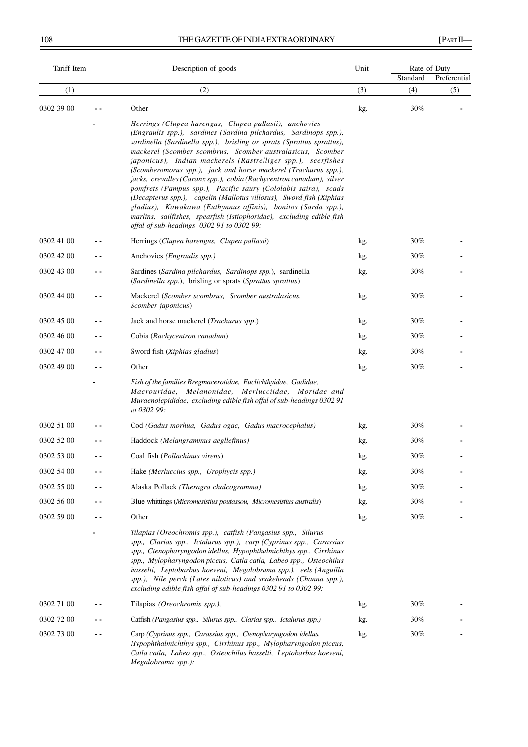# 108 THE GAZETTE OF INDIA EXTRAORDINARY [PART II—

| Tariff Item |     | Description of goods                                                                                                                                                                                                                                                                                                                                                                                                                                                                                                                                                                                                                                                                                                                                                                                         | Unit | Rate of Duty |              |  |
|-------------|-----|--------------------------------------------------------------------------------------------------------------------------------------------------------------------------------------------------------------------------------------------------------------------------------------------------------------------------------------------------------------------------------------------------------------------------------------------------------------------------------------------------------------------------------------------------------------------------------------------------------------------------------------------------------------------------------------------------------------------------------------------------------------------------------------------------------------|------|--------------|--------------|--|
|             |     |                                                                                                                                                                                                                                                                                                                                                                                                                                                                                                                                                                                                                                                                                                                                                                                                              |      | Standard     | Preferential |  |
| (1)         |     | (2)                                                                                                                                                                                                                                                                                                                                                                                                                                                                                                                                                                                                                                                                                                                                                                                                          | (3)  | (4)          | (5)          |  |
| 0302 39 00  |     | Other                                                                                                                                                                                                                                                                                                                                                                                                                                                                                                                                                                                                                                                                                                                                                                                                        | kg.  | 30%          |              |  |
|             |     | Herrings (Clupea harengus, Clupea pallasii), anchovies<br>(Engraulis spp.), sardines (Sardina pilchardus, Sardinops spp.),<br>sardinella (Sardinella spp.), brisling or sprats (Sprattus sprattus),<br>mackerel (Scomber scombrus, Scomber australasicus, Scomber<br>japonicus), Indian mackerels (Rastrelliger spp.), seerfishes<br>(Scomberomorus spp.), jack and horse mackerel (Trachurus spp.),<br>jacks, crevalles (Caranx spp.), cobia (Rachycentron canadum), silver<br>pomfrets (Pampus spp.), Pacific saury (Cololabis saira), scads<br>(Decapterus spp.), capelin (Mallotus villosus), Sword fish (Xiphias<br>gladius), Kawakawa (Euthynnus affinis), bonitos (Sarda spp.),<br>marlins, sailfishes, spearfish (Istiophoridae), excluding edible fish<br>offal of sub-headings 0302 91 to 0302 99: |      |              |              |  |
| 0302 41 00  |     | Herrings (Clupea harengus, Clupea pallasii)                                                                                                                                                                                                                                                                                                                                                                                                                                                                                                                                                                                                                                                                                                                                                                  | kg.  | 30%          |              |  |
| 0302 42 00  |     | Anchovies (Engraulis spp.)                                                                                                                                                                                                                                                                                                                                                                                                                                                                                                                                                                                                                                                                                                                                                                                   | kg.  | 30%          |              |  |
| 0302 43 00  |     | Sardines (Sardina pilchardus, Sardinops spp.), sardinella<br>(Sardinella spp.), bristing or sprats (Sprattus sprattus)                                                                                                                                                                                                                                                                                                                                                                                                                                                                                                                                                                                                                                                                                       | kg.  | 30%          |              |  |
| 0302 44 00  | . . | Mackerel (Scomber scombrus, Scomber australasicus,<br>Scomber japonicus)                                                                                                                                                                                                                                                                                                                                                                                                                                                                                                                                                                                                                                                                                                                                     | kg.  | 30%          |              |  |
| 0302 45 00  |     | Jack and horse mackerel (Trachurus spp.)                                                                                                                                                                                                                                                                                                                                                                                                                                                                                                                                                                                                                                                                                                                                                                     | kg.  | 30%          |              |  |
| 0302 46 00  | . . | Cobia (Rachycentron canadum)                                                                                                                                                                                                                                                                                                                                                                                                                                                                                                                                                                                                                                                                                                                                                                                 | kg.  | 30%          |              |  |
| 0302 47 00  |     | Sword fish (Xiphias gladius)                                                                                                                                                                                                                                                                                                                                                                                                                                                                                                                                                                                                                                                                                                                                                                                 | kg.  | 30%          |              |  |
| 0302 49 00  |     | Other                                                                                                                                                                                                                                                                                                                                                                                                                                                                                                                                                                                                                                                                                                                                                                                                        | kg.  | 30%          |              |  |
|             |     | Fish of the families Bregmacerotidae, Euclichthyidae, Gadidae,<br>Macrouridae, Melanonidae, Merlucciidae, Moridae and<br>Muraenolepididae, excluding edible fish offal of sub-headings 0302 91<br>to 0302 99:                                                                                                                                                                                                                                                                                                                                                                                                                                                                                                                                                                                                |      |              |              |  |
| 0302 51 00  |     | Cod (Gadus morhua, Gadus ogac, Gadus macrocephalus)                                                                                                                                                                                                                                                                                                                                                                                                                                                                                                                                                                                                                                                                                                                                                          | kg.  | 30%          |              |  |
| 0302 52 00  |     | Haddock (Melangrammus aegllefinus)                                                                                                                                                                                                                                                                                                                                                                                                                                                                                                                                                                                                                                                                                                                                                                           | kg.  | 30%          |              |  |
| 0302 53 00  |     | Coal fish (Pollachinus virens)                                                                                                                                                                                                                                                                                                                                                                                                                                                                                                                                                                                                                                                                                                                                                                               | kg.  | 30%          |              |  |
| 0302 54 00  |     | Hake (Merluccius spp., Urophycis spp.)                                                                                                                                                                                                                                                                                                                                                                                                                                                                                                                                                                                                                                                                                                                                                                       | kg.  | 30%          |              |  |
| 0302 55 00  |     | Alaska Pollack (Theragra chalcogramma)                                                                                                                                                                                                                                                                                                                                                                                                                                                                                                                                                                                                                                                                                                                                                                       | kg.  | 30%          |              |  |
| 0302 56 00  |     | Blue whittings (Micromesistius poutassou, Micromesistius australis)                                                                                                                                                                                                                                                                                                                                                                                                                                                                                                                                                                                                                                                                                                                                          | kg.  | 30%          |              |  |
| 0302 59 00  |     | Other                                                                                                                                                                                                                                                                                                                                                                                                                                                                                                                                                                                                                                                                                                                                                                                                        | kg.  | 30%          |              |  |
|             |     | Tilapias (Oreochromis spp.), catfish (Pangasius spp., Silurus<br>spp., Clarias spp., Ictalurus spp.), carp (Cyprinus spp., Carassius<br>spp., Ctenopharyngodon idellus, Hypophthalmichthys spp., Cirrhinus<br>spp., Mylopharyngodon piceus, Catla catla, Labeo spp., Osteochilus<br>hasselti, Leptobarbus hoeveni, Megalobrama spp.), eels (Anguilla<br>spp.), Nile perch (Lates niloticus) and snakeheads (Channa spp.),<br>excluding edible fish offal of sub-headings 0302 91 to 0302 99:                                                                                                                                                                                                                                                                                                                 |      |              |              |  |
| 0302 71 00  |     | Tilapias (Oreochromis spp.),                                                                                                                                                                                                                                                                                                                                                                                                                                                                                                                                                                                                                                                                                                                                                                                 | kg.  | 30%          |              |  |
| 0302 72 00  |     | Catfish (Pangasius spp., Silurus spp., Clarias spp., Ictalurus spp.)                                                                                                                                                                                                                                                                                                                                                                                                                                                                                                                                                                                                                                                                                                                                         | kg.  | 30%          |              |  |
| 0302 73 00  |     | Carp (Cyprinus spp., Carassius spp., Ctenopharyngodon idellus,<br>Hypophthalmichthys spp., Cirrhinus spp., Mylopharyngodon piceus,<br>Catla catla, Labeo spp., Osteochilus hasselti, Leptobarbus hoeveni,<br>Megalobrama spp.):                                                                                                                                                                                                                                                                                                                                                                                                                                                                                                                                                                              | kg.  | 30%          |              |  |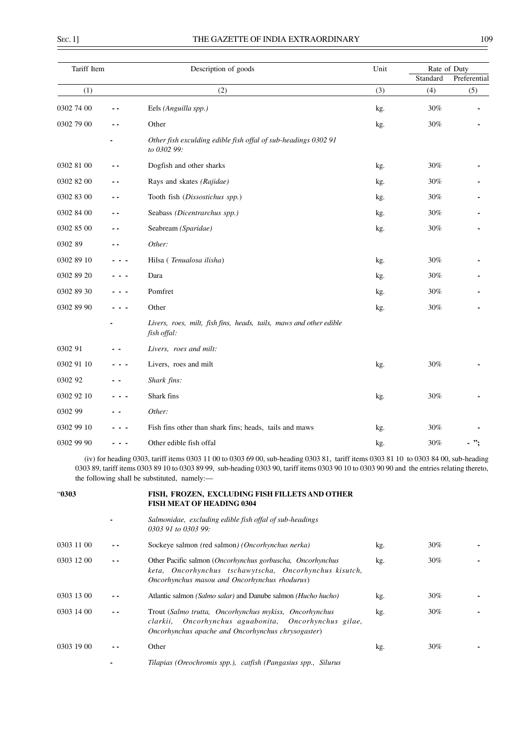| Tariff Item |     | Description of goods                                                              | Unit | Rate of Duty |              |
|-------------|-----|-----------------------------------------------------------------------------------|------|--------------|--------------|
|             |     |                                                                                   |      | Standard     | Preferential |
| (1)         |     | (2)                                                                               | (3)  | (4)          | (5)          |
| 0302 74 00  |     | Eels (Anguilla spp.)                                                              | kg.  | 30%          |              |
| 0302 79 00  |     | Other                                                                             | kg.  | 30%          |              |
|             |     | Other fish exculding edible fish offal of sub-headings 0302 91<br>to 0302 99:     |      |              |              |
| 0302 81 00  |     | Dogfish and other sharks                                                          | kg.  | 30%          |              |
| 0302 82 00  | - - | Rays and skates (Rajidae)                                                         | kg.  | $30\%$       |              |
| 0302 83 00  | ٠.  | Tooth fish (Dissostichus spp.)                                                    | kg.  | 30%          |              |
| 0302 84 00  | . . | Seabass (Dicentrarchus spp.)                                                      | kg.  | 30%          |              |
| 0302 85 00  | - - | Seabream (Sparidae)                                                               | kg.  | 30%          |              |
| 0302 89     |     | Other:                                                                            |      |              |              |
| 0302 89 10  |     | Hilsa (Tenualosa ilisha)                                                          | kg.  | $30\%$       |              |
| 0302 89 20  |     | Dara                                                                              | kg.  | $30\%$       |              |
| 0302 89 30  |     | Pomfret                                                                           | kg.  | 30%          |              |
| 0302 89 90  |     | Other                                                                             | kg.  | 30%          |              |
|             |     | Livers, roes, milt, fish fins, heads, tails, maws and other edible<br>fish offal: |      |              |              |
| 0302 91     |     | Livers, roes and milt:                                                            |      |              |              |
| 0302 91 10  |     | Livers, roes and milt                                                             | kg.  | 30%          |              |
| 0302 92     |     | Shark fins:                                                                       |      |              |              |
| 0302 92 10  |     | Shark fins                                                                        | kg.  | $30\%$       |              |
| 0302 99     |     | Other:                                                                            |      |              |              |
| 0302 99 10  |     | Fish fins other than shark fins; heads, tails and maws                            | kg.  | 30%          |              |
| 0302 99 90  |     | Other edible fish offal                                                           | kg.  | 30%          |              |

(iv) for heading 0303, tariff items 0303 11 00 to 0303 69 00, sub-heading 0303 81, tariff items 0303 81 10 to 0303 84 00, sub-heading 0303 89, tariff items 0303 89 10 to 0303 89 99, sub-heading 0303 90, tariff items 0303 90 10 to 0303 90 90 and the entries relating thereto, the following shall be substituted, namely:—

| "0303      |     | FISH, FROZEN, EXCLUDING FISH FILLETS AND OTHER<br><b>FISH MEAT OF HEADING 0304</b>                                                                                    |     |        |  |
|------------|-----|-----------------------------------------------------------------------------------------------------------------------------------------------------------------------|-----|--------|--|
|            |     | Salmonidae, excluding edible fish offal of sub-headings<br>0303 91 to 0303 99:                                                                                        |     |        |  |
| 0303 11 00 |     | Sockeye salmon (red salmon) (Oncorhynchus nerka)                                                                                                                      | kg. | $30\%$ |  |
| 0303 12 00 | . . | Other Pacific salmon (Oncorhynchus gorbuscha, Oncorhynchus<br>keta, Oncorhynchus tschawytscha, Oncorhynchus kisutch,<br>Oncorhynchus masou and Oncorhynchus rhodurus) | kg. | $30\%$ |  |
| 0303 13 00 |     | Atlantic salmon (Salmo salar) and Danube salmon (Hucho hucho)                                                                                                         | kg. | $30\%$ |  |
| 0303 14 00 | - - | Trout (Salmo trutta, Oncorhynchus mykiss, Oncorhynchus<br>clarkii, Oncorhynchus aguabonita, Oncorhynchus gilae,<br>Oncorhynchus apache and Oncorhynchus chrysogaster) | kg. | 30%    |  |
| 0303 19 00 |     | Other                                                                                                                                                                 | kg. | $30\%$ |  |
|            |     | Tilapias (Oreochromis spp.), catfish (Pangasius spp., Silurus                                                                                                         |     |        |  |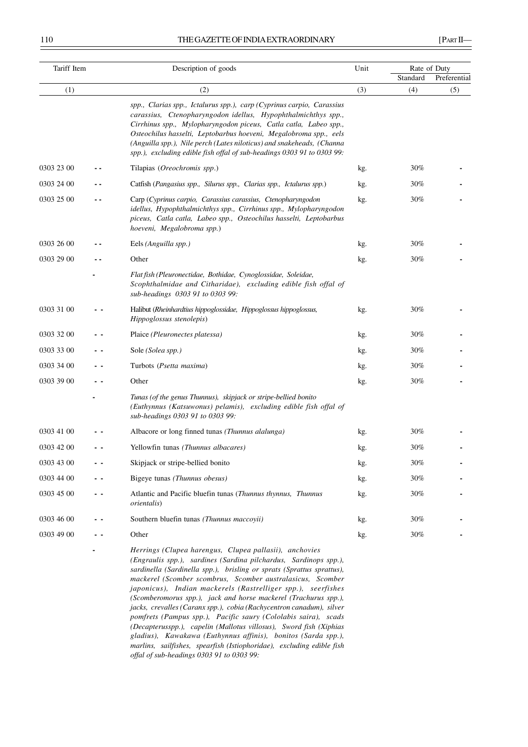#### 110 THE GAZETTE OF INDIA EXTRAORDINARY [PART II-

| Tariff Item |     | Description of goods                                                                                                                                                                                                                                                                                                                                                                                                               |     | Rate of Duty |              |  |
|-------------|-----|------------------------------------------------------------------------------------------------------------------------------------------------------------------------------------------------------------------------------------------------------------------------------------------------------------------------------------------------------------------------------------------------------------------------------------|-----|--------------|--------------|--|
|             |     |                                                                                                                                                                                                                                                                                                                                                                                                                                    |     | Standard     | Preferential |  |
| (1)         |     | (2)                                                                                                                                                                                                                                                                                                                                                                                                                                | (3) | (4)          | (5)          |  |
|             |     | spp., Clarias spp., Ictalurus spp.), carp (Cyprinus carpio, Carassius<br>carassius, Ctenopharyngodon idellus, Hypophthalmichthys spp.,<br>Cirrhinus spp., Mylopharyngodon piceus, Catla catla, Labeo spp.,<br>Osteochilus hasselti, Leptobarbus hoeveni, Megalobroma spp., eels<br>(Anguilla spp.), Nile perch (Lates niloticus) and snakeheads, (Channa<br>spp.), excluding edible fish offal of sub-headings 0303 91 to 0303 99: |     |              |              |  |
| 0303 23 00  |     | Tilapias (Oreochromis spp.)                                                                                                                                                                                                                                                                                                                                                                                                        | kg. | 30%          |              |  |
| 0303 24 00  |     | Catfish (Pangasius spp., Silurus spp., Clarias spp., Ictalurus spp.)                                                                                                                                                                                                                                                                                                                                                               | kg. | 30%          |              |  |
| 0303 25 00  | . . | Carp (Cyprinus carpio, Carassius carassius, Ctenopharyngodon<br>idellus, Hypophthalmichthys spp., Cirrhinus spp., Mylopharyngodon<br>piceus, Catla catla, Labeo spp., Osteochilus hasselti, Leptobarbus<br>hoeveni, Megalobroma spp.)                                                                                                                                                                                              | kg. | 30%          |              |  |
| 0303 26 00  |     | Eels (Anguilla spp.)                                                                                                                                                                                                                                                                                                                                                                                                               | kg. | 30%          |              |  |
| 0303 29 00  |     | Other                                                                                                                                                                                                                                                                                                                                                                                                                              | kg. | 30%          |              |  |
|             |     | Flat fish (Pleuronectidae, Bothidae, Cynoglossidae, Soleidae,<br>Scophthalmidae and Citharidae), excluding edible fish offal of<br>sub-headings 0303 91 to 0303 99:                                                                                                                                                                                                                                                                |     |              |              |  |
| 0303 31 00  |     | Halibut (Rheinhardtius hippoglossidae, Hippoglossus hippoglossus,<br>Hippoglossus stenolepis)                                                                                                                                                                                                                                                                                                                                      | kg. | 30%          |              |  |
| 0303 32 00  |     | Plaice (Pleuronectes platessa)                                                                                                                                                                                                                                                                                                                                                                                                     | kg. | 30%          |              |  |
| 0303 33 00  |     | Sole (Solea spp.)                                                                                                                                                                                                                                                                                                                                                                                                                  | kg. | 30%          |              |  |
| 0303 34 00  |     | Turbots (Psetta maxima)                                                                                                                                                                                                                                                                                                                                                                                                            | kg. | 30%          |              |  |
| 0303 39 00  |     | Other                                                                                                                                                                                                                                                                                                                                                                                                                              | kg. | 30%          |              |  |
|             |     | Tunas (of the genus Thunnus), skipjack or stripe-bellied bonito<br>(Euthynnus (Katsuwonus) pelamis), excluding edible fish offal of<br>sub-headings 0303 91 to 0303 99:                                                                                                                                                                                                                                                            |     |              |              |  |
| 0303 41 00  |     | Albacore or long finned tunas (Thunnus alalunga)                                                                                                                                                                                                                                                                                                                                                                                   | kg. | 30%          |              |  |
| 0303 42 00  |     | Yellowfin tunas (Thunnus albacares)                                                                                                                                                                                                                                                                                                                                                                                                | kg. | 30%          |              |  |
| 0303 43 00  |     | Skipjack or stripe-bellied bonito                                                                                                                                                                                                                                                                                                                                                                                                  | kg. | 30%          |              |  |
| 0303 44 00  |     | Bigeye tunas (Thunnus obesus)                                                                                                                                                                                                                                                                                                                                                                                                      | kg. | 30%          |              |  |
| 0303 45 00  |     | Atlantic and Pacific bluefin tunas (Thunnus thynnus, Thunnus<br><i>orientalis</i> )                                                                                                                                                                                                                                                                                                                                                | kg. | 30%          |              |  |
| 0303 46 00  |     | Southern bluefin tunas (Thunnus maccoyii)                                                                                                                                                                                                                                                                                                                                                                                          | kg. | 30%          |              |  |
| 0303 49 00  |     | Other                                                                                                                                                                                                                                                                                                                                                                                                                              | kg. | 30%          |              |  |
|             |     | Herrings (Clupea harengus, Clupea pallasii), anchovies<br>(Engraulis spp.), sardines (Sardina pilchardus, Sardinops spp.),<br>sardinella (Sardinella spp.), brisling or sprats (Sprattus sprattus),                                                                                                                                                                                                                                |     |              |              |  |

*mackerel (Scomber scombrus, Scomber australasicus, Scomber japonicus), Indian mackerels (Rastrelliger spp.), seerfishes (Scomberomorus spp.), jack and horse mackerel (Trachurus spp.), jacks, crevalles (Caranx spp.), cobia (Rachycentron canadum), silver pomfrets (Pampus spp.), Pacific saury (Cololabis saira), scads (Decapterusspp.), capelin (Mallotus villosus), Sword fish (Xiphias gladius), Kawakawa (Euthynnus affinis), bonitos (Sarda spp.), marlins, sailfishes, spearfish (Istiophoridae), excluding edible fish offal of sub-headings 0303 91 to 0303 99:*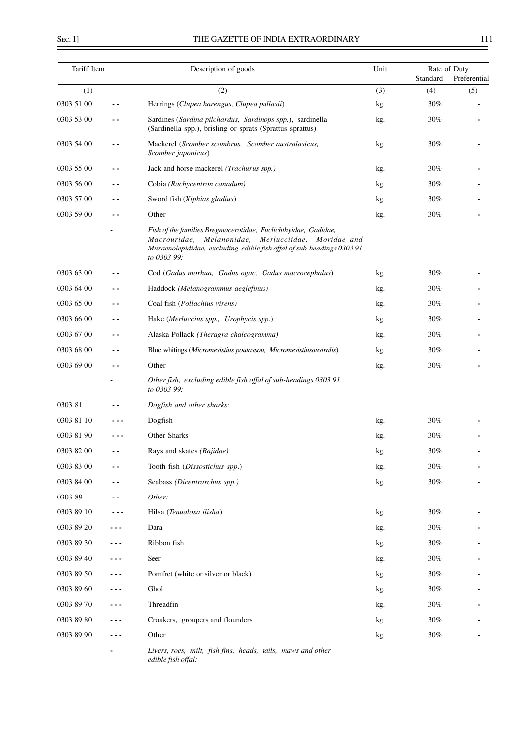| Tariff Item |     | Description of goods                                                                                                                                                                                          | Unit | Standard | Rate of Duty<br>Preferential |
|-------------|-----|---------------------------------------------------------------------------------------------------------------------------------------------------------------------------------------------------------------|------|----------|------------------------------|
| (1)         |     | (2)                                                                                                                                                                                                           | (3)  | (4)      | (5)                          |
| 0303 51 00  | . . | Herrings (Clupea harengus, Clupea pallasii)                                                                                                                                                                   | kg.  | 30%      |                              |
| 0303 53 00  |     | Sardines (Sardina pilchardus, Sardinops spp.), sardinella<br>(Sardinella spp.), brisling or sprats (Sprattus sprattus)                                                                                        | kg.  | 30%      |                              |
| 0303 54 00  |     | Mackerel (Scomber scombrus, Scomber australasicus,<br>Scomber japonicus)                                                                                                                                      | kg.  | 30%      |                              |
| 0303 55 00  |     | Jack and horse mackerel (Trachurus spp.)                                                                                                                                                                      | kg.  | 30%      |                              |
| 0303 56 00  | - - | Cobia (Rachycentron canadum)                                                                                                                                                                                  | kg.  | 30%      |                              |
| 0303 57 00  | . . | Sword fish (Xiphias gladius)                                                                                                                                                                                  | kg.  | 30%      |                              |
| 0303 59 00  |     | Other                                                                                                                                                                                                         | kg.  | 30%      |                              |
|             |     | Fish of the families Bregmacerotidae, Euclichthyidae, Gadidae,<br>Macrouridae, Melanonidae, Merlucciidae, Moridae and<br>Muraenolepididae, excluding edible fish offal of sub-headings 0303 91<br>to 0303 99: |      |          |                              |
| 0303 63 00  |     | Cod (Gadus morhua, Gadus ogac, Gadus macrocephalus)                                                                                                                                                           | kg.  | 30%      |                              |
| 0303 64 00  |     | Haddock (Melanogrammus aeglefinus)                                                                                                                                                                            | kg.  | 30%      |                              |
| 0303 65 00  | ٠.  | Coal fish (Pollachius virens)                                                                                                                                                                                 | kg.  | 30%      |                              |
| 0303 66 00  | - - | Hake (Merluccius spp., Urophycis spp.)                                                                                                                                                                        | kg.  | 30%      |                              |
| 0303 67 00  | ٠.  | Alaska Pollack (Theragra chalcogramma)                                                                                                                                                                        | kg.  | 30%      |                              |
| 0303 68 00  | - - | Blue whitings (Micromesistius poutassou, Micromesistiusaustralis)                                                                                                                                             | kg.  | 30%      |                              |
| 0303 69 00  |     | Other                                                                                                                                                                                                         | kg.  | 30%      |                              |
|             |     | Other fish, excluding edible fish offal of sub-headings 0303 91<br>to 0303 99:                                                                                                                                |      |          |                              |
| 0303 81     |     | Dogfish and other sharks:                                                                                                                                                                                     |      |          |                              |
| 0303 81 10  |     | Dogfish                                                                                                                                                                                                       | kg.  | 30%      |                              |
| 0303 81 90  |     | Other Sharks                                                                                                                                                                                                  | kg.  | 30%      |                              |
| 0303 82 00  | - - | Rays and skates (Rajidae)                                                                                                                                                                                     | kg.  | 30%      |                              |
| 0303 83 00  |     | Tooth fish (Dissostichus spp.)                                                                                                                                                                                | kg.  | 30%      |                              |
| 0303 84 00  |     | Seabass (Dicentrarchus spp.)                                                                                                                                                                                  | kg.  | $30\%$   |                              |
| 0303 89     |     | Other:                                                                                                                                                                                                        |      |          |                              |
| 0303 89 10  |     | Hilsa (Tenualosa ilisha)                                                                                                                                                                                      | kg.  | $30\%$   |                              |
| 0303 89 20  |     | Dara                                                                                                                                                                                                          | kg.  | 30%      |                              |
| 0303 89 30  |     | Ribbon fish                                                                                                                                                                                                   | kg.  | 30%      |                              |
| 0303 89 40  |     | Seer                                                                                                                                                                                                          | kg.  | 30%      |                              |
| 0303 89 50  |     | Pomfret (white or silver or black)                                                                                                                                                                            | kg.  | 30%      |                              |
| 0303 89 60  |     | Ghol                                                                                                                                                                                                          | kg.  | 30%      |                              |
| 0303 89 70  |     | Threadfin                                                                                                                                                                                                     | kg.  | 30%      |                              |
| 0303 89 80  |     | Croakers, groupers and flounders                                                                                                                                                                              | kg.  | 30%      |                              |
| 0303 89 90  |     | Other                                                                                                                                                                                                         | kg.  | 30%      |                              |
|             |     | Livers, roes, milt, fish fins, heads, tails, maws and other<br>edible fish offal:                                                                                                                             |      |          |                              |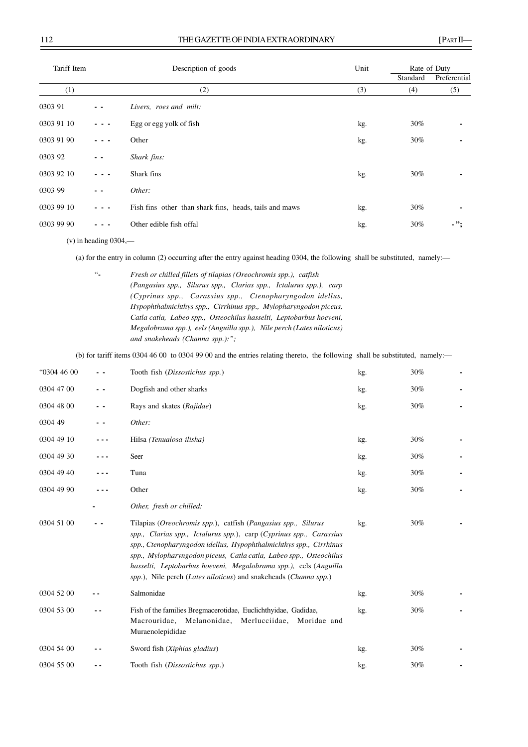| Tariff Item |       | Description of goods                                   | Unit |          | Rate of Duty |  |
|-------------|-------|--------------------------------------------------------|------|----------|--------------|--|
|             |       |                                                        |      | Standard | Preferential |  |
| (1)         |       | (2)                                                    | (3)  | (4)      | (5)          |  |
| 0303 91     |       | Livers, roes and milt:                                 |      |          |              |  |
| 0303 91 10  | - - - | Egg or egg yolk of fish                                | kg.  | 30%      |              |  |
| 0303 91 90  | $  -$ | Other                                                  | kg.  | 30%      |              |  |
| 0303 92     | - -   | Shark fins:                                            |      |          |              |  |
| 0303 92 10  |       | Shark fins                                             | kg.  | 30%      |              |  |
| 0303 99     | $ -$  | Other:                                                 |      |          |              |  |
| 0303 99 10  |       | Fish fins other than shark fins, heads, tails and maws | kg.  | 30%      |              |  |
| 0303 99 90  |       | Other edible fish offal                                | kg.  | 30%      | - ";         |  |

 $(v)$  in heading 0304,—

(a) for the entry in column (2) occurring after the entry against heading 0304, the following shall be substituted, namely:—

 "**-** *Fresh or chilled fillets of tilapias (Oreochromis spp.), catfish (Pangasius spp., Silurus spp., Clarias spp., Ictalurus spp.), carp (Cyprinus spp., Carassius spp., Ctenopharyngodon idellus, Hypophthalmichthys spp., Cirrhinus spp., Mylopharyngodon piceus, Catla catla, Labeo spp., Osteochilus hasselti, Leptobarbus hoeveni, Megalobrama spp.), eels (Anguilla spp.), Nile perch (Lates niloticus) and snakeheads (Channa spp.):";*

(b) for tariff items 0304 46 00 to 0304 99 00 and the entries relating thereto, the following shall be substituted, namely:—

| "0304 46 00 | - - | Tooth fish (Dissostichus spp.)                                                                                                                                                                                                                                                                                                                                                                                           | kg. | 30% | - |
|-------------|-----|--------------------------------------------------------------------------------------------------------------------------------------------------------------------------------------------------------------------------------------------------------------------------------------------------------------------------------------------------------------------------------------------------------------------------|-----|-----|---|
| 0304 47 00  | - - | Dogfish and other sharks                                                                                                                                                                                                                                                                                                                                                                                                 | kg. | 30% |   |
| 0304 48 00  | - - | Rays and skates (Rajidae)                                                                                                                                                                                                                                                                                                                                                                                                | kg. | 30% |   |
| 0304 49     | - - | Other:                                                                                                                                                                                                                                                                                                                                                                                                                   |     |     |   |
| 0304 49 10  |     | Hilsa (Tenualosa ilisha)                                                                                                                                                                                                                                                                                                                                                                                                 | kg. | 30% |   |
| 0304 49 30  |     | Seer                                                                                                                                                                                                                                                                                                                                                                                                                     | kg. | 30% |   |
| 0304 49 40  |     | Tuna                                                                                                                                                                                                                                                                                                                                                                                                                     | kg. | 30% |   |
| 0304 49 90  |     | Other                                                                                                                                                                                                                                                                                                                                                                                                                    | kg. | 30% |   |
|             |     | Other, fresh or chilled:                                                                                                                                                                                                                                                                                                                                                                                                 |     |     |   |
| 0304 51 00  |     | Tilapias (Oreochromis spp.), catfish (Pangasius spp., Silurus<br>spp., Clarias spp., Ictalurus spp.), carp (Cyprinus spp., Carassius<br>spp., Ctenopharyngodon idellus, Hypophthalmichthys spp., Cirrhinus<br>spp., Mylopharyngodon piceus, Catla catla, Labeo spp., Osteochilus<br>hasselti, Leptobarbus hoeveni, Megalobrama spp.), eels (Anguilla<br>spp.), Nile perch (Lates niloticus) and snakeheads (Channa spp.) | kg. | 30% |   |
| 0304 52 00  |     | Salmonidae                                                                                                                                                                                                                                                                                                                                                                                                               | kg. | 30% |   |
| 0304 53 00  |     | Fish of the families Bregmacerotidae, Euclichthyidae, Gadidae,<br>Macrouridae, Melanonidae, Merlucciidae,<br>Moridae and<br>Muraenolepididae                                                                                                                                                                                                                                                                             | kg. | 30% |   |
| 0304 54 00  |     | Sword fish (Xiphias gladius)                                                                                                                                                                                                                                                                                                                                                                                             | kg. | 30% |   |
| 0304 55 00  |     | Tooth fish (Dissostichus spp.)                                                                                                                                                                                                                                                                                                                                                                                           | kg. | 30% |   |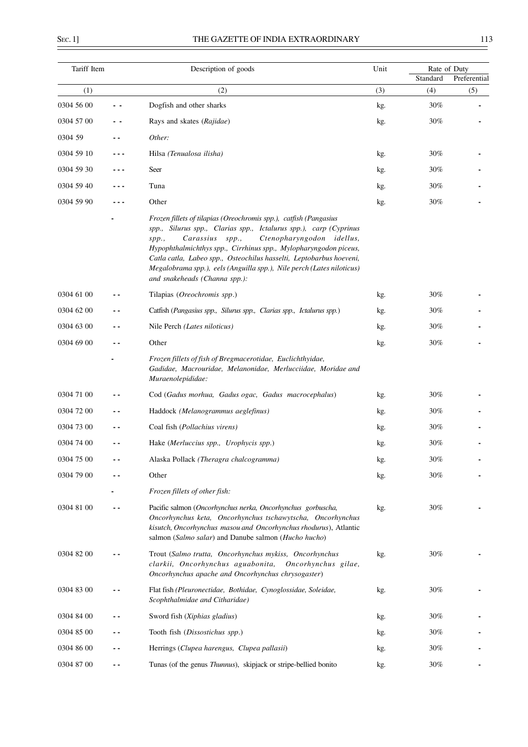$\overline{a}$ 

| Tariff Item |     | Description of goods                                                                                                                                                                                                                                                                                                                                                                                                                                | Unit | Standard | Rate of Duty<br>Preferential |
|-------------|-----|-----------------------------------------------------------------------------------------------------------------------------------------------------------------------------------------------------------------------------------------------------------------------------------------------------------------------------------------------------------------------------------------------------------------------------------------------------|------|----------|------------------------------|
| (1)         |     | (2)                                                                                                                                                                                                                                                                                                                                                                                                                                                 | (3)  | (4)      | (5)                          |
| 0304 56 00  |     | Dogfish and other sharks                                                                                                                                                                                                                                                                                                                                                                                                                            | kg.  | 30%      |                              |
| 0304 57 00  |     | Rays and skates (Rajidae)                                                                                                                                                                                                                                                                                                                                                                                                                           | kg.  | 30%      |                              |
| 0304 59     |     | Other:                                                                                                                                                                                                                                                                                                                                                                                                                                              |      |          |                              |
| 0304 59 10  |     | Hilsa (Tenualosa ilisha)                                                                                                                                                                                                                                                                                                                                                                                                                            | kg.  | 30%      |                              |
| 0304 59 30  |     | Seer                                                                                                                                                                                                                                                                                                                                                                                                                                                | kg.  | 30%      |                              |
| 0304 59 40  |     | Tuna                                                                                                                                                                                                                                                                                                                                                                                                                                                | kg.  | 30%      |                              |
| 0304 59 90  |     | Other                                                                                                                                                                                                                                                                                                                                                                                                                                               | kg.  | 30%      |                              |
|             |     | Frozen fillets of tilapias (Oreochromis spp.), catfish (Pangasius<br>spp., Silurus spp., Clarias spp., Ictalurus spp.), carp (Cyprinus<br>Ctenopharyngodon idellus,<br>Carassius spp.,<br>spp.<br>Hypophthalmichthys spp., Cirrhinus spp., Mylopharyngodon piceus,<br>Catla catla, Labeo spp., Osteochilus hasselti, Leptobarbus hoeveni,<br>Megalobrama spp.), eels (Anguilla spp.), Nile perch (Lates niloticus)<br>and snakeheads (Channa spp.): |      |          |                              |
| 0304 61 00  |     | Tilapias (Oreochromis spp.)                                                                                                                                                                                                                                                                                                                                                                                                                         | kg.  | 30%      |                              |
| 0304 62 00  |     | Catfish (Pangasius spp., Silurus spp., Clarias spp., Ictalurus spp.)                                                                                                                                                                                                                                                                                                                                                                                | kg.  | 30%      |                              |
| 0304 63 00  |     | Nile Perch (Lates niloticus)                                                                                                                                                                                                                                                                                                                                                                                                                        | kg.  | 30%      |                              |
| 0304 69 00  |     | Other                                                                                                                                                                                                                                                                                                                                                                                                                                               | kg.  | 30%      |                              |
|             |     | Frozen fillets of fish of Bregmacerotidae, Euclichthyidae,<br>Gadidae, Macrouridae, Melanonidae, Merlucciidae, Moridae and<br>Muraenolepididae:                                                                                                                                                                                                                                                                                                     |      |          |                              |
| 0304 71 00  |     | Cod (Gadus morhua, Gadus ogac, Gadus macrocephalus)                                                                                                                                                                                                                                                                                                                                                                                                 | kg.  | 30%      |                              |
| 0304 72 00  |     | Haddock (Melanogrammus aeglefinus)                                                                                                                                                                                                                                                                                                                                                                                                                  | kg.  | 30%      |                              |
| 0304 73 00  |     | Coal fish (Pollachius virens)                                                                                                                                                                                                                                                                                                                                                                                                                       | kg.  | 30%      |                              |
| 0304 74 00  | . . | Hake (Merluccius spp., Urophycis spp.)                                                                                                                                                                                                                                                                                                                                                                                                              | kg.  | 30%      |                              |
| 0304 75 00  |     | Alaska Pollack (Theragra chalcogramma)                                                                                                                                                                                                                                                                                                                                                                                                              | kg.  | 30%      |                              |
| 0304 79 00  |     | Other                                                                                                                                                                                                                                                                                                                                                                                                                                               | kg.  | 30%      |                              |
|             |     | Frozen fillets of other fish:                                                                                                                                                                                                                                                                                                                                                                                                                       |      |          |                              |
| 0304 81 00  |     | Pacific salmon (Oncorhynchus nerka, Oncorhynchus gorbuscha,<br>Oncorhynchus keta, Oncorhynchus tschawytscha, Oncorhynchus<br>kisutch, Oncorhynchus masou and Oncorhynchus rhodurus), Atlantic<br>salmon (Salmo salar) and Danube salmon (Hucho hucho)                                                                                                                                                                                               | kg.  | 30%      |                              |
| 0304 82 00  |     | Trout (Salmo trutta, Oncorhynchus mykiss, Oncorhynchus<br>clarkii, Oncorhynchus aguabonita,<br>Oncorhynchus gilae,<br>Oncorhynchus apache and Oncorhynchus chrysogaster)                                                                                                                                                                                                                                                                            | kg.  | 30%      |                              |
| 0304 83 00  |     | Flat fish (Pleuronectidae, Bothidae, Cynoglossidae, Soleidae,<br>Scophthalmidae and Citharidae)                                                                                                                                                                                                                                                                                                                                                     | kg.  | 30%      |                              |
| 0304 84 00  |     | Sword fish (Xiphias gladius)                                                                                                                                                                                                                                                                                                                                                                                                                        | kg.  | 30%      |                              |
| 0304 85 00  |     | Tooth fish (Dissostichus spp.)                                                                                                                                                                                                                                                                                                                                                                                                                      | kg.  | 30%      |                              |
| 0304 86 00  |     | Herrings (Clupea harengus, Clupea pallasii)                                                                                                                                                                                                                                                                                                                                                                                                         | kg.  | 30%      |                              |
| 0304 87 00  | - - | Tunas (of the genus Thunnus), skipjack or stripe-bellied bonito                                                                                                                                                                                                                                                                                                                                                                                     | kg.  | $30\%$   |                              |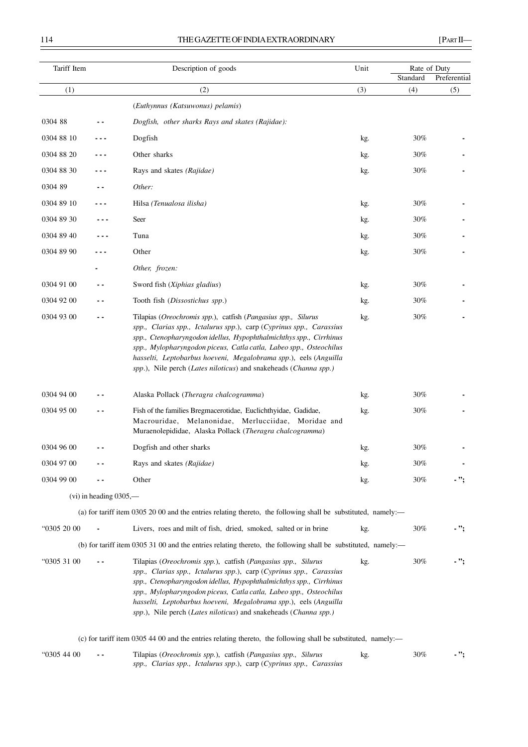| Tariff Item |                             | Description of goods                                                                                                                                                                                                                                                                                                                                                                                                     | Unit | Rate of Duty<br>Standard | Preferential |
|-------------|-----------------------------|--------------------------------------------------------------------------------------------------------------------------------------------------------------------------------------------------------------------------------------------------------------------------------------------------------------------------------------------------------------------------------------------------------------------------|------|--------------------------|--------------|
| (1)         |                             | (2)                                                                                                                                                                                                                                                                                                                                                                                                                      | (3)  | (4)                      | (5)          |
|             |                             | (Euthynnus (Katsuwonus) pelamis)                                                                                                                                                                                                                                                                                                                                                                                         |      |                          |              |
| 0304 88     |                             | Dogfish, other sharks Rays and skates (Rajidae):                                                                                                                                                                                                                                                                                                                                                                         |      |                          |              |
| 0304 88 10  |                             | Dogfish                                                                                                                                                                                                                                                                                                                                                                                                                  | kg.  | 30%                      |              |
| 0304 88 20  |                             | Other sharks                                                                                                                                                                                                                                                                                                                                                                                                             | kg.  | 30%                      |              |
| 0304 88 30  |                             | Rays and skates (Rajidae)                                                                                                                                                                                                                                                                                                                                                                                                | kg.  | 30%                      |              |
| 0304 89     |                             | Other:                                                                                                                                                                                                                                                                                                                                                                                                                   |      |                          |              |
| 0304 89 10  |                             | Hilsa (Tenualosa ilisha)                                                                                                                                                                                                                                                                                                                                                                                                 | kg.  | 30%                      |              |
| 0304 89 30  |                             | Seer                                                                                                                                                                                                                                                                                                                                                                                                                     | kg.  | 30%                      |              |
| 0304 89 40  |                             | Tuna                                                                                                                                                                                                                                                                                                                                                                                                                     | kg.  | 30%                      |              |
| 0304 89 90  |                             | Other                                                                                                                                                                                                                                                                                                                                                                                                                    | kg.  | 30%                      |              |
|             |                             | Other, frozen:                                                                                                                                                                                                                                                                                                                                                                                                           |      |                          |              |
| 0304 91 00  | . .                         | Sword fish (Xiphias gladius)                                                                                                                                                                                                                                                                                                                                                                                             | kg.  | 30%                      |              |
| 0304 92 00  |                             | Tooth fish (Dissostichus spp.)                                                                                                                                                                                                                                                                                                                                                                                           | kg.  | 30%                      |              |
| 0304 93 00  |                             | Tilapias (Oreochromis spp.), catfish (Pangasius spp., Silurus<br>spp., Clarias spp., Ictalurus spp.), carp (Cyprinus spp., Carassius<br>spp., Ctenopharyngodon idellus, Hypophthalmichthys spp., Cirrhinus<br>spp., Mylopharyngodon piceus, Catla catla, Labeo spp., Osteochilus<br>hasselti, Leptobarbus hoeveni, Megalobrama spp.), eels (Anguilla<br>spp.), Nile perch (Lates niloticus) and snakeheads (Channa spp.) | kg.  | 30%                      |              |
| 0304 94 00  |                             | Alaska Pollack (Theragra chalcogramma)                                                                                                                                                                                                                                                                                                                                                                                   | kg.  | 30%                      |              |
| 0304 95 00  |                             | Fish of the families Bregmacerotidae, Euclichthyidae, Gadidae,<br>Macrouridae, Melanonidae, Merlucciidae, Moridae and<br>Muraenolepididae, Alaska Pollack (Theragra chalcogramma)                                                                                                                                                                                                                                        | kg.  | 30%                      |              |
| 0304 96 00  |                             | Dogfish and other sharks                                                                                                                                                                                                                                                                                                                                                                                                 | kg.  | 30%                      |              |
| 0304 97 00  |                             | Rays and skates (Rajidae)                                                                                                                                                                                                                                                                                                                                                                                                | kg.  | 30%                      |              |
| 0304 99 00  |                             | Other                                                                                                                                                                                                                                                                                                                                                                                                                    | kg.  | 30%                      | - ";         |
|             | $(vi)$ in heading $0305$ ,— |                                                                                                                                                                                                                                                                                                                                                                                                                          |      |                          |              |
|             |                             | (a) for tariff item 0305 20 00 and the entries relating thereto, the following shall be substituted, namely:—                                                                                                                                                                                                                                                                                                            |      |                          |              |
| "0305 20 00 |                             | Livers, roes and milt of fish, dried, smoked, salted or in brine                                                                                                                                                                                                                                                                                                                                                         | kg.  | 30%                      | - ";         |
|             |                             | (b) for tariff item 0305 31 00 and the entries relating thereto, the following shall be substituted, namely:—                                                                                                                                                                                                                                                                                                            |      |                          |              |
| "0305 31 00 |                             | Tilapias (Oreochromis spp.), catfish (Pangasius spp., Silurus<br>spp., Clarias spp., Ictalurus spp.), carp (Cyprinus spp., Carassius<br>spp., Ctenopharyngodon idellus, Hypophthalmichthys spp., Cirrhinus<br>spp., Mylopharyngodon piceus, Catla catla, Labeo spp., Osteochilus<br>hasselti, Leptobarbus hoeveni, Megalobrama spp.), eels (Anguilla<br>spp.), Nile perch (Lates niloticus) and snakeheads (Channa spp.) | kg.  | 30%                      | - ";         |
|             |                             | (c) for tariff item 0305 44 00 and the entries relating thereto, the following shall be substituted, namely:—                                                                                                                                                                                                                                                                                                            |      |                          |              |
| "0305 44 00 |                             | Tilapias (Oreochromis spp.), catfish (Pangasius spp., Silurus<br>spp., Clarias spp., Ictalurus spp.), carp (Cyprinus spp., Carassius                                                                                                                                                                                                                                                                                     | kg.  | 30%                      | . ";         |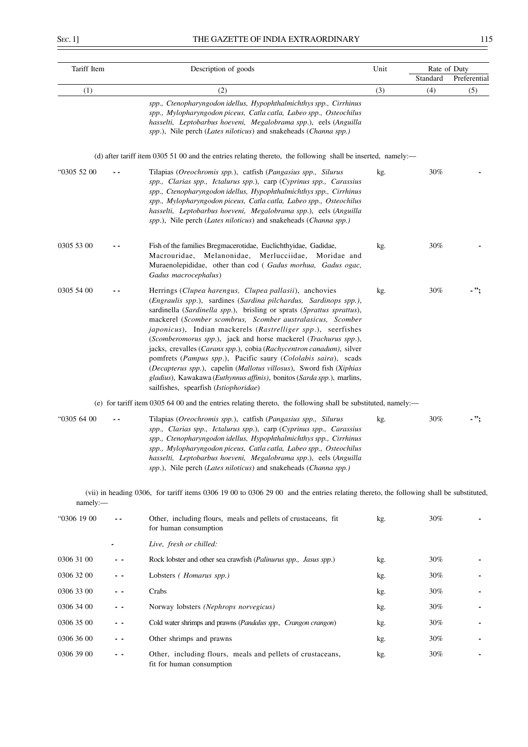$\overline{a}$ 

|  | - 1<br>×<br>۰. |
|--|----------------|
|  |                |

| Tariff Item |     | Description of goods                                                                                                                                                                                                                                                                                                                                                                                                                                                                                                                                                                                                                                                                                                                     | Unit | Rate of Duty<br>Standard | Preferential |
|-------------|-----|------------------------------------------------------------------------------------------------------------------------------------------------------------------------------------------------------------------------------------------------------------------------------------------------------------------------------------------------------------------------------------------------------------------------------------------------------------------------------------------------------------------------------------------------------------------------------------------------------------------------------------------------------------------------------------------------------------------------------------------|------|--------------------------|--------------|
| (1)         |     | (2)                                                                                                                                                                                                                                                                                                                                                                                                                                                                                                                                                                                                                                                                                                                                      | (3)  | (4)                      | (5)          |
|             |     | spp., Ctenopharyngodon idellus, Hypophthalmichthys spp., Cirrhinus<br>spp., Mylopharyngodon piceus, Catla catla, Labeo spp., Osteochilus<br>hasselti, Leptobarbus hoeveni, Megalobrama spp.), eels (Anguilla<br>spp.), Nile perch (Lates niloticus) and snakeheads (Channa spp.)                                                                                                                                                                                                                                                                                                                                                                                                                                                         |      |                          |              |
|             |     | (d) after tariff item 0305 51 00 and the entries relating thereto, the following shall be inserted, namely:—                                                                                                                                                                                                                                                                                                                                                                                                                                                                                                                                                                                                                             |      |                          |              |
| "0305 52 00 |     | Tilapias (Oreochromis spp.), catfish (Pangasius spp., Silurus<br>spp., Clarias spp., Ictalurus spp.), carp (Cyprinus spp., Carassius<br>spp., Ctenopharyngodon idellus, Hypophthalmichthys spp., Cirrhinus<br>spp., Mylopharyngodon piceus, Catla catla, Labeo spp., Osteochilus<br>hasselti, Leptobarbus hoeveni, Megalobrama spp.), eels (Anguilla<br>spp.), Nile perch (Lates niloticus) and snakeheads (Channa spp.)                                                                                                                                                                                                                                                                                                                 | kg.  | 30%                      |              |
| 0305 53 00  |     | Fish of the families Bregmacerotidae, Euclichthyidae, Gadidae,<br>Macrouridae, Melanonidae, Merlucciidae,<br>Moridae and<br>Muraenolepididae, other than cod (Gadus morhua, Gadus ogac,<br>Gadus macrocephalus)                                                                                                                                                                                                                                                                                                                                                                                                                                                                                                                          | kg.  | 30%                      |              |
| 0305 54 00  |     | Herrings (Clupea harengus, Clupea pallasii), anchovies<br>(Engraulis spp.), sardines (Sardina pilchardus, Sardinops spp.),<br>sardinella (Sardinella spp.), brisling or sprats (Sprattus sprattus),<br>mackerel (Scomber scombrus, Scomber australasicus, Scomber<br>japonicus), Indian mackerels (Rastrelliger spp.), seerfishes<br>(Scomberomorus spp.), jack and horse mackerel (Trachurus spp.),<br>jacks, crevalles (Caranx spp.), cobia (Rachycentron canadum), silver<br>pomfrets (Pampus spp.), Pacific saury (Cololabis saira), scads<br>(Decapterus spp.), capelin (Mallotus villosus), Sword fish (Xiphias<br>gladius), Kawakawa (Euthynnus affinis), bonitos (Sarda spp.), marlins,<br>sailfishes, spearfish (Istiophoridae) | kg.  | 30%                      | . ";         |
|             |     | (e) for tariff item 0305 64 00 and the entries relating thereto, the following shall be substituted, namely:—                                                                                                                                                                                                                                                                                                                                                                                                                                                                                                                                                                                                                            |      |                          |              |
| "0305 64 00 |     | Tilapias (Oreochromis spp.), catfish (Pangasius spp., Silurus<br>spp., Clarias spp., Ictalurus spp.), carp (Cyprinus spp., Carassius<br>spp., Ctenopharyngodon idellus, Hypophthalmichthys spp., Cirrhinus<br>spp., Mylopharyngodon piceus, Catla catla, Labeo spp., Osteochilus<br>hasselti, Leptobarbus hoeveni, Megalobrama spp.), eels (Anguilla<br>spp.), Nile perch (Lates niloticus) and snakeheads (Channa spp.)                                                                                                                                                                                                                                                                                                                 | kg.  | 30%                      |              |
| namely:     |     | (vii) in heading 0306, for tariff items 0306 19 00 to 0306 29 00 and the entries relating thereto, the following shall be substituted,                                                                                                                                                                                                                                                                                                                                                                                                                                                                                                                                                                                                   |      |                          |              |
| "0306 19 00 | . . | Other, including flours, meals and pellets of crustaceans, fit<br>for human consumption                                                                                                                                                                                                                                                                                                                                                                                                                                                                                                                                                                                                                                                  | kg.  | 30%                      |              |
|             |     | Live, fresh or chilled:                                                                                                                                                                                                                                                                                                                                                                                                                                                                                                                                                                                                                                                                                                                  |      |                          |              |
| 0306 31 00  |     | Rock lobster and other sea crawfish (Palinurus spp., Jasus spp.)                                                                                                                                                                                                                                                                                                                                                                                                                                                                                                                                                                                                                                                                         | kg.  | 30%                      |              |
| 0306 32 00  | . . | Lobsters (Homarus spp.)                                                                                                                                                                                                                                                                                                                                                                                                                                                                                                                                                                                                                                                                                                                  | kg.  | 30%                      |              |
| 0306 33 00  | - - | Crabs                                                                                                                                                                                                                                                                                                                                                                                                                                                                                                                                                                                                                                                                                                                                    | kg.  | 30%                      |              |
| 0306 34 00  |     | Norway lobsters (Nephrops norvegicus)                                                                                                                                                                                                                                                                                                                                                                                                                                                                                                                                                                                                                                                                                                    | kg.  | 30%                      |              |
| 0306 35 00  | - - | Cold water shrimps and prawns (Pandalus spp., Crangon crangon)                                                                                                                                                                                                                                                                                                                                                                                                                                                                                                                                                                                                                                                                           | kg.  | 30%                      |              |
| 0306 36 00  | . . | Other shrimps and prawns                                                                                                                                                                                                                                                                                                                                                                                                                                                                                                                                                                                                                                                                                                                 | kg.  | 30%                      |              |
| 0306 39 00  |     | Other, including flours, meals and pellets of crustaceans,<br>fit for human consumption                                                                                                                                                                                                                                                                                                                                                                                                                                                                                                                                                                                                                                                  | kg.  | 30%                      |              |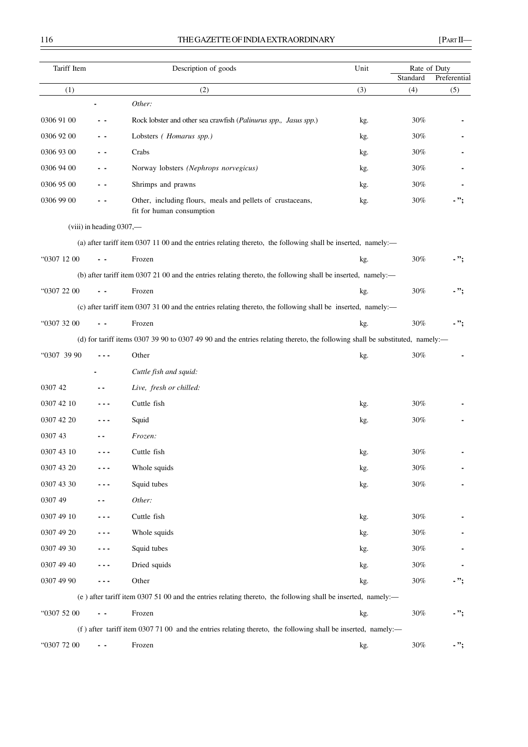# 116 THE GAZETTE OF INDIA EXTRAORDINARY [PART II—

| Tariff Item |                          | Description of goods                                                                                                         | Unit | Rate of Duty<br>Standard | Preferential |
|-------------|--------------------------|------------------------------------------------------------------------------------------------------------------------------|------|--------------------------|--------------|
| (1)         |                          | (2)                                                                                                                          | (3)  | (4)                      | (5)          |
|             |                          | Other:                                                                                                                       |      |                          |              |
| 0306 91 00  |                          | Rock lobster and other sea crawfish (Palinurus spp., Jasus spp.)                                                             | kg.  | 30%                      |              |
| 0306 92 00  | - -                      | Lobsters (Homarus spp.)                                                                                                      | kg.  | 30%                      |              |
| 0306 93 00  |                          | Crabs                                                                                                                        | kg.  | 30%                      |              |
| 0306 94 00  | . .                      | Norway lobsters (Nephrops norvegicus)                                                                                        | kg.  | 30%                      |              |
| 0306 95 00  |                          | Shrimps and prawns                                                                                                           | kg.  | 30%                      |              |
| 0306 99 00  |                          | Other, including flours, meals and pellets of crustaceans,<br>fit for human consumption                                      | kg.  | $30\%$                   | . ";         |
|             | (viii) in heading 0307,- |                                                                                                                              |      |                          |              |
|             |                          | (a) after tariff item 0307 11 00 and the entries relating thereto, the following shall be inserted, namely:—                 |      |                          |              |
| "0307 12 00 |                          | Frozen                                                                                                                       | kg.  | $30\%$                   | - ";         |
|             |                          | (b) after tariff item 0307 21 00 and the entries relating thereto, the following shall be inserted, namely:-                 |      |                          |              |
| "0307 22 00 |                          | Frozen                                                                                                                       | kg.  | $30\%$                   | . ";         |
|             |                          | (c) after tariff item 0307 31 00 and the entries relating thereto, the following shall be inserted, namely:—                 |      |                          |              |
| "0307 32 00 |                          | Frozen                                                                                                                       | kg.  | $30\%$                   | - ";         |
|             |                          | (d) for tariff items 0307 39 90 to 0307 49 90 and the entries relating thereto, the following shall be substituted, namely:- |      |                          |              |
| "0307 39 90 |                          | Other                                                                                                                        | kg.  | $30\%$                   |              |
|             |                          | Cuttle fish and squid:                                                                                                       |      |                          |              |
| 0307 42     |                          | Live, fresh or chilled:                                                                                                      |      |                          |              |
| 0307 42 10  |                          | Cuttle fish                                                                                                                  | kg.  | 30%                      |              |
| 0307 42 20  |                          | Squid                                                                                                                        | kg.  | 30%                      |              |
| 0307 43     |                          | Frozen:                                                                                                                      |      |                          |              |
| 0307 43 10  |                          | Cuttle fish                                                                                                                  | kg.  | 30%                      |              |
| 0307 43 20  |                          | Whole squids                                                                                                                 | kg.  | $30\%$                   |              |
| 0307 43 30  |                          | Squid tubes                                                                                                                  | kg.  | $30\%$                   |              |
| 0307 49     |                          | Other:                                                                                                                       |      |                          |              |
| 0307 49 10  |                          | Cuttle fish                                                                                                                  | kg.  | $30\%$                   |              |
| 0307 49 20  |                          | Whole squids                                                                                                                 | kg.  | $30\%$                   |              |
| 0307 49 30  |                          | Squid tubes                                                                                                                  | kg.  | $30\%$                   |              |
| 0307 49 40  |                          | Dried squids                                                                                                                 | kg.  | $30\%$                   |              |
| 0307 49 90  | - - -                    | Other                                                                                                                        | kg.  | $30\%$                   | . ";         |
|             |                          | (e) after tariff item 0307 51 00 and the entries relating thereto, the following shall be inserted, namely:-                 |      |                          |              |
| "0307 52 00 | . .                      | Frozen                                                                                                                       | kg.  | $30\%$                   | - ";         |
|             |                          | (f) after tariff item 0307 71 00 and the entries relating thereto, the following shall be inserted, namely:-                 |      |                          |              |
| "0307 72 00 | $\sim$                   | Frozen                                                                                                                       | kg.  | $30\%$                   | - ":         |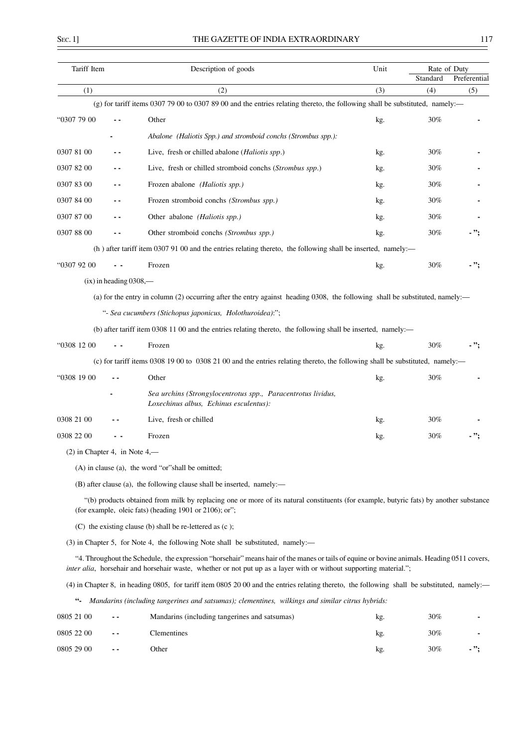# THE GAZETTE OF INDIA EXTRAORDINARY 117

 $\overline{\phantom{0}}$ 

| Tariff Item                     |                          | Description of goods                                                                                                                                                                                                                                             | Unit | Rate of Duty<br>Standard | Preferential |
|---------------------------------|--------------------------|------------------------------------------------------------------------------------------------------------------------------------------------------------------------------------------------------------------------------------------------------------------|------|--------------------------|--------------|
| (1)                             |                          | (2)                                                                                                                                                                                                                                                              | (3)  | (4)                      | (5)          |
|                                 |                          | (g) for tariff items 0307 79 00 to 0307 89 00 and the entries relating thereto, the following shall be substituted, namely:—                                                                                                                                     |      |                          |              |
| "0307 79 00                     |                          | Other                                                                                                                                                                                                                                                            | kg.  | 30%                      |              |
|                                 |                          | Abalone (Haliotis Spp.) and stromboid conchs (Strombus spp.):                                                                                                                                                                                                    |      |                          |              |
| 0307 81 00                      |                          | Live, fresh or chilled abalone (Haliotis spp.)                                                                                                                                                                                                                   | kg.  | 30%                      |              |
| 0307 82 00                      |                          | Live, fresh or chilled stromboid conchs (Strombus spp.)                                                                                                                                                                                                          | kg.  | 30%                      |              |
| 0307 83 00                      |                          | Frozen abalone (Haliotis spp.)                                                                                                                                                                                                                                   | kg.  | 30%                      |              |
| 0307 84 00                      | . .                      | Frozen stromboid conchs (Strombus spp.)                                                                                                                                                                                                                          | kg.  | 30%                      |              |
| 0307 87 00                      |                          | Other abalone (Haliotis spp.)                                                                                                                                                                                                                                    | kg.  | 30%                      |              |
| 0307 88 00                      |                          | Other stromboid conchs (Strombus spp.)                                                                                                                                                                                                                           | kg.  | 30%                      |              |
|                                 |                          | (h) after tariff item 0307 91 00 and the entries relating thereto, the following shall be inserted, namely:—                                                                                                                                                     |      |                          |              |
| "0307 92 00                     |                          | Frozen                                                                                                                                                                                                                                                           | kg.  | 30%                      | - ";         |
|                                 | $(ix)$ in heading 0308,— |                                                                                                                                                                                                                                                                  |      |                          |              |
|                                 |                          | (a) for the entry in column (2) occurring after the entry against heading 0308, the following shall be substituted, namely:—                                                                                                                                     |      |                          |              |
|                                 |                          | "- Sea cucumbers (Stichopus japonicus, Holothuroidea):";                                                                                                                                                                                                         |      |                          |              |
|                                 |                          | (b) after tariff item 0308 11 00 and the entries relating thereto, the following shall be inserted, namely:—                                                                                                                                                     |      |                          |              |
| "0308 12 00                     |                          | Frozen                                                                                                                                                                                                                                                           | kg.  | 30%                      | - ";         |
|                                 |                          | (c) for tariff items 0308 19 00 to 0308 21 00 and the entries relating thereto, the following shall be substituted, namely:-                                                                                                                                     |      |                          |              |
| "0308 19 00                     |                          | Other                                                                                                                                                                                                                                                            | kg.  | 30%                      |              |
|                                 |                          | Sea urchins (Strongylocentrotus spp., Paracentrotus lividus,<br>Loxechinus albus, Echinus esculentus):                                                                                                                                                           |      |                          |              |
| 0308 21 00                      |                          | Live, fresh or chilled                                                                                                                                                                                                                                           | kg.  | 30%                      |              |
| 0308 22 00                      |                          | Frozen                                                                                                                                                                                                                                                           | kg.  | 30%                      |              |
| $(2)$ in Chapter 4, in Note 4,— |                          |                                                                                                                                                                                                                                                                  |      |                          |              |
|                                 |                          | (A) in clause (a), the word "or" shall be omitted;                                                                                                                                                                                                               |      |                          |              |
|                                 |                          | (B) after clause (a), the following clause shall be inserted, namely:—                                                                                                                                                                                           |      |                          |              |
|                                 |                          | "(b) products obtained from milk by replacing one or more of its natural constituents (for example, butyric fats) by another substance<br>(for example, oleic fats) (heading 1901 or 2106); or";                                                                 |      |                          |              |
|                                 |                          | $(C)$ the existing clause (b) shall be re-lettered as $(c)$ ;                                                                                                                                                                                                    |      |                          |              |
|                                 |                          | (3) in Chapter 5, for Note 4, the following Note shall be substituted, namely:—                                                                                                                                                                                  |      |                          |              |
|                                 |                          | "4. Throughout the Schedule, the expression "horsehair" means hair of the manes or tails of equine or bovine animals. Heading 0511 covers,<br>inter alia, horsehair and horsehair waste, whether or not put up as a layer with or without supporting material."; |      |                          |              |
|                                 |                          | (4) in Chapter 8, in heading 0805, for tariff item 0805 20 00 and the entries relating thereto, the following shall be substituted, namely:—                                                                                                                     |      |                          |              |
| $66 -$                          |                          | Mandarins (including tangerines and satsumas); clementines, wilkings and similar citrus hybrids:                                                                                                                                                                 |      |                          |              |
| 0805 21 00                      |                          | Mandarins (including tangerines and satsumas)                                                                                                                                                                                                                    | kg.  | 30%                      |              |
| 0805 22 00                      |                          | Clementines                                                                                                                                                                                                                                                      | kg.  | 30%                      |              |
| 0805 29 00                      |                          | Other                                                                                                                                                                                                                                                            | kg.  | 30%                      | - ";         |
|                                 |                          |                                                                                                                                                                                                                                                                  |      |                          |              |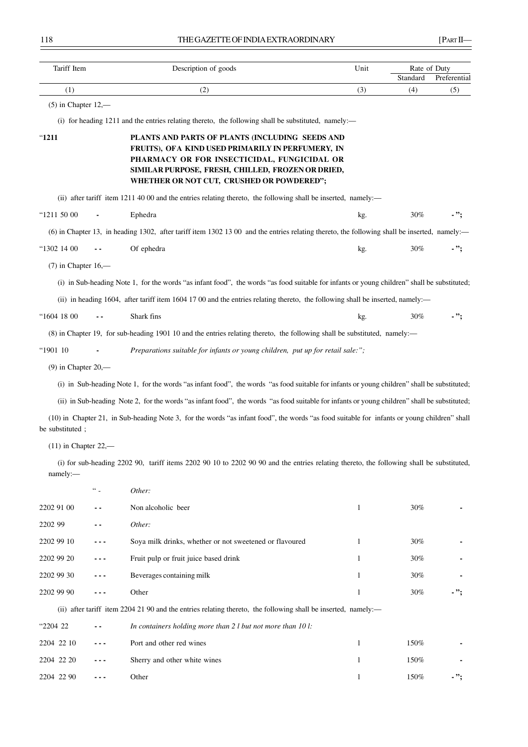| Tariff Item              | Description of goods | Unit                                                                                                                                                                                                                                                  | Rate of Duty |                 |                     |
|--------------------------|----------------------|-------------------------------------------------------------------------------------------------------------------------------------------------------------------------------------------------------------------------------------------------------|--------------|-----------------|---------------------|
| (1)                      |                      | (2)                                                                                                                                                                                                                                                   | (3)          | Standard<br>(4) | Preferential<br>(5) |
| $(5)$ in Chapter $12,$ — |                      |                                                                                                                                                                                                                                                       |              |                 |                     |
|                          |                      | (i) for heading 1211 and the entries relating thereto, the following shall be substituted, namely:—                                                                                                                                                   |              |                 |                     |
| "1211                    |                      | PLANTS AND PARTS OF PLANTS (INCLUDING SEEDS AND<br>FRUITS), OFA KIND USED PRIMARILY IN PERFUMERY, IN<br>PHARMACY OR FOR INSECTICIDAL, FUNGICIDAL OR<br>SIMILAR PURPOSE, FRESH, CHILLED, FROZEN OR DRIED,<br>WHETHER OR NOT CUT, CRUSHED OR POWDERED"; |              |                 |                     |
|                          |                      | (ii) after tariff item 1211 40 00 and the entries relating thereto, the following shall be inserted, namely:—                                                                                                                                         |              |                 |                     |
| "1211 50 00              |                      | Ephedra                                                                                                                                                                                                                                               | kg.          | 30%             | - ";                |
|                          |                      | (6) in Chapter 13, in heading 1302, after tariff item 1302 13 00 and the entries relating thereto, the following shall be inserted, namely:—                                                                                                          |              |                 |                     |
| "1302 14 00              |                      | Of ephedra                                                                                                                                                                                                                                            | kg.          | 30%             | - ":                |
| $(7)$ in Chapter 16,—    |                      |                                                                                                                                                                                                                                                       |              |                 |                     |
|                          |                      | (i) in Sub-heading Note 1, for the words "as infant food", the words "as food suitable for infants or young children" shall be substituted;                                                                                                           |              |                 |                     |
|                          |                      | (ii) in heading 1604, after tariff item 1604 17 00 and the entries relating thereto, the following shall be inserted, namely:—                                                                                                                        |              |                 |                     |
| "1604 18 00              |                      | Shark fins                                                                                                                                                                                                                                            | kg.          | 30%             | - ";                |
|                          |                      | (8) in Chapter 19, for sub-heading 1901 10 and the entries relating thereto, the following shall be substituted, namely:—                                                                                                                             |              |                 |                     |
| "1901 10                 |                      | Preparations suitable for infants or young children, put up for retail sale:";                                                                                                                                                                        |              |                 |                     |
| $(9)$ in Chapter 20,—    |                      |                                                                                                                                                                                                                                                       |              |                 |                     |
|                          |                      | (i) in Sub-heading Note 1, for the words "as infant food", the words "as food suitable for infants or young children" shall be substituted;                                                                                                           |              |                 |                     |
|                          |                      | (ii) in Sub-heading Note 2, for the words "as infant food", the words "as food suitable for infants or young children" shall be substituted;                                                                                                          |              |                 |                     |
| be substituted;          |                      | (10) in Chapter 21, in Sub-heading Note 3, for the words "as infant food", the words "as food suitable for infants or young children" shall                                                                                                           |              |                 |                     |
| $(11)$ in Chapter 22,—   |                      |                                                                                                                                                                                                                                                       |              |                 |                     |
| namely:                  |                      | (i) for sub-heading 2202 90, tariff items 2202 90 10 to 2202 90 90 and the entries relating thereto, the following shall be substituted,                                                                                                              |              |                 |                     |
|                          | $66 -$               | Other:                                                                                                                                                                                                                                                |              |                 |                     |
| 2202 91 00               | . .                  | Non alcoholic beer                                                                                                                                                                                                                                    | $\mathbf{l}$ | 30%             |                     |
| 2202 99                  |                      | Other:                                                                                                                                                                                                                                                |              |                 |                     |
| 2202 99 10               |                      | Soya milk drinks, whether or not sweetened or flavoured                                                                                                                                                                                               | $\mathbf{l}$ | 30%             |                     |
| 2202 99 20               |                      | Fruit pulp or fruit juice based drink                                                                                                                                                                                                                 | 1            | 30%             |                     |
| 2202 99 30               |                      | Beverages containing milk                                                                                                                                                                                                                             | 1            | 30%             |                     |
| 2202 99 90               |                      | Other                                                                                                                                                                                                                                                 | 1            | $30\%$          | ";                  |
|                          |                      | (ii) after tariff item 2204 21 90 and the entries relating thereto, the following shall be inserted, namely:—                                                                                                                                         |              |                 |                     |
| "2204 22                 |                      | In containers holding more than $2 l$ but not more than $10 l$ :                                                                                                                                                                                      |              |                 |                     |
| 2204 22 10               |                      | Port and other red wines                                                                                                                                                                                                                              | $\mathbf{l}$ | 150%            |                     |
| 2204 22 20               |                      | Sherry and other white wines                                                                                                                                                                                                                          | 1            | 150%            |                     |
| 2204 22 90               | $- - -$              | Other                                                                                                                                                                                                                                                 | $\mathbf{l}$ | $150\%$         | - ";                |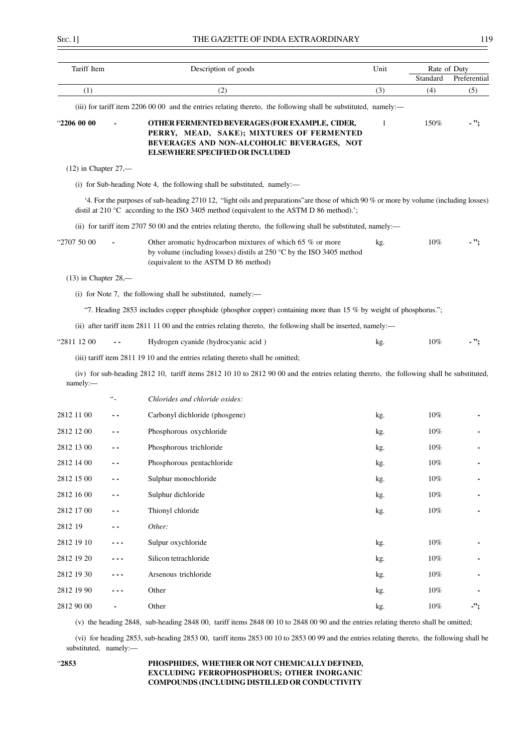| Tariff Item            |           | Description of goods                                                                                                                                                                                                                | Unit | Rate of Duty    |                     |
|------------------------|-----------|-------------------------------------------------------------------------------------------------------------------------------------------------------------------------------------------------------------------------------------|------|-----------------|---------------------|
| (1)                    |           | (2)                                                                                                                                                                                                                                 | (3)  | Standard<br>(4) | Preferential<br>(5) |
|                        |           | (iii) for tariff item 2206 00 00 and the entries relating thereto, the following shall be substituted, namely:—                                                                                                                     |      |                 |                     |
| "2206 00 00            |           | OTHER FERMENTED BEVERAGES (FOR EXAMPLE, CIDER,<br>PERRY, MEAD, SAKE); MIXTURES OF FERMENTED<br>BEVERAGES AND NON-ALCOHOLIC BEVERAGES, NOT<br><b>ELSEWHERE SPECIFIED OR INCLUDED</b>                                                 | -1   | 150%            | - ":                |
| $(12)$ in Chapter 27,— |           |                                                                                                                                                                                                                                     |      |                 |                     |
|                        |           | (i) for Sub-heading Note 4, the following shall be substituted, namely:—                                                                                                                                                            |      |                 |                     |
|                        |           | 4. For the purposes of sub-heading 2710 12, "light oils and preparations" are those of which 90 % or more by volume (including losses)<br>distil at 210 °C according to the ISO 3405 method (equivalent to the ASTM D 86 method).'; |      |                 |                     |
|                        |           | (ii) for tariff item 2707 50 00 and the entries relating thereto, the following shall be substituted, namely:—                                                                                                                      |      |                 |                     |
| "2707 50 00            |           | Other aromatic hydrocarbon mixtures of which 65 % or more<br>by volume (including losses) distils at $250\text{ °C}$ by the ISO 3405 method<br>(equivalent to the ASTM D 86 method)                                                 | kg.  | 10%             | - ";                |
| $(13)$ in Chapter 28,— |           |                                                                                                                                                                                                                                     |      |                 |                     |
|                        |           | (i) for Note 7, the following shall be substituted, namely:—                                                                                                                                                                        |      |                 |                     |
|                        |           | "7. Heading 2853 includes copper phosphide (phosphor copper) containing more than 15 % by weight of phosphorus.";                                                                                                                   |      |                 |                     |
|                        |           | (ii) after tariff item 2811 11 00 and the entries relating thereto, the following shall be inserted, namely:—                                                                                                                       |      |                 |                     |
| "2811 12 00            |           | Hydrogen cyanide (hydrocyanic acid)                                                                                                                                                                                                 | kg.  | $10\%$          |                     |
|                        |           | (iii) tariff item 2811 19 10 and the entries relating thereto shall be omitted;                                                                                                                                                     |      |                 |                     |
| namely:-               |           | (iv) for sub-heading 2812 10, tariff items 2812 10 10 to 2812 90 00 and the entries relating thereto, the following shall be substituted,                                                                                           |      |                 |                     |
|                        | $\ddotsc$ | Chlorides and chloride oxides:                                                                                                                                                                                                      |      |                 |                     |
| 2812 11 00             | - -       | Carbonyl dichloride (phosgene)                                                                                                                                                                                                      | kg.  | 10%             |                     |
| 2812 12 00             |           | Phosphorous oxychloride                                                                                                                                                                                                             | kg.  | $10\%$          |                     |
| 2812 13 00             | . .       | Phosphorous trichloride                                                                                                                                                                                                             | kg.  | 10%             |                     |
| 2812 14 00             |           | Phosphorous pentachloride                                                                                                                                                                                                           | kg.  | $10\%$          |                     |
| 2812 15 00             |           | Sulphur monochloride                                                                                                                                                                                                                | kg.  | $10\%$          |                     |
| 2812 16 00             | - -       | Sulphur dichloride                                                                                                                                                                                                                  | kg.  | $10\%$          |                     |
| 2812 17 00             |           | Thionyl chloride                                                                                                                                                                                                                    | kg.  | $10\%$          |                     |
| 2812 19                | - -       | Other:                                                                                                                                                                                                                              |      |                 |                     |
| 2812 19 10             | - - -     | Sulpur oxychloride                                                                                                                                                                                                                  | kg.  | $10\%$          |                     |
| 2812 19 20             | - - -     | Silicon tetrachloride                                                                                                                                                                                                               | kg.  | $10\%$          |                     |
| 2812 19 30             |           | Arsenous trichloride                                                                                                                                                                                                                | kg.  | $10\%$          |                     |
| 2812 19 90             | .         | Other                                                                                                                                                                                                                               | kg.  | $10\%$          |                     |
| 2812 90 00             |           | Other                                                                                                                                                                                                                               | kg.  | $10\%$          | $\cdot$             |
|                        |           |                                                                                                                                                                                                                                     |      |                 |                     |

(v) the heading 2848, sub-heading 2848 00, tariff items 2848 00 10 to 2848 00 90 and the entries relating thereto shall be omitted;

(vi) for heading 2853, sub-heading 2853 00, tariff items 2853 00 10 to 2853 00 99 and the entries relating thereto, the following shall be substituted, namely:—

## "**2853 PHOSPHIDES, WHETHER OR NOT CHEMICALLY DEFINED, EXCLUDING FERROPHOSPHORUS; OTHER INORGANIC COMPOUNDS (INCLUDING DISTILLED OR CONDUCTIVITY**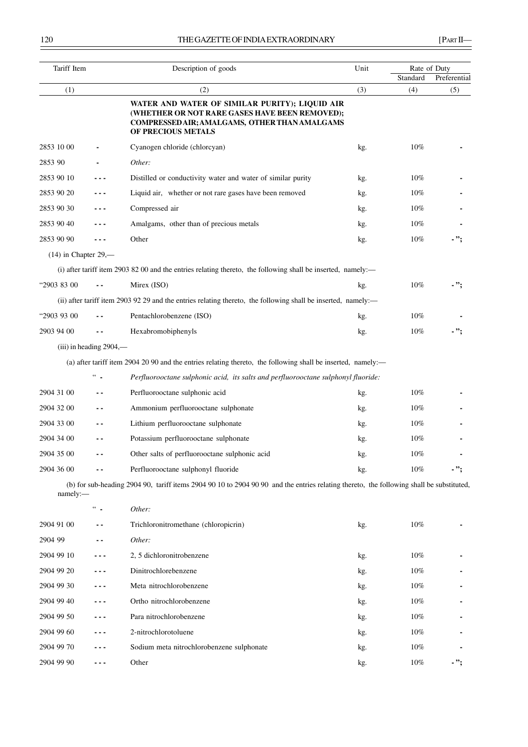| Tariff Item            |                           | Description of goods                                                                                                                                                           |     | Rate of Duty |              |
|------------------------|---------------------------|--------------------------------------------------------------------------------------------------------------------------------------------------------------------------------|-----|--------------|--------------|
|                        |                           |                                                                                                                                                                                |     | Standard     | Preferential |
| (1)                    |                           | (2)<br>WATER AND WATER OF SIMILAR PURITY); LIQUID AIR<br>(WHETHER OR NOT RARE GASES HAVE BEEN REMOVED);<br>COMPRESSED AIR; AMALGAMS, OTHER THAN AMALGAMS<br>OF PRECIOUS METALS | (3) | (4)          | (5)          |
| 2853 10 00             |                           | Cyanogen chloride (chlorcyan)                                                                                                                                                  | kg. | $10\%$       |              |
| 2853 90                |                           | Other:                                                                                                                                                                         |     |              |              |
| 2853 90 10             | - - -                     | Distilled or conductivity water and water of similar purity                                                                                                                    | kg. | $10\%$       |              |
| 2853 90 20             | - - -                     | Liquid air, whether or not rare gases have been removed                                                                                                                        | kg. | $10\%$       |              |
| 2853 90 30             | - - -                     | Compressed air                                                                                                                                                                 | kg. | $10\%$       |              |
| 2853 90 40             | - - -                     | Amalgams, other than of precious metals                                                                                                                                        | kg. | 10%          |              |
| 2853 90 90             | $- - -$                   | Other                                                                                                                                                                          | kg. | $10\%$       | - ";         |
| $(14)$ in Chapter 29,— |                           |                                                                                                                                                                                |     |              |              |
|                        |                           | (i) after tariff item 2903 82 00 and the entries relating thereto, the following shall be inserted, namely:—                                                                   |     |              |              |
| "2903 83 00            |                           | Mirex (ISO)                                                                                                                                                                    | kg. | $10\%$       | - ":         |
|                        |                           | (ii) after tariff item 2903 92 29 and the entries relating thereto, the following shall be inserted, namely:—                                                                  |     |              |              |
| "2903 93 00            |                           | Pentachlorobenzene (ISO)                                                                                                                                                       | kg. | 10%          |              |
| 2903 94 00             | $ -$                      | Hexabromobiphenyls                                                                                                                                                             | kg. | 10%          | $\cdot$ ";   |
|                        | $(iii)$ in heading 2904,— |                                                                                                                                                                                |     |              |              |
|                        |                           | (a) after tariff item 2904 20 90 and the entries relating thereto, the following shall be inserted, namely:—                                                                   |     |              |              |
|                        | $66 -$                    | Perfluorooctane sulphonic acid, its salts and perfluorooctane sulphonyl fluoride:                                                                                              |     |              |              |
| 2904 31 00             | $ -$                      | Perfluorooctane sulphonic acid                                                                                                                                                 | kg. | $10\%$       |              |
| 2904 32 00             | $\sim$ $\sim$             | Ammonium perfluorooctane sulphonate                                                                                                                                            | kg. | $10\%$       |              |
| 2904 33 00             | - -                       | Lithium perfluorooctane sulphonate                                                                                                                                             | kg. | $10\%$       |              |
| 2904 34 00             | - -                       | Potassium perfluorooctane sulphonate                                                                                                                                           | kg. | $10\%$       |              |
| 2904 35 00             | $ -$                      | Other salts of perfluorooctane sulphonic acid                                                                                                                                  | kg. | 10%          |              |
| 2904 36 00             |                           | Perfluorooctane sulphonyl fluoride                                                                                                                                             | kg. | $10\%$       | $\cdot$ ";   |
| namely:                |                           | (b) for sub-heading 2904 90, tariff items 2904 90 10 to 2904 90 90 and the entries relating thereto, the following shall be substituted,                                       |     |              |              |
|                        | $\omega_{\rm{m}}$         | Other:                                                                                                                                                                         |     |              |              |
| 2904 91 00             | . .                       | Trichloronitromethane (chloropicrin)                                                                                                                                           | kg. | $10\%$       |              |
| 2904 99                | ۰.                        | Other:                                                                                                                                                                         |     |              |              |
| 2904 99 10             | .                         | 2, 5 dichloronitrobenzene                                                                                                                                                      | kg. | 10%          |              |
| 2904 99 20             | - - -                     | Dinitrochlorebenzene                                                                                                                                                           | kg. | 10%          |              |
| 2904 99 30             | - - -                     | Meta nitrochlorobenzene                                                                                                                                                        | kg. | 10%          |              |
| 2904 99 40             | - - -                     | Ortho nitrochlorobenzene                                                                                                                                                       | kg. | 10%          |              |
| 2904 99 50             | - - -                     | Para nitrochlorobenzene                                                                                                                                                        | kg. | 10%          |              |
| 2904 99 60             | - - -                     | 2-nitrochlorotoluene                                                                                                                                                           | kg. | 10%          |              |
| 2904 99 70             | - - -                     | Sodium meta nitrochlorobenzene sulphonate                                                                                                                                      | kg. | 10%          |              |
| 2904 99 90             | - - -                     | Other                                                                                                                                                                          | kg. | $10\%$       | - ";         |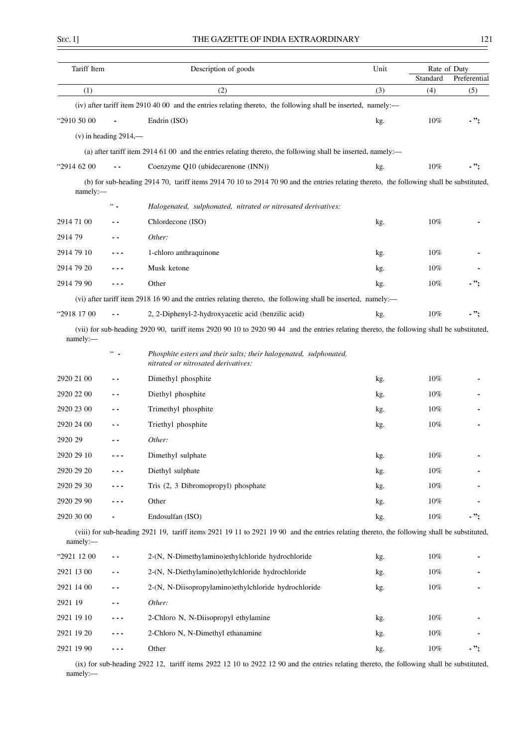| ٧ |  |
|---|--|

| Tariff Item |                            | Description of goods                                                                                                                        | Unit | Rate of Duty |              |
|-------------|----------------------------|---------------------------------------------------------------------------------------------------------------------------------------------|------|--------------|--------------|
|             |                            |                                                                                                                                             |      | Standard     | Preferential |
| (1)         |                            | (2)                                                                                                                                         | (3)  | (4)          | (5)          |
|             |                            | (iv) after tariff item 2910 40 00 and the entries relating thereto, the following shall be inserted, namely:—                               |      |              |              |
| "2910 50 00 |                            | Endrin (ISO)                                                                                                                                | kg.  | $10\%$       | - ":         |
|             | $(v)$ in heading 2914,—    |                                                                                                                                             |      |              |              |
|             |                            | (a) after tariff item 2914 61 00 and the entries relating thereto, the following shall be inserted, namely:—                                |      |              |              |
| "2914 62 00 |                            | Coenzyme Q10 (ubidecarenone (INN))                                                                                                          | kg.  | 10%          | - ";         |
| namely:     |                            | (b) for sub-heading 2914 70, tariff items 2914 70 10 to 2914 70 90 and the entries relating thereto, the following shall be substituted,    |      |              |              |
|             | $\lq\lq$                   | Halogenated, sulphonated, nitrated or nitrosated derivatives:                                                                               |      |              |              |
| 2914 71 00  | . .                        | Chlordecone (ISO)                                                                                                                           | kg.  | 10%          |              |
| 2914 79     | - -                        | Other:                                                                                                                                      |      |              |              |
| 2914 79 10  | - - -                      | 1-chloro anthraquinone                                                                                                                      | kg.  | 10%          |              |
| 2914 79 20  |                            | Musk ketone                                                                                                                                 | kg.  | 10%          |              |
| 2914 79 90  | - - -                      | Other                                                                                                                                       | kg.  | 10%          | - ";         |
|             |                            | (vi) after tariff item 2918 16 90 and the entries relating thereto, the following shall be inserted, namely:—                               |      |              |              |
| "2918 17 00 |                            | 2, 2-Diphenyl-2-hydroxyacetic acid (benzilic acid)                                                                                          | kg.  | 10%          | - ";         |
| namely:     |                            | (vii) for sub-heading 2920 90, tariff items 2920 90 10 to 2920 90 44 and the entries relating thereto, the following shall be substituted,  |      |              |              |
|             | $\epsilon\epsilon_{\perp}$ | Phosphite esters and their salts; their halogenated, sulphonated,<br>nitrated or nitrosated derivatives:                                    |      |              |              |
| 2920 21 00  |                            | Dimethyl phosphite                                                                                                                          | kg.  | $10\%$       |              |
| 2920 22 00  | - -                        | Diethyl phosphite                                                                                                                           | kg.  | $10\%$       |              |
| 2920 23 00  | - -                        | Trimethyl phosphite                                                                                                                         | kg.  | $10\%$       |              |
| 2920 24 00  | ۰.                         | Triethyl phosphite                                                                                                                          | kg.  | $10\%$       |              |
| 2920 29     | - -                        | Other:                                                                                                                                      |      |              |              |
| 2920 29 10  |                            | Dimethyl sulphate                                                                                                                           | kg.  | 10%          |              |
| 2920 29 20  |                            | Diethyl sulphate                                                                                                                            | kg.  | 10%          |              |
| 2920 29 30  |                            | Tris (2, 3 Dibromopropyl) phosphate                                                                                                         | kg.  | 10%          |              |
| 2920 29 90  |                            | Other                                                                                                                                       | kg.  | 10%          |              |
| 2920 30 00  |                            | Endosulfan (ISO)                                                                                                                            | kg.  | $10\%$       | - ";         |
| namely:     |                            | (viii) for sub-heading 2921 19, tariff items 2921 19 11 to 2921 19 90 and the entries relating thereto, the following shall be substituted, |      |              |              |
| "2921 12 00 | . .                        | 2-(N, N-Dimethylamino)ethylchloride hydrochloride                                                                                           | kg.  | $10\%$       |              |
| 2921 13 00  | ٠.                         | 2-(N, N-Diethylamino)ethylchloride hydrochloride                                                                                            | kg.  | 10%          |              |
| 2921 14 00  |                            | 2-(N, N-Diisopropylamino)ethylchloride hydrochloride                                                                                        | kg.  | $10\%$       |              |
| 2921 19     |                            | Other:                                                                                                                                      |      |              |              |
| 2921 19 10  |                            | 2-Chloro N, N-Diisopropyl ethylamine                                                                                                        | kg.  | 10%          |              |
| 2921 19 20  |                            | 2-Chloro N, N-Dimethyl ethanamine                                                                                                           | kg.  | 10%          |              |
| 2921 19 90  | - - -                      | Other                                                                                                                                       | kg.  | 10%          | - ";         |

(ix) for sub-heading 2922 12, tariff items 2922 12 10 to 2922 12 90 and the entries relating thereto, the following shall be substituted, namely:—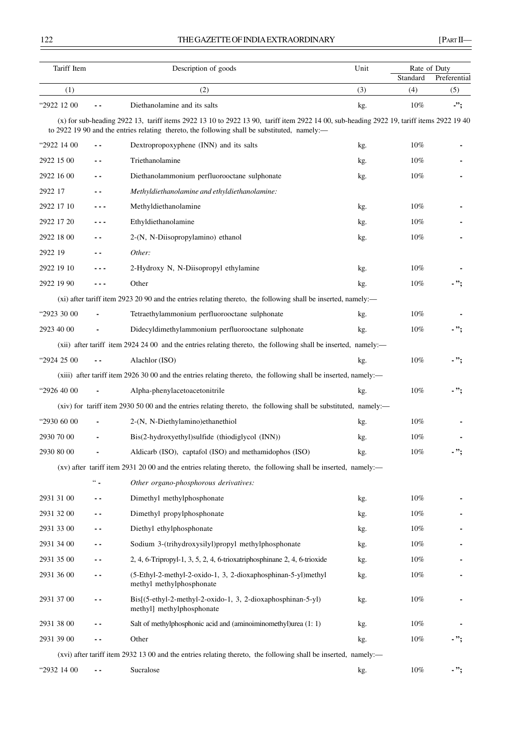# THE GAZETTE OF INDIA EXTRAORDINARY [PART II—

| Tariff Item |                          | Description of goods                                                                                                                                                                                                                     | Unit | Rate of Duty |              |
|-------------|--------------------------|------------------------------------------------------------------------------------------------------------------------------------------------------------------------------------------------------------------------------------------|------|--------------|--------------|
|             |                          |                                                                                                                                                                                                                                          |      | Standard     | Preferential |
| (1)         |                          | (2)                                                                                                                                                                                                                                      | (3)  | (4)          | (5)          |
| "2922 12 00 |                          | Diethanolamine and its salts                                                                                                                                                                                                             | kg.  | 10%          | -";          |
|             |                          | (x) for sub-heading 2922 13, tariff items 2922 13 10 to 2922 13 90, tariff item 2922 14 00, sub-heading 2922 19, tariff items 2922 19 40<br>to 2922 19 90 and the entries relating thereto, the following shall be substituted, namely:— |      |              |              |
| "2922 14 00 | $\sim$ $\sim$            | Dextropropoxyphene (INN) and its salts                                                                                                                                                                                                   | kg.  | $10\%$       |              |
| 2922 15 00  | $\sim$ $\sim$            | Triethanolamine                                                                                                                                                                                                                          | kg.  | $10\%$       |              |
| 2922 16 00  | - -                      | Diethanolammonium perfluorooctane sulphonate                                                                                                                                                                                             | kg.  | 10%          |              |
| 2922 17     | $\sim$ $\sim$            | Methyldiethanolamine and ethyldiethanolamine:                                                                                                                                                                                            |      |              |              |
| 2922 17 10  | ---                      | Methyldiethanolamine                                                                                                                                                                                                                     | kg.  | 10%          |              |
| 2922 17 20  | - - -                    | Ethyldiethanolamine                                                                                                                                                                                                                      | kg.  | 10%          |              |
| 2922 18 00  |                          | 2-(N, N-Diisopropylamino) ethanol                                                                                                                                                                                                        | kg.  | $10\%$       |              |
| 2922 19     | . .                      | Other:                                                                                                                                                                                                                                   |      |              |              |
| 2922 19 10  | ---                      | 2-Hydroxy N, N-Diisopropyl ethylamine                                                                                                                                                                                                    | kg.  | 10%          |              |
| 2922 19 90  | - - -                    | Other                                                                                                                                                                                                                                    | kg.  | $10\%$       | - ";         |
|             |                          | (xi) after tariff item 2923 20 90 and the entries relating thereto, the following shall be inserted, namely:—                                                                                                                            |      |              |              |
| "2923 30 00 |                          | Tetraethylammonium perfluorooctane sulphonate                                                                                                                                                                                            | kg.  | 10%          |              |
| 2923 40 00  |                          | Didecyldimethylammonium perfluorooctane sulphonate                                                                                                                                                                                       | kg.  | 10%          | - ";         |
|             |                          | (xii) after tariff item 2924 24 00 and the entries relating thereto, the following shall be inserted, namely:—                                                                                                                           |      |              |              |
| "2924 25 00 |                          | Alachlor (ISO)                                                                                                                                                                                                                           | kg.  | 10%          | $\cdot$ ";   |
|             |                          | (xiii) after tariff item 2926 30 00 and the entries relating thereto, the following shall be inserted, namely:—                                                                                                                          |      |              |              |
| "2926 40 00 |                          | Alpha-phenylacetoacetonitrile                                                                                                                                                                                                            | kg.  | 10%          | - ";         |
|             |                          | (xiv) for tariff item 2930 50 00 and the entries relating thereto, the following shall be substituted, namely:—                                                                                                                          |      |              |              |
| "2930 60 00 |                          | 2-(N, N-Diethylamino)ethanethiol                                                                                                                                                                                                         | kg.  | 10%          |              |
| 2930 70 00  |                          | Bis(2-hydroxyethyl)sulfide (thiodiglycol (INN))                                                                                                                                                                                          | kg.  | 10%          |              |
| 2930 80 00  |                          | Aldicarb (ISO), captafol (ISO) and methamidophos (ISO)                                                                                                                                                                                   | kg.  | 10%          | - ";         |
|             |                          | (xv) after tariff item 2931 20 00 and the entries relating thereto, the following shall be inserted, namely:—                                                                                                                            |      |              |              |
|             | $\lq\lq\lq$              | Other organo-phosphorous derivatives:                                                                                                                                                                                                    |      |              |              |
| 2931 31 00  | $\sim$ $\sim$            | Dimethyl methylphosphonate                                                                                                                                                                                                               | kg.  | 10%          |              |
| 2931 32 00  | - -                      | Dimethyl propylphosphonate                                                                                                                                                                                                               | kg.  | 10%          |              |
| 2931 33 00  | ۰.                       | Diethyl ethylphosphonate                                                                                                                                                                                                                 | kg.  | 10%          |              |
| 2931 34 00  | - -                      | Sodium 3-(trihydroxysilyl)propyl methylphosphonate                                                                                                                                                                                       | kg.  | 10%          |              |
| 2931 35 00  | $\sim$ $\sim$            | 2, 4, 6-Tripropyl-1, 3, 5, 2, 4, 6-trioxatriphosphinane 2, 4, 6-trioxide                                                                                                                                                                 | kg.  | 10%          |              |
| 2931 36 00  | - -                      | (5-Ethyl-2-methyl-2-oxido-1, 3, 2-dioxaphosphinan-5-yl)methyl<br>methyl methylphosphonate                                                                                                                                                | kg.  | 10%          |              |
| 2931 37 00  | $\sim$ $\sim$            | Bis[(5-ethyl-2-methyl-2-oxido-1, 3, 2-dioxaphosphinan-5-yl)<br>methyl] methylphosphonate                                                                                                                                                 | kg.  | 10%          |              |
| 2931 38 00  |                          | Salt of methylphosphonic acid and (aminoiminomethyl)urea (1: 1)                                                                                                                                                                          | kg.  | 10%          |              |
| 2931 39 00  | $\sim$ $\sim$            | Other                                                                                                                                                                                                                                    | kg.  | 10%          | - ";         |
|             |                          | (xvi) after tariff item 2932 13 00 and the entries relating thereto, the following shall be inserted, namely:—                                                                                                                           |      |              |              |
| "2932 14 00 | $\overline{\phantom{a}}$ | Sucralose                                                                                                                                                                                                                                | kg.  | 10%          | - ";         |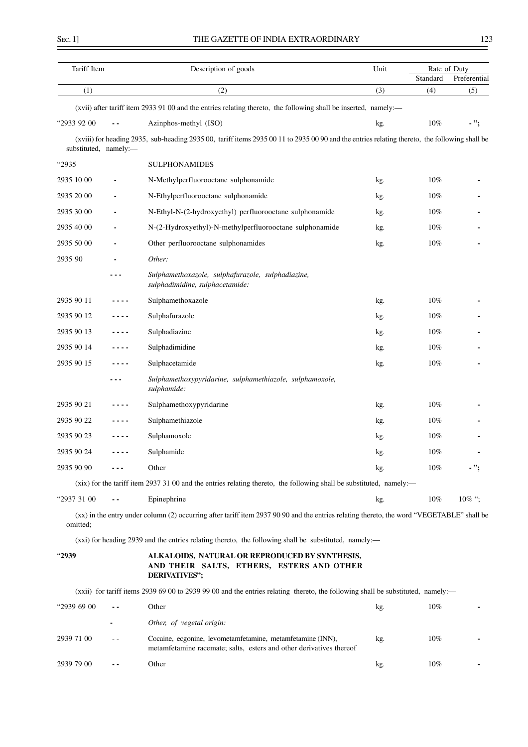| Tariff Item           |                | Description of goods                                                                                                                          | Unit | Rate of Duty<br>Standard | Preferential |
|-----------------------|----------------|-----------------------------------------------------------------------------------------------------------------------------------------------|------|--------------------------|--------------|
| (1)                   |                | (2)                                                                                                                                           | (3)  | (4)                      | (5)          |
|                       |                | (xvii) after tariff item 2933 91 00 and the entries relating thereto, the following shall be inserted, namely:—                               |      |                          |              |
| "2933 92 00           |                | Azinphos-methyl (ISO)                                                                                                                         | kg.  | $10\%$                   | - ";         |
| substituted, namely:- |                | (xviii) for heading 2935, sub-heading 2935 00, tariff items 2935 00 11 to 2935 00 90 and the entries relating thereto, the following shall be |      |                          |              |
| <sup>"2935</sup> "    |                | <b>SULPHONAMIDES</b>                                                                                                                          |      |                          |              |
| 2935 10 00            | $\blacksquare$ | N-Methylperfluorooctane sulphonamide                                                                                                          | kg.  | $10\%$                   |              |
| 2935 20 00            | $\blacksquare$ | N-Ethylperfluorooctane sulphonamide                                                                                                           | kg.  | $10\%$                   |              |
| 2935 30 00            |                | N-Ethyl-N-(2-hydroxyethyl) perfluorooctane sulphonamide                                                                                       | kg.  | $10\%$                   |              |
| 2935 40 00            |                | N-(2-Hydroxyethyl)-N-methylperfluorooctane sulphonamide                                                                                       | kg.  | $10\%$                   |              |
| 2935 50 00            |                | Other perfluorooctane sulphonamides                                                                                                           | kg.  | $10\%$                   |              |
| 2935 90               |                | Other:                                                                                                                                        |      |                          |              |
|                       |                | Sulphamethoxazole, sulphafurazole, sulphadiazine,<br>sulphadimidine, sulphacetamide:                                                          |      |                          |              |
| 2935 90 11            |                | Sulphamethoxazole                                                                                                                             | kg.  | $10\%$                   |              |
| 2935 90 12            | ----           | Sulphafurazole                                                                                                                                | kg.  | $10\%$                   |              |
| 2935 90 13            | ----           | Sulphadiazine                                                                                                                                 | kg.  | $10\%$                   |              |
| 2935 90 14            |                | Sulphadimidine                                                                                                                                | kg.  | $10\%$                   |              |
| 2935 90 15            |                | Sulphacetamide                                                                                                                                | kg.  | $10\%$                   |              |
|                       |                | Sulphamethoxypyridarine, sulphamethiazole, sulphamoxole,<br>sulphamide:                                                                       |      |                          |              |
| 2935 90 21            |                | Sulphamethoxypyridarine                                                                                                                       | kg.  | 10%                      |              |
| 2935 90 22            |                | Sulphamethiazole                                                                                                                              | kg.  | $10\%$                   |              |
| 2935 90 23            |                | Sulphamoxole                                                                                                                                  | kg.  | $10\%$                   |              |
| 2935 90 24            |                | Sulphamide                                                                                                                                    | kg.  | 10%                      |              |
| 2935 90 90            |                | Other                                                                                                                                         | kg.  | $10\%$                   | - ";         |
|                       |                | (xix) for the tariff item 2937 31 00 and the entries relating thereto, the following shall be substituted, namely:—                           |      |                          |              |
| "2937 31 00           |                | Epinephrine                                                                                                                                   | kg.  | 10%                      | $10\%$ ";    |
| omitted:              |                | (xx) in the entry under column (2) occurring after tariff item 2937 90 90 and the entries relating thereto, the word "VEGETABLE" shall be     |      |                          |              |
|                       |                | (xxi) for heading 2939 and the entries relating thereto, the following shall be substituted, namely:—                                         |      |                          |              |
| <sup>"2939</sup>      |                | ALKALOIDS, NATURAL OR REPRODUCED BY SYNTHESIS,<br>AND THEIR SALTS, ETHERS, ESTERS AND OTHER<br>DERIVATIVES";                                  |      |                          |              |
|                       |                | (xxii) for tariff items 2939 69 00 to 2939 99 00 and the entries relating thereto, the following shall be substituted, namely:—               |      |                          |              |
| "2939 69 00           |                | Other                                                                                                                                         | kg.  | 10%                      |              |
|                       |                | Other, of vegetal origin:                                                                                                                     |      |                          |              |
| 2939 71 00            | $ -$           | Cocaine, ecgonine, levometamfetamine, metamfetamine (INN),                                                                                    | kg.  | $10\%$                   |              |

metamfetamine racemate; salts, esters and other derivatives thereof

2939 79 00 **- -** Other kg. 10% **-**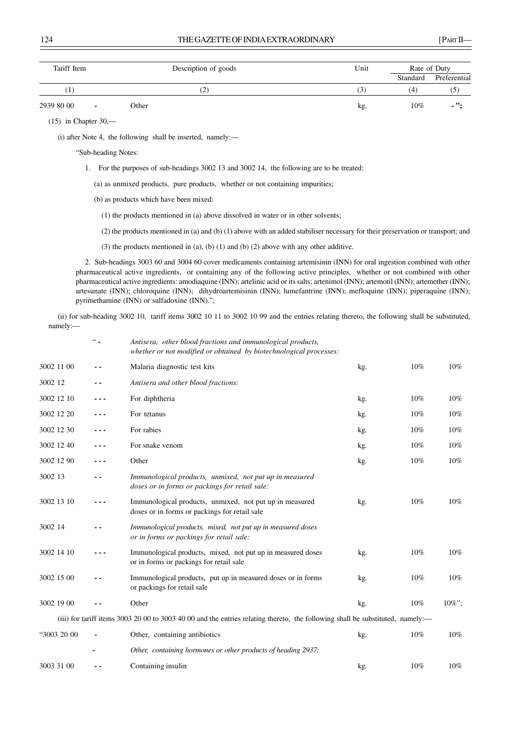| Tariff Item | Description of goods              | Unit           | Rate of Duty |              |
|-------------|-----------------------------------|----------------|--------------|--------------|
|             |                                   |                | Standard     | Preferential |
| T           | 2                                 | $\mathfrak{I}$ | 4            | (၁)          |
| 2939 80 00  | Other<br>$\overline{\phantom{a}}$ | kg.            | $10\%$       | $\cdot$ .    |

(15) in Chapter 30,—

(i) after Note 4, the following shall be inserted, namely:—

"Sub-heading Notes:

1. For the purposes of sub-headings 3002 13 and 3002 14, the following are to be treated:

(a) as unmixed products, pure products, whether or not containing impurities;

(b) as products which have been mixed:

(1) the products mentioned in (a) above dissolved in water or in other solvents;

(2) the products mentioned in (a) and (b) (1) above with an added stabiliser necessary for their preservation or transport; and

(3) the products mentioned in (a), (b) (1) and (b) (2) above with any other additive.

2. Sub-headings 3003 60 and 3004 60 cover medicaments containing artemisinin (INN) for oral ingestion combined with other pharmaceutical active ingredients, or containing any of the following active principles, whether or not combined with other pharmaceutical active ingredients: amodiaquine (INN); artelinic acid or its salts; artenimol (INN); artemotil (INN); artemether (INN); artesunate (INN); chloroquine (INN); dihydroartemisinin (INN); lumefantrine (INN); mefloquine (INN); piperaquine (INN); pyrimethamine (INN) or sulfadoxine (INN).";

(ii) for sub-heading 3002 10, tariff items 3002 10 11 to 3002 10 99 and the entries relating thereto, the following shall be substituted, namely:—

|             | $66 -$ | Antisera, other blood fractions and immunological products,<br>whether or not modified or obtained by biotechnological processes: |     |     |       |
|-------------|--------|-----------------------------------------------------------------------------------------------------------------------------------|-----|-----|-------|
| 3002 11 00  | - -    | Malaria diagnostic test kits                                                                                                      | kg. | 10% | 10%   |
| 3002 12     | . .    | Antisera and other blood fractions:                                                                                               |     |     |       |
| 3002 12 10  | - - -  | For diphtheria                                                                                                                    | kg. | 10% | 10%   |
| 3002 12 20  | - - -  | For tetanus                                                                                                                       | kg. | 10% | 10%   |
| 3002 12 30  | - - -  | For rabies                                                                                                                        | kg. | 10% | 10%   |
| 3002 12 40  |        | For snake venom                                                                                                                   | kg. | 10% | 10%   |
| 3002 12 90  | - - -  | Other                                                                                                                             | kg. | 10% | 10%   |
| 3002 13     | . .    | Immunological products, unmixed, not put up in measured<br>doses or in forms or packings for retail sale:                         |     |     |       |
| 3002 13 10  |        | Immunological products, unmixed, not put up in measured<br>doses or in forms or packings for retail sale                          | kg. | 10% | 10%   |
| 3002 14     | - -    | Immunological products, mixed, not put up in measured doses<br>or in forms or packings for retail sale:                           |     |     |       |
| 3002 14 10  |        | Immunological products, mixed, not put up in measured doses<br>or in forms or packings for retail sale                            | kg. | 10% | 10%   |
| 3002 15 00  |        | Immunological products, put up in measured doses or in forms<br>or packings for retail sale                                       | kg. | 10% | 10%   |
| 3002 19 00  |        | Other                                                                                                                             | kg. | 10% | 10%": |
|             |        | (iii) for tariff items 3003 20 00 to 3003 40 00 and the entries relating thereto, the following shall be substituted, namely:—    |     |     |       |
| "3003 20 00 |        | Other, containing antibiotics                                                                                                     | kg. | 10% | 10%   |
|             |        | Other, containing hormones or other products of heading 2937:                                                                     |     |     |       |
| 3003 31 00  |        | Containing insulin                                                                                                                | kg. | 10% | 10%   |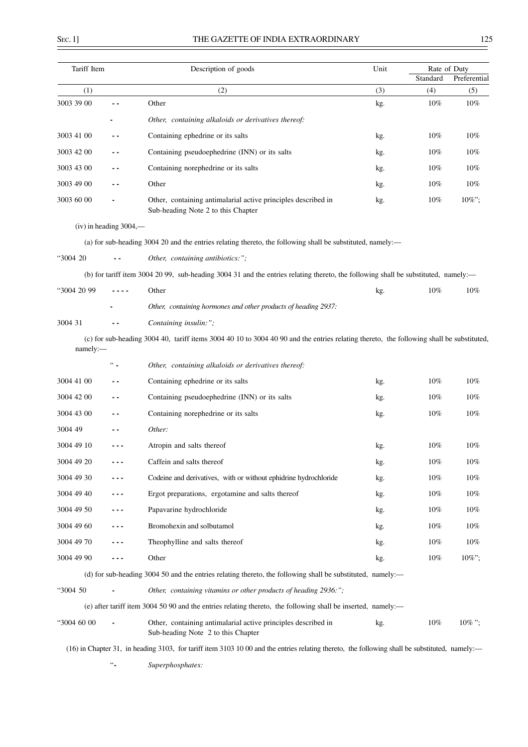ł,

| Tariff Item |                          | Description of goods                                                                                                                           | Unit | Rate of Duty<br>Standard | Preferential |
|-------------|--------------------------|------------------------------------------------------------------------------------------------------------------------------------------------|------|--------------------------|--------------|
| (1)         |                          | (2)                                                                                                                                            | (3)  | (4)                      | (5)          |
| 3003 39 00  | - -                      | Other                                                                                                                                          | kg.  | 10%                      | $10\%$       |
|             |                          | Other, containing alkaloids or derivatives thereof:                                                                                            |      |                          |              |
| 3003 41 00  | - -                      | Containing ephedrine or its salts                                                                                                              | kg.  | $10\%$                   | 10%          |
| 3003 42 00  | - -                      | Containing pseudoephedrine (INN) or its salts                                                                                                  | kg.  | 10%                      | 10%          |
| 3003 43 00  | ۰.                       | Containing norephedrine or its salts                                                                                                           | kg.  | 10%                      | 10%          |
| 3003 49 00  | - -                      | Other                                                                                                                                          | kg.  | 10%                      | 10%          |
| 3003 60 00  |                          | Other, containing antimalarial active principles described in<br>Sub-heading Note 2 to this Chapter                                            | kg.  | $10\%$                   | 10%";        |
|             | $(iv)$ in heading 3004,— |                                                                                                                                                |      |                          |              |
|             |                          | (a) for sub-heading 3004 20 and the entries relating thereto, the following shall be substituted, namely:—                                     |      |                          |              |
| "3004 20    |                          | Other, containing antibiotics:";                                                                                                               |      |                          |              |
|             |                          | (b) for tariff item 3004 20 99, sub-heading 3004 31 and the entries relating thereto, the following shall be substituted, namely:—             |      |                          |              |
| "3004 20 99 |                          | Other                                                                                                                                          | kg.  | 10%                      | 10%          |
|             |                          | Other, containing hormones and other products of heading 2937:                                                                                 |      |                          |              |
| 3004 31     |                          | Containing insulin:";                                                                                                                          |      |                          |              |
| namely:-    |                          | (c) for sub-heading 3004 40, tariff items 3004 40 10 to 3004 40 90 and the entries relating thereto, the following shall be substituted,       |      |                          |              |
|             | $\lq\lq$                 | Other, containing alkaloids or derivatives thereof:                                                                                            |      |                          |              |
| 3004 41 00  | . .                      | Containing ephedrine or its salts                                                                                                              | kg.  | 10%                      | $10\%$       |
| 3004 42 00  | . .                      | Containing pseudoephedrine (INN) or its salts                                                                                                  | kg.  | 10%                      | 10%          |
| 3004 43 00  | - -                      | Containing norephedrine or its salts                                                                                                           | kg.  | 10%                      | 10%          |
| 3004 49     | . .                      | Other:                                                                                                                                         |      |                          |              |
| 3004 49 10  |                          | Atropin and salts thereof                                                                                                                      | kg.  | 10%                      | 10%          |
| 3004 49 20  |                          | Caffein and salts thereof                                                                                                                      | kg.  | 10%                      | 10%          |
| 3004 49 30  | - - -                    | Codeine and derivatives, with or without ephidrine hydrochloride                                                                               | kg.  | 10%                      | 10%          |
| 3004 49 40  | - - -                    | Ergot preparations, ergotamine and salts thereof                                                                                               | kg.  | 10%                      | 10%          |
| 3004 49 50  | - - -                    | Papavarine hydrochloride                                                                                                                       | kg.  | 10%                      | $10\%$       |
| 3004 49 60  | - - -                    | Bromohexin and solbutamol                                                                                                                      | kg.  | 10%                      | 10%          |
| 3004 49 70  | - - -                    | Theophylline and salts thereof                                                                                                                 | kg.  | 10%                      | 10%          |
| 3004 49 90  | $- - -$                  | Other                                                                                                                                          | kg.  | 10%                      | 10%";        |
|             |                          | (d) for sub-heading 3004 50 and the entries relating thereto, the following shall be substituted, namely:—                                     |      |                          |              |
| "3004 50    |                          | Other, containing vitamins or other products of heading 2936:";                                                                                |      |                          |              |
|             |                          | (e) after tariff item 3004 50 90 and the entries relating thereto, the following shall be inserted, namely:—                                   |      |                          |              |
| "3004 60 00 |                          | Other, containing antimalarial active principles described in<br>Sub-heading Note 2 to this Chapter                                            | kg.  | 10%                      | $10\%$ ";    |
|             |                          | (16) in Chapter 31, in heading 3103, for tariff item 3103 10 00 and the entries relating thereto, the following shall be substituted, namely:— |      |                          |              |

"**-** *Superphosphates:*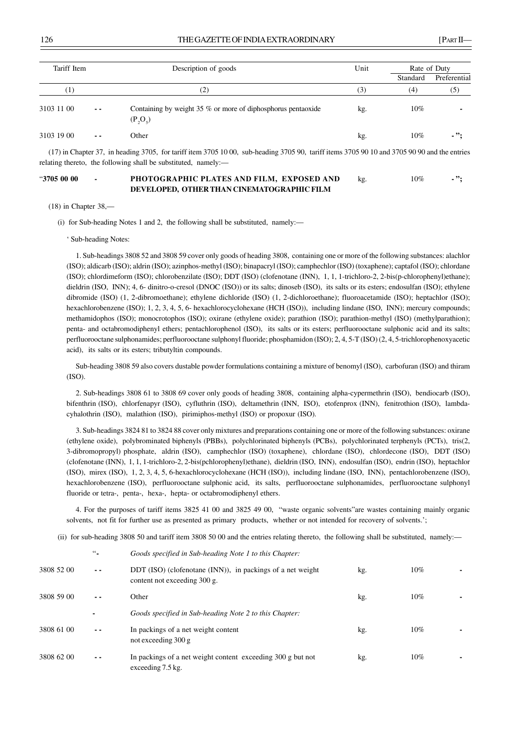| Tariff Item |               | Description of goods                                                       | Unit | Rate of Duty |              |
|-------------|---------------|----------------------------------------------------------------------------|------|--------------|--------------|
|             |               |                                                                            |      | Standard     | Preferential |
| (1)         |               | (2)                                                                        | (3)  | (4)          | (5)          |
| 3103 11 00  | $ -$          | Containing by weight 35 % or more of diphosphorus pentaoxide<br>$(P_2O_5)$ | kg.  | $10\%$       |              |
| 3103 19 00  | $\sim$ $\sim$ | Other                                                                      | kg.  | $10\%$       | - ":         |

(17) in Chapter 37, in heading 3705, for tariff item 3705 10 00, sub-heading 3705 90, tariff items 3705 90 10 and 3705 90 90 and the entries relating thereto, the following shall be substituted, namely:—

# "**3705 00 00 - PHOTOGRAPHIC PLATES AND FILM, EXPOSED AND** kg. 10% **- "; DEVELOPED, OTHER THAN CINEMATOGRAPHIC FILM**

(18) in Chapter 38,—

(i) for Sub-heading Notes 1 and 2, the following shall be substituted, namely:—

' Sub-heading Notes:

1. Sub-headings 3808 52 and 3808 59 cover only goods of heading 3808, containing one or more of the following substances: alachlor (ISO); aldicarb (ISO); aldrin (ISO); azinphos-methyl (ISO); binapacryl (ISO); camphechlor (ISO) (toxaphene); captafol (ISO); chlordane (ISO); chlordimeform (ISO); chlorobenzilate (ISO); DDT (ISO) (clofenotane (INN), 1, 1, 1-trichloro-2, 2-bis(p-chlorophenyl)ethane); dieldrin (ISO, INN); 4, 6- dinitro-o-cresol (DNOC (ISO)) or its salts; dinoseb (ISO), its salts or its esters; endosulfan (ISO); ethylene dibromide (ISO) (1, 2-dibromoethane); ethylene dichloride (ISO) (1, 2-dichloroethane); fluoroacetamide (ISO); heptachlor (ISO); hexachlorobenzene (ISO); 1, 2, 3, 4, 5, 6- hexachlorocyclohexane (HCH (ISO)), including lindane (ISO, INN); mercury compounds; methamidophos (ISO); monocrotophos (ISO); oxirane (ethylene oxide); parathion (ISO); parathion-methyl (ISO) (methylparathion); penta- and octabromodiphenyl ethers; pentachlorophenol (ISO), its salts or its esters; perfluorooctane sulphonic acid and its salts; perfluorooctane sulphonamides; perfluorooctane sulphonyl fluoride; phosphamidon (ISO); 2, 4, 5-T (ISO) (2, 4, 5-trichlorophenoxyacetic acid), its salts or its esters; tributyltin compounds.

Sub-heading 3808 59 also covers dustable powder formulations containing a mixture of benomyl (ISO), carbofuran (ISO) and thiram (ISO).

2. Sub-headings 3808 61 to 3808 69 cover only goods of heading 3808, containing alpha-cypermethrin (ISO), bendiocarb (ISO), bifenthrin (ISO), chlorfenapyr (ISO), cyfluthrin (ISO), deltamethrin (INN, ISO), etofenprox (INN), fenitrothion (ISO), lambdacyhalothrin (ISO), malathion (ISO), pirimiphos-methyl (ISO) or propoxur (ISO).

3. Sub-headings 3824 81 to 3824 88 cover only mixtures and preparations containing one or more of the following substances: oxirane (ethylene oxide), polybrominated biphenyls (PBBs), polychlorinated biphenyls (PCBs), polychlorinated terphenyls (PCTs), tris(2, 3-dibromopropyl) phosphate, aldrin (ISO), camphechlor (ISO) (toxaphene), chlordane (ISO), chlordecone (ISO), DDT (ISO) (clofenotane (INN), 1, 1, 1-trichloro-2, 2-bis(pchlorophenyl)ethane), dieldrin (ISO, INN), endosulfan (ISO), endrin (ISO), heptachlor (ISO), mirex (ISO), 1, 2, 3, 4, 5, 6-hexachlorocyclohexane (HCH (ISO)), including lindane (ISO, INN), pentachlorobenzene (ISO), hexachlorobenzene (ISO), perfluorooctane sulphonic acid, its salts, perfluorooctane sulphonamides, perfluorooctane sulphonyl fluoride or tetra-, penta-, hexa-, hepta- or octabromodiphenyl ethers.

4. For the purposes of tariff items 3825 41 00 and 3825 49 00, "waste organic solvents"are wastes containing mainly organic solvents, not fit for further use as presented as primary products, whether or not intended for recovery of solvents.';

(ii) for sub-heading 3808 50 and tariff item 3808 50 00 and the entries relating thereto, the following shall be substituted, namely:—

|            | $66\degree$   | Goods specified in Sub-heading Note 1 to this Chapter:                                     |     |     |  |
|------------|---------------|--------------------------------------------------------------------------------------------|-----|-----|--|
| 3808 52 00 | $\sim$ $\sim$ | DDT (ISO) (clofenotane (INN)), in packings of a net weight<br>content not exceeding 300 g. | kg. | 10% |  |
| 3808 59 00 | - -           | Other                                                                                      | kg. | 10% |  |
|            |               | Goods specified in Sub-heading Note 2 to this Chapter:                                     |     |     |  |
| 3808 61 00 | $ -$          | In packings of a net weight content<br>not exceeding $300 g$                               | kg. | 10% |  |
| 3808 62 00 | $ -$          | In packings of a net weight content exceeding 300 g but not<br>exceeding 7.5 kg.           | kg. | 10% |  |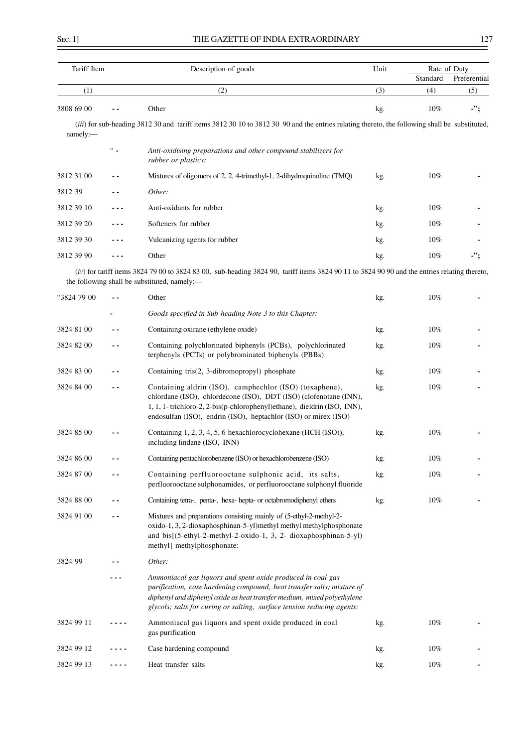$\overline{a}$ 

| Tariff Item |               | Description of goods                                                                                                                                                                                                                                                                       | Unit | Rate of Duty<br>Standard | Preferential |
|-------------|---------------|--------------------------------------------------------------------------------------------------------------------------------------------------------------------------------------------------------------------------------------------------------------------------------------------|------|--------------------------|--------------|
| (1)         |               | (2)                                                                                                                                                                                                                                                                                        | (3)  | (4)                      | (5)          |
| 3808 69 00  |               | Other                                                                                                                                                                                                                                                                                      | kg.  | $10\%$                   | -";          |
| namely:     |               | (iii) for sub-heading 3812 30 and tariff items 3812 30 10 to 3812 30 90 and the entries relating thereto, the following shall be substituted,                                                                                                                                              |      |                          |              |
|             | $\lq\lq$      | Anti-oxidising preparations and other compound stabilizers for<br>rubber or plastics:                                                                                                                                                                                                      |      |                          |              |
| 3812 31 00  |               | Mixtures of oligomers of 2, 2, 4-trimethyl-1, 2-dihydroquinoline (TMQ)                                                                                                                                                                                                                     | kg.  | 10%                      |              |
| 3812 39     |               | Other:                                                                                                                                                                                                                                                                                     |      |                          |              |
| 3812 39 10  |               | Anti-oxidants for rubber                                                                                                                                                                                                                                                                   | kg.  | $10\%$                   |              |
| 3812 39 20  |               | Softeners for rubber                                                                                                                                                                                                                                                                       | kg.  | $10\%$                   |              |
| 3812 39 30  |               | Vulcanizing agents for rubber                                                                                                                                                                                                                                                              | kg.  | 10%                      |              |
| 3812 39 90  | ---           | Other                                                                                                                                                                                                                                                                                      | kg.  | $10\%$                   | -";          |
|             |               | $(iv)$ for tariff items 3824 79 00 to 3824 83 00, sub-heading 3824 90, tariff items 3824 90 11 to 3824 90 90 and the entries relating thereto,<br>the following shall be substituted, namely:-                                                                                             |      |                          |              |
| "3824 79 00 |               | Other                                                                                                                                                                                                                                                                                      | kg.  | $10\%$                   |              |
|             |               | Goods specified in Sub-heading Note 3 to this Chapter:                                                                                                                                                                                                                                     |      |                          |              |
| 3824 81 00  |               | Containing oxirane (ethylene oxide)                                                                                                                                                                                                                                                        | kg.  | $10\%$                   |              |
| 3824 82 00  | $\sim$ $\sim$ | Containing polychlorinated biphenyls (PCBs), polychlorinated<br>terphenyls (PCTs) or polybrominated biphenyls (PBBs)                                                                                                                                                                       | kg.  | $10\%$                   |              |
| 3824 83 00  |               | Containing tris(2, 3-dibromopropyl) phosphate                                                                                                                                                                                                                                              | kg.  | $10\%$                   |              |
| 3824 84 00  |               | Containing aldrin (ISO), camphechlor (ISO) (toxaphene),<br>chlordane (ISO), chlordecone (ISO), DDT (ISO) (clofenotane (INN),<br>1, 1, 1- trichloro-2, 2-bis(p-chlorophenyl)ethane), dieldrin (ISO, INN),<br>endosulfan (ISO), endrin (ISO), heptachlor (ISO) or mirex (ISO)                | kg.  | $10\%$                   |              |
| 3824 85 00  |               | Containing 1, 2, 3, 4, 5, 6-hexachlorocyclohexane (HCH (ISO)),<br>including lindane (ISO, INN)                                                                                                                                                                                             | kg.  | 10%                      |              |
| 3824 86 00  |               | Containing pentachlorobenzene (ISO) or hexachlorobenzene (ISO)                                                                                                                                                                                                                             | kg.  | 10%                      |              |
| 3824 87 00  |               | Containing perfluorooctane sulphonic acid, its salts,<br>perfluorooctane sulphonamides, or perfluorooctane sulphonyl fluoride                                                                                                                                                              | kg.  | 10%                      |              |
| 3824 88 00  | $\sim$ $\sim$ | Containing tetra-, penta-, hexa- hepta- or octabromodiphenyl ethers                                                                                                                                                                                                                        | kg.  | 10%                      |              |
| 3824 91 00  | $\sim$ $\sim$ | Mixtures and preparations consisting mainly of (5-ethyl-2-methyl-2-<br>oxido-1, 3, 2-dioxaphosphinan-5-yl)methyl methyl methylphosphonate<br>and bis[(5-ethyl-2-methyl-2-oxido-1, 3, 2- dioxaphosphinan-5-yl)<br>methyl] methylphosphonate:                                                |      |                          |              |
| 3824 99     |               | Other:                                                                                                                                                                                                                                                                                     |      |                          |              |
|             |               | Ammoniacal gas liquors and spent oxide produced in coal gas<br>purification, case hardening compound, heat transfer salts; mixture of<br>diphenyl and diphenyl oxide as heat transfer medium, mixed polyethylene<br>glycols; salts for curing or salting, surface tension reducing agents: |      |                          |              |
| 3824 99 11  |               | Ammoniacal gas liquors and spent oxide produced in coal<br>gas purification                                                                                                                                                                                                                | kg.  | 10%                      |              |
| 3824 99 12  |               | Case hardening compound                                                                                                                                                                                                                                                                    | kg.  | 10%                      |              |
| 3824 99 13  |               | Heat transfer salts                                                                                                                                                                                                                                                                        | kg.  | 10%                      |              |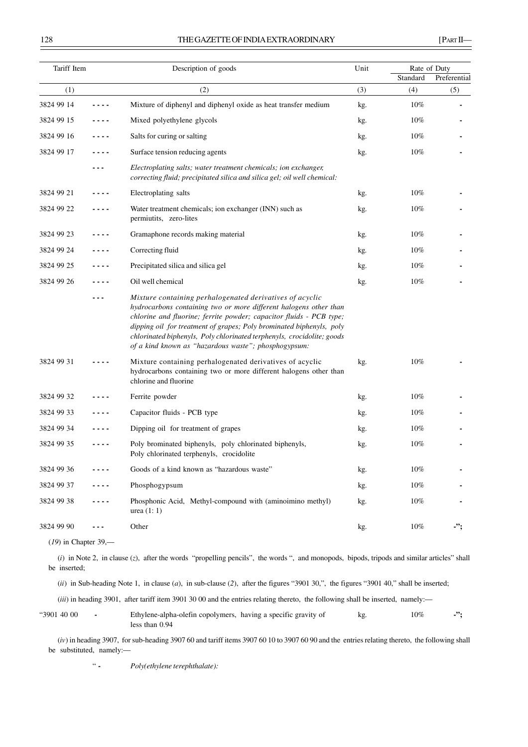| Tariff Item |      | Description of goods                                                                                                                                                                                                                                                                                                                                                                                           | Unit | Rate of Duty |              |  |
|-------------|------|----------------------------------------------------------------------------------------------------------------------------------------------------------------------------------------------------------------------------------------------------------------------------------------------------------------------------------------------------------------------------------------------------------------|------|--------------|--------------|--|
|             |      |                                                                                                                                                                                                                                                                                                                                                                                                                |      | Standard     | Preferential |  |
| (1)         |      | (2)                                                                                                                                                                                                                                                                                                                                                                                                            | (3)  | (4)          | (5)          |  |
| 3824 99 14  |      | Mixture of diphenyl and diphenyl oxide as heat transfer medium                                                                                                                                                                                                                                                                                                                                                 | kg.  | 10%          |              |  |
| 3824 99 15  |      | Mixed polyethylene glycols                                                                                                                                                                                                                                                                                                                                                                                     | kg.  | 10%          |              |  |
| 3824 99 16  |      | Salts for curing or salting                                                                                                                                                                                                                                                                                                                                                                                    | kg.  | 10%          |              |  |
| 3824 99 17  |      | Surface tension reducing agents                                                                                                                                                                                                                                                                                                                                                                                | kg.  | 10%          |              |  |
|             |      | Electroplating salts; water treatment chemicals; ion exchanger,<br>correcting fluid; precipitated silica and silica gel; oil well chemical:                                                                                                                                                                                                                                                                    |      |              |              |  |
| 3824 99 21  | ---- | Electroplating salts                                                                                                                                                                                                                                                                                                                                                                                           | kg.  | 10%          |              |  |
| 3824 99 22  |      | Water treatment chemicals; ion exchanger (INN) such as<br>permiutits, zero-lites                                                                                                                                                                                                                                                                                                                               | kg.  | 10%          |              |  |
| 3824 99 23  |      | Gramaphone records making material                                                                                                                                                                                                                                                                                                                                                                             | kg.  | 10%          |              |  |
| 3824 99 24  |      | Correcting fluid                                                                                                                                                                                                                                                                                                                                                                                               | kg.  | $10\%$       |              |  |
| 3824 99 25  |      | Precipitated silica and silica gel                                                                                                                                                                                                                                                                                                                                                                             | kg.  | 10%          |              |  |
| 3824 99 26  |      | Oil well chemical                                                                                                                                                                                                                                                                                                                                                                                              | kg.  | 10%          |              |  |
|             |      | Mixture containing perhalogenated derivatives of acyclic<br>hydrocarbons containing two or more different halogens other than<br>chlorine and fluorine; ferrite powder; capacitor fluids - PCB type;<br>dipping oil for treatment of grapes; Poly brominated biphenyls, poly<br>chlorinated biphenyls, Poly chlorinated terphenyls, crocidolite; goods<br>of a kind known as "hazardous waste"; phosphogypsum: |      |              |              |  |
| 3824 99 31  |      | Mixture containing perhalogenated derivatives of acyclic<br>hydrocarbons containing two or more different halogens other than<br>chlorine and fluorine                                                                                                                                                                                                                                                         | kg.  | 10%          |              |  |
| 3824 99 32  |      | Ferrite powder                                                                                                                                                                                                                                                                                                                                                                                                 | kg.  | 10%          |              |  |
| 3824 99 33  |      | Capacitor fluids - PCB type                                                                                                                                                                                                                                                                                                                                                                                    | kg.  | 10%          |              |  |
| 3824 99 34  |      | Dipping oil for treatment of grapes                                                                                                                                                                                                                                                                                                                                                                            | kg.  | 10%          |              |  |
| 3824 99 35  |      | Poly brominated biphenyls, poly chlorinated biphenyls,<br>Poly chlorinated terphenyls, crocidolite                                                                                                                                                                                                                                                                                                             | kg.  | 10%          |              |  |
| 3824 99 36  |      | Goods of a kind known as "hazardous waste"                                                                                                                                                                                                                                                                                                                                                                     | kg.  | 10%          |              |  |
| 3824 99 37  |      | Phosphogypsum                                                                                                                                                                                                                                                                                                                                                                                                  | kg.  | 10%          |              |  |
| 3824 99 38  |      | Phosphonic Acid, Methyl-compound with (aminoimino methyl)<br>urea $(1:1)$                                                                                                                                                                                                                                                                                                                                      | kg.  | 10%          |              |  |
| 3824 99 90  |      | Other                                                                                                                                                                                                                                                                                                                                                                                                          | kg.  | 10%          | -";          |  |
|             |      |                                                                                                                                                                                                                                                                                                                                                                                                                |      |              |              |  |

(*19*) in Chapter 39,—

(*i*) in Note 2, in clause (*z*), after the words "propelling pencils", the words ", and monopods, bipods, tripods and similar articles" shall be inserted;

(*ii*) in Sub-heading Note 1, in clause (*a*), in sub-clause (*2*), after the figures "3901 30,", the figures "3901 40," shall be inserted;

(*iii*) in heading 3901, after tariff item 3901 30 00 and the entries relating thereto, the following shall be inserted, namely:-

| "3901 40 00 | Ethylene-alpha-olefin copolymers, having a specific gravity of | 10% |  |
|-------------|----------------------------------------------------------------|-----|--|
|             | less than $0.94$                                               |     |  |

(*iv*) in heading 3907, for sub-heading 3907 60 and tariff items 3907 60 10 to 3907 60 90 and the entries relating thereto, the following shall be substituted, namely:—

" **-** *Poly(ethylene terephthalate):*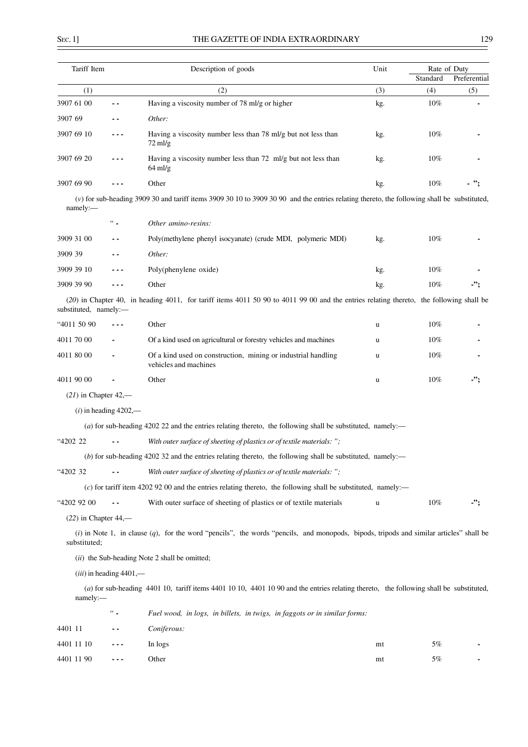$\overline{a}$ 

| Tariff Item            |                                           | Description of goods                                                                                                                        |     |          | Rate of Duty |  |
|------------------------|-------------------------------------------|---------------------------------------------------------------------------------------------------------------------------------------------|-----|----------|--------------|--|
|                        |                                           |                                                                                                                                             |     | Standard | Preferential |  |
| (1)                    |                                           | (2)                                                                                                                                         | (3) | (4)      | (5)          |  |
| 3907 61 00             | ٠.                                        | Having a viscosity number of 78 ml/g or higher                                                                                              | kg. | 10%      |              |  |
| 3907 69                |                                           | Other:                                                                                                                                      |     |          |              |  |
| 3907 69 10             |                                           | Having a viscosity number less than 78 ml/g but not less than<br>$72 \text{ mJ/g}$                                                          | kg. | 10%      |              |  |
| 3907 69 20             | - - -                                     | Having a viscosity number less than 72 ml/g but not less than<br>$64$ ml/g                                                                  | kg. | 10%      |              |  |
| 3907 69 90             | - - -                                     | Other                                                                                                                                       | kg. | 10%      | - ";         |  |
| namely:                |                                           | (v) for sub-heading 3909 30 and tariff items 3909 30 10 to 3909 30 90 and the entries relating thereto, the following shall be substituted, |     |          |              |  |
|                        | $66 -$                                    | Other amino-resins:                                                                                                                         |     |          |              |  |
| 3909 31 00             | . .                                       | Poly(methylene phenyl isocyanate) (crude MDI, polymeric MDI)                                                                                | kg. | 10%      |              |  |
| 3909 39                | - -                                       | Other:                                                                                                                                      |     |          |              |  |
| 3909 39 10             | .                                         | Poly(phenylene oxide)                                                                                                                       | kg. | 10%      |              |  |
| 3909 39 90             | ---                                       | Other                                                                                                                                       | kg. | 10%      | -";          |  |
| substituted, namely:-  |                                           | (20) in Chapter 40, in heading 4011, for tariff items 4011 50 90 to 4011 99 00 and the entries relating thereto, the following shall be     |     |          |              |  |
| "4011 50 90            |                                           | Other                                                                                                                                       | u   | 10%      |              |  |
| 4011 70 00             |                                           | Of a kind used on agricultural or forestry vehicles and machines                                                                            | u   | 10%      |              |  |
| 4011 80 00             |                                           | Of a kind used on construction, mining or industrial handling<br>vehicles and machines                                                      | u   | 10%      |              |  |
| 4011 90 00             |                                           | Other                                                                                                                                       | u   | $10\%$   | -";          |  |
| $(21)$ in Chapter 42,— |                                           |                                                                                                                                             |     |          |              |  |
|                        | $(i)$ in heading 4202,—                   |                                                                                                                                             |     |          |              |  |
|                        |                                           | (a) for sub-heading 4202 22 and the entries relating thereto, the following shall be substituted, namely:—                                  |     |          |              |  |
| "4202 22               |                                           | With outer surface of sheeting of plastics or of textile materials: ";                                                                      |     |          |              |  |
|                        |                                           | (b) for sub-heading 4202 32 and the entries relating thereto, the following shall be substituted, namely:-                                  |     |          |              |  |
| "4202 32               | ۰.                                        | With outer surface of sheeting of plastics or of textile materials: ";                                                                      |     |          |              |  |
|                        |                                           | $(c)$ for tariff item 4202 92 00 and the entries relating thereto, the following shall be substituted, namely:—                             |     |          |              |  |
| "4202 92 00            | $ -$                                      | With outer surface of sheeting of plastics or of textile materials                                                                          | u   | $10\%$   | -";          |  |
| $(22)$ in Chapter 44,— |                                           |                                                                                                                                             |     |          |              |  |
| substituted;           |                                           | $(i)$ in Note 1, in clause $(q)$ , for the word "pencils", the words "pencils, and monopods, bipods, tripods and similar articles" shall be |     |          |              |  |
|                        |                                           | (ii) the Sub-heading Note 2 shall be omitted;                                                                                               |     |          |              |  |
|                        | $(iii)$ in heading 4401,—                 |                                                                                                                                             |     |          |              |  |
| namely:                |                                           | (a) for sub-heading 4401 10, tariff items 4401 10 10, 4401 10 90 and the entries relating thereto, the following shall be substituted,      |     |          |              |  |
|                        | $\mathcal{C}_{\mathcal{C}_{\mathcal{A}}}$ | Fuel wood, in logs, in billets, in twigs, in faggots or in similar forms:                                                                   |     |          |              |  |
| 4401 11                |                                           | Coniferous:                                                                                                                                 |     |          |              |  |
| 4401 11 10             |                                           | In logs                                                                                                                                     | mt  | 5%       |              |  |
| 4401 11 90             | - - -                                     | Other                                                                                                                                       | mt  | 5%       |              |  |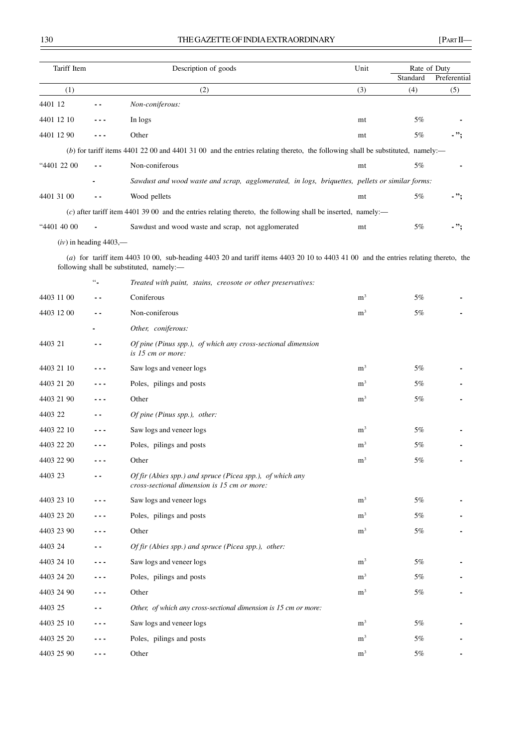| Tariff Item |                               | Description of goods                                                                                                                                                              | Unit           | Rate of Duty<br>Standard | Preferential |
|-------------|-------------------------------|-----------------------------------------------------------------------------------------------------------------------------------------------------------------------------------|----------------|--------------------------|--------------|
| (1)         |                               | (2)                                                                                                                                                                               | (3)            | (4)                      | (5)          |
| 4401 12     |                               | Non-coniferous:                                                                                                                                                                   |                |                          |              |
| 4401 12 10  |                               | In logs                                                                                                                                                                           | mt             | 5%                       |              |
| 4401 12 90  |                               | Other                                                                                                                                                                             | mt             | 5%                       | - ";         |
|             |                               | (b) for tariff items 4401 22 00 and 4401 31 00 and the entries relating thereto, the following shall be substituted, namely:-                                                     |                |                          |              |
| "4401 22 00 | $\overline{a}$ $\overline{a}$ | Non-coniferous                                                                                                                                                                    | mt             | 5%                       |              |
|             |                               | Sawdust and wood waste and scrap, agglomerated, in logs, briquettes, pellets or similar forms:                                                                                    |                |                          |              |
| 4401 31 00  |                               | Wood pellets                                                                                                                                                                      | mt             | 5%                       | - ";         |
|             |                               | $(c)$ after tariff item 4401 39 00 and the entries relating thereto, the following shall be inserted, namely:—                                                                    |                |                          |              |
| "4401 40 00 |                               | Sawdust and wood waste and scrap, not agglomerated                                                                                                                                | mt             | 5%                       | $.$ ";       |
|             | $(iv)$ in heading 4403,—      |                                                                                                                                                                                   |                |                          |              |
|             |                               | $(a)$ for tariff item 4403 10 00, sub-heading 4403 20 and tariff items 4403 20 10 to 4403 41 00 and the entries relating thereto, the<br>following shall be substituted, namely:- |                |                          |              |
|             | $\omega_{\rm m}$              | Treated with paint, stains, creosote or other preservatives:                                                                                                                      |                |                          |              |
| 4403 11 00  |                               | Coniferous                                                                                                                                                                        | m <sup>3</sup> | 5%                       |              |
| 4403 12 00  |                               | Non-coniferous                                                                                                                                                                    | m <sup>3</sup> | 5%                       |              |
|             |                               | Other, coniferous:                                                                                                                                                                |                |                          |              |
| 4403 21     | - -                           | Of pine (Pinus spp.), of which any cross-sectional dimension<br>is 15 cm or more:                                                                                                 |                |                          |              |
| 4403 21 10  |                               | Saw logs and veneer logs                                                                                                                                                          | m <sup>3</sup> | 5%                       |              |
| 4403 21 20  |                               | Poles, pilings and posts                                                                                                                                                          | m <sup>3</sup> | 5%                       |              |
| 4403 21 90  |                               | Other                                                                                                                                                                             | m <sup>3</sup> | 5%                       |              |
| 4403 22     | . .                           | Of pine (Pinus spp.), other:                                                                                                                                                      |                |                          |              |
| 4403 22 10  |                               | Saw logs and veneer logs                                                                                                                                                          | m <sup>3</sup> | 5%                       |              |
| 4403 22 20  | ---                           | Poles, pilings and posts                                                                                                                                                          | m <sup>3</sup> | 5%                       |              |
| 4403 22 90  |                               | Other                                                                                                                                                                             | m <sup>3</sup> | 5%                       |              |
| 4403 23     |                               | Of fir (Abies spp.) and spruce (Picea spp.), of which any<br>cross-sectional dimension is 15 cm or more:                                                                          |                |                          |              |
| 4403 23 10  | - - -                         | Saw logs and veneer logs                                                                                                                                                          | m <sup>3</sup> | 5%                       |              |
| 4403 23 20  | - - -                         | Poles, pilings and posts                                                                                                                                                          | m <sup>3</sup> | 5%                       |              |
| 4403 23 90  | - - -                         | Other                                                                                                                                                                             | m <sup>3</sup> | 5%                       |              |
| 4403 24     | . .                           | Of fir (Abies spp.) and spruce (Picea spp.), other:                                                                                                                               |                |                          |              |
| 4403 24 10  | - - -                         | Saw logs and veneer logs                                                                                                                                                          | m <sup>3</sup> | 5%                       |              |
| 4403 24 20  | ---                           | Poles, pilings and posts                                                                                                                                                          | m <sup>3</sup> | 5%                       |              |
| 4403 24 90  | - - -                         | Other                                                                                                                                                                             | m <sup>3</sup> | 5%                       |              |
| 4403 25     | . .                           | Other, of which any cross-sectional dimension is 15 cm or more:                                                                                                                   |                |                          |              |
| 4403 25 10  | - - -                         | Saw logs and veneer logs                                                                                                                                                          | m <sup>3</sup> | 5%                       |              |
| 4403 25 20  |                               | Poles, pilings and posts                                                                                                                                                          | m <sup>3</sup> | 5%                       |              |
| 4403 25 90  | ---                           | Other                                                                                                                                                                             | m <sup>3</sup> | 5%                       |              |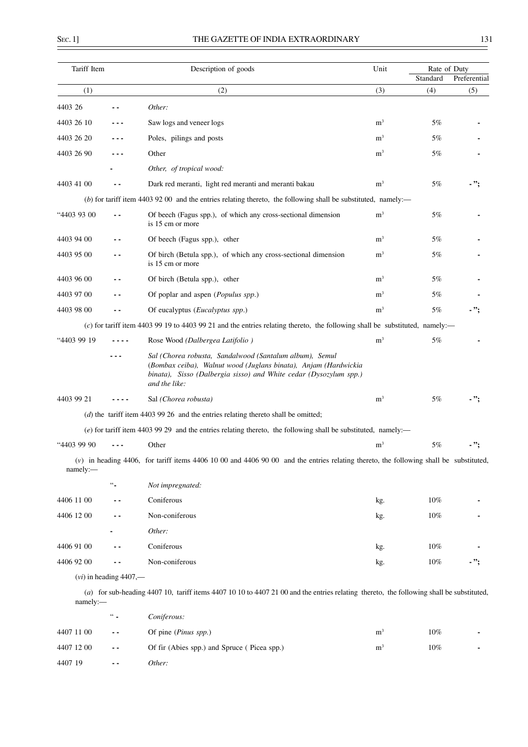$\overline{a}$ 

| Tariff Item |                          | Description of goods                                                                                                                                                                                             | Unit           | Rate of Duty<br>Standard | Preferential |
|-------------|--------------------------|------------------------------------------------------------------------------------------------------------------------------------------------------------------------------------------------------------------|----------------|--------------------------|--------------|
| (1)         |                          | (2)                                                                                                                                                                                                              | (3)            | (4)                      | (5)          |
| 4403 26     |                          | Other:                                                                                                                                                                                                           |                |                          |              |
| 4403 26 10  | ---                      | Saw logs and veneer logs                                                                                                                                                                                         | m <sup>3</sup> | 5%                       |              |
| 4403 26 20  |                          | Poles, pilings and posts                                                                                                                                                                                         | m <sup>3</sup> | 5%                       |              |
| 4403 26 90  |                          | Other                                                                                                                                                                                                            | m <sup>3</sup> | 5%                       |              |
|             |                          | Other, of tropical wood:                                                                                                                                                                                         |                |                          |              |
| 4403 41 00  |                          | Dark red meranti, light red meranti and meranti bakau                                                                                                                                                            | m <sup>3</sup> | 5%                       | - ":         |
|             |                          | (b) for tariff item 4403 92 00 and the entries relating thereto, the following shall be substituted, namely:—                                                                                                    |                |                          |              |
| "4403 93 00 |                          | Of beech (Fagus spp.), of which any cross-sectional dimension<br>is 15 cm or more                                                                                                                                | m <sup>3</sup> | 5%                       |              |
| 4403 94 00  |                          | Of beech (Fagus spp.), other                                                                                                                                                                                     | m <sup>3</sup> | 5%                       |              |
| 4403 95 00  |                          | Of birch (Betula spp.), of which any cross-sectional dimension<br>is 15 cm or more                                                                                                                               | m <sup>3</sup> | 5%                       |              |
| 4403 96 00  | $ -$                     | Of birch (Betula spp.), other                                                                                                                                                                                    | m <sup>3</sup> | 5%                       |              |
| 4403 97 00  | . .                      | Of poplar and aspen (Populus spp.)                                                                                                                                                                               | m <sup>3</sup> | 5%                       |              |
| 4403 98 00  |                          | Of eucalyptus ( <i>Eucalyptus spp.</i> )                                                                                                                                                                         | m <sup>3</sup> | 5%                       | - ";         |
|             |                          | (c) for tariff item 4403 99 19 to 4403 99 21 and the entries relating thereto, the following shall be substituted, namely:—                                                                                      |                |                          |              |
| "4403 99 19 |                          | Rose Wood (Dalbergea Latifolio)                                                                                                                                                                                  | m <sup>3</sup> | 5%                       |              |
|             |                          | Sal (Chorea robusta, Sandalwood (Santalum album), Semul<br>(Bombax ceiba), Walnut wood (Juglans binata), Anjam (Hardwickia<br>binata), Sisso (Dalbergia sisso) and White cedar (Dysozylum spp.)<br>and the like: |                |                          |              |
| 4403 99 21  |                          | Sal (Chorea robusta)                                                                                                                                                                                             | m <sup>3</sup> | 5%                       |              |
|             |                          | $(d)$ the tariff item 4403 99 26 and the entries relating thereto shall be omitted;                                                                                                                              |                |                          |              |
|             |                          | $(e)$ for tariff item 4403 99 29 and the entries relating thereto, the following shall be substituted, namely:—                                                                                                  |                |                          |              |
| "4403 99 90 |                          | Other                                                                                                                                                                                                            | m <sup>3</sup> | 5%                       |              |
| namely:     |                          | $(v)$ in heading 4406, for tariff items 4406 10 00 and 4406 90 00 and the entries relating thereto, the following shall be substituted,                                                                          |                |                          |              |
|             | $\frac{66}{1}$           | Not impregnated:                                                                                                                                                                                                 |                |                          |              |
| 4406 11 00  |                          | Coniferous                                                                                                                                                                                                       | kg.            | 10%                      |              |
| 4406 12 00  |                          | Non-coniferous                                                                                                                                                                                                   | kg.            | $10\%$                   |              |
|             |                          | Other:                                                                                                                                                                                                           |                |                          |              |
| 4406 91 00  |                          | Coniferous                                                                                                                                                                                                       | kg.            | 10%                      |              |
| 4406 92 00  | - -                      | Non-coniferous                                                                                                                                                                                                   | kg.            | 10%                      | - ";         |
|             | $(vi)$ in heading 4407,— |                                                                                                                                                                                                                  |                |                          |              |
| namely:-    |                          | (a) for sub-heading 4407 10, tariff items 4407 10 10 to 4407 21 00 and the entries relating thereto, the following shall be substituted,                                                                         |                |                          |              |

|            | $\frac{44}{10}$ | Coniferous:                                 |                |        |    |
|------------|-----------------|---------------------------------------------|----------------|--------|----|
| 4407 11 00 | $\sim$ $\sim$   | Of pine ( <i>Pinus spp.</i> )               | m              | $10\%$ | ۰. |
| 4407 12 00 | $\sim$ $\sim$   | Of fir (Abies spp.) and Spruce (Picea spp.) | m <sup>3</sup> | $10\%$ | ٠  |
| 4407 19    | $ -$            | Other:                                      |                |        |    |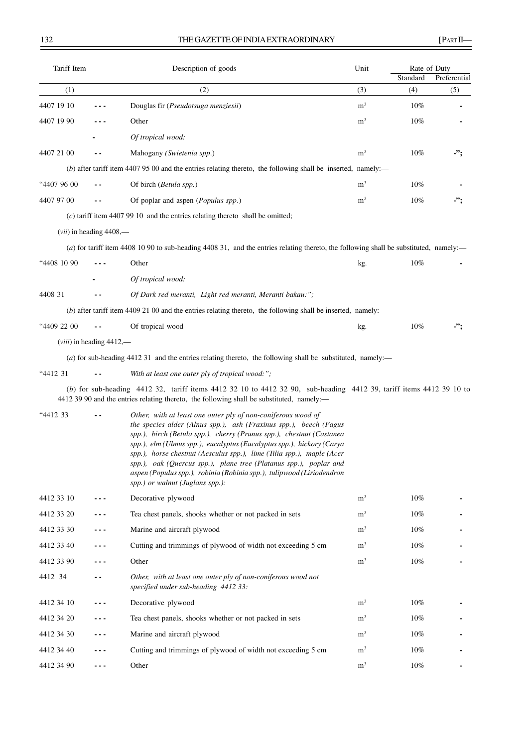| Tariff Item       |                               | Description of goods                                                                                                                                                                                                                                                                                                                                                                                                                                                                                                                         | Unit                  | Rate of Duty |              |
|-------------------|-------------------------------|----------------------------------------------------------------------------------------------------------------------------------------------------------------------------------------------------------------------------------------------------------------------------------------------------------------------------------------------------------------------------------------------------------------------------------------------------------------------------------------------------------------------------------------------|-----------------------|--------------|--------------|
|                   |                               |                                                                                                                                                                                                                                                                                                                                                                                                                                                                                                                                              |                       | Standard     | Preferential |
| (1)<br>4407 19 10 |                               | (2)                                                                                                                                                                                                                                                                                                                                                                                                                                                                                                                                          | (3)<br>m <sup>3</sup> | (4)<br>10%   | (5)          |
|                   |                               | Douglas fir (Pseudotsuga menziesii)                                                                                                                                                                                                                                                                                                                                                                                                                                                                                                          | m <sup>3</sup>        |              |              |
| 4407 19 90        |                               | Other                                                                                                                                                                                                                                                                                                                                                                                                                                                                                                                                        |                       | 10%          |              |
|                   |                               | Of tropical wood:                                                                                                                                                                                                                                                                                                                                                                                                                                                                                                                            |                       |              |              |
| 4407 21 00        |                               | Mahogany (Swietenia spp.)                                                                                                                                                                                                                                                                                                                                                                                                                                                                                                                    | m <sup>3</sup>        | $10\%$       | -";          |
|                   |                               | $(b)$ after tariff item 4407 95 00 and the entries relating thereto, the following shall be inserted, namely:—                                                                                                                                                                                                                                                                                                                                                                                                                               |                       |              |              |
| "4407 96 00       |                               | Of birch (Betula spp.)                                                                                                                                                                                                                                                                                                                                                                                                                                                                                                                       | m <sup>3</sup>        | 10%          |              |
| 4407 97 00        |                               | Of poplar and aspen (Populus spp.)                                                                                                                                                                                                                                                                                                                                                                                                                                                                                                           | m <sup>3</sup>        | $10\%$       | -";          |
|                   |                               | $(c)$ tariff item 4407 99 10 and the entries relating thereto shall be omitted;                                                                                                                                                                                                                                                                                                                                                                                                                                                              |                       |              |              |
|                   | $(vii)$ in heading $4408$ ,—  |                                                                                                                                                                                                                                                                                                                                                                                                                                                                                                                                              |                       |              |              |
|                   |                               | (a) for tariff item 4408 10 90 to sub-heading 4408 31, and the entries relating thereto, the following shall be substituted, namely:—                                                                                                                                                                                                                                                                                                                                                                                                        |                       |              |              |
| "4408 10 90       |                               | Other                                                                                                                                                                                                                                                                                                                                                                                                                                                                                                                                        | kg.                   | 10%          |              |
|                   |                               | Of tropical wood:                                                                                                                                                                                                                                                                                                                                                                                                                                                                                                                            |                       |              |              |
| 4408 31           |                               | Of Dark red meranti, Light red meranti, Meranti bakau:";                                                                                                                                                                                                                                                                                                                                                                                                                                                                                     |                       |              |              |
|                   |                               | $(b)$ after tariff item 4409 21 00 and the entries relating thereto, the following shall be inserted, namely:—                                                                                                                                                                                                                                                                                                                                                                                                                               |                       |              |              |
| "4409 22 00       |                               | Of tropical wood                                                                                                                                                                                                                                                                                                                                                                                                                                                                                                                             | kg.                   | $10\%$       | .";          |
|                   | $(viii)$ in heading $4412$ ,— |                                                                                                                                                                                                                                                                                                                                                                                                                                                                                                                                              |                       |              |              |
|                   |                               | (a) for sub-heading 4412 31 and the entries relating thereto, the following shall be substituted, namely:—                                                                                                                                                                                                                                                                                                                                                                                                                                   |                       |              |              |
| "4412 31          |                               | With at least one outer ply of tropical wood:";                                                                                                                                                                                                                                                                                                                                                                                                                                                                                              |                       |              |              |
|                   |                               | (b) for sub-heading 4412 32, tariff items 4412 32 10 to 4412 32 90, sub-heading 4412 39, tariff items 4412 39 10 to<br>4412 39 90 and the entries relating thereto, the following shall be substituted, namely:—                                                                                                                                                                                                                                                                                                                             |                       |              |              |
| "4412 33          |                               | Other, with at least one outer ply of non-coniferous wood of<br>the species alder (Alnus spp.), ash (Fraxinus spp.), beech (Fagus<br>spp.), birch (Betula spp.), cherry (Prunus spp.), chestnut (Castanea<br>spp.), elm (Ulmus spp.), eucalyptus (Eucalyptus spp.), hickory (Carya<br>spp.), horse chestnut (Aesculus spp.), lime (Tilia spp.), maple (Acer<br>spp.), oak (Quercus spp.), plane tree (Platanus spp.), poplar and<br>aspen (Populus spp.), robinia (Robinia spp.), tulipwood (Liriodendron<br>spp.) or walnut (Juglans spp.): |                       |              |              |
| 4412 33 10        | - - -                         | Decorative plywood                                                                                                                                                                                                                                                                                                                                                                                                                                                                                                                           | m <sup>3</sup>        | 10%          |              |
| 4412 33 20        |                               | Tea chest panels, shooks whether or not packed in sets                                                                                                                                                                                                                                                                                                                                                                                                                                                                                       | m <sup>3</sup>        | $10\%$       |              |
| 4412 33 30        | - - -                         | Marine and aircraft plywood                                                                                                                                                                                                                                                                                                                                                                                                                                                                                                                  | m <sup>3</sup>        | 10%          |              |
| 4412 33 40        | - - -                         | Cutting and trimmings of plywood of width not exceeding 5 cm                                                                                                                                                                                                                                                                                                                                                                                                                                                                                 | m <sup>3</sup>        | $10\%$       |              |
| 4412 33 90        | - - -                         | Other                                                                                                                                                                                                                                                                                                                                                                                                                                                                                                                                        | m <sup>3</sup>        | 10%          |              |
| 4412 34           | . .                           | Other, with at least one outer ply of non-coniferous wood not<br>specified under sub-heading 4412 33:                                                                                                                                                                                                                                                                                                                                                                                                                                        |                       |              |              |
| 4412 34 10        | - - -                         | Decorative plywood                                                                                                                                                                                                                                                                                                                                                                                                                                                                                                                           | m <sup>3</sup>        | $10\%$       |              |
| 4412 34 20        | - - -                         | Tea chest panels, shooks whether or not packed in sets                                                                                                                                                                                                                                                                                                                                                                                                                                                                                       | m <sup>3</sup>        | 10%          |              |
| 4412 34 30        | - - -                         | Marine and aircraft plywood                                                                                                                                                                                                                                                                                                                                                                                                                                                                                                                  | m <sup>3</sup>        | 10%          |              |
| 4412 34 40        | - - -                         | Cutting and trimmings of plywood of width not exceeding 5 cm                                                                                                                                                                                                                                                                                                                                                                                                                                                                                 | m <sup>3</sup>        | 10%          |              |
| 4412 34 90        | - - -                         | Other                                                                                                                                                                                                                                                                                                                                                                                                                                                                                                                                        | m <sup>3</sup>        | $10\%$       |              |
|                   |                               |                                                                                                                                                                                                                                                                                                                                                                                                                                                                                                                                              |                       |              |              |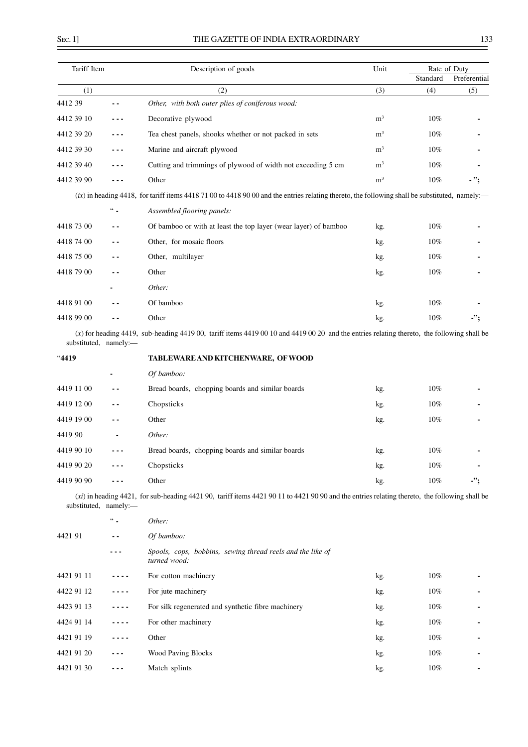| Tariff Item |        | Description of goods                                                                                                                             | Unit                                                                                                                                                                                                                      |              | Rate of Duty |  |
|-------------|--------|--------------------------------------------------------------------------------------------------------------------------------------------------|---------------------------------------------------------------------------------------------------------------------------------------------------------------------------------------------------------------------------|--------------|--------------|--|
|             |        |                                                                                                                                                  | Standard<br>(3)<br>(4)<br>m <sup>3</sup><br>10%<br>m <sup>3</sup><br>10%<br>m <sup>3</sup><br>10%<br>m <sup>3</sup><br>10%<br>m <sup>3</sup><br>10%<br>10%<br>kg.<br>10%<br>kg.<br>10%<br>kg.<br>10%<br>kg.<br>10%<br>kg. | Preferential |              |  |
| (1)         |        | (2)                                                                                                                                              |                                                                                                                                                                                                                           |              | (5)          |  |
| 4412 39     |        | Other, with both outer plies of coniferous wood:                                                                                                 |                                                                                                                                                                                                                           |              |              |  |
| 4412 39 10  |        | Decorative plywood                                                                                                                               |                                                                                                                                                                                                                           |              |              |  |
| 4412 39 20  |        | Tea chest panels, shooks whether or not packed in sets                                                                                           |                                                                                                                                                                                                                           |              |              |  |
| 4412 39 30  |        | Marine and aircraft plywood                                                                                                                      |                                                                                                                                                                                                                           |              |              |  |
| 4412 39 40  |        | Cutting and trimmings of plywood of width not exceeding 5 cm                                                                                     |                                                                                                                                                                                                                           |              |              |  |
| 4412 39 90  |        | Other                                                                                                                                            |                                                                                                                                                                                                                           |              | - ":         |  |
|             |        | $(ix)$ in heading 4418, for tariff items 4418 71 00 to 4418 90 00 and the entries relating thereto, the following shall be substituted, namely:— |                                                                                                                                                                                                                           |              |              |  |
|             | $66 -$ | Assembled flooring panels:                                                                                                                       |                                                                                                                                                                                                                           |              |              |  |
| 4418 73 00  | . .    | Of bamboo or with at least the top layer (wear layer) of bamboo                                                                                  |                                                                                                                                                                                                                           |              |              |  |
| 4418 74 00  | . .    | Other, for mosaic floors                                                                                                                         |                                                                                                                                                                                                                           |              |              |  |
| 4418 75 00  | - -    | Other, multilayer                                                                                                                                |                                                                                                                                                                                                                           |              |              |  |
| 4418 79 00  | . .    | Other                                                                                                                                            |                                                                                                                                                                                                                           |              |              |  |
|             |        | Other:                                                                                                                                           |                                                                                                                                                                                                                           |              |              |  |
| 4418 91 00  | . .    | Of bamboo                                                                                                                                        |                                                                                                                                                                                                                           |              |              |  |
| 4418 99 00  | . .    | Other                                                                                                                                            | kg.                                                                                                                                                                                                                       | 10%          | -":          |  |
|             |        | $(x)$ for heading 4419, sub-heading 4419 00, tariff items 4419 00 10 and 4419 00 20 and the entries relating thereto, the following shall be     |                                                                                                                                                                                                                           |              |              |  |

substituted, namely:—

"**4419 TABLEWARE AND KITCHENWARE, OF WOOD**

|            |                | Of bamboo:                                       |     |        |                |
|------------|----------------|--------------------------------------------------|-----|--------|----------------|
| 4419 11 00 | $ -$           | Bread boards, chopping boards and similar boards | kg. | $10\%$ | $\blacksquare$ |
| 4419 12 00 | $ -$           | Chopsticks                                       | kg. | 10%    | ٠              |
| 4419 19 00 | $ -$           | Other                                            | kg. | 10%    | ۰              |
| 4419 90    | $\blacksquare$ | Other:                                           |     |        |                |
| 4419 90 10 |                | Bread boards, chopping boards and similar boards | kg. | 10%    |                |
| 4419 90 20 | ---            | Chopsticks                                       | kg. | 10%    | ۰              |
| 4419 90 90 |                | Other                                            | kg. | 10%    | -";            |

(*xi*) in heading 4421, for sub-heading 4421 90, tariff items 4421 90 11 to 4421 90 90 and the entries relating thereto, the following shall be substituted, namely:—

|            | $66 -$ | Other:                                                                     |     |        |                |
|------------|--------|----------------------------------------------------------------------------|-----|--------|----------------|
| 4421 91    | $ -$   | Of bamboo:                                                                 |     |        |                |
|            |        | Spools, cops, bobbins, sewing thread reels and the like of<br>turned wood: |     |        |                |
| 4421 91 11 |        | For cotton machinery                                                       | kg. | $10\%$ | ٠              |
| 4422 91 12 | ----   | For jute machinery                                                         | kg. | $10\%$ | $\blacksquare$ |
| 4423 91 13 | ----   | For silk regenerated and synthetic fibre machinery                         | kg. | $10\%$ | ٠              |
| 4424 91 14 | ----   | For other machinery                                                        | kg. | $10\%$ | $\blacksquare$ |
| 4421 91 19 |        | Other                                                                      | kg. | $10\%$ | $\blacksquare$ |
| 4421 91 20 | ---    | <b>Wood Paving Blocks</b>                                                  | kg. | $10\%$ | $\blacksquare$ |
| 4421 91 30 |        | Match splints                                                              | kg. | 10%    | $\blacksquare$ |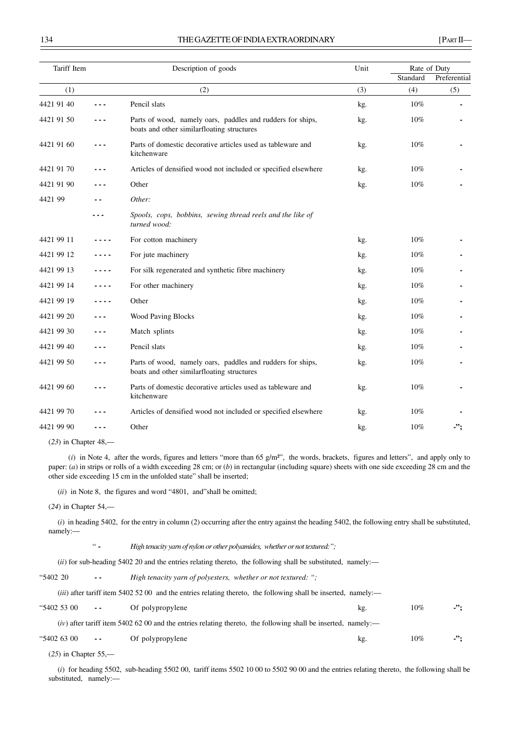#### 134 THE GAZETTE OF INDIA EXTRAORDINARY [PART II]

| Tariff Item |           | Description of goods                                                                                     | Unit |          | Rate of Duty |
|-------------|-----------|----------------------------------------------------------------------------------------------------------|------|----------|--------------|
|             |           |                                                                                                          |      | Standard | Preferential |
| (1)         |           | (2)                                                                                                      | (3)  | (4)      | (5)          |
| 4421 91 40  | - - -     | Pencil slats                                                                                             | kg.  | 10%      |              |
| 4421 91 50  | - - -     | Parts of wood, namely oars, paddles and rudders for ships,<br>boats and other similarfloating structures | kg.  | 10%      |              |
| 4421 91 60  | - - -     | Parts of domestic decorative articles used as tableware and<br>kitchenware                               | kg.  | 10%      |              |
| 4421 91 70  | - - -     | Articles of densified wood not included or specified elsewhere                                           | kg.  | 10%      |              |
| 4421 91 90  | .         | Other                                                                                                    | kg.  | 10%      |              |
| 4421 99     | - -       | Other:                                                                                                   |      |          |              |
|             | - - -     | Spools, cops, bobbins, sewing thread reels and the like of<br>turned wood:                               |      |          |              |
| 4421 99 11  | ----      | For cotton machinery                                                                                     | kg.  | 10%      |              |
| 4421 99 12  | ----      | For jute machinery                                                                                       | kg.  | 10%      |              |
| 4421 99 13  | ----      | For silk regenerated and synthetic fibre machinery                                                       | kg.  | 10%      |              |
| 4421 99 14  | ----      | For other machinery                                                                                      | kg.  | 10%      |              |
| 4421 99 19  | $- - - -$ | Other                                                                                                    | kg.  | 10%      |              |
| 4421 99 20  | - - -     | <b>Wood Paving Blocks</b>                                                                                | kg.  | 10%      |              |
| 4421 99 30  | .         | Match splints                                                                                            | kg.  | 10%      |              |
| 4421 99 40  | - - -     | Pencil slats                                                                                             | kg.  | 10%      |              |
| 4421 99 50  | - - -     | Parts of wood, namely oars, paddles and rudders for ships,<br>boats and other similarfloating structures | kg.  | 10%      |              |
| 4421 99 60  | $- - -$   | Parts of domestic decorative articles used as tableware and<br>kitchenware                               | kg.  | 10%      |              |
| 4421 99 70  | - - -     | Articles of densified wood not included or specified elsewhere                                           | kg.  | 10%      |              |
| 4421 99 90  | - - -     | Other                                                                                                    | kg.  | 10%      | $\cdot$ ";   |
|             |           |                                                                                                          |      |          |              |

```
(23) in Chapter 48,—
```
 (*i*) in Note 4, after the words, figures and letters "more than 65 g/m²", the words, brackets, figures and letters", and apply only to paper: (*a*) in strips or rolls of a width exceeding 28 cm; or (*b*) in rectangular (including square) sheets with one side exceeding 28 cm and the other side exceeding 15 cm in the unfolded state" shall be inserted;

(*ii*) in Note 8, the figures and word "4801, and"shall be omitted;

(*24*) in Chapter 54,—

(*i*) in heading 5402, for the entry in column (2) occurring after the entry against the heading 5402, the following entry shall be substituted, namely:—

" **-** *High tenacity yarn of nylon or other polyamides, whether or not textured:";*

(*ii*) for sub-heading 5402 20 and the entries relating thereto, the following shall be substituted, namely:-

"5402 20 **- -** *High tenacity yarn of polyesters, whether or not textured: ";*

(*iii*) after tariff item 5402 52 00 and the entries relating thereto, the following shall be inserted, namely:—

| "5402 53 00 | $ -$ | Of polypropylene | kg.                                                                                                             | $10\%$ | $\rightarrow$ |
|-------------|------|------------------|-----------------------------------------------------------------------------------------------------------------|--------|---------------|
|             |      |                  | $(iv)$ after tariff item 5402 62 00 and the entries relating thereto, the following shall be inserted, namely:— |        |               |
| "5402 63 00 | $ -$ | Of polypropylene | kg.                                                                                                             | 10%    | -"            |

(*25*) in Chapter 55,—

(*i*) for heading 5502, sub-heading 5502 00, tariff items 5502 10 00 to 5502 90 00 and the entries relating thereto, the following shall be substituted, namely:—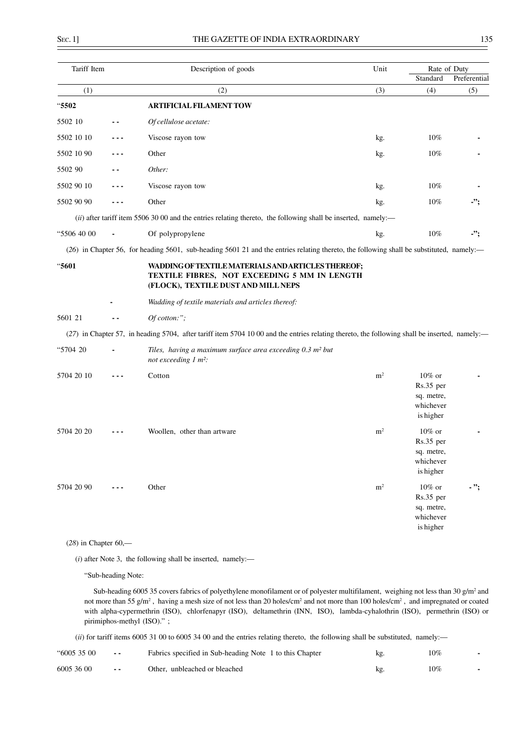| Tariff Item |         | Description of goods                                                                                                                          | Unit           | Rate of Duty                                                   |              |
|-------------|---------|-----------------------------------------------------------------------------------------------------------------------------------------------|----------------|----------------------------------------------------------------|--------------|
|             |         |                                                                                                                                               |                | Standard                                                       | Preferential |
| (1)         |         | (2)                                                                                                                                           | (3)            | (4)                                                            | (5)          |
| "5502       |         | <b>ARTIFICIAL FILAMENT TOW</b>                                                                                                                |                |                                                                |              |
| 5502 10     |         | Of cellulose acetate:                                                                                                                         |                |                                                                |              |
| 5502 10 10  |         | Viscose rayon tow                                                                                                                             | kg.            | $10\%$                                                         |              |
| 5502 10 90  |         | Other                                                                                                                                         | kg.            | 10%                                                            |              |
| 5502 90     |         | Other:                                                                                                                                        |                |                                                                |              |
| 5502 90 10  |         | Viscose rayon tow                                                                                                                             | kg.            | 10%                                                            |              |
| 5502 90 90  | ---     | Other                                                                                                                                         | kg.            | 10%                                                            | -";          |
|             |         | (ii) after tariff item 5506 30 00 and the entries relating thereto, the following shall be inserted, namely:-                                 |                |                                                                |              |
| "5506 40 00 |         | Of polypropylene                                                                                                                              | kg.            | 10%                                                            | -";          |
|             |         | (26) in Chapter 56, for heading 5601, sub-heading 5601 21 and the entries relating thereto, the following shall be substituted, namely:—      |                |                                                                |              |
| "5601       |         | WADDING OF TEXTILE MATERIALS AND ARTICLES THEREOF;<br>TEXTILE FIBRES, NOT EXCEEDING 5 MM IN LENGTH<br>(FLOCK), TEXTILE DUST AND MILL NEPS     |                |                                                                |              |
|             |         | Wadding of textile materials and articles thereof:                                                                                            |                |                                                                |              |
| 5601 21     |         | Of cotton:";                                                                                                                                  |                |                                                                |              |
|             |         | (27) in Chapter 57, in heading 5704, after tariff item 5704 10 00 and the entries relating thereto, the following shall be inserted, namely:- |                |                                                                |              |
| "5704 20    |         | Tiles, having a maximum surface area exceeding 0.3 m <sup>2</sup> but<br>not exceeding 1 m <sup>2</sup> :                                     |                |                                                                |              |
| 5704 20 10  |         | Cotton                                                                                                                                        | m <sup>2</sup> | $10\%$ or<br>Rs.35 per<br>sq. metre,<br>whichever<br>is higher |              |
| 5704 20 20  |         | Woollen, other than artware                                                                                                                   | m <sup>2</sup> | $10\%$ or<br>Rs.35 per<br>sq. metre,<br>whichever<br>is higher |              |
| 5704 20 90  | $- - -$ | Other                                                                                                                                         | $\mathbf{m}^2$ | $10\%$ or<br>Rs.35 per<br>sq. metre,<br>whichever<br>is higher | $\cdot$ ";   |

(*28*) in Chapter 60,—

(*i*) after Note 3, the following shall be inserted, namely:—

"Sub-heading Note:

Sub-heading 6005 35 covers fabrics of polyethylene monofilament or of polyester multifilament, weighing not less than 30 g/m<sup>2</sup> and not more than 55 g/m<sup>2</sup>, having a mesh size of not less than 20 holes/cm<sup>2</sup> and not more than 100 holes/cm<sup>2</sup>, and impregnated or coated with alpha-cypermethrin (ISO), chlorfenapyr (ISO), deltamethrin (INN, ISO), lambda-cyhalothrin (ISO), permethrin (ISO) or pirimiphos-methyl (ISO)." ;

(*ii*) for tariff items 6005 31 00 to 6005 34 00 and the entries relating thereto, the following shall be substituted, namely:—

| "6005 35 00 | $\sim$ $-$    | Fabrics specified in Sub-heading Note 1 to this Chapter | kg. | 10% |  |
|-------------|---------------|---------------------------------------------------------|-----|-----|--|
| 6005 36 00  | $\sim$ $\sim$ | Other, unbleached or bleached                           |     | 10% |  |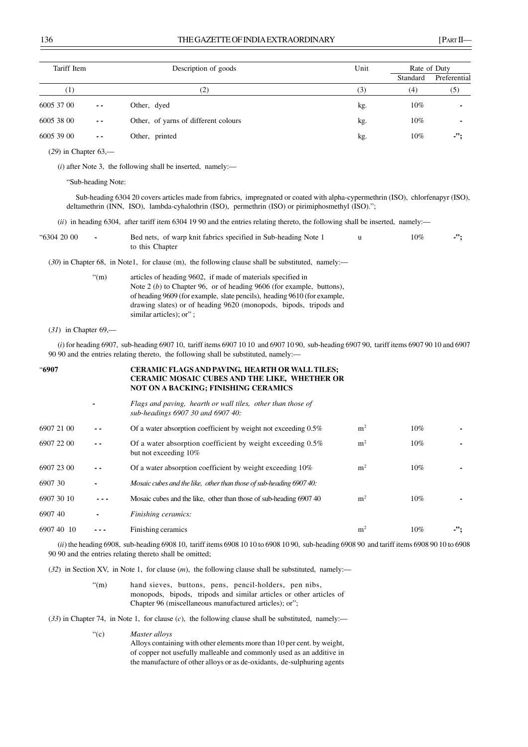| Tariff Item |               | Description of goods                 | Unit | Rate of Duty |              |
|-------------|---------------|--------------------------------------|------|--------------|--------------|
|             |               |                                      |      | Standard     | Preferential |
| (1)         |               | $\scriptstyle{(2)}$                  | (3)  | (4)          | (5)          |
| 6005 37 00  | $\sim$ $\sim$ | Other, dyed                          | kg.  | $10\%$       |              |
| 6005 38 00  | $ -$          | Other, of yarns of different colours | kg.  | $10\%$       |              |
| 6005 39 00  | $ -$          | Other, printed                       | kg.  | $10\%$       | $\cdot$      |

(*29*) in Chapter 63,—

(*i*) after Note 3, the following shall be inserted, namely:—

"Sub-heading Note:

Sub-heading 6304 20 covers articles made from fabrics, impregnated or coated with alpha-cypermethrin (ISO), chlorfenapyr (ISO), deltamethrin (INN, ISO), lambda-cyhalothrin (ISO), permethrin (ISO) or pirimiphosmethyl (ISO).";

(*ii*) in heading 6304, after tariff item 6304 19 90 and the entries relating thereto, the following shall be inserted, namely:—

| "6304 20 00 | Bed nets, of warp knit fabrics specified in Sub-heading Note 1 | 10% |  |
|-------------|----------------------------------------------------------------|-----|--|
|             | to this Chapter                                                |     |  |

(*30*) in Chapter 68, in Note1, for clause (m), the following clause shall be substituted, namely:—

| $\mathrm{H}(m)$ | articles of heading 9602, if made of materials specified in              |
|-----------------|--------------------------------------------------------------------------|
|                 | Note $2(b)$ to Chapter 96, or of heading 9606 (for example, buttons),    |
|                 | of heading 9609 (for example, slate pencils), heading 9610 (for example, |
|                 | drawing slates) or of heading 9620 (monopods, bipods, tripods and        |
|                 | similar articles): or":                                                  |
|                 |                                                                          |

(*31*) in Chapter 69,—

(*i*) for heading 6907, sub-heading 6907 10, tariff items 6907 10 10 and 6907 10 90, sub-heading 6907 90, tariff items 6907 90 10 and 6907 90 90 and the entries relating thereto, the following shall be substituted, namely:—

| <b>"6907</b> |     | CERAMIC FLAGS AND PAVING, HEARTH OR WALL TILES;<br><b>CERAMIC MOSAIC CUBES AND THE LIKE, WHETHER OR</b><br><b>NOT ON A BACKING; FINISHING CERAMICS</b> |                |        |                         |
|--------------|-----|--------------------------------------------------------------------------------------------------------------------------------------------------------|----------------|--------|-------------------------|
|              |     | Flags and paving, hearth or wall tiles, other than those of<br>sub-headings 6907 30 and 6907 40:                                                       |                |        |                         |
| 6907 21 00   |     | Of a water absorption coefficient by weight not exceeding $0.5\%$                                                                                      | m <sup>2</sup> | $10\%$ |                         |
| 6907 22 00   | - - | Of a water absorption coefficient by weight exceeding 0.5%<br>but not exceeding 10%                                                                    | m <sup>2</sup> | $10\%$ |                         |
| 6907 23 00   | - - | Of a water absorption coefficient by weight exceeding 10%                                                                                              | m <sup>2</sup> | $10\%$ |                         |
| 6907 30      |     | Mosaic cubes and the like, other than those of sub-heading 690740:                                                                                     |                |        |                         |
| 6907 30 10   |     | Mosaic cubes and the like, other than those of sub-heading 690740                                                                                      | m <sup>2</sup> | $10\%$ |                         |
| 690740       |     | Finishing ceramics:                                                                                                                                    |                |        |                         |
| 6907 40 10   |     | Finishing ceramics                                                                                                                                     | m <sup>2</sup> | 10%    | $\cdot$ $\cdot$ $\cdot$ |

(*ii*) the heading 6908, sub-heading 6908 10, tariff items 6908 10 10 to 6908 10 90, sub-heading 6908 90 and tariff items 6908 90 10 to 6908 90 90 and the entries relating thereto shall be omitted;

(*32*) in Section XV, in Note 1, for clause (*m*), the following clause shall be substituted, namely:—

"(m) hand sieves, buttons, pens, pencil-holders, pen nibs, monopods, bipods, tripods and similar articles or other articles of Chapter 96 (miscellaneous manufactured articles); or";

(*33*) in Chapter 74, in Note 1, for clause (*c*), the following clause shall be substituted, namely:—

"(c) *Master alloys*

Alloys containing with other elements more than 10 per cent. by weight, of copper not usefully malleable and commonly used as an additive in the manufacture of other alloys or as de-oxidants, de-sulphuring agents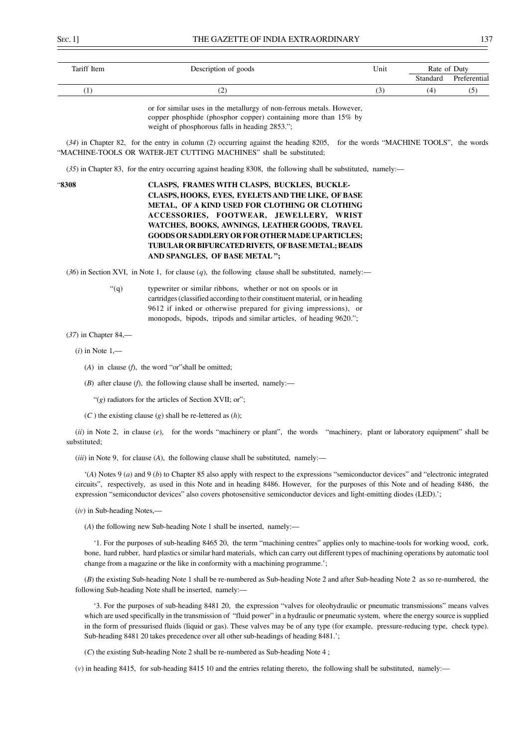| Tariff Item | Description of goods | Unit | Rate of Duty |              |
|-------------|----------------------|------|--------------|--------------|
|             |                      |      | Standard     | Preferential |
| -           | ے                    | ◡    | (4           | ັບ           |

or for similar uses in the metallurgy of non-ferrous metals. However, copper phosphide (phosphor copper) containing more than 15% by weight of phosphorous falls in heading 2853.";

(*34*) in Chapter 82, for the entry in column (2) occurring against the heading 8205, for the words "MACHINE TOOLS", the words "MACHINE-TOOLS OR WATER-JET CUTTING MACHINES" shall be substituted;

(*35*) in Chapter 83, for the entry occurring against heading 8308, the following shall be substituted, namely:—

# "**8308 CLASPS, FRAMES WITH CLASPS, BUCKLES, BUCKLE-CLASPS, HOOKS, EYES, EYELETS AND THE LIKE, OF BASE METAL, OF A KIND USED FOR CLOTHING OR CLOTHING ACCESSORIES, FOOTWEAR, JEWELLERY, WRIST WATCHES, BOOKS, AWNINGS, LEATHER GOODS, TRAVEL GOODS OR SADDLERY OR FOR OTHER MADE UP ARTICLES; TUBULAR OR BIFURCATED RIVETS, OF BASE METAL; BEADS AND SPANGLES, OF BASE METAL ";**

(*36*) in Section XVI, in Note 1, for clause (*q*), the following clause shall be substituted, namely:—

"(q) typewriter or similar ribbons, whether or not on spools or in cartridges (classified according to their constituent material, or in heading 9612 if inked or otherwise prepared for giving impressions), or monopods, bipods, tripods and similar articles, of heading 9620.";

#### (*37*) in Chapter 84,—

(*i*) in Note 1,—

(*A*) in clause (*f*), the word "or"shall be omitted;

(*B*) after clause (*f*), the following clause shall be inserted, namely:—

"(*g*) radiators for the articles of Section XVII; or";

(*C* ) the existing clause (*g*) shall be re-lettered as (*h*);

(*ii*) in Note 2, in clause (*e*), for the words "machinery or plant", the words "machinery, plant or laboratory equipment" shall be substituted;

(*iii*) in Note 9, for clause (*A*), the following clause shall be substituted, namely:—

'(*A*) Notes 9 (*a*) and 9 (*b*) to Chapter 85 also apply with respect to the expressions "semiconductor devices" and "electronic integrated circuits", respectively, as used in this Note and in heading 8486. However, for the purposes of this Note and of heading 8486, the expression "semiconductor devices" also covers photosensitive semiconductor devices and light-emitting diodes (LED).';

(*iv*) in Sub-heading Notes,—

(*A*) the following new Sub-heading Note 1 shall be inserted, namely:—

'1. For the purposes of sub-heading 8465 20, the term "machining centres" applies only to machine-tools for working wood, cork, bone, hard rubber, hard plastics or similar hard materials, which can carry out different types of machining operations by automatic tool change from a magazine or the like in conformity with a machining programme.';

(*B*) the existing Sub-heading Note 1 shall be re-numbered as Sub-heading Note 2 and after Sub-heading Note 2 as so re-numbered, the following Sub-heading Note shall be inserted, namely:—

'3. For the purposes of sub-heading 8481 20, the expression "valves for oleohydraulic or pneumatic transmissions" means valves which are used specifically in the transmission of "fluid power" in a hydraulic or pneumatic system, where the energy source is supplied in the form of pressurised fluids (liquid or gas). These valves may be of any type (for example, pressure-reducing type, check type). Sub-heading 8481 20 takes precedence over all other sub-headings of heading 8481.';

(*C*) the existing Sub-heading Note 2 shall be re-numbered as Sub-heading Note 4 ;

(*v*) in heading 8415, for sub-heading 8415 10 and the entries relating thereto, the following shall be substituted, namely:—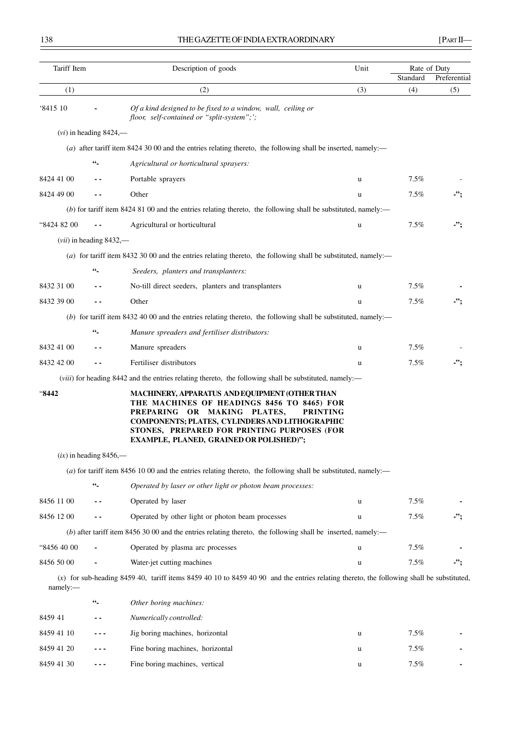| Tariff Item |                           | Description of goods                                                                                                                                                                                                                                                                              | Unit |          | Rate of Duty |
|-------------|---------------------------|---------------------------------------------------------------------------------------------------------------------------------------------------------------------------------------------------------------------------------------------------------------------------------------------------|------|----------|--------------|
|             |                           |                                                                                                                                                                                                                                                                                                   |      | Standard | Preferential |
| (1)         |                           | (2)                                                                                                                                                                                                                                                                                               | (3)  | (4)      | (5)          |
| '8415 10    |                           | Of a kind designed to be fixed to a window, wall, ceiling or<br>floor, self-contained or "split-system";';                                                                                                                                                                                        |      |          |              |
|             | $(vi)$ in heading 8424,—  |                                                                                                                                                                                                                                                                                                   |      |          |              |
|             |                           | (a) after tariff item 8424 30 00 and the entries relating thereto, the following shall be inserted, namely:—                                                                                                                                                                                      |      |          |              |
|             | $66 -$                    | Agricultural or horticultural sprayers:                                                                                                                                                                                                                                                           |      |          |              |
| 8424 41 00  |                           | Portable sprayers                                                                                                                                                                                                                                                                                 | u    | 7.5%     |              |
| 8424 49 00  |                           | Other                                                                                                                                                                                                                                                                                             | u    | 7.5%     | -";          |
|             |                           | $(b)$ for tariff item 8424 81 00 and the entries relating thereto, the following shall be substituted, namely:—                                                                                                                                                                                   |      |          |              |
| "8424 82 00 |                           | Agricultural or horticultural                                                                                                                                                                                                                                                                     | u    | 7.5%     | -";          |
|             | $(vii)$ in heading 8432,— |                                                                                                                                                                                                                                                                                                   |      |          |              |
|             |                           | (a) for tariff item 8432 30 00 and the entries relating thereto, the following shall be substituted, namely:—                                                                                                                                                                                     |      |          |              |
|             | $66 -$                    | Seeders, planters and transplanters:                                                                                                                                                                                                                                                              |      |          |              |
| 8432 31 00  |                           | No-till direct seeders, planters and transplanters                                                                                                                                                                                                                                                | u    | 7.5%     |              |
| 8432 39 00  |                           | Other                                                                                                                                                                                                                                                                                             | u    | 7.5%     | -";          |
|             |                           | (b) for tariff item 8432 40 00 and the entries relating thereto, the following shall be substituted, namely:—                                                                                                                                                                                     |      |          |              |
|             | $66_{-}$                  | Manure spreaders and fertiliser distributors:                                                                                                                                                                                                                                                     |      |          |              |
| 8432 41 00  |                           | Manure spreaders                                                                                                                                                                                                                                                                                  | u    | 7.5%     |              |
| 8432 42 00  |                           | Fertiliser distributors                                                                                                                                                                                                                                                                           | u    | 7.5%     | -";          |
|             |                           | (viii) for heading 8442 and the entries relating thereto, the following shall be substituted, namely:—                                                                                                                                                                                            |      |          |              |
| "8442"      |                           | MACHINERY, APPARATUS AND EQUIPMENT (OTHER THAN<br>THE MACHINES OF HEADINGS 8456 TO 8465) FOR<br>PREPARING OR MAKING PLATES,<br><b>PRINTING</b><br>COMPONENTS; PLATES, CYLINDERS AND LITHOGRAPHIC<br>STONES, PREPARED FOR PRINTING PURPOSES (FOR<br><b>EXAMPLE, PLANED, GRAINED OR POLISHED)";</b> |      |          |              |
|             | $(ix)$ in heading 8456,—  |                                                                                                                                                                                                                                                                                                   |      |          |              |
|             |                           | (a) for tariff item 8456 10 00 and the entries relating thereto, the following shall be substituted, namely:—                                                                                                                                                                                     |      |          |              |
|             | $66\degree$               | Operated by laser or other light or photon beam processes:                                                                                                                                                                                                                                        |      |          |              |
| 8456 11 00  |                           | Operated by laser                                                                                                                                                                                                                                                                                 | u    | 7.5%     |              |
| 8456 12 00  |                           | Operated by other light or photon beam processes                                                                                                                                                                                                                                                  | u    | 7.5%     |              |
|             |                           | (b) after tariff item $84563000$ and the entries relating thereto, the following shall be inserted, namely:—                                                                                                                                                                                      |      |          |              |
| "8456 40 00 |                           | Operated by plasma arc processes                                                                                                                                                                                                                                                                  | u    | 7.5%     |              |
| 8456 50 00  |                           | Water-jet cutting machines                                                                                                                                                                                                                                                                        | u    | 7.5%     | -";          |
| namely:     |                           | $(x)$ for sub-heading 8459 40, tariff items 8459 40 10 to 8459 40 90 and the entries relating thereto, the following shall be substituted,                                                                                                                                                        |      |          |              |
|             | $66\degree$               | Other boring machines:                                                                                                                                                                                                                                                                            |      |          |              |
| 8459 41     |                           | Numerically controlled:                                                                                                                                                                                                                                                                           |      |          |              |
| 8459 41 10  |                           | Jig boring machines, horizontal                                                                                                                                                                                                                                                                   | u    | 7.5%     |              |
| 8459 41 20  |                           | Fine boring machines, horizontal                                                                                                                                                                                                                                                                  | u    | 7.5%     |              |
| 8459 41 30  | - - -                     | Fine boring machines, vertical                                                                                                                                                                                                                                                                    | u    | 7.5%     |              |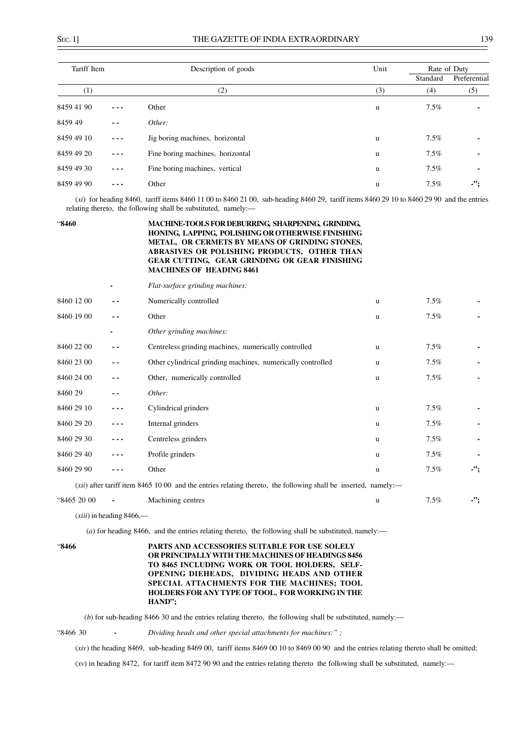| Tariff Item |         | Description of goods             | Unit | Rate of Duty |              |  |
|-------------|---------|----------------------------------|------|--------------|--------------|--|
|             |         |                                  |      | Standard     | Preferential |  |
| (1)         |         | (2)                              | (3)  | (4)          | (5)          |  |
| 8459 41 90  | ---     | Other                            | u    | $7.5\%$      |              |  |
| 8459 49     | $ -$    | Other:                           |      |              |              |  |
| 8459 49 10  | $- - -$ | Jig boring machines, horizontal  | u    | $7.5\%$      |              |  |
| 8459 49 20  | $- - -$ | Fine boring machines, horizontal | u    | $7.5\%$      |              |  |
| 8459 49 30  | ---     | Fine boring machines, vertical   | u    | $7.5\%$      |              |  |
| 8459 49 90  | ---     | Other                            | u    | $7.5\%$      | -":          |  |

(*xi*) for heading 8460, tariff items 8460 11 00 to 8460 21 00, sub-heading 8460 29, tariff items 8460 29 10 to 8460 29 90 and the entries relating thereto, the following shall be substituted, namely:—

## "**8460 MACHINE-TOOLS FOR DEBURRING, SHARPENING, GRINDING, HONING, LAPPING, POLISHING OR OTHERWISE FINISHING METAL, OR CERMETS BY MEANS OF GRINDING STONES, ABRASIVES OR POLISHING PRODUCTS, OTHER THAN GEAR CUTTING, GEAR GRINDING OR GEAR FINISHING MACHINES OF HEADING 8461**

|                         |               | Flat-surface grinding machines:                                                                                                                           |          |         |                          |
|-------------------------|---------------|-----------------------------------------------------------------------------------------------------------------------------------------------------------|----------|---------|--------------------------|
| 8460 12 00              | - -           | Numerically controlled                                                                                                                                    | <b>u</b> | $7.5\%$ |                          |
| 8460 19 00              | $ -$          | Other                                                                                                                                                     | u        | $7.5\%$ |                          |
|                         |               | Other grinding machines:                                                                                                                                  |          |         |                          |
| 8460 22 00              | $ -$          | Centreless grinding machines, numerically controlled                                                                                                      | u        | $7.5\%$ | -                        |
| 8460 23 00              | $\sim$ $\sim$ | Other cylindrical grinding machines, numerically controlled                                                                                               | u        | $7.5\%$ | ٠                        |
| 8460 24 00              | $ -$          | Other, numerically controlled                                                                                                                             | u        | $7.5\%$ | ٠                        |
| 8460 29                 | - -           | Other:                                                                                                                                                    |          |         |                          |
| 8460 29 10              |               | Cylindrical grinders                                                                                                                                      | <b>u</b> | 7.5%    | -                        |
| 8460 29 20              |               | Internal grinders                                                                                                                                         | u        | $7.5\%$ | $\overline{\phantom{a}}$ |
| 8460 29 30              | .             | Centreless grinders                                                                                                                                       | u        | $7.5\%$ | -                        |
| 8460 29 40              |               | Profile grinders                                                                                                                                          | u        | $7.5\%$ | $\overline{a}$           |
| 8460 29 90              |               | Other                                                                                                                                                     | u        | $7.5\%$ | -";                      |
| $\lambda$ in $\alpha$ . | .001          | $\mathbf{r}$ and $\mathbf{r}$ and $\mathbf{r}$<br>$\cdots$<br>$\mathcal{A}$ and $\mathcal{A}$ and $\mathcal{A}$ and $\mathcal{A}$<br>0.177300<br>$\cdots$ |          |         |                          |

(*xii*) after tariff item 8465 10 00 and the entries relating thereto, the following shall be inserted, namely:—

"8465 20 00 **-** Machining centres u 7.5% **-";**

(*xiii*) in heading 8466,—

 $(a)$  for heading 8466, and the entries relating thereto, the following shall be substituted, namely:—

#### "**8466 PARTS AND ACCESSORIES SUITABLE FOR USE SOLELY OR PRINCIPALLY WITH THE MACHINES OF HEADINGS 8456 TO 8465 INCLUDING WORK OR TOOL HOLDERS, SELF-OPENING DIEHEADS, DIVIDING HEADS AND OTHER SPECIAL ATTACHMENTS FOR THE MACHINES; TOOL HOLDERS FOR ANY TYPE OF TOOL, FOR WORKING IN THE HAND";**

(*b*) for sub-heading 8466 30 and the entries relating thereto, the following shall be substituted, namely:—

"8466 30 **-** *Dividing heads and other special attachments for machines:" ;*

(*xiv*) the heading 8469, sub-heading 8469 00, tariff items 8469 00 10 to 8469 00 90 and the entries relating thereto shall be omitted;

(*xv*) in heading 8472, for tariff item 8472 90 90 and the entries relating thereto the following shall be substituted, namely:—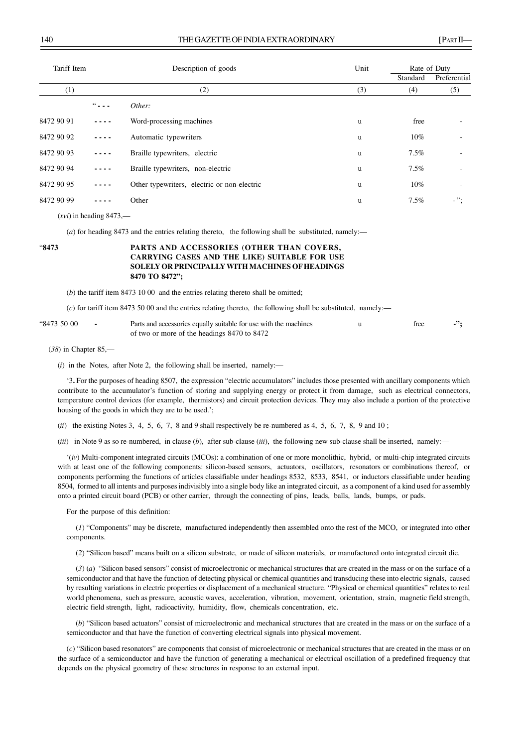| Tariff Item |                                                         | Description of goods                        | Unit | Rate of Duty    |                |  |
|-------------|---------------------------------------------------------|---------------------------------------------|------|-----------------|----------------|--|
|             |                                                         |                                             |      | Standard<br>(4) | Preferential   |  |
| (1)         |                                                         | (2)                                         | (3)  |                 | (5)            |  |
|             | $\frac{1}{2}$ $\frac{1}{2}$ $\frac{1}{2}$ $\frac{1}{2}$ | Other:                                      |      |                 |                |  |
| 8472 90 91  |                                                         | Word-processing machines                    | u    | free            |                |  |
| 8472 90 92  | $\sim$ $\sim$ $\sim$ $\sim$                             | Automatic typewriters                       | u    | 10%             |                |  |
| 8472 90 93  | $- - - -$                                               | Braille typewriters, electric               | u    | $7.5\%$         |                |  |
| 8472 90 94  | $- - - -$                                               | Braille typewriters, non-electric           | u    | $7.5\%$         |                |  |
| 8472 90 95  | ----                                                    | Other typewriters, electric or non-electric | u    | 10%             |                |  |
| 8472 90 99  |                                                         | Other                                       | u    | $7.5\%$         | $ \mathcal{P}$ |  |
|             |                                                         |                                             |      |                 |                |  |

(*xvi*) in heading 8473,—

(*a*) for heading 8473 and the entries relating thereto, the following shall be substituted, namely:—

# "**8473 PARTS AND ACCESSORIES (OTHER THAN COVERS, CARRYING CASES AND THE LIKE) SUITABLE FOR USE SOLELY OR PRINCIPALLY WITH MACHINES OF HEADINGS 8470 TO 8472";**

(*b*) the tariff item 8473 10 00 and the entries relating thereto shall be omitted;

(*c*) for tariff item 8473 50 00 and the entries relating thereto, the following shall be substituted, namely:—

| "8473 50 00 | Parts and accessories equally suitable for use with the machines | tree |  |
|-------------|------------------------------------------------------------------|------|--|
|             | of two or more of the headings 8470 to 8472                      |      |  |

(*38*) in Chapter 85,—

(*i*) in the Notes, after Note 2, the following shall be inserted, namely:—

'3**.** For the purposes of heading 8507, the expression "electric accumulators" includes those presented with ancillary components which contribute to the accumulator's function of storing and supplying energy or protect it from damage, such as electrical connectors, temperature control devices (for example, thermistors) and circuit protection devices. They may also include a portion of the protective housing of the goods in which they are to be used.';

(*ii*) the existing Notes 3, 4, 5, 6, 7, 8 and 9 shall respectively be re-numbered as 4, 5, 6, 7, 8, 9 and 10;

(*iii*) in Note 9 as so re-numbered, in clause (*b*), after sub-clause (*iii*), the following new sub-clause shall be inserted, namely:—

'(*iv*) Multi-component integrated circuits (MCOs): a combination of one or more monolithic, hybrid, or multi-chip integrated circuits with at least one of the following components: silicon-based sensors, actuators, oscillators, resonators or combinations thereof, or components performing the functions of articles classifiable under headings 8532, 8533, 8541, or inductors classifiable under heading 8504, formed to all intents and purposes indivisibly into a single body like an integrated circuit, as a component of a kind used for assembly onto a printed circuit board (PCB) or other carrier, through the connecting of pins, leads, balls, lands, bumps, or pads.

For the purpose of this definition:

(*1*) "Components" may be discrete, manufactured independently then assembled onto the rest of the MCO, or integrated into other components.

(*2*) "Silicon based" means built on a silicon substrate, or made of silicon materials, or manufactured onto integrated circuit die.

(*3*) (*a*) "Silicon based sensors" consist of microelectronic or mechanical structures that are created in the mass or on the surface of a semiconductor and that have the function of detecting physical or chemical quantities and transducing these into electric signals, caused by resulting variations in electric properties or displacement of a mechanical structure. "Physical or chemical quantities" relates to real world phenomena, such as pressure, acoustic waves, acceleration, vibration, movement, orientation, strain, magnetic field strength, electric field strength, light, radioactivity, humidity, flow, chemicals concentration, etc.

(*b*) "Silicon based actuators" consist of microelectronic and mechanical structures that are created in the mass or on the surface of a semiconductor and that have the function of converting electrical signals into physical movement.

(*c*) "Silicon based resonators" are components that consist of microelectronic or mechanical structures that are created in the mass or on the surface of a semiconductor and have the function of generating a mechanical or electrical oscillation of a predefined frequency that depends on the physical geometry of these structures in response to an external input.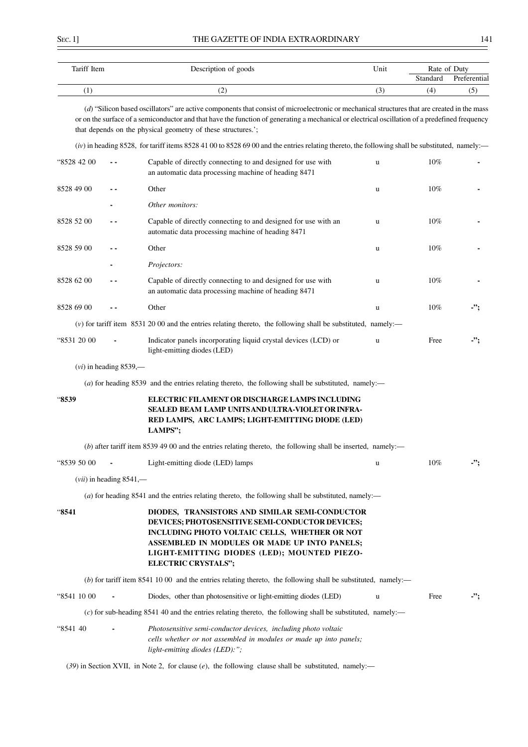| Tariff Item | Description of goods | -- -<br>Unit | Rate of Duty |              |
|-------------|----------------------|--------------|--------------|--------------|
|             |                      |              | Standard     | Preferential |
| л.          | ے ا                  | ◡            | ί4           | ◡            |

(*d*) "Silicon based oscillators" are active components that consist of microelectronic or mechanical structures that are created in the mass or on the surface of a semiconductor and that have the function of generating a mechanical or electrical oscillation of a predefined frequency that depends on the physical geometry of these structures.';

 $(iv)$  in heading 8528, for tariff items 8528 41 00 to 8528 69 00 and the entries relating thereto, the following shall be substituted, namely: $-$ 

| "8528 42 00 | - -                       | Capable of directly connecting to and designed for use with<br>an automatic data processing machine of heading 8471                                                                                                                                                      | u           | 10%  |            |
|-------------|---------------------------|--------------------------------------------------------------------------------------------------------------------------------------------------------------------------------------------------------------------------------------------------------------------------|-------------|------|------------|
| 8528 49 00  | . .                       | Other                                                                                                                                                                                                                                                                    | u           | 10%  |            |
|             |                           | Other monitors:                                                                                                                                                                                                                                                          |             |      |            |
| 8528 52 00  | . .                       | Capable of directly connecting to and designed for use with an<br>automatic data processing machine of heading 8471                                                                                                                                                      | $\mathbf u$ | 10%  |            |
| 8528 59 00  | . .                       | Other                                                                                                                                                                                                                                                                    | u           | 10%  |            |
|             |                           | Projectors:                                                                                                                                                                                                                                                              |             |      |            |
| 8528 62 00  |                           | Capable of directly connecting to and designed for use with<br>an automatic data processing machine of heading 8471                                                                                                                                                      | u           | 10%  |            |
| 8528 69 00  | - -                       | Other                                                                                                                                                                                                                                                                    | u           | 10%  | -";        |
|             |                           | $(v)$ for tariff item 8531 20 00 and the entries relating thereto, the following shall be substituted, namely:—                                                                                                                                                          |             |      |            |
| "8531 20 00 |                           | Indicator panels incorporating liquid crystal devices (LCD) or<br>light-emitting diodes (LED)                                                                                                                                                                            | $\mathbf u$ | Free | $\cdot$ "; |
|             | $(vi)$ in heading 8539,—  |                                                                                                                                                                                                                                                                          |             |      |            |
|             |                           | (a) for heading 8539 and the entries relating thereto, the following shall be substituted, namely:—                                                                                                                                                                      |             |      |            |
| "8539       |                           | ELECTRIC FILAMENT OR DISCHARGE LAMPS INCLUDING<br>SEALED BEAM LAMP UNITS AND ULTRA-VIOLET OR INFRA-<br>RED LAMPS, ARC LAMPS; LIGHT-EMITTING DIODE (LED)<br>LAMPS";                                                                                                       |             |      |            |
|             |                           | (b) after tariff item $85394900$ and the entries relating thereto, the following shall be inserted, namely:—                                                                                                                                                             |             |      |            |
| "8539 50 00 |                           | Light-emitting diode (LED) lamps                                                                                                                                                                                                                                         | u           | 10%  | -";        |
|             | $(vii)$ in heading 8541,— |                                                                                                                                                                                                                                                                          |             |      |            |
|             |                           | (a) for heading 8541 and the entries relating thereto, the following shall be substituted, namely:—                                                                                                                                                                      |             |      |            |
| "8541       |                           | DIODES, TRANSISTORS AND SIMILAR SEMI-CONDUCTOR<br>DEVICES; PHOTOSENSITIVE SEMI-CONDUCTOR DEVICES;<br>INCLUDING PHOTO VOLTAIC CELLS, WHETHER OR NOT<br>ASSEMBLED IN MODULES OR MADE UP INTO PANELS;<br>LIGHT-EMITTING DIODES (LED); MOUNTED PIEZO-<br>ELECTRIC CRYSTALS"; |             |      |            |
|             |                           | (b) for tariff item $8541\ 10\ 00$ and the entries relating thereto, the following shall be substituted, namely:—                                                                                                                                                        |             |      |            |
| "8541 10 00 |                           | Diodes, other than photosensitive or light-emitting diodes (LED)                                                                                                                                                                                                         | u           | Free | -";        |
|             |                           | (c) for sub-heading 8541 40 and the entries relating thereto, the following shall be substituted, namely:—                                                                                                                                                               |             |      |            |
| "8541 40    |                           | Photosensitive semi-conductor devices, including photo voltaic<br>cells whether or not assembled in modules or made up into panels;<br>light-emitting diodes (LED):";                                                                                                    |             |      |            |
|             |                           | $(39)$ in Section XVII, in Note 2, for clause (e), the following clause shall be substituted, namely:—                                                                                                                                                                   |             |      |            |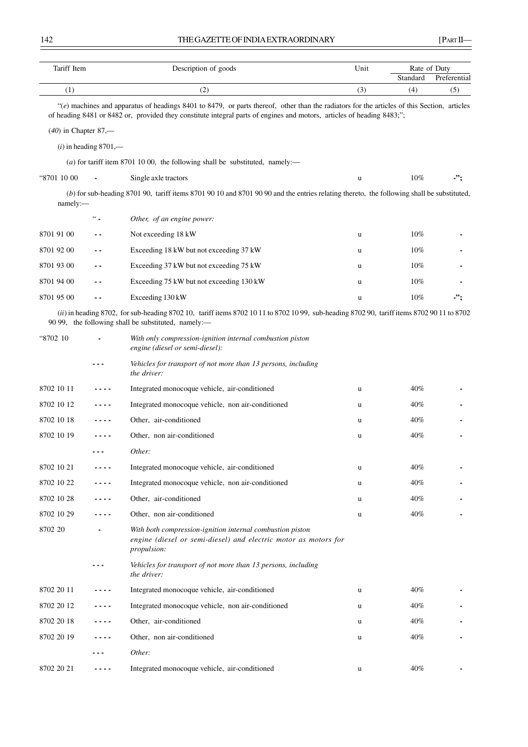| Tariff Item            |                         | Description of goods                                                                                                                                                                                                                                                  | Unit | Rate of Duty |              |
|------------------------|-------------------------|-----------------------------------------------------------------------------------------------------------------------------------------------------------------------------------------------------------------------------------------------------------------------|------|--------------|--------------|
|                        |                         |                                                                                                                                                                                                                                                                       |      | Standard     | Preferential |
| (1)                    |                         | (2)                                                                                                                                                                                                                                                                   | (3)  | (4)          | (5)          |
|                        |                         | "(e) machines and apparatus of headings 8401 to 8479, or parts thereof, other than the radiators for the articles of this Section, articles<br>of heading 8481 or 8482 or, provided they constitute integral parts of engines and motors, articles of heading 8483;"; |      |              |              |
| $(40)$ in Chapter 87,— |                         |                                                                                                                                                                                                                                                                       |      |              |              |
|                        | $(i)$ in heading 8701,— |                                                                                                                                                                                                                                                                       |      |              |              |
|                        |                         | (a) for tariff item 8701 10 00, the following shall be substituted, namely:—                                                                                                                                                                                          |      |              |              |
| "8701 10 00            |                         | Single axle tractors                                                                                                                                                                                                                                                  | u    | 10%          | -";          |
| namely:                |                         | (b) for sub-heading 8701 90, tariff items 8701 90 10 and 8701 90 90 and the entries relating thereto, the following shall be substituted,                                                                                                                             |      |              |              |
|                        | $\lq\lq\lq$             | Other, of an engine power:                                                                                                                                                                                                                                            |      |              |              |
| 8701 91 00             |                         | Not exceeding 18 kW                                                                                                                                                                                                                                                   | u    | $10\%$       |              |
| 8701 92 00             | ٠.                      | Exceeding 18 kW but not exceeding 37 kW                                                                                                                                                                                                                               | u    | 10%          |              |
| 8701 93 00             | - -                     | Exceeding 37 kW but not exceeding 75 kW                                                                                                                                                                                                                               | u    | 10%          |              |
| 8701 94 00             | - -                     | Exceeding 75 kW but not exceeding 130 kW                                                                                                                                                                                                                              | u    | 10%          |              |
| 8701 95 00             |                         | Exceeding 130 kW                                                                                                                                                                                                                                                      | u    | 10%          | -";          |
|                        |                         | (ii) in heading 8702, for sub-heading 8702 10, tariff items 8702 10 11 to 8702 10 99, sub-heading 8702 90, tariff items 8702 90 11 to 8702<br>90 99, the following shall be substituted, namely:-                                                                     |      |              |              |
| "8702 10               |                         | With only compression-ignition internal combustion piston<br>engine (diesel or semi-diesel):                                                                                                                                                                          |      |              |              |
|                        |                         | Vehicles for transport of not more than 13 persons, including<br>the driver:                                                                                                                                                                                          |      |              |              |
| 8702 10 11             |                         | Integrated monocoque vehicle, air-conditioned                                                                                                                                                                                                                         | u    | 40%          |              |
| 8702 10 12             | $\sim$ $\sim$           | Integrated monocoque vehicle, non air-conditioned                                                                                                                                                                                                                     | u    | 40%          |              |
| 8702 10 18             | ----                    | Other, air-conditioned                                                                                                                                                                                                                                                | u    | 40%          |              |
| 8702 10 19             |                         | Other, non air-conditioned                                                                                                                                                                                                                                            | u    | 40%          |              |
|                        |                         | Other:                                                                                                                                                                                                                                                                |      |              |              |
| 8702 10 21             |                         | Integrated monocoque vehicle, air-conditioned                                                                                                                                                                                                                         | u    | 40%          |              |
| 8702 10 22             | ----                    | Integrated monocoque vehicle, non air-conditioned                                                                                                                                                                                                                     | u    | 40%          |              |
| 8702 10 28             | ----                    | Other, air-conditioned                                                                                                                                                                                                                                                | u    | 40%          |              |
| 8702 10 29             | ----                    | Other, non air-conditioned                                                                                                                                                                                                                                            | u    | 40%          |              |
| 8702 20                |                         | With both compression-ignition internal combustion piston<br>engine (diesel or semi-diesel) and electric motor as motors for<br>propulsion:                                                                                                                           |      |              |              |
|                        |                         | Vehicles for transport of not more than 13 persons, including<br>the driver:                                                                                                                                                                                          |      |              |              |
| 8702 20 11             |                         | Integrated monocoque vehicle, air-conditioned                                                                                                                                                                                                                         | u    | 40%          |              |
| 8702 20 12             | .                       | Integrated monocoque vehicle, non air-conditioned                                                                                                                                                                                                                     | u    | 40%          |              |
| 8702 20 18             | .                       | Other, air-conditioned                                                                                                                                                                                                                                                | u    | 40%          |              |
| 8702 20 19             | ----                    | Other, non air-conditioned                                                                                                                                                                                                                                            | u    | 40%          |              |
|                        |                         | Other:                                                                                                                                                                                                                                                                |      |              |              |
| 8702 20 21             | ----                    | Integrated monocoque vehicle, air-conditioned                                                                                                                                                                                                                         | u    | 40%          |              |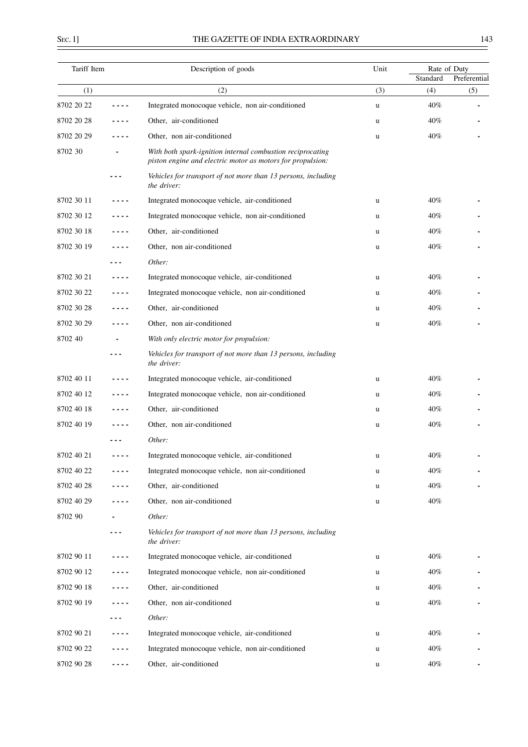$\equiv$ 

| Tariff Item |         | Description of goods                                                                                                     | Unit | Rate of Duty |              |
|-------------|---------|--------------------------------------------------------------------------------------------------------------------------|------|--------------|--------------|
|             |         |                                                                                                                          |      | Standard     | Preferential |
| (1)         |         | (2)                                                                                                                      | (3)  | (4)          | (5)          |
| 8702 20 22  |         | Integrated monocoque vehicle, non air-conditioned                                                                        | u    | 40%          |              |
| 8702 20 28  |         | Other, air-conditioned                                                                                                   | u    | 40%          |              |
| 8702 20 29  |         | Other, non air-conditioned                                                                                               | u    | 40%          |              |
| 8702 30     |         | With both spark-ignition internal combustion reciprocating<br>piston engine and electric motor as motors for propulsion: |      |              |              |
|             |         | Vehicles for transport of not more than 13 persons, including<br>the driver:                                             |      |              |              |
| 8702 30 11  |         | Integrated monocoque vehicle, air-conditioned                                                                            | u    | 40%          |              |
| 8702 30 12  |         | Integrated monocoque vehicle, non air-conditioned                                                                        | u    | 40%          |              |
| 8702 30 18  | - - - - | Other, air-conditioned                                                                                                   | u    | 40%          |              |
| 8702 30 19  |         | Other, non air-conditioned                                                                                               | u    | 40%          |              |
|             |         | Other:                                                                                                                   |      |              |              |
| 8702 30 21  |         | Integrated monocoque vehicle, air-conditioned                                                                            | u    | 40%          |              |
| 8702 30 22  | - - - - | Integrated monocoque vehicle, non air-conditioned                                                                        | u    | 40%          |              |
| 8702 30 28  |         | Other, air-conditioned                                                                                                   | u    | 40%          |              |
| 8702 30 29  |         | Other, non air-conditioned                                                                                               | u    | 40%          |              |
| 8702 40     |         | With only electric motor for propulsion:                                                                                 |      |              |              |
|             | - - -   | Vehicles for transport of not more than 13 persons, including<br>the driver:                                             |      |              |              |
| 8702 40 11  |         | Integrated monocoque vehicle, air-conditioned                                                                            | u    | 40%          |              |
| 8702 40 12  | ----    | Integrated monocoque vehicle, non air-conditioned                                                                        | u    | 40%          |              |
| 8702 40 18  |         | Other, air-conditioned                                                                                                   | u    | 40%          |              |
| 8702 40 19  |         | Other, non air-conditioned                                                                                               | u    | 40%          |              |
|             |         | Other:                                                                                                                   |      |              |              |
| 8702 40 21  |         | Integrated monocoque vehicle, air-conditioned                                                                            | u    | 40%          |              |
| 8702 40 22  | ----    | Integrated monocoque vehicle, non air-conditioned                                                                        | u    | 40%          |              |
| 8702 40 28  |         | Other, air-conditioned                                                                                                   | u    | 40%          |              |
| 8702 40 29  |         | Other, non air-conditioned                                                                                               | u    | 40%          |              |
| 8702 90     |         | Other:                                                                                                                   |      |              |              |
|             |         | Vehicles for transport of not more than 13 persons, including<br>the driver:                                             |      |              |              |
| 8702 90 11  |         | Integrated monocoque vehicle, air-conditioned                                                                            | u    | 40%          |              |
| 8702 90 12  |         | Integrated monocoque vehicle, non air-conditioned                                                                        | u    | 40%          |              |
| 8702 90 18  | ----    | Other, air-conditioned                                                                                                   | u    | 40%          |              |
| 8702 90 19  | ----    | Other, non air-conditioned                                                                                               | u    | 40%          |              |
|             |         | Other:                                                                                                                   |      |              |              |
| 8702 90 21  | - - - - | Integrated monocoque vehicle, air-conditioned                                                                            | u    | 40%          |              |
| 8702 90 22  |         | Integrated monocoque vehicle, non air-conditioned                                                                        | u    | 40%          |              |
| 8702 90 28  | ----    | Other, air-conditioned                                                                                                   | u    | 40%          |              |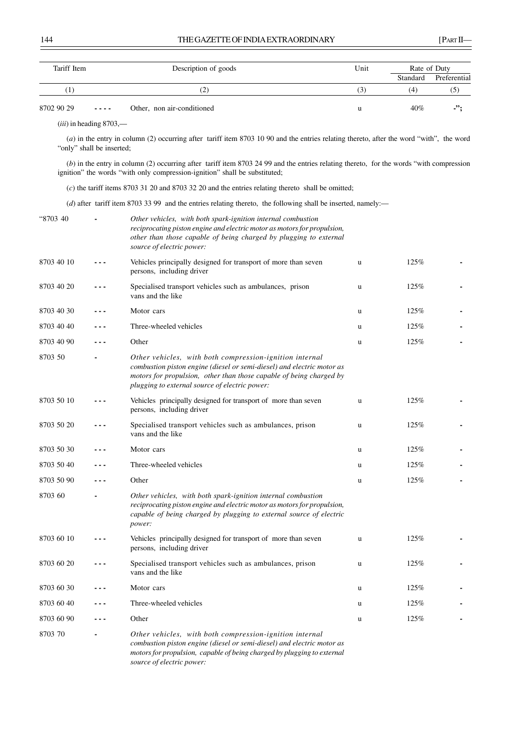| Tariff Item |                           | Description of goods                                                                                                                                                                                                                                       |     | Rate of Duty    |                     |
|-------------|---------------------------|------------------------------------------------------------------------------------------------------------------------------------------------------------------------------------------------------------------------------------------------------------|-----|-----------------|---------------------|
| (1)         |                           | (2)                                                                                                                                                                                                                                                        | (3) | Standard<br>(4) | Preferential<br>(5) |
| 8702 90 29  |                           | Other, non air-conditioned                                                                                                                                                                                                                                 | u   | 40%             | .";                 |
|             | $(iii)$ in heading 8703,— |                                                                                                                                                                                                                                                            |     |                 |                     |
|             | "only" shall be inserted; | (a) in the entry in column (2) occurring after tariff item 8703 10 90 and the entries relating thereto, after the word "with", the word                                                                                                                    |     |                 |                     |
|             |                           | (b) in the entry in column (2) occurring after tariff item 8703 24 99 and the entries relating thereto, for the words "with compression<br>ignition" the words "with only compression-ignition" shall be substituted;                                      |     |                 |                     |
|             |                           | $(c)$ the tariff items 8703 31 20 and 8703 32 20 and the entries relating thereto shall be omitted;                                                                                                                                                        |     |                 |                     |
|             |                           | (d) after tariff item 8703 33 99 and the entries relating thereto, the following shall be inserted, namely:—                                                                                                                                               |     |                 |                     |
| "8703 40    |                           | Other vehicles, with both spark-ignition internal combustion<br>reciprocating piston engine and electric motor as motors for propulsion,<br>other than those capable of being charged by plugging to external<br>source of electric power:                 |     |                 |                     |
| 8703 40 10  |                           | Vehicles principally designed for transport of more than seven<br>persons, including driver                                                                                                                                                                | u   | 125%            |                     |
| 8703 40 20  |                           | Specialised transport vehicles such as ambulances, prison<br>vans and the like                                                                                                                                                                             | u   | 125%            |                     |
| 8703 40 30  |                           | Motor cars                                                                                                                                                                                                                                                 | u   | 125%            |                     |
| 8703 40 40  |                           | Three-wheeled vehicles                                                                                                                                                                                                                                     | u   | 125%            |                     |
| 8703 40 90  |                           | Other                                                                                                                                                                                                                                                      | u   | 125%            |                     |
| 8703 50     |                           | Other vehicles, with both compression-ignition internal<br>combustion piston engine (diesel or semi-diesel) and electric motor as<br>motors for propulsion, other than those capable of being charged by<br>plugging to external source of electric power: |     |                 |                     |
| 8703 50 10  |                           | Vehicles principally designed for transport of more than seven<br>persons, including driver                                                                                                                                                                | u   | 125%            |                     |
| 8703 50 20  |                           | Specialised transport vehicles such as ambulances, prison<br>vans and the like                                                                                                                                                                             | u   | 125%            |                     |
| 8703 50 30  |                           | Motor cars                                                                                                                                                                                                                                                 | u   | 125%            |                     |
| 8703 50 40  |                           | Three-wheeled vehicles                                                                                                                                                                                                                                     | u   | 125%            |                     |
| 8703 50 90  |                           | Other                                                                                                                                                                                                                                                      | u   | 125%            |                     |
| 8703 60     |                           | Other vehicles, with both spark-ignition internal combustion<br>reciprocating piston engine and electric motor as motors for propulsion,<br>capable of being charged by plugging to external source of electric<br>power:                                  |     |                 |                     |
| 8703 60 10  |                           | Vehicles principally designed for transport of more than seven<br>persons, including driver                                                                                                                                                                | u   | 125%            |                     |
| 8703 60 20  |                           | Specialised transport vehicles such as ambulances, prison<br>vans and the like                                                                                                                                                                             | u   | 125%            |                     |
| 8703 60 30  |                           | Motor cars                                                                                                                                                                                                                                                 | u   | 125%            |                     |
| 8703 60 40  |                           | Three-wheeled vehicles                                                                                                                                                                                                                                     | u   | 125%            |                     |
| 8703 60 90  |                           | Other                                                                                                                                                                                                                                                      | u   | 125%            |                     |
| 8703 70     |                           | Other vehicles, with both compression-ignition internal<br>combustion piston engine (diesel or semi-diesel) and electric motor as<br>motors for propulsion, capable of being charged by plugging to external<br>source of electric power:                  |     |                 |                     |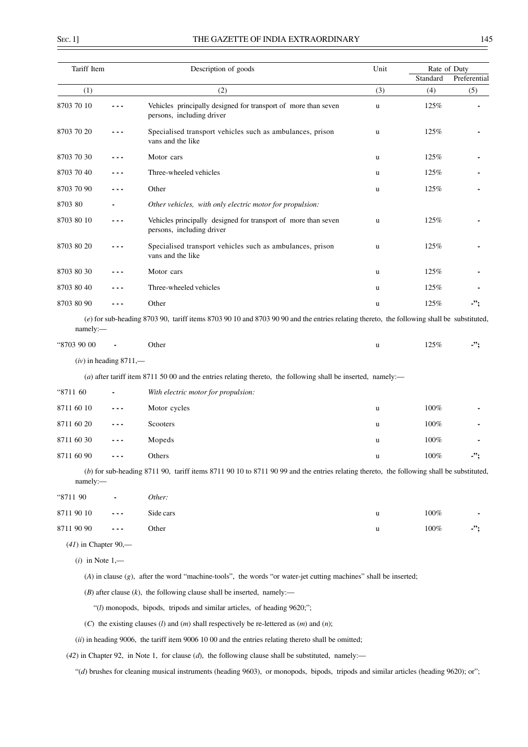$\overline{a}$ 

|  | ٦ |
|--|---|

| Tariff Item            |                          | Description of goods                                                                                                                      | Unit     | Rate of Duty |              |
|------------------------|--------------------------|-------------------------------------------------------------------------------------------------------------------------------------------|----------|--------------|--------------|
|                        |                          |                                                                                                                                           |          | Standard     | Preferential |
| (1)<br>8703 70 10      | ---                      | (2)<br>Vehicles principally designed for transport of more than seven<br>persons, including driver                                        | (3)<br>u | (4)<br>125%  | (5)          |
| 8703 70 20             |                          | Specialised transport vehicles such as ambulances, prison<br>vans and the like                                                            | u        | 125%         |              |
| 8703 70 30             |                          | Motor cars                                                                                                                                | u        | 125%         |              |
| 8703 70 40             |                          | Three-wheeled vehicles                                                                                                                    | u        | 125%         |              |
| 8703 70 90             |                          | Other                                                                                                                                     | u        | 125%         |              |
| 8703 80                |                          | Other vehicles, with only electric motor for propulsion:                                                                                  |          |              |              |
| 8703 80 10             | - - -                    | Vehicles principally designed for transport of more than seven<br>persons, including driver                                               | u        | 125%         |              |
| 8703 80 20             |                          | Specialised transport vehicles such as ambulances, prison<br>vans and the like                                                            | u        | 125%         |              |
| 8703 80 30             |                          | Motor cars                                                                                                                                | u        | 125%         |              |
| 8703 80 40             |                          | Three-wheeled vehicles                                                                                                                    | u        | 125%         |              |
| 8703 80 90             | - - -                    | Other                                                                                                                                     | u        | 125%         | -";          |
| namely:-               |                          | (e) for sub-heading 8703 90, tariff items 8703 90 10 and 8703 90 90 and the entries relating thereto, the following shall be substituted, |          |              |              |
| "8703 90 00            |                          | Other                                                                                                                                     | u        | 125%         | -":          |
|                        | $(iv)$ in heading 8711,— |                                                                                                                                           |          |              |              |
|                        |                          | (a) after tariff item 8711 50 00 and the entries relating thereto, the following shall be inserted, namely:-                              |          |              |              |
| "8711 60               |                          | With electric motor for propulsion:                                                                                                       |          |              |              |
| 8711 60 10             | - - -                    | Motor cycles                                                                                                                              | u        | $100\%$      |              |
| 8711 60 20             |                          | Scooters                                                                                                                                  | u        | $100\%$      |              |
| 8711 60 30             |                          | Mopeds                                                                                                                                    | u        | 100%         |              |
| 8711 60 90             | $- - - -$                | Others                                                                                                                                    |          | $100\%$      |              |
| namely:-               |                          | (b) for sub-heading 8711 90, tariff items 8711 90 10 to 8711 90 99 and the entries relating thereto, the following shall be substituted,  |          |              |              |
| "8711 90               |                          | Other:                                                                                                                                    |          |              |              |
| 8711 90 10             |                          | Side cars                                                                                                                                 | u        | 100%         |              |
| 8711 90 90             | - - -                    | Other                                                                                                                                     | u        | 100%         | -";          |
| $(41)$ in Chapter 90,— |                          |                                                                                                                                           |          |              |              |
| $(i)$ in Note 1,—      |                          |                                                                                                                                           |          |              |              |
|                        |                          | $(A)$ in clause $(g)$ , after the word "machine-tools", the words "or water-jet cutting machines" shall be inserted;                      |          |              |              |
|                        |                          | $(B)$ after clause $(k)$ , the following clause shall be inserted, namely:—                                                               |          |              |              |
|                        |                          | "(l) monopods, bipods, tripods and similar articles, of heading 9620;";                                                                   |          |              |              |
|                        |                          | (C) the existing clauses (l) and (m) shall respectively be re-lettered as $(m)$ and $(n)$ ;                                               |          |              |              |
|                        |                          | (ii) in heading 9006, the tariff item 9006 10 00 and the entries relating thereto shall be omitted;                                       |          |              |              |
|                        |                          | $(42)$ in Chapter 92, in Note 1, for clause $(d)$ , the following clause shall be substituted, namely:—                                   |          |              |              |
|                        |                          | "(d) brushes for cleaning musical instruments (heading 9603), or monopods, bipods, tripods and similar articles (heading 9620); or";      |          |              |              |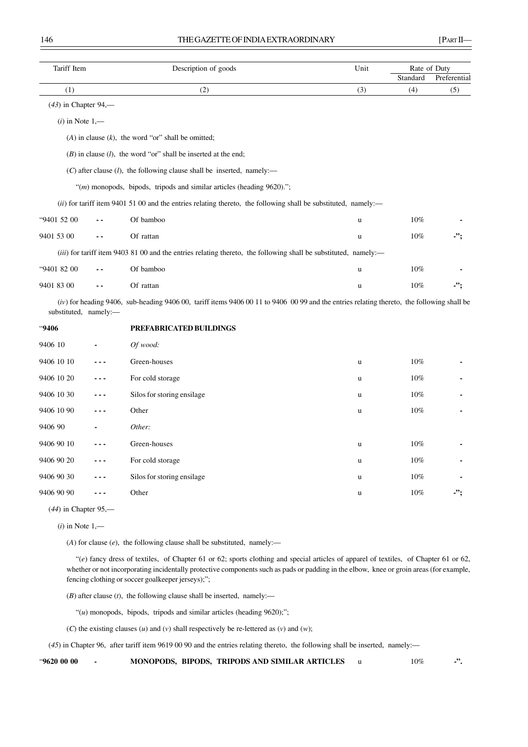| Tariff Item            |       | Description of goods                                                                                                                         | Unit     |          | Rate of Duty |
|------------------------|-------|----------------------------------------------------------------------------------------------------------------------------------------------|----------|----------|--------------|
|                        |       |                                                                                                                                              |          | Standard | Preferential |
| (1)                    |       | (2)                                                                                                                                          | (3)      | (4)      | (5)          |
| $(43)$ in Chapter 94,— |       |                                                                                                                                              |          |          |              |
| $(i)$ in Note $1,$ —   |       |                                                                                                                                              |          |          |              |
|                        |       | $(A)$ in clause $(k)$ , the word "or" shall be omitted;                                                                                      |          |          |              |
|                        |       | $(B)$ in clause $(l)$ , the word "or" shall be inserted at the end;                                                                          |          |          |              |
|                        |       | $(C)$ after clause $(l)$ , the following clause shall be inserted, namely:-                                                                  |          |          |              |
|                        |       | "(m) monopods, bipods, tripods and similar articles (heading 9620).";                                                                        |          |          |              |
|                        |       | (ii) for tariff item 9401 51 00 and the entries relating thereto, the following shall be substituted, namely:—                               |          |          |              |
| "9401 52 00            |       | Of bamboo                                                                                                                                    | <b>u</b> | 10%      |              |
| 9401 53 00             |       | Of rattan                                                                                                                                    | u        | 10%      | -";          |
|                        |       | (iii) for tariff item 9403 81 00 and the entries relating thereto, the following shall be substituted, namely:—                              |          |          |              |
| "9401 82 00            |       | Of bamboo                                                                                                                                    | u        | 10%      |              |
| 9401 83 00             | $ -$  | Of rattan                                                                                                                                    | u        | 10%      | -";          |
| substituted, namely:-  |       | $(iv)$ for heading 9406, sub-heading 9406 00, tariff items 9406 00 11 to 9406 00 99 and the entries relating thereto, the following shall be |          |          |              |
| <b>9406</b>            |       | PREFABRICATED BUILDINGS                                                                                                                      |          |          |              |
| 9406 10                |       | Of wood:                                                                                                                                     |          |          |              |
| 9406 10 10             | - - - | Green-houses                                                                                                                                 | u        | 10%      |              |
| 9406 10 20             | - - - | For cold storage                                                                                                                             | u        | 10%      |              |
| 9406 10 30             |       | Silos for storing ensilage                                                                                                                   | u        | 10%      |              |
| 9406 10 90             | - - - | Other                                                                                                                                        | u        | $10\%$   |              |
| 9406 90                |       | Other:                                                                                                                                       |          |          |              |
| 9406 90 10             |       | Green-houses                                                                                                                                 | u        | 10%      |              |
| 9406 90 20             | - - - | For cold storage                                                                                                                             | u        | 10%      |              |
| 9406 90 30             |       | Silos for storing ensilage                                                                                                                   | u        | 10%      |              |
| 9406 90 90             | - - - | Other                                                                                                                                        | u        | 10%      | -";          |

(*44*) in Chapter 95,—

(*i*) in Note 1,—

(*A*) for clause (*e*), the following clause shall be substituted, namely:—

"(*e*) fancy dress of textiles, of Chapter 61 or 62; sports clothing and special articles of apparel of textiles, of Chapter 61 or 62, whether or not incorporating incidentally protective components such as pads or padding in the elbow, knee or groin areas (for example, fencing clothing or soccer goalkeeper jerseys);";

(*B*) after clause (*t*), the following clause shall be inserted, namely:—

"(*u*) monopods, bipods, tripods and similar articles (heading 9620);";

(*C*) the existing clauses (*u*) and (*v*) shall respectively be re-lettered as (*v*) and (*w*);

(*45*) in Chapter 96, after tariff item 9619 00 90 and the entries relating thereto, the following shall be inserted, namely:—

"**9620 00 00 - MONOPODS, BIPODS, TRIPODS AND SIMILAR ARTICLES** u 10% **-".**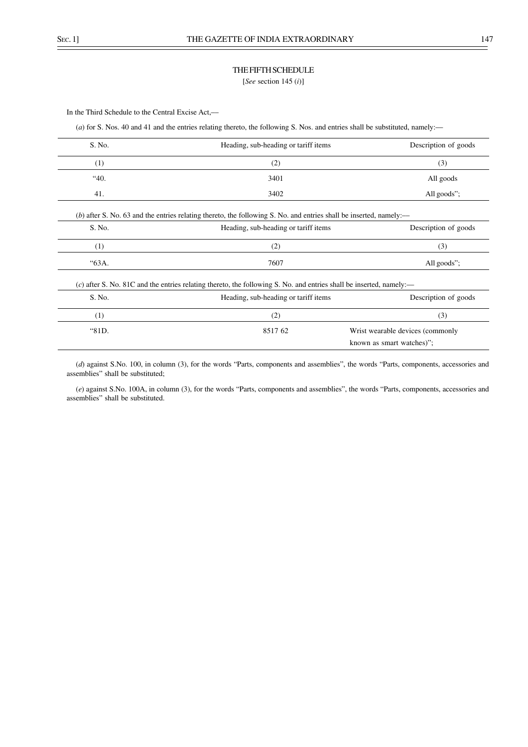## THE FIFTH SCHEDULE

[*See* section 145 (*i*)]

In the Third Schedule to the Central Excise Act,––

(*a*) for S. Nos. 40 and 41 and the entries relating thereto, the following S. Nos. and entries shall be substituted, namely:-

| S. No. | Heading, sub-heading or tariff items                                                                                 | Description of goods             |
|--------|----------------------------------------------------------------------------------------------------------------------|----------------------------------|
| (1)    | (2)                                                                                                                  | (3)                              |
| "40.   | 3401                                                                                                                 | All goods                        |
| 41.    | 3402                                                                                                                 | All goods";                      |
|        | $(b)$ after S. No. 63 and the entries relating thereto, the following S. No. and entries shall be inserted, namely:— |                                  |
| S. No. | Heading, sub-heading or tariff items                                                                                 | Description of goods             |
| (1)    | (2)                                                                                                                  | (3)                              |
| "63А.  | 7607                                                                                                                 | All goods";                      |
|        | (c) after S. No. 81C and the entries relating thereto, the following S. No. and entries shall be inserted, namely:—  |                                  |
| S. No. | Heading, sub-heading or tariff items                                                                                 | Description of goods             |
| (1)    | (2)                                                                                                                  | (3)                              |
| "81D.  | 851762                                                                                                               | Wrist wearable devices (commonly |
|        |                                                                                                                      | known as smart watches)";        |

(*d*) against S.No. 100, in column (3), for the words "Parts, components and assemblies", the words "Parts, components, accessories and assemblies" shall be substituted;

(*e*) against S.No. 100A, in column (3), for the words "Parts, components and assemblies", the words "Parts, components, accessories and assemblies" shall be substituted.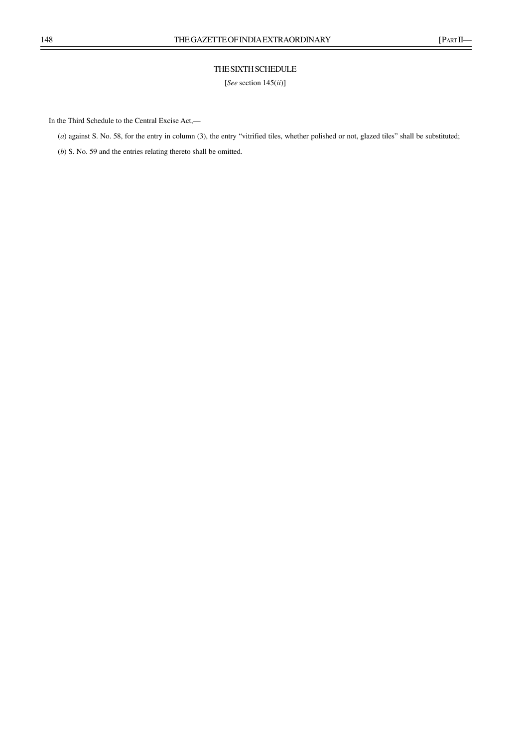# THE SIXTH SCHEDULE

[*See* section 145(*ii*)]

In the Third Schedule to the Central Excise Act,––

(*a*) against S. No. 58, for the entry in column (3), the entry "vitrified tiles, whether polished or not, glazed tiles" shall be substituted;

(*b*) S. No. 59 and the entries relating thereto shall be omitted.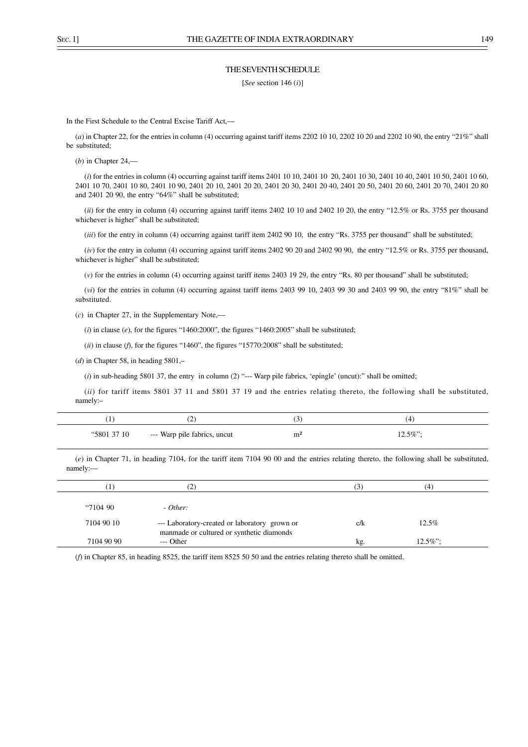#### THE SEVENTH SCHEDULE

[*See* section 146 (*i*)]

In the First Schedule to the Central Excise Tariff Act,––

(*a*) in Chapter 22, for the entries in column (4) occurring against tariff items 2202 10 10, 2202 10 20 and 2202 10 90, the entry "21%" shall be substituted;

(*b*) in Chapter 24,––

(*i*) for the entries in column (4) occurring against tariff items 2401 10 10, 2401 10 20, 2401 10 30, 2401 10 40, 2401 10 50, 2401 10 60, 2401 10 70, 2401 10 80, 2401 10 90, 2401 20 10, 2401 20 20, 2401 20 30, 2401 20 40, 2401 20 50, 2401 20 60, 2401 20 70, 2401 20 80 and 2401 20 90, the entry "64%" shall be substituted;

(*ii*) for the entry in column (4) occurring against tariff items 2402 10 10 and 2402 10 20, the entry "12.5% or Rs. 3755 per thousand whichever is higher" shall be substituted;

(*iii*) for the entry in column (4) occurring against tariff item 2402 90 10, the entry "Rs. 3755 per thousand" shall be substituted;

(*iv*) for the entry in column (4) occurring against tariff items 2402 90 20 and 2402 90 90, the entry "12.5% or Rs. 3755 per thousand, whichever is higher" shall be substituted;

(*v*) for the entries in column (4) occurring against tariff items 2403 19 29, the entry "Rs. 80 per thousand" shall be substituted;

(*vi*) for the entries in column (4) occurring against tariff items 2403 99 10, 2403 99 30 and 2403 99 90, the entry "81%" shall be substituted.

(*c*) in Chapter 27, in the Supplementary Note,––

 $(i)$  in clause  $(e)$ , for the figures "1460:2000", the figures "1460:2005" shall be substituted;

(*ii*) in clause (*f*), for the figures "1460", the figures "15770:2008" shall be substituted;

(*d*) in Chapter 58, in heading 5801,–

(*i*) in sub-heading 5801 37, the entry in column (2) "--- Warp pile fabrics, 'epingle' (uncut):" shall be omitted;

(*ii*) for tariff items 5801 37 11 and 5801 37 19 and the entries relating thereto, the following shall be substituted, namely:–

|             | -                            |                |            |
|-------------|------------------------------|----------------|------------|
| "5801 37 10 | --- Warp pile fabrics, uncut | m <sup>2</sup> | $12.5\%$ " |

(*e*) in Chapter 71, in heading 7104, for the tariff item 7104 90 00 and the entries relating thereto, the following shall be substituted, namely:—

|            | (2,                                                                                        | (3) | (4)         |  |
|------------|--------------------------------------------------------------------------------------------|-----|-------------|--|
|            |                                                                                            |     |             |  |
| 4710490    | $- Other:$                                                                                 |     |             |  |
| 7104 90 10 | --- Laboratory-created or laboratory grown or<br>manmade or cultured or synthetic diamonds | c/k | $12.5\%$    |  |
| 7104 90 90 | $---$ Other                                                                                | kg. | $12.5\%$ ": |  |

(*f*) in Chapter 85, in heading 8525, the tariff item 8525 50 50 and the entries relating thereto shall be omitted.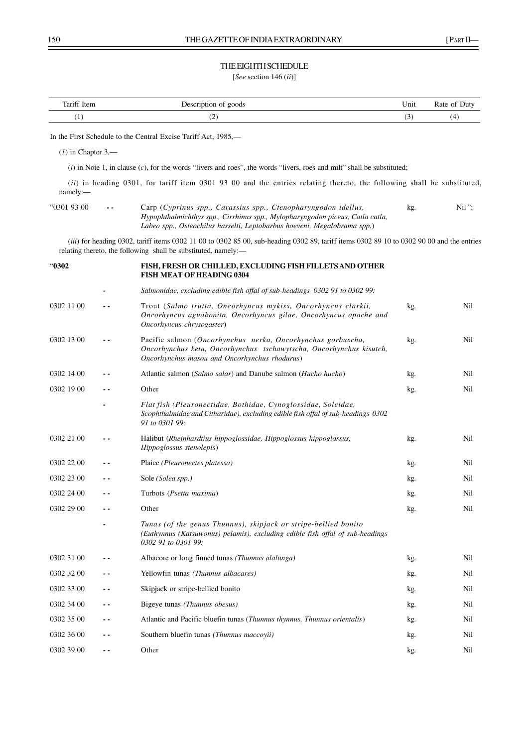## THE EIGHTH SCHEDULE

[*See* section 146 (*ii*)]

| Tariff Item<br>$\sim$ | oods                          | $ -$<br>∪nıt | Juty |
|-----------------------|-------------------------------|--------------|------|
|                       | $\overline{\phantom{a}}$<br>ॱ |              | ۵    |

In the First Schedule to the Central Excise Tariff Act, 1985,––

(*1*) in Chapter 3,––

(*i*) in Note 1, in clause (*c*), for the words "livers and roes", the words "livers, roes and milt" shall be substituted;

(*ii*) in heading 0301, for tariff item 0301 93 00 and the entries relating thereto, the following shall be substituted, namely:––

| "0301 93 00 | $ -$ | Carp (Cyprinus spp., Carassius spp., Ctenopharyngodon idellus,                | kg. | $Nil$ "; |
|-------------|------|-------------------------------------------------------------------------------|-----|----------|
|             |      | Hypophthalmichthys spp., Cirrhinus spp., Mylopharyngodon piceus, Catla catla, |     |          |
|             |      | Labeo spp., Osteochilus hasselti, Leptobarbus hoeveni, Megalobrama spp.)      |     |          |

(*iii*) for heading 0302, tariff items 0302 11 00 to 0302 85 00, sub-heading 0302 89, tariff items 0302 89 10 to 0302 90 00 and the entries relating thereto, the following shall be substituted, namely:-

| "0302      |      | FISH, FRESH OR CHILLED, EXCLUDING FISH FILLETS AND OTHER<br><b>FISH MEAT OF HEADING 0304</b>                                                                                        |     |     |
|------------|------|-------------------------------------------------------------------------------------------------------------------------------------------------------------------------------------|-----|-----|
|            |      | Salmonidae, excluding edible fish offal of sub-headings 0302 91 to 0302 99:                                                                                                         |     |     |
| 0302 11 00 | . .  | Trout (Salmo trutta, Oncorhyncus mykiss, Oncorhyncus clarkii,<br>Oncorhyncus aguabonita, Oncorhyncus gilae, Oncorhyncus apache and<br>Oncorhyncus chrysogaster)                     | kg. | Nil |
| 0302 13 00 | . .  | Pacific salmon (Oncorhynchus nerka, Oncorhynchus gorbuscha,<br>Oncorhynchus keta, Oncorhynchus tschawytscha, Oncorhynchus kisutch,<br>Oncorhynchus masou and Oncorhynchus rhodurus) | kg. | Nil |
| 0302 14 00 | - -  | Atlantic salmon (Salmo salar) and Danube salmon (Hucho hucho)                                                                                                                       | kg. | Nil |
| 0302 19 00 | - -  | Other                                                                                                                                                                               | kg. | Nil |
|            |      | Flat fish (Pleuronectidae, Bothidae, Cynoglossidae, Soleidae,<br>Scophthalmidae and Citharidae), excluding edible fish offal of sub-headings 0302<br>91 to 0301 99:                 |     |     |
| 0302 21 00 | - -  | Halibut (Rheinhardtius hippoglossidae, Hippoglossus hippoglossus,<br>Hippoglossus stenolepis)                                                                                       | kg. | Nil |
| 0302 22 00 | $ -$ | Plaice (Pleuronectes platessa)                                                                                                                                                      | kg. | Nil |
| 0302 23 00 | - -  | Sole (Solea spp.)                                                                                                                                                                   | kg. | Nil |
| 0302 24 00 | $ -$ | Turbots (Psetta maxima)                                                                                                                                                             | kg. | Nil |
| 0302 29 00 | - -  | Other                                                                                                                                                                               | kg. | Nil |
|            |      | Tunas (of the genus Thunnus), skipjack or stripe-bellied bonito<br>(Euthynnus (Katsuwonus) pelamis), excluding edible fish offal of sub-headings<br>0302 91 to 0301 99:             |     |     |
| 0302 31 00 | . .  | Albacore or long finned tunas (Thunnus alalunga)                                                                                                                                    | kg. | Nil |
| 0302 32 00 | - -  | Yellowfin tunas (Thunnus albacares)                                                                                                                                                 | kg. | Nil |
| 0302 33 00 | - -  | Skipjack or stripe-bellied bonito                                                                                                                                                   | kg. | Nil |
| 0302 34 00 | . .  | Bigeye tunas (Thunnus obesus)                                                                                                                                                       | kg. | Nil |
| 0302 35 00 | ٠.   | Atlantic and Pacific bluefin tunas (Thunnus thynnus, Thunnus orientalis)                                                                                                            | kg. | Nil |
| 0302 36 00 | - -  | Southern bluefin tunas (Thunnus maccoyii)                                                                                                                                           | kg. | Nil |
| 0302 39 00 | - -  | Other                                                                                                                                                                               | kg. | Nil |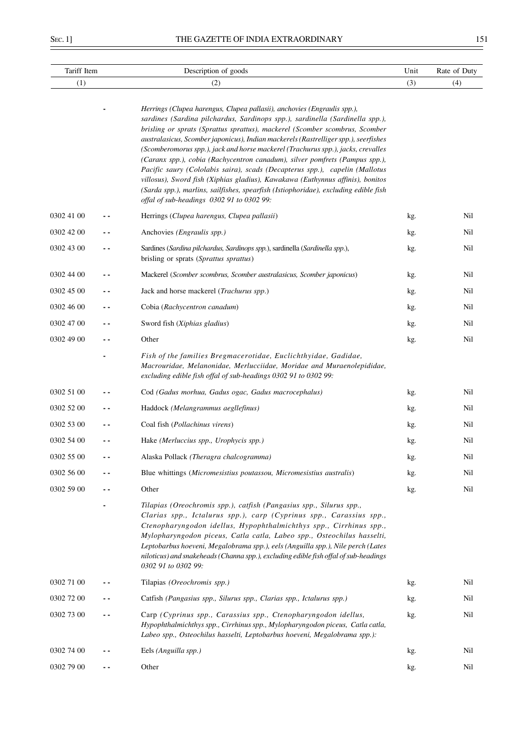$\equiv$ 

| Tariff Item |     | Description of goods                                                                                                                                                                                                                                                                                                                                                                                                                                                                                                                                                                                                                                                                                                                                                                                   | Unit | Rate of Duty |
|-------------|-----|--------------------------------------------------------------------------------------------------------------------------------------------------------------------------------------------------------------------------------------------------------------------------------------------------------------------------------------------------------------------------------------------------------------------------------------------------------------------------------------------------------------------------------------------------------------------------------------------------------------------------------------------------------------------------------------------------------------------------------------------------------------------------------------------------------|------|--------------|
| (1)         |     | (2)                                                                                                                                                                                                                                                                                                                                                                                                                                                                                                                                                                                                                                                                                                                                                                                                    | (3)  | (4)          |
|             |     | Herrings (Clupea harengus, Clupea pallasii), anchovies (Engraulis spp.),<br>sardines (Sardina pilchardus, Sardinops spp.), sardinella (Sardinella spp.),<br>brisling or sprats (Sprattus sprattus), mackerel (Scomber scombrus, Scomber<br>australasicus, Scomber japonicus), Indian mackerels (Rastrelliger spp.), seerfishes<br>(Scomberomorus spp.), jack and horse mackerel (Trachurus spp.), jacks, crevalles<br>(Caranx spp.), cobia (Rachycentron canadum), silver pomfrets (Pampus spp.),<br>Pacific saury (Cololabis saira), scads (Decapterus spp.), capelin (Mallotus<br>villosus), Sword fish (Xiphias gladius), Kawakawa (Euthynnus affinis), bonitos<br>(Sarda spp.), marlins, sailfishes, spearfish (Istiophoridae), excluding edible fish<br>offal of sub-headings 0302 91 to 0302 99: |      |              |
| 0302 41 00  |     | Herrings (Clupea harengus, Clupea pallasii)                                                                                                                                                                                                                                                                                                                                                                                                                                                                                                                                                                                                                                                                                                                                                            | kg.  | Nil          |
| 0302 42 00  |     | Anchovies ( <i>Engraulis spp.</i> )                                                                                                                                                                                                                                                                                                                                                                                                                                                                                                                                                                                                                                                                                                                                                                    | kg.  | Nil          |
| 0302 43 00  |     | Sardines (Sardina pilchardus, Sardinops spp.), sardinella (Sardinella spp.),<br>brisling or sprats (Sprattus sprattus)                                                                                                                                                                                                                                                                                                                                                                                                                                                                                                                                                                                                                                                                                 | kg.  | Nil          |
| 0302 44 00  |     | Mackerel (Scomber scombrus, Scomber australasicus, Scomber japonicus)                                                                                                                                                                                                                                                                                                                                                                                                                                                                                                                                                                                                                                                                                                                                  | kg.  | Nil          |
| 0302 45 00  |     | Jack and horse mackerel (Trachurus spp.)                                                                                                                                                                                                                                                                                                                                                                                                                                                                                                                                                                                                                                                                                                                                                               | kg.  | Nil          |
| 0302 46 00  | . . | Cobia (Rachycentron canadum)                                                                                                                                                                                                                                                                                                                                                                                                                                                                                                                                                                                                                                                                                                                                                                           | kg.  | Nil          |
| 0302 47 00  |     | Sword fish (Xiphias gladius)                                                                                                                                                                                                                                                                                                                                                                                                                                                                                                                                                                                                                                                                                                                                                                           | kg.  | Nil          |
| 0302 49 00  | - - | Other                                                                                                                                                                                                                                                                                                                                                                                                                                                                                                                                                                                                                                                                                                                                                                                                  | kg.  | Nil          |
|             |     | Fish of the families Bregmacerotidae, Euclichthyidae, Gadidae,<br>Macrouridae, Melanonidae, Merlucciidae, Moridae and Muraenolepididae,<br>excluding edible fish offal of sub-headings 0302 91 to 0302 99:                                                                                                                                                                                                                                                                                                                                                                                                                                                                                                                                                                                             |      |              |
| 0302 51 00  |     | Cod (Gadus morhua, Gadus ogac, Gadus macrocephalus)                                                                                                                                                                                                                                                                                                                                                                                                                                                                                                                                                                                                                                                                                                                                                    | kg.  | Nil          |
| 0302 52 00  |     | Haddock (Melangrammus aegllefinus)                                                                                                                                                                                                                                                                                                                                                                                                                                                                                                                                                                                                                                                                                                                                                                     | kg.  | Nil          |
| 0302 53 00  |     | Coal fish (Pollachinus virens)                                                                                                                                                                                                                                                                                                                                                                                                                                                                                                                                                                                                                                                                                                                                                                         | kg.  | Nil          |
| 0302 54 00  |     | Hake (Merluccius spp., Urophycis spp.)                                                                                                                                                                                                                                                                                                                                                                                                                                                                                                                                                                                                                                                                                                                                                                 | kg.  | Nil          |
| 0302 55 00  |     | Alaska Pollack (Theragra chalcogramma)                                                                                                                                                                                                                                                                                                                                                                                                                                                                                                                                                                                                                                                                                                                                                                 | kg.  | Nil          |
| 0302 56 00  |     | Blue whittings (Micromesistius poutassou, Micromesistius australis)                                                                                                                                                                                                                                                                                                                                                                                                                                                                                                                                                                                                                                                                                                                                    | kg.  | Nil          |
| 0302 59 00  |     | Other                                                                                                                                                                                                                                                                                                                                                                                                                                                                                                                                                                                                                                                                                                                                                                                                  | kg.  | Nil          |
|             |     | Tilapias (Oreochromis spp.), catfish (Pangasius spp., Silurus spp.,<br>Clarias spp., Ictalurus spp.), carp (Cyprinus spp., Carassius spp.,<br>Ctenopharyngodon idellus, Hypophthalmichthys spp., Cirrhinus spp.,<br>Mylopharyngodon piceus, Catla catla, Labeo spp., Osteochilus hasselti,<br>Leptobarbus hoeveni, Megalobrama spp.), eels (Anguilla spp.), Nile perch (Lates<br>niloticus) and snakeheads (Channa spp.), excluding edible fish offal of sub-headings<br>0302 91 to 0302 99:                                                                                                                                                                                                                                                                                                           |      |              |
| 0302 71 00  |     | Tilapias (Oreochromis spp.)                                                                                                                                                                                                                                                                                                                                                                                                                                                                                                                                                                                                                                                                                                                                                                            | kg.  | Nil          |
| 0302 72 00  |     | Catfish (Pangasius spp., Silurus spp., Clarias spp., Ictalurus spp.)                                                                                                                                                                                                                                                                                                                                                                                                                                                                                                                                                                                                                                                                                                                                   | kg.  | Nil          |
| 0302 73 00  |     | Carp (Cyprinus spp., Carassius spp., Ctenopharyngodon idellus,<br>Hypophthalmichthys spp., Cirrhinus spp., Mylopharyngodon piceus, Catla catla,<br>Labeo spp., Osteochilus hasselti, Leptobarbus hoeveni, Megalobrama spp.):                                                                                                                                                                                                                                                                                                                                                                                                                                                                                                                                                                           | kg.  | Nil          |
| 0302 74 00  |     | Eels (Anguilla spp.)                                                                                                                                                                                                                                                                                                                                                                                                                                                                                                                                                                                                                                                                                                                                                                                   | kg.  | Nil          |
| 0302 79 00  | - - | Other                                                                                                                                                                                                                                                                                                                                                                                                                                                                                                                                                                                                                                                                                                                                                                                                  | kg.  | Nil          |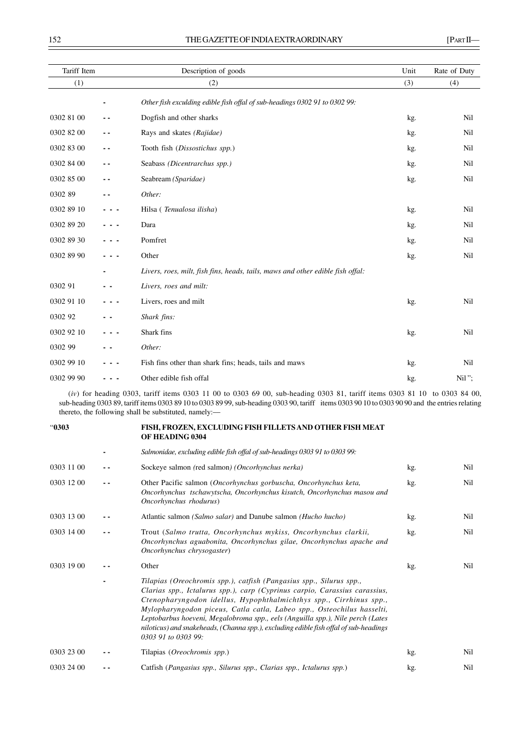| Tariff Item |     | Description of goods                                                           | Unit | Rate of Duty |
|-------------|-----|--------------------------------------------------------------------------------|------|--------------|
| (1)         |     | (2)                                                                            | (3)  | (4)          |
|             |     | Other fish exculding edible fish offal of sub-headings 0302 91 to 0302 99:     |      |              |
| 0302 81 00  | . . | Dogfish and other sharks                                                       | kg.  | Nil          |
| 0302 82 00  | . . | Rays and skates (Rajidae)                                                      | kg.  | Nil          |
| 0302 83 00  | . . | Tooth fish (Dissostichus spp.)                                                 | kg.  | Nil          |
| 0302 84 00  | . . | Seabass (Dicentrarchus spp.)                                                   | kg.  | Nil          |
| 0302 85 00  |     | Seabream (Sparidae)                                                            | kg.  | Nil          |
| 0302 89     |     | Other:                                                                         |      |              |
| 0302 89 10  |     | Hilsa (Tenualosa ilisha)                                                       | kg.  | Nil          |
| 0302 89 20  |     | Dara                                                                           | kg.  | Nil          |
| 0302 89 30  |     | Pomfret                                                                        | kg.  | Nil          |
| 0302 89 90  |     | Other                                                                          | kg.  | Nil          |
|             |     | Livers, roes, milt, fish fins, heads, tails, maws and other edible fish offal: |      |              |
| 0302 91     |     | Livers, roes and milt:                                                         |      |              |
| 0302 91 10  |     | Livers, roes and milt                                                          | kg.  | Nil          |
| 0302 92     |     | Shark fins:                                                                    |      |              |
| 0302 92 10  |     | Shark fins                                                                     | kg.  | Nil          |
| 0302 99     |     | Other:                                                                         |      |              |
| 0302 99 10  |     | Fish fins other than shark fins; heads, tails and maws                         | kg.  | Nil          |
| 0302 99 90  |     | Other edible fish offal                                                        | kg.  | $Nil$ ";     |

(*iv*) for heading 0303, tariff items 0303 11 00 to 0303 69 00, sub-heading 0303 81, tariff items 0303 81 10 to 0303 84 00, sub-heading 0303 89, tariff items 0303 89 10 to 0303 89 99, sub-heading 0303 90, tariff items 0303 90 10 to 0303 90 90 and the entries relating thereto, the following shall be substituted, namely:-

# "**0303 FISH, FROZEN, EXCLUDING FISH FILLETS AND OTHER FISH MEAT OF HEADING 0304**

|            |     | Salmonidae, excluding edible fish offal of sub-headings 0303 91 to 0303 99:                                                                                                                                                                                                                                                                                                                                                                                                                         |     |     |
|------------|-----|-----------------------------------------------------------------------------------------------------------------------------------------------------------------------------------------------------------------------------------------------------------------------------------------------------------------------------------------------------------------------------------------------------------------------------------------------------------------------------------------------------|-----|-----|
| 0303 11 00 |     | Sockeye salmon (red salmon) (Oncorhynchus nerka)                                                                                                                                                                                                                                                                                                                                                                                                                                                    | kg. | Nil |
| 0303 12 00 | . . | Other Pacific salmon (Oncorhynchus gorbuscha, Oncorhynchus keta,<br>Oncorhynchus tschawytscha, Oncorhynchus kisutch, Oncorhynchus masou and<br>Oncorhynchus rhodurus)                                                                                                                                                                                                                                                                                                                               | kg. | Nil |
| 0303 13 00 |     | Atlantic salmon (Salmo salar) and Danube salmon (Hucho hucho)                                                                                                                                                                                                                                                                                                                                                                                                                                       | kg. | Nil |
| 0303 14 00 |     | Trout (Salmo trutta, Oncorhynchus mykiss, Oncorhynchus clarkii,<br>Oncorhynchus aguabonita, Oncorhynchus gilae, Oncorhynchus apache and<br>Oncorhynchus chrysogaster)                                                                                                                                                                                                                                                                                                                               | kg. | Nil |
| 0303 19 00 |     | Other                                                                                                                                                                                                                                                                                                                                                                                                                                                                                               | kg. | Nil |
|            |     | Tilapias (Oreochromis spp.), catfish (Pangasius spp., Silurus spp.,<br>Clarias spp., Ictalurus spp.), carp (Cyprinus carpio, Carassius carassius,<br>Ctenopharyngodon idellus, Hypophthalmichthys spp., Cirrhinus spp.,<br>Mylopharyngodon piceus, Catla catla, Labeo spp., Osteochilus hasselti,<br>Leptobarbus hoeveni, Megalobroma spp., eels (Anguilla spp.), Nile perch (Lates<br>niloticus) and snakeheads, (Channa spp.), excluding edible fish offal of sub-headings<br>0303 91 to 0303 99: |     |     |
| 0303 23 00 |     | Tilapias (Oreochromis spp.)                                                                                                                                                                                                                                                                                                                                                                                                                                                                         | kg. | Nil |
| 0303 24 00 |     | Catfish (Pangasius spp., Silurus spp., Clarias spp., Ictalurus spp.)                                                                                                                                                                                                                                                                                                                                                                                                                                | kg. | Nil |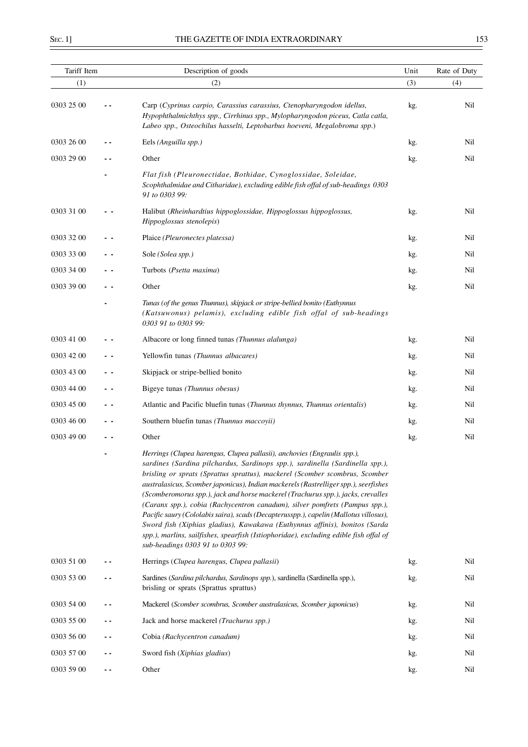| Tariff Item |     | Description of goods                                                                                                                                                                                                                                                                                                                                                                                                                                                                                                                                                                                                                                                                                                                                                                                  |     | Rate of Duty |
|-------------|-----|-------------------------------------------------------------------------------------------------------------------------------------------------------------------------------------------------------------------------------------------------------------------------------------------------------------------------------------------------------------------------------------------------------------------------------------------------------------------------------------------------------------------------------------------------------------------------------------------------------------------------------------------------------------------------------------------------------------------------------------------------------------------------------------------------------|-----|--------------|
| (1)         |     | (2)                                                                                                                                                                                                                                                                                                                                                                                                                                                                                                                                                                                                                                                                                                                                                                                                   | (3) | (4)          |
| 0303 25 00  |     | Carp (Cyprinus carpio, Carassius carassius, Ctenopharyngodon idellus,<br>Hypophthalmichthys spp., Cirrhinus spp., Mylopharyngodon piceus, Catla catla,<br>Labeo spp., Osteochilus hasselti, Leptobarbus hoeveni, Megalobroma spp.)                                                                                                                                                                                                                                                                                                                                                                                                                                                                                                                                                                    | kg. | Nil          |
| 0303 26 00  |     | Eels (Anguilla spp.)                                                                                                                                                                                                                                                                                                                                                                                                                                                                                                                                                                                                                                                                                                                                                                                  | kg. | Nil          |
| 0303 29 00  |     | Other                                                                                                                                                                                                                                                                                                                                                                                                                                                                                                                                                                                                                                                                                                                                                                                                 | kg. | Nil          |
|             |     | Flat fish (Pleuronectidae, Bothidae, Cynoglossidae, Soleidae,<br>Scophthalmidae and Citharidae), excluding edible fish offal of sub-headings 0303<br>91 to 0303 99:                                                                                                                                                                                                                                                                                                                                                                                                                                                                                                                                                                                                                                   |     |              |
| 0303 31 00  |     | Halibut (Rheinhardtius hippoglossidae, Hippoglossus hippoglossus,<br>Hippoglossus stenolepis)                                                                                                                                                                                                                                                                                                                                                                                                                                                                                                                                                                                                                                                                                                         | kg. | Nil          |
| 0303 32 00  |     | Plaice (Pleuronectes platessa)                                                                                                                                                                                                                                                                                                                                                                                                                                                                                                                                                                                                                                                                                                                                                                        | kg. | Nil          |
| 0303 33 00  | - - | Sole (Solea spp.)                                                                                                                                                                                                                                                                                                                                                                                                                                                                                                                                                                                                                                                                                                                                                                                     | kg. | Nil          |
| 0303 34 00  |     | Turbots (Psetta maxima)                                                                                                                                                                                                                                                                                                                                                                                                                                                                                                                                                                                                                                                                                                                                                                               | kg. | Nil          |
| 0303 39 00  | . . | Other                                                                                                                                                                                                                                                                                                                                                                                                                                                                                                                                                                                                                                                                                                                                                                                                 | kg. | Nil          |
|             |     | Tunas (of the genus Thunnus), skipjack or stripe-bellied bonito (Euthynnus<br>(Katsuwonus) pelamis), excluding edible fish offal of sub-headings<br>0303 91 to 0303 99:                                                                                                                                                                                                                                                                                                                                                                                                                                                                                                                                                                                                                               |     |              |
| 0303 41 00  |     | Albacore or long finned tunas (Thunnus alalunga)                                                                                                                                                                                                                                                                                                                                                                                                                                                                                                                                                                                                                                                                                                                                                      | kg. | Nil          |
| 0303 42 00  |     | Yellowfin tunas (Thunnus albacares)                                                                                                                                                                                                                                                                                                                                                                                                                                                                                                                                                                                                                                                                                                                                                                   | kg. | Nil          |
| 0303 43 00  | . . | Skipjack or stripe-bellied bonito                                                                                                                                                                                                                                                                                                                                                                                                                                                                                                                                                                                                                                                                                                                                                                     | kg. | Nil          |
| 0303 44 00  | . . | Bigeye tunas (Thunnus obesus)                                                                                                                                                                                                                                                                                                                                                                                                                                                                                                                                                                                                                                                                                                                                                                         | kg. | Nil          |
| 0303 45 00  | . . | Atlantic and Pacific bluefin tunas (Thunnus thynnus, Thunnus orientalis)                                                                                                                                                                                                                                                                                                                                                                                                                                                                                                                                                                                                                                                                                                                              | kg. | Nil          |
| 0303 46 00  |     | Southern bluefin tunas (Thunnus maccoyii)                                                                                                                                                                                                                                                                                                                                                                                                                                                                                                                                                                                                                                                                                                                                                             | kg. | Nil          |
| 0303 49 00  |     | Other                                                                                                                                                                                                                                                                                                                                                                                                                                                                                                                                                                                                                                                                                                                                                                                                 | kg. | Nil          |
|             |     | Herrings (Clupea harengus, Clupea pallasii), anchovies (Engraulis spp.),<br>sardines (Sardina pilchardus, Sardinops spp.), sardinella (Sardinella spp.),<br>brisling or sprats (Sprattus sprattus), mackerel (Scomber scombrus, Scomber<br>australasicus, Scomber japonicus), Indian mackerels (Rastrelliger spp.), seerfishes<br>(Scomberomorus spp.), jack and horse mackerel (Trachurus spp.), jacks, crevalles<br>(Caranx spp.), cobia (Rachycentron canadum), silver pomfrets (Pampus spp.),<br>Pacific saury (Cololabis saira), scads (Decapterusspp.), capelin (Mallotus villosus),<br>Sword fish (Xiphias gladius), Kawakawa (Euthynnus affinis), bonitos (Sarda<br>spp.), marlins, sailfishes, spearfish (Istiophoridae), excluding edible fish offal of<br>sub-headings 0303 91 to 0303 99: |     |              |
| 0303 51 00  |     | Herrings (Clupea harengus, Clupea pallasii)                                                                                                                                                                                                                                                                                                                                                                                                                                                                                                                                                                                                                                                                                                                                                           | kg. | Nil          |
| 0303 53 00  |     | Sardines (Sardina pilchardus, Sardinops spp.), sardinella (Sardinella spp.),<br>brisling or sprats (Sprattus sprattus)                                                                                                                                                                                                                                                                                                                                                                                                                                                                                                                                                                                                                                                                                | kg. | Nil          |
| 0303 54 00  |     | Mackerel (Scomber scombrus, Scomber australasicus, Scomber japonicus)                                                                                                                                                                                                                                                                                                                                                                                                                                                                                                                                                                                                                                                                                                                                 | kg. | Nil          |
| 0303 55 00  |     | Jack and horse mackerel (Trachurus spp.)                                                                                                                                                                                                                                                                                                                                                                                                                                                                                                                                                                                                                                                                                                                                                              | kg. | Nil          |
| 0303 56 00  |     | Cobia (Rachycentron canadum)                                                                                                                                                                                                                                                                                                                                                                                                                                                                                                                                                                                                                                                                                                                                                                          | kg. | Nil          |
| 0303 57 00  |     | Sword fish (Xiphias gladius)                                                                                                                                                                                                                                                                                                                                                                                                                                                                                                                                                                                                                                                                                                                                                                          | kg. | Nil          |
| 0303 59 00  | ۰.  | Other                                                                                                                                                                                                                                                                                                                                                                                                                                                                                                                                                                                                                                                                                                                                                                                                 | kg. | Nil          |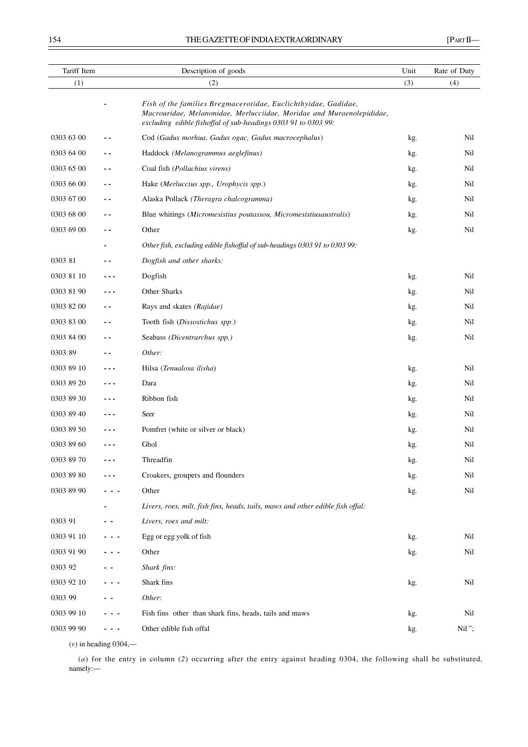| Tariff Item |     | Description of goods                                                                                                                                                                                      | Unit | Rate of Duty |
|-------------|-----|-----------------------------------------------------------------------------------------------------------------------------------------------------------------------------------------------------------|------|--------------|
| (1)         |     | (2)                                                                                                                                                                                                       | (3)  | (4)          |
|             |     | Fish of the families Bregmacerotidae, Euclichthyidae, Gadidae,<br>Macrouridae, Melanonidae, Merlucciidae, Moridae and Muraenolepididae,<br>excluding edible fishoffal of sub-headings 0303 91 to 0303 99: |      |              |
| 0303 63 00  |     | Cod (Gadus morhua, Gadus ogac, Gadus macrocephalus)                                                                                                                                                       | kg.  | Nil          |
| 0303 64 00  |     | Haddock (Melanogrammus aeglefinus)                                                                                                                                                                        | kg.  | Nil          |
| 0303 65 00  | - - | Coal fish (Pollachius virens)                                                                                                                                                                             | kg.  | Nil          |
| 0303 66 00  | . . | Hake (Merluccius spp., Urophycis spp.)                                                                                                                                                                    | kg.  | Nil          |
| 0303 67 00  | - - | Alaska Pollack (Theragra chalcogramma)                                                                                                                                                                    | kg.  | Nil          |
| 0303 68 00  | - - | Blue whitings (Micromesistius poutassou, Micromesistiusaustralis)                                                                                                                                         | kg.  | Nil          |
| 0303 69 00  | . . | Other                                                                                                                                                                                                     | kg.  | Nil          |
|             |     | Other fish, excluding edible fishoffal of sub-headings 0303 91 to 0303 99:                                                                                                                                |      |              |
| 0303 81     |     | Dogfish and other sharks:                                                                                                                                                                                 |      |              |
| 0303 81 10  |     | Dogfish                                                                                                                                                                                                   | kg.  | Nil          |
| 0303 81 90  |     | Other Sharks                                                                                                                                                                                              | kg.  | Nil          |
| 0303 82 00  | . . | Rays and skates (Rajidae)                                                                                                                                                                                 | kg.  | Nil          |
| 0303 83 00  | . . | Tooth fish (Dissostichus spp.)                                                                                                                                                                            | kg.  | Nil          |
| 0303 84 00  | - - | Seabass (Dicentrarchus spp.)                                                                                                                                                                              | kg.  | Nil          |
| 0303 89     | . . | Other:                                                                                                                                                                                                    |      |              |
| 0303 89 10  | --- | Hilsa (Tenualosa ilisha)                                                                                                                                                                                  | kg.  | Nil          |
| 0303 89 20  | --- | Dara                                                                                                                                                                                                      | kg.  | Nil          |
| 0303 89 30  |     | Ribbon fish                                                                                                                                                                                               | kg.  | Nil          |
| 0303 89 40  |     | Seer                                                                                                                                                                                                      | kg.  | Nil          |
| 0303 89 50  |     | Pomfret (white or silver or black)                                                                                                                                                                        | kg.  | Nil          |
| 0303 89 60  |     | Ghol                                                                                                                                                                                                      | kg.  | Nil          |
| 0303 89 70  |     | Threadfin                                                                                                                                                                                                 | kg.  | $\rm{Nil}$   |
| 0303 89 80  |     | Croakers, groupers and flounders                                                                                                                                                                          | kg.  | Nil          |
| 0303 89 90  |     | Other                                                                                                                                                                                                     | kg.  | Nil          |
|             |     | Livers, roes, milt, fish fins, heads, tails, maws and other edible fish offal:                                                                                                                            |      |              |
| 0303 91     |     | Livers, roes and milt:                                                                                                                                                                                    |      |              |
| 0303 91 10  |     | Egg or egg yolk of fish                                                                                                                                                                                   | kg.  | Nil          |
| 0303 91 90  |     | Other                                                                                                                                                                                                     | kg.  | Nil          |
| 0303 92     |     | Shark fins:                                                                                                                                                                                               |      |              |
| 0303 92 10  |     | Shark fins                                                                                                                                                                                                | kg.  | Nil          |
| 0303 99     |     | Other:                                                                                                                                                                                                    |      |              |
| 0303 99 10  |     | Fish fins other than shark fins, heads, tails and maws                                                                                                                                                    | kg.  | Nil          |
| 0303 99 90  |     | Other edible fish offal                                                                                                                                                                                   | kg.  | Nil";        |
|             |     |                                                                                                                                                                                                           |      |              |

(*v*) in heading 0304,––

(*a*) for the entry in column (*2*) occurring after the entry against heading 0304, the following shall be substituted, namely:––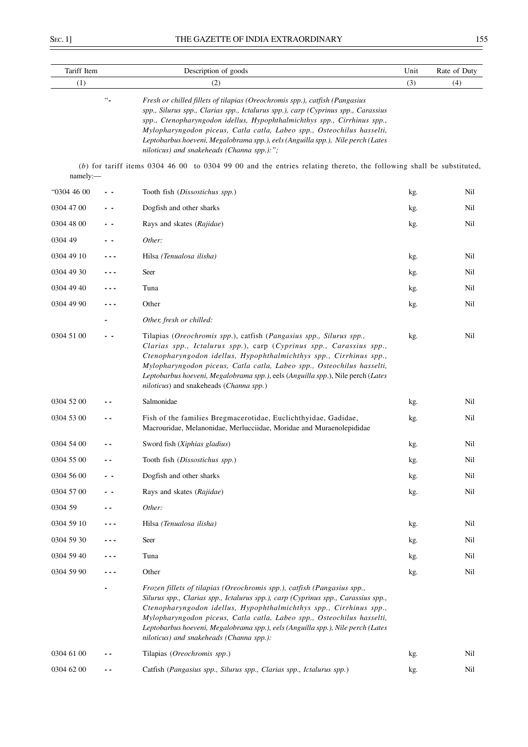| Tariff Item |                  | Description of goods                                                                                                                                                                                                                                                                                                                                                                                                                                    | Unit | Rate of Duty |
|-------------|------------------|---------------------------------------------------------------------------------------------------------------------------------------------------------------------------------------------------------------------------------------------------------------------------------------------------------------------------------------------------------------------------------------------------------------------------------------------------------|------|--------------|
| (1)         |                  | (2)                                                                                                                                                                                                                                                                                                                                                                                                                                                     | (3)  | (4)          |
|             | $\omega_{\rm m}$ | Fresh or chilled fillets of tilapias (Oreochromis spp.), catfish (Pangasius<br>spp., Silurus spp., Clarias spp., Ictalurus spp.), carp (Cyprinus spp., Carassius<br>spp., Ctenopharyngodon idellus, Hypophthalmichthys spp., Cirrhinus spp.,<br>Mylopharyngodon piceus, Catla catla, Labeo spp., Osteochilus hasselti,<br>Leptobarbus hoeveni, Megalobrama spp.), eels (Anguilla spp.), Nile perch (Lates<br>niloticus) and snakeheads (Channa spp.):"; |      |              |
| namely:     |                  | $(b)$ for tariff items 0304 46 00 to 0304 99 00 and the entries relating thereto, the following shall be substituted,                                                                                                                                                                                                                                                                                                                                   |      |              |
| "0304 46 00 |                  | Tooth fish (Dissostichus spp.)                                                                                                                                                                                                                                                                                                                                                                                                                          | kg.  | Nil          |
| 0304 47 00  |                  | Dogfish and other sharks                                                                                                                                                                                                                                                                                                                                                                                                                                | kg.  | Nil          |
| 0304 48 00  |                  | Rays and skates (Rajidae)                                                                                                                                                                                                                                                                                                                                                                                                                               | kg.  | Nil          |
| 0304 49     |                  | Other:                                                                                                                                                                                                                                                                                                                                                                                                                                                  |      |              |
| 0304 49 10  |                  | Hilsa (Tenualosa ilisha)                                                                                                                                                                                                                                                                                                                                                                                                                                | kg.  | Nil          |
| 0304 49 30  |                  | Seer                                                                                                                                                                                                                                                                                                                                                                                                                                                    | kg.  | Nil          |
| 0304 49 40  |                  | Tuna                                                                                                                                                                                                                                                                                                                                                                                                                                                    | kg.  | Nil          |
| 0304 49 90  |                  | Other                                                                                                                                                                                                                                                                                                                                                                                                                                                   | kg.  | Nil          |
|             |                  | Other, fresh or chilled:                                                                                                                                                                                                                                                                                                                                                                                                                                |      |              |
| 0304 51 00  |                  | Tilapias (Oreochromis spp.), catfish (Pangasius spp., Silurus spp.,<br>Clarias spp., Ictalurus spp.), carp (Cyprinus spp., Carassius spp.,<br>Ctenopharyngodon idellus, Hypophthalmichthys spp., Cirrhinus spp.,<br>Mylopharyngodon piceus, Catla catla, Labeo spp., Osteochilus hasselti,<br>Leptobarbus hoeveni, Megalobrama spp.), eels (Anguilla spp.), Nile perch (Lates<br>niloticus) and snakeheads (Channa spp.)                                | kg.  | Nil          |
| 0304 52 00  |                  | Salmonidae                                                                                                                                                                                                                                                                                                                                                                                                                                              | kg.  | Nil          |
| 0304 53 00  |                  | Fish of the families Bregmacerotidae, Euclichthyidae, Gadidae,<br>Macrouridae, Melanonidae, Merlucciidae, Moridae and Muraenolepididae                                                                                                                                                                                                                                                                                                                  | kg.  | Nil          |
| 0304 54 00  |                  | Sword fish (Xiphias gladius)                                                                                                                                                                                                                                                                                                                                                                                                                            | kg.  | Nil          |
| 0304 55 00  |                  | Tooth fish (Dissostichus spp.)                                                                                                                                                                                                                                                                                                                                                                                                                          | kg.  | Nil          |
| 0304 56 00  |                  | Dogfish and other sharks                                                                                                                                                                                                                                                                                                                                                                                                                                | kg.  | Nil          |
| 0304 57 00  |                  | Rays and skates (Rajidae)                                                                                                                                                                                                                                                                                                                                                                                                                               | kg.  | Nil          |
| 0304 59     | . .              | Other:                                                                                                                                                                                                                                                                                                                                                                                                                                                  |      |              |
| 0304 59 10  | .                | Hilsa (Tenualosa ilisha)                                                                                                                                                                                                                                                                                                                                                                                                                                | kg.  | Nil          |
| 0304 59 30  |                  | Seer                                                                                                                                                                                                                                                                                                                                                                                                                                                    | kg.  | Nil          |
| 0304 59 40  |                  | Tuna                                                                                                                                                                                                                                                                                                                                                                                                                                                    | kg.  | Nil          |
| 0304 59 90  |                  | Other                                                                                                                                                                                                                                                                                                                                                                                                                                                   | kg.  | Nil          |
|             |                  | Frozen fillets of tilapias (Oreochromis spp.), catfish (Pangasius spp.,<br>Silurus spp., Clarias spp., Ictalurus spp.), carp (Cyprinus spp., Carassius spp.,<br>Ctenopharyngodon idellus, Hypophthalmichthys spp., Cirrhinus spp.,<br>Mylopharyngodon piceus, Catla catla, Labeo spp., Osteochilus hasselti,<br>Leptobarbus hoeveni, Megalobrama spp.), eels (Anguilla spp.), Nile perch (Lates<br>niloticus) and snakeheads (Channa spp.):             |      |              |
| 0304 61 00  |                  | Tilapias (Oreochromis spp.)                                                                                                                                                                                                                                                                                                                                                                                                                             | kg.  | Nil          |
| 0304 62 00  | $ -$             | Catfish (Pangasius spp., Silurus spp., Clarias spp., Ictalurus spp.)                                                                                                                                                                                                                                                                                                                                                                                    | kg.  | Nil          |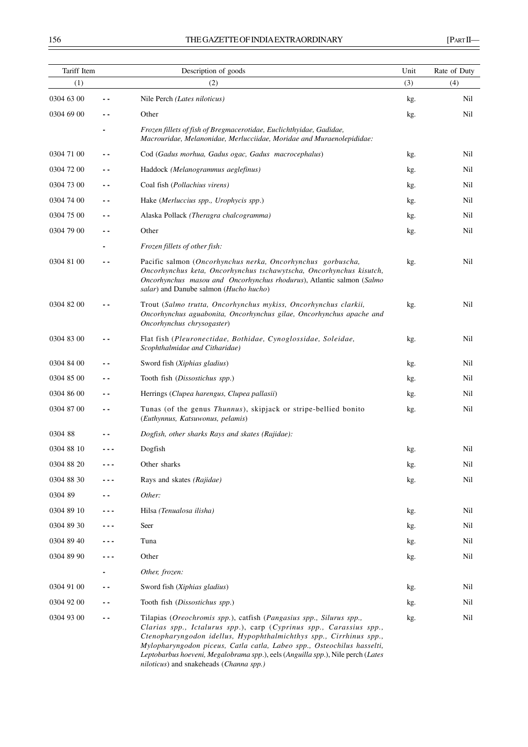| Tariff Item |       | Description of goods                                                                                                                                                                                                                                                                                                                                                                                                     | Unit | Rate of Duty |
|-------------|-------|--------------------------------------------------------------------------------------------------------------------------------------------------------------------------------------------------------------------------------------------------------------------------------------------------------------------------------------------------------------------------------------------------------------------------|------|--------------|
| (1)         |       | (2)                                                                                                                                                                                                                                                                                                                                                                                                                      | (3)  | (4)          |
| 0304 63 00  |       | Nile Perch (Lates niloticus)                                                                                                                                                                                                                                                                                                                                                                                             | kg.  | Nil          |
| 0304 69 00  |       | Other                                                                                                                                                                                                                                                                                                                                                                                                                    | kg.  | Nil          |
|             |       | Frozen fillets of fish of Bregmacerotidae, Euclichthyidae, Gadidae,<br>Macrouridae, Melanonidae, Merlucciidae, Moridae and Muraenolepididae:                                                                                                                                                                                                                                                                             |      |              |
| 0304 71 00  | . .   | Cod (Gadus morhua, Gadus ogac, Gadus macrocephalus)                                                                                                                                                                                                                                                                                                                                                                      | kg.  | Nil          |
| 0304 72 00  | . .   | Haddock (Melanogrammus aeglefinus)                                                                                                                                                                                                                                                                                                                                                                                       | kg.  | Nil          |
| 0304 73 00  | - -   | Coal fish (Pollachius virens)                                                                                                                                                                                                                                                                                                                                                                                            | kg.  | Nil          |
| 0304 74 00  | $ -$  | Hake (Merluccius spp., Urophycis spp.)                                                                                                                                                                                                                                                                                                                                                                                   | kg.  | Nil          |
| 0304 75 00  |       | Alaska Pollack (Theragra chalcogramma)                                                                                                                                                                                                                                                                                                                                                                                   | kg.  | Nil          |
| 0304 79 00  | - -   | Other                                                                                                                                                                                                                                                                                                                                                                                                                    | kg.  | Nil          |
|             |       | Frozen fillets of other fish:                                                                                                                                                                                                                                                                                                                                                                                            |      |              |
| 0304 81 00  | . .   | Pacific salmon (Oncorhynchus nerka, Oncorhynchus gorbuscha,<br>Oncorhynchus keta, Oncorhynchus tschawytscha, Oncorhynchus kisutch,<br>Oncorhynchus masou and Oncorhynchus rhodurus), Atlantic salmon (Salmo<br>salar) and Danube salmon (Hucho hucho)                                                                                                                                                                    | kg.  | Nil          |
| 0304 82 00  |       | Trout (Salmo trutta, Oncorhynchus mykiss, Oncorhynchus clarkii,<br>Oncorhynchus aguabonita, Oncorhynchus gilae, Oncorhynchus apache and<br>Oncorhynchus chrysogaster)                                                                                                                                                                                                                                                    | kg.  | Nil          |
| 0304 83 00  |       | Flat fish (Pleuronectidae, Bothidae, Cynoglossidae, Soleidae,<br>Scophthalmidae and Citharidae)                                                                                                                                                                                                                                                                                                                          | kg.  | Nil          |
| 0304 84 00  |       | Sword fish (Xiphias gladius)                                                                                                                                                                                                                                                                                                                                                                                             | kg.  | Nil          |
| 0304 85 00  | . .   | Tooth fish (Dissostichus spp.)                                                                                                                                                                                                                                                                                                                                                                                           | kg.  | Nil          |
| 0304 86 00  |       | Herrings (Clupea harengus, Clupea pallasii)                                                                                                                                                                                                                                                                                                                                                                              | kg.  | Nil          |
| 0304 87 00  | . .   | Tunas (of the genus Thunnus), skipjack or stripe-bellied bonito<br>(Euthynnus, Katsuwonus, pelamis)                                                                                                                                                                                                                                                                                                                      | kg.  | Nil          |
| 030488      |       | Dogfish, other sharks Rays and skates (Rajidae):                                                                                                                                                                                                                                                                                                                                                                         |      |              |
| 0304 88 10  |       | Dogfish                                                                                                                                                                                                                                                                                                                                                                                                                  | kg.  | Nil          |
| 0304 88 20  |       | Other sharks                                                                                                                                                                                                                                                                                                                                                                                                             | kg.  | Nil          |
| 0304 88 30  |       | Rays and skates (Rajidae)                                                                                                                                                                                                                                                                                                                                                                                                | kg.  | Nil          |
| 0304 89     |       | Other:                                                                                                                                                                                                                                                                                                                                                                                                                   |      |              |
| 0304 89 10  | - - - | Hilsa (Tenualosa ilisha)                                                                                                                                                                                                                                                                                                                                                                                                 | kg.  | Nil          |
| 0304 89 30  |       | Seer                                                                                                                                                                                                                                                                                                                                                                                                                     | kg.  | Nil          |
| 0304 89 40  |       | Tuna                                                                                                                                                                                                                                                                                                                                                                                                                     | kg.  | Nil          |
| 0304 89 90  |       | Other                                                                                                                                                                                                                                                                                                                                                                                                                    | kg.  | Nil          |
|             |       | Other, frozen:                                                                                                                                                                                                                                                                                                                                                                                                           |      |              |
| 0304 91 00  | - -   | Sword fish (Xiphias gladius)                                                                                                                                                                                                                                                                                                                                                                                             | kg.  | Nil          |
| 0304 92 00  |       | Tooth fish (Dissostichus spp.)                                                                                                                                                                                                                                                                                                                                                                                           | kg.  | Nil          |
| 0304 93 00  | . .   | Tilapias (Oreochromis spp.), catfish (Pangasius spp., Silurus spp.,<br>Clarias spp., Ictalurus spp.), carp (Cyprinus spp., Carassius spp.,<br>Ctenopharyngodon idellus, Hypophthalmichthys spp., Cirrhinus spp.,<br>Mylopharyngodon piceus, Catla catla, Labeo spp., Osteochilus hasselti,<br>Leptobarbus hoeveni, Megalobrama spp.), eels (Anguilla spp.), Nile perch (Lates<br>niloticus) and snakeheads (Channa spp.) | kg.  | Nil          |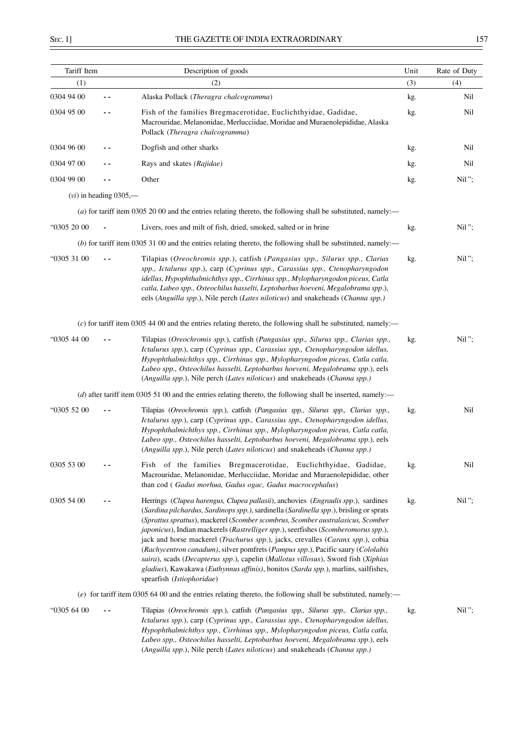| Tariff Item |                          | Description of goods                                                                                                                                                                                                                                                                                                                                                                                                                                                                                                                                                                                                                                                                                                               | Unit | Rate of Duty |
|-------------|--------------------------|------------------------------------------------------------------------------------------------------------------------------------------------------------------------------------------------------------------------------------------------------------------------------------------------------------------------------------------------------------------------------------------------------------------------------------------------------------------------------------------------------------------------------------------------------------------------------------------------------------------------------------------------------------------------------------------------------------------------------------|------|--------------|
| (1)         |                          | (2)                                                                                                                                                                                                                                                                                                                                                                                                                                                                                                                                                                                                                                                                                                                                | (3)  | (4)          |
| 0304 94 00  |                          | Alaska Pollack (Theragra chalcogramma)                                                                                                                                                                                                                                                                                                                                                                                                                                                                                                                                                                                                                                                                                             | kg.  | Nil          |
| 0304 95 00  |                          | Fish of the families Bregmacerotidae, Euclichthyidae, Gadidae,<br>Macrouridae, Melanonidae, Merlucciidae, Moridae and Muraenolepididae, Alaska<br>Pollack (Theragra chalcogramma)                                                                                                                                                                                                                                                                                                                                                                                                                                                                                                                                                  | kg.  | Nil          |
| 0304 96 00  |                          | Dogfish and other sharks                                                                                                                                                                                                                                                                                                                                                                                                                                                                                                                                                                                                                                                                                                           | kg.  | Nil          |
| 0304 97 00  |                          | Rays and skates (Rajidae)                                                                                                                                                                                                                                                                                                                                                                                                                                                                                                                                                                                                                                                                                                          | kg.  | Nil          |
| 0304 99 00  | - -                      | Other                                                                                                                                                                                                                                                                                                                                                                                                                                                                                                                                                                                                                                                                                                                              | kg.  | $Nil$ ";     |
|             | $(vi)$ in heading 0305,— |                                                                                                                                                                                                                                                                                                                                                                                                                                                                                                                                                                                                                                                                                                                                    |      |              |
|             |                          | (a) for tariff item 0305 20 00 and the entries relating thereto, the following shall be substituted, namely:—                                                                                                                                                                                                                                                                                                                                                                                                                                                                                                                                                                                                                      |      |              |
| "0305 20 00 |                          | Livers, roes and milt of fish, dried, smoked, salted or in brine                                                                                                                                                                                                                                                                                                                                                                                                                                                                                                                                                                                                                                                                   | kg.  | Nil";        |
|             |                          | (b) for tariff item 0305 31 00 and the entries relating thereto, the following shall be substituted, namely:—                                                                                                                                                                                                                                                                                                                                                                                                                                                                                                                                                                                                                      |      |              |
| "0305 31 00 |                          | Tilapias (Oreochromis spp.), catfish (Pangasius spp., Silurus spp., Clarias<br>spp., Ictalurus spp.), carp (Cyprinus spp., Carassius spp., Ctenopharyngodon<br>idellus, Hypophthalmichthys spp., Cirrhinus spp., Mylopharyngodon piceus, Catla<br>catla, Labeo spp., Osteochilus hasselti, Leptobarbus hoeveni, Megalobrama spp.),<br>eels (Anguilla spp.), Nile perch (Lates niloticus) and snakeheads (Channa spp.)                                                                                                                                                                                                                                                                                                              | kg.  | $Nil$ ";     |
|             |                          | $(c)$ for tariff item 0305 44 00 and the entries relating thereto, the following shall be substituted, namely:—                                                                                                                                                                                                                                                                                                                                                                                                                                                                                                                                                                                                                    |      |              |
| "0305 44 00 |                          | Tilapias (Oreochromis spp.), catfish (Pangasius spp., Silurus spp., Clarias spp.,<br>Ictalurus spp.), carp (Cyprinus spp., Carassius spp., Ctenopharyngodon idellus,<br>Hypophthalmichthys spp., Cirrhinus spp., Mylopharyngodon piceus, Catla catla,<br>Labeo spp., Osteochilus hasselti, Leptobarbus hoeveni, Megalobrama spp.), eels<br>(Anguilla spp.), Nile perch (Lates niloticus) and snakeheads (Channa spp.)                                                                                                                                                                                                                                                                                                              | kg.  | Nil";        |
|             |                          | (d) after tariff item 0305 51 00 and the entries relating thereto, the following shall be inserted, namely:—                                                                                                                                                                                                                                                                                                                                                                                                                                                                                                                                                                                                                       |      |              |
| "0305 52 00 |                          | Tilapias (Oreochromis spp.), catfish (Pangasius spp., Silurus spp., Clarias spp.,<br>Ictalurus spp.), carp (Cyprinus spp., Carassius spp., Ctenopharyngodon idellus,<br>Hypophthalmichthys spp., Cirrhinus spp., Mylopharyngodon piceus, Catla catla,<br>Labeo spp., Osteochilus hasselti, Leptobarbus hoeveni, Megalobrama spp.), eels<br>(Anguilla spp.), Nile perch (Lates niloticus) and snakeheads (Channa spp.)                                                                                                                                                                                                                                                                                                              | kg.  | Nil          |
| 0305 53 00  |                          | Fish of the families Bregmacerotidae, Euclichthyidae, Gadidae,<br>Macrouridae, Melanonidae, Merlucciidae, Moridae and Muraenolepididae, other<br>than cod (Gadus morhua, Gadus ogac, Gadus macrocephalus)                                                                                                                                                                                                                                                                                                                                                                                                                                                                                                                          | kg.  | Nil          |
| 0305 54 00  |                          | Herrings (Clupea harengus, Clupea pallasii), anchovies (Engraulis spp.), sardines<br>(Sardina pilchardus, Sardinops spp.), sardinella (Sardinella spp.), brisling or sprats<br>(Sprattus sprattus), mackerel (Scomber scombrus, Scomber australasicus, Scomber<br>japonicus), Indian mackerels (Rastrelliger spp.), seerfishes (Scomberomorus spp.),<br>jack and horse mackerel (Trachurus spp.), jacks, crevalles (Caranx spp.), cobia<br>(Rachycentron canadum), silver pomfrets (Pampus spp.), Pacific saury (Cololabis<br>saira), scads (Decapterus spp.), capelin (Mallotus villosus), Sword fish (Xiphias<br>gladius), Kawakawa (Euthynnus affinis), bonitos (Sarda spp.), marlins, sailfishes,<br>spearfish (Istiophoridae) | kg.  | $Nil$ ";     |
|             |                          | (e) for tariff item 0305 64 00 and the entries relating thereto, the following shall be substituted, namely:—                                                                                                                                                                                                                                                                                                                                                                                                                                                                                                                                                                                                                      |      |              |
| "0305 64 00 |                          | Tilapias (Oreochromis spp.), catfish (Pangasius spp., Silurus spp., Clarias spp.,<br>Ictalurus spp.), carp (Cyprinus spp., Carassius spp., Ctenopharyngodon idellus,<br>Hypophthalmichthys spp., Cirrhinus spp., Mylopharyngodon piceus, Catla catla,<br>Labeo spp., Osteochilus hasselti, Leptobarbus hoeveni, Megalobrama spp.), eels<br>(Anguilla spp.), Nile perch (Lates niloticus) and snakeheads (Channa spp.)                                                                                                                                                                                                                                                                                                              | kg.  | Nil";        |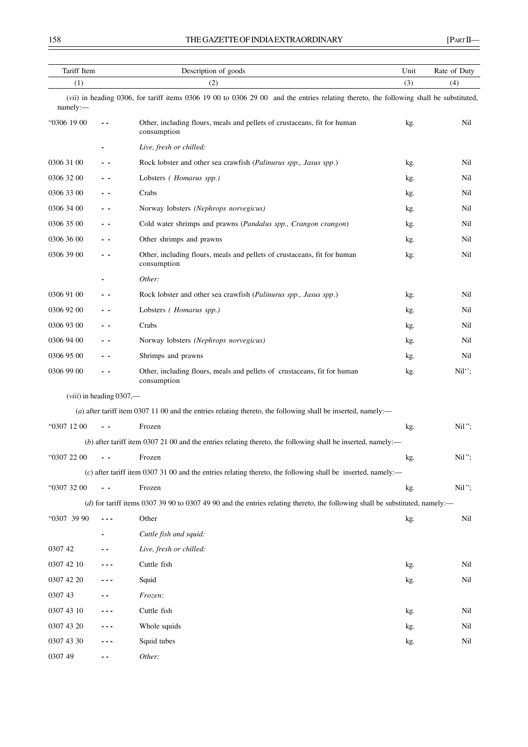| Tariff Item     |                            | Description of goods                                                                                                                   | Unit | Rate of Duty |
|-----------------|----------------------------|----------------------------------------------------------------------------------------------------------------------------------------|------|--------------|
| (1)             |                            | (2)                                                                                                                                    | (3)  | (4)          |
| namely:         |                            | (vii) in heading 0306, for tariff items 0306 19 00 to 0306 29 00 and the entries relating thereto, the following shall be substituted, |      |              |
| "0306 19 00     |                            | Other, including flours, meals and pellets of crustaceans, fit for human<br>consumption                                                | kg.  | Nil          |
|                 |                            | Live, fresh or chilled:                                                                                                                |      |              |
| 0306 31 00      |                            | Rock lobster and other sea crawfish (Palinurus spp., Jasus spp.)                                                                       | kg.  | Nil          |
| 0306 32 00      | . .                        | Lobsters ( <i>Homarus spp.</i> )                                                                                                       | kg.  | Nil          |
| 0306 33 00      | - -                        | Crabs                                                                                                                                  | kg.  | Nil          |
| 0306 34 00      | - -                        | Norway lobsters (Nephrops norvegicus)                                                                                                  | kg.  | Nil          |
| 0306 35 00      | - -                        | Cold water shrimps and prawns (Pandalus spp., Crangon crangon)                                                                         | kg.  | Nil          |
| 0306 36 00      | - -                        | Other shrimps and prawns                                                                                                               | kg.  | Nil          |
| 0306 39 00      | - -                        | Other, including flours, meals and pellets of crustaceans, fit for human<br>consumption                                                | kg.  | Nil          |
|                 |                            | Other:                                                                                                                                 |      |              |
| 0306 91 00      | - -                        | Rock lobster and other sea crawfish (Palinurus spp., Jasus spp.)                                                                       | kg.  | Nil          |
| 0306 92 00      | . .                        | Lobsters ( <i>Homarus spp.</i> )                                                                                                       | kg.  | Nil          |
| 0306 93 00      |                            | Crabs                                                                                                                                  | kg.  | Nil          |
| 0306 94 00      | - -                        | Norway lobsters (Nephrops norvegicus)                                                                                                  | kg.  | Nil          |
| 0306 95 00      | . .                        | Shrimps and prawns                                                                                                                     | kg.  | Nil          |
| 0306 99 00      | ٠.                         | Other, including flours, meals and pellets of crustaceans, fit for human<br>consumption                                                | kg.  | $Nil''$ ;    |
|                 | $(viii)$ in heading 0307,— |                                                                                                                                        |      |              |
|                 |                            | (a) after tariff item 0307 11 00 and the entries relating thereto, the following shall be inserted, namely:-                           |      |              |
| "0307 12 00     | $ -$                       | Frozen                                                                                                                                 | kg.  | Nil";        |
|                 |                            | $(b)$ after tariff item 0307 21 00 and the entries relating thereto, the following shall be inserted, namely:—                         |      |              |
| $-63072200 - -$ |                            | Frozen                                                                                                                                 | kg.  | Nil";        |
|                 |                            | (c) after tariff item 0307 31 00 and the entries relating thereto, the following shall be inserted, namely:—                           |      |              |
| "0307 32 00     | $\sim$                     | Frozen                                                                                                                                 | kg.  | Nil";        |
|                 |                            | (d) for tariff items 0307 39 90 to 0307 49 90 and the entries relating thereto, the following shall be substituted, namely:—           |      |              |
| "0307 39 90     | - - -                      | Other                                                                                                                                  | kg.  | Nil          |
|                 |                            | Cuttle fish and squid:                                                                                                                 |      |              |
| 0307 42         |                            | Live, fresh or chilled:                                                                                                                |      |              |
| 0307 42 10      |                            | Cuttle fish                                                                                                                            | kg.  | Nil          |
| 0307 42 20      |                            | Squid                                                                                                                                  | kg.  | Nil          |
| 0307 43         |                            | Frozen:                                                                                                                                |      |              |
| 0307 43 10      |                            | Cuttle fish                                                                                                                            | kg.  | Nil          |
| 0307 43 20      |                            | Whole squids                                                                                                                           | kg.  | Nil          |
| 0307 43 30      |                            | Squid tubes                                                                                                                            | kg.  | Nil          |
| 0307 49         |                            | Other:                                                                                                                                 |      |              |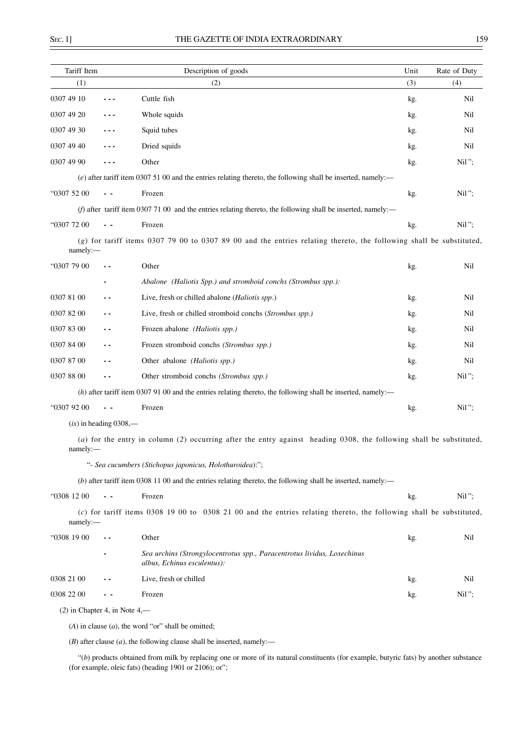| Tariff Item                     |                          | Description of goods                                                                                                  | Unit | Rate of Duty |
|---------------------------------|--------------------------|-----------------------------------------------------------------------------------------------------------------------|------|--------------|
| (1)                             |                          | (2)                                                                                                                   | (3)  | (4)          |
| 0307 49 10                      |                          | Cuttle fish                                                                                                           | kg.  | Nil          |
| 0307 49 20                      |                          | Whole squids                                                                                                          | kg.  | Nil          |
| 0307 49 30                      |                          | Squid tubes                                                                                                           | kg.  | Nil          |
| 0307 49 40                      |                          | Dried squids                                                                                                          | kg.  | Nil          |
| 0307 49 90                      |                          | Other                                                                                                                 | kg.  | Nil";        |
|                                 |                          | $(e)$ after tariff item 0307 51 00 and the entries relating thereto, the following shall be inserted, namely:-        |      |              |
| "0307 52 00                     |                          | Frozen                                                                                                                | kg.  | Nil";        |
|                                 |                          | (f) after tariff item 0307 71 00 and the entries relating thereto, the following shall be inserted, namely:-          |      |              |
| "0307 72 00                     |                          | Frozen                                                                                                                | kg.  | Nil";        |
| namely:-                        |                          | $(g)$ for tariff items 0307 79 00 to 0307 89 00 and the entries relating thereto, the following shall be substituted, |      |              |
| "0307 79 00                     | - -                      | Other                                                                                                                 | kg.  | Nil          |
|                                 |                          | Abalone (Haliotis Spp.) and stromboid conchs (Strombus spp.):                                                         |      |              |
| 0307 81 00                      | . .                      | Live, fresh or chilled abalone (Haliotis spp.)                                                                        | kg.  | Nil          |
| 0307 82 00                      | . .                      | Live, fresh or chilled stromboid conchs (Strombus spp.)                                                               | kg.  | Nil          |
| 0307 83 00                      | - -                      | Frozen abalone (Haliotis spp.)                                                                                        | kg.  | Nil          |
| 0307 84 00                      | - -                      | Frozen stromboid conchs (Strombus spp.)                                                                               | kg.  | Nil          |
| 0307 87 00                      | . .                      | Other abalone (Haliotis spp.)                                                                                         | kg.  | Nil          |
| 0307 88 00                      | - -                      | Other stromboid conchs (Strombus spp.)                                                                                | kg.  | Nil";        |
|                                 |                          | $(h)$ after tariff item 0307 91 00 and the entries relating thereto, the following shall be inserted, namely:—        |      |              |
| "0307 92 00                     |                          | Frozen                                                                                                                | kg.  | Nil";        |
|                                 | $(ix)$ in heading 0308,— |                                                                                                                       |      |              |
| namely:-                        |                          | (a) for the entry in column (2) occurring after the entry against heading 0308, the following shall be substituted,   |      |              |
|                                 |                          | "- Sea cucumbers (Stichopus japonicus, Holothuroidea):";                                                              |      |              |
|                                 |                          | $(b)$ after tariff item 0308 11 00 and the entries relating thereto, the following shall be inserted, namely:—        |      |              |
| "0308 12 00                     |                          | Frozen                                                                                                                | kg.  | Nil";        |
| namely:                         |                          | $(c)$ for tariff items 0308 19 00 to 0308 21 00 and the entries relating thereto, the following shall be substituted, |      |              |
| "0308 19 00                     |                          | Other                                                                                                                 | kg.  | Nil          |
|                                 |                          | Sea urchins (Strongylocentrotus spp., Paracentrotus lividus, Loxechinus<br>albus, Echinus esculentus):                |      |              |
| 0308 21 00                      |                          | Live, fresh or chilled                                                                                                | kg.  | Nil          |
| 0308 22 00                      |                          | Frozen                                                                                                                | kg.  | Nil";        |
| $(2)$ in Chapter 4, in Note 4,— |                          |                                                                                                                       |      |              |
|                                 |                          | $(A)$ in clause $(a)$ , the word "or" shall be omitted;                                                               |      |              |

 $(B)$  after clause  $(a)$ , the following clause shall be inserted, namely:-

"(*b*) products obtained from milk by replacing one or more of its natural constituents (for example, butyric fats) by another substance (for example, oleic fats) (heading 1901 or 2106); or";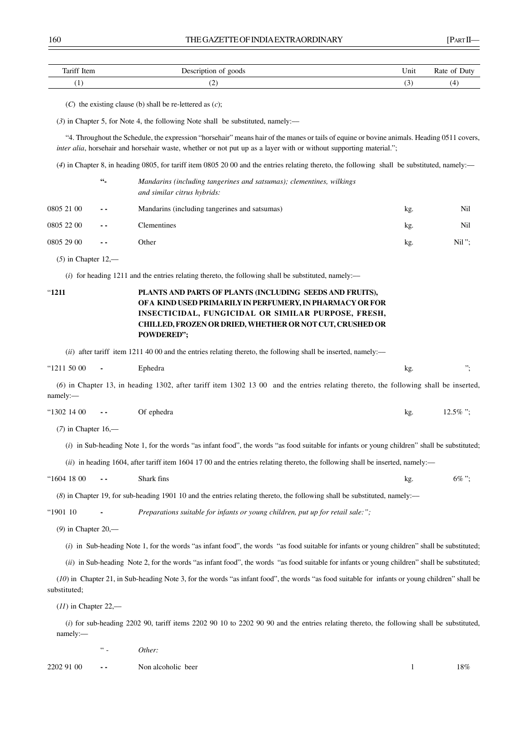| Tariff I<br>Hem | goods<br>$\sim$ $\sim$ $\sim$ $\sim$ $\sim$<br>.<br>ັ | ∪nıt | $Rate_{\sim}$<br>Jut |
|-----------------|-------------------------------------------------------|------|----------------------|
| . .             | ◟                                                     | ັ    | (4                   |

(*C*) the existing clause (b) shall be re-lettered as (*c*);

(*3*) in Chapter 5, for Note 4, the following Note shall be substituted, namely:––

"4. Throughout the Schedule, the expression "horsehair" means hair of the manes or tails of equine or bovine animals. Heading 0511 covers, *inter alia*, horsehair and horsehair waste, whether or not put up as a layer with or without supporting material.";

(*4*) in Chapter 8, in heading 0805, for tariff item 0805 20 00 and the entries relating thereto, the following shall be substituted, namely:––

|            | $66 -$        | Mandarins (including tangerines and satsumas); clementines, wilkings<br>and similar citrus hybrids: |     |          |
|------------|---------------|-----------------------------------------------------------------------------------------------------|-----|----------|
| 0805 21 00 | $\sim$ $\sim$ | Mandarins (including tangerines and satsumas)                                                       | kg. | Nil      |
| 0805 22 00 | $\sim$ $\sim$ | Clementines                                                                                         | kg. | Nil      |
| 0805 29 00 | $\sim$ $\sim$ | Other                                                                                               | kg. | $Nil$ "; |

(*5*) in Chapter 12,––

(*i*) for heading 1211 and the entries relating thereto, the following shall be substituted, namely:––

# "**1211 PLANTS AND PARTS OF PLANTS (INCLUDING SEEDS AND FRUITS), OF A KIND USED PRIMARILY IN PERFUMERY, IN PHARMACY OR FOR INSECTICIDAL, FUNGICIDAL OR SIMILAR PURPOSE, FRESH, CHILLED, FROZEN OR DRIED, WHETHER OR NOT CUT, CRUSHED OR POWDERED";**

(*ii*) after tariff item 1211 40 00 and the entries relating thereto, the following shall be inserted, namely:—

| "1211 50 00<br>Ephedra<br>$\overline{\phantom{a}}$<br>n≚ |  |
|----------------------------------------------------------|--|
|----------------------------------------------------------|--|

(*6*) in Chapter 13, in heading 1302, after tariff item 1302 13 00 and the entries relating thereto, the following shall be inserted, namely:––

| "1302 14 00 | $\sim$ 100 $\pm$ 100 $\pm$ | Of ephedra |  | kg | $12.5\%$ "; |
|-------------|----------------------------|------------|--|----|-------------|
|-------------|----------------------------|------------|--|----|-------------|

(*7*) in Chapter 16,––

(*i*) in Sub-heading Note 1, for the words "as infant food", the words "as food suitable for infants or young children" shall be substituted;

(*ii*) in heading 1604, after tariff item 1604 17 00 and the entries relating thereto, the following shall be inserted, namely:—

| "1604 18 00 | $ -$ | Shark fins | kg | 6% $\cdot^{\cdot}$ |
|-------------|------|------------|----|--------------------|
|-------------|------|------------|----|--------------------|

(*8*) in Chapter 19, for sub-heading 1901 10 and the entries relating thereto, the following shall be substituted, namely:––

"1901 10 **-** *Preparations suitable for infants or young children, put up for retail sale:";*

(*9*) in Chapter 20,––

(*i*) in Sub-heading Note 1, for the words "as infant food", the words "as food suitable for infants or young children" shall be substituted;

(*ii*) in Sub-heading Note 2, for the words "as infant food", the words "as food suitable for infants or young children" shall be substituted;

(*10*) in Chapter 21, in Sub-heading Note 3, for the words "as infant food", the words "as food suitable for infants or young children" shall be substituted;

(*11*) in Chapter 22,––

(*i*) for sub-heading 2202 90, tariff items 2202 90 10 to 2202 90 90 and the entries relating thereto, the following shall be substituted, namely:––

" - *Other:*

2202 91 00 **- -** Non alcoholic beer l 18%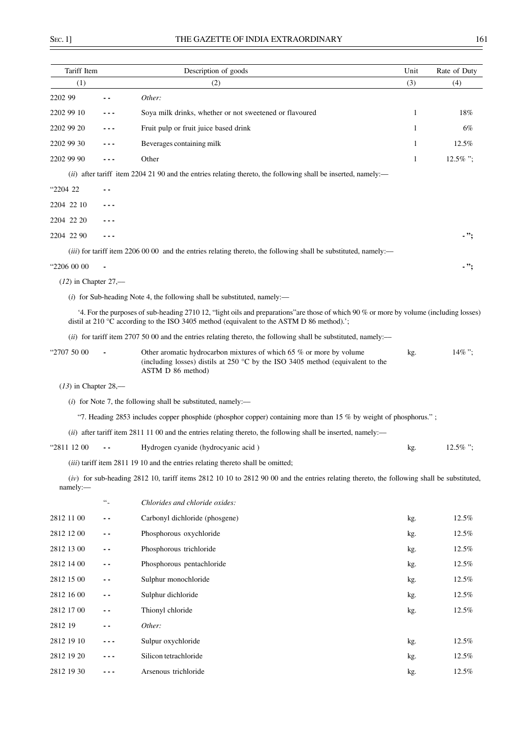| Tariff Item            |                  | Description of goods                                                                                                                                                                                                                          | Unit | Rate of Duty |
|------------------------|------------------|-----------------------------------------------------------------------------------------------------------------------------------------------------------------------------------------------------------------------------------------------|------|--------------|
| (1)                    |                  | (2)                                                                                                                                                                                                                                           | (3)  | (4)          |
| 2202 99                |                  | Other:                                                                                                                                                                                                                                        |      |              |
| 2202 99 10             | - - -            | Soya milk drinks, whether or not sweetened or flavoured                                                                                                                                                                                       | 1    | 18%          |
| 2202 99 20             |                  | Fruit pulp or fruit juice based drink                                                                                                                                                                                                         | 1    | 6%           |
| 2202 99 30             |                  | Beverages containing milk                                                                                                                                                                                                                     | 1    | 12.5%        |
| 2202 99 90             |                  | Other                                                                                                                                                                                                                                         | 1    | 12.5%":      |
|                        |                  | (ii) after tariff item 2204 21 90 and the entries relating thereto, the following shall be inserted, namely:—                                                                                                                                 |      |              |
| "2204 22               | . .              |                                                                                                                                                                                                                                               |      |              |
| 2204 22 10             |                  |                                                                                                                                                                                                                                               |      |              |
| 2204 22 20             | - - -            |                                                                                                                                                                                                                                               |      |              |
| 2204 22 90             |                  |                                                                                                                                                                                                                                               |      | - ";         |
|                        |                  | ( <i>iii</i> ) for tariff item 2206 00 00 and the entries relating thereto, the following shall be substituted, namely:—                                                                                                                      |      |              |
| "2206 00 00            |                  |                                                                                                                                                                                                                                               |      | - ";         |
| $(12)$ in Chapter 27,— |                  |                                                                                                                                                                                                                                               |      |              |
|                        |                  | $(i)$ for Sub-heading Note 4, the following shall be substituted, namely:—                                                                                                                                                                    |      |              |
|                        |                  | 4. For the purposes of sub-heading 2710 12, "light oils and preparations" are those of which 90 % or more by volume (including losses)<br>distil at 210 $^{\circ}$ C according to the ISO 3405 method (equivalent to the ASTM D 86 method).'; |      |              |
|                        |                  | (ii) for tariff item 2707 50 00 and the entries relating thereto, the following shall be substituted, namely:—                                                                                                                                |      |              |
| "2707 50 00            |                  | Other aromatic hydrocarbon mixtures of which 65 % or more by volume<br>(including losses) distils at 250 $^{\circ}$ C by the ISO 3405 method (equivalent to the<br>ASTM D 86 method)                                                          | kg.  | $14\%$ ".    |
| $(13)$ in Chapter 28,— |                  |                                                                                                                                                                                                                                               |      |              |
|                        |                  | $(i)$ for Note 7, the following shall be substituted, namely:—                                                                                                                                                                                |      |              |
|                        |                  | "7. Heading 2853 includes copper phosphide (phosphor copper) containing more than 15 % by weight of phosphorus.";                                                                                                                             |      |              |
|                        |                  | $(ii)$ after tariff item 2811 11 00 and the entries relating thereto, the following shall be inserted, namely:—                                                                                                                               |      |              |
| "2811 12 00            |                  | Hydrogen cyanide (hydrocyanic acid)                                                                                                                                                                                                           | kg.  | $12.5\%$ ":  |
|                        |                  | (iii) tariff item 2811 19 10 and the entries relating thereto shall be omitted;                                                                                                                                                               |      |              |
| namely:-               |                  | $(iv)$ for sub-heading 2812 10, tariff items 2812 10 10 to 2812 90 00 and the entries relating thereto, the following shall be substituted,                                                                                                   |      |              |
|                        | $\omega_{\perp}$ | Chlorides and chloride oxides:                                                                                                                                                                                                                |      |              |
| 2812 11 00             | . .              | Carbonyl dichloride (phosgene)                                                                                                                                                                                                                | kg.  | 12.5%        |
| 2812 12 00             | ۰.               | Phosphorous oxychloride                                                                                                                                                                                                                       | kg.  | 12.5%        |
| 2812 13 00             | ۰.               | Phosphorous trichloride                                                                                                                                                                                                                       | kg.  | 12.5%        |
| 2812 14 00             | ۰.               | Phosphorous pentachloride                                                                                                                                                                                                                     | kg.  | 12.5%        |
| 2812 15 00             | - -              | Sulphur monochloride                                                                                                                                                                                                                          | kg.  | 12.5%        |
| 2812 16 00             | - -              | Sulphur dichloride                                                                                                                                                                                                                            | kg.  | 12.5%        |
| 2812 17 00             | ۰.               | Thionyl chloride                                                                                                                                                                                                                              | kg.  | 12.5%        |
| 2812 19                | . .              | Other:                                                                                                                                                                                                                                        |      |              |
| 2812 19 10             | - - -            | Sulpur oxychloride                                                                                                                                                                                                                            | kg.  | 12.5%        |
| 2812 19 20             |                  | Silicon tetrachloride                                                                                                                                                                                                                         | kg.  | 12.5%        |
| 2812 19 30             |                  | Arsenous trichloride                                                                                                                                                                                                                          | kg.  | 12.5%        |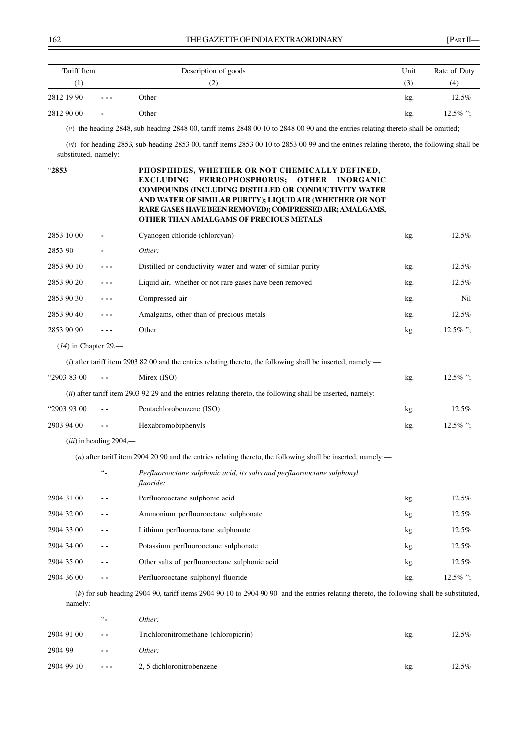| Tariff Item                  |                | Description of goods | Unit | Rate of Duty |
|------------------------------|----------------|----------------------|------|--------------|
| $\left\lceil 1 \right\rceil$ |                | (2)<br>. Z           | (3)  | (4)          |
| 2812 19 90                   | $\cdots$       | Other                | kg.  | $12.5\%$     |
| 2812 90 00                   | $\blacksquare$ | Other                | kg.  | $12.5\%$ ":  |

(*v*) the heading 2848, sub-heading 2848 00, tariff items 2848 00 10 to 2848 00 90 and the entries relating thereto shall be omitted;

(*vi*) for heading 2853, sub-heading 2853 00, tariff items 2853 00 10 to 2853 00 99 and the entries relating thereto, the following shall be substituted, namely:-

| "2853                  |                           | PHOSPHIDES, WHETHER OR NOT CHEMICALLY DEFINED,<br><b>EXCLUDING</b><br><b>FERROPHOSPHORUS;</b><br><b>OTHER</b><br><b>INORGANIC</b><br><b>COMPOUNDS (INCLUDING DISTILLED OR CONDUCTIVITY WATER</b><br>AND WATER OF SIMILAR PURITY); LIQUID AIR (WHETHER OR NOT<br>RARE GASES HAVE BEEN REMOVED); COMPRESSED AIR; AMALGAMS,<br>OTHER THAN AMALGAMS OF PRECIOUS METALS |     |             |
|------------------------|---------------------------|--------------------------------------------------------------------------------------------------------------------------------------------------------------------------------------------------------------------------------------------------------------------------------------------------------------------------------------------------------------------|-----|-------------|
| 2853 10 00             |                           | Cyanogen chloride (chlorcyan)                                                                                                                                                                                                                                                                                                                                      | kg. | 12.5%       |
| 2853 90                |                           | Other:                                                                                                                                                                                                                                                                                                                                                             |     |             |
| 2853 90 10             | ---                       | Distilled or conductivity water and water of similar purity                                                                                                                                                                                                                                                                                                        | kg. | 12.5%       |
| 2853 90 20             | ---                       | Liquid air, whether or not rare gases have been removed                                                                                                                                                                                                                                                                                                            | kg. | 12.5%       |
| 2853 90 30             | ---                       | Compressed air                                                                                                                                                                                                                                                                                                                                                     | kg. | Nil         |
| 2853 90 40             |                           | Amalgams, other than of precious metals                                                                                                                                                                                                                                                                                                                            | kg. | 12.5%       |
| 2853 90 90             | $- - -$                   | Other                                                                                                                                                                                                                                                                                                                                                              | kg. | $12.5\%$ "; |
| $(14)$ in Chapter 29,— |                           |                                                                                                                                                                                                                                                                                                                                                                    |     |             |
|                        |                           | (i) after tariff item 2903 82 00 and the entries relating thereto, the following shall be inserted, namely:—                                                                                                                                                                                                                                                       |     |             |
| "2903 83 00            | $\sim$ $\sim$             | Mirex (ISO)                                                                                                                                                                                                                                                                                                                                                        | kg. | $12.5\%$ "; |
|                        |                           | (ii) after tariff item 2903 92 29 and the entries relating thereto, the following shall be inserted, namely:—                                                                                                                                                                                                                                                      |     |             |
| "2903 93 00            | $ -$                      | Pentachlorobenzene (ISO)                                                                                                                                                                                                                                                                                                                                           | kg. | 12.5%       |
| 2903 94 00             | $\sim$ $\sim$             | Hexabromobiphenyls                                                                                                                                                                                                                                                                                                                                                 | kg. | 12.5%";     |
|                        | $(iii)$ in heading 2904,— |                                                                                                                                                                                                                                                                                                                                                                    |     |             |
|                        |                           | (a) after tariff item 2904 20 90 and the entries relating thereto, the following shall be inserted, namely:—                                                                                                                                                                                                                                                       |     |             |
|                        | $\ddotsc$                 | Perfluorooctane sulphonic acid, its salts and perfluorooctane sulphonyl<br>fluoride:                                                                                                                                                                                                                                                                               |     |             |
| 2904 31 00             | . .                       | Perfluorooctane sulphonic acid                                                                                                                                                                                                                                                                                                                                     | kg. | 12.5%       |
| 2904 32 00             | - -                       | Ammonium perfluorooctane sulphonate                                                                                                                                                                                                                                                                                                                                | kg. | 12.5%       |
| 2904 33 00             | $ -$                      | Lithium perfluorooctane sulphonate                                                                                                                                                                                                                                                                                                                                 | kg. | 12.5%       |
| 2904 34 00             | - -                       | Potassium perfluorooctane sulphonate                                                                                                                                                                                                                                                                                                                               | kg. | 12.5%       |
| 2904 35 00             | $ -$                      | Other salts of perfluorooctane sulphonic acid                                                                                                                                                                                                                                                                                                                      | kg. | 12.5%       |
| 2904 36 00             |                           | Perfluorooctane sulphonyl fluoride                                                                                                                                                                                                                                                                                                                                 | kg. | 12.5%";     |
| namely:-               |                           | (b) for sub-heading 2904 90, tariff items 2904 90 10 to 2904 90 90 and the entries relating thereto, the following shall be substituted,                                                                                                                                                                                                                           |     |             |
|                        | $\ddotsc$                 | Other:                                                                                                                                                                                                                                                                                                                                                             |     |             |
| 2904 91 00             |                           | Trichloronitromethane (chloropicrin)                                                                                                                                                                                                                                                                                                                               | kg. | 12.5%       |
| 2904 99                |                           | Other:                                                                                                                                                                                                                                                                                                                                                             |     |             |
| 2904 99 10             | ---                       | 2, 5 dichloronitrobenzene                                                                                                                                                                                                                                                                                                                                          | kg. | 12.5%       |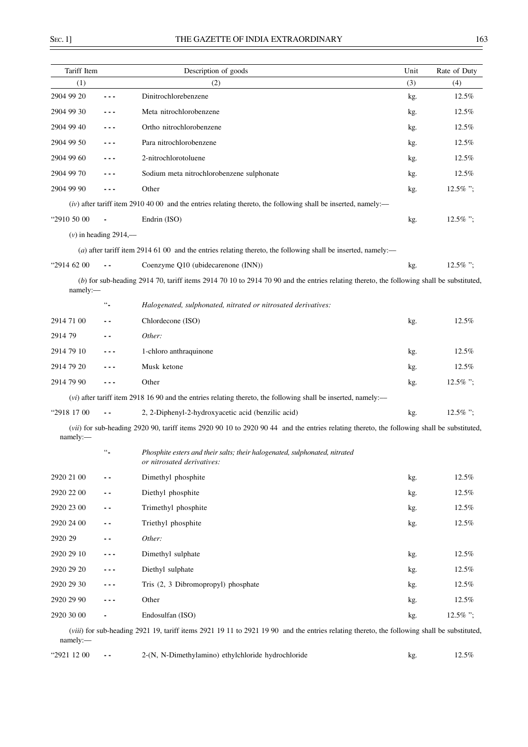$\overline{\phantom{0}}$ 

| Tariff Item |                          | Description of goods                                                                                                                        | Unit | Rate of Duty |
|-------------|--------------------------|---------------------------------------------------------------------------------------------------------------------------------------------|------|--------------|
| (1)         |                          | (2)                                                                                                                                         | (3)  | (4)          |
| 2904 99 20  | $- - -$                  | Dinitrochlorebenzene                                                                                                                        | kg.  | 12.5%        |
| 2904 99 30  | - - -                    | Meta nitrochlorobenzene                                                                                                                     | kg.  | 12.5%        |
| 2904 99 40  |                          | Ortho nitrochlorobenzene                                                                                                                    | kg.  | 12.5%        |
| 2904 99 50  | ---                      | Para nitrochlorobenzene                                                                                                                     | kg.  | 12.5%        |
| 2904 99 60  |                          | 2-nitrochlorotoluene                                                                                                                        | kg.  | 12.5%        |
| 2904 99 70  | ---                      | Sodium meta nitrochlorobenzene sulphonate                                                                                                   | kg.  | 12.5%        |
| 2904 99 90  | $- - -$                  | Other                                                                                                                                       | kg.  | $12.5\%$ ";  |
|             |                          | $(iv)$ after tariff item 2910 40 00 and the entries relating thereto, the following shall be inserted, namely:—                             |      |              |
| "2910 50 00 |                          | Endrin (ISO)                                                                                                                                | kg.  | $12.5\%$ ";  |
|             | $(v)$ in heading 2914,—  |                                                                                                                                             |      |              |
|             |                          | (a) after tariff item 2914 61 00 and the entries relating thereto, the following shall be inserted, namely:—                                |      |              |
| "2914 62 00 | $ -$                     | Coenzyme Q10 (ubidecarenone (INN))                                                                                                          | kg.  | $12.5\%$ ";  |
| namely:     |                          | (b) for sub-heading 2914 70, tariff items 2914 70 10 to 2914 70 90 and the entries relating thereto, the following shall be substituted,    |      |              |
|             | $\ddotsc$                | Halogenated, sulphonated, nitrated or nitrosated derivatives:                                                                               |      |              |
| 2914 71 00  |                          | Chlordecone (ISO)                                                                                                                           | kg.  | 12.5%        |
| 2914 79     | . .                      | Other:                                                                                                                                      |      |              |
| 2914 79 10  |                          | 1-chloro anthraquinone                                                                                                                      | kg.  | 12.5%        |
| 2914 79 20  |                          | Musk ketone                                                                                                                                 | kg.  | 12.5%        |
| 2914 79 90  |                          | Other                                                                                                                                       | kg.  | $12.5\%$ ";  |
|             |                          | $(vi)$ after tariff item 2918 16 90 and the entries relating thereto, the following shall be inserted, namely:—                             |      |              |
| "2918 17 00 | $ -$                     | 2, 2-Diphenyl-2-hydroxyacetic acid (benzilic acid)                                                                                          | kg.  | $12.5\%$ ";  |
| namely:     |                          | (vii) for sub-heading 2920 90, tariff items 2920 90 10 to 2920 90 44 and the entries relating thereto, the following shall be substituted,  |      |              |
|             | $\ddotsc$                | Phosphite esters and their salts; their halogenated, sulphonated, nitrated<br>or nitrosated derivatives:                                    |      |              |
| 2920 21 00  |                          | Dimethyl phosphite                                                                                                                          | kg.  | 12.5%        |
| 2920 22 00  | ۰.                       | Diethyl phosphite                                                                                                                           | kg.  | 12.5%        |
| 2920 23 00  |                          | Trimethyl phosphite                                                                                                                         | kg.  | 12.5%        |
| 2920 24 00  | . .                      | Triethyl phosphite                                                                                                                          | kg.  | 12.5%        |
| 2920 29     |                          | Other:                                                                                                                                      |      |              |
| 2920 29 10  |                          | Dimethyl sulphate                                                                                                                           | kg.  | 12.5%        |
| 2920 29 20  |                          | Diethyl sulphate                                                                                                                            | kg.  | 12.5%        |
| 2920 29 30  |                          | Tris (2, 3 Dibromopropyl) phosphate                                                                                                         | kg.  | 12.5%        |
| 2920 29 90  |                          | Other                                                                                                                                       | kg.  | 12.5%        |
| 2920 30 00  |                          | Endosulfan (ISO)                                                                                                                            | kg.  | $12.5\%$ ";  |
| namely:-    |                          | (viii) for sub-heading 2921 19, tariff items 2921 19 11 to 2921 19 90 and the entries relating thereto, the following shall be substituted, |      |              |
| "2921 12 00 | $\overline{\phantom{a}}$ | 2-(N, N-Dimethylamino) ethylchloride hydrochloride                                                                                          | kg.  | 12.5%        |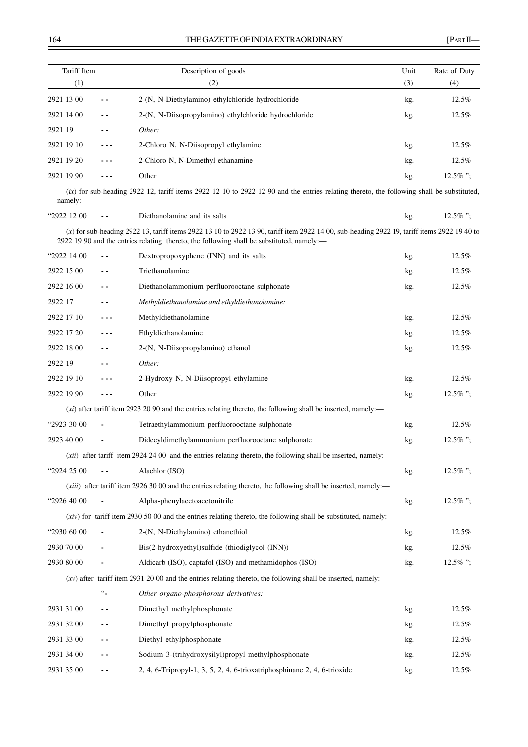| Tariff Item |          | Description of goods                                  | Unit | Rate of Duty |
|-------------|----------|-------------------------------------------------------|------|--------------|
| (1)         |          | (2)                                                   | (3)  | (4)          |
| 2921 13 00  | $ -$     | 2-(N, N-Diethylamino) ethylchloride hydrochloride     | kg.  | $12.5\%$     |
| 2921 14 00  | $ -$     | 2-(N, N-Diisopropylamino) ethylchloride hydrochloride | kg.  | 12.5%        |
| 2921 19     |          | Other:                                                |      |              |
| 2921 19 10  | $- - -$  | 2-Chloro N, N-Diisopropyl ethylamine                  | kg.  | $12.5\%$     |
| 2921 19 20  | $\cdots$ | 2-Chloro N, N-Dimethyl ethanamine                     | kg.  | 12.5%        |
| 2921 19 90  | $- - -$  | Other                                                 | kg.  | $12.5\%$ ":  |

(*ix*) for sub-heading 2922 12, tariff items 2922 12 10 to 2922 12 90 and the entries relating thereto, the following shall be substituted, namely:––

"2922 12 00 **- -** Diethanolamine and its salts kg. 12.5% ";

(*x*) for sub-heading 2922 13, tariff items 2922 13 10 to 2922 13 90, tariff item 2922 14 00, sub-heading 2922 19, tariff items 2922 19 40 to 2922 19 90 and the entries relating thereto, the following shall be substituted, namely:––

| "2922 14 00 | $ -$           | Dextropropoxyphene (INN) and its salts                                                                            | kg. | 12.5%       |
|-------------|----------------|-------------------------------------------------------------------------------------------------------------------|-----|-------------|
| 2922 15 00  |                | Triethanolamine                                                                                                   | kg. | 12.5%       |
| 2922 16 00  | $ -$           | Diethanolammonium perfluorooctane sulphonate                                                                      | kg. | 12.5%       |
| 2922 17     | $ -$           | Methyldiethanolamine and ethyldiethanolamine:                                                                     |     |             |
| 2922 17 10  | ---            | Methyldiethanolamine                                                                                              | kg. | 12.5%       |
| 2922 17 20  | ---            | Ethyldiethanolamine                                                                                               | kg. | 12.5%       |
| 2922 18 00  | - -            | 2-(N, N-Diisopropylamino) ethanol                                                                                 | kg. | 12.5%       |
| 2922 19     | ٠.             | Other:                                                                                                            |     |             |
| 2922 19 10  | ---            | 2-Hydroxy N, N-Diisopropyl ethylamine                                                                             | kg. | 12.5%       |
| 2922 19 90  | - - -          | Other                                                                                                             | kg. | 12.5%";     |
|             |                | $(xi)$ after tariff item 2923 20 90 and the entries relating thereto, the following shall be inserted, namely:—   |     |             |
| "2923 30 00 |                | Tetraethylammonium perfluorooctane sulphonate                                                                     | kg. | 12.5%       |
| 2923 40 00  |                | Didecyldimethylammonium perfluorooctane sulphonate                                                                | kg. | $12.5\%$ "; |
|             |                | (xii) after tariff item 2924 24 00 and the entries relating thereto, the following shall be inserted, namely:—    |     |             |
| "2924 25 00 | $\overline{a}$ | Alachlor (ISO)                                                                                                    | kg. | 12.5%";     |
|             |                | (xiii) after tariff item 2926 30 00 and the entries relating thereto, the following shall be inserted, namely:—   |     |             |
| "2926 40 00 |                | Alpha-phenylacetoacetonitrile                                                                                     | kg. | $12.5\%$ "; |
|             |                | $(xiv)$ for tariff item 2930 50 00 and the entries relating thereto, the following shall be substituted, namely:— |     |             |
| "2930 60 00 |                | 2-(N, N-Diethylamino) ethanethiol                                                                                 | kg. | 12.5%       |
| 2930 70 00  |                | Bis(2-hydroxyethyl) sulfide (thiodiglycol (INN))                                                                  | kg. | 12.5%       |
| 2930 80 00  |                | Aldicarb (ISO), captafol (ISO) and methamidophos (ISO)                                                            | kg. | 12.5%";     |
|             |                | $(xv)$ after tariff item 2931 2000 and the entries relating thereto, the following shall be inserted, namely:—    |     |             |
|             | $\mathfrak{c}$ | Other organo-phosphorous derivatives:                                                                             |     |             |
| 2931 31 00  | $ -$           | Dimethyl methylphosphonate                                                                                        | kg. | 12.5%       |
| 2931 32 00  | $ -$           | Dimethyl propylphosphonate                                                                                        | kg. | 12.5%       |
| 2931 33 00  | $ -$           | Diethyl ethylphosphonate                                                                                          | kg. | 12.5%       |
| 2931 34 00  | $ -$           | Sodium 3-(trihydroxysilyl)propyl methylphosphonate                                                                | kg. | 12.5%       |
| 2931 35 00  | $ -$           | 2, 4, 6-Tripropyl-1, 3, 5, 2, 4, 6-trioxatriphosphinane 2, 4, 6-trioxide                                          | kg. | 12.5%       |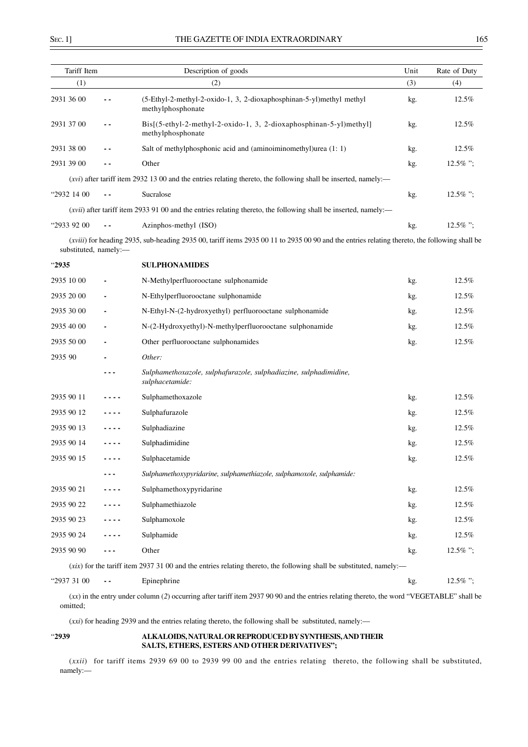| Tariff Item           |                          | Description of goods                                                                                                                                   | Unit | Rate of Duty |
|-----------------------|--------------------------|--------------------------------------------------------------------------------------------------------------------------------------------------------|------|--------------|
| (1)                   |                          | (2)                                                                                                                                                    | (3)  | (4)          |
| 2931 36 00            | - -                      | (5-Ethyl-2-methyl-2-oxido-1, 3, 2-dioxaphosphinan-5-yl)methyl methyl<br>methylphosphonate                                                              | kg.  | 12.5%        |
| 2931 37 00            | - -                      | Bis[(5-ethyl-2-methyl-2-oxido-1, 3, 2-dioxaphosphinan-5-yl)methyl]<br>methylphosphonate                                                                | kg.  | 12.5%        |
| 2931 38 00            | - -                      | Salt of methylphosphonic acid and (aminoiminomethyl)urea (1: 1)                                                                                        | kg.  | 12.5%        |
| 2931 39 00            |                          | Other                                                                                                                                                  | kg.  | $12.5\%$ ";  |
|                       |                          | ( <i>xvi</i> ) after tariff item 2932 13 00 and the entries relating thereto, the following shall be inserted, namely:—                                |      |              |
| "2932 14 00           | $ -$                     | Sucralose                                                                                                                                              | kg.  | $12.5\%$ ";  |
|                       |                          | ( <i>xvii</i> ) after tariff item 2933 91 00 and the entries relating thereto, the following shall be inserted, namely:—                               |      |              |
| "2933 92 00           | $\overline{\phantom{a}}$ | Azinphos-methyl (ISO)                                                                                                                                  | kg.  | $12.5\%$ ";  |
| substituted, namely:- |                          | ( <i>xviii</i> ) for heading 2935, sub-heading 2935 00, tariff items 2935 00 11 to 2935 00 90 and the entries relating thereto, the following shall be |      |              |
| "2935                 |                          | <b>SULPHONAMIDES</b>                                                                                                                                   |      |              |
| 2935 10 00            |                          | N-Methylperfluorooctane sulphonamide                                                                                                                   | kg.  | 12.5%        |
| 2935 20 00            |                          | N-Ethylperfluorooctane sulphonamide                                                                                                                    | kg.  | 12.5%        |
| 2935 30 00            |                          | N-Ethyl-N-(2-hydroxyethyl) perfluorooctane sulphonamide                                                                                                | kg.  | 12.5%        |
| 2935 40 00            |                          | N-(2-Hydroxyethyl)-N-methylperfluorooctane sulphonamide                                                                                                | kg.  | 12.5%        |
| 2935 50 00            |                          | Other perfluorooctane sulphonamides                                                                                                                    | kg.  | 12.5%        |
| 2935 90               |                          | Other:                                                                                                                                                 |      |              |
|                       | .                        | Sulphamethoxazole, sulphafurazole, sulphadiazine, sulphadimidine,<br>sulphacetamide:                                                                   |      |              |
| 2935 90 11            |                          | Sulphamethoxazole                                                                                                                                      | kg.  | 12.5%        |
| 2935 90 12            |                          | Sulphafurazole                                                                                                                                         | kg.  | 12.5%        |
| 2935 90 13            |                          | Sulphadiazine                                                                                                                                          | kg.  | 12.5%        |
| 2935 90 14            |                          | Sulphadimidine                                                                                                                                         | kg.  | 12.5%        |
| 2935 90 15            |                          | Sulphacetamide                                                                                                                                         | kg.  | 12.5%        |
|                       |                          | Sulphamethoxypyridarine, sulphamethiazole, sulphamoxole, sulphamide:                                                                                   |      |              |
| 2935 90 21            |                          | Sulphamethoxypyridarine                                                                                                                                | kg.  | $12.5\%$     |
| 2935 90 22            |                          | Sulphamethiazole                                                                                                                                       | kg.  | 12.5%        |
| 2935 90 23            |                          | Sulphamoxole                                                                                                                                           | kg.  | 12.5%        |
| 2935 90 24            |                          | Sulphamide                                                                                                                                             | kg.  | 12.5%        |
| 2935 90 90            | ---                      | Other                                                                                                                                                  | kg.  | $12.5\%$ ";  |
|                       |                          | $(xix)$ for the tariff item 2937 31 00 and the entries relating thereto, the following shall be substituted, namely:—                                  |      |              |
| "2937 31 00           | $ -$                     | Epinephrine                                                                                                                                            | kg.  | 12.5%";      |

(*xx*) in the entry under column (*2*) occurring after tariff item 2937 90 90 and the entries relating thereto, the word "VEGETABLE" shall be omitted;

(*xxi*) for heading 2939 and the entries relating thereto, the following shall be substituted, namely:––

## "**2939 ALKALOIDS, NATURAL OR REPRODUCED BY SYNTHESIS, AND THEIR SALTS, ETHERS, ESTERS AND OTHER DERIVATIVES";**

(*xxii*) for tariff items 2939 69 00 to 2939 99 00 and the entries relating thereto, the following shall be substituted, namely:––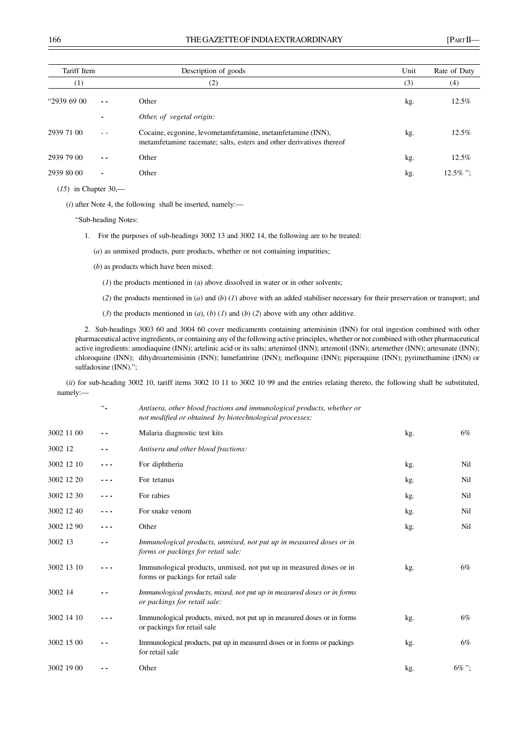| Tariff Item |                | Description of goods                                                                                                              | Unit | Rate of Duty |
|-------------|----------------|-----------------------------------------------------------------------------------------------------------------------------------|------|--------------|
| (1)         |                | (2)                                                                                                                               | (3)  | (4)          |
| "29396900   | - -            | Other                                                                                                                             | kg.  | 12.5%        |
|             |                | Other, of vegetal origin:                                                                                                         |      |              |
| 2939 71 00  |                | Cocaine, ecgonine, levometamfetamine, metamfetamine (INN),<br>metamfetamine racemate; salts, esters and other derivatives thereof | kg.  | 12.5%        |
| 2939 79 00  |                | Other                                                                                                                             | kg.  | 12.5%        |
| 2939 80 00  | $\blacksquare$ | Other                                                                                                                             | kg.  | $12.5\%$ ";  |
|             |                |                                                                                                                                   |      |              |

(*15*) in Chapter 30,––

(*i*) after Note 4, the following shall be inserted, namely:––

"Sub-heading Notes:

1. For the purposes of sub-headings 3002 13 and 3002 14, the following are to be treated:

(*a*) as unmixed products, pure products, whether or not containing impurities;

- (*b*) as products which have been mixed:
	- (*1*) the products mentioned in (a) above dissolved in water or in other solvents;
	- (*2*) the products mentioned in (*a*) and (*b*) (*1*) above with an added stabiliser necessary for their preservation or transport; and
	- (*3*) the products mentioned in (*a*), (*b*) (*1*) and (*b*) (*2*) above with any other additive.

2. Sub-headings 3003 60 and 3004 60 cover medicaments containing artemisinin (INN) for oral ingestion combined with other pharmaceutical active ingredients, or containing any of the following active principles, whether or not combined with other pharmaceutical active ingredients: amodiaquine (INN); artelinic acid or its salts; artenimol (INN); artemotil (INN); artemether (INN); artesunate (INN); chloroquine (INN); dihydroartemisinin (INN); lumefantrine (INN); mefloquine (INN); piperaquine (INN); pyrimethamine (INN) or sulfadoxine (INN).";

(*ii*) for sub-heading 3002 10, tariff items 3002 10 11 to 3002 10 99 and the entries relating thereto, the following shall be substituted, namely:––

|            | $66\%$ | Antisera, other blood fractions and immunological products, whether or<br>not modified or obtained by biotechnological processes: |     |          |
|------------|--------|-----------------------------------------------------------------------------------------------------------------------------------|-----|----------|
| 3002 11 00 |        | Malaria diagnostic test kits                                                                                                      | kg. | 6%       |
| 3002 12    |        | Antisera and other blood fractions:                                                                                               |     |          |
| 3002 12 10 |        | For diphtheria                                                                                                                    | kg. | Nil      |
| 3002 12 20 |        | For tetanus                                                                                                                       | kg. | Nil      |
| 3002 12 30 |        | For rabies                                                                                                                        | kg. | Nil      |
| 3002 12 40 |        | For snake venom                                                                                                                   | kg. | Nil      |
| 3002 12 90 |        | Other                                                                                                                             | kg. | Nil      |
| 3002 13    |        | Immunological products, unmixed, not put up in measured doses or in<br>forms or packings for retail sale:                         |     |          |
| 3002 13 10 |        | Immunological products, unmixed, not put up in measured doses or in<br>forms or packings for retail sale                          | kg. | 6%       |
| 3002 14    |        | Immunological products, mixed, not put up in measured doses or in forms<br>or packings for retail sale:                           |     |          |
| 3002 14 10 |        | Immunological products, mixed, not put up in measured doses or in forms<br>or packings for retail sale                            | kg. | 6%       |
| 3002 15 00 | . .    | Immunological products, put up in measured doses or in forms or packings<br>for retail sale                                       | kg. | 6%       |
| 3002 19 00 |        | Other                                                                                                                             | kg. | $6\%$ "; |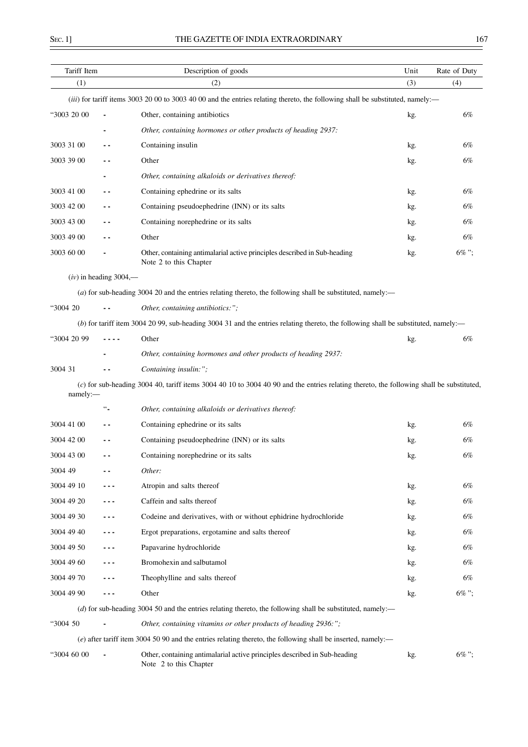| Tariff Item |                          | Description of goods                                                                                                                     | Unit | Rate of Duty |
|-------------|--------------------------|------------------------------------------------------------------------------------------------------------------------------------------|------|--------------|
| (1)         |                          | (2)                                                                                                                                      | (3)  | (4)          |
|             |                          | (iii) for tariff items 3003 20 00 to 3003 40 00 and the entries relating thereto, the following shall be substituted, namely:—           |      |              |
| "3003 20 00 |                          | Other, containing antibiotics                                                                                                            | kg.  | 6%           |
|             |                          | Other, containing hormones or other products of heading 2937:                                                                            |      |              |
| 3003 31 00  | - -                      | Containing insulin                                                                                                                       | kg.  | 6%           |
| 3003 39 00  |                          | Other                                                                                                                                    | kg.  | 6%           |
|             |                          | Other, containing alkaloids or derivatives thereof:                                                                                      |      |              |
| 3003 41 00  | - -                      | Containing ephedrine or its salts                                                                                                        | kg.  | 6%           |
| 3003 42 00  | ۰.                       | Containing pseudoephedrine (INN) or its salts                                                                                            | kg.  | 6%           |
| 3003 43 00  | $\overline{\phantom{a}}$ | Containing norephedrine or its salts                                                                                                     | kg.  | 6%           |
| 3003 49 00  | . .                      | Other                                                                                                                                    | kg.  | 6%           |
| 3003 60 00  |                          | Other, containing antimalarial active principles described in Sub-heading<br>Note 2 to this Chapter                                      | kg.  | $6\%$ ";     |
|             | $(iv)$ in heading 3004,— |                                                                                                                                          |      |              |
|             |                          | (a) for sub-heading 3004 20 and the entries relating thereto, the following shall be substituted, namely:—                               |      |              |
| "3004 20"   | $\overline{\phantom{a}}$ | Other, containing antibiotics:";                                                                                                         |      |              |
|             |                          | (b) for tariff item 3004 20 99, sub-heading 3004 31 and the entries relating thereto, the following shall be substituted, namely:—       |      |              |
| "3004 20 99 |                          | Other                                                                                                                                    | kg.  | 6%           |
|             |                          | Other, containing hormones and other products of heading 2937:                                                                           |      |              |
| 3004 31     |                          | Containing insulin:";                                                                                                                    |      |              |
| namely:-    |                          | (c) for sub-heading 3004 40, tariff items 3004 40 10 to 3004 40 90 and the entries relating thereto, the following shall be substituted, |      |              |
|             | $\ddotsc$                | Other, containing alkaloids or derivatives thereof:                                                                                      |      |              |
| 3004 41 00  | - -                      | Containing ephedrine or its salts                                                                                                        | kg.  | 6%           |
| 3004 42 00  |                          | Containing pseudoephedrine (INN) or its salts                                                                                            | kg.  | 6%           |
| 3004 43 00  | . .                      | Containing norephedrine or its salts                                                                                                     | kg.  | 6%           |
| 3004 49     |                          | Other:                                                                                                                                   |      |              |
| 3004 49 10  |                          | Atropin and salts thereof                                                                                                                | kg.  | 6%           |
| 3004 49 20  |                          | Caffein and salts thereof                                                                                                                | kg.  | 6%           |
| 3004 49 30  | - - -                    | Codeine and derivatives, with or without ephidrine hydrochloride                                                                         | kg.  | 6%           |
| 3004 49 40  | - - -                    | Ergot preparations, ergotamine and salts thereof                                                                                         | kg.  | 6%           |
| 3004 49 50  | ---                      | Papavarine hydrochloride                                                                                                                 | kg.  | 6%           |
| 3004 49 60  | - - -                    | Bromohexin and salbutamol                                                                                                                | kg.  | 6%           |
| 3004 49 70  | - - -                    | Theophylline and salts thereof                                                                                                           | kg.  | 6%           |
| 3004 49 90  | - - -                    | Other                                                                                                                                    | kg.  | 6%";         |
|             |                          | (d) for sub-heading 3004 50 and the entries relating thereto, the following shall be substituted, namely:—                               |      |              |
| "3004 50    |                          | Other, containing vitamins or other products of heading 2936:";                                                                          |      |              |
|             |                          | $(e)$ after tariff item 3004 50 90 and the entries relating thereto, the following shall be inserted, namely:—                           |      |              |
| "3004 60 00 |                          | Other, containing antimalarial active principles described in Sub-heading<br>Note 2 to this Chapter                                      | kg.  | 6%";         |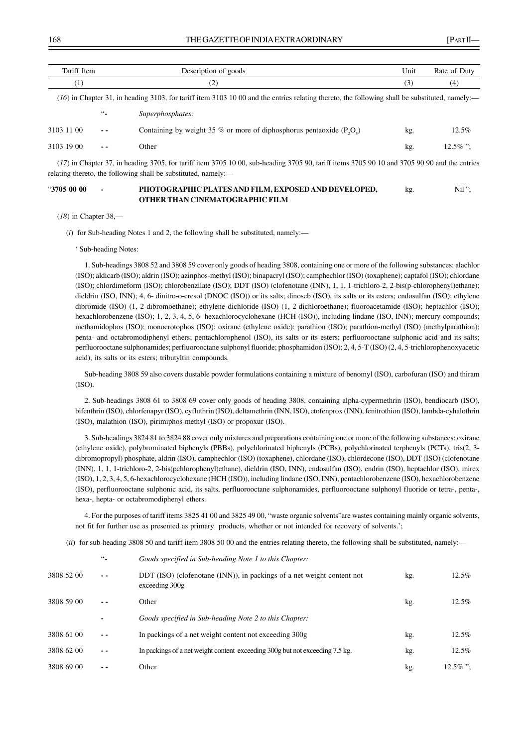| Tariff Item |        | Description of goods                                                                                                                                                                                           | Unit | Rate of Duty |
|-------------|--------|----------------------------------------------------------------------------------------------------------------------------------------------------------------------------------------------------------------|------|--------------|
| (1)         |        | (2)                                                                                                                                                                                                            | (3)  | (4)          |
|             |        | (16) in Chapter 31, in heading 3103, for tariff item 3103 10 00 and the entries relating thereto, the following shall be substituted, namely:—                                                                 |      |              |
|             | $66 -$ | Superphosphates:                                                                                                                                                                                               |      |              |
| 3103 11 00  |        | Containing by weight 35 % or more of diphosphorus pentaoxide $(P_0, Q_1)$                                                                                                                                      | kg.  | 12.5%        |
| 3103 19 00  |        | Other                                                                                                                                                                                                          | kg.  | $12.5\%$ ":  |
|             |        | (17) in Chapter 37, in heading 3705, for tariff item 3705 10 00, sub-heading 3705 90, tariff items 3705 90 10 and 3705 90 90 and the entries<br>relating thereto, the following shall be substituted, namely:— |      |              |

### "**3705 00 00 - PHOTOGRAPHIC PLATES AND FILM, EXPOSED AND DEVELOPED,** kg. Nil "; **OTHER THAN CINEMATOGRAPHIC FILM**

#### (*18*) in Chapter 38,––

(*i*) for Sub-heading Notes 1 and 2, the following shall be substituted, namely:––

' Sub-heading Notes:

1. Sub-headings 3808 52 and 3808 59 cover only goods of heading 3808, containing one or more of the following substances: alachlor (ISO); aldicarb (ISO); aldrin (ISO); azinphos-methyl (ISO); binapacryl (ISO); camphechlor (ISO) (toxaphene); captafol (ISO); chlordane (ISO); chlordimeform (ISO); chlorobenzilate (ISO); DDT (ISO) (clofenotane (INN), 1, 1, 1-trichloro-2, 2-bis(p-chlorophenyl)ethane); dieldrin (ISO, INN); 4, 6- dinitro-o-cresol (DNOC (ISO)) or its salts; dinoseb (ISO), its salts or its esters; endosulfan (ISO); ethylene dibromide (ISO) (1, 2-dibromoethane); ethylene dichloride (ISO) (1, 2-dichloroethane); fluoroacetamide (ISO); heptachlor (ISO); hexachlorobenzene (ISO); 1, 2, 3, 4, 5, 6- hexachlorocyclohexane (HCH (ISO)), including lindane (ISO, INN); mercury compounds; methamidophos (ISO); monocrotophos (ISO); oxirane (ethylene oxide); parathion (ISO); parathion-methyl (ISO) (methylparathion); penta- and octabromodiphenyl ethers; pentachlorophenol (ISO), its salts or its esters; perfluorooctane sulphonic acid and its salts; perfluorooctane sulphonamides; perfluorooctane sulphonyl fluoride; phosphamidon (ISO); 2, 4, 5-T (ISO) (2, 4, 5-trichlorophenoxyacetic acid), its salts or its esters; tributyltin compounds.

Sub-heading 3808 59 also covers dustable powder formulations containing a mixture of benomyl (ISO), carbofuran (ISO) and thiram (ISO).

2. Sub-headings 3808 61 to 3808 69 cover only goods of heading 3808, containing alpha-cypermethrin (ISO), bendiocarb (ISO), bifenthrin (ISO), chlorfenapyr (ISO), cyfluthrin (ISO), deltamethrin (INN, ISO), etofenprox (INN), fenitrothion (ISO), lambda-cyhalothrin (ISO), malathion (ISO), pirimiphos-methyl (ISO) or propoxur (ISO).

3. Sub-headings 3824 81 to 3824 88 cover only mixtures and preparations containing one or more of the following substances: oxirane (ethylene oxide), polybrominated biphenyls (PBBs), polychlorinated biphenyls (PCBs), polychlorinated terphenyls (PCTs), tris(2, 3 dibromopropyl) phosphate, aldrin (ISO), camphechlor (ISO) (toxaphene), chlordane (ISO), chlordecone (ISO), DDT (ISO) (clofenotane (INN), 1, 1, 1-trichloro-2, 2-bis(pchlorophenyl)ethane), dieldrin (ISO, INN), endosulfan (ISO), endrin (ISO), heptachlor (ISO), mirex (ISO), 1, 2, 3, 4, 5, 6-hexachlorocyclohexane (HCH (ISO)), including lindane (ISO, INN), pentachlorobenzene (ISO), hexachlorobenzene (ISO), perfluorooctane sulphonic acid, its salts, perfluorooctane sulphonamides, perfluorooctane sulphonyl fluoride or tetra-, penta-, hexa-, hepta- or octabromodiphenyl ethers.

4. For the purposes of tariff items 3825 41 00 and 3825 49 00, "waste organic solvents"are wastes containing mainly organic solvents, not fit for further use as presented as primary products, whether or not intended for recovery of solvents.';

(*ii*) for sub-heading 3808 50 and tariff item 3808 50 00 and the entries relating thereto, the following shall be substituted, namely:—

|            | $66\%$ | Goods specified in Sub-heading Note 1 to this Chapter:                                   |     |             |
|------------|--------|------------------------------------------------------------------------------------------|-----|-------------|
| 3808 52 00 |        | DDT (ISO) (clofenotane (INN)), in packings of a net weight content not<br>exceeding 300g | kg. | 12.5%       |
| 3808 59 00 |        | Other                                                                                    | kg. | $12.5\%$    |
|            |        | Goods specified in Sub-heading Note 2 to this Chapter:                                   |     |             |
| 3808 61 00 |        | In packings of a net weight content not exceeding 300g.                                  | kg. | 12.5%       |
| 3808 62 00 | - -    | In packings of a net weight content exceeding 300g but not exceeding 7.5 kg.             | kg. | $12.5\%$    |
| 3808 69 00 |        | Other                                                                                    | kg. | $12.5\%$ ": |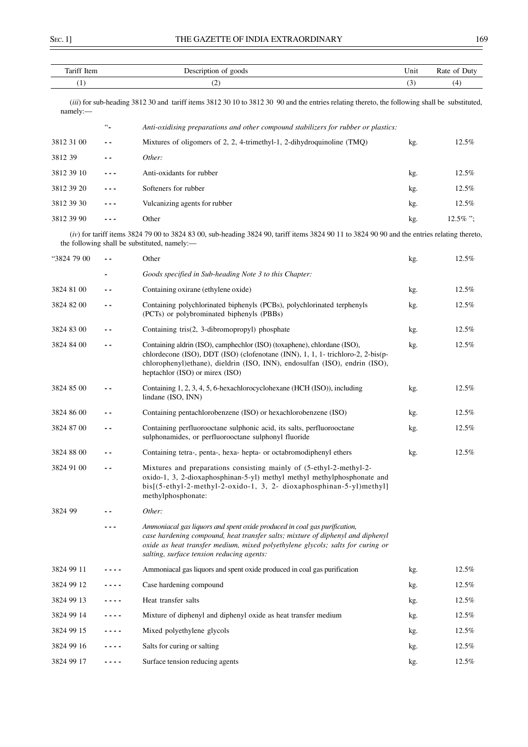| Tariff Item |                  | Description of goods                                                                                                                                                                                                                                                                       | Unit | Rate of Duty |
|-------------|------------------|--------------------------------------------------------------------------------------------------------------------------------------------------------------------------------------------------------------------------------------------------------------------------------------------|------|--------------|
| (1)         |                  | (2)                                                                                                                                                                                                                                                                                        | (3)  | (4)          |
| namely:     |                  | (iii) for sub-heading 3812 30 and tariff items 3812 30 10 to 3812 30 90 and the entries relating thereto, the following shall be substituted,                                                                                                                                              |      |              |
|             | $\omega_{\rm m}$ | Anti-oxidising preparations and other compound stabilizers for rubber or plastics:                                                                                                                                                                                                         |      |              |
| 3812 31 00  | . .              | Mixtures of oligomers of 2, 2, 4-trimethyl-1, 2-dihydroquinoline (TMQ)                                                                                                                                                                                                                     | kg.  | 12.5%        |
| 3812 39     | $ -$             | Other:                                                                                                                                                                                                                                                                                     |      |              |
| 3812 39 10  | ---              | Anti-oxidants for rubber                                                                                                                                                                                                                                                                   | kg.  | 12.5%        |
| 3812 39 20  | - - -            | Softeners for rubber                                                                                                                                                                                                                                                                       | kg.  | 12.5%        |
| 3812 39 30  | ---              | Vulcanizing agents for rubber                                                                                                                                                                                                                                                              | kg.  | 12.5%        |
| 3812 39 90  | ---              | Other                                                                                                                                                                                                                                                                                      | kg.  | $12.5\%$ ";  |
|             |                  | $(iv)$ for tariff items 3824 79 00 to 3824 83 00, sub-heading 3824 90, tariff items 3824 90 11 to 3824 90 90 and the entries relating thereto,<br>the following shall be substituted, namely:-                                                                                             |      |              |
| "3824 79 00 | $\sim$ $\sim$    | Other                                                                                                                                                                                                                                                                                      | kg.  | 12.5%        |
|             |                  | Goods specified in Sub-heading Note 3 to this Chapter:                                                                                                                                                                                                                                     |      |              |
| 3824 81 00  | - -              | Containing oxirane (ethylene oxide)                                                                                                                                                                                                                                                        | kg.  | 12.5%        |
| 3824 82 00  | $ -$             | Containing polychlorinated biphenyls (PCBs), polychlorinated terphenyls<br>(PCTs) or polybrominated biphenyls (PBBs)                                                                                                                                                                       | kg.  | 12.5%        |
| 3824 83 00  | $ -$             | Containing tris(2, 3-dibromopropyl) phosphate                                                                                                                                                                                                                                              | kg.  | 12.5%        |
| 3824 84 00  | $ -$             | Containing aldrin (ISO), camphechlor (ISO) (toxaphene), chlordane (ISO),<br>chlordecone (ISO), DDT (ISO) (clofenotane (INN), 1, 1, 1- trichloro-2, 2-bis(p-<br>chlorophenyl)ethane), dieldrin (ISO, INN), endosulfan (ISO), endrin (ISO),<br>heptachlor (ISO) or mirex (ISO)               | kg.  | 12.5%        |
| 3824 85 00  | - -              | Containing 1, 2, 3, 4, 5, 6-hexachlorocyclohexane (HCH (ISO)), including<br>lindane (ISO, INN)                                                                                                                                                                                             | kg.  | 12.5%        |
| 3824 86 00  | $ -$             | Containing pentachlorobenzene (ISO) or hexachlorobenzene (ISO)                                                                                                                                                                                                                             | kg.  | 12.5%        |
| 3824 87 00  | . .              | Containing perfluorooctane sulphonic acid, its salts, perfluorooctane<br>sulphonamides, or perfluorooctane sulphonyl fluoride                                                                                                                                                              | kg.  | 12.5%        |
| 3824 88 00  | $ -$             | Containing tetra-, penta-, hexa- hepta- or octabromodiphenyl ethers                                                                                                                                                                                                                        | kg.  | 12.5%        |
| 3824 91 00  |                  | Mixtures and preparations consisting mainly of (5-ethyl-2-methyl-2-<br>oxido-1, 3, 2-dioxaphosphinan-5-yl) methyl methyl methylphosphonate and<br>bis[(5-ethyl-2-methyl-2-oxido-1, 3, 2- dioxaphosphinan-5-yl)methyl]<br>methylphosphonate:                                                |      |              |
| 3824 99     |                  | Other:                                                                                                                                                                                                                                                                                     |      |              |
|             |                  | Ammoniacal gas liquors and spent oxide produced in coal gas purification,<br>case hardening compound, heat transfer salts; mixture of diphenyl and diphenyl<br>oxide as heat transfer medium, mixed polyethylene glycols; salts for curing or<br>salting, surface tension reducing agents: |      |              |
| 3824 99 11  |                  | Ammoniacal gas liquors and spent oxide produced in coal gas purification                                                                                                                                                                                                                   | kg.  | 12.5%        |
| 3824 99 12  |                  | Case hardening compound                                                                                                                                                                                                                                                                    | kg.  | 12.5%        |
| 3824 99 13  | - - - -          | Heat transfer salts                                                                                                                                                                                                                                                                        | kg.  | 12.5%        |
| 3824 99 14  |                  | Mixture of diphenyl and diphenyl oxide as heat transfer medium                                                                                                                                                                                                                             | kg.  | 12.5%        |
| 3824 99 15  | .                | Mixed polyethylene glycols                                                                                                                                                                                                                                                                 | kg.  | 12.5%        |
| 3824 99 16  |                  | Salts for curing or salting                                                                                                                                                                                                                                                                | kg.  | 12.5%        |
| 3824 99 17  | - - - -          | Surface tension reducing agents                                                                                                                                                                                                                                                            | kg.  | 12.5%        |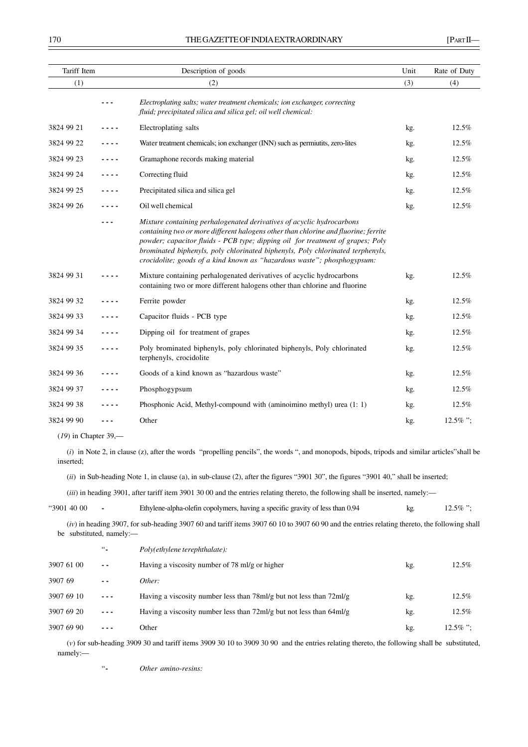| Tariff Item            |         | Description of goods                                                                                                                                                                                                                                                                                                                                                                                        | Unit | Rate of Duty |
|------------------------|---------|-------------------------------------------------------------------------------------------------------------------------------------------------------------------------------------------------------------------------------------------------------------------------------------------------------------------------------------------------------------------------------------------------------------|------|--------------|
| (1)                    |         | (2)                                                                                                                                                                                                                                                                                                                                                                                                         | (3)  | (4)          |
|                        | - - -   | Electroplating salts; water treatment chemicals; ion exchanger, correcting<br>fluid; precipitated silica and silica gel; oil well chemical:                                                                                                                                                                                                                                                                 |      |              |
| 3824 99 21             | .       | Electroplating salts                                                                                                                                                                                                                                                                                                                                                                                        | kg.  | 12.5%        |
| 3824 99 22             |         | Water treatment chemicals; ion exchanger (INN) such as permiutits, zero-lites                                                                                                                                                                                                                                                                                                                               | kg.  | 12.5%        |
| 3824 99 23             | ----    | Gramaphone records making material                                                                                                                                                                                                                                                                                                                                                                          | kg.  | 12.5%        |
| 3824 99 24             | - - - - | Correcting fluid                                                                                                                                                                                                                                                                                                                                                                                            | kg.  | 12.5%        |
| 3824 99 25             | .       | Precipitated silica and silica gel                                                                                                                                                                                                                                                                                                                                                                          | kg.  | 12.5%        |
| 3824 99 26             |         | Oil well chemical                                                                                                                                                                                                                                                                                                                                                                                           | kg.  | 12.5%        |
|                        |         | Mixture containing perhalogenated derivatives of acyclic hydrocarbons<br>containing two or more different halogens other than chlorine and fluorine; ferrite<br>powder; capacitor fluids - PCB type; dipping oil for treatment of grapes; Poly<br>brominated biphenyls, poly chlorinated biphenyls, Poly chlorinated terphenyls,<br>crocidolite; goods of a kind known as "hazardous waste"; phosphogypsum: |      |              |
| 3824 99 31             |         | Mixture containing perhalogenated derivatives of acyclic hydrocarbons<br>containing two or more different halogens other than chlorine and fluorine                                                                                                                                                                                                                                                         | kg.  | 12.5%        |
| 3824 99 32             |         | Ferrite powder                                                                                                                                                                                                                                                                                                                                                                                              | kg.  | 12.5%        |
| 3824 99 33             |         | Capacitor fluids - PCB type                                                                                                                                                                                                                                                                                                                                                                                 | kg.  | 12.5%        |
| 3824 99 34             | .       | Dipping oil for treatment of grapes                                                                                                                                                                                                                                                                                                                                                                         | kg.  | 12.5%        |
| 3824 99 35             | .       | Poly brominated biphenyls, poly chlorinated biphenyls, Poly chlorinated<br>terphenyls, crocidolite                                                                                                                                                                                                                                                                                                          | kg.  | 12.5%        |
| 3824 99 36             |         | Goods of a kind known as "hazardous waste"                                                                                                                                                                                                                                                                                                                                                                  | kg.  | 12.5%        |
| 3824 99 37             | .       | Phosphogypsum                                                                                                                                                                                                                                                                                                                                                                                               | kg.  | 12.5%        |
| 3824 99 38             | .       | Phosphonic Acid, Methyl-compound with (aminoimino methyl) urea (1: 1)                                                                                                                                                                                                                                                                                                                                       | kg.  | 12.5%        |
| 3824 99 90             |         | Other                                                                                                                                                                                                                                                                                                                                                                                                       | kg.  | $12.5\%$ ";  |
| $(19)$ in Chapter 39,— |         |                                                                                                                                                                                                                                                                                                                                                                                                             |      |              |
| inserted:              |         | (i) in Note 2, in clause (z), after the words "propelling pencils", the words ", and monopods, bipods, tripods and similar articles" shall be                                                                                                                                                                                                                                                               |      |              |
|                        |         | $(ii)$ in Sub-heading Note 1, in clause (a), in sub-clause (2), after the figures "3901 30", the figures "3901 40," shall be inserted;                                                                                                                                                                                                                                                                      |      |              |

(*iii*) in heading 3901, after tariff item 3901 30 00 and the entries relating thereto, the following shall be inserted, namely:––

| "3901 40 00" |  | Ethylene-alpha-olefin copolymers, having a specific gravity of less than 0.94 | kg. | $12.5\%$ "; |
|--------------|--|-------------------------------------------------------------------------------|-----|-------------|
|--------------|--|-------------------------------------------------------------------------------|-----|-------------|

(*iv*) in heading 3907, for sub-heading 3907 60 and tariff items 3907 60 10 to 3907 60 90 and the entries relating thereto, the following shall be substituted, namely:-

|            | $66 -$   | Poly(ethylene terephthalate):                                         |     |             |
|------------|----------|-----------------------------------------------------------------------|-----|-------------|
| 3907 61 00 | $ -$     | Having a viscosity number of 78 ml/g or higher                        | kg. | 12.5%       |
| 3907 69    | - -      | Other:                                                                |     |             |
| 3907 69 10 | $\cdots$ | Having a viscosity number less than 78 ml/g but not less than 72 ml/g | kg. | 12.5%       |
| 3907 69 20 | $\cdots$ | Having a viscosity number less than 72ml/g but not less than 64ml/g   | kg. | $12.5\%$    |
| 3907 69 90 |          | Other                                                                 | kg. | $12.5\%$ ": |

(*v*) for sub-heading 3909 30 and tariff items 3909 30 10 to 3909 30 90 and the entries relating thereto, the following shall be substituted, namely:––

"**-** *Other amino-resins:*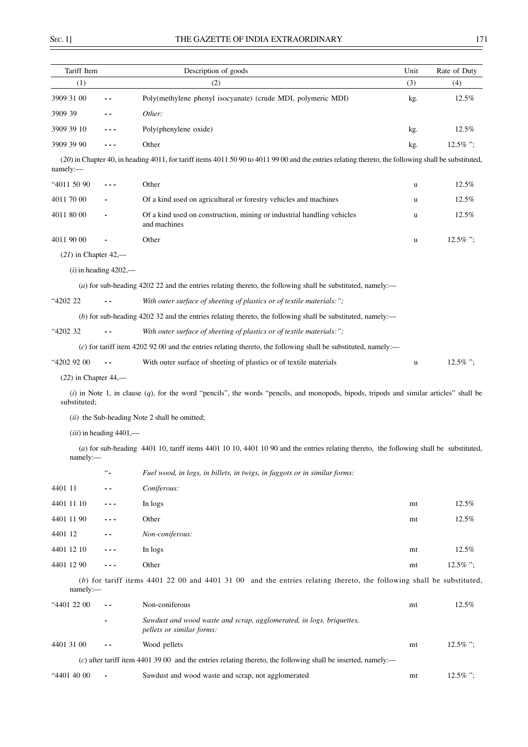| Tariff Item            |                           | Description of goods                                                                                                                                 | Unit | Rate of Duty |
|------------------------|---------------------------|------------------------------------------------------------------------------------------------------------------------------------------------------|------|--------------|
| (1)                    |                           | (2)                                                                                                                                                  | (3)  | (4)          |
| 3909 31 00             | $\overline{\phantom{a}}$  | Poly(methylene phenyl isocyanate) (crude MDI, polymeric MDI)                                                                                         | kg.  | 12.5%        |
| 3909 39                | $\overline{\phantom{a}}$  | Other:                                                                                                                                               |      |              |
| 3909 39 10             |                           | Poly(phenylene oxide)                                                                                                                                | kg.  | 12.5%        |
| 3909 39 90             | $- - -$                   | Other                                                                                                                                                | kg.  | $12.5\%$ ";  |
| namely:-               |                           | (20) in Chapter 40, in heading 4011, for tariff items 4011 50 90 to 4011 99 00 and the entries relating thereto, the following shall be substituted, |      |              |
| "4011 50 90            | $- - -$                   | Other                                                                                                                                                | u    | 12.5%        |
| 4011 70 00             |                           | Of a kind used on agricultural or forestry vehicles and machines                                                                                     | u    | 12.5%        |
| 4011 80 00             |                           | Of a kind used on construction, mining or industrial handling vehicles<br>and machines                                                               | u    | 12.5%        |
| 4011 90 00             |                           | Other                                                                                                                                                | u    | $12.5\%$ ";  |
| $(21)$ in Chapter 42,— |                           |                                                                                                                                                      |      |              |
|                        | $(i)$ in heading 4202,—   |                                                                                                                                                      |      |              |
|                        |                           | (a) for sub-heading 4202 22 and the entries relating thereto, the following shall be substituted, namely:—                                           |      |              |
| "4202 22               |                           | With outer surface of sheeting of plastics or of textile materials:";                                                                                |      |              |
|                        |                           | (b) for sub-heading $420232$ and the entries relating thereto, the following shall be substituted, namely:—                                          |      |              |
| "4202 32               |                           | With outer surface of sheeting of plastics or of textile materials:";                                                                                |      |              |
|                        |                           | (c) for tariff item 4202 92 00 and the entries relating thereto, the following shall be substituted, namely:—                                        |      |              |
| "4202 92 00            | $\sim$ $\sim$             | With outer surface of sheeting of plastics or of textile materials                                                                                   | u    | 12.5%";      |
| $(22)$ in Chapter 44,— |                           |                                                                                                                                                      |      |              |
| substituted;           |                           | $(i)$ in Note 1, in clause $(q)$ , for the word "pencils", the words "pencils, and monopods, bipods, tripods and similar articles" shall be          |      |              |
|                        |                           | (ii) the Sub-heading Note 2 shall be omitted;                                                                                                        |      |              |
|                        | $(iii)$ in heading 4401,— |                                                                                                                                                      |      |              |
| namely:                |                           | (a) for sub-heading 4401 10, tariff items 4401 10 10, 4401 10 90 and the entries relating thereto, the following shall be substituted,               |      |              |
|                        | $\ddotsc$                 | Fuel wood, in logs, in billets, in twigs, in faggots or in similar forms:                                                                            |      |              |
| 4401 11                |                           | Coniferous:                                                                                                                                          |      |              |
| 4401 11 10             | ---                       | In logs                                                                                                                                              | mt   | 12.5%        |
| 4401 11 90             |                           | Other                                                                                                                                                | mt   | 12.5%        |
| 4401 12                | - -                       | Non-coniferous:                                                                                                                                      |      |              |
| 4401 12 10             |                           | In logs                                                                                                                                              | mt   | 12.5%        |
| 4401 12 90             | ---                       | Other                                                                                                                                                | mt   | $12.5\%$ ";  |
| namely:                |                           | $(b)$ for tariff items 4401 22 00 and 4401 31 00 and the entries relating thereto, the following shall be substituted,                               |      |              |
| "4401 22 00            |                           | Non-coniferous                                                                                                                                       | mt   | 12.5%        |
|                        |                           | Sawdust and wood waste and scrap, agglomerated, in logs, briquettes,<br>pellets or similar forms:                                                    |      |              |
| 4401 31 00             |                           | Wood pellets                                                                                                                                         | mt   | $12.5\%$ ";  |
|                        |                           | $(c)$ after tariff item 4401 39 00 and the entries relating thereto, the following shall be inserted, namely:—                                       |      |              |
| "4401 40 00            |                           | Sawdust and wood waste and scrap, not agglomerated                                                                                                   | mt   | $12.5\%$ ";  |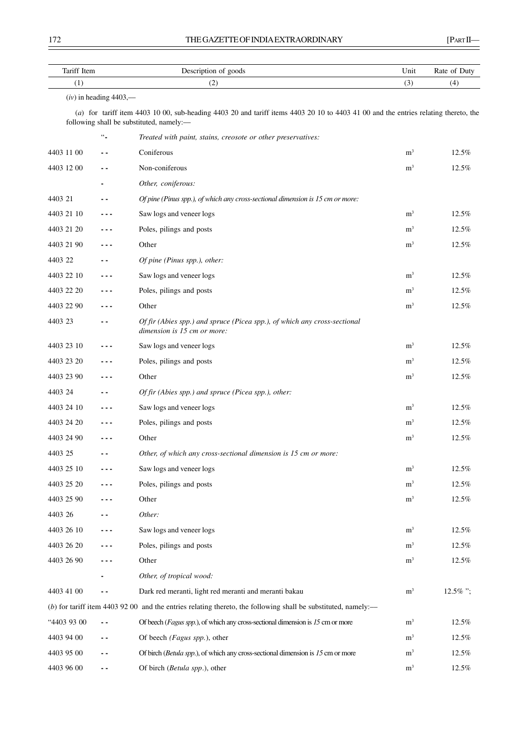| Tariff Item |                          | Description of goods                                                                                                                                                            | Unit           | Rate of Duty |
|-------------|--------------------------|---------------------------------------------------------------------------------------------------------------------------------------------------------------------------------|----------------|--------------|
| (1)         | (2)                      |                                                                                                                                                                                 | (3)            | (4)          |
|             | $(iv)$ in heading 4403,— | (a) for tariff item 4403 10 00, sub-heading 4403 20 and tariff items 4403 20 10 to 4403 41 00 and the entries relating thereto, the<br>following shall be substituted, namely:— |                |              |
|             | $\omega_{\rm m}$         | Treated with paint, stains, creosote or other preservatives:                                                                                                                    |                |              |
| 4403 11 00  | - -                      | Coniferous                                                                                                                                                                      | m <sup>3</sup> | 12.5%        |
| 4403 12 00  | ۰.                       | Non-coniferous                                                                                                                                                                  | m <sup>3</sup> | 12.5%        |
|             |                          | Other, coniferous:                                                                                                                                                              |                |              |
| 4403 21     | . .                      | Of pine (Pinus spp.), of which any cross-sectional dimension is 15 cm or more:                                                                                                  |                |              |
| 4403 21 10  | - - -                    | Saw logs and veneer logs                                                                                                                                                        | m <sup>3</sup> | 12.5%        |
| 4403 21 20  | - - -                    | Poles, pilings and posts                                                                                                                                                        | m <sup>3</sup> | 12.5%        |
| 4403 21 90  | ---                      | Other                                                                                                                                                                           | m <sup>3</sup> | 12.5%        |
| 4403 22     | . .                      | Of pine (Pinus spp.), other:                                                                                                                                                    |                |              |
| 4403 22 10  | ---                      | Saw logs and veneer logs                                                                                                                                                        | m <sup>3</sup> | 12.5%        |
| 4403 22 20  |                          | Poles, pilings and posts                                                                                                                                                        | m <sup>3</sup> | 12.5%        |
| 4403 22 90  | .                        | Other                                                                                                                                                                           | m <sup>3</sup> | 12.5%        |
| 4403 23     | . .                      | Of fir (Abies spp.) and spruce (Picea spp.), of which any cross-sectional<br>dimension is 15 cm or more:                                                                        |                |              |
| 4403 23 10  | ---                      | Saw logs and veneer logs                                                                                                                                                        | m <sup>3</sup> | 12.5%        |
| 4403 23 20  | - - -                    | Poles, pilings and posts                                                                                                                                                        | m <sup>3</sup> | 12.5%        |
| 4403 23 90  | - - -                    | Other                                                                                                                                                                           | m <sup>3</sup> | 12.5%        |
| 4403 24     | . .                      | Of fir (Abies spp.) and spruce (Picea spp.), other:                                                                                                                             |                |              |
| 4403 24 10  | - - -                    | Saw logs and veneer logs                                                                                                                                                        | m <sup>3</sup> | 12.5%        |
| 4403 24 20  | ---                      | Poles, pilings and posts                                                                                                                                                        | m <sup>3</sup> | 12.5%        |
| 4403 24 90  |                          | Other                                                                                                                                                                           | m <sup>3</sup> | 12.5%        |
| 4403 25     |                          | Other, of which any cross-sectional dimension is 15 cm or more:                                                                                                                 |                |              |
| 4403 25 10  | - - -                    | Saw logs and veneer logs                                                                                                                                                        | m <sup>3</sup> | 12.5%        |
| 4403 25 20  | - - -                    | Poles, pilings and posts                                                                                                                                                        | m <sup>3</sup> | 12.5%        |
| 4403 25 90  |                          | Other                                                                                                                                                                           | m <sup>3</sup> | 12.5%        |
| 4403 26     |                          | Other:                                                                                                                                                                          |                |              |
| 4403 26 10  |                          | Saw logs and veneer logs                                                                                                                                                        | m <sup>3</sup> | 12.5%        |
| 4403 26 20  | - - -                    | Poles, pilings and posts                                                                                                                                                        | m <sup>3</sup> | 12.5%        |
| 4403 26 90  | - - -                    | Other                                                                                                                                                                           | m <sup>3</sup> | 12.5%        |
|             |                          | Other, of tropical wood:                                                                                                                                                        |                |              |
| 4403 41 00  | $\overline{\phantom{a}}$ | Dark red meranti, light red meranti and meranti bakau                                                                                                                           | m <sup>3</sup> | 12.5%";      |
|             |                          | $(b)$ for tariff item 4403 92 00 and the entries relating thereto, the following shall be substituted, namely:—                                                                 |                |              |
| "4403 93 00 | $ -$                     | Of beech (Fagus spp.), of which any cross-sectional dimension is 15 cm or more                                                                                                  | m <sup>3</sup> | 12.5%        |
| 4403 94 00  | - -                      | Of beech (Fagus spp.), other                                                                                                                                                    | m <sup>3</sup> | 12.5%        |
| 4403 95 00  | ۰.                       | Of birch (Betula spp.), of which any cross-sectional dimension is 15 cm or more                                                                                                 | m <sup>3</sup> | 12.5%        |
| 4403 96 00  | $\overline{\phantom{a}}$ | Of birch (Betula spp.), other                                                                                                                                                   | m <sup>3</sup> | 12.5%        |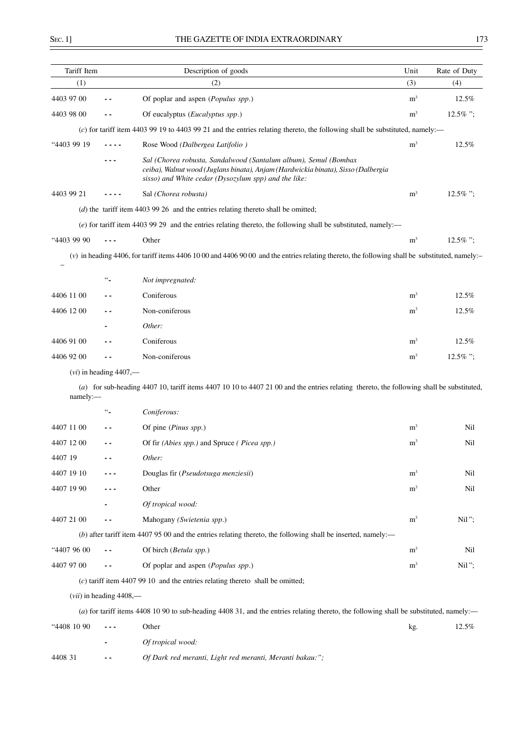$\overline{\phantom{0}}$ 

| Tariff Item |                           | Description of goods                                                                                                                                                                                         | Unit           | Rate of Duty |
|-------------|---------------------------|--------------------------------------------------------------------------------------------------------------------------------------------------------------------------------------------------------------|----------------|--------------|
| (1)         |                           | (2)                                                                                                                                                                                                          | (3)            | (4)          |
| 4403 97 00  |                           | Of poplar and aspen (Populus spp.)                                                                                                                                                                           | m <sup>3</sup> | 12.5%        |
| 4403 98 00  |                           | Of eucalyptus (Eucalyptus spp.)                                                                                                                                                                              | m <sup>3</sup> | 12.5%":      |
|             |                           | $(c)$ for tariff item 4403 99 19 to 4403 99 21 and the entries relating thereto, the following shall be substituted, namely:—                                                                                |                |              |
| "4403 99 19 |                           | Rose Wood (Dalbergea Latifolio)                                                                                                                                                                              | m <sup>3</sup> | 12.5%        |
|             | ---                       | Sal (Chorea robusta, Sandalwood (Santalum album), Semul (Bombax<br>ceiba), Walnut wood (Juglans binata), Anjam (Hardwickia binata), Sisso (Dalbergia<br>sisso) and White cedar (Dysozylum spp) and the like: |                |              |
| 4403 99 21  |                           | Sal (Chorea robusta)                                                                                                                                                                                         | m <sup>3</sup> | $12.5\%$ ";  |
|             |                           | $(d)$ the tariff item 4403 99 26 and the entries relating thereto shall be omitted;                                                                                                                          |                |              |
|             |                           | $(e)$ for tariff item 4403 99 29 and the entries relating thereto, the following shall be substituted, namely:—                                                                                              |                |              |
| "4403 99 90 | $- - -$                   | Other                                                                                                                                                                                                        | m <sup>3</sup> | $12.5\%$ ";  |
|             |                           | (v) in heading 4406, for tariff items 4406 10 00 and 4406 90 00 and the entries relating thereto, the following shall be substituted, namely:-                                                               |                |              |
|             | $\omega_{\rm m}$          |                                                                                                                                                                                                              |                |              |
|             |                           | Not impregnated:<br>Coniferous                                                                                                                                                                               | m <sup>3</sup> |              |
| 4406 11 00  | . .                       |                                                                                                                                                                                                              |                | 12.5%        |
| 4406 12 00  |                           | Non-coniferous                                                                                                                                                                                               | m <sup>3</sup> | 12.5%        |
|             |                           | Other:                                                                                                                                                                                                       |                |              |
| 4406 91 00  |                           | Coniferous                                                                                                                                                                                                   | m <sup>3</sup> | 12.5%        |
| 4406 92 00  |                           | Non-coniferous                                                                                                                                                                                               | m <sup>3</sup> | $12.5\%$ ";  |
| namely:-    | $(vi)$ in heading 4407,—  | (a) for sub-heading 4407 10, tariff items 4407 10 10 to 4407 21 00 and the entries relating thereto, the following shall be substituted,                                                                     |                |              |
|             | $\ddotsc$                 | Coniferous:                                                                                                                                                                                                  |                |              |
| 4407 11 00  | . .                       | Of pine (Pinus spp.)                                                                                                                                                                                         | $\rm m^3$      | Nil          |
| 4407 12 00  |                           | Of fir (Abies spp.) and Spruce (Picea spp.)                                                                                                                                                                  | m <sup>3</sup> | Nil          |
| 4407 19     |                           | Other:                                                                                                                                                                                                       |                |              |
| 4407 19 10  |                           | Douglas fir (Pseudotsuga menziesii)                                                                                                                                                                          | m <sup>3</sup> | Nil          |
| 4407 19 90  |                           | Other                                                                                                                                                                                                        | m <sup>3</sup> | Nil          |
|             |                           | Of tropical wood:                                                                                                                                                                                            |                |              |
| 4407 21 00  | - -                       | Mahogany (Swietenia spp.)                                                                                                                                                                                    | m <sup>3</sup> | Nil";        |
|             |                           | (b) after tariff item 4407 95 00 and the entries relating thereto, the following shall be inserted, namely:-                                                                                                 |                |              |
| "4407 96 00 | - -                       | Of birch (Betula spp.)                                                                                                                                                                                       | m <sup>3</sup> | Nil          |
| 4407 97 00  |                           | Of poplar and aspen (Populus spp.)                                                                                                                                                                           | m <sup>3</sup> | Nil";        |
|             |                           | $(c)$ tariff item 4407 99 10 and the entries relating thereto shall be omitted;                                                                                                                              |                |              |
|             | $(vii)$ in heading 4408,— |                                                                                                                                                                                                              |                |              |
|             |                           | (a) for tariff items 4408 10 90 to sub-heading 4408 31, and the entries relating thereto, the following shall be substituted, namely:—                                                                       |                |              |
| "4408 10 90 |                           | Other                                                                                                                                                                                                        | kg.            | 12.5%        |
|             |                           | Of tropical wood:                                                                                                                                                                                            |                |              |
| 4408 31     | ٠.                        | Of Dark red meranti, Light red meranti, Meranti bakau:";                                                                                                                                                     |                |              |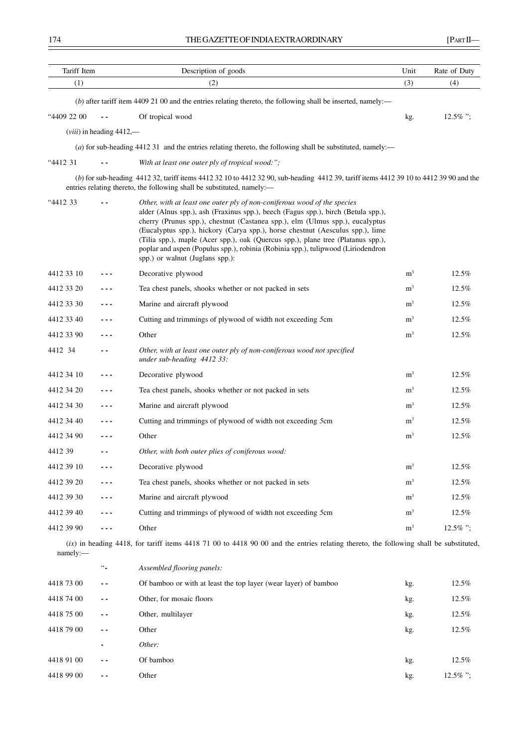| Tariff Item |                               | Description of goods                                                                                                                                                                                                                                                                                                                                                                                                                                                                                                                      | Unit           | Rate of Duty |
|-------------|-------------------------------|-------------------------------------------------------------------------------------------------------------------------------------------------------------------------------------------------------------------------------------------------------------------------------------------------------------------------------------------------------------------------------------------------------------------------------------------------------------------------------------------------------------------------------------------|----------------|--------------|
| (1)         |                               | (2)                                                                                                                                                                                                                                                                                                                                                                                                                                                                                                                                       | (3)            | (4)          |
|             |                               | $(b)$ after tariff item 4409 21 00 and the entries relating thereto, the following shall be inserted, namely:—                                                                                                                                                                                                                                                                                                                                                                                                                            |                |              |
| "4409 22 00 |                               | Of tropical wood                                                                                                                                                                                                                                                                                                                                                                                                                                                                                                                          | kg.            | 12.5%":      |
|             | $(viii)$ in heading $4412$ ,— |                                                                                                                                                                                                                                                                                                                                                                                                                                                                                                                                           |                |              |
|             |                               | (a) for sub-heading 4412 31 and the entries relating thereto, the following shall be substituted, namely:—                                                                                                                                                                                                                                                                                                                                                                                                                                |                |              |
| "4412 31    |                               | With at least one outer ply of tropical wood:":                                                                                                                                                                                                                                                                                                                                                                                                                                                                                           |                |              |
|             |                               | (b) for sub-heading 4412 32, tariff items 4412 32 10 to 4412 32 90, sub-heading 4412 39, tariff items 4412 39 10 to 4412 39 90 and the<br>entries relating thereto, the following shall be substituted, namely:-                                                                                                                                                                                                                                                                                                                          |                |              |
| "4412 33    |                               | Other, with at least one outer ply of non-coniferous wood of the species<br>alder (Alnus spp.), ash (Fraxinus spp.), beech (Fagus spp.), birch (Betula spp.),<br>cherry (Prunus spp.), chestnut (Castanea spp.), elm (Ulmus spp.), eucalyptus<br>(Eucalyptus spp.), hickory (Carya spp.), horse chestnut (Aesculus spp.), lime<br>(Tilia spp.), maple (Acer spp.), oak (Quercus spp.), plane tree (Platanus spp.),<br>poplar and aspen (Populus spp.), robinia (Robinia spp.), tulipwood (Liriodendron<br>spp.) or walnut (Juglans spp.): |                |              |
| 4412 33 10  |                               | Decorative plywood                                                                                                                                                                                                                                                                                                                                                                                                                                                                                                                        | m <sup>3</sup> | 12.5%        |
| 4412 33 20  |                               | Tea chest panels, shooks whether or not packed in sets                                                                                                                                                                                                                                                                                                                                                                                                                                                                                    | m <sup>3</sup> | 12.5%        |
| 4412 33 30  |                               | Marine and aircraft plywood                                                                                                                                                                                                                                                                                                                                                                                                                                                                                                               | m <sup>3</sup> | 12.5%        |
| 4412 33 40  | ---                           | Cutting and trimmings of plywood of width not exceeding 5cm                                                                                                                                                                                                                                                                                                                                                                                                                                                                               | m <sup>3</sup> | 12.5%        |
| 4412 33 90  |                               | Other                                                                                                                                                                                                                                                                                                                                                                                                                                                                                                                                     | m <sup>3</sup> | 12.5%        |
| 4412 34     |                               | Other, with at least one outer ply of non-coniferous wood not specified<br>under sub-heading 4412 33:                                                                                                                                                                                                                                                                                                                                                                                                                                     |                |              |
| 4412 34 10  |                               | Decorative plywood                                                                                                                                                                                                                                                                                                                                                                                                                                                                                                                        | m <sup>3</sup> | 12.5%        |
| 4412 34 20  | - - -                         | Tea chest panels, shooks whether or not packed in sets                                                                                                                                                                                                                                                                                                                                                                                                                                                                                    | m <sup>3</sup> | 12.5%        |
| 4412 34 30  |                               | Marine and aircraft plywood                                                                                                                                                                                                                                                                                                                                                                                                                                                                                                               | m <sup>3</sup> | 12.5%        |
| 4412 34 40  |                               | Cutting and trimmings of plywood of width not exceeding 5cm                                                                                                                                                                                                                                                                                                                                                                                                                                                                               | m <sup>3</sup> | 12.5%        |
| 4412 34 90  |                               | Other                                                                                                                                                                                                                                                                                                                                                                                                                                                                                                                                     | m <sup>3</sup> | 12.5%        |
| 4412 39     |                               | Other, with both outer plies of coniferous wood:                                                                                                                                                                                                                                                                                                                                                                                                                                                                                          |                |              |
| 4412 39 10  |                               | Decorative plywood                                                                                                                                                                                                                                                                                                                                                                                                                                                                                                                        | m <sup>3</sup> | 12.5%        |
| 4412 39 20  |                               | Tea chest panels, shooks whether or not packed in sets                                                                                                                                                                                                                                                                                                                                                                                                                                                                                    | m <sup>3</sup> | 12.5%        |
| 4412 39 30  |                               | Marine and aircraft plywood                                                                                                                                                                                                                                                                                                                                                                                                                                                                                                               | m <sup>3</sup> | 12.5%        |
| 4412 39 40  |                               | Cutting and trimmings of plywood of width not exceeding 5cm                                                                                                                                                                                                                                                                                                                                                                                                                                                                               | m <sup>3</sup> | 12.5%        |
| 4412 39 90  | - - -                         | Other                                                                                                                                                                                                                                                                                                                                                                                                                                                                                                                                     | m <sup>3</sup> | 12.5%";      |
| namely:     |                               | $(ix)$ in heading 4418, for tariff items 4418 71 00 to 4418 90 00 and the entries relating thereto, the following shall be substituted,                                                                                                                                                                                                                                                                                                                                                                                                   |                |              |
|             | $\ddot{\phantom{a}}$          | Assembled flooring panels:                                                                                                                                                                                                                                                                                                                                                                                                                                                                                                                |                |              |
| 4418 73 00  |                               | Of bamboo or with at least the top layer (wear layer) of bamboo                                                                                                                                                                                                                                                                                                                                                                                                                                                                           | kg.            | 12.5%        |
| 4418 74 00  |                               | Other, for mosaic floors                                                                                                                                                                                                                                                                                                                                                                                                                                                                                                                  | kg.            | 12.5%        |
| 4418 75 00  |                               | Other, multilayer                                                                                                                                                                                                                                                                                                                                                                                                                                                                                                                         | kg.            | 12.5%        |
| 4418 79 00  |                               | Other                                                                                                                                                                                                                                                                                                                                                                                                                                                                                                                                     | kg.            | 12.5%        |
|             |                               | Other:                                                                                                                                                                                                                                                                                                                                                                                                                                                                                                                                    |                |              |
| 4418 91 00  | $ -$                          | Of bamboo                                                                                                                                                                                                                                                                                                                                                                                                                                                                                                                                 | kg.            | 12.5%        |

4418 99 00 **- -** Other kg. 12.5% ";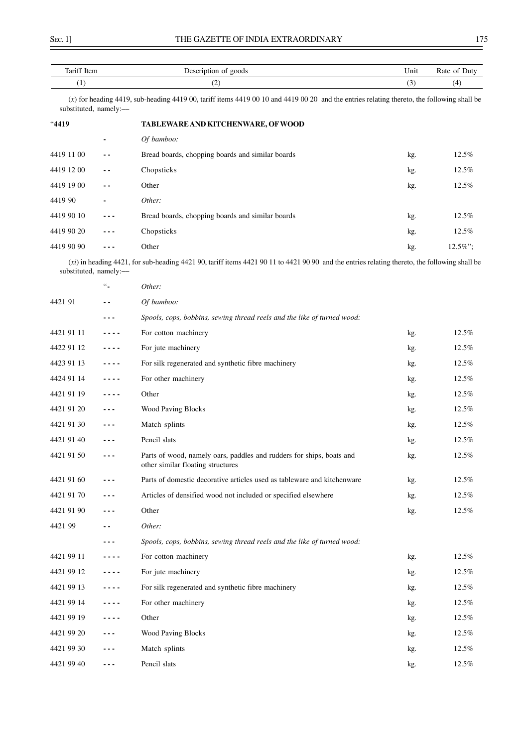| Tariff Item | Description<br>of goods | $\mathbf{r}$<br>Unit | Rate of<br>Duty. |
|-------------|-------------------------|----------------------|------------------|
|             | ۰<br>╰                  | ູ                    | ┭                |

(*x*) for heading 4419, sub-heading 4419 00, tariff items 4419 00 10 and 4419 00 20 and the entries relating thereto, the following shall be substituted, namely:-

| "4419      |         | TABLEWARE AND KITCHENWARE, OF WOOD               |     |             |
|------------|---------|--------------------------------------------------|-----|-------------|
|            | -       | Of bamboo:                                       |     |             |
| 4419 11 00 | $ -$    | Bread boards, chopping boards and similar boards | kg. | 12.5%       |
| 4419 12 00 | $ -$    | Chopsticks                                       | kg. | 12.5%       |
| 4419 19 00 | $ -$    | Other                                            | kg. | 12.5%       |
| 4419 90    |         | Other:                                           |     |             |
| 4419 90 10 |         | Bread boards, chopping boards and similar boards | kg. | 12.5%       |
| 4419 90 20 | $- - -$ | Chopsticks                                       | kg. | 12.5%       |
| 4419 90 90 |         | Other                                            | kg. | $12.5\%$ "; |

(*xi*) in heading 4421, for sub-heading 4421 90, tariff items 4421 90 11 to 4421 90 90 and the entries relating thereto, the following shall be substituted, namely:-

|            | $\ddotsc$ | Other:                                                                                                    |     |       |
|------------|-----------|-----------------------------------------------------------------------------------------------------------|-----|-------|
| 4421 91    | - -       | Of bamboo:                                                                                                |     |       |
|            | ---       | Spools, cops, bobbins, sewing thread reels and the like of turned wood:                                   |     |       |
| 4421 91 11 | ----      | For cotton machinery                                                                                      | kg. | 12.5% |
| 4422 91 12 | ----      | For jute machinery                                                                                        | kg. | 12.5% |
| 4423 91 13 | ----      | For silk regenerated and synthetic fibre machinery                                                        | kg. | 12.5% |
| 4424 91 14 | ----      | For other machinery                                                                                       | kg. | 12.5% |
| 4421 91 19 | ----      | Other                                                                                                     | kg. | 12.5% |
| 4421 91 20 | - - -     | <b>Wood Paving Blocks</b>                                                                                 | kg. | 12.5% |
| 4421 91 30 | ---       | Match splints                                                                                             | kg. | 12.5% |
| 4421 91 40 | ---       | Pencil slats                                                                                              | kg. | 12.5% |
| 4421 91 50 | - - -     | Parts of wood, namely oars, paddles and rudders for ships, boats and<br>other similar floating structures | kg. | 12.5% |
| 4421 91 60 | - - -     | Parts of domestic decorative articles used as tableware and kitchenware                                   | kg. | 12.5% |
| 4421 91 70 | - - -     | Articles of densified wood not included or specified elsewhere                                            | kg. | 12.5% |
| 4421 91 90 | - - -     | Other                                                                                                     | kg. | 12.5% |
| 4421 99    | - -       | Other:                                                                                                    |     |       |
|            | ---       | Spools, cops, bobbins, sewing thread reels and the like of turned wood:                                   |     |       |
| 4421 99 11 | ----      | For cotton machinery                                                                                      | kg. | 12.5% |
| 4421 99 12 |           | For jute machinery                                                                                        | kg. | 12.5% |
| 4421 99 13 | $- - - -$ | For silk regenerated and synthetic fibre machinery                                                        | kg. | 12.5% |
| 4421 99 14 | ----      | For other machinery                                                                                       | kg. | 12.5% |
| 4421 99 19 | ----      | Other                                                                                                     | kg. | 12.5% |
| 4421 99 20 | - - -     | <b>Wood Paving Blocks</b>                                                                                 | kg. | 12.5% |
| 4421 99 30 |           | Match splints                                                                                             | kg. | 12.5% |
| 4421 99 40 | - - -     | Pencil slats                                                                                              | kg. | 12.5% |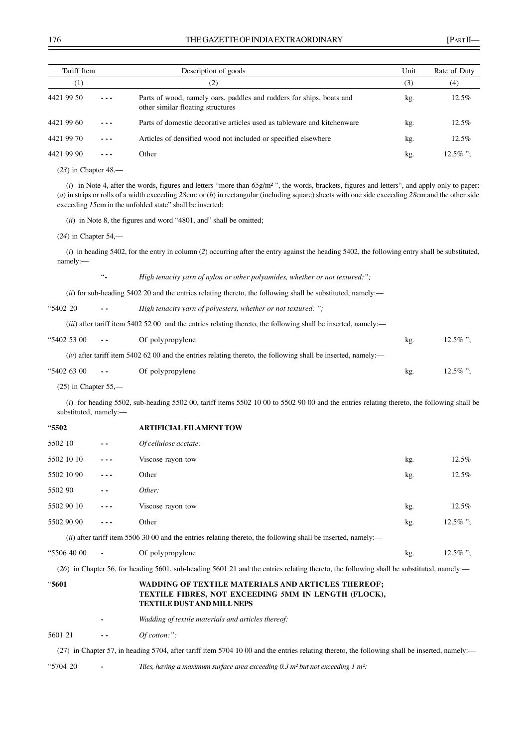| Tariff Item |         | Description of goods                                                                                      | Unit | Rate of Duty |
|-------------|---------|-----------------------------------------------------------------------------------------------------------|------|--------------|
| (1)         |         | (2)                                                                                                       | (3)  | (4)          |
| 4421 99 50  | $- - -$ | Parts of wood, namely oars, paddles and rudders for ships, boats and<br>other similar floating structures | kg.  | 12.5%        |
| 4421 99 60  | $- - -$ | Parts of domestic decorative articles used as tableware and kitchenware                                   | kg.  | 12.5%        |
| 4421 99 70  | $- - -$ | Articles of densified wood not included or specified elsewhere                                            | kg.  | $12.5\%$     |
| 4421 99 90  |         | Other                                                                                                     | kg.  | $12.5\%$ ":  |
|             |         |                                                                                                           |      |              |

(*23*) in Chapter 48,––

(*i*) in Note 4, after the words, figures and letters "more than *65*g/m² ", the words, brackets, figures and letters", and apply only to paper: (*a*) in strips or rolls of a width exceeding *28*cm; or (*b*) in rectangular (including square) sheets with one side exceeding *28*cm and the other side exceeding *15cm* in the unfolded state" shall be inserted;

(*ii*) in Note 8, the figures and word "4801, and" shall be omitted;

(*24*) in Chapter 54,––

(*i*) in heading 5402, for the entry in column (*2*) occurring after the entry against the heading 5402, the following entry shall be substituted, namely:––

"**-** *High tenacity yarn of nylon or other polyamides, whether or not textured:";*

(*ii*) for sub-heading 5402 20 and the entries relating thereto, the following shall be substituted, namely:—

"5402 20 **- -** *High tenacity yarn of polyesters, whether or not textured: ";*

(*iii*) after tariff item 5402 52 00 and the entries relating thereto, the following shall be inserted, namely:—

| "5402 53 00 | $- -$      | Of polypropylene                                                                                                | kg. | $12.5\%$ "; |
|-------------|------------|-----------------------------------------------------------------------------------------------------------------|-----|-------------|
|             |            | $(iv)$ after tariff item 5402 62 00 and the entries relating thereto, the following shall be inserted, namely:— |     |             |
| "5402 63 00 | $\sim$ $-$ | Of polypropylene                                                                                                | kg. | $12.5\%$ "; |

 $(25)$  in Chapter  $55$ , $-$ 

(*i*) for heading 5502, sub-heading 5502 00, tariff items 5502 10 00 to 5502 90 00 and the entries relating thereto, the following shall be substituted, namely:––

| "5502   |            |         | <b>ARTIFICIAL FILAMENT TOW</b>                                                                                  |     |             |
|---------|------------|---------|-----------------------------------------------------------------------------------------------------------------|-----|-------------|
| 5502 10 |            | $ -$    | Of cellulose acetate:                                                                                           |     |             |
|         | 5502 10 10 | $- - -$ | Viscose rayon tow                                                                                               | kg. | $12.5\%$    |
|         | 5502 10 90 | ---     | Other                                                                                                           | kg. | 12.5%       |
| 5502 90 |            | $ -$    | Other:                                                                                                          |     |             |
|         | 5502 90 10 | $- - -$ | Viscose rayon tow                                                                                               | kg. | $12.5\%$    |
|         | 5502 90 90 | ---     | Other                                                                                                           | kg. | $12.5\%$ "; |
|         |            |         | $(ii)$ after tariff item 5506 30 00 and the entries relating thereto, the following shall be inserted, namely:— |     |             |
|         |            |         |                                                                                                                 |     |             |

"5506 40 00 **-** Of polypropylene kg. 12.5% "; (*26*) in Chapter 56, for heading 5601, sub-heading 5601 21 and the entries relating thereto, the following shall be substituted, namely:––

#### "**5601 WADDING OF TEXTILE MATERIALS AND ARTICLES THEREOF; TEXTILE FIBRES, NOT EXCEEDING** *5***MM IN LENGTH (FLOCK), TEXTILE DUST AND MILL NEPS**

**-** *Wadding of textile materials and articles thereof:*

5601 21 **- -** *Of cotton:";*

(27) in Chapter 57, in heading 5704, after tariff item 5704 10 00 and the entries relating thereto, the following shall be inserted, namely:––

"5704 20 **-** *Tiles, having a maximum surface area exceeding 0.3 m² but not exceeding 1 m²:*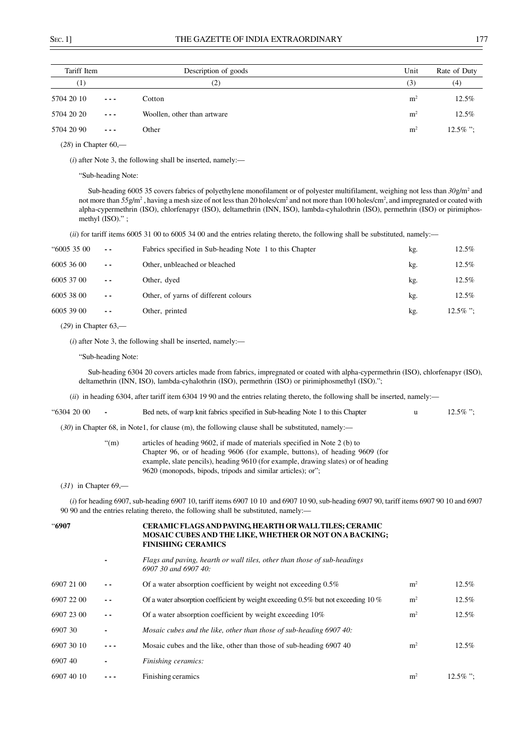| Tariff Item         |                                                                                                                                                                                                                                                                                                                                                                                              | Description of goods        | Unit           | Rate of Duty |
|---------------------|----------------------------------------------------------------------------------------------------------------------------------------------------------------------------------------------------------------------------------------------------------------------------------------------------------------------------------------------------------------------------------------------|-----------------------------|----------------|--------------|
| $_{\left(1\right)}$ |                                                                                                                                                                                                                                                                                                                                                                                              | (2)                         | (3)            | (4)          |
| 5704 20 10          | $\frac{1}{2} \frac{1}{2} \frac{1}{2} \frac{1}{2} \frac{1}{2} \frac{1}{2} \frac{1}{2} \frac{1}{2} \frac{1}{2} \frac{1}{2} \frac{1}{2} \frac{1}{2} \frac{1}{2} \frac{1}{2} \frac{1}{2} \frac{1}{2} \frac{1}{2} \frac{1}{2} \frac{1}{2} \frac{1}{2} \frac{1}{2} \frac{1}{2} \frac{1}{2} \frac{1}{2} \frac{1}{2} \frac{1}{2} \frac{1}{2} \frac{1}{2} \frac{1}{2} \frac{1}{2} \frac{1}{2} \frac{$ | Cotton                      | m <sup>2</sup> | $12.5\%$     |
| 5704 20 20          | $\frac{1}{2} \frac{1}{2} \frac{1}{2} \frac{1}{2} \frac{1}{2} \frac{1}{2} \frac{1}{2} \frac{1}{2} \frac{1}{2} \frac{1}{2} \frac{1}{2} \frac{1}{2} \frac{1}{2} \frac{1}{2} \frac{1}{2} \frac{1}{2} \frac{1}{2} \frac{1}{2} \frac{1}{2} \frac{1}{2} \frac{1}{2} \frac{1}{2} \frac{1}{2} \frac{1}{2} \frac{1}{2} \frac{1}{2} \frac{1}{2} \frac{1}{2} \frac{1}{2} \frac{1}{2} \frac{1}{2} \frac{$ | Woollen, other than artware | m <sup>2</sup> | $12.5\%$     |
| 5704 20 90          | $- - -$                                                                                                                                                                                                                                                                                                                                                                                      | Other                       | m <sup>2</sup> | $12.5\%$ ":  |

(*28*) in Chapter 60,––

(*i*) after Note 3, the following shall be inserted, namely:––

"Sub-heading Note:

Sub-heading 6005 35 covers fabrics of polyethylene monofilament or of polyester multifilament, weighing not less than  $30g/m^2$  and not more than  $55g/m^2$ , having a mesh size of not less than 20 holes/cm<sup>2</sup> and not more than 100 holes/cm<sup>2</sup>, and impregnated or coated with alpha-cypermethrin (ISO), chlorfenapyr (ISO), deltamethrin (INN, ISO), lambda-cyhalothrin (ISO), permethrin (ISO) or pirimiphosmethyl (ISO)." ;

(*ii*) for tariff items 6005 31 00 to 6005 34 00 and the entries relating thereto, the following shall be substituted, namely:––

| "6005 35 00 | $\sim$ $\sim$ | Fabrics specified in Sub-heading Note 1 to this Chapter | kg. | $12.5\%$    |
|-------------|---------------|---------------------------------------------------------|-----|-------------|
| 6005 36 00  | $ -$          | Other, unbleached or bleached                           | kg. | $12.5\%$    |
| 6005 37 00  | $ -$          | Other, dyed                                             | kg. | $12.5\%$    |
| 6005 38 00  | $ -$          | Other, of yarns of different colours                    | kg. | $12.5\%$    |
| 6005 39 00  | $ -$          | Other, printed                                          | kg. | $12.5\%$ ": |
|             |               |                                                         |     |             |

(*29*) in Chapter 63,––

(*i*) after Note 3, the following shall be inserted, namely:––

"Sub-heading Note:

Sub-heading 6304 20 covers articles made from fabrics, impregnated or coated with alpha-cypermethrin (ISO), chlorfenapyr (ISO), deltamethrin (INN, ISO), lambda-cyhalothrin (ISO), permethrin (ISO) or pirimiphosmethyl (ISO).";

(*ii*) in heading 6304, after tariff item 6304 19 90 and the entries relating thereto, the following shall be inserted, namely:––

| "6304 20 00 | Bed nets, of warp knit fabrics specified in Sub-heading Note 1 to this Chapter                      | $12.5\%$ ": |
|-------------|-----------------------------------------------------------------------------------------------------|-------------|
|             | $(30)$ in Chapter 68, in Note1, for clause (m), the following clause shall be substituted, namely:— |             |

| $\degree$ (m) |  | articles of heading 9602, if made of materials specified in Note 2 (b) to |  |
|---------------|--|---------------------------------------------------------------------------|--|
|               |  |                                                                           |  |

| . |                                                                                   |
|---|-----------------------------------------------------------------------------------|
|   | Chapter 96, or of heading 9606 (for example, buttons), of heading 9609 (for       |
|   | example, slate pencils), heading 9610 (for example, drawing slates) or of heading |
|   | 9620 (monopods, bipods, tripods and similar articles); or";                       |

(*31*) in Chapter 69,––

(*i*) for heading 6907, sub-heading 6907 10, tariff items 6907 10 10 and 6907 10 90, sub-heading 6907 90, tariff items 6907 90 10 and 6907 90 90 and the entries relating thereto, the following shall be substituted, namely:––

| "6907      |     | CERAMIC FLAGS AND PAVING, HEARTH OR WALL TILES; CERAMIC<br>MOSAIC CUBES AND THE LIKE, WHETHER OR NOT ON A BACKING;<br><b>FINISHING CERAMICS</b> |                |             |
|------------|-----|-------------------------------------------------------------------------------------------------------------------------------------------------|----------------|-------------|
|            |     | Flags and paving, hearth or wall tiles, other than those of sub-headings<br>$6907, 30$ and $6907, 40$ :                                         |                |             |
| 6907 21 00 |     | Of a water absorption coefficient by weight not exceeding 0.5%                                                                                  | m <sup>2</sup> | $12.5\%$    |
| 6907 22 00 | - - | Of a water absorption coefficient by weight exceeding 0.5% but not exceeding 10 %                                                               | m <sup>2</sup> | $12.5\%$    |
| 6907 23 00 | - - | Of a water absorption coefficient by weight exceeding 10%                                                                                       | m <sup>2</sup> | $12.5\%$    |
| 6907 30    |     | Mosaic cubes and the like, other than those of sub-heading 6907 40:                                                                             |                |             |
| 6907 30 10 |     | Mosaic cubes and the like, other than those of sub-heading 690740                                                                               | m <sup>2</sup> | $12.5\%$    |
| 690740     |     | Finishing ceramics:                                                                                                                             |                |             |
| 6907 40 10 |     | Finishing ceramics                                                                                                                              | m <sup>2</sup> | $12.5\%$ ": |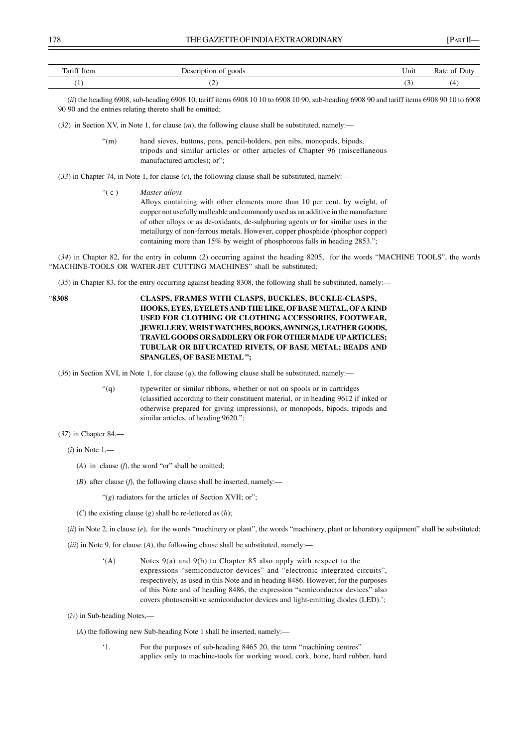| Tariff Item                    | goods<br>Ωr<br>וור<br>-----<br>$\sim$ $\sim$ | Unit | Rate<br>Juty<br>$\sim$      |
|--------------------------------|----------------------------------------------|------|-----------------------------|
| ٠.<br>$\overline{\phantom{a}}$ | ╰                                            |      | $\boldsymbol{\Lambda}$<br>┱ |

(*ii*) the heading 6908, sub-heading 6908 10, tariff items 6908 10 10 to 6908 10 90, sub-heading 6908 90 and tariff items 6908 90 10 to 6908 90 90 and the entries relating thereto shall be omitted;

(*32*) in Section XV, in Note 1, for clause (*m*), the following clause shall be substituted, namely:––

- "(m) hand sieves, buttons, pens, pencil-holders, pen nibs, monopods, bipods, tripods and similar articles or other articles of Chapter 96 (miscellaneous manufactured articles); or";
- (*33*) in Chapter 74, in Note 1, for clause (*c*), the following clause shall be substituted, namely:––
	- "( c ) *Master alloys* Alloys containing with other elements more than 10 per cent. by weight, of copper not usefully malleable and commonly used as an additive in the manufacture of other alloys or as de-oxidants, de-sulphuring agents or for similar uses in the metallurgy of non-ferrous metals. However, copper phosphide (phosphor copper) containing more than 15% by weight of phosphorous falls in heading 2853.";

(*34*) in Chapter 82, for the entry in column (*2*) occurring against the heading 8205, for the words "MACHINE TOOLS", the words "MACHINE-TOOLS OR WATER-JET CUTTING MACHINES" shall be substituted;

(*35*) in Chapter 83, for the entry occurring against heading 8308, the following shall be substituted, namely:––

"**8308 CLASPS, FRAMES WITH CLASPS, BUCKLES, BUCKLE-CLASPS, HOOKS, EYES, EYELETS AND THE LIKE, OF BASE METAL, OF A KIND USED FOR CLOTHING OR CLOTHING ACCESSORIES, FOOTWEAR, JEWELLERY, WRIST WATCHES, BOOKS, AWNINGS, LEATHER GOODS, TRAVEL GOODS OR SADDLERY OR FOR OTHER MADE UP ARTICLES; TUBULAR OR BIFURCATED RIVETS, OF BASE METAL; BEADS AND SPANGLES, OF BASE METAL ";**

(*36*) in Section XVI, in Note 1, for clause (*q*), the following clause shall be substituted, namely:––

"(q) typewriter or similar ribbons, whether or not on spools or in cartridges (classified according to their constituent material, or in heading 9612 if inked or otherwise prepared for giving impressions), or monopods, bipods, tripods and similar articles, of heading 9620.";

(*37*) in Chapter 84,––

(*i*) in Note 1,––

- (*A*) in clause (*f*), the word "or" shall be omitted;
- ( $B$ ) after clause ( $f$ ), the following clause shall be inserted, namely:—

"(*g*) radiators for the articles of Section XVII; or";

(*C*) the existing clause (*g*) shall be re-lettered as (*h*);

(*ii*) in Note 2, in clause (*e*), for the words "machinery or plant", the words "machinery, plant or laboratory equipment" shall be substituted;

(*iii*) in Note 9, for clause (*A*), the following clause shall be substituted, namely:––

'(A) Notes 9(a) and 9(b) to Chapter 85 also apply with respect to the expressions "semiconductor devices" and "electronic integrated circuits", respectively, as used in this Note and in heading 8486. However, for the purposes of this Note and of heading 8486, the expression "semiconductor devices" also covers photosensitive semiconductor devices and light-emitting diodes (LED).';

(*iv*) in Sub-heading Notes,—

(*A*) the following new Sub-heading Note 1 shall be inserted, namely:––

'1. For the purposes of sub-heading 8465 20, the term "machining centres" applies only to machine-tools for working wood, cork, bone, hard rubber, hard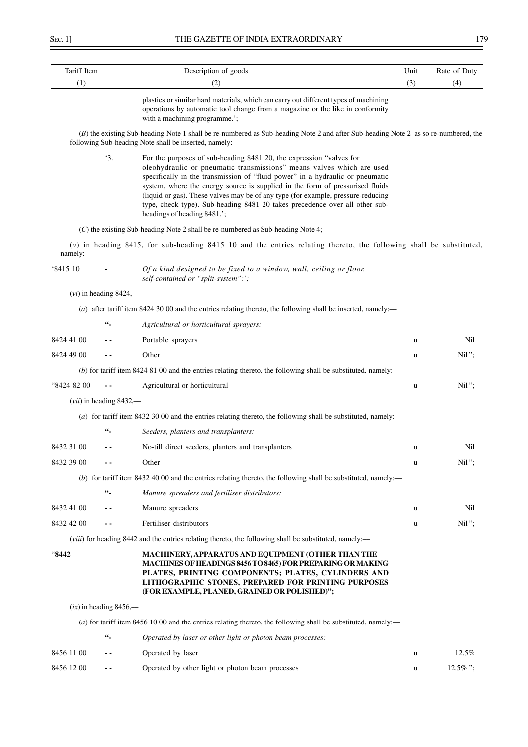| Tariff Item |                              | Description of goods                                                                                                                                                                                                                                                                                                                                                                                                                                                                                             | Unit | Rate of Duty |
|-------------|------------------------------|------------------------------------------------------------------------------------------------------------------------------------------------------------------------------------------------------------------------------------------------------------------------------------------------------------------------------------------------------------------------------------------------------------------------------------------------------------------------------------------------------------------|------|--------------|
| (1)         |                              | (2)                                                                                                                                                                                                                                                                                                                                                                                                                                                                                                              | (3)  | (4)          |
|             |                              | plastics or similar hard materials, which can carry out different types of machining<br>operations by automatic tool change from a magazine or the like in conformity<br>with a machining programme.';                                                                                                                                                                                                                                                                                                           |      |              |
|             |                              | (B) the existing Sub-heading Note 1 shall be re-numbered as Sub-heading Note 2 and after Sub-heading Note 2 as so re-numbered, the<br>following Sub-heading Note shall be inserted, namely:-                                                                                                                                                                                                                                                                                                                     |      |              |
|             | $\cdot$ 3.                   | For the purposes of sub-heading 8481 20, the expression "valves for<br>oleohydraulic or pneumatic transmissions" means valves which are used<br>specifically in the transmission of "fluid power" in a hydraulic or pneumatic<br>system, where the energy source is supplied in the form of pressurised fluids<br>(liquid or gas). These valves may be of any type (for example, pressure-reducing<br>type, check type). Sub-heading 8481 20 takes precedence over all other sub-<br>headings of heading 8481.'; |      |              |
|             |                              | (C) the existing Sub-heading Note 2 shall be re-numbered as Sub-heading Note 4;                                                                                                                                                                                                                                                                                                                                                                                                                                  |      |              |
| namely:-    |                              | $(v)$ in heading 8415, for sub-heading 8415 10 and the entries relating thereto, the following shall be substituted,                                                                                                                                                                                                                                                                                                                                                                                             |      |              |
| '8415 10    |                              | Of a kind designed to be fixed to a window, wall, ceiling or floor,<br>self-contained or "split-system":';                                                                                                                                                                                                                                                                                                                                                                                                       |      |              |
|             | $(vi)$ in heading 8424,—     |                                                                                                                                                                                                                                                                                                                                                                                                                                                                                                                  |      |              |
|             |                              | (a) after tariff item 8424 30 00 and the entries relating thereto, the following shall be inserted, namely:—                                                                                                                                                                                                                                                                                                                                                                                                     |      |              |
|             | $\epsilon\epsilon_{\perp}$   | Agricultural or horticultural sprayers:                                                                                                                                                                                                                                                                                                                                                                                                                                                                          |      |              |
| 8424 41 00  |                              | Portable sprayers                                                                                                                                                                                                                                                                                                                                                                                                                                                                                                | u    | Nil          |
| 8424 49 00  |                              | Other                                                                                                                                                                                                                                                                                                                                                                                                                                                                                                            | u    | $Nil$ ";     |
|             |                              | (b) for tariff item 8424 81 00 and the entries relating thereto, the following shall be substituted, namely:—                                                                                                                                                                                                                                                                                                                                                                                                    |      |              |
| "8424 82 00 |                              | Agricultural or horticultural                                                                                                                                                                                                                                                                                                                                                                                                                                                                                    | u    | $Nil$ ";     |
|             | $(vii)$ in heading 8432,—    |                                                                                                                                                                                                                                                                                                                                                                                                                                                                                                                  |      |              |
|             |                              | (a) for tariff item 8432 30 00 and the entries relating thereto, the following shall be substituted, namely:—                                                                                                                                                                                                                                                                                                                                                                                                    |      |              |
|             | 66_                          | Seeders, planters and transplanters:                                                                                                                                                                                                                                                                                                                                                                                                                                                                             |      |              |
| 8432 31 00  |                              | No-till direct seeders, planters and transplanters                                                                                                                                                                                                                                                                                                                                                                                                                                                               | u    | Nil          |
| 8432 39 00  |                              | Other                                                                                                                                                                                                                                                                                                                                                                                                                                                                                                            | u    | Nil";        |
|             |                              | (b) for tariff item 8432 40 00 and the entries relating thereto, the following shall be substituted, namely:—                                                                                                                                                                                                                                                                                                                                                                                                    |      |              |
|             | $66 -$                       | Manure spreaders and fertiliser distributors:                                                                                                                                                                                                                                                                                                                                                                                                                                                                    |      |              |
| 8432 41 00  |                              | Manure spreaders                                                                                                                                                                                                                                                                                                                                                                                                                                                                                                 | u    | Nil          |
| 8432 42 00  |                              | Fertiliser distributors                                                                                                                                                                                                                                                                                                                                                                                                                                                                                          | u    | $Nil$ ";     |
|             |                              | <i>(viii)</i> for heading 8442 and the entries relating thereto, the following shall be substituted, namely:—                                                                                                                                                                                                                                                                                                                                                                                                    |      |              |
| "8442"      |                              | MACHINERY, APPARATUS AND EQUIPMENT (OTHER THAN THE<br>MACHINES OF HEADINGS 8456 TO 8465) FOR PREPARING OR MAKING<br>PLATES, PRINTING COMPONENTS; PLATES, CYLINDERS AND<br>LITHOGRAPHIC STONES, PREPARED FOR PRINTING PURPOSES<br>(FOR EXAMPLE, PLANED, GRAINED OR POLISHED)";                                                                                                                                                                                                                                    |      |              |
|             | $(ix)$ in heading 8456,—     |                                                                                                                                                                                                                                                                                                                                                                                                                                                                                                                  |      |              |
|             |                              | (a) for tariff item 8456 10 00 and the entries relating thereto, the following shall be substituted, namely:—                                                                                                                                                                                                                                                                                                                                                                                                    |      |              |
|             | $\mathbf{66}_{\blacksquare}$ | Operated by laser or other light or photon beam processes:                                                                                                                                                                                                                                                                                                                                                                                                                                                       |      |              |
| 8456 11 00  |                              | Operated by laser                                                                                                                                                                                                                                                                                                                                                                                                                                                                                                | u    | 12.5%        |
| 8456 12 00  | $ -$                         | Operated by other light or photon beam processes                                                                                                                                                                                                                                                                                                                                                                                                                                                                 | u    | $12.5\%$ ";  |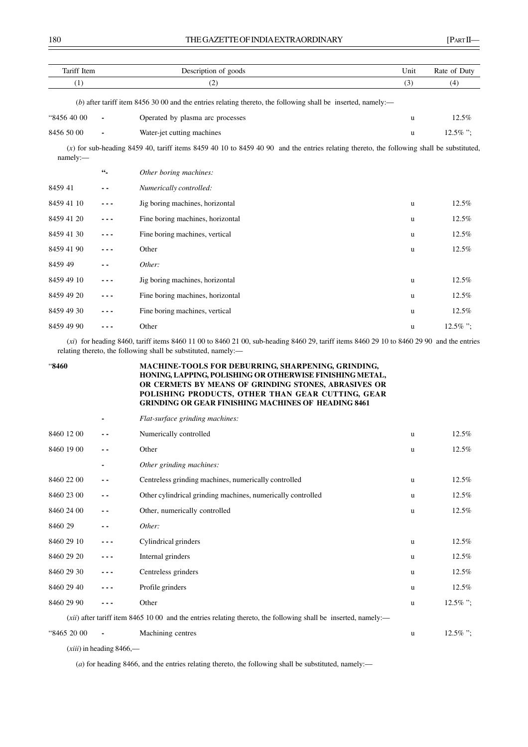| Tariff Item |                   | Description of goods                                                                                                                       | Unit | Rate of Duty |
|-------------|-------------------|--------------------------------------------------------------------------------------------------------------------------------------------|------|--------------|
| (1)         |                   | (2)                                                                                                                                        | (3)  | (4)          |
|             |                   | (b) after tariff item 8456 30 00 and the entries relating thereto, the following shall be inserted, namely:—                               |      |              |
| "8456 40 00 |                   | Operated by plasma arc processes                                                                                                           | u    | 12.5%        |
| 8456 50 00  |                   | Water-jet cutting machines                                                                                                                 | u    | $12.5\%$ ";  |
| namely:-    |                   | $(x)$ for sub-heading 8459 40, tariff items 8459 40 10 to 8459 40 90 and the entries relating thereto, the following shall be substituted, |      |              |
|             | $\mathfrak{cc}_-$ | Other boring machines:                                                                                                                     |      |              |
| 845941      |                   | Numerically controlled:                                                                                                                    |      |              |
| 8459 41 10  |                   | Jig boring machines, horizontal                                                                                                            | u    | 12.5%        |
| 8459 41 20  |                   | Fine boring machines, horizontal                                                                                                           | u    | 12.5%        |
| 8459 41 30  |                   | Fine boring machines, vertical                                                                                                             | u    | 12.5%        |
| 8459 41 90  |                   | Other                                                                                                                                      | u    | 12.5%        |
| 8459 49     |                   | Other:                                                                                                                                     |      |              |
| 8459 49 10  |                   | Jig boring machines, horizontal                                                                                                            | u    | 12.5%        |
| 8459 49 20  |                   | Fine boring machines, horizontal                                                                                                           | u    | 12.5%        |
| 8459 49 30  |                   | Fine boring machines, vertical                                                                                                             | u    | 12.5%        |
| 8459 49 90  |                   | Other                                                                                                                                      | u    | $12.5\%$ ";  |

(*xi*) for heading 8460, tariff items 8460 11 00 to 8460 21 00, sub-heading 8460 29, tariff items 8460 29 10 to 8460 29 90 and the entries relating thereto, the following shall be substituted, namely:––

| "8460       |     | <b>MACHINE-TOOLS FOR DEBURRING, SHARPENING, GRINDING,</b><br>HONING, LAPPING, POLISHING OR OTHERWISE FINISHING METAL,<br>OR CERMETS BY MEANS OF GRINDING STONES, ABRASIVES OR<br>POLISHING PRODUCTS, OTHER THAN GEAR CUTTING, GEAR<br><b>GRINDING OR GEAR FINISHING MACHINES OF HEADING 8461</b> |              |             |  |
|-------------|-----|--------------------------------------------------------------------------------------------------------------------------------------------------------------------------------------------------------------------------------------------------------------------------------------------------|--------------|-------------|--|
|             |     | Flat-surface grinding machines:                                                                                                                                                                                                                                                                  |              |             |  |
| 8460 12 00  | - - | Numerically controlled                                                                                                                                                                                                                                                                           | u            | 12.5%       |  |
| 8460 19 00  | - - | Other                                                                                                                                                                                                                                                                                            | <b>u</b>     | $12.5\%$    |  |
|             |     | Other grinding machines:                                                                                                                                                                                                                                                                         |              |             |  |
| 8460 22 00  | - - | Centreless grinding machines, numerically controlled                                                                                                                                                                                                                                             | <b>u</b>     | 12.5%       |  |
| 8460 23 00  | - - | Other cylindrical grinding machines, numerically controlled                                                                                                                                                                                                                                      | u            | 12.5%       |  |
| 8460 24 00  | - - | Other, numerically controlled                                                                                                                                                                                                                                                                    | u            | 12.5%       |  |
| 8460 29     | . . | Other:                                                                                                                                                                                                                                                                                           |              |             |  |
| 8460 29 10  | --- | Cylindrical grinders                                                                                                                                                                                                                                                                             | u            | 12.5%       |  |
| 8460 29 20  |     | Internal grinders                                                                                                                                                                                                                                                                                | <b>u</b>     | 12.5%       |  |
| 8460 29 30  |     | Centreless grinders                                                                                                                                                                                                                                                                              | u            | 12.5%       |  |
| 8460 29 40  |     | Profile grinders                                                                                                                                                                                                                                                                                 | u            | 12.5%       |  |
| 8460 29 90  |     | Other                                                                                                                                                                                                                                                                                            | $\mathbf{u}$ | $12.5\%$ ": |  |
|             |     | $(xii)$ after tariff item 8465 10 00 and the entries relating thereto, the following shall be inserted, namely:—                                                                                                                                                                                 |              |             |  |
| "8465 20 00 |     | Machining centres                                                                                                                                                                                                                                                                                | u            | $12.5\%$ ": |  |

(*xiii*) in heading 8466,––

(*a*) for heading 8466, and the entries relating thereto, the following shall be substituted, namely:-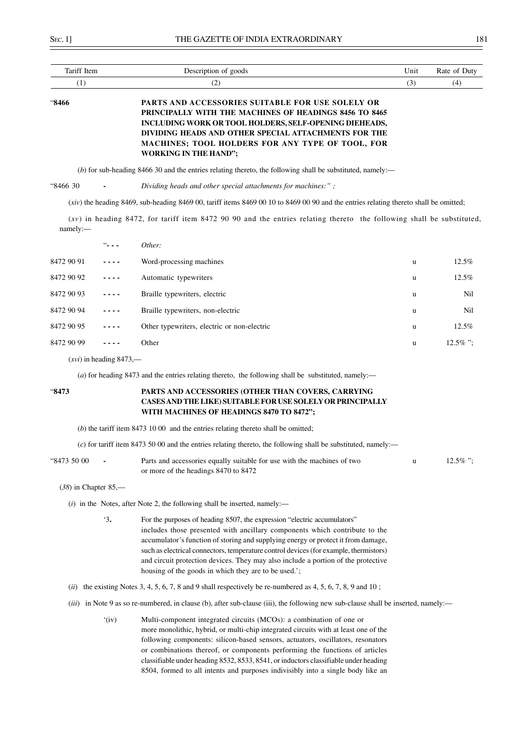| Tariff Item                                                                                                                                                                                                                                                                                                                                    |  | Description of goods                                                                                                                    | Unit | Rate of Duty |
|------------------------------------------------------------------------------------------------------------------------------------------------------------------------------------------------------------------------------------------------------------------------------------------------------------------------------------------------|--|-----------------------------------------------------------------------------------------------------------------------------------------|------|--------------|
| (1)                                                                                                                                                                                                                                                                                                                                            |  | (2)                                                                                                                                     | (3)  | (4)          |
| <b>PARTS AND ACCESSORIES SUITABLE FOR USE SOLELY OR</b><br>"8466<br>PRINCIPALLY WITH THE MACHINES OF HEADINGS 8456 TO 8465<br><b>INCLUDING WORK OR TOOL HOLDERS, SELF-OPENING DIEHEADS,</b><br>DIVIDING HEADS AND OTHER SPECIAL ATTACHMENTS FOR THE<br><b>MACHINES; TOOL HOLDERS FOR ANY TYPE OF TOOL, FOR</b><br><b>WORKING IN THE HAND";</b> |  |                                                                                                                                         |      |              |
|                                                                                                                                                                                                                                                                                                                                                |  | (b) for sub-heading 8466 30 and the entries relating thereto, the following shall be substituted, namely:—                              |      |              |
| "8466 30                                                                                                                                                                                                                                                                                                                                       |  | Dividing heads and other special attachments for machines:";                                                                            |      |              |
|                                                                                                                                                                                                                                                                                                                                                |  | $(xiv)$ the heading 8469, sub-heading 8469 00, tariff items 8469 00 10 to 8469 00 90 and the entries relating thereto shall be omitted; |      |              |
| namely:                                                                                                                                                                                                                                                                                                                                        |  | $(xv)$ in heading 8472, for tariff item 8472 90 90 and the entries relating thereto the following shall be substituted,                 |      |              |
|                                                                                                                                                                                                                                                                                                                                                |  | Other:                                                                                                                                  |      |              |
| 8472 90 91                                                                                                                                                                                                                                                                                                                                     |  | Word-processing machines                                                                                                                | u    | $12.5\%$     |

| 8472 90 92 | $\frac{1}{2} \left( \frac{1}{2} \right) \left( \frac{1}{2} \right) \left( \frac{1}{2} \right) \left( \frac{1}{2} \right) \left( \frac{1}{2} \right)$ | Automatic typewriters                       | u | 12.5%       |
|------------|------------------------------------------------------------------------------------------------------------------------------------------------------|---------------------------------------------|---|-------------|
| 8472 90 93 | $\sim$ $\sim$ $\sim$ $\sim$                                                                                                                          | Braille typewriters, electric               | u | Nil         |
| 8472 90 94 | $\frac{1}{2} \left( \frac{1}{2} \right) \left( \frac{1}{2} \right) \left( \frac{1}{2} \right) \left( \frac{1}{2} \right) \left( \frac{1}{2} \right)$ | Braille typewriters, non-electric           | u | Nil         |
| 8472 90 95 | $\sim$ $\sim$ $\sim$ $\sim$                                                                                                                          | Other typewriters, electric or non-electric | u | $12.5\%$    |
| 8472 90 99 | $\cdots$                                                                                                                                             | Other                                       | u | $12.5\%$ ": |
|            |                                                                                                                                                      |                                             |   |             |

(*xvi*) in heading 8473,––

(*a*) for heading 8473 and the entries relating thereto, the following shall be substituted, namely:—

## "**8473 PARTS AND ACCESSORIES (OTHER THAN COVERS, CARRYING CASES AND THE LIKE) SUITABLE FOR USE SOLELY OR PRINCIPALLY WITH MACHINES OF HEADINGS 8470 TO 8472";**

(*b*) the tariff item 8473 10 00 and the entries relating thereto shall be omitted;

(*c*) for tariff item 8473 50 00 and the entries relating thereto, the following shall be substituted, namely:––

| "8473 50 00 | Parts and accessories equally suitable for use with the machines of two | $12.5\%$ "; |
|-------------|-------------------------------------------------------------------------|-------------|
|             | or more of the headings 8470 to 8472                                    |             |

(*38*) in Chapter 85,––

- $(i)$  in the Notes, after Note 2, the following shall be inserted, namely:—
	- '3**.** For the purposes of heading 8507, the expression "electric accumulators" includes those presented with ancillary components which contribute to the accumulator's function of storing and supplying energy or protect it from damage, such as electrical connectors, temperature control devices (for example, thermistors) and circuit protection devices. They may also include a portion of the protective housing of the goods in which they are to be used.';
- (*ii*) the existing Notes 3, 4, 5, 6, 7, 8 and 9 shall respectively be re-numbered as 4, 5, 6, 7, 8, 9 and 10;
- (*iii*) in Note 9 as so re-numbered, in clause (b), after sub-clause (iii), the following new sub-clause shall be inserted, namely:-
	- '(iv) Multi-component integrated circuits (MCOs): a combination of one or more monolithic, hybrid, or multi-chip integrated circuits with at least one of the following components: silicon-based sensors, actuators, oscillators, resonators or combinations thereof, or components performing the functions of articles classifiable under heading 8532, 8533, 8541, or inductors classifiable under heading 8504, formed to all intents and purposes indivisibly into a single body like an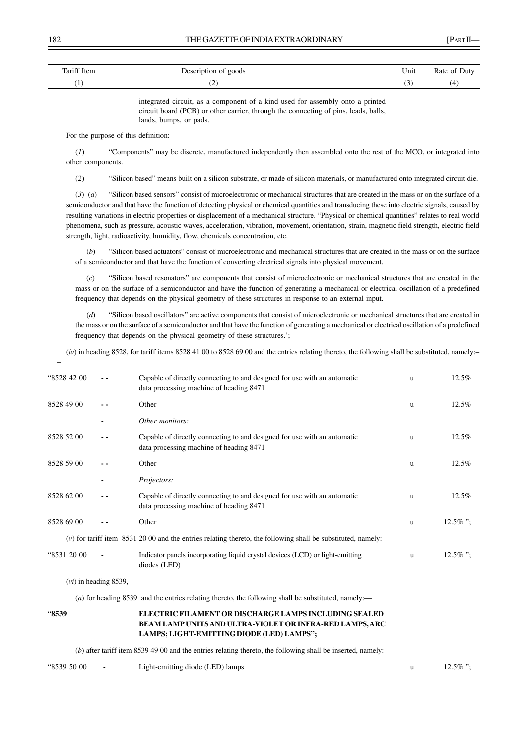| Tariff Item              | goods<br>…<br>$-$<br>.<br>$\sim$ $\sim$ $\sim$ $\sim$ | Unit     | Jutv<br>kate of |
|--------------------------|-------------------------------------------------------|----------|-----------------|
| $\sim$<br>$\overline{ }$ | c                                                     | <b>∪</b> |                 |

integrated circuit, as a component of a kind used for assembly onto a printed circuit board (PCB) or other carrier, through the connecting of pins, leads, balls, lands, bumps, or pads.

For the purpose of this definition:

(*1*) "Components" may be discrete, manufactured independently then assembled onto the rest of the MCO, or integrated into other components.

(*2*) "Silicon based" means built on a silicon substrate, or made of silicon materials, or manufactured onto integrated circuit die.

(*3*) (*a*) "Silicon based sensors" consist of microelectronic or mechanical structures that are created in the mass or on the surface of a semiconductor and that have the function of detecting physical or chemical quantities and transducing these into electric signals, caused by resulting variations in electric properties or displacement of a mechanical structure. "Physical or chemical quantities" relates to real world phenomena, such as pressure, acoustic waves, acceleration, vibration, movement, orientation, strain, magnetic field strength, electric field strength, light, radioactivity, humidity, flow, chemicals concentration, etc.

 (*b*) "Silicon based actuators" consist of microelectronic and mechanical structures that are created in the mass or on the surface of a semiconductor and that have the function of converting electrical signals into physical movement.

 (*c*) "Silicon based resonators" are components that consist of microelectronic or mechanical structures that are created in the mass or on the surface of a semiconductor and have the function of generating a mechanical or electrical oscillation of a predefined frequency that depends on the physical geometry of these structures in response to an external input.

 (*d*) "Silicon based oscillators" are active components that consist of microelectronic or mechanical structures that are created in the mass or on the surface of a semiconductor and that have the function of generating a mechanical or electrical oscillation of a predefined frequency that depends on the physical geometry of these structures.';

 $(iv)$  in heading 8528, for tariff items 8528 41 00 to 8528 69 00 and the entries relating thereto, the following shall be substituted, namely:-

| "8528 42 00 |                          | Capable of directly connecting to and designed for use with an automatic<br>data processing machine of heading 8471 | <b>u</b> | 12.5%       |
|-------------|--------------------------|---------------------------------------------------------------------------------------------------------------------|----------|-------------|
| 8528 49 00  |                          | Other                                                                                                               | <b>u</b> | $12.5\%$    |
|             |                          | Other monitors:                                                                                                     |          |             |
| 8528 52 00  |                          | Capable of directly connecting to and designed for use with an automatic<br>data processing machine of heading 8471 | u        | 12.5%       |
| 8528 59 00  |                          | Other                                                                                                               | u        | $12.5\%$    |
|             |                          | Projectors:                                                                                                         |          |             |
| 8528 62 00  |                          | Capable of directly connecting to and designed for use with an automatic<br>data processing machine of heading 8471 | <b>u</b> | $12.5\%$    |
| 8528 69 00  |                          | Other                                                                                                               | u        | $12.5\%$ "; |
|             |                          | $(v)$ for tariff item 8531 20 00 and the entries relating thereto, the following shall be substituted, namely:—     |          |             |
| "8531 20 00 |                          | Indicator panels incorporating liquid crystal devices (LCD) or light-emitting<br>diodes (LED)                       | u        | $12.5\%$ "; |
|             | $(vi)$ in heading 8539,— |                                                                                                                     |          |             |
|             |                          | (a) for heading 8539 and the entries relating thereto, the following shall be substituted, namely:—                 |          |             |
|             |                          |                                                                                                                     |          |             |

"**8539 ELECTRIC FILAMENT OR DISCHARGE LAMPS INCLUDING SEALED**

**BEAM LAMP UNITS AND ULTRA-VIOLET OR INFRA-RED LAMPS, ARC LAMPS; LIGHT-EMITTING DIODE (LED) LAMPS";**

(*b*) after tariff item 8539 49 00 and the entries relating thereto, the following shall be inserted, namely:—

"8539 50 00 **-** Light-emitting diode (LED) lamps u 12.5% ";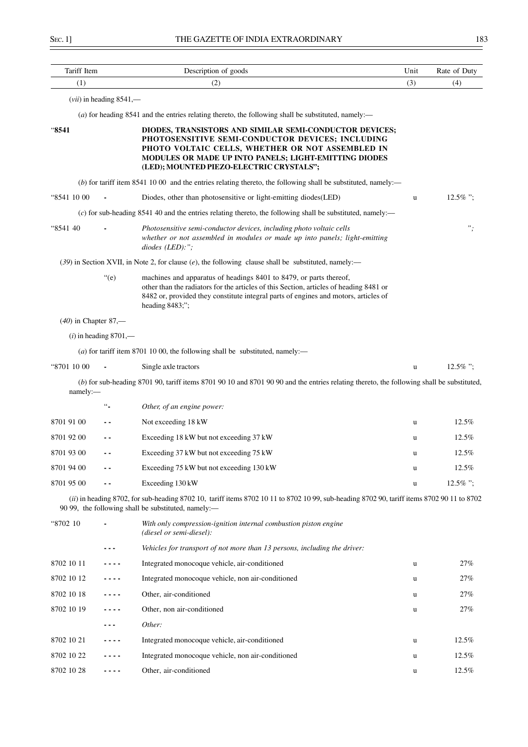|  | ۰, | ٩<br>× |
|--|----|--------|
|  |    |        |

| Tariff Item            |                           | Description of goods                                                                                                                                                                                                                                                   | Unit        | Rate of Duty |
|------------------------|---------------------------|------------------------------------------------------------------------------------------------------------------------------------------------------------------------------------------------------------------------------------------------------------------------|-------------|--------------|
| (1)                    |                           | (2)                                                                                                                                                                                                                                                                    | (3)         | (4)          |
|                        | $(vii)$ in heading 8541,— |                                                                                                                                                                                                                                                                        |             |              |
|                        |                           | (a) for heading $8541$ and the entries relating thereto, the following shall be substituted, namely:—                                                                                                                                                                  |             |              |
| "8541                  |                           | DIODES, TRANSISTORS AND SIMILAR SEMI-CONDUCTOR DEVICES;<br>PHOTOSENSITIVE SEMI-CONDUCTOR DEVICES; INCLUDING<br>PHOTO VOLTAIC CELLS, WHETHER OR NOT ASSEMBLED IN<br>MODULES OR MADE UP INTO PANELS; LIGHT-EMITTING DIODES<br>(LED); MOUNTED PIEZO-ELECTRIC CRYSTALS";   |             |              |
|                        |                           | $(b)$ for tariff item 8541 10 00 and the entries relating thereto, the following shall be substituted, namely:—                                                                                                                                                        |             |              |
| "8541 10 00            |                           | Diodes, other than photosensitive or light-emitting diodes (LED)                                                                                                                                                                                                       | $\mathbf u$ | $12.5\%$ ";  |
|                        |                           | $(c)$ for sub-heading 8541 40 and the entries relating thereto, the following shall be substituted, namely:—                                                                                                                                                           |             |              |
| "8541 40               |                           | Photosensitive semi-conductor devices, including photo voltaic cells<br>whether or not assembled in modules or made up into panels; light-emitting<br>$diodes$ (LED):";                                                                                                |             | $"$ ;        |
|                        |                           | (39) in Section XVII, in Note 2, for clause $(e)$ , the following clause shall be substituted, namely:—                                                                                                                                                                |             |              |
|                        | $"$ (e)                   | machines and apparatus of headings 8401 to 8479, or parts thereof,<br>other than the radiators for the articles of this Section, articles of heading 8481 or<br>8482 or, provided they constitute integral parts of engines and motors, articles of<br>heading 8483;"; |             |              |
| $(40)$ in Chapter 87,— |                           |                                                                                                                                                                                                                                                                        |             |              |
|                        | $(i)$ in heading 8701,—   |                                                                                                                                                                                                                                                                        |             |              |
|                        |                           | (a) for tariff item 8701 10 00, the following shall be substituted, namely:—                                                                                                                                                                                           |             |              |
| "8701 10 00            |                           | Single axle tractors                                                                                                                                                                                                                                                   | $\mathbf u$ | $12.5\%$ ";  |
| namely:-               |                           | (b) for sub-heading 8701 90, tariff items 8701 90 10 and 8701 90 90 and the entries relating thereto, the following shall be substituted,                                                                                                                              |             |              |
|                        | $\ddotsc$                 | Other, of an engine power:                                                                                                                                                                                                                                             |             |              |
| 8701 91 00             | - -                       | Not exceeding 18 kW                                                                                                                                                                                                                                                    | u           | 12.5%        |
| 8701 92 00             |                           | Exceeding 18 kW but not exceeding 37 kW                                                                                                                                                                                                                                | u           | 12.5%        |
| 8701 93 00             | $\sim$ $\sim$             | Exceeding 37 kW but not exceeding 75 kW                                                                                                                                                                                                                                | u           | 12.5%        |
| 8701 94 00             |                           | Exceeding 75 kW but not exceeding 130 kW                                                                                                                                                                                                                               | u           | $12.5\%$     |
| 8701 95 00             |                           | Exceeding 130 kW                                                                                                                                                                                                                                                       | u           | $12.5\%$ ";  |
|                        |                           | (ii) in heading 8702, for sub-heading 8702 10, tariff items 8702 10 11 to 8702 10 99, sub-heading 8702 90, tariff items 8702 90 11 to 8702<br>90 99, the following shall be substituted, namely:-                                                                      |             |              |
| "8702 10               |                           | With only compression-ignition internal combustion piston engine<br>(diesel or semi-diesel):                                                                                                                                                                           |             |              |
|                        |                           | Vehicles for transport of not more than 13 persons, including the driver:                                                                                                                                                                                              |             |              |
| 8702 10 11             |                           | Integrated monocoque vehicle, air-conditioned                                                                                                                                                                                                                          | u           | 27%          |
| 8702 10 12             | .                         | Integrated monocoque vehicle, non air-conditioned                                                                                                                                                                                                                      | u           | 27%          |
| 8702 10 18             | - - - -                   | Other, air-conditioned                                                                                                                                                                                                                                                 | u           | 27%          |
| 8702 10 19             |                           | Other, non air-conditioned                                                                                                                                                                                                                                             | u           | 27%          |
|                        |                           | Other:                                                                                                                                                                                                                                                                 |             |              |
| 8702 10 21             |                           | Integrated monocoque vehicle, air-conditioned                                                                                                                                                                                                                          | u           | 12.5%        |
| 8702 10 22             | .                         | Integrated monocoque vehicle, non air-conditioned                                                                                                                                                                                                                      | u           | 12.5%        |
| 8702 10 28             |                           | Other, air-conditioned                                                                                                                                                                                                                                                 | u           | 12.5%        |
|                        |                           |                                                                                                                                                                                                                                                                        |             |              |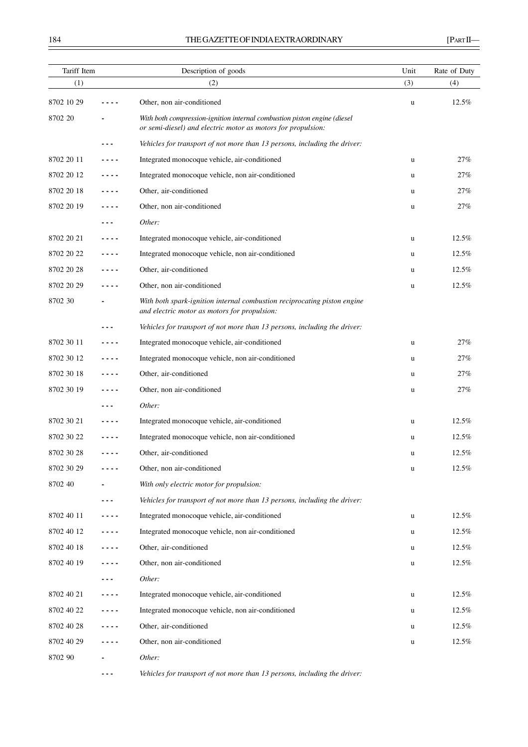# 184 THE GAZETTE OF INDIA EXTRAORDINARY [PART II—

| Tariff Item |         | Description of goods                                                                                                                     | Unit<br>Rate of Duty |       |
|-------------|---------|------------------------------------------------------------------------------------------------------------------------------------------|----------------------|-------|
| (1)         |         | (2)                                                                                                                                      | (3)                  | (4)   |
| 8702 10 29  |         | Other, non air-conditioned                                                                                                               | u                    | 12.5% |
| 8702 20     |         | With both compression-ignition internal combustion piston engine (diesel<br>or semi-diesel) and electric motor as motors for propulsion: |                      |       |
|             | - - -   | Vehicles for transport of not more than 13 persons, including the driver:                                                                |                      |       |
| 8702 20 11  | ----    | Integrated monocoque vehicle, air-conditioned                                                                                            | u                    | 27%   |
| 8702 20 12  |         | Integrated monocoque vehicle, non air-conditioned                                                                                        | u                    | 27%   |
| 8702 20 18  | ----    | Other, air-conditioned                                                                                                                   | u                    | 27%   |
| 8702 20 19  | - - - - | Other, non air-conditioned                                                                                                               | u                    | 27%   |
|             | - - -   | Other:                                                                                                                                   |                      |       |
| 8702 20 21  | - - - - | Integrated monocoque vehicle, air-conditioned                                                                                            | u                    | 12.5% |
| 8702 20 22  | - - - - | Integrated monocoque vehicle, non air-conditioned                                                                                        | u                    | 12.5% |
| 8702 20 28  |         | Other, air-conditioned                                                                                                                   | u                    | 12.5% |
| 8702 20 29  | ----    | Other, non air-conditioned                                                                                                               | u                    | 12.5% |
| 8702 30     |         | With both spark-ignition internal combustion reciprocating piston engine<br>and electric motor as motors for propulsion:                 |                      |       |
|             |         | Vehicles for transport of not more than 13 persons, including the driver:                                                                |                      |       |
| 8702 30 11  | ----    | Integrated monocoque vehicle, air-conditioned                                                                                            | u                    | 27%   |
| 8702 30 12  | - - - - | Integrated monocoque vehicle, non air-conditioned                                                                                        | u                    | 27%   |
| 8702 30 18  | - - - - | Other, air-conditioned                                                                                                                   | u                    | 27%   |
| 8702 30 19  |         | Other, non air-conditioned                                                                                                               | u                    | 27%   |
|             |         | Other:                                                                                                                                   |                      |       |
| 8702 30 21  |         | Integrated monocoque vehicle, air-conditioned                                                                                            | u                    | 12.5% |
| 8702 30 22  |         | Integrated monocoque vehicle, non air-conditioned                                                                                        | u                    | 12.5% |
| 8702 30 28  | - - - - | Other, air-conditioned                                                                                                                   | u                    | 12.5% |
| 8702 30 29  | ----    | Other, non air-conditioned                                                                                                               | u                    | 12.5% |
| 8702 40     |         | With only electric motor for propulsion:                                                                                                 |                      |       |
|             | - - -   | Vehicles for transport of not more than 13 persons, including the driver:                                                                |                      |       |
| 8702 40 11  |         | Integrated monocoque vehicle, air-conditioned                                                                                            | u                    | 12.5% |
| 8702 40 12  | .       | Integrated monocoque vehicle, non air-conditioned                                                                                        | u                    | 12.5% |
| 8702 40 18  | - - - - | Other, air-conditioned                                                                                                                   | u                    | 12.5% |
| 8702 40 19  | - - - - | Other, non air-conditioned                                                                                                               | u                    | 12.5% |
|             | - - -   | Other:                                                                                                                                   |                      |       |
| 8702 40 21  | - - - - | Integrated monocoque vehicle, air-conditioned                                                                                            | u                    | 12.5% |
| 8702 40 22  | ----    | Integrated monocoque vehicle, non air-conditioned                                                                                        | u                    | 12.5% |
| 8702 40 28  |         | Other, air-conditioned                                                                                                                   | u                    | 12.5% |
| 8702 40 29  | .       | Other, non air-conditioned                                                                                                               | u                    | 12.5% |
| 8702 90     |         | Other:                                                                                                                                   |                      |       |

**- - -** *Vehicles for transport of not more than 13 persons, including the driver:*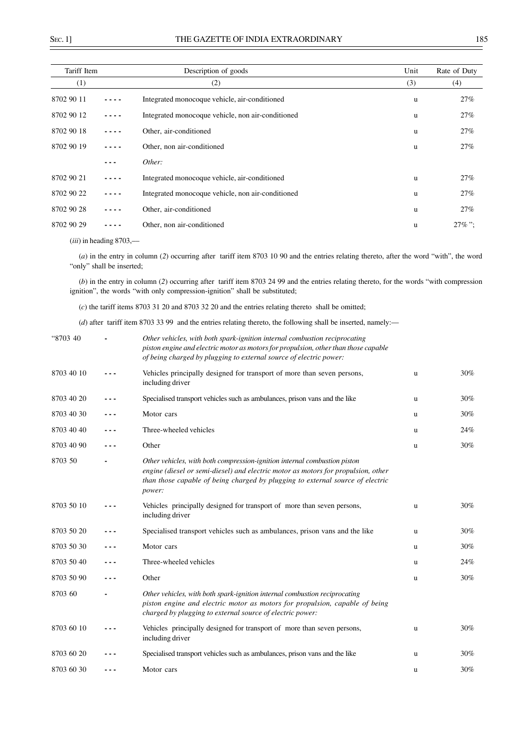| Tariff Item |            | Description of goods                              | Unit | Rate of Duty |
|-------------|------------|---------------------------------------------------|------|--------------|
| (1)         |            | (2)                                               | (3)  | (4)          |
| 8702 90 11  |            | Integrated monocoque vehicle, air-conditioned     | u    | 27%          |
| 8702 90 12  | ----       | Integrated monocoque vehicle, non air-conditioned | u    | 27%          |
| 8702 90 18  |            | Other, air-conditioned                            | u    | 27%          |
| 8702 90 19  |            | Other, non air-conditioned                        | u    | 27%          |
|             |            | Other:                                            |      |              |
| 8702 90 21  |            | Integrated monocoque vehicle, air-conditioned     | u    | 27%          |
| 8702 90 22  | . <b>.</b> | Integrated monocoque vehicle, non air-conditioned | u    | 27%          |
| 8702 90 28  |            | Other, air-conditioned                            | u    | 27%          |
| 8702 90 29  |            | Other, non air-conditioned                        | u    | $27\%$ ":    |

(*iii*) in heading 8703,––

(*a*) in the entry in column (*2*) occurring after tariff item 8703 10 90 and the entries relating thereto, after the word "with", the word "only" shall be inserted;

(*b*) in the entry in column (*2*) occurring after tariff item 8703 24 99 and the entries relating thereto, for the words "with compression ignition", the words "with only compression-ignition" shall be substituted;

(*c*) the tariff items 8703 31 20 and 8703 32 20 and the entries relating thereto shall be omitted;

(*d*) after tariff item 8703 33 99 and the entries relating thereto, the following shall be inserted, namely:––

| "8703 40   | Other vehicles, with both spark-ignition internal combustion reciprocating<br>piston engine and electric motor as motors for propulsion, other than those capable<br>of being charged by plugging to external source of electric power:                    |   |     |
|------------|------------------------------------------------------------------------------------------------------------------------------------------------------------------------------------------------------------------------------------------------------------|---|-----|
| 8703 40 10 | Vehicles principally designed for transport of more than seven persons,<br>including driver                                                                                                                                                                | u | 30% |
| 8703 40 20 | Specialised transport vehicles such as ambulances, prison vans and the like                                                                                                                                                                                | u | 30% |
| 8703 40 30 | Motor cars                                                                                                                                                                                                                                                 | u | 30% |
| 8703 40 40 | Three-wheeled vehicles                                                                                                                                                                                                                                     | u | 24% |
| 8703 40 90 | Other                                                                                                                                                                                                                                                      | u | 30% |
| 8703 50    | Other vehicles, with both compression-ignition internal combustion piston<br>engine (diesel or semi-diesel) and electric motor as motors for propulsion, other<br>than those capable of being charged by plugging to external source of electric<br>power: |   |     |
| 8703 50 10 | Vehicles principally designed for transport of more than seven persons,<br>including driver                                                                                                                                                                | u | 30% |
| 8703 50 20 | Specialised transport vehicles such as ambulances, prison vans and the like                                                                                                                                                                                | u | 30% |
| 8703 50 30 | Motor cars                                                                                                                                                                                                                                                 | u | 30% |
| 8703 50 40 | Three-wheeled vehicles                                                                                                                                                                                                                                     | u | 24% |
| 8703 50 90 | Other                                                                                                                                                                                                                                                      | u | 30% |
| 8703 60    | Other vehicles, with both spark-ignition internal combustion reciprocating<br>piston engine and electric motor as motors for propulsion, capable of being<br>charged by plugging to external source of electric power:                                     |   |     |
| 8703 60 10 | Vehicles principally designed for transport of more than seven persons,<br>including driver                                                                                                                                                                | u | 30% |
| 8703 60 20 | Specialised transport vehicles such as ambulances, prison vans and the like                                                                                                                                                                                | u | 30% |
| 8703 60 30 | Motor cars                                                                                                                                                                                                                                                 | u | 30% |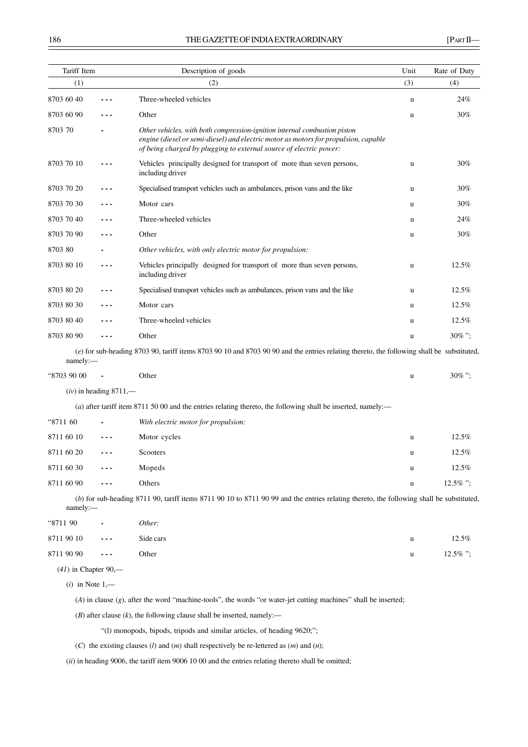| Tariff Item            |                          | Description of goods                                                                                                                                                                                                                   | Unit<br>Rate of Duty |           |
|------------------------|--------------------------|----------------------------------------------------------------------------------------------------------------------------------------------------------------------------------------------------------------------------------------|----------------------|-----------|
| (1)                    |                          | (2)                                                                                                                                                                                                                                    | (3)                  | (4)       |
| 8703 60 40             |                          | Three-wheeled vehicles                                                                                                                                                                                                                 | u                    | 24%       |
| 8703 60 90             |                          | Other                                                                                                                                                                                                                                  | u                    | 30%       |
| 8703 70                |                          | Other vehicles, with both compression-ignition internal combustion piston<br>engine (diesel or semi-diesel) and electric motor as motors for propulsion, capable<br>of being charged by plugging to external source of electric power: |                      |           |
| 8703 70 10             |                          | Vehicles principally designed for transport of more than seven persons,<br>including driver                                                                                                                                            | u                    | 30%       |
| 8703 70 20             | ---                      | Specialised transport vehicles such as ambulances, prison vans and the like                                                                                                                                                            | u                    | 30%       |
| 8703 70 30             |                          | Motor cars                                                                                                                                                                                                                             | u                    | 30%       |
| 8703 70 40             |                          | Three-wheeled vehicles                                                                                                                                                                                                                 | u                    | 24%       |
| 8703 70 90             |                          | Other                                                                                                                                                                                                                                  | u                    | 30%       |
| 8703 80                |                          | Other vehicles, with only electric motor for propulsion:                                                                                                                                                                               |                      |           |
| 8703 80 10             |                          | Vehicles principally designed for transport of more than seven persons,<br>including driver                                                                                                                                            | u                    | 12.5%     |
| 8703 80 20             |                          | Specialised transport vehicles such as ambulances, prison vans and the like                                                                                                                                                            | u                    | 12.5%     |
| 8703 80 30             |                          | Motor cars                                                                                                                                                                                                                             | u                    | 12.5%     |
| 8703 80 40             |                          | Three-wheeled vehicles                                                                                                                                                                                                                 | u                    | 12.5%     |
| 8703 80 90             |                          | Other                                                                                                                                                                                                                                  | u                    | $30\%$ "; |
| namely:-               |                          | (e) for sub-heading 8703 90, tariff items 8703 90 10 and 8703 90 90 and the entries relating thereto, the following shall be substituted,                                                                                              |                      |           |
| "8703 90 00            |                          | Other                                                                                                                                                                                                                                  | u                    | $30\%$ "; |
|                        | $(iv)$ in heading 8711,— |                                                                                                                                                                                                                                        |                      |           |
|                        |                          | (a) after tariff item 8711 50 00 and the entries relating thereto, the following shall be inserted, namely:—                                                                                                                           |                      |           |
| "8711 60               |                          | With electric motor for propulsion:                                                                                                                                                                                                    |                      |           |
| 8711 60 10             |                          | Motor cycles                                                                                                                                                                                                                           | u                    | 12.5%     |
| 8711 60 20             |                          | Scooters                                                                                                                                                                                                                               | u                    | 12.5%     |
| 8711 60 30             |                          | Mopeds                                                                                                                                                                                                                                 | u                    | 12.5%     |
| 8711 60 90             |                          | Others                                                                                                                                                                                                                                 | u                    | 12.5%";   |
| namely:-               |                          | (b) for sub-heading 8711 90, tariff items 8711 90 10 to 8711 90 99 and the entries relating thereto, the following shall be substituted,                                                                                               |                      |           |
| "8711 90               |                          | Other:                                                                                                                                                                                                                                 |                      |           |
| 8711 90 10             |                          | Side cars                                                                                                                                                                                                                              | u                    | 12.5%     |
| 8711 90 90             |                          | Other                                                                                                                                                                                                                                  | u                    | 12.5% ";  |
| $(41)$ in Chapter 90,— |                          |                                                                                                                                                                                                                                        |                      |           |
|                        | $(i)$ in Note 1,—        |                                                                                                                                                                                                                                        |                      |           |
|                        |                          | $(A)$ in clause $(g)$ , after the word "machine-tools", the words "or water-jet cutting machines" shall be inserted;                                                                                                                   |                      |           |
|                        |                          | $(B)$ after clause $(k)$ , the following clause shall be inserted, namely:—                                                                                                                                                            |                      |           |
|                        |                          | "(1) monopods, bipods, tripods and similar articles, of heading 9620;";                                                                                                                                                                |                      |           |
|                        |                          | (C) the existing clauses (l) and (m) shall respectively be re-lettered as $(m)$ and $(n)$ ;                                                                                                                                            |                      |           |
|                        |                          | (ii) in heading 9006, the tariff item 9006 10 00 and the entries relating thereto shall be omitted;                                                                                                                                    |                      |           |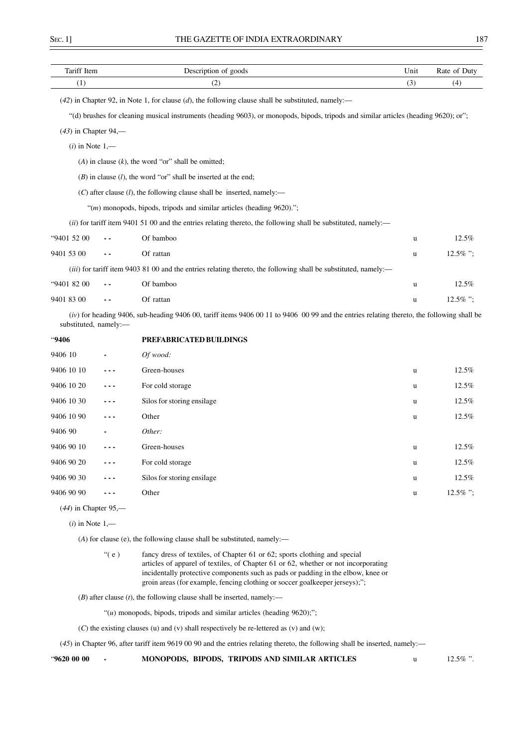| Tariff Item            | Description of goods                                                                                                                         | Unit | Rate of Duty |
|------------------------|----------------------------------------------------------------------------------------------------------------------------------------------|------|--------------|
| (1)                    | (2)                                                                                                                                          | (3)  | (4)          |
|                        | $(42)$ in Chapter 92, in Note 1, for clause $(d)$ , the following clause shall be substituted, namely:                                       |      |              |
|                        | "(d) brushes for cleaning musical instruments (heading 9603), or monopods, bipods, tripods and similar articles (heading 9620); or";         |      |              |
| $(43)$ in Chapter 94,— |                                                                                                                                              |      |              |
| $(i)$ in Note $1,$ —   |                                                                                                                                              |      |              |
|                        | $(A)$ in clause $(k)$ , the word "or" shall be omitted;                                                                                      |      |              |
|                        | $(B)$ in clause $(l)$ , the word "or" shall be inserted at the end;                                                                          |      |              |
|                        | $(C)$ after clause $(l)$ , the following clause shall be inserted, namely:—                                                                  |      |              |
|                        | " $(m)$ monopods, bipods, tripods and similar articles (heading 9620).";                                                                     |      |              |
|                        | (ii) for tariff item 9401 51 00 and the entries relating thereto, the following shall be substituted, namely:—                               |      |              |
| "9401 52 00            | Of bamboo                                                                                                                                    | u    | 12.5%        |
| 9401 53 00             | Of rattan                                                                                                                                    | u    | 12.5%";      |
|                        | (iii) for tariff item 9403 81 00 and the entries relating thereto, the following shall be substituted, namely:—                              |      |              |
| "9401 82 00            | Of bamboo                                                                                                                                    | u    | 12.5%        |
| 9401 83 00             | Of rattan                                                                                                                                    | u    | 12.5%";      |
| substituted, namely:-  | $(iv)$ for heading 9406, sub-heading 9406 00, tariff items 9406 00 11 to 9406 00 99 and the entries relating thereto, the following shall be |      |              |
| .9406                  | PREFABRICATED BUILDINGS                                                                                                                      |      |              |
| 9406 10                | Of wood:                                                                                                                                     |      |              |
| 9406 10 10             | Green-houses                                                                                                                                 | u    | 12.5%        |
| 9406 10 20             | For cold storage                                                                                                                             | u    | 12.5%        |
| 9406 10 30             | Silos for storing ensilage                                                                                                                   | u    | 12.5%        |
| 9406 10 90             | Other                                                                                                                                        | u    | 12.5%        |
| 9406 90                | Other:                                                                                                                                       |      |              |

| 9406 90    | $\overline{\phantom{a}}$                                                                                                                                                                                                                                                                                                                                                                     | Other:                     |   |             |
|------------|----------------------------------------------------------------------------------------------------------------------------------------------------------------------------------------------------------------------------------------------------------------------------------------------------------------------------------------------------------------------------------------------|----------------------------|---|-------------|
| 9406 90 10 | $\frac{1}{2} \frac{1}{2} \frac{1}{2} \frac{1}{2} \frac{1}{2} \frac{1}{2} \frac{1}{2} \frac{1}{2} \frac{1}{2} \frac{1}{2} \frac{1}{2} \frac{1}{2} \frac{1}{2} \frac{1}{2} \frac{1}{2} \frac{1}{2} \frac{1}{2} \frac{1}{2} \frac{1}{2} \frac{1}{2} \frac{1}{2} \frac{1}{2} \frac{1}{2} \frac{1}{2} \frac{1}{2} \frac{1}{2} \frac{1}{2} \frac{1}{2} \frac{1}{2} \frac{1}{2} \frac{1}{2} \frac{$ | Green-houses               | u | 12.5%       |
| 9406 90 20 | $\frac{1}{2} \frac{1}{2} \frac{1}{2} \frac{1}{2} \frac{1}{2} \frac{1}{2} \frac{1}{2} \frac{1}{2} \frac{1}{2} \frac{1}{2} \frac{1}{2} \frac{1}{2} \frac{1}{2} \frac{1}{2} \frac{1}{2} \frac{1}{2} \frac{1}{2} \frac{1}{2} \frac{1}{2} \frac{1}{2} \frac{1}{2} \frac{1}{2} \frac{1}{2} \frac{1}{2} \frac{1}{2} \frac{1}{2} \frac{1}{2} \frac{1}{2} \frac{1}{2} \frac{1}{2} \frac{1}{2} \frac{$ | For cold storage           | u | 12.5%       |
| 9406 90 30 | $\sim$ $\sim$ $\sim$                                                                                                                                                                                                                                                                                                                                                                         | Silos for storing ensilage | u | 12.5%       |
| 9406 90 90 | $\qquad \qquad -$                                                                                                                                                                                                                                                                                                                                                                            | Other                      | u | $12.5\%$ "; |

(*44*) in Chapter 95,––

(*A*) for clause (e), the following clause shall be substituted, namely:––

"( e ) fancy dress of textiles, of Chapter 61 or 62; sports clothing and special articles of apparel of textiles, of Chapter 61 or 62, whether or not incorporating incidentally protective components such as pads or padding in the elbow, knee or groin areas (for example, fencing clothing or soccer goalkeeper jerseys);";

 $(B)$  after clause  $(t)$ , the following clause shall be inserted, namely:—

"(*u*) monopods, bipods, tripods and similar articles (heading 9620);";

(*C*) the existing clauses (u) and (v) shall respectively be re-lettered as (v) and (w);

(*45*) in Chapter 96, after tariff item 9619 00 90 and the entries relating thereto, the following shall be inserted, namely:––

"**9620 00 00 - MONOPODS, BIPODS, TRIPODS AND SIMILAR ARTICLES** u 12.5% ".

<sup>(</sup>*i*) in Note 1,––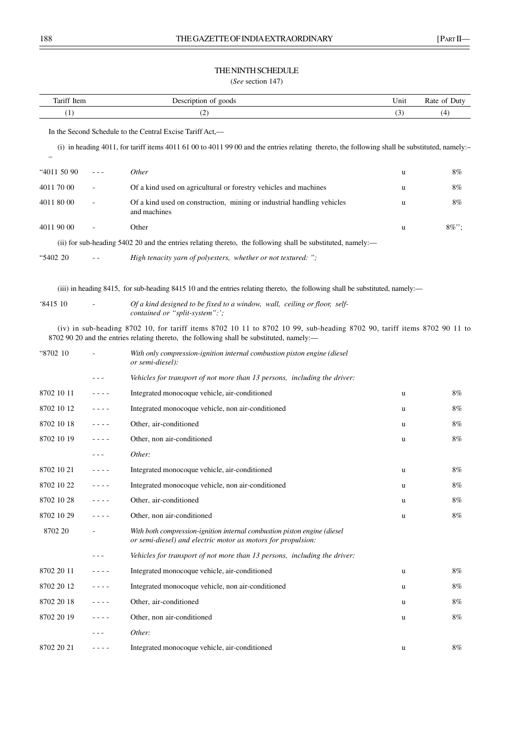# THE NINTH SCHEDULE

(*See* section 147)

| Tariff Item |         | Description of goods                                                                                                                                                                                                 | Unit | Rate of Duty |
|-------------|---------|----------------------------------------------------------------------------------------------------------------------------------------------------------------------------------------------------------------------|------|--------------|
| (1)         |         | (2)                                                                                                                                                                                                                  | (3)  | (4)          |
|             |         | In the Second Schedule to the Central Excise Tariff Act,—                                                                                                                                                            |      |              |
|             |         | (i) in heading 4011, for tariff items 4011 61 00 to 4011 99 00 and the entries relating thereto, the following shall be substituted, namely:-                                                                        |      |              |
|             |         | Other                                                                                                                                                                                                                |      |              |
| "4011 50 90 | $- - -$ |                                                                                                                                                                                                                      | u    | 8%           |
| 4011 70 00  |         | Of a kind used on agricultural or forestry vehicles and machines                                                                                                                                                     | u    | 8%           |
| 4011 80 00  |         | Of a kind used on construction, mining or industrial handling vehicles<br>and machines                                                                                                                               | u    | 8%           |
| 4011 90 00  |         | Other                                                                                                                                                                                                                | u    | $8\%$ ";     |
|             |         | (ii) for sub-heading 5402 20 and the entries relating thereto, the following shall be substituted, namely:—                                                                                                          |      |              |
| "5402 20    |         | High tenacity yarn of polyesters, whether or not textured: ";                                                                                                                                                        |      |              |
|             |         | (iii) in heading 8415, for sub-heading 8415 10 and the entries relating thereto, the following shall be substituted, namely:—                                                                                        |      |              |
| 341510      |         | Of a kind designed to be fixed to a window, wall, ceiling or floor, self-<br>contained or "split-system":';                                                                                                          |      |              |
|             |         | (iv) in sub-heading 8702 10, for tariff items 8702 10 11 to 8702 10 99, sub-heading 8702 90, tariff items 8702 90 11 to<br>8702 90 20 and the entries relating thereto, the following shall be substituted, namely:— |      |              |
| "8702 10    |         | With only compression-ignition internal combustion piston engine (diesel<br>or semi-diesel):                                                                                                                         |      |              |
|             |         | Vehicles for transport of not more than 13 persons, including the driver:                                                                                                                                            |      |              |
| 8702 10 11  |         | Integrated monocoque vehicle, air-conditioned                                                                                                                                                                        | u    | 8%           |
| 8702 10 12  | - - - - | Integrated monocoque vehicle, non air-conditioned                                                                                                                                                                    | u    | 8%           |
| 8702 10 18  | - - - - | Other, air-conditioned                                                                                                                                                                                               | u    | 8%           |
| 8702 10 19  | - - - - | Other, non air-conditioned                                                                                                                                                                                           | u    | $8\%$        |
|             | - - -   | Other:                                                                                                                                                                                                               |      |              |
| 8702 10 21  | - - - - | Integrated monocoque vehicle, air-conditioned                                                                                                                                                                        | u    | 8%           |
| 8702 10 22  | - - - - | Integrated monocoque vehicle, non air-conditioned                                                                                                                                                                    | u    | 8%           |
| 8702 10 28  |         | Other, air-conditioned                                                                                                                                                                                               | u    | 8%           |
| 8702 10 29  |         | Other, non air-conditioned                                                                                                                                                                                           | u    | 8%           |
| 8702 20     |         | With both compression-ignition internal combustion piston engine (diesel<br>or semi-diesel) and electric motor as motors for propulsion:                                                                             |      |              |
|             | - - -   | Vehicles for transport of not more than 13 persons, including the driver:                                                                                                                                            |      |              |
| 8702 20 11  | ----    | Integrated monocoque vehicle, air-conditioned                                                                                                                                                                        | u    | 8%           |
| 8702 20 12  | ----    | Integrated monocoque vehicle, non air-conditioned                                                                                                                                                                    | u    | 8%           |
| 8702 20 18  | ----    | Other, air-conditioned                                                                                                                                                                                               | u    | 8%           |
| 8702 20 19  | ----    | Other, non air-conditioned                                                                                                                                                                                           | u    | 8%           |
|             | - - -   | Other:                                                                                                                                                                                                               |      |              |
| 8702 20 21  | - - - - | Integrated monocoque vehicle, air-conditioned                                                                                                                                                                        | u    | 8%           |
|             |         |                                                                                                                                                                                                                      |      |              |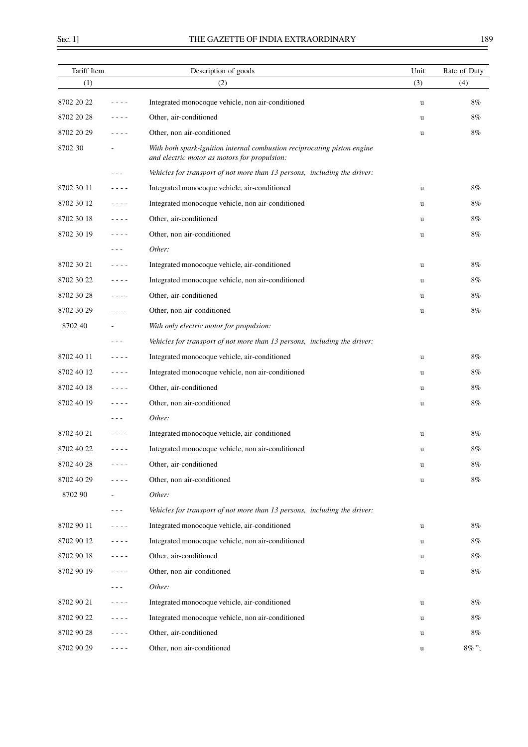$\overline{a}$ 

| Tariff Item |           | Description of goods                                                                                                     | Unit | Rate of Duty |
|-------------|-----------|--------------------------------------------------------------------------------------------------------------------------|------|--------------|
| (1)         |           | (2)                                                                                                                      | (3)  | (4)          |
| 8702 20 22  | - - - -   | Integrated monocoque vehicle, non air-conditioned                                                                        | u    | 8%           |
| 8702 20 28  | - - - -   | Other, air-conditioned                                                                                                   | u    | 8%           |
| 8702 20 29  | - - - -   | Other, non air-conditioned                                                                                               | u    | 8%           |
| 8702 30     |           | With both spark-ignition internal combustion reciprocating piston engine<br>and electric motor as motors for propulsion: |      |              |
|             |           | Vehicles for transport of not more than 13 persons, including the driver:                                                |      |              |
| 8702 30 11  | ----      | Integrated monocoque vehicle, air-conditioned                                                                            | u    | $8\%$        |
| 8702 30 12  | - - - -   | Integrated monocoque vehicle, non air-conditioned                                                                        | u    | 8%           |
| 8702 30 18  | - - - -   | Other, air-conditioned                                                                                                   | u    | 8%           |
| 8702 30 19  | - - - -   | Other, non air-conditioned                                                                                               | u    | 8%           |
|             | - - -     | Other:                                                                                                                   |      |              |
| 8702 30 21  | $   -$    | Integrated monocoque vehicle, air-conditioned                                                                            | u    | 8%           |
| 8702 30 22  | - - - -   | Integrated monocoque vehicle, non air-conditioned                                                                        | u    | 8%           |
| 8702 30 28  | $   -$    | Other, air-conditioned                                                                                                   | u    | 8%           |
| 8702 30 29  | - - - -   | Other, non air-conditioned                                                                                               | u    | 8%           |
| 8702 40     |           | With only electric motor for propulsion:                                                                                 |      |              |
|             | - - -     | Vehicles for transport of not more than 13 persons, including the driver:                                                |      |              |
| 8702 40 11  | - - - -   | Integrated monocoque vehicle, air-conditioned                                                                            | u    | 8%           |
| 8702 40 12  | ----      | Integrated monocoque vehicle, non air-conditioned                                                                        | u    | 8%           |
| 8702 40 18  | - - - -   | Other, air-conditioned                                                                                                   | u    | 8%           |
| 8702 40 19  | - - - -   | Other, non air-conditioned                                                                                               | u    | 8%           |
|             |           | Other:                                                                                                                   |      |              |
| 8702 40 21  | $  -$     | Integrated monocoque vehicle, air-conditioned                                                                            | u    | 8%           |
| 8702 40 22  |           | Integrated monocoque vehicle, non air-conditioned                                                                        | u    | 8%           |
| 8702 40 28  |           | Other, air-conditioned                                                                                                   | u    | 8%           |
| 8702 40 29  | - - - -   | Other, non air-conditioned                                                                                               | u    | 8%           |
| 8702 90     |           | Other:                                                                                                                   |      |              |
|             | - - -     | Vehicles for transport of not more than 13 persons, including the driver:                                                |      |              |
| 8702 90 11  | $- - - -$ | Integrated monocoque vehicle, air-conditioned                                                                            | u    | 8%           |
| 8702 90 12  | - - - -   | Integrated monocoque vehicle, non air-conditioned                                                                        | u    | 8%           |
| 8702 90 18  | - - - -   | Other, air-conditioned                                                                                                   | u    | 8%           |
| 8702 90 19  | ----      | Other, non air-conditioned                                                                                               | u    | 8%           |
|             |           | Other:                                                                                                                   |      |              |
| 8702 90 21  | ----      | Integrated monocoque vehicle, air-conditioned                                                                            | u    | 8%           |
| 8702 90 22  | - - - -   | Integrated monocoque vehicle, non air-conditioned                                                                        | u    | 8%           |
| 8702 90 28  | ----      | Other, air-conditioned                                                                                                   | u    | 8%           |
| 8702 90 29  | $   -$    | Other, non air-conditioned                                                                                               | u    | 8%";         |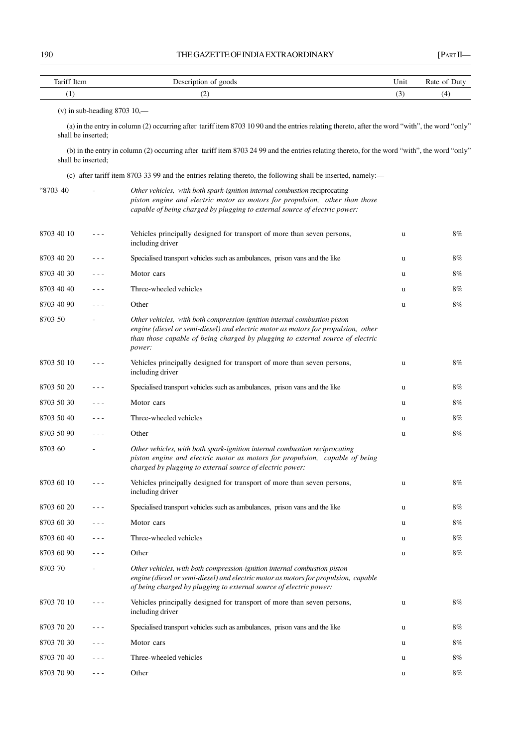| Tariff Item |                                | Description of goods                                                                                                                                                                                                                                       | Unit | Rate of Duty |
|-------------|--------------------------------|------------------------------------------------------------------------------------------------------------------------------------------------------------------------------------------------------------------------------------------------------------|------|--------------|
| (1)         |                                | (2)                                                                                                                                                                                                                                                        | (3)  | (4)          |
|             | $(v)$ in sub-heading 8703 10,— |                                                                                                                                                                                                                                                            |      |              |
|             | shall be inserted;             | (a) in the entry in column (2) occurring after tariff item 8703 10 90 and the entries relating thereto, after the word "with", the word "only"                                                                                                             |      |              |
|             | shall be inserted;             | (b) in the entry in column (2) occurring after tariff item 8703 24 99 and the entries relating thereto, for the word "with", the word "only"                                                                                                               |      |              |
|             |                                | (c) after tariff item 8703 33 99 and the entries relating thereto, the following shall be inserted, namely:—                                                                                                                                               |      |              |
| "8703 40    |                                | Other vehicles, with both spark-ignition internal combustion reciprocating<br>piston engine and electric motor as motors for propulsion, other than those<br>capable of being charged by plugging to external source of electric power:                    |      |              |
| 8703 40 10  |                                | Vehicles principally designed for transport of more than seven persons,<br>including driver                                                                                                                                                                | u    | 8%           |
| 8703 40 20  |                                | Specialised transport vehicles such as ambulances, prison vans and the like                                                                                                                                                                                | u    | 8%           |
| 8703 40 30  |                                | Motor cars                                                                                                                                                                                                                                                 | u    | 8%           |
| 8703 40 40  | - - -                          | Three-wheeled vehicles                                                                                                                                                                                                                                     | u    | 8%           |
| 8703 40 90  | - - -                          | Other                                                                                                                                                                                                                                                      | u    | 8%           |
| 8703 50     |                                | Other vehicles, with both compression-ignition internal combustion piston<br>engine (diesel or semi-diesel) and electric motor as motors for propulsion, other<br>than those capable of being charged by plugging to external source of electric<br>power: |      |              |
| 8703 50 10  |                                | Vehicles principally designed for transport of more than seven persons,<br>including driver                                                                                                                                                                | u    | 8%           |
| 8703 50 20  |                                | Specialised transport vehicles such as ambulances, prison vans and the like                                                                                                                                                                                | u    | 8%           |
| 8703 50 30  |                                | Motor cars                                                                                                                                                                                                                                                 | u    | 8%           |
| 8703 50 40  |                                | Three-wheeled vehicles                                                                                                                                                                                                                                     | u    | 8%           |
| 8703 50 90  | $  -$                          | Other                                                                                                                                                                                                                                                      | u    | 8%           |
| 8703 60     |                                | Other vehicles, with both spark-ignition internal combustion reciprocating<br>piston engine and electric motor as motors for propulsion, capable of being<br>charged by plugging to external source of electric power:                                     |      |              |
| 8703 60 10  |                                | Vehicles principally designed for transport of more than seven persons,<br>including driver                                                                                                                                                                | u    | 8%           |
| 8703 60 20  |                                | Specialised transport vehicles such as ambulances, prison vans and the like                                                                                                                                                                                | u    | 8%           |
| 8703 60 30  |                                | Motor cars                                                                                                                                                                                                                                                 | u    | 8%           |
| 8703 60 40  | - - -                          | Three-wheeled vehicles                                                                                                                                                                                                                                     | u    | 8%           |
| 8703 60 90  | - - -                          | Other                                                                                                                                                                                                                                                      | u    | 8%           |
| 8703 70     |                                | Other vehicles, with both compression-ignition internal combustion piston<br>engine (diesel or semi-diesel) and electric motor as motors for propulsion, capable<br>of being charged by plugging to external source of electric power:                     |      |              |
| 8703 70 10  |                                | Vehicles principally designed for transport of more than seven persons,<br>including driver                                                                                                                                                                | u    | 8%           |
| 8703 70 20  | ---                            | Specialised transport vehicles such as ambulances, prison vans and the like                                                                                                                                                                                | u    | 8%           |
| 8703 70 30  | $  -$                          | Motor cars                                                                                                                                                                                                                                                 | u    | 8%           |
| 8703 70 40  |                                | Three-wheeled vehicles                                                                                                                                                                                                                                     | u    | 8%           |
| 8703 70 90  | $- - -$                        | Other                                                                                                                                                                                                                                                      | u    | 8%           |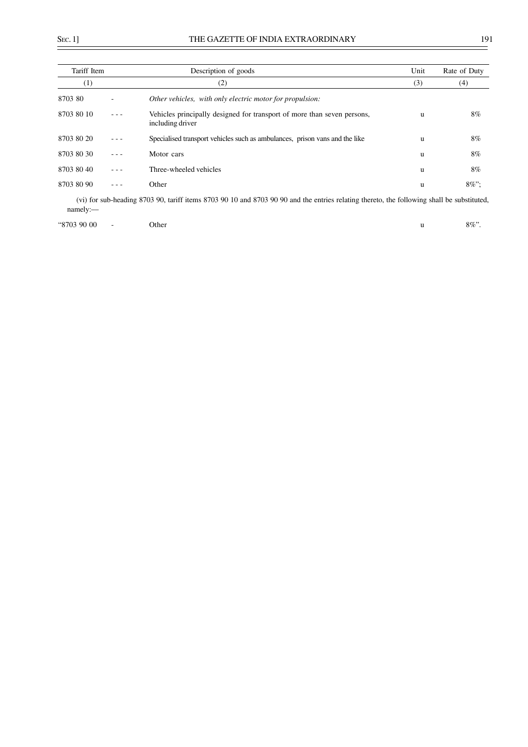÷,

| Tariff Item      | Description of goods                                                                                                                       | Unit     | Rate of Duty |
|------------------|--------------------------------------------------------------------------------------------------------------------------------------------|----------|--------------|
| $\left(1\right)$ | (2)                                                                                                                                        | (3)      | (4)          |
| 8703 80          | Other vehicles, with only electric motor for propulsion:                                                                                   |          |              |
| 8703 80 10       | Vehicles principally designed for transport of more than seven persons,<br>including driver                                                | u        | 8%           |
| 8703 80 20       | Specialised transport vehicles such as ambulances, prison vans and the like                                                                | <b>u</b> | 8%           |
| 8703 80 30       | Motor cars                                                                                                                                 | u        | 8%           |
| 8703 80 40       | Three-wheeled vehicles                                                                                                                     | u        | 8%           |
| 8703 80 90       | Other                                                                                                                                      | u        | $8\%$ ":     |
| namely:          | (vi) for sub-heading 8703 90, tariff items 8703 90 10 and 8703 90 90 and the entries relating thereto, the following shall be substituted, |          |              |

|  | "8703 90 00 | Other |  | $8\%$ ". |
|--|-------------|-------|--|----------|
|--|-------------|-------|--|----------|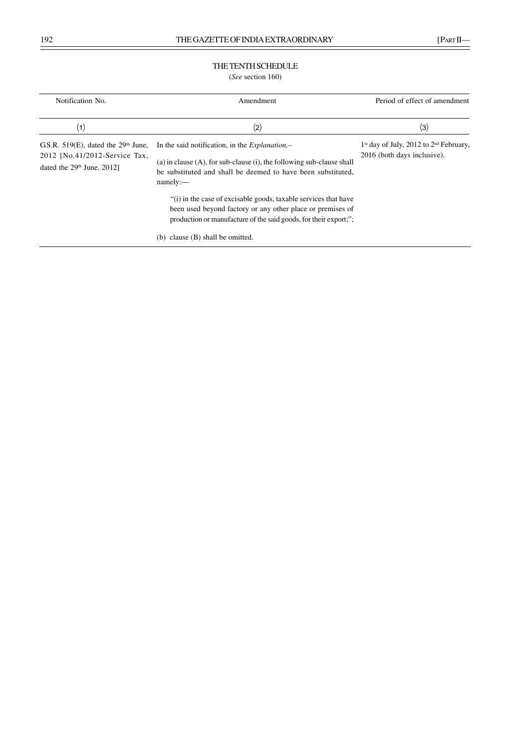# THE TENTH SCHEDULE

(*See* section 160)

| Notification No.                                                                                             | Amendment                                                                                                                                                                                                        | Period of effect of amendment                                             |
|--------------------------------------------------------------------------------------------------------------|------------------------------------------------------------------------------------------------------------------------------------------------------------------------------------------------------------------|---------------------------------------------------------------------------|
| (1)                                                                                                          | (2)                                                                                                                                                                                                              | (3)                                                                       |
| G.S.R. $519(E)$ , dated the $29th$ June,<br>2012 [No.41/2012-Service Tax,<br>dated the $29th$ June, $2012$ ] | In the said notification, in the <i>Explanation</i> ,-<br>(a) in clause $(A)$ , for sub-clause $(i)$ , the following sub-clause shall<br>be substituted and shall be deemed to have been substituted.<br>namely: | $1st$ day of July, 2012 to $2nd$ February,<br>2016 (both days inclusive). |
|                                                                                                              | "(i) in the case of excisable goods, taxable services that have<br>been used beyond factory or any other place or premises of<br>production or manufacture of the said goods, for their export;";                |                                                                           |
|                                                                                                              | (b) clause (B) shall be omitted.                                                                                                                                                                                 |                                                                           |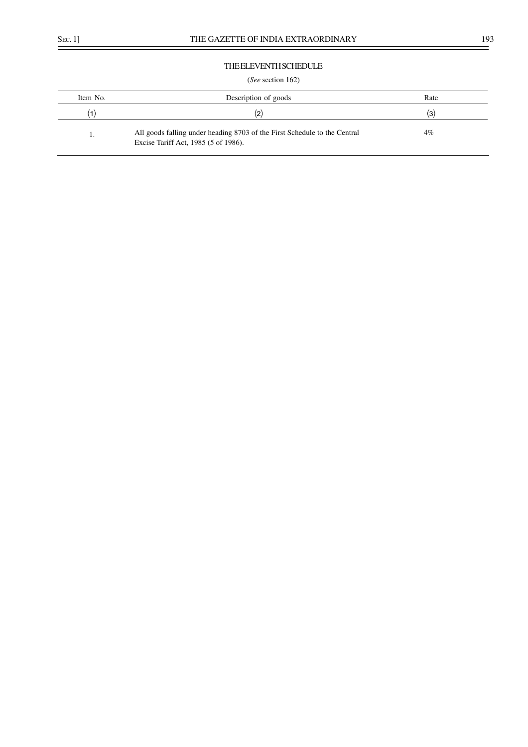# THE ELEVENTH SCHEDULE

## (*See* section 162)

| Item No. | Description of goods                                                                                              | Rate  |
|----------|-------------------------------------------------------------------------------------------------------------------|-------|
|          | (2)                                                                                                               | (3)   |
|          | All goods falling under heading 8703 of the First Schedule to the Central<br>Excise Tariff Act, 1985 (5 of 1986). | $4\%$ |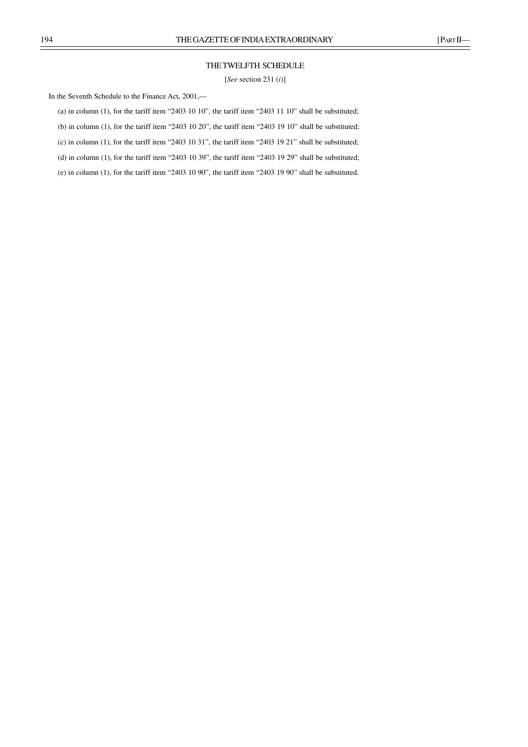# THE TWELFTH SCHEDULE

[*See* section 231 (*i*)]

In the Seventh Schedule to the Finance Act, 2001,––

(a) in column (1), for the tariff item "2403 10 10", the tariff item "2403 11 10" shall be substituted;

(b) in column (1), for the tariff item "2403 10 20", the tariff item "2403 19 10" shall be substituted;

(c) in column (1), for the tariff item "2403 10 31", the tariff item "2403 19 21" shall be substituted;

(d) in column (1), for the tariff item "2403 10 39", the tariff item "2403 19 29" shall be substituted;

(e) in column (1), for the tariff item "2403 10 90", the tariff item "2403 19 90" shall be substituted.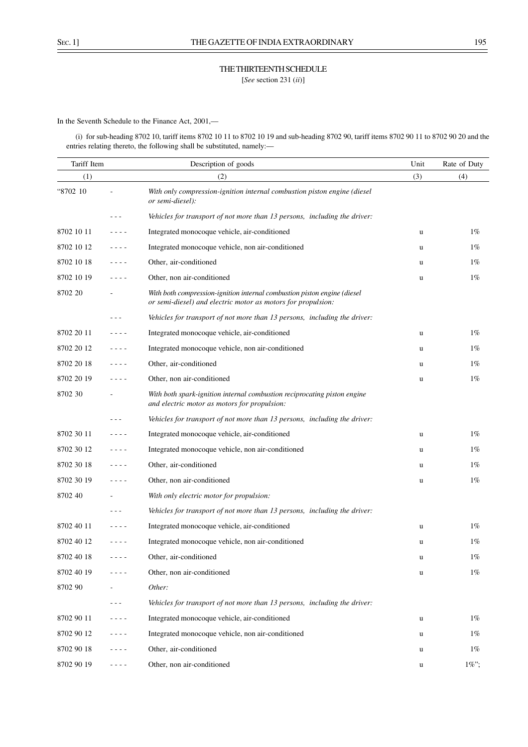THE THIRTEENTH SCHEDULE [*See* section 231 (*ii*)]

In the Seventh Schedule to the Finance Act, 2001,––

(i) for sub-heading 8702 10, tariff items 8702 10 11 to 8702 10 19 and sub-heading 8702 90, tariff items 8702 90 11 to 8702 90 20 and the entries relating thereto, the following shall be substituted, namely:-

| Tariff Item |                                                                                                                           | Description of goods                                                                                                                     | Unit | Rate of Duty |
|-------------|---------------------------------------------------------------------------------------------------------------------------|------------------------------------------------------------------------------------------------------------------------------------------|------|--------------|
| (1)         |                                                                                                                           | (2)                                                                                                                                      | (3)  | (4)          |
| "8702 10    |                                                                                                                           | With only compression-ignition internal combustion piston engine (diesel<br>or semi-diesel):                                             |      |              |
|             |                                                                                                                           | Vehicles for transport of not more than 13 persons, including the driver:                                                                |      |              |
| 8702 10 11  | ----                                                                                                                      | Integrated monocoque vehicle, air-conditioned                                                                                            | u    | $1\%$        |
| 8702 10 12  | $\frac{1}{2} \left( \frac{1}{2} \right) \left( \frac{1}{2} \right) \left( \frac{1}{2} \right) \left( \frac{1}{2} \right)$ | Integrated monocoque vehicle, non air-conditioned                                                                                        | u    | $1\%$        |
| 8702 10 18  | $- - - -$                                                                                                                 | Other, air-conditioned                                                                                                                   | u    | $1\%$        |
| 8702 10 19  | ----                                                                                                                      | Other, non air-conditioned                                                                                                               | u    | $1\%$        |
| 8702 20     |                                                                                                                           | With both compression-ignition internal combustion piston engine (diesel<br>or semi-diesel) and electric motor as motors for propulsion: |      |              |
|             |                                                                                                                           | Vehicles for transport of not more than 13 persons, including the driver:                                                                |      |              |
| 8702 20 11  | $- - - -$                                                                                                                 | Integrated monocoque vehicle, air-conditioned                                                                                            | u    | $1\%$        |
| 8702 20 12  | $- - - - -$                                                                                                               | Integrated monocoque vehicle, non air-conditioned                                                                                        | u    | $1\%$        |
| 8702 20 18  | $- - - -$                                                                                                                 | Other, air-conditioned                                                                                                                   | u    | $1\%$        |
| 8702 20 19  | - - - -                                                                                                                   | Other, non air-conditioned                                                                                                               | u    | $1\%$        |
| 8702 30     |                                                                                                                           | With both spark-ignition internal combustion reciprocating piston engine<br>and electric motor as motors for propulsion:                 |      |              |
|             |                                                                                                                           | Vehicles for transport of not more than 13 persons, including the driver:                                                                |      |              |
| 8702 30 11  | $- - - -$                                                                                                                 | Integrated monocoque vehicle, air-conditioned                                                                                            | u    | $1\%$        |
| 8702 30 12  | $   -$                                                                                                                    | Integrated monocoque vehicle, non air-conditioned                                                                                        | u    | $1\%$        |
| 8702 30 18  | $- - - -$                                                                                                                 | Other, air-conditioned                                                                                                                   | u    | $1\%$        |
| 8702 30 19  | ----                                                                                                                      | Other, non air-conditioned                                                                                                               | u    | $1\%$        |
| 8702 40     |                                                                                                                           | With only electric motor for propulsion:                                                                                                 |      |              |
|             | $  -$                                                                                                                     | Vehicles for transport of not more than 13 persons, including the driver:                                                                |      |              |
| 8702 40 11  | $- - - -$                                                                                                                 | Integrated monocoque vehicle, air-conditioned                                                                                            | u    | $1\%$        |
| 8702 40 12  | ----                                                                                                                      | Integrated monocoque vehicle, non air-conditioned                                                                                        | u    | $1\%$        |
| 8702 40 18  |                                                                                                                           | Other, air-conditioned                                                                                                                   | u    | $1\%$        |
| 8702 40 19  |                                                                                                                           | Other, non air-conditioned                                                                                                               | u    | $1\%$        |
| 8702 90     |                                                                                                                           | Other:                                                                                                                                   |      |              |
|             | $- - -$                                                                                                                   | Vehicles for transport of not more than 13 persons, including the driver:                                                                |      |              |
| 8702 90 11  | - - - -                                                                                                                   | Integrated monocoque vehicle, air-conditioned                                                                                            | u    | $1\%$        |
| 8702 90 12  | $   -$                                                                                                                    | Integrated monocoque vehicle, non air-conditioned                                                                                        | u    | $1\%$        |
| 8702 90 18  | - - - -                                                                                                                   | Other, air-conditioned                                                                                                                   | u    | $1\%$        |
| 8702 90 19  | - - - -                                                                                                                   | Other, non air-conditioned                                                                                                               | u    | $1\%$ ";     |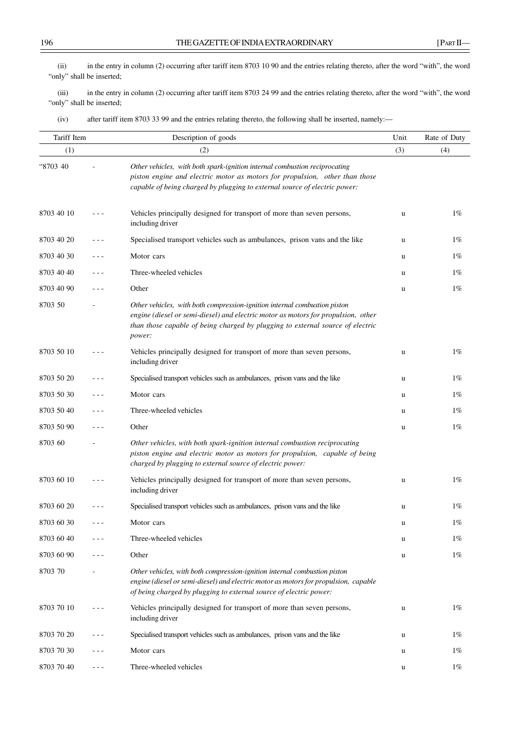(ii) in the entry in column (2) occurring after tariff item 8703 10 90 and the entries relating thereto, after the word "with", the word "only" shall be inserted;

(iii) in the entry in column (2) occurring after tariff item 8703 24 99 and the entries relating thereto, after the word "with", the word "only" shall be inserted;

(iv) after tariff item 8703 33 99 and the entries relating thereto, the following shall be inserted, namely:––

| Tariff Item |         | Description of goods                                                                                                                                                                                                                                       | Unit | Rate of Duty |
|-------------|---------|------------------------------------------------------------------------------------------------------------------------------------------------------------------------------------------------------------------------------------------------------------|------|--------------|
| (1)         |         | (2)                                                                                                                                                                                                                                                        | (3)  | (4)          |
| "8703 40    |         | Other vehicles, with both spark-ignition internal combustion reciprocating<br>piston engine and electric motor as motors for propulsion, other than those<br>capable of being charged by plugging to external source of electric power:                    |      |              |
| 8703 40 10  | - - -   | Vehicles principally designed for transport of more than seven persons,<br>including driver                                                                                                                                                                | u    | $1\%$        |
| 8703 40 20  | - - -   | Specialised transport vehicles such as ambulances, prison vans and the like                                                                                                                                                                                | u    | $1\%$        |
| 8703 40 30  | - - -   | Motor cars                                                                                                                                                                                                                                                 | u    | $1\%$        |
| 8703 40 40  | $- - -$ | Three-wheeled vehicles                                                                                                                                                                                                                                     | u    | $1\%$        |
| 8703 40 90  | - - -   | Other                                                                                                                                                                                                                                                      | u    | $1\%$        |
| 8703 50     |         | Other vehicles, with both compression-ignition internal combustion piston<br>engine (diesel or semi-diesel) and electric motor as motors for propulsion, other<br>than those capable of being charged by plugging to external source of electric<br>power: |      |              |
| 8703 50 10  |         | Vehicles principally designed for transport of more than seven persons,<br>including driver                                                                                                                                                                | u    | $1\%$        |
| 8703 50 20  |         | Specialised transport vehicles such as ambulances, prison vans and the like                                                                                                                                                                                | u    | $1\%$        |
| 8703 50 30  | - - -   | Motor cars                                                                                                                                                                                                                                                 | u    | $1\%$        |
| 8703 50 40  | - - -   | Three-wheeled vehicles                                                                                                                                                                                                                                     | u    | $1\%$        |
| 8703 50 90  | $- - -$ | Other                                                                                                                                                                                                                                                      | u    | $1\%$        |
| 8703 60     |         | Other vehicles, with both spark-ignition internal combustion reciprocating<br>piston engine and electric motor as motors for propulsion, capable of being<br>charged by plugging to external source of electric power:                                     |      |              |
| 8703 60 10  |         | Vehicles principally designed for transport of more than seven persons,<br>including driver                                                                                                                                                                | u    | $1\%$        |
| 8703 60 20  |         | Specialised transport vehicles such as ambulances, prison vans and the like                                                                                                                                                                                | u    | $1\%$        |
| 8703 60 30  | $- - -$ | Motor cars                                                                                                                                                                                                                                                 | u    | $1\%$        |
| 8703 60 40  |         | Three-wheeled vehicles                                                                                                                                                                                                                                     | u    | $1\%$        |
| 8703 60 90  | ---     | Other                                                                                                                                                                                                                                                      | u    | $1\%$        |
| 8703 70     |         | Other vehicles, with both compression-ignition internal combustion piston<br>engine (diesel or semi-diesel) and electric motor as motors for propulsion, capable<br>of being charged by plugging to external source of electric power:                     |      |              |
| 8703 70 10  |         | Vehicles principally designed for transport of more than seven persons,<br>including driver                                                                                                                                                                | u    | $1\%$        |
| 8703 70 20  |         | Specialised transport vehicles such as ambulances, prison vans and the like                                                                                                                                                                                | u    | $1\%$        |
| 8703 70 30  | $  -$   | Motor cars                                                                                                                                                                                                                                                 | u    | $1\%$        |
| 8703 70 40  | $  -$   | Three-wheeled vehicles                                                                                                                                                                                                                                     | u    | $1\%$        |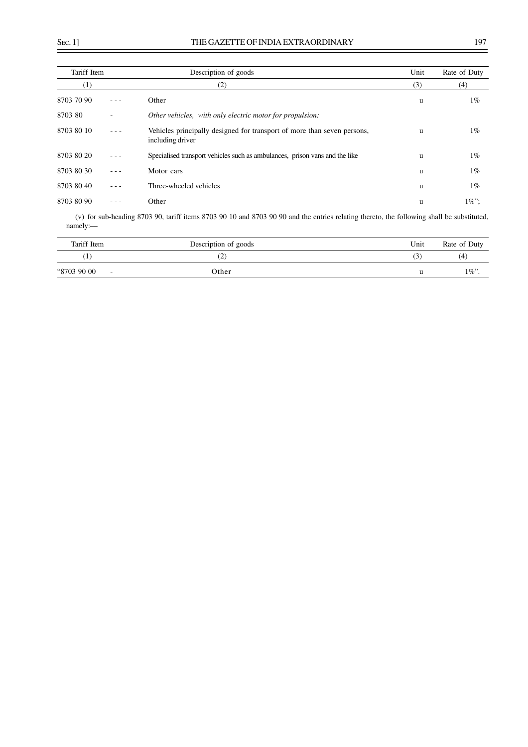| Tariff Item |   | Description of goods                                                                        | Unit | Rate of Duty |
|-------------|---|---------------------------------------------------------------------------------------------|------|--------------|
| (1)         |   | (2)                                                                                         | (3)  | (4)          |
| 8703 70 90  |   | Other                                                                                       | u    | $1\%$        |
| 8703 80     | ٠ | Other vehicles, with only electric motor for propulsion:                                    |      |              |
| 8703 80 10  |   | Vehicles principally designed for transport of more than seven persons,<br>including driver | u    | $1\%$        |
| 8703 80 20  |   | Specialised transport vehicles such as ambulances, prison vans and the like                 | u    | $1\%$        |
| 8703 80 30  |   | Motor cars                                                                                  | u    | $1\%$        |
| 8703 80 40  |   | Three-wheeled vehicles                                                                      | u    | $1\%$        |
| 8703 80 90  |   | Other                                                                                       | u    | $1\%$ ";     |

(v) for sub-heading 8703 90, tariff items 8703 90 10 and 8703 90 90 and the entries relating thereto, the following shall be substituted, namely:––

| Tariff Item           | Description of goods | Unit | Rate of Duty |
|-----------------------|----------------------|------|--------------|
|                       | ے ا                  | J.   | (4           |
| "8703 90 00<br>$\sim$ | Other                |      | $1\%$ ".     |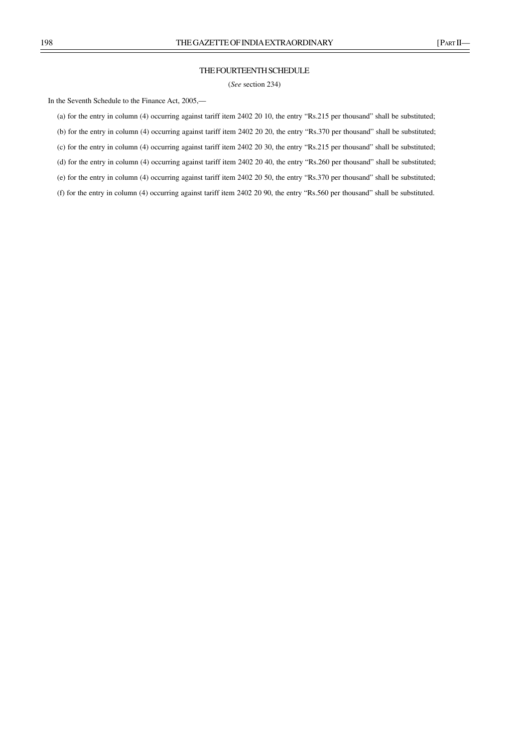### THE FOURTEENTH SCHEDULE

(*See* section 234)

In the Seventh Schedule to the Finance Act, 2005,––

(a) for the entry in column (4) occurring against tariff item 2402 20 10, the entry "Rs.215 per thousand" shall be substituted;

(b) for the entry in column (4) occurring against tariff item 2402 20 20, the entry "Rs.370 per thousand" shall be substituted;

(c) for the entry in column (4) occurring against tariff item 2402 20 30, the entry "Rs.215 per thousand" shall be substituted;

(d) for the entry in column (4) occurring against tariff item 2402 20 40, the entry "Rs.260 per thousand" shall be substituted;

(e) for the entry in column (4) occurring against tariff item 2402 20 50, the entry "Rs.370 per thousand" shall be substituted;

(f) for the entry in column (4) occurring against tariff item 2402 20 90, the entry "Rs.560 per thousand" shall be substituted.